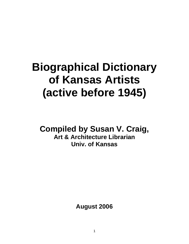# **Biographical Dictionary of Kansas Artists (active before 1945)**

**Compiled by Susan V. Craig, Art & Architecture Librarian Univ. of Kansas** 

**August 2006**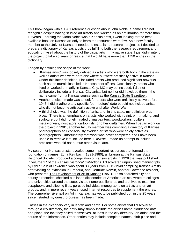This book began with a 1981 reference question about John Noble, a name I did not recognize despite having studied art history and worked as an art librarian for more than 10 years. Learning that John Noble was a Kansas artist, I went looking for the best available book on Kansas art only to learn the resources were few. As a new faculty member at the Univ. of Kansas, I needed to establish a research project so I decided to prepare a dictionary of Kansas artists thus fulfilling both the research requirement and educating myself about the history of the visual arts in my native state; I just didn't intend the project to take 25 years or realize that I would have more than 1750 entries in the dictionary.

I began by defining the scope of the work:

- "Kansas artist" was loosely defined as artists who were both born in the state as well as artists who were born elsewhere but were artistically active in Kansas. Under this latter definition, I included artists who produced significant artworks such as the murals installed in Kansas post offices. Occasionally, artists who lived or worked primarily in Kansas City, MO may be included. I did not deliberately include all Kansas City artists but neither did I exclude them if the name came from a Kansas source such as the Kansas State Gazetteer.
- Another choice I made was to look for artists who were artistically active before 1945. I didn't adhere to a specific "born before" date but did not include artists who did not become artistically active until after World War II.
- A third choice was the definition of artist and, in this case, my definition was broad. There is an emphasis on artists who worked with paint, print making, and sculpture but I did not eliminated china painters, woodworkers, quilters, metalworkers, illustrators, cartoonists, or other craftsmen. When I began work on the project in 1981, another faculty member was compiling a directory of Kansas photographers so I consciously avoided artists who were solely active as photographers. Unfortunately that work was never completed and I have been unable to retrieve it to include here. Likewise, I made no attempt to include architects who did not pursue other visual arts.

My search for Kansas artists revealed some important resources that formed the foundation of names. Edna Reinbach (1891-1980), a librarian at the Kansas State Historical Society, produced a compilation of Kansas artists in 1928 that was published in volume 17 of the *Kansas Historical Collections.* I discovered unpublished manuscripts by Lydia Sain of Lawrence who spent 33 years from 1915-1948 compiling Kansas Artists after visiting an exhibition in Emporia, and Gertrude Newlin, another Lawrence resident, who prepared The Development of Art in Kansas (1951). I also searched city and county directories, checked published dictionaries of American artists, wrote to colleges and universities around the state, visited numerous libraries and archives to examine scrapbooks and clipping files, perused individual monographs on artists and on art groups, and, in more recent years, used Internet resources to supplement the entries. The comprehensive text on Art in Kansas has yet to be published but, in the 25 years since I started my quest, progress has been made.

Entries in the dictionary vary in length and depth. For some artists that I discovered through a city directory, the entry may simply include the artist's name, flourished date and place, the fact they called themselves--at least in the city directory--an artist, and the source of the information. Other entries may include complete names, birth place and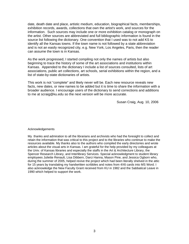date, death date and place, artistic medium, education, biographical facts, memberships, exhibition records, awards, collections that own the artist's work, and sources for the information. Such sources may include one or more exhibition catalog or monograph on the artist. Other sources are abbreviated and full bibliographic information is found in the source list following the dictionary. One convention that I used was to not add KS to identify all the Kansas towns. If the town name is not followed by a state abbreviation and is not an easily recognized city, e.g. New York, Los Angeles, Paris, then the reader can assume the town is in Kansas.

As the work progressed, I started compiling not only the names of artists but also beginning to trace the history of some of the art associations and institutions within Kansas. Appended to the dictionary I include a list of sources consulted, lists of art associations, public art collections, art schools, serial exhibitions within the region, and a list of state-by-state dictionaries of artists.

This work is not "complete" and likely never will be. Each new resource reveals new facts, new dates, or new names to be added but it is time to share the information with a broader audience. I encourage users of the dictionary to send corrections and additions to me at scraig@ku.edu so the next version will be more accurate.

Susan Craig, Aug. 10, 2006

#### Acknowledgements

My thanks and admiration to all the librarians and archivists who had the foresight to collect and retain the information that was critical to this project and to the libraries who continue to make the resources available. My thanks also to the authors who compiled the early directories and wrote articles about the visual arts in Kansas. I am grateful for the help provided by my colleagues at the Univ. of Kansas libraries and especially the staffs in the Art & Architecture Library, the Spencer Research Library, and Interlibrary Services. Special acknowledgment to student library employees Juliette Renault, Lisa Dibbern, Darci Hanna, Mason Pine, and Jessica Ogborn who, during the summer of 2005, helped revive the project which had been literally shelved in the attic for 15 years by translating my handwritten scribbles and notes from 4X6 cards into MS Word. I also acknowledge the New Faculty Grant received from KU in 1982 and the Sabbatical Leave in 1990 which helped to support the work.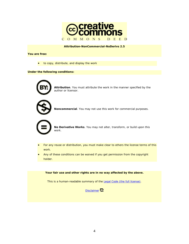

#### **Attribution-NonCommercial-NoDerivs 2.5**

**You are free:**

• to copy, distribute, and display the work

#### **Under the following conditions:**



**Attribution**. You must attribute the work in the manner specified by the author or licensor.



**Noncommercial**. You may not use this work for commercial purposes.



**No Derivative Works**. You may not alter, transform, or build upon this work.

- For any reuse or distribution, you must make clear to others the license terms of this work.
- Any of these conditions can be waived if you get permission from the copyright holder.

**Your fair use and other rights are in no way affected by the above.**

This is a human-readable summary of the Legal Code (the full license).

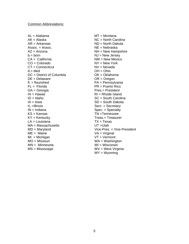$AL = Alabama$  MT = Montana AK = Alaska NC = North Carolina  $AR = Arkansas$   $ND = North Dakota$ Assoc. = Assoc. NE = Nebraska  $AZ = A$ rizona  $NH = New Hampshire$  $b = b$ orn  $NJ = New Jersey$ CA = California MM = New Mexico<br>
CO = Colorado MY = New York  $CO =$  Colorado CT = Connecticut NV = Nevada  $d =$  died  $OH =$  OH  $=$  Ohio DC = District of Columbia  $OK = Oklahoma$  $DE = Delaware$   $OR = Oregon$  $f = f$ flourished PA = Pennsylvania FL = Florida PR = Puerto Rico GA = Georgia et al. et al. et al. et al. et al. et al. et al. et al. et al. et al. et al. et al. et al. et al. et al. et al. et al. et al. et al. et al. et al. et al. et al. et al. et al. et al. et al. et al. et al. et al. HI = Hawaii RI = Rhode Island ID = Idaho SC = South Carolina<br>
IA = Iowa SD = South Dakota IL =Illinois Secr. = Secretary  $IN = Indiana$  Spec. = Specialty KS = Kansas TN = Tennessee KY = Kentucky Treas.= Treasurer  $LA =$  Louisiana  $TX =$  TX = Texas MA = Massachusetts UT = Utah  $ME =$ Maine VA = Virginal  $MI = Michigan$   $VT = Vermont$ MO = Missouri WA = Washington MN = Minnesota WI = Wisconsin MS = Mississippi WV = West Virginia

 $SD =$  South Dakota MD = Maryland Vice-Pres. = Vice-President WY = Wyoming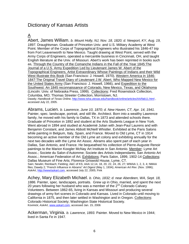# Dictionary of Kansas Artists

## A

Abert, James William. *b. Mount Holly, NJ, Nov. 18, 1820; d. Newport, KY, Aug. 19, 1897.* Draughtsman. Graduate of Princeton Univ. and U.S. Military Academy at West Point. Member of the Corps of Topographical Engineers who illustrated his 1846-47 trip from Fort Leavenworth to New Mexico. Taught drawing at West Point, served with the Army Corps of Engineers, operated a mercantile business in Cincinnati, OH, and taught English literature at the Univ. of Missouri. Abert's work has been reprinted in books such as, Through the Country of the Comanche Indians in the Fall of the Year 1845:The Journal of a U.S. Army Expedition Led by Lieutenant James W. Abert of the Topographical Engineers, Artist Extraordinary Whose Paintings of Indians and their Wild West Illustrate this Book (San Francisco: J. Howell, 1970), Western America in 1846- 1847:The Original Travel Diary of Lieutenant J.W. Abert, Who Mapped New Mexico for the United States Army (San Francisco: J. Howell, 1966), and Expedition to the Southwest: An 1845 reconnaissance of Colorado, New Mexico, Texas, and Oklahoma (Lincoln: Univ. of Nebraska Press, 1999). Collections: Fred Rosenstock Collection, Columbia, MO; Thomas Streeter Collection, Morristown, NJ. Dawdy; *Handbook of Texas Online,* http://www.tsha.utexas.edu/handbook/online/articles/AA/fab11.html , accessed July 22, 2005.

Abrams, Lucien. *b. Lawrence, June 10, 1870; d. New Haven, CT, Apr. 14, 1941.*  Painter, spec. landscape, portrait, and still life. Architect. Born into a wealthy Lawrence family, he moved with his family to Dallas, TX in 1873 and attended schools there. Graduate of Princeton in 1892 and student at the Arts Students League in New York. Went abroad in 1894 and studied at Academié Julian with Jean-Paul Laurens and with Benjamin Constant, and James Abbott McNeill Whistler. Exhibited at the Paris Salons while painting in Belgium, Italy, Spain, and France. Moved to Old Lyme, CT in 1914 becoming an active member of the Old Lyme art colony and exhibiting annually for the next two decades with the Lyme Art Assoc. Abrams also spent part of each year in Dallas, San Antonio, and France. He bequeathed his collection of Pierre-Auguste Renoir paintings to the Marion Koogler McNay Art Institute in San Antonio. Member: Lyme Art Assoc.; Societe du Salon d'Automme; Societe des Artists Independants; San Antonio Art Assoc.; American Federation of Art. Exhibitions: Paris Salon, 1899, 1902-14 Collections: Dallas Museum of Fine Arts; Florence Griswold House, Lyme, CT. Sain; Newlin; Reinbach; Fielding; A&C of KS; AAA 12,14, 18, 20, 22, 24, 26, 27; WWAA 1, 2, 3, 4; NMAA files; Dawdy 2; "French Influence in Abrams" *Art Digest* (May 1, 1934); *American Art Rev*. (Nov. 1996); *AskArt*, http://www/askart.com, accessed July 22, 2005; Fink

Achey, Mary Elizabeth Michael. *b. Ohio, 1832; d. near Aberdeen, WA, Sept. 18, 1886.* Painter, spec. landscapes, portraits. Grew up in Ohio, married, and spent the next 20 years following her husband who was a member of the  $2^{nd}$  Colorado Calvary Volunteers. Between 1862-65, living in Kansas and Missouri and producing several drawings of army fort scenes in Colorado and Kansas. Lived in Colorado until moving to California in 1875, and then later settled in Washington and in Oregon. Collections: Colorado Historical Society; Washington State Historical Society. Kovinick; *AskArt*, www.askart.com, accessed Jan. 15, 2006

Ackerman, Virginia. *b. Lawrence, 1893.* Painter*.* Moved to New Mexico in 1944; lived in Santa Fe in 1947.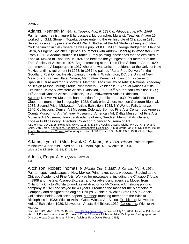### Dawdy 2

Adams, Kenneth Miller. *b. Topeka, Aug. 6, 1897; d. Albuquerque, NM, 1966.* Painter, spec. realist, figure & landscapes. Lithographer. Muralist, Teacher. At age 16 worked for G.M. Stone in Topeka before entering the Art Institute of Chicago in 1916. Served as an army private in World War I. Studied at the Art Students League of New York beginning in 1919 where he was a pupil of K.H. Miller, George Bridgeman, Maurice Stern, & Eugene Speicher. Spent his summers with Andrew Dasburg in Woodstock, NY. From 1921-23 Adams studied in France & Italy painting landscapes that he exhibited in Topeka. Moved to Taos, NM in 1924 and became the youngest & last member of the Taos Society of Artists in 1926. Began teaching at the Taos Field School of Art in 1929 then moved to Albuquerque in 1937 where he was artist-in-residence at the Univ. of New Mexico until his retirement in 1963. In 1937 he painted "Rural Free Delivery" in the Goodland Post Office. He also painted murals in Washington, DC, the Univ. of New Mexico, & at Kansas State College, Manhattan. Primarily known for his scenes of Spanish culture and for his portraits. Member: Taos Society of Artists; National Academy of Design (Assoc. 1938); Prairie Print Makers. Exhibitions: 1<sup>st</sup> Annual Kansas Artists Exhibition, 1925; Midwestern Artists' Exhibition, 1926;  $25<sup>th</sup>$  McPherson Exhibition 1935; 14<sup>th</sup> Annual Kansas Artists Exhibition, 1938; Midwestern Artists Exhibition, 1938. Awards: Denver Art Museum, hon. mention for graphic arts, 1930; Philadelphia Print Club, hon. mention for lithography, 1932; Clark prize & hon. mention Corcoran Biennial, 1935; Second Prize, Midwestern Artists Exhibition, 1938; NY Worlds Fair, 1<sup>st</sup> prize, 1940. Collections: Denver Art Museum; Colorado Springs Fine Arts Center; Los Angeles County Museum of Art; Whitney Museum of American Art; Dallas Museum of Fine Arts; Mulvane Art Museum; Honolulu Academy of Arts; Sandzén Memorial Art Gallery; Topeka Public Library; Anschutz Collection; Spencer Museum of Art. A&C of KS; AAA 22, 25; Reinbach; WWAA 1, 2, 3, 4; Sain, Newlin; Dawdy; Wiebe; WKDC; AFB; Wash; Coke, Van Deren. Kenneth M. Adams: A Retrospective Exhibition. (Albuquerque: Univ. of NM Press, 1964); Adams Retrospective Catalog (Albuquerque: Univ. of NM Press, 1972); MAE 1926, 1938; Clark; Shipp; Porter

Adams, Lydia L. (Mrs. Frank C. Adams). *fl. 1930s, Wichita.* Painter, spec. miniatures & portraits. Lived at 301 N. Main, Apt. 430 Wichita in 1934. Wichita City Dir 1934, 35, 36, 37, 38, 39

Addiss, Edgar A. *fl. Topeka.* Jeweler. Sain

Aitchison, Robert Thomas. *b. Wichita, Dec. 5, 1887; d. Kansas, May 4, 1964.*  Painter, spec. landscapes of New Mexico. Printmaker, spec. woodcuts. Studied at the Chicago Academy of Fine Arts. Worked for newspapers, including the *Chicago Tribune* in 1908 and the *San Antonio Express*, and for advertising agencies. Moved from Oklahoma City to Wichita to work as art director for McCormick-Armstrong printing company in 1920 and stayed for 40 years. Produced the maps for the Mentholatum Company and designed the original Phillips 66 shield. Wichita State Univ.'s Special Collections holds Aitchison's papers. Member: founding member of the Wichita Bibliophiles in 1933; Wichita Artists Guild; Wichita Art Assoc. Exhibitions: Midwestern Artists' Exhibition, 1929; Midwestern Artists' Exhibition, 1930. Collections: Wichita Art Assoc.

Sain; A&C KS; MAE 1929-30; Beach; www.FamilySearch.org accessed July 13, 2006; Jackson, Bill. Robert. 'Aitch': A Portrait in Words and Pictures of Robert\ Thomas Aitchison, Artist, Bibliophile, Cartographer and One of the Last Great Scholar-Printers (Wichita: Four Ducks Press, 1992)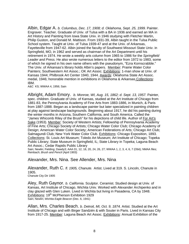Albin, Edgar A. *b. Columbus, Dec. 17, 1908; d. Oklahoma, Sept. 25, 1999.* Painter. Engraver. Teacher. Graduate of Univ. of Tulsa with a BA in 1936 and earned an MA in Art History and Painting from Iowa State Univ. in 1946 studying with Fletcher Martin, Philip Guston, and Donald M. Mattison. From 1931-39, Albin taught in the Tulsa Public School system. Taught at Univ. of Tulsa 1939-47 and at the Univ. of Arkansas, Fayetteville from 1947-62. Albin joined the faculty of Southwest Missouri State Univ. in Springfield, MO, in 1962 and served as chairman of the Art Department until his retirement in 1974. He wrote a weekly arts column from 1965 to 1986 for the *Springfield Leader and Press.* He also wrote numerous letters to the editor from 1972 to 1983, some of which he signed in his own name others with the pseudonym, "Ezra Kornscrabble." The Univ. of Arkansas's library holds Albin's papers. Member: Prairie Water Color Painters; Southwestern Art Assoc.; OK Art Assoc. Exhibitions: 1-man show at Univ. of Kansas 1944; Philbrook Art Center 1940, 1944. Awards: Oklahoma State Art Assoc. medal, 1946; honorable mention in exhibitions in Oklahoma & Arkansas Collections: IBM.

A&C KS; WWAA 4, 1956; Sain

Albright, Adam Emory. *b. Monroe, WI, Aug. 15, 1862; d. Sept. 13, 1957.* Painter, spec. children. Graduate of Univ. of Kansas, studied at the Art Institute of Chicago from 1881-83, the Pennsylvania Academy of Fine Arts from 1883-1886, in Munich, & Paris from 1887-1888. Began as a landscape painter but later specialized in painting children at play against landscape backgrounds. Beginning about 1917, he did his painting during the winter months in Arizona, Southern California, and South America. Called the "James Whicomb Riley of the Brush" for his depictions of child life. Author of For Art's Sake (1953). Member: Society of Western Artists; Fellowship of Pennsylvania Academy of Fine Arts; Chicago Society of Artists; Chicago Water Color Club; Chicago Academy of Design; American Water Color Society; American Federations of Arts; Chicago Art Club; Salmagundi Club; New York Water Color Club. Exhibitions: Chicago Exposition, 1893. Collections: St. Louis Art Museum; Toledo Art Museum; Art Institute of Chicago; Topeka Public Library; State Museum in Springfield, IL; State Library in Topeka; Laguna Beach Art Assoc.; Cedar Rapids Public Library

Sain; Newlin; Fielding; Dawdy3; AAA 01, 12, 18, 20, 24, 26, 27; WWAA 1, 2, 3, 4, 6, 7 (Obit); NMAA files; Reinbach; *Brush and Pencil* (April 1903)

## Alexander, Mrs. Nina. See Allender, Mrs. Nina

Alexander, Ruth C. *fl. 1905, Chanute.* Artist. Lived at 319. S. Lincoln, Chanute in 1905.

Chanute City Dir 1905

Aley, Ruth Gaynor. *b. California.* Sculptor. Ceramist. Studied design at Univ. of Kansas, Art Institute of Chicago, Wichita Univ. Worked with Alexander Archipenko and in clay glazed with Glen Luken. Lived in Wichita but living in Pasadena, CA by 1948. Exhibitions: 19<sup>th</sup> McPherson Exhibition 1929 Sain; Newlin; *Wichita Eagle Beacon* (Dec. 6, 1941)

Allan, Mrs. Charles Beach. *b. Detroit, MI, Oct. 9, 1874.* Artist. Studied at the Art Institute of Chicago and with Birger Sandzén & with Souter in Paris. Lived in Kansas City from 1917-25. Member: Laguna Beach Art Assoc. Exhibitions: Annual Exhibition of the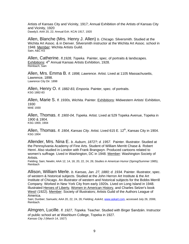Artists of Kansas City and Vicinity, 1917; Annual Exhibition of the Artists of Kansas City and Vicinity, 1920 Dawdy3; AAA 20, 22; Annual Exh. KCAI 1917, 1920

Allen, Blanche (Mrs. Henry J. Allen) *b. Chicago.* Silversmith. Studied at the Wichita Art Assoc. & in Denver. Silversmith instructor at the Wichita Art Assoc. school in 1948. Member: Wichita Artists Guild. Sain; A&C KS

Allen, Catherine. *fl.1928, Topeka.* Painter, spec. of portraits & landscapes. Exhibitions: 4<sup>th</sup> Annual Kansas Artists Exhibition, 1928. Reinbach; Sain

Allen, Mrs. Emma B. *fl. 1898, Lawrence.* Artist. Lived at 1105 Massachusetts, Lawrence, 1898. Lawrence City Dir. 1898

Allen, Henry O. *fl. 1882-83, Emporia.* Painter, spec. of portraits. KSG 1882-83

Allen, Marie S. *fl. 1930s, Wichita.* Painter. Exhibitions: Midwestern Artists' Exhibition, 1930 MAE 1930

Allen, Thomas. *fl. 1900-04, Topeka.* Artist. Lived at 529 Topeka Avenue, Topeka in 1900 & 1904. KSG 1900, 1904

Allen, Thomas. *fl. 1904, Kansas City.* Artist. Lived 615 E. 12<sup>th</sup>, Kansas City in 1904. KSG 1904

Allender, Mrs. Nina E. *b. Auburn, 1872?; d. 1957.* Painter. Illustrator. Studied at the Pennsylvania Academy of Fine Arts. Student of William Merritt Chase & Robert Henri. Also studied in London with Frank Brangwyn. Produced cartoons related to women's suffrage. Lived in Washington, DC in 1948. Member: Washington Society of Artists.

Fielding; Sain; Newlin; AAA 12, 14, 18, 20, 22, 24, 26; *Studies in American Humor* (Spring/Summer 1985); Reinbach

Allison, William Merle. *b. Kansas, Jan. 27, 1880; d. 1934.* Painter. Illustrator, spec. of western & historical subjects. Studied at the John Herron Art Institute & the Art Institute of Chicago. An illustrator of western and historical subjects for the Bobbs Merrill Company. Worked in New York City from early 1920s. Lived on Long Island in 1948. Illustrated Heroes of Liberty, Women in American History, and Charles Selzer's book West! (1922). Member: Society of Illustrators; Artists Guild of the Authors League of America.

Sain; Dunbier; Samuels; AAA 20, 22, 24, 26; Fielding; *AskArt,* www.askart.com, accessed July 26, 2006; Reinbach.

Almgren, Lucille. *fl. 1927, Topeka.* Teacher. Studied with Birger Sandzén. Instructor of public school art at Washburn College, Topeka in 1927. *Kansas City J* (March 14, 1927)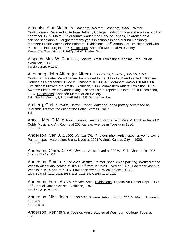Almquist, Alba Malm. *b. Lindsborg, 1897; d. Lindsborg, 1986.* Painter. Craftswoman. Received a BA from Bethany College, Lindsborg where she was a pupil of her father, G. N. Malm. Did graduate work at the Univ. of Kansas, Lawrence on a science scholarship. Taught for many years in schools in and around Lindsborg. Member: Prairie Water Color Painters. Exhibitions: 39<sup>th</sup> Annual Art Exhibition held with Messiah, Lindsborg in 1937. Collections: Sandzén Memorial Art Gallery *Kansas City Times* (March 17, 1937); AAUW; Sandzén files

Alspach, Mrs. W. R. *fl. 1939, Topeka.* Artist. Exhibitions: Kansas Free Fair art exhibition, 1939. Topeka J (Sept. 9, 1939)

Altenborg, John Alford (or Alfred). *b. Linderos, Sweden, July 23, 1874.*  Craftsman. Painter. Wood carver. Immigrated to the US in 1904 and settled in Kansas working as a carpenter. Lived in Lindsborg in 1933-48. Member: Smoky Hill Art Club. Exhibitions: Midwestern Artists' Exhibition, 1933; Midwestern Artists' Exhibition, 1935. Awards: First prize for woodcarving, Kansas Fair in Topeka & State Fair in Hutchinson, 1934. Collections: Sandzén Memorial Art Gallery Sain; Newlin; WWAA 1, 2, 3, 4; MAE 1933, 1935; Sandzén archives

Amberg, Carl. *fl. 1940s, Horton.* Potter. Maker of Kanza pottery advertised as "Ceramic Art from the dust of the Pony Express Trail." Sain

Ancell, Mrs. C.M. *fl. 1886, Topeka.* Teacher. Partner with Miss M. Cobb in Ancell & Cobb, Music and Art Rooms at 207 Kansas Avenue in Topeka in 1886. KSG 1886

Anderson, Carl J. *fl. 1900, Kansas City.* Photographer. Artist, spec. crayon drawing. Painter, spec. watercolors & oils. Lived at 1201 Walnut, Kansas City in 1900.KSG 1900

Anderson, Clara. *fl.1905, Chanute.* Artist. Lived at 320 W. 5<sup>th</sup> in Chanute in 1905. Chanute City Dir 1905

Anderson, Emma. *fl. 1912-20, Wichita.* Painter, spec. china painting. Worked at the Wichita Art Studio located at 105 E. 1<sup>st</sup> from 1912-20. Lived at 606 S. Lawrence Avenue. Wichita in 1915 and at 719 N. Lawrence Avenue, Wichita from 1918-20. Wichita City Dir. 1912, 1913, 1914, 1915, 1916, 1917, 1918, 1919, 1920

Anderson, Fern. *fl. 1939, Lincoln.* Artist. **Exhibitions: Topeka Art Center Sept. 1939**; 16<sup>th</sup> Annual Kansas Artists Exhibition, 1940 Topeka J (Sept. 9, 1939)

Anderson, Miss Jean. *fl. 1888-89, Newton.* Artist. Lived at 911 N. Main, Newton in 1888-89. KSG 1888-89

Anderson, Kenneth. *fl. Topeka.* Artist. Studied at Washburn College, Topeka. Sain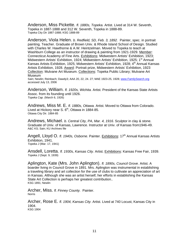Anderson, Miss Pickette. *fl. 1880s, Topeka.* Artist. Lived at 314 W. Seventh, Topeka in 1887-1888 and 312 W. Seventh, Topeka in 1888-89. Topeka City Dir 1887-1888; KSG 1888-89

Anderson, Viola Helen. *b. Redfield, SD, Feb. 3, 1892.* Painter, spec. in portrait painting. Teacher. Graduate of Brown Univ. & Rhode Island School of Design. Studied with Charles W. Hawthorne & A.W. Heintzelman. Moved to Topeka to teach at Washburn College as an instructor of drawing & painting from 1921-1929. Member: Connecticut Academy of Fine Arts. Exhibitions: Midwestern Artists' Exhibition, 1923; Midwestern Artists' Exhibition, 1924; Midwestern Artists' Exhibition, 1925; 1<sup>st</sup> Annual Kansas Artists Exhibition, 1925; Midwestern Artists' Exhibition, 1928; 4<sup>th</sup> Annual Kansas Artists Exhibition, 1928. Award: Portrait prize, Midwestern Artists' Exhibition, 1923 Collection: Mulvane Art Museum. Collections: Topeka Public Library; Mulvane Art Museum

Sain; Newlin; Reinbach; Dawdy3; AAA 20, 22, 24. 27; MAE 1923-25, 1928; www.FamilySearch.org accessed July 13, 2006

Anderson, William. *fl. 1920s, Wichita.* Artist. President of the Kansas State Artists Assoc. from its founding until 1926. *Topeka Cap.* (March 6, 1926)

Andrews, Miss M. E. *fl. 1880s, Ottawa.* Artist. Moved to Ottawa from Colorado. Lived at Hickory near S.  $6<sup>th</sup>$ , Ottawa in 1884-85. Ottawa City Dir. 1884-85

Andrews, Michael. *b. Central City, PA, Mar. 4, 1916.* Sculptor in clay & stone. Graduate of Univ. of Kansas, Lawrence. Instructor at Univ. of Kansas from1946-49. A&C KS; Sain; KU Archives file

Angell, Lloyd O. *fl. 1940s, Osborne.* Painter. Exhibitions: 17<sup>th</sup> Annual Kansas Artists Exhibition, 1941.

*Topeka J* (Mar. 17, 1941)

Ansdell, Loretta. *fl. 1930s, Kansas City.* Artist. Exhibitions: Kansas Free Fair, 1939. *Topeka J* (Sept. 9, 1939)

Aplington, Kate (Mrs. John Aplington). *fl. 1890s, Council Grove.* Artist. A boarder living in Council Grove in 1891. Mrs. Aplington was instrumental in establishing a traveling library and art collection for the use of clubs to cultivate an appreciation of art in Kansas. Although she was an artist herself, her efforts in establishing the Kansas State Art Collection is perhaps her greatest contribution.. KSG 1891; Newlin

Archer, Miss. *fl. Finney County.* Painter. Norris

Archer, Rose E. *fl. 1904, Kansas City.* Artist. Lived at 740 Locust, Kansas City in 1904. KSG 1904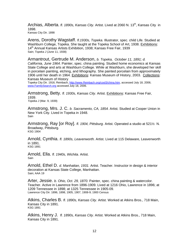Archias, Alberta. *fl. 1890s, Kansas City.* Artist. Lived at 2060 N. 13th, Kansas City in 1898. Kansas City Dir. 1898

Arens, Dorothy Wagstaff. *fl.1930s, Topeka.* Illustrator, spec. child Life. Studied at Washburn College, Topeka. She taught at the Topeka School of Art, 1938. Exhibitions: 14<sup>th</sup> Annual Kansas Artists Exhibition, 1938; Kansas Free Fair, 1939 Sain; *Topeka J* (June 11, 1938)

Armantrout, Gertrude M. Anderson, *b. Topeka, October 11, 1891; d. California, June 1964*. Painter, spec. china painting. Studied home economics at Kansas State College and arts at Washburn College. While at Washburn, she developed her skill in porcelain painting, etching, and lithography. She painted porcelain from approximately 1906 until her death in 1964. Exhibitions: Kansas Museum of History, 2003. Collections: Kansas Museum of History

Topeka City Dir. 1916; Reinbach, http://www.Reinbach.org/cool3/china.htm, accessed July 18, 2006; www.FamilySearch.org accessed July 18, 2006.

Armstrong, Betty. *fl. 1930s, Kansas City.* Artist. Exhibitions: Kansas Free Fair, 1939.

*Topeka J* (Mar. 9, 1939)

Armstrong, Mrs. J. C. *b. Sacramento, CA, 1854.* Artist. Studied at Cooper Union in New York City. Lived in Topeka in 1948. Sain

Armstrong, Ray [or Roy]. *fl. 1904, Pittsburg.* Artist. Operated a studio at 521½ N. Broadway, Pittsburg. KSG 1904

Arnold, Cynthia. *fl. 1890s, Leavenworth.* Artist. Lived at 115 Delaware, Leavenworth in 1891. KSG 1891

Arnold, Ella. *fl. 1940s, Wichita.* Artist. Sain

Arnold, Ethel D. *d. Manhattan, 1931.* Artist. Teacher. Instructor in design & interior decoration at Kansas State College, Manhattan. Sain; AAA 19

Arter, Jessie. *b. Ohio, Oct. 29, 1870.* Painter, spec. china painting & watercolor. Teacher. Active in Lawrence from 1896-1909. Lived at 1216 Ohio, Lawrence in 1896; at 1209 Tennessee in 1898; at 1325 Tennessee in 1905-09. Lawrence City Dir. 1896, 1898, 1905, 1907, 1908-9; 1900 Census

Atkins, Charles B. *fl. 1890s, Kansas City.* Artist. Worked at Atkins Bros., 718 Main, Kansas City in 1891. KSG 1891

Atkins, Henry J. *fl. 1890s, Kansas City.* Artist. Worked at Atkins Bros., 718 Main, Kansas City in 1891.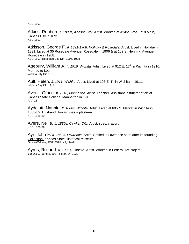KSG 1891

Atkins, Reuben. *fl. 1890s, Kansas City.* Artist. Worked at Atkins Bros., 718 Main, Kansas City in 1891. KSG 1891

Atkisson, George F. *fl. 1891-1908, Holliday & Rosedale.* Artist. Lived in Holliday in 1891. Lived at 36 Rosedale Avenue, Rosedale in 1906 & at 102 S. Henning Avenue, Rosedale in 1908. KSG 1891; Rosedale City Dir. 1906, 1908

Attebury, William A. *fl. 1916, Wichita.* Artist. Lived at 912 E. 17<sup>th</sup> in Wichita in 1916. Married to Lou. Wichita City Dir. 1916

Ault, Helen. *fl. 1911, Wichita.* Artist. Lived at 107 E. 1<sup>st</sup> in Wichita in 1911. Wichita City Dir. 1911

Averill, Grace. *fl. 1916, Manhattan.* Artist. Teacher*.* Assistant instructor of art at Kansas State College, Manhattan in 1916. AAA 13

Aydelott, Nannie. *fl. 1880s, Wichita.* Artist. Lived at 605 N. Market in Wichita in 1888-89. Husband Howard was a plasterer. KSG 1888-89

Ayers, Nellie. *fl. 1880s, Cawker City.* Artist, spec. crayon. KSG 1888-89

Ayr, John F. *fl. 1850s, Lawrence.* Artist. Settled in Lawrence soon after its founding. Collection: Kansas State Historical Museum. Groce/Wallace; FWP; WPA KS; Newlin

Ayres, Rolland. *fl. 1930s, Topeka.* Artist. Worked in Federal Art Project. *Topeka J.* (June 5, 1937 & Mar. 14, 1939)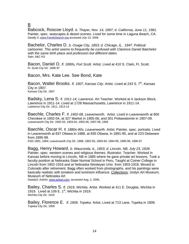## B

Babcock, Roscoe Lloyd. *b. Thayer, Nov. 14, 1897; d. California, June 11, 1981.*  Painter, spec. seascapes & desert scenes. Lived for some time in Laguna Beach, CA. Dawdy 2; www.FamilySearch.org accessed July 13, 2006

Bachelor, Charles D. *b. Osage City, 1853; d. Chicago, IL, 1947.* Political cartoonist. *This artist seems to frequently be confused with Clarence Daniel Batchelor with the same birth place and profession but different dates.*  Sain; A&C KS

Bacon, Daniel O. *fl. 1890s, Fort Scott.* Artist. Lived at 410 S. Clark, Ft. Scott. Ft. Scott City Dir. 1896-97

## Bacon, Mrs. Kate Lee. See Bond, Kate

Bacon, Walter Brooks. *fl. 1907, Kansas City.* Artist. Lived at 243 S. 7<sup>th</sup>, Kansas City in 1907. Kansas City Dir. 1907

Badsky, Lena S. *fl. 1911-14, Lawrence.* Art Teacher. Worked at 4 Jackson Block, Lawrence in 1911-14. Lived at 1728 Massachusetts, Lawrence in 1911-14. Lawrence City Dir. 1911, 1913-14

Baechle, Charles F. *fl. 1902-08, Leavenworth*. Artist. Lived in Leavenworth at 800 Cherokee in 1902-04, at 327 Market in 1905-06, and 301 Pottawatomie in 1907-09. Leavenworth City Dir. 1902-03, 1903-04, 1905-06, 1907-08, 1909

Baechle, Oscar H. *fl. 1880s-90s, Leavenworth.* Artist. Painter, spec. portraits. Lived in Leavenworth at 837 Ottawa in 1888, at 835 Ottawa, in 1891-95, and at 223 Delaware from 1895-99.

KSG 1891, 1894; Leavenworth City Dir. 1888, 1892-93, 1893-94, 1894-95, 1895-96, 1896-97

Bagg, Henry Howard. *b. Wauconda, IL, 1853; d. Lincoln, NB, July 23, 1928.*  Painter, spec. western scenes and religious themes. Illustrator. Teacher. Worked in Kansas before moving to Lincoln, NB in 1885 where he gave private art lessons. Took a faculty position at Nebraska State Normal School in Peru. Taught at Cotner College in Lincoln from 1902-1916 and at Nebraska Wesleyan Univ. from 1903-1918. Moved to Colorado after retirement. Bagg often worked from photographs, and his paintings were basically realistic with tonalism and luminism influence. Collections: Joslyn Art Museum; Museum of Nebraska Art

Dawdy3; *AskAr*t, www.askart.com, accessed Aug. 2, 2006.

Bailey, Charles S. *fl. 1919, Wichita.* Artist. Worked at 411 E. Douglas, Wichita in 1919. Lived at 109 E.  $1<sup>st</sup>$ , Wichita in 1919. Wichita City Dir. 1919

Bailey, Florence E. *fl. 1909, Topeka.* Artist. Lived at 713 Lane, Topeka in 1909. Topeka City Dir. 1909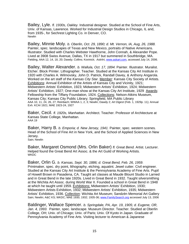Bailey, Lyle. *fl. 1930s, Oakley.* Industrial designer. Studied at the School of Fine Arts, Univ. of Kansas, Lawrence. Worked for Industrial Design Studios in Chicago, IL and, from 1935-, for Sechrest Lighting Co. in Denver, CO. **Newlin** 

Bailey, Minnie Moly. *b. Oberlin, Oct. 29, 1890; d. Mt. Vernon, IA, Aug, 26, 1988.*  Painter, spec. landscapes of Texas and New Mexico, portraits of Native Americans. Illustrator. Studied with Charles Webster Hawthorne, John Connah, & Alexander Pope. Lived at 3908 Swiss Avenue, Dallas, TX in 1917 but summered in Southbridge, MA. Fielding, AAA 12, 14, 18, 20; Dawdy; Collins; Kovinick; *AskAr*t, www.askart.com, accessed July 14, 2006.

Bailey, Walter Alexander. *b. Wallula, Oct. 17, 1894.* Painter. Illustrator. Muralist. Etcher. Block Printer. Lithographer. Teacher. Studied at the Kansas City Art Institute in 1920 with Charles A. Wilmovsky, John D. Patrick, Randall Davey, & Anthony Angarola. Worked on the art staff of the *Kansas City Star*. Member: Kansas City Society of Artists. Exhibitions: Annual Exhibition of the Artists of Kansas City and Vicinity, 1921; Midwestern Artists' Exhibition, 1923; Midwestern Artists' Exhibition, 1924; Midwestern Artists' Exhibition, 1927; One-man show at the Kansas City Art Institute, 1929 Awards: Fellowship from the Tiffany Foundation, 1924. Collections: Nelson-Atkins Museum, Kansas City; Kansas City Public Library; Springfield, MA Public LibraryAAA 10, 11, 24, 26, 27; Reinbach; WWAA 1, 2, 3; Newlin; Dawdy 2; *Art Digest* (Feb. 1, 1929p. 11); Annual Exh. KCAI 1921; MAE 1923-24, 1927

Baker, Cecil. *fl. 1920s, Manhattan.* Architect. Teacher. Professor of Architecture at Kansas State College, Manhattan. AAA 19

Baker, Harry B. *b. Emporia; d. New Jersey, 1941.* Painter, spec. western scenes*.*  Head of the School of Fine Art in New York, and the School of Applied Sciences in New Jersey. Sain; Newlin

Baker, Margaret Osmond (Mrs. Orlin Baker) *fl. Great Bend.* Artist. Lecturer. Helped found the Great Bend Art Assoc. & the Art Guild of Working Artists. WKDC

Baker, Orlin G. *b. Kansas, Sept. 30, 1886; d. Great Bend, Feb. 26, 1959.*  Printmaker, spec. dry point, lithography, etching, aquatint. Jewel cutter. Civil engineer. Studied at the Kansas City Art Institute & the Pennsylvania Academy of Fine Arts. Pupil of Howell Brown in Pasadena, CA. Taught art classes at Maude Blount Studio in Larned and in Great Bend in the late 1920s. Lived in Great Bend in 1932. Taught silversmithing at the Wichita Art Assoc. during World War II. Founded a school in Great Bend in 1948 at which he taught until 1959. Exhibitions: Midwestern Artists' Exhibition, 1930; Midwestern Artists Exhibition, 1932; Midwestern Artists' Exhibition, 1935; Midwestern Artists' Exhibition, 1936. Collection: Wichita Art Museum; Sandzén Memorial Art Gallery Sain; Newlin; A&C KS; WKDC; MAE 1930, 1932; 1935-36; www.FamilySearch.org accessed July 13, 2006

Baldinger, Wallace Spencer. *b. Springdale, PA, Apr. 19, 1905; d. Eugene, OR, Jan. 4, 1993.* Painter, spec. landscape. Museum Director. Teacher. Studied at Oberlin College, OH; Univ. of Chicago; Univ. of Paris; Univ. Of Kyoto in Japan. Graduate of Pennsylvania Academy of Fine Arts. Visiting lecturer to American & Japanese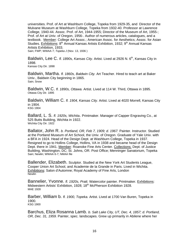universities. Prof. of Art at Washburn College, Topeka from 1929-35, and Director of the Mulvane Museum at Washburn College, Topeka from 1932-40. Professor at Lawrence College, 1940-44. Assoc. Prof. of Art, 1944-1955; Director of the Museum of Art, 1955-; Prof. of Art at Univ. of Oregon, 1956-. Author of numerous articles, catalogues, and a textbook. Member: College Art Assoc.; American Assoc. for Aesthetics; Assoc. for Asian Studies. Exhibitions:  $8<sup>th</sup>$  Annual Kansas Artists Exhibition, 1932;  $9<sup>th</sup>$  Annual Kansas Artists Exhibition, 1933.

Sain; FWP; WWAA 7; *Topeka J* (Nov. 13, 1936 )

Baldwin, Lee C. *fl. 1890s, Kansas City.* Artist. Lived at 2926 N. 6<sup>th</sup>, Kansas City in 1898. Kansas City Dir. 1898

Baldwin, Martha. *fl. 1860s, Baldwin City.* Art Teacher. Hired to teach art at Baker Univ., Baldwin City beginning in 1865. Sain; Snow

Baldwin, W.C. *fl. 1890s, Ottawa.* Artist. Lived at 114 W. Third, Ottawa in 1895. Ottawa City Dir. 1895

Baldwin, William C. *fl. 1904, Kansas City.* Artist. Lived at 4020 Morrell, Kansas City in 1904. KSG 1904

Ballard, L. S. *fl. 1920s, Wichita*. Printmaker. Manager of Capper Engraving Co., at 525 Butts Building, Wichita in 1922. Wichita City Dir. 1922

Ballator, John R. *b. Portland, OR, Feb 7, 1909; d. 1967.* Painter. Instructor. Studied at the Portland Museum of Art School, the Univ. of Oregon. Graduate of Yale Univ. with a BFA in 1924. Head of the Design Dept. at Washburn College, Topeka in 1937. Resigned to go to Hollins College, Hollins, VA in 1938 and became head of the Design Dept. there in 1941. Member: Roanoke Fine Arts Center. Collections: Dept. of Justice Building, Washington, DC; St. Johns, OR. Post Office; Menninger Sanatorium, Topeka Sain; Newlin; WWAA 6-7; NMAA file

Ballender, Elizabeth. Sculptor. Studied at the New York Art Students League, Cooper Union Art School, and Academie de la Grande in Paris. Lived in Wichita. Exhibitions: Salon d'Automne; Royal Academy of Fine Arts, London **Newlin** 

Bannelier, Yvonne. *fl. 1920s, Pratt.* Watercolor painter. Printmaker. Exhibitions: Midwestern Artists' Exhibition, 1928; 18<sup>th</sup> McPherson Exhibition 1928. MAE 1928

Barber, William b. *fl. 1900, Topeka.* Artist. Lived at 1700 Van Buren, Topeka in 1900. KSG 1900

Barchus, Eliza Rosanna Lamb. *b. Salt Lake City, UT, Dec. 4, 1857; d. Portland, OR, Dec. 31, 1959.* Painter, spec. landscapes. Grew up primarily in Abilene where her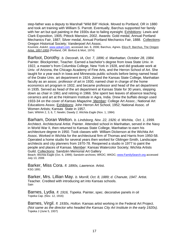step-father was a deputy to Marshall "Wild Bill" Hickok. Moved to Portland, OR in 1880 and took art training with William S. Parrott. Eventually, Barchus supported her family with her art but quit painting in the 1930s due to failing eyesight. Exhibitions: Lewis and Clark Exposition, 1905; Pittock Mansion, 2002. Awards: Gold medal, Annual Portland Mechanics Fair, 1887; Silver medal, Annual Portland Mechanics Fair, 1888. Collections: Oregon Historical Society; Vanderpoel Art Assoc.

Kovinick; *AskArt*, www.askart.com, accessed Jan. 6, 2006; Barchus, Agnes. Eliza R. Barchus, The Oregon Artist, 1857-1959 (Portland, OR: Binford & Mort, 1974)

Barfoot, Dorothy. *b. Decorah, IA, Oct. 7, 1896; d. Manhattan, October 28, 1984.*  Painter. Blockprinter, Teacher. Earned a bachelor's degree from Iowa State Univ. in 1922, a master's from Columbia College, New York in 1928, and did graduate work at Univ. of Arizona, the Chicago Academy of Fine Arts, and the Herron School of Art. She taught for a year each in Iowa and Minnesota public schools before being named head of the Drake Univ. art department in 1924. Joined the Kansas State College, Manhattan faculty as an assoc. professor of art in 1930, named chair in charge of the home economics art program in 1932, and became professor and head of the art department in 1935. Served as head of the art department at Kansas State for 30 years, stepping down as chair in 1961 and retiring in 1966. She spent two leaves of absence teaching ceramics and art at the Holmann Institute in Agra, India. Drew the buffalo design used 1933-34 on the cover of *Kansas Magazine.* Member: College Art Assoc.; National Art Educations Assoc. Exhibitions: John Herron Art School, 1952; National Assoc. of Women Artists; Kansas State in 1957.

Sain; WWAA 2, 3, 6, 7; Newlin; Dawdy 2; *Wichita Eagle* (Nov. 1, 1984)

Barham, Doran Welton. *b. Lindsborg, Nov. 22, 1926; d. Wichita, Oct. 1, 1999.*  Architect. Architectural Artist. Painter. Attended school in Manhattan, served in the Navy in World War II, then returned to Kansas State College, Manhattan to earn his architecture degree in 1950. Took classes with William Dickerson at the Wichita Art Assoc. Worked in Wichita for the architectural firm of Thomas and Harris from 1950-58. Operated a home studio for several years then worked for Oblinger-Smith, Landscape architects and city planners from 1970-78. Reopened a studio in 1977 to paint the people and places of Kansas. Member: Kansas Watercolor Society; Wichita Artists Guild. Collections: Sandzén Memorial Art Gallery

Beach; Wichita Eagle (Oct. 6, 1999); Sandzén archives; WKDC; WKDC; www.FamilySearch.org accessed July 13, 2006

Barker, Miss Cora. *fl. 1890s, Lawrence.* Artist. KSG 1891

Barker, Mrs. Lillian May. *b. Morrill, Oct. 8, 1889; d. Chanute, 1947.* Artist. Teacher. Credited with introducing art into Kansas schools. **Sain** 

Barnes, Lydia. *fl. 1916, Topeka.* Painter, spec. decorative panels in oil Topeka Cap. (Nov. 12, 1916)

Barnes, Virgil. *fl. 1930s, Holton.* Kansas artist working in the Federal Art Project. *(Not same as the director who headed the Kansas City Art Institute in the early 1920s).*  Topeka J (June 5, 1937)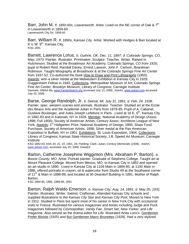Barr, John M. *fl. 1850-60s, Leavenworth.* Artist. Lived on the NE corner of Oak & 7<sup>th</sup> in Leavenworth in 1859-60 Leavenworth City Dir. 1859-60

Barr, William R. *fl. 1890s, Kansas City.* Artist. Worked with Hodges & Barr located at  $8\frac{1}{2}$  W. 9<sup>th</sup>, Kansas City. KSG 1891

Barrett, Lawrence Lorus. *b. Guthrie, OK, Dec. 11, 1897; d. Colorado Springs, CO, May, 1973.* Painter. Illustrator. Printmaker. Sculptor. Teacher. Writer. Raised in Hutchinson. Studied at the Broadmoor Art Academy, Colorado Springs, CO from 1920; pupil of Robert Reid, Randall Davey, Ernest Lawson, John F. Carlson, Boardman Robinson. Taught lithography at Broadmoor & at the Colorado Springs Fine Art Center from 1937-52. Co-authored the book How to Draw and Print Lithographs (1950). Awards: won a silver medal at the Midwestern Exhibition in Kansas City in 1929; Guggenheim Fellow in 1940. Collections: Metropolitan Museum of Art; Colorado Springs Fine Art Center; Brooklyn Museum; Library of Congress; Carnegie Institute Samuels; NMAA file; www.FamilySearch.org accessed July 13, 2006; *AskAr*t, www.askart.com accessed July 20, 2006

Barse, George Randolph, Jr. *b. Detroit, MI, July 31, 1861; d. Feb. 24, 1938.*  Painter, spec. western scenes and animals. Illustrator. Teacher. Studied art at the Ecole des Beaux Arts and the Academié Julian in Paris from 1879-85. Pupil of A. Cabanel, Gustave Boulanger, and Jules-Joseph Lefebvre in Paris. Lived at 18 E.  $6<sup>th</sup>$ , Kansas City in 1882-83 and in Katonah, NY in 1926. Member: National Academy of Design (Assoc. 1898; Full 1900); Society of American Artists; Century Assoc; Architects League of New York. Awards: 1<sup>st</sup> Hallgarten Prize, National Academy of Design, 1895; Shaw Fund Purchase, Society of American Artists, 1898; Silver medal at the Pan-American Exposition in Buffalo, NY in 1901. Exhibitions: St. Louis Exposition, 1904. Collections: Library of Congress; Kansas State Historical Society; J.B. Speed Art Museum; Carnegie Institute

KSG 1882-83; AAA 20, 22, 24, 1901, 26; Fielding; Clark; Julian; *Century Memorials* (1938); *AskAr*t, www.askart.com, accessed July 20, 2006; Dawdy3

Barton, Catherine Josephine Wigginton (Mrs. Abraham P. Barton). *b. Boone County, MO.* Artist. Portrait painter. Graduate of Stephens College. Taught art at Mount Pleasant College. Moved from Mexico, MO to Kansas City in 1882 and opened an art studio in 1890. Lived in Kansas City at 1106 Main in 1884-85, at 1100 Main in 1886, offered portraits in crayon, oil & watercolor from Studio 49 at the Southwest corner of 11<sup>th</sup> & Main in 1888-89, and located at 30 Deardorf Building in 1891. Mother of Ralph Barton.

KSG 1884-85, 1886, 1888-89, 1891

Barton, Ralph Waldo Emerson. *b. Kansas City, Aug. 14, 1891; d. May 20, 1931.*  Painter. Illustrator. Writer. Satirist. Craftsman. Attended Kansas City schools and supplied illustrations to the *Kansas City Star* and *Kansas City Post*. Moved to New York in 1912. Studied in Paris but spent most of his career in New York City with occasional visits to France. Illustrated for various magazines and books including *Judge* and *Puck*  magazines followed by *Cosmopolitan*, *Vanity Fair*, *Smart Set, New Yorker,* and *Life* magazine. Also served as the drama editor for *Life.* Illustrated Anita Loos's Gentlemen Prefer Blonds (1925) and But Gentlemen Marry Brunettes (1928). Had a very stylized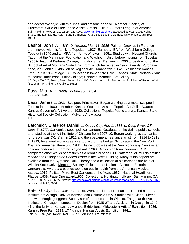and decorative style with thin lines, and flat tone or color. Member: Society of Illustrators; Guild of Free Lance Artists; Artists Guild of Authors League of America Sain; Fielding; AAA 18, 20, 22, 24, 26; Reed; www.FamilySearch.org accessed July 13, 2006; Kellner, Bruce. The Last Dandy, Ralph Barton, American Artist, 1891-1931 (Columbia: Univ. of Missouri Press, 1991)

Bashor, John William. *b. Newton, Mar. 11, 1926.* Painter. Grew up in Florence then moved with his family to Topeka in 1937. Earned at BA from Washburn College, Topeka in 1949 and an MFA from Univ. of Iowa in 1951. Studied with Howard Church. Taught at the Menninger Foundation and Washburn Univ. before moving from Topeka in 1953 to teach at Bethany College, Lindsborg. Left Bethany in 1966 to be director of the School of Art at Montana State Univ. from which he retired in 1977. Awards: Purchase prize, 2<sup>nd</sup> Biennial Exhibition of Regional Art, Manhattan, 1952. Exhibitions: Kansas Free Fair in 1939 at age 13. Collections: Iowa State Univ., Kansas State; Nelson-Atkins Museum; Hutchinson Junior College; Sandzén Memorial Art Gallery AAUW; WWAA 7; Beach; Sandzén archives; 100 Years of Art; John Bashor: An Exhibition of Recent Work (Bozeman, MT: Fine Arts Gallery, 1981)

Bass, Mrs. A. *fl. 1890s, McPherson.* Artist. KSG 1894, 1900

Bass, James. *b. 1933.* Sculptor. Printmaker. Began working as a metal sculptor in Topeka in the 1960s. Member: Kansas Sculptors Assoc.; Topeka Art Guild. Awards: Kansas Governor's Art Award, 1980. Collections: Topeka Public Library; Kansas State Historical Society Collection; Mulvane Art Museum. TPL

Batchelor, Clarence Daniel. *b. Osage City, Apr. 1, 1888; d. Deep River, CT, Sept. 5, 1977.* Cartoonist, spec. political cartoons. Graduate of the Salina public schools and studied at the Art Institute of Chicago from 1907-10. Began working as staff artist for the *Kansas City Star* in 1911 and then became a free lance artist from 1914 to 1918. In 1923, he started working as a cartoonist for the Ledger Syndicate in the *New York Post* and remained there until 1931. His next job was at the *New York Daily News* as an editorial cartoonist where he stayed until 1969. Besides editorial cartoons, C. D. completed other works of art such as a bronze bust of J. M. Patterson, oil murals entitled *Infinity* and *History of the Printed World* in the News Building. Many of his papers are available from the Syracuse Univ. Library and a collection of his cartoons are held at Wichita State Univ. Member: Society of Illustrators; National Assoc. of Editorial Cartoonists. Awards: 6 best cartoons on public health from the American Medical Assoc., 1912; Pulitzer Prize, Best Cartoons of the Year, 1937; National Headliners Plaque, 1938; Page One award,1965. Collections: Huntington Library, San Marino, CA. AAA 18, 20, 22, 24, 26, 27; Newlin; http://specialcollections.wichita.edu/collections/ms/90-16/90-16-A.HTML, accessed July 28, 2006.

Bate, Gladys L. *b. Iowa.* Ceramist. Weaver. Illustrator. Teacher. Trained at the Art Institute of Chicago, Univ. of Kansas, and Columbia Univ. Studied with Glenn Lukens and with Margit Ljunggren. Supervisor of art education in Wichita. Taught at the Art Institute of Chicago. Instructor in Design from 1925-27 and Assistant in Design in 1940- 41 at the Univ. of Kansas, Lawrence. Exhibitions: Midwestern Artists' Exhibition, 1926; Kansas Free Fair, 1939; 17<sup>th</sup> Annual Kansas Artists Exhibition, 1941. Sain; A&C KS (por); Newlin; MAE 1926; KU Archives File; Reinbach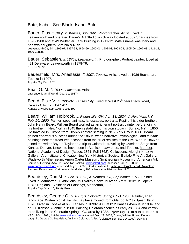Bate, Isabel. See Black, Isabel Bate

Bauer, Pius Henry. *b. Kansas, July 1861.* Photographer. Artist. Lived in Leavenworth and operated Bauer's Art Studio which was located at 502 Shawnee from 1896-1908 and at 49 Wulfehler Bank Building in 1911-12. Wife's name was Mary and had two daughters, Virginia & Ruth.

Leavenworth City Dir. 1896-97, 1897-98, 1898-99, 1900-01, 1902-03, 1903-04, 1905-06, 1907-08, 1911-12; 1900 Census

Bauer, Sebastien. *fl. 1870s, Leavenworth.* Photographer. Portrait painter. Lived at 421 Delaware, Leavenworth in 1878-79. KSG 1878-79

Bauersfield, Mrs. Anastasia. *fl. 1907, Topeka.* Artist. Lived at 1936 Buchanan, Topeka in 1907. Topeka City Dir. 1907

Beal, G. M. *fl. 1930s, Lawrence.* Artist. Lawrence Journal World (Dec. 11, 1937)

Beard, Elsie V. *fl. 1905-07, Kansas City.* Lived at West 25<sup>th</sup> near Riedy Road, Kansas City from 1905-07. Kansas City Directory 1905, 1906, 1907

Beard, William Holbrook. *b. Painesville, OH, Apr. 13, 1824; d. New York, NY, Feb. 20, 1900.* Painter, spec. animals, landscapes, portraits. Pupil of his older brother, John Henry Beard. William Beard worked as an itinerant portrait painter before joining his brother in New York in 1845 then establishing his own studio in Buffalo, NY in 1850. He traveled in Europe from 1856-58 before settling in New York City in 1860. Beard gained enormous success during the 1860s, when narrative, mythological, and fairytale paintings became treasured escapes from the cruel realities of the Civil War. In 1866 he joined the writer Bayard Taylor on a trip to Colorado, traveling by Overland Stage from Kansas-Denver. Known to have been in Atchison, Lawrence, and Topeka. Member: National Academy of Design (Assoc. 1861, Full 1862). Collections: Albright-Knox Art Gallery; Art Institute of Chicago, New York Historical Society, Buffalo Fine Art Gallery; Wadsworth Athenaeum; Amon Carter Museum; Smithsonian Museum of American Art. Samuels; Fielding; AAA01; Clark; Taft; *AskArt*, www.askart.com, accessed Jan. 19, 2006; www.FamilySearch.org accessed July 13, 2006; Gerdts, William H. William Holbrook Beard: Animals in Fantasy: Essay (New York: Alexander Gallery, 1981); New York History (Jan. 1962);

Beardsley, Don M. *b. Feb. 3, 1920; d. Ventura, CA, September, 1977.* Painter. Lived in Manhattan. Exhibitions: MO Valley Show, Mulvane Art Museum in Topeka, 1948; Regional Exhibition of Paintings, Manhattan, 1950. Topeka Cap (Nov. 10, 1948); Beach

Beardsley, George O. *b. 1867; d. Colorado Springs, CO, 1938.* Painter, spec. landscape. Watercolorist*.* Family may have moved from Orlando, NY to Spearville in 1878. Lived in Topeka at 630 Kansas in 1899-1900, at 812 Kansas Avenue in 1904, and at 630 Kansas Avenue in 1908. Painting Colorado scenes as early as 1894 and known to be living in the Colorado Springs, CO area by 1932. Topeka City Dir. 1899-1900, 1907, 1909; KSG 1904, 1908 ; *AskArt*, www.askart.com, accessed Dec. 29, 2005; Conte, William R. and Donn W. Laughlin. George O. Beardsley, An Early Colorado Artist. (Colorado Springs, CO, 1992); Dawdy3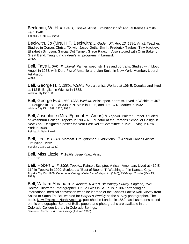Beckman, W. H. *fl. 1940s, Topeka.* Artist. Exhibitions: 16<sup>th</sup> Annual Kansas Artists Fair, 1940. Topeka J (Feb. 10, 1940)

Beckwith, Jo (Mrs. H.T. Beckwith) *b. Ogden UT, Apr. 13, 1896.* Artist. Teacher. Studied in Corpus Christi, TX with Jacob Getlar Smith, Frederick Taubes, Tiny Hackley, Elizabeth Simpson, Garcia, Dot Turner, Grace Raasch. Also studied with Orlin Baker of Great Bend. Taught in children's art programs in Larnard. **WKDC** 

Bell, Faye Lloyd. *fl. Liberal.* Painter, spec. still lifes and portraits. Studied with Lloyd Angell in 1953, with Dord Fitz of Amarillo and Lion Smith in New York. Member: Liberal Art Assoc. **WKDC** 

Bell, George H. *fl. 1880s, Wichita* Portrait artist. Worked at 106 E. Douglas and lived at 112 E. English in Wichita in 1888. Wichita City Dir. 1888

Bell, George E. *fl. 1889-1932, Wichita.* Artist, spec. portraits. Lived in Wichita at 407 E. Douglas in 1889, at 338 ½ N. Main in 1925, and 150 ½ N. Market in 1932. Wichita City Dir. 1889, 1925, 1932

Bell, Josephine (Mrs. Egmont H. Arens) *b. Topeka*. Painter. Etcher. Studied at Washburn College, Topeka in 1906-07. Educator at the Parsons School of Design in New York. Designed a poster for Near East Relief Committee in 1921. Living in New York in 1948. Reinbach; Sain; Newlin

Bell, Lee. *fl. 1930s, Merriam.* Draughtsman. Exhibitions: 8<sup>th</sup> Annual Kansas Artists Exhibition, 1932. Topeka J (Oct. 22, 1932)

Bell, Miss Lizzie. *fl. 1890s, Argentine..* Artist. KSG 1891

Bell, Robert E. *fl. 1909, Topeka.* Painter. Sculptor. African-American. Lived at 419 E. 11<sup>th</sup> in Topeka in 1909. Sculpted a "Bust of Booker T. Washington" in Kansas City. Topeka City Dir. 1909; Cederholm; *Chicago Collectors of Negro Art* (1945); *Pittsburgh Courier* (May 19, 1923)

Bell, William Abraham. *b. Ireland, 1841; d. Bletchingly Surrey, England, 1921.*  Doctor. Illustrator*.* Photographer. Dr. Bell was in St. Louis in 1867 attending an international medical convention when he learned of the Kansas Pacific Rail Survey from Salina to Santa Fe. Bell worked for *Harper's Weekly* as the survey photographer. The book, New Tracks in North America, published in London in 1869 has illustrations based on his photographs. Some of Bell's papers and photographs are available in the Colorado College Library in Colorado Springs. Samuels; *Journal of Arizona History* (Autumn 1998)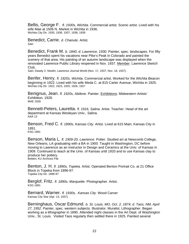Bellis, George F. *fl. 1930s, Wichita.* Commercial artist. Scenic artist. Lived with his wife Mae at 1506 N. Market in Wichita in 1936. Wichita City Dir. 1935, 1936, 1937, 1938, 1939

Benedict, Carrie. *d. Chanute.* Artist. Sain

Benedict, Frank M. *b. 1840; d. Lawrence, 1930.* Painter, spec. landscapes. For fifty years Benedict spent his vacations near Pike's Peak in Colorado and painted the scenery of that area. His painting of an autumn landscape was displayed when the renovated Lawrence Public Library reopened in Nov. 1937. Member: Lawrence Sketch Club.

Sain; Dawdy 2; Newlin; Lawrence Journal World (Nov. 17, 1937; Nov. 18, 1937).

Benfer, Henry. *fl. 1920s, Wichita.* Commercial artist. Worked for the *Wichita Beacon* beginning in 1922. Lived with his wife Meda C. at 815 Carter Avenue, Wichita in 1925. Wichita City Dir. 1922, 1923, 1925, 1926, 1927

Benignus, Jean. *fl. 1920s, Abilene.* Painter. Exhibitions: Midwestern Artists' Exhibition, 1928. MAE 1928

Bennett-Peters, Lauretta. *fl. 1916, Salina.* Artist. Teacher. Head of the art department at Kansas Wesleyan Univ., Salina. AAA 13

Benson, Fred C. *fl. 1890s, Kansas City.* Artist. Lived at 615 Main, Kansas City in 1891. KSG 1891

Benson, Maria L. *fl. 1909-20, Lawrence.* Potter. Studied art at Newcomb College, New Orleans, LA graduating with a BA in 1900. Taught in Washington, DC before moving to Lawrence as an instructor in Design and Ceramics at the Univ. of Kansas in 1909. Continued to teach at the Univ. of Kansas until 1920 and to use Kansas clay to produce her pottery. Belden; KU Archives File

Benton, J. H. *fl. 1890s, Topeka.* Artist. Operated Benton Portrait Co. at 21 Office Block in Topeka from 1896-97. Topeka City Dir. 1896-97

Berglof, Fritz. *fl. 1890s, Marquette.* Photographer. Artist. KSG 1891

Bernard, Warner. *fl. 1930s, Kansas City.* Wood Carver Kansas City Star (Apr. 13, 1937)

Berninghaus, Oscar Edmund. *b. St. Louis, MO, Oct. 2, 1874; d. Taos, NM, April 27, 1952.* Painter, spec. western subjects. Illustrator. Muralist. Lithographer. Began working as a lithographer in 1890. Attended night classes in the Art Dept. of Washington Univ., St. Louis. Visited Taos regularly then settled there in 1925. Painted several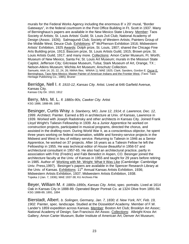murals for the Federal Works Agency including the enormous 8' x 20' mural, "Border Gateways", in the federal courtroom in the Post Office Building in Ft. Scott in 1937. Many of Berninghaus's papers are available in the New Mexico State Library. Member: Taos Society of Artists; St. Louis Artists' Guild; St. Louis 2x4 Club; National Academy of Design (Assoc. 1926); Salmagundi Club; Society of Western Artists; Painters Group of the Middle West; Deuce Club. Exhibitions: 6<sup>th</sup> McPherson Exhibition 1916; Midwestern Artists' Exhibition, 1925 Awards: Dolph prize, St. Louis, 1907; shared the Chicago Fine Arts Building prize, 1913; Bascom prize, St. Louis Artists Guild, 1915; Brown prize, St. Louis Artists Guild, 1917; and many more. Collections: Amon Carter Museum, Ft. Worth; Museum of New Mexico, Santa Fe; St. Louis Art Museum; murals in the Missouri State Capitol, Jefferson City; Gilcrease Museum, Tulsa; Stark Museum of Art, Orange, TX ; Nelson-Atkins Museum; Wichita Art Museum; Anschutz Collection. Samuels; AAA 14, 20, 22, 24, 26; NMAA files; WWAA 1); MAE 1925; Clark; Sanders, Gordon E. Oscar E. Berninghaus, Taos New Mexico: Master Painter of American Indians and the Frontier West. (Taos: Taos

Berridge, Nell I. *fl. 1910-12, Kansas City.* Artist. Lived at 646 Garfield Avenue, Kansas City. Kansas City Dir. 1910, 1912

Heritage Publishing Co., 1985); Bruner

Berry, Mrs. M. L. *fl. 1880s-90s, Cawker City.* Artist KSG 1886, 1888-89, 1891

Besinger, Curtis Wray. *b. Stanberry, MO, June 12, 1914; d. Lawrence, Dec. 12, 1999*. Architect. Painter. Earned a BS in architecture at Univ. of Kansas, Lawrence in 1939. Worked with Joseph Radotinsky and other architects in Kansas City. Joined Frank Lloyd Wright's Taliesin Fellowship in 1939. As a Junior Apprentice he worked on construction projects, participated in musical programs, directed the chorus, and assisted in the drafting room. During World War II, as a conscientious objector, he spent three years working on federal reclamation, wildlife and forestry-service projects in the Midwest and West in lieu of military service. Returning to Taliesin in 1946 as a Senior Apprentice, he worked on 37 projects. After 16 years as a Taliesin Fellow he left the Fellowship in 1955. He was technical editor of *House Beautiful* in 1956-57 and architectural consultant in 1957-65. He also had an architectural practice, partly in association with Fritz (Fredric) and Fabi Benedict in Aspen, CO. Besinger joined the architecture faculty at the Univ. of Kansas in 1955 and taught for 29 years before retiring in 1985. Author of Working with Mr. Wright: What It Was Like (Cambridge: Cambridge Univ. Press,1997). Besinger's papers are available in the Spencer Research Library at the Univ. of Kansas. Exhibitions:  $11<sup>th</sup>$  Annual Kansas Artists Exhibition, 1936; Midwestern Artists Exhibition, 1937; Midwestern Artists Exhibition, 1938. Topeka J (Jan. 7, 1936); MAE 1937-38; KU Archives File

Beyer, William M. *fl. 1880s-1890s, Kansas City.* Artist, spec. portraits. Lived at 1614 Oak in Kansas City in 1888-89. Operated Beyer Portrait Co. at 1324 Olive from 1891-94. KSG 1888-89, 1891, 1894

Bierstadt, Albert. *b. Solingen, Germany, Jan. 7, 1830; d. New York, NY, Feb. 19, 1902.* Painter, spec. landscape. Studied at the Düsseldorf Academy. Member of F.W. Lander's 1859 expedition across Kansas. Member: Boston Art Club; Brooklyn Art Assoc; National Academy of Design; San Francisco Art Assoc. Collections: Albright Knox Art Gallery; Amon Carter Museum; Butler Institute of American Art; Denver Art Museum;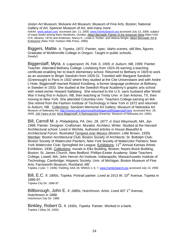Joslyn Art Museum; Mulvane Art Museum; Museum of Fine Arts, Boston; National Gallery of Art; Spencer Museum of Art; and many more.

*AskArt*, www.askart.com, accessed Jan. 11, 2005; www.FamilySearch.org accessed July 13, 2006; subject of many books among them Hendricks, Gordon. Albert Bierstadt: Painter of the American West (New York: H.N. Abrams, 1974) and Anderson, Nancy K., Linda S. Ferber, and Helena Wright. Albert Bierstadt: Art & Enterprise (New York: Hudson Hills Press, 1990)

Biggers, Mattie. *b. Topeka, 1872*. Painter, spec. Idaho scenes, still lifes, figures. Graduate of McMinnville College in Oregon. Taught in public schools. Dawdy3

Biggerstaff, Myra. *b. Logansport, IN, Feb. 6, 1905; d. Auburn, NB, 1999.* Painter. Teacher. Attended Bethany College, Lindsborg from 1924-26 earning a teaching certificate enabling her to teach elementary school. Returned to Bethany in 1929 to work as an assistant to Birger Sandzén from 1929-31. Traveled with Margaret Sandzén (Greenough) to Paris in 1932 where they studied at the Cite Universitaire and with Andre L'Hote. Biggerstaff married Roland Kvistberg, a former language professor at Bethany, in Sweden in 1933. She studied at the Swedish Royal Academy's graphic arts school with noted etcher Howard Sallsberg. She returned to the U.S. sans husband after World War II living first in Auburn, NB, then teaching at Trinity Univ. in San Antonio, TX, then moving to New York. She attended Columbia Univ. Teachers College earning an MA. She retired from the Fashion Institute of Technology in New York in 1972 and returned to Auburn, NB. Collections: Sandzén Memorial Art Gallery; Museum of Nebraska Art Museum of Nebraska Art, http://monet.unk.edu/mona/first/biggerstaff/biggerstaff.html, accessed Nov. 20, 2005; 100 Years of Art; Myra Biggerstaff: A Retrospective (Kearney: Museum of Nebraska Art, 1992)

Bill, Carroll M. *b. Philadelphia, PA, Dec. 28, 1877; d. East Weymouth, MA, Jan. 1968.* Painter. Designer. Craftsman. Muralist. Architect. Writer. Studied at the Harvard Architectural school. Lived in Wichita. Authored articles in *House Beautiful* & *Architectural Forum*. Illustrated Tempest over Mexico (Boston: Little Brown, 1935) Member: Boston Architectural Club; Boston Society of Architects; St. Boltolph Club; Boston Society of Watercolor Painters; New York Society of Watercolor Painters; New York Watercolor Club; Springfield Art League. Exhibitions: 11<sup>th</sup> Annual Kansas Artists Exhibition, 1936. Collections: murals in Elks Building, Boston; Noyes-Buick Building, Boston; St. James Church, New Bedford; Phillips-Exeter Academy; State Teachers College, Lowell, MA; John Herron Art Institute, Indianapolis; Massachusetts Institute of Technology, Cambridge; Hispanic Society; Univ. of Michigan; Boston Museum of Fine Arts; Farnsworth Museum, Rockland, ME

Topeka J (Jan. 7, 1936); Fielding; AAA 26; WWAA 1, 6, 7; www.FamilySearch.org accessed July 13, 2006

Bill, E.C. *fl. 1890s, Topeka.* Portrait painter. Lived at 1913 W. 10<sup>th</sup> Avenue, Topeka in 1896-97. Topeka City Dir. 1896-97

Billborough, John E. *fl. 1880s, Hutchinson.* Artist. Lived 407 1<sup>st</sup> Avenue, Hutchinson in 1888. Hutchinson City Dir. 1888

Binkley, Robert G. *fl. 1930s, Topeka.* Painter. Worked in a bank. Topeka J (May 18, 1935)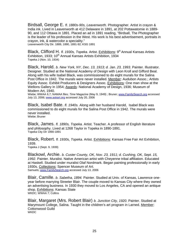Birdsall, George E. *fl. 1880s-90s, Leavenworth.* Photographer. Artist in crayon & India ink. Lived in Leavenworth at 412 Delaware in 1891, at 202 Pottawatomie in 1889- 90, and 112 Ottawa in 1891. Placed an ad in 1891 reading, "Birdsall, The Photographer is the leader of his profession in the West. His work is his best advertisement, portraits in crayon, ink, & watercolor a speciality."

Leavenworth City Dir. 1889, 1890, 1891-92; KSG 1891

Black, Clifford H. *fl. 1930s, Topeka.* Artist. Exhibitions: 9<sup>th</sup> Annual Kansas Artists Exhibition, 1933; 10<sup>th</sup> Annual Kansas Artists Exhibition, 1934 Topeka J (Nov. 10, 1934)

Black, Harold. *b. New York, NY, Dec. 13, 1913; d. Jan. 23, 1993.* Painter. Illustrator. Designer. Studied at the National Academy of Design with Leon Kroll and Gifford Beal. Along with his wife Isabel Black, was commissioned to do eight murals for the Salina Post Office in 1942. The murals were never installed. Member: Audubon Assoc.; Artists Equity Assoc. Exhibit Producers & Designers Assoc. Exhibitions: One man show at the Wellons Gallery in 1954; Awards: National Academy of Design, 1936; Museum of Modern Art, 1940.

Wiebe; WWAA 6,7; NAMAA files; *Time* Magazine (May 9, 1949) ; Bruner; www.FamilySearch.org accessed July 13, 2006; www.askart.org accessed July 20, 2006

Black, Isabel Bate. *fl. 1940s.* Along with her husband Harold, Isabel Black was commissioned to do eight murals for the Salina Post Office in 1942. The murals were never installed. Wiebe; Bruner

Black, James. *fl. 1890s, Topeka.* Artist. Teacher. A professor of English literature and philosophy. Lived at 1268 Taylor in Topeka in 1890-1891. Topeka City Dir 1890-1891

Black, Robert. *fl. 1930s, Topeka.* Artist. Exhibitions: Kansas Free Fair Art Exhibition, 1939.

Topeka J (Sept. 9, 1939)

Blackowl, Archie. *b. Custer County, OK, Nov. 23, 1911; d. Cushing, OK, Sept. 15, 1992.* Painter. Muralist. Native American artist with Cheyenne tribal affiliation. Educated at Haskell. Studied under muralist Olaf Nordmark. Began painting professionally in early 1930s. Collections: Spencer Museum of Art. Samuels; www.FamilySearch.org accessed July 13, 2006

Blair, Camille. *b. Sabetha, 1894.* Painter. Studied at Univ. of Kansas, Lawrence oneyear before marrying Streeter Blair. The couple moved to Kansas City where they owned an advertising business. In 1930 they moved to Los Angeles, CA and opened an antique shop. Exhibitions: Kansas State WKDC; WWAA 7; Collins

Blair, Margaret (Mrs. Robert Blair) *b. Junction City, 1920.* Painter. Studied at Marymount College, Salina. Taught in the children's art program in Larned. Member: Cottonwood Guild **WKDC**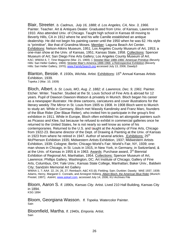Blair, Streeter. *b. Cadmus, July 16, 1888; d. Los Angeles, CA, Nov. 3, 1966.*  Painter. Teacher. Art & Antiques Dealer. Graduated from Univ. of Kansas, Lawrence in 1910. Also attended Univ. of Chicago. Taught high school in Kansas till moving to Beverly Hills, CA in 1912 where he and his wife Camille established an antique dealership. He did not begin his painting career until the 1950 when he was 62. His style is "primitive", like that of Grandma Moses. Member: Laguna Beach Art Center. Exhibitions: Nelson-Atkins Museum, 1951; Los Angeles County Museum of Art, 1953; a one-man show at the Univ. of Kansas, 1951; Kansas State, 1958. Collections: Spencer Museum of Art; San Diego Fine Arts Gallery; Los Angeles County Museum of Art. KAC; WWAA 6, 7; *Time* Magazine (Mar. 21, 1969); ); Streeter Blair 1888-1966: American Primitive (Beverly Hills: Sari Heller Gallery, 1969); Streeter Blair's America 1888-1966: a Retrospective Exhibition (Beverly Hills: Sari Heller Gallery, 1970); www.FamilySearch.org accessed July 13, 2006; Dawdy3

Blanton, Bessie. *fl. 1930s, Wichita.* Artist. Exhibitions: 15th Annual Kansas Artists Exhibition, 1939. Topeka J (Mar. 10, 1939)

Bloch, Albert. *b. St. Louis, MO, Aug. 2, 1882; d. Lawrence, Dec. 9, 1961.* Painter. Etcher. Writer. Teacher. Studied at the St. Louis School of Fine Arts & abroad for 12 years. Pupil of Dawson Dawson-Watson & privately in Munich. Bloch began his career as a newspaper illustrator. He drew cartoons, caricatures and cover illustrations for the literary weekly *The Mirror* in St. Louis from 1905 to 1908. In 1908 Bloch went to Munich to study art. While in Germany, Bloch met Wassily Kandinsky and Franz Marc, founders of the Blue Rider (Der Blaue Reiter), who invited him to participate in the group's first exhibition in 1911. While in Europe, Bloch often exhibited his art alongside painters such as Picasso and Klee, but because he refused to exhibit in commercial galleries once he returned to the United States, he is not nearly so well know as some of his contemporaries. Returned to the U.S. and taught at the Academy of Fine Arts, Chicago from 1922-23. Became director of the Dept. of Drawing & Painting at the Univ. of Kansas in 1923 from where he retired in 1947. Author of several articles. Exhibitions:  $25<sup>th</sup>$ McPherson Exhibition 1935; Midwestern Artists Exhibition, 1937; Midwestern Artists Exhibition, 1939; Cologne; Berlin; Chicago World's Fair; World's Fair, NY, 1939; oneman shows in Chicago, in St. Louis in 1915, in New York, in Germany, in Switzerland, & at the Univ. of Kansas in 1955 & in 1963. Awards: Purchase award,  $3<sup>rd</sup>$  Biennial Exhibition of Regional Art, Manhattan, 1954. Collections: Spencer Museum of Art, Lawrence; Phillips Gallery, Washington, DC; Art Institute of Chicago; Gallery of Fine Arts, Columbus, OH; Yale Univ.; Kansas State College, Manhattan; Baker Univ., Baldwin City; Sandzén Memorial Art Gallery

WWAA 1, 7; AAA 22, 24, 26, 27; Reinbach; A&C KS (il); Fielding; Sain; Dunbier; Dawdy; MAE 1937, 1939; Adams, Henry, Margaret C. Conrads, and Annegret Hoberg. Albert Bloch, the American Blue Rider (Munich: Prestel, 1997); *AskAr*t, www.askart.com, accessed July 14, 2006; KU Archives File

Bloom, Aaron S. *fl. 1890s, Kansas City.* Artist. Lived 210 Hall Building, Kansas City in 1894. KSG 1894

Bloom, Georgiana Wasson. *fl. Topeka.* Watercolor Painter. **Sain** 

Bloomfield, Martha. *fl. 1940s, Emporia.* Artist. Sain

.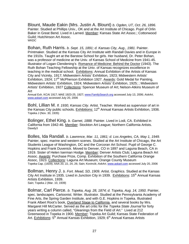Blount, Maude Eakin (Mrs. Justin A. Blount) *b. Ogden, UT, Oct. 26, 1896.*  Painter. Studied at Phillips Univ., OK and at the Art Institute of Chicago. Pupil of Orlin Baker in Great Bend. Lived in Larned. Member: Kansas State Art Assoc.; Cottonwood Guild; Hutchinson Art Assoc. **WKDC** 

Bohan, Ruth Harris. *b. Sept. 15, 1891; d. Kansas City, Aug., 1981.* Painter. Printmaker. Studied at the Kansas City Art Institute with Randall Davies and in Europe in the 1910s. Taught art at the Barstow School for girls. Her husband, Dr. Peter Bohan, was a professor of medicine at the Univ. of Kansas School of Medicine from 1941-45. Illustrator of Logan Clendening's Romance of Medicine: Behind the Doctor (1943). The Ruth Bohan Teaching Fellowship at the Univ. of Kansas recognizes excellence in teaching in the medical school. Exhibitions: Annual Exhibition of the Artists of Kansas City and Vicinity, 1917; Midwestern Artists' Exhibition, 1923; Midwestern Artists' Exhibition, 1924; 17<sup>th</sup> McPherson Exhibition 1927. Awards: Gold Medal for Painting, Midwestern Artists' Exhibition, 1924; Midwestern Artists' Exhibition, 1925; ; Midwestern Artists' Exhibition, 1927 Collections: Spencer Museum of Art; Nelson-Atkins Museum of Art

Annual Exh. KCAI 1917; MAE 1923-25, 1927; www.FamilySearch.org accessed July 13, 2006; *AskArt*, www.askart.com accessed July 20, 2006

Bohl, Lillian M. *fl. 1930, Kansas City.* Artist. Teacher. Worked as supervisor of art in the Kansas City public schools. Exhibitions: 12<sup>th</sup> Annual Kansas Artists Exhibition, 1936. Topeka J (Nov. 30, 1935)

Bolinger, Ethel King. *b. Garnet, 1888.* Painter. Lived in Lodi, CA. Exhibited in California from 1942-46. Member: Stockton Art League; Northern California Artists. Dawdy3

Bolles, Ida Randall. *b. Lawrence, Mar. 11, 1861; d. Los Angeles, CA, May 1, 1949.*  Painter, spec. marine and western scenes. Studied at the Art Institute of Chicago, the Art Students League of Washington, DC and the Corcoran Art School. Pupil of George C. Hopkins and Frank Duvenick. Moved to Denver, CO in 1897 and Laguna Beach, CA in 1919. Sister of Helen Iserman Hodge. Member: Denver Artists Club; Laguna Beach Art Assoc. Awards: Purchase Prize, Comp. Exhibition of the Southern California Orange Assoc, 1923. Collections: Laguna Art Museum; Orange County Museum Topeka Cap. (1929); AAA 20, 22, 24, 26; Sain; Kovincik; *AskArt,* www.askart.com accessed July 20, 2006

Bollman, Henry J. *b. Fort. Mead, SD, 1909.* Artist. Graphics. Studied at the Kansas City Art Institute in 1935. Lived in Junction City in 1939. Exhibitions:  $15<sup>th</sup>$  Annual Kansas Artists Exhibition, 1939. Sain; Topeka J (Mar. 10, 1939)

Bolmar, Carl Pierce. *b. Topeka, Aug. 28, 1874; d. Topeka, Aug. 14, 1950.* Painter, spec. landscapes. Cartoonist. Writer. Illustrator. Studied at the Pennsylvania Academy of Fine Arts, the Spring Garden Institute, and with G.E. Hopkins in Topeka. Illustrated Frank Albert Root's book, Overland Stage to California, and several books by Mrs. Margaret Hill McCarter. Served as the art critic for the *Topeka State Journal* for forty years writing a column called, "Gleanings from the Field of Art." Lived at 212 Greenwood in Topeka in 1900. Member: Topeka Art Guild; Kansas State Federation of Art. Exhibitions: 5<sup>th</sup> Annual Kansas Exhibition, 1929; 6<sup>th</sup> Annual Kansas Artists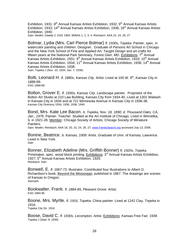Exhibition, 1931;  $8<sup>th</sup>$  Annual Kansas Artists Exhibition, 1932;  $9<sup>th</sup>$  Annual Kansas Artists Exhibition, 1933; 14<sup>th</sup> Annual Kansas Artists Exhibition, 1938; 16<sup>th</sup> Annual Kansas Artists Exhibition, 1940.

Sain; Newlin; Dawdy 2; KSG 1900; WWAA 1, 2, 3, 4; Reinbach; AAA 22, 24, 26, 27

Bolmar, Lydia (Mrs. Carl Pierce Bolmar) *fl. 1930s, Topeka.* Painter, spec. in watercolor painting and children. Designer. Graduate of Parsons Art School in Chicago and the New York School of Fine and Applied Art. Taught Design and art crafts for fifteen years at the National Park Seminary, Forest Glen, MD. Exhibitions:  $7<sup>th</sup>$  Annual Kansas Artists Exhibition, 1931; 9<sup>th</sup> Annual Kansas Artists Exhibition, 1933; 10<sup>th</sup> Annual Kansas Artists Exhibition, 1934; 11<sup>th</sup> Annual Kansas Artists Exhibition, 1936; 14<sup>th</sup> Annual Kansas Artists Exhibition, 1938.

Sain; Topeka J (Nov. 10, 1934; Jan. 7, 1936)

Bolti, Leonard H. *fl. 1880s, Kansas City.* Artist. Lived at 100 W. 9<sup>th</sup>, Kansas City in 1888-89. KSG 1888-89

Bolton, Grover E. *fl. 1930s, Kansas City.* Landscape painter. Proprietor of the Bolton Art Studio at 210 Law Building, Kansas City from 1934-40. Lived at 1301 Wabash in Kansas City in 1934 and at 721 Minnesota Avenue in Kansas City in 1936-38. Kansas City Directory 1934, 1936, 1938, 1940

Bond, Mrs. Kate Lee Bacon. *b. Topeka, Nov. 18, 1890; d. Thousand Oaks, CA,*  Jan., 1976. Painter. Teacher. Studied at the Art Institute of Chicago. Lived in Winnetka, IL in 1921-28. Member: Chicago Society of Artists; Chicago Society of Miniature Painters.

Sain; Newlin; Reinbach; AAA 18, 20, 22, 24, 26, 27; www.FamilySearch.org accessed July 13, 2006.

Bonine, Beatrice. *b. Kansas, 1909.* Artist. Graduate of Univ. of Kansas, Lawrence. Lived in New York. Sain

Bonner, Elizabeth Adeline (Mrs. Griffith Bonner) *fl. 1920s, Topeka.*  Printmaker, spec. wood block printing. Exhibitions: 3<sup>rd</sup> Annual Kansas Artists Exhibition, 1927; 5<sup>th</sup> Annual Kansas Artists Exhibition, 1929. Reinbach; Sain

Bonwell, E. *fl. 1867-73.* Illustrator. Contributed four illustrations to Albert D. Richardson's book, Beyond the Mississippi, published in 1867. The drawings are scenes of Kansas to Oregon. Samuels

Bookwalter, Frank. *fl. 1884-85, Pleasant Grove.* Artist. KSG 1884-85

Boone, Mrs. Myrtle. *fl. 1916, Topeka.* China painter. Lived at 1242 Clay, Topeka in 1916. Topeka City Dir. 1916

Boose, David C. *fl. 1930s, Lecompton.* Artist. Exhibitions: Kansas Free Fair, 1939. Topeka J (Sept. 9, 1939)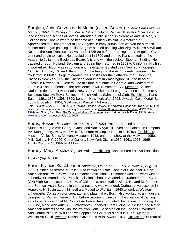Borglum, John Gutzon de la Mothe (called Gutzon). *b. near Bear Lake, ID, Mar. 25, 1867; d. Chicago, IL, Mar. 6, 1941.* Sculptor. Painter. Illustrator. Specialized in landscapes and scenes of horses. Attended public school in Nebraska and St. Mary's College near Topeka where he became acquainted with Native American art. Apprenticed to a lithographer in Los Angeles in early 1880s then worked for a fresco painter and began painting in oils. Borglum studied painting with Virgil Williams & William Keith at the San Francisco Art Assoc. in 1885-88 before returning to Los Angeles, CA to paint and begin to sculpt. He traveled east in 1890 and then to Paris to study at the Academié Julian, the Ecole des Beaux Arts and with the sculptor Stephan Sinding. He traveled through Holland, Belgium and Spain then returned in 1902 to California. His first important exhibition was in London and he established studios in New York, Raleigh, NC, San Antonio, TX, and Stamford, CT. He taught at the Art Students League in New York from 1906-07. Borglum created the Apostles for the Cathedral of St. John the Divine in New York City, the Sheridan Monument in Washington, DC, the head of Lincoln in Newark, NJ, General Lee at Stone Mountain in Georgia, and worked from 1927-1941 on the heads of the presidents at Mt. Rushmore, SD. Member: Societe Nationale des Beaux Arts, Paris; New York Architectural League; American Painters & Sculptors Society; Royal Society of British Artists; Salmagundi Club. Exhibitions: Paris Salon, 1891, 1897, 1898, 1899; London; New York after 1902. Awards: Gold Medal, St. Louis Exposition, 1904; Gold medal, Western Art Assoc.

Sain; Fielding; AAA 01, 12, 20, 22, 26; Dawdy; Samuels; WWAA 1; *Appleton's Magazine*. (Dec. 1906); Fink; Julian; subject of many books including Price, Willadene. Gutzon Borglum, Artist & Patriot. (EPM Publ., 1974) and Smith, Rex Alan. The Carving of Mount Rushmore (New York: Abbeville Press, 1985); *AskAr*t, www.askart.com accessed July 20, 2006

Borris, Bessie. *b. Johnstown, PA, 1917; d. 1993.* Painter. Studied at the Art Student's League with George Gross and Vaclav Vytlacil. Lived and painted in Hampton, VA, Montgomery, AL & Nashville, TN before moving to Topeka in 1940s. Exhibitions: Missouri Valley Show, Mulvane Museum, 1948; one-man show at the Mulvane, 1950; Mills Gallery, NY, 1960; Cober Gallery, New York City, in 1960, 1961, 1963, 1965, Topeka Cap (Nov. 10, 1948); NMAA files

Borney, Mary. *fl. 1930s, Topeka.* Artist. Exhibitions: Kansas Free Fair Art Exhibition, 1939.

Topeka J (Sept. 9, 1939)

Bosin, Francis Blackbear. *b. Anadarko, OK, June 21, 1921; d. Wichita, Aug. 10, 1980.* Painter. Illustrator. Muralist. Also known as Tsate Kongia or Blackbear. Native American artist with Kiowa and Comanche affiliations. His mother was an award winner in beadwork. Attended St. Patrick's Mission school in Anadarko. Graduated from Cyril (OK) High School, attended Univ. of Oklahoma, and studied with J. Havard McPherson and Spencer Asah. Served in the marines and was wounded. During convalescence in Honolulu, HI Bosin taught himself art. Moved to Wichita in 1940 to work at Western Lithography Co. as a color separator and platemaker. Bosin also worked as an industrial designer for Richard Teneyck Co. before becoming director in the creation of training aids for air education at McConnell Air Force Base. Provided illustrations for Boeing. In 1960 he, along with artist A. E. Wadsworth, opened Great Plains Studio featuring Native American artifacts as well as Bosin's own work. He served on the Kansas Governor's Arts Commission 1976-80 and was appointed Governor's artist in 1977. Member: Wichita Art Guild. Awards: Kansas Governor's Artist Award, 1977. Collections: Bureau of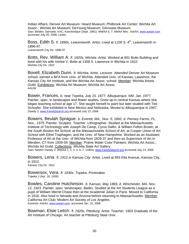Indian Affairs; Denver Art Museum; Heard Museum; Philbrook Art Center; Wichita Art Assoc.; Wichita Art Museum; DeYoung Museum; Gilcrease Museum. Sain; Belden; Samuels; KAC; *Kanshistique* (Sept. 1981); WWAA 6, 7; NMAA files; *AskAr*t, www.askart.com accessed July 20, 2006; Lester.

Boss, Edith S. *fl. 1890s, Leavenworth.* Artist. Lived at 1100 S. 4<sup>th</sup>, Leavenworth in 1896-97. Leavenworth City Dir. 1896-97

Botts, Rev. William A. *fl. 1920s, Wichita.* Artist. Worked at 601 Butts Building and lived with his wife Verlee V. Botts at 1358 S. Lawrence in Wichita in 1922. Wichita City Dir. 1922

Bovell, Elizabeth Dunn. *fl. Wichita.* Artist. Lecturer. Attended Denver Art Museum school; earned a BFA from Univ. of Wichita. Attended Univ. of Kansas, Lawrence, the Kansas City Art Institute, and the Wichita Art Assoc. school. Member: Wichita Artists Guild. Exhibitions: Wichita Art Museum; Wichita Art Assoc. AAUW

Bower, Frances. *b. near Topeka, July 15, 1877; Albuquerque, NM, Jan. 1977.*  Painter, spec. in landscapes and flower studies. Grew up in central Kansas where she began teaching school at age 17. She taught herself to paint but later studied with Ted Schuyler. She exhibited in New Mexico and Nebraska. Moved to Albuquerque in 1947. Dawdy 2; www.FamilySearch.org accessed July 13, 2006

Bowers, Beulah Sprague. *b. Everett, MA., Nov. 5, 1892; d. Penney Farms, FL, Nov., 1975.* Painter. Sculptor. Teacher. Lithographer. Studied at the Massachusetts Institute of Technology with Joseph De Camp, Cyrus Dallin, & William Felton Brown; at the South Boston Art School; at the Massachusetts School of Art; at Cooper Union of Art School with Ethel Traphagen; and the Univ. of New Hampshire. Worked as an Assistant Professor of Art at the Univ. of Wichita from 1929-37 and then as Supervisor of Art in Meriden, CT from 1939-59. Member: Prairie Water Color Painters; Wichita Art Assoc.; Wichita Art Guild. Collections: Wichita State Art Gallery.

Sain; Newlin; Dawdy 2; WWAA 1, 2, 3, 4, 6, 7; Collins; www.FamilySearch.org accessed July 13, 2006

Bowers, Lena. *fl. 1912 in Kansas City.* Artist. Lived at 855 Ella Avenue, Kansas City, in 1912. Kansas City Dir. 1912

Bowersox, Vera. *fl. 1930s, Topeka.* Printmaker. Topeka J (Apr. 18, 1936)

Bowles, Caroline Hutchinson. *b. Kansas, May 1865; d. Winchester, MA, Nov. 12, 1923.* Painter, spec. landscapes. Batiks. Studied at the Art Students League as a pupil of William Merritt Chase then at the Academié Julian in Paris. Moved to California in 1916. Also lived in Nevada and Arizona before returning to Massachusetts. Member: California Art Club; Modern Art Society of Los Angeles. Kovinick; *AskArt*, www.askart.com, accessed Jan. 15, 2006

Bowman, Elsie Leitch. *fl. 1920s, Pittsburg.* Artist. Teacher. 1903 Graduate of the Art Institute of Chicago. Art teacher at Pittsburg State Univ.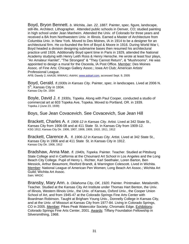Boyd, Bryon Bennett. *b. Wichita, Jan. 22, 1887.* Painter, spec. figure, landscape, still-life. Architect. Lithographer. Attended public schools in Denver, CO; studied painting in high school under Jean Manheim. Attended the Univ. of Colorado for three years and received a BA from Northwestern Univ. in Illinois. Earned a Master of Architecture from Columbia Univ. in New York. Moved to Des Moines, IA in 1914 to be a designer for an architectural firm. He co-founded the firm of Boyd & Moore in 1916. During World War I, Boyd headed a division designing submarine bases then resumed his architectural practice until 1926. Additionally Boyd spent time in Paris in 1929, attended the National Academy studying with Henry Leith Ross & Henry Hensche. He wrote at least four plays, "An Amateur Hamlet", "The Strongest" & "They Cannot Return", & "Mushrooms". He was appointed to design a mural for the Osceola, IA Post Office. Member: Des Moines Assoc. of Fine Arts; Chicago Gallery Assoc.; Iowa Art Club; American Artists' Professional League.

AFB; Dawdy 2; AAA26; WWAA1; *AskArt*, www.askart.com, accessed Sept. 9, 2005

Boyd, Gerald. *fl.1930s in Kansas City.* Painter, spec. in landscapes. Lived at 2006 N. 5<sup>th</sup>, Kansas City in 1934. Kansas City Dir. 1934

Boyle, David J. *fl. 1930s, Topeka.* Along with Paul Cooper, conducted a studio of commercial art at 603 Topeka Ave, Topeka. Moved to Portland, OR. in 1939. Topeka J (June 23, 1939)

Boys, Sue Jean Covacevich. See Covacevich, Sue Jean Hill

Brackett, Charles A. *fl. 1906-12 in Kansas City.* Artist. Lived at 342 State St., Kansas City from 1906-08 and at 411 State St. in Kansas City from 1909-12. KSG 1912; Kansas City Dir. 1906, 1907, 1908, 1909, 1910, 1911, 1912

Brackett, Clarence A. *fl. 1906-12 in Kansas City.* Artist. Lived at 342 State St., Kansas City in 1906 and at 411 State St. in Kansas City in 1912. Kansas City Dir. 1906, 1912

Bradshaw, Anna Mae. *fl. 1940s, Topeka.* Painter. Teacher. Studied at Pittsburg State College and in California at the Chouinard Art School in Los Angeles and the Long Beach City College. Pupil of Henry L. Richter, Karl Seethaler, Loren Barton, Ben Messick, Arthur Beaumont, Rexford Brandt, & Warrington Colescott. Lived in Wichita. Member: National League of American Pen Women; Long Beach Art Assoc.; Wichita Art Guild; Wichita Art Assoc.

Sain; WKDC

Bransby, Mary Ann. *b. Oklahoma City, OK, 1920.* Painter. Printmaker. Metalsmith. Teacher*.* Studied at the Kansas City Art Institute under Thomas Hart Benton, the Univ. of Illinois, Western Illinois Univ., the Univ. of Kansas, Oxford Univ., the Cooper Union School of Art, and from 1945-47 at the Colorado Springs Fine Arts Center with Boardman Robinson. Taught at Brigham Young Univ., Donnelly College in Kansas City, and at the Univ. of Missouri at Kansas City from 1977-84. Living in Colorado Springs, CO in 2005. Member: Pikes Peak Watercolor Society; Chromatic Edge. Exhibitions: Colorado Springs Fine Arts Center, 2001. Awards: Tiffany Foundation Fellowship in Silversmithing, 1968.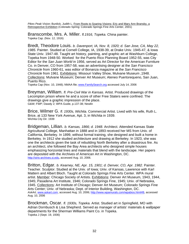*Pikes Peak Vision;* Burdick, Judith L. From Roots to Soaring Visions: Eric and Mary Ann Bransby, a Retrospective Exhibition (Colorado Spring: Colorado Springs Fine Arts Center, 2001)

Branscombe, Mrs. A. Miller. *fl.1916, Topeka.* China painter. Topeka Cap. (Nov. 12, 1916)

Bredt, Theodore Louis. *b. Davenport, IA, Nov. 8, 1920; d. San Jose, CA, May 22, 1985.* Painter. Studied at Cornell College, IA, 1938-39, at Drake Univ. 1945-47, & Iowa State Univ. 1947-48. Taught art history, painting, and graphic art at Washburn College, Topeka from 1948-50. Worked for the Puerto Rico Planning Board 1952-55, was City Editor for the *San Juan World* in 1956, served as Art Director for the American Furniture Co. in Denver, CO from 1957-58, was an advertising designer at the *San Francisco Chronicle* from 1960-61, was editor of Bonanza magazine at the *San Francisco Chronicle* from 1961. Exhibitions: Missouri Valley Show, Mulvane Museum ,1948. Collections: Mulvane Museum; Denver Art Museum; Ateneo Puertorequeno, San Juan, Puerto Rico.

Topeka Cap (Nov. 10, 1948); NMAA file; www.FamilySearch.org accessed July 14, 2006

Breyman, William. *fl. Pre-Civil War in Kansas.* Artist. Produced drawings of the Lecompton prison where he and a score of other Free Staters were confined. The drawings give a graphic impression of the place. G&W; FWP; Dawdy 2; WPA Guide, p.137-38; Newlin

Brice, Wilmer G. *fl. 1930s, Wichita.* Commercial Artist. Lived with his wife, Ruth L. Brice, at 133 New York Avenue, Apt. 3, in Wichita in 1939. Wichita City Dir. 1939

Bridgeman, Lillian. *b. Kansas, 1866; d. 1948.* Architect. Attended Kansas State Agricultural College, Manhattan in 1888 and in 1893 received her MS from Univ. of California, Berkeley. In 1899, without formal training, she designed and built a home in Berkeley. In 1912 she studied architecture and drawing at Berkeley. In 1923, she was one the architects given the task of rebuilding North Berkeley after a disastrous fire. As an architect, she followed the Bay Area architects who designed simple houses emphasizing horizontal lines and materials that blend with the landscape. Her papers are deposited with the Archives of American Art in Washington, DC. http://siris-archives.si.edu, accessed Aug. 10, 2006.

Britton, Edgar. *b. Kearney, NE, Apr. 15, 1901; d. Denver, CO, Apr. 1982.* Painter. Teacher. Sculptor. Studied at the Univ. of Iowa; Univ. of Kansas, Lawrence with Karl Mattern and Albert Bloch. Taught at Colorado Springs Fine Arts Center. WPA mural artist. Member: Chicago Society of Artists. Exhibitions: Denver Art Museum, 1943, 1944, 1945; Pasadena Art Institute, 1946; Colorado Springs Fine, 1945; Univ. of Nebraska, 1945. Collections: Art Institute of Chicago; Denver Art Museum; Colorado Springs Fine Arts Center; Univ. of Nebraska; Dept. of Interior Building, Washington, DC. *AskArt,* www.askart.com, accessed Aug. 10, 2006; http://www.wpamurals.com/wpabios.html#B, accessed Aug. 10, 2006

Brockman, Oscar. *fl. 1930s, Topeka.* Artist. Studied art in Springfield, MO with Adrian Dornbusch & Lisa Shepherd. Served as manager of artists' materials & wallpaper departments for the Sherman Williams Paint Co. in Topeka. Topeka J (Sept. 19, 1936)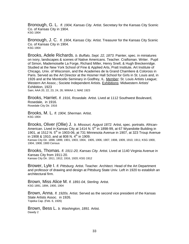Bronough, G. L. *fl. 1904, Kansas City.* Artist. Secretary for the Kansas City Scenic Co. of Kansas City in 1904. KSG 1904

Bronough, J. C. *fl. 1904, Kansas City.* Artist. Treasurer for the Kansas City Scenic Co. of Kansas City in 1904. KSG 1904

Brooks, Adele Richards. *b. Buffalo, Sept. 22, 1873.* Painter, spec. in miniatures on ivory, landscapes & scenes of Native Americans. Teacher. Craftsman. Writer. Pupil of Simon, Mademoiselle La Forge, Richard Miller, Henry Snell, & Hugh Breckenridge. Studied at the New York School of Fine & Applied Arts, Pratt Institute, Art Institute of Chicago, Univ. of Wisconsin, and the Academes de la Grand Chamliere & Coloross in Paris. Served as the Art Director at the Hosmer Hall School for Girls in St. Louis and, in 1926 and at the Monticello Seminary in Godfrey, IL. Member: St. Louis Artists League; Western Art Assoc.; Societe Independent Artists. Exhibitions: Midwestern Artists' Exhibition, 1923

Sain; AAA 20, 22, 23, 24, 26; WWAA 1; MAE 1923

Brooks, Harriet. *fl. 1916, Rosedale.* Artist. Lived at 1112 Southwest Boulevard, Rosedale, in 1916. Rosedale City Dir. 1916

Brooks, M. L. *fl. 1904, Sherman.* Artist. KSG 1904

Brooks, Oliver (Ollie) J. *b. Missouri, August 1872.* Artist, spec. portraits. African-American. Lived in Kansas City at 1414 N. 5<sup>th</sup> in 1898-99, at 67 Wyandotte Building in 1901, at 1512 N, 5<sup>th</sup> in 1903-06, at 731 Minnesota Avenue in 1907, at 323 Troup Avenue in 1908 & 1910, and at 808 N.  $4^{\text{th}}$  in 1909.

Kansas City Dir. 1898, 1899, 1901, 1903, 1904, 1905, 1906, 1907, 1908, 1909, 1910, 1911; KSG 1900, 1904, 1908; 1900 Census

Brooks, Thomas. *fl. 1911-20, Kansas City.* Artist. Lived at 1140 Virginia Avenue in Kansas City from 1911-20. Kansas City Dir. 1911, 1912, 1916, 1920; KSG 1912

Brower, Lyle I. *fl. Pittsburg.* Artist. Teacher. Architect. Head of the Art Department and professor of drawing and design at Pittsburg State Univ. Left in 1920 to establish an architectural firm.

Brown, Miss Alice M. *fl. 1891-04, Sterling.* Artist. KSG 1891, 1894, 1900, 1904

Brown, Anna. *fl. 1920s.* Artist. Served as the second vice president of the Kansas State Artists Assoc. in 1926. Topeka Cap. (Feb. 6, 1926)

Brown, Bess L. *b. Washington, 1891.* Artist. Dawdy 2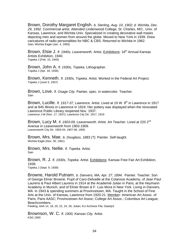Brown, Dorothy Margaret English. *b. Sterling, Aug. 10, 1902; d. Wichita, Dec. 29, 1992.* Commercial artist. Attended Lindenwood College, St. Charles, MO., Univ. of Kansas, Lawrence, and Wichita Univ. Specialized in creating decorative wall masks depicting men and women from around the globe. Moved to New York in 1939. Drew caricatures of radio personalities for NBC & CBS. Returned to Wichita in 1962. Sain; Wichita Eagle (Jan. 4, 1993).

Brown, Elsie J. *fl. 1940s, Leavenworth.* Artist. Exhibitions: 16<sup>th</sup> Annual Kansas Artists Exhibition, 1940. Topeka J (Feb. 10, 1940)

Brown, John A. *fl. 1930s, Topeka.* Lithographer. Topeka J (Apr. 18, 1936)

Brown, Kenneth. *fl. 1930s, Topeka.* Artist. Worked in the Federal Art Project. Topeka J (June 5, 1937)

Brown, Love. *fl. Osage City.* Painter, spec. in watercolor. Teacher. Sain

Brown, Lucille. *fl. 1917-37, Lawrence.* Artist. Lived at 19 W. 9<sup>th</sup> in Lawrence in 1917 and at 845 Illinois in Lawrence in 1919. Her pottery was displayed when the renovated Lawrence Public Library reopened Nov. 1937. Lawrence J-W (Nov. 17, 1937); Lawrence City Dir. 1917, 1919

Brown, Lucy M. *fl. 1903-09, Leavenworth.* Artist. Art Teacher. Lived at 220 2<sup>nd</sup> Avenue in Leavenworth from 1903-1909. Leavenworth City Dir. 1903-04, 1907-08, 1909.

Brown, Mrs. Mae. *b. Douglass, 1883 (?).* Painter. Self-taught. Wichita Eagle (Nov. 30, 1961)

Brown, Mrs. Nellie. *fl. Topeka.* Artist. Sain

Brown, R. J. *fl. 1930s, Topeka.* Artist. Exhibitions: Kansas Free Fair Art Exhibition, 1939. Topeka J (Sept. 9, 1939)

Browne, Harold Putnam. *b. Danvers, MA, Apr. 27, 1894.* Painter. Teacher. Son of George Elmer Browne. Pupil of Caro-Delvaille at the Colarossi Academy, of Jean Paul Laurens & Paul Albert Laurens in 1914 at the Academié Julian in Paris, at the Heymann Academy in Munich, and of Elmer Brown & F. Luis Mora in New York. Living in Danvers, MA in 1943 & spending summers at Provincetown, MA. Taught in the School of Fine Arts at the Univ. of Kansas, Lawrence from 1920-21. Member: American Art Assoc. of Paris; Paris AASC; Provincetown Art Assoc; College Art Assoc.; Columbus Art League; Beachcombers.

Fielding; AAA 14, 18, 20, 22, 24, 26; Julian; KU Archives File; Dawdy3

Brownson, W. C. *fl. 1900, Kansas City.* Artist. KSG 1900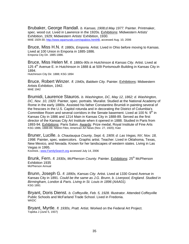Brubaker, George Randall. *b. Kansas, 1908;d.May 1977.* Painter. Printmaker, spec. wood cut. Lived in Lawrence in the 1920s. Exhibitions: Midwestern Artists' Exhibition, 1929; Midwestern Artists' Exhibition, 1930. MAE 1929-30; http://www.wpamurals.com/wpabios.html#B, accessed Aug. 10, 2006

Bruce, Miss H.N. *fl. 1880s, Emporia.* Artist. Lived in Ohio before moving to Kansas. Lived at 100 Union in Emporia in 1885-1886. Emporia City Dir. 1885-1886.

Bruce, Miss Helen M. *fl. 1880s-90s in Hutchinson & Kansas City.* Artist. Lived at 125 4<sup>th</sup> Avenue E. in Hutchinson in 1888 & at 509 Portsmouth Building in Kansas City in 1894. Hutchinson City Dir. 1888; KSG 1894

Bruce, Robert Winzer. *fl. 1940s, Baldwin City.* Painter. Exhibitions: Midwestern Artists Exhibition, 1942. MAE 1942

Brumidi, Laurence Stauros. *b. Washington, DC, May 12, 1862; d. Washington, DC, Nov. 10, 1920.* Painter, spec. portraits. Muralist. Studied at the National Academy of Rome in the early 1880s. Assisted his father Constantino Brumidi in painting several of the frescoes in the U.S. Capitol rotunda and in decorating the District of Columbia's Committee Room and several corridors in the Senate basement. Lived at 100 N.  $9<sup>th</sup>$  in Kansas City in 1886 and 1214 Main in Kansas City in 1888-89. Served as the first director of the Kansas City Art Institute when it opened in 1888. Studied in Paris from 1893-94. Exhibitions: Paris Salon. Awards: Prize medal, Royal Institute of Fine Arts KSG 1886, 1888-89; NMAA Files; American Art News (Nov. 27, 1920); Katz

Bruner, Lucille. *b. Chautauqua County, Sept. 6, 1909; d. Las Vegas, NV, Nov. 18, 1998.* Painter, spec. watercolors. Graphic artist. Teacher. Lived in Oklahoma, Texas, New Mexico, and Nevada. Known for her landscapes of western states. Living in Las Vegas in 1995.

Kovinick.; www.FamilySearch.org accessed July 14, 2006

Brunk, Fern. *fl. 1930s, McPherson County*. Painter. Exhibitions: 25<sup>th</sup> McPherson Exhibition 1935 McPherson Annual

Brunn, Joseph G. *fl. 1890s, Kansas City.* Artist. Lived at 1330 Grand Avenue in Kansas City in 1891. *Could be the same as J.G. Brunn, b. Liverpool, England. Studied in Birmingham, London & Paris. Living in St. Louis in 1896 (AAA01).* KSG 1891

Bryant, Doris Dienst. *b. Coffeyville, Feb. 5, 1928.* Illustrator. Attended Coffeyville Public Schools and McFarland Trade School. Lived in Fredonia. **WKDC** 

Bryant, Myrtle. *fl. 1930s, Pratt.* Artist. Worked on the Federal Art Project. Topeka J (June 5, 1937)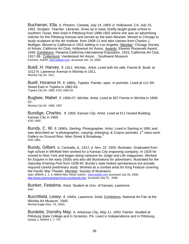Buchanan, Ella. *b. Preston, Canada, July 14, 1869; d. Hollywood, CA, July 15, 1951.* Sculptor. Teacher. Librarian. Grew up in Iowa, briefly taught grade school in southern Texas, then lived in Pittsburg from 1898-1902 where she was an advertising solicitor for the *Pittsburg Kansan* and served as the town librarian. Moved to Chicago to study sculpture at the Art Institute from 1908-11 and take classes from Charles J. Mulligan. Moved to California in 1915 settling in Los Angeles. Member: Chicago Society of Artists; California Art Club; Hollywood Art Assoc. Awards: Eleanor Roosevelt Award, 1940. Exhibitions: Panama-California International Exposition, 1915; California Art Club, 1917-36. Collections: Vanderpoel Art Assoc. ; Southwest Museum Kovinick; *AskArt*, www.askart.com, accessed Jan. 15, 2006

Buell, H. Harvey. *fl. 1911, Wichita..* Artist. Lived with his wife, Fannie B. Buell, at 1012 N. Lawrence Avenue in Wichita in 1911. Wichita City Dir. 1911

Buell, Horance H. *fl. 1880s, Topeka.* Painter, spec. in portraits. Lived at 111 5th Street East in Topeka in 1882-83. Topeka City Dir. 1882; KSG 1882-83

Bugbee, Mabel. *fl. 1906-07, Wichita.* Artist. Lived at 307 Fannie in Wichita in 1906- 07.

Wichita City Dir. 1906, 1907

Bundige, Charles. *fl. 1900, Kansas City.* Artist. Lived at 511 Husted Building, Kansas City in 1900. KSG 1900

Bundy, C. W. *fl. 1890s, Sterling.* Photographer. Artist. Lived in Sterling in 1891 and was described as "a photographer, copying, enlarging, & Crayon portraits. 1<sup>st</sup> class work. Gallery on Ground floor, Main Street & Broadway." KSG 1891

Bundy, Gilbert. *b. Centralia, IL, 1911; d. Nov. 22, 1955.* Illustrator. Graduated from high school in Winfield then worked for a Kansas City engraving company. In 1929 he moved to New York and began doing cartoons for *Judge* and *Life* magazines. Worked for *Esquire* in the early 1930s and also did illustrations for advertisers. Illustrated for the *Saturday Evening Post* from 1939-40. Bundy's style looked spontaneous but actually required careful preliminary study. Worked as a combat artist for King Feature covering the Pacific War Theater. Member: Society of Illustrators

Sain; WWAA 1, 2, 3; NMAA files; Reed; *AskArt,* www.askart.com accessed July 20, 2006; http://www.americanartarchives.com/bundy.htm, accessed July 21, 2006

Bunker, Fedalma. Artist. Student at Univ. of Kansas, Lawrence. Sain

Burchfield, Lesey. *fl. 1940s, Lawrence.* Artist. Exhibitions: National Art Fair at the Wichita Art Museum, 1940. Wichita Eagle (Nov. 24, 1940)

Burdette, Dorothy May. *b. Arkansas City, May 11, 1893.* Painter. Studied at Pittsburg State College and in Scranton, PA. Lived in Independence and in Pittsburg.. Dawdy 2, WWAA 4, 7; TPL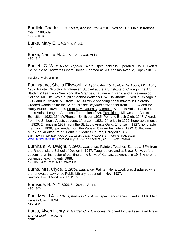Burdick, Charles L. *fl. 1880s, Kansas City.* Artist. Lived at 1103 Main in Kansas City in 1888-89. KSG 1888-89

Burke, Mary E. *fl. Wichita.* Artist. Sain

Burke, Nannie M. *fl. 1912, Sabetha.* Artist. KSG 1912

Burkett, C. W. *fl. 1880s, Topeka.* Painter, spec. portraits. Operated C.W. Burkett & Co. studio at Crawfords Opera House. Roomed at 614 Kansas Avenue, Topeka in 1888- 89.

Topeka City Dir. 1888-89

Burlingame, Sheila Ellsworth. *b. Lyons, Apr. 15, 1894; d. St. Louis, MO, April, 1969.* Painter. Sculptor. Printmaker. Studied at the Art Institute of Chicago, the Art Students' League in New York, the Grande Chaumiere in Paris, and at Kalamazoo College, MI. She was a pupil of Martha Walter & C.W. Hawthorne. Lived in Chicago in 1917 and in Clayton, MO from 1925-41 while spending her summers in Colorado. Created woodcuts for the *St. Louis Post Dispatch* newspaper from 1923-24 and for Harry Burke's 1924 book, From Day's Journey. Member: St. Louis Artists Guild; St. Louis Artists League; American Federation of Art. Exhibitions: Midwestern Artists' Exhibition, 1922; 15<sup>th</sup> McPherson Exhibition 1925; Pen and Brush Club, 1947. Awards: from the St. Louis Artists League:  $1<sup>st</sup>$  prize in 1921,  $2<sup>nd</sup>$  prize in 1922, honorable mention in 1926,  $2^{nd}$  prize in 1927; from the St. Louis Artists Guild:  $1^{st}$  prize in 1927, honorable mention in 1928; gold medal from the Kansas City Art Institute in 1922. Collections: Municipal Auditorium, St. Louis; St. Mary's Church, Paragould, AR. Sain; Newlin; Reinbach; AAA 14, 20, 22, 24, 26, 27; WWAA 1, 6, 7; Collins; MAE 1922; www.FamilySearch.org accessed July 14, 2006; *Art Digest* (Feb. 1, 1947); Dawdy3

Burnham, A. Dwight. *fl. 1940s, Lawrence.* Painter. Teacher. Earned a BFA from the Rhode Island School of Design in 1947. Taught there and at Brown Univ. before becoming an instructor of painting at the Univ. of Kansas, Lawrence in 1947 where he continued teaching until 1988; A&C KS; Sain; Beach; KU Archives File

Burns, Mrs. Clyde. *fl. 1930s, Lawrence.* Painter. Her artwork was displayed when the renovated Lawrence Public Library reopened in Nov. 1937. Lawrence Journal World (Nov. 17, 1937).

Burnside, B. A. *fl. 1900, LaCrosse.* Artist. KSG 1900

Burt, Mrs. J.A. *fl. 1890s, Kansas City.* Artist, spec. landscapes. Lived at 1116 Main, Kansas City in 1894. KSG 1894

Burtis, Alyen Henry. *b. Garden City.* Cartoonist. Worked for the Associated Press and for *Look* magazine. Norris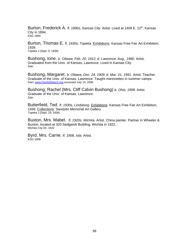Burton, Frederick A. *fl. 1890s, Kansas City.* Artist. Lived at 1409 E. 12<sup>th</sup>, Kansas City in 1894. KSG 1894

Burton, Thomas E. *fl. 1930s, Topeka.* Exhibitions: Kansas Free Fair Art Exhibition, 1939. Topeka J (Sept. 9, 1939)

Bushong, Ione. *b. Ottawa, Feb. 20, 1912; d. Lawrence, Aug., 1980.* Artist. Graduated from the Univ. of Kansas, Lawrence. Lived in Kansas City. Sain

Bushong, Margaret. *b. Ottawa, Dec. 24, 1909; d. Mar. 21, 1991.* Artist. Teacher. Graduate of the Univ. of Kansas, Lawrence. Taught marionettes in summer camps. Sain; www.FamilySearch.org accessed July 14, 2006

Bushong, Rachel (Mrs. Cliff Calvin Bushong) *b. Ohio, 1908.* Artist. Graduate of the Univ. of Kansas, Lawrence. Sain

Butterfield, Ted. *fl. 1930s, Lindsborg.* Exhibitions: Kansas Free Fair Art Exhibition, 1936. Collections: Sandzén Memorial Art Gallery Topeka J (Sept. 19, 1936)

Buxton, Mrs. Mabel. *fl. 1920s, Wichita.* Artist. China painter. Partner in Wheeler & Buxton, located at 320 Sedgwick Building, Wichita in 1922. Wichita City Dir. 1922

Byrd, Mrs. Carrie. *fl. 1908, Iola.* Artist. KSG 1908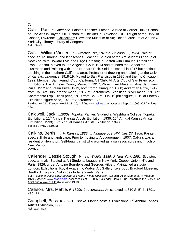C

Cahill, Paul. *fl. Lawrence.* Painter. Teacher. Etcher. Studied at Cornell Univ.; School of Fine Arts in Dayton, OH; School of Fine Arts in Cleveland, OH. Taught at the Univ. of Kansas, Lawrence. Collections: Cleveland Museum of Art; Toledo Museum of Art; New York City Library; Library of Congress. Sain; Newlin.

Cahill, William Vincent. *b. Syracuse, NY, 1878; d. Chicago, IL, 1924.* Painter, spec. figure, marine, and landscapes. Teacher. Studied at the Art Students League of New York with Howard Pyle and Birge Harrison; in Boston with Edmund Tarbell and Frank Benson. Moved to Los Angeles, CA in 1914 and founded the School for Illustration and Painting with John Hubbard Rich. Sold the school in 1917 but continued teaching in the southern California area. Professor of drawing and painting at the Univ. of Kansas, Lawrence, 1918-19. Moved to San Francisco in 1920 and then to Chicago in 1922. Member: Salmagundi Club; California Art Club; All Arts Club of San Francisco. Exhibitions: Los Angeles County Museum, 1917; Phoenix Art Museum. Awards: Evans Prize, 1912 and Vezin Prize, 1913, both from Salmagundi Club; Ackerman Prize, 1917 from Cal. Art Club; bronze medal, 1917 at Sacramento Exposition; silver medal, 1918 at Sacramento Exp.; Black prize, 1919 from Cal. Art Club; 1<sup>st</sup> prize figure, 1919 at Phoenix Exhibition; figure prize, 1920 at Sacramento Exp.

Fielding; AAA12; Dawdy; AAA14, 18, 20; *AskArt*, www.askart.com, accessed Sept. 2, 2005; KU Archives File.

Caldwell, Jack. *fl.1930s, Topeka.* Painter. Studied at Washburn College, Topeka. Exhibitions: 11<sup>th</sup> Annual Kansas Artists Exhibition, 1936; 15<sup>th</sup> Annual Kansas Artists Exhibition, 1939; 16th Annual Kansas Artists Exhibition, 1940. Topeka J (May 18,1935).

Calkins, Bertis H. *b. Kansas, 1882. d. Albuquerque, NM, Jan. 27, 1968.* Painter, spec. still life and landscape. Prior to moving to Albuquerque in 1907, Calkins was a resident of Herington. Self-taught artist who worked as a surveyor, surveying much of New Mexico.

Dawdy 2.

Callender, Bessie Stough. *b. near Wichita, 1889; d. New York, 1951.* Sculptor, spec. animals. Studied at Art Students League in New York; Cooper Union, NY; and in Paris, 1926, under Antoine Bourdelle and Georges Hilbert. Maintained a studio in London. Exhibitions: Royal Academy; Walker Art Gallery, Liverpool; Bradford Museum, Bradford, England; Salon des Independants, Paris

Sain; *Ecole to Deco; Small Sculptures From a Private Collection*. (Oberlin: Allen Memorial Art Museum, 1979.); *AskArt*, www.askart.com, accessed Sept. 2, 2005; Callender, Harold. Fun Tomorrow, the Story of an Artist and a Way of Life (New York: 1953)

Callison, Mrs. Mattie. *fl. 1890s, Leavenworth.* Artist. Lived at 610 S. 5<sup>th</sup> in 1891. KSG 1891.

Campbell, Bess. *fl. 1920s, Topeka.* Marine pastels. Exhibitions: 3<sup>rd</sup> Annual Kansas Artists Exhibition, 1927. Reinbach; Sain.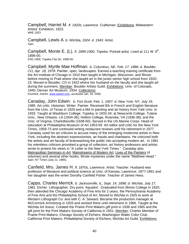Campbell, Harriet M. *fl. 1920s, Lawrence.* Craftsman. Exhibitions: Midwestern Artists' Exhibition, 1923. MAE 1923

Campbell, Lewis A. *b. Wichita, 1924. d. 1943.* Artist. Sain.

Campbell, Monte E. (L). *fl. 1899-1900, Topeka.* Portrait artist. Lived at 111 W. 6<sup>th</sup>, 1899-00.

KSG 1900, Topeka City Dir. 1899-00.

Campbell, Myrtle Mae Hoffman. *b. Columbus, NE, Feb. 17, 1886; d. Boulder, CO, Apr. 18, 1978.* Painter, spec. landscapes. Earned a teaching training certificate from the Art Institute of Chicago in 1910 then taught in Michigan, Wisconsin, and Illinois before moving to Pratt where she taught art in the junior-senior high school from 1920- 23. Moved to Boulder, CO in 1923 where her husband on the faculty and she taught art during the summers. Member: Boulder Artists Guild. Exhibitions: Univ. of Colorado, 1945; Denver Art Museum, 1934. Collections: Kovinick; *AskArt,* www.askart.com, accessed Jan. 16, 2006.

Canaday, John Edwin. *b. Fort Scott, Feb. 1, 1907; d. New York, NY, July 19, 1985.* Art critic. Historian. Writer. Painter. Received BA in French and English literature from the Univ. of Texas in 1929 and a MA in painting and art history from Yale Univ. in 1933. Taught at Washburn College, Topeka, in 1933-34; at Newcomb College, Tulane Univ., New Orleans. LA (1934-36); Hollins College, Roanoke, VA (1936-38); and the Univ. of Virginia, Charlottesville (1938-50). Served in the US Marine Corps. Head of education at Philadelphia Museum of Art 1953-59. Art editor and critic for the New York Times, 1959-73 and continued writing restaurant reviews until his retirement in 1977. Canaday used his art criticism to accuse many of the emerging modernist artists in New York, including the abstract expressionists, as frauds and charlatans. He criticized both the artists and art faculty of brainwashing the public into accepting modern art. In 1981 his relentless criticism provoked a group of collectors, art history professors and artists wrote to protest his views in "A Letter to the New York Times." Canaday also Metropolitan Seminars in Art; Mainstreams of Modern Art; Lives of the Painters (4 volumes) and several other books. Wrote mysteries under the name "Matthew Head." Sain; NY Times (July 21, 1985).

Canfield, Mrs. James H. *fl. 1870s, Lawrence.* Artist. Teacher. Husband was professor of literature and political science at Univ. of Kansas, Lawrence, 1877-1891 and her daughter was the writer Dorothy Canfield Fisher. Teacher of James Hess.

Capps, Charles Merrick. *b. Jacksonville, IL, Sept. 14, 1898; d. Wichita, July 17, 1981.* Etcher. Lithographer. Dry point. Aquatint. Graduated from Illinois College in 1920, then attended the Chicago Academy of Fine Arts for 2 years, the Pennsylvania Academy of Fine Arts and the Philadelphia School of Art. Moved to Wichita in 1925 to work at Western Lithograph Co. and with C. A. Seward. Became the production manager at McCormick Armstrong in 1933 and worked there until retirement in 1966. Taught at the Wichita Art Assoc. Created the Prairie Print Makers gift print in 1938 and 1965 and the gift print for the Print Makers Society of California in 1951. Member: Charter Member of Prairie Print Makers; Chicago Society of Etchers; Washington Water Color Club; California Print Makers; Philadelphia Society of Etchers; Wichita Art Guild. Exhibitions: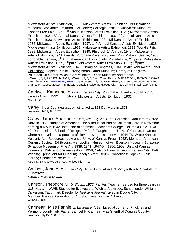Midwestern Artists' Exhibition, 1930; Midwestern Artists' Exhibition, 1933; National Museum, Stockholm; Philbrook Art Center; Carnegie Institute; Joslyn Art Museum; Kansas Free Fair, 1939; 7<sup>th</sup> Annual Kansas Artists Exhibition, 1931; Midwestern Artists' Exhibition, 1931; 8<sup>th</sup> Annual Kansas Artists Exhibition, 1932; 9<sup>th</sup> Annual Kansas Artists Exhibition, 1933; Midwestern Artists' Exhibition, 1934; Midwestern Artists' Exhibition, 1935; Midwestern Artists Exhibition, 1937; 14<sup>th</sup> Annual Kansas Artists Exhibition, 1938; Midwestern Artists Exhibition, 1938; Midwestern Artists Exhibition, 1939; World's Fair, 1939; Midwestern Artists Exhibition, 1940; Philbrook 1<sup>st</sup> Annual, 1940; Midwestern Artists Exhibition, 1941 Awards: Purchase Prize, Northwest Print Makers, Seattle. 1930: honorable mention, 5<sup>th</sup> Annual American Block prints, Philadelphia; 2<sup>nd</sup> prize, Midwestern Artists' Exhibition, 1935, 1<sup>st</sup> prize, Midwestern Artists Exhibition, 1937; 1<sup>st</sup> prize, Midwestern Artists Exhibition, 1940; Library of Congress, 1941, 1948; Reid Award, 1950. Collections: Topeka Public Library; Amon Carter Museum; Library of Congress; Philbrook Art Center; Wichita Art Museum; Ulrich Museum; and others. WWAA 1, 6, 7; A&C KS (il); AA27; WWAA 1, 2, 3, 4; Sain; Cone; Dawdy; MAE 1930-31, 1933-35, 1937-41; Sandzén archives; www.FamilySearch.org accessed July 14, 2006; Shaull, Warren L, and Edwin E. Elliott. Charles M. Capps, Master Printmaker: A Catalog Raisonné (Dodge City, KS: Gall and Shaull, 1994); TPL

Cardwell, Katherine. *fl. 1930s, Kansas City.* Printmaker. Lived at 230 N. 26<sup>th</sup> St, Kansas City in 1932. Exhibitions: Midwestern Artists' Exhibition, 1932. MAE 1932

Carey, H. *fl. Leavenworth.* Artist. Lived at 328 Delaware in 1873. Leavenworth City Dir. 1873.

Carey, James Sheldon. *b. Bath, NY, July 28, 1911.* Ceramist. Graduate of Alfred Univ. in 1939; studied at American Fine & Industrial Arts at Columbia Univ. in New York earning a MA in 1942. Instructor of ceramics, Teachers College, Columbia Univ., 1940- 42; Rhode Island School of Design, 1942-43. Taught at the Univ. of Kansas, Lawrence where he developed a process of clay throwing upside down, 1944-76. Wrote Kansas Volcanic Ash Resources (Lawrence: Univ. of Kansas Press, 1952)*.* Member: American Ceramic Society. Exhibitions: Metropolitan Museum of Art; Everson Museum, Syracuse; Syracuse Museum of Fine Art, 1938, 1941, 1947-54, 1956, 1958; Univ. of Kansas, Lawrence, 1944 and one man exhibit, 1958; Nelson-Atkins Museum, Kansas City, 1946; Wichita; Springfield Art Museum; Jocelyn Art Museum. Collections: Topeka Public Library; Spencer Museum of Art.

A&C KS; Sain; WWAA 6-7; KU Archives File; TPL.

Carlson, John A. *fl. Kansas City.* Artist. Lived at 421 N. 22nd, with wife Charlotte M. in 1920-22. Kansas City Dir. 1920, 1922.

Carlson, Theodore M. *b. Bloom, 1922.* Painter. Teacher. Served for three years in U.S. Navy, in WWII. Studied for five years at Wichita Art Assoc. School under William Dickerson. Taught art. Director for *Hi-Plains Journal.* Lived in Dodge City. Member: Kansas Federation of Art; Southwest Kansas Art Assoc. WKDC; Beach

Carmean, Miss Fannie. *fl. Lawrence.* Artist. Lived at corner of Pinckney and Vermont (county jail). Father Samuel H. Carmean was Sheriff of Douglas County. Lawrence City Dir. 1886, 1888.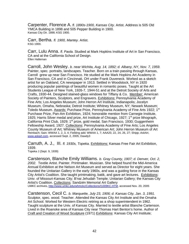Carpenter, Florence A. *fl. 1890s-1900, Kansas City.* Artist. Address is 505 Old YMCA Building in 1898 and 505 Pepper Building in 1900. Kansas City Dir. 1898; KSG 1900.

Carr, Bertha. *fl. 1900, Mantey.* Artist. KSG 1900.

Carr, Lulu Anna. *fl. Paola.* Studied at Mark Hopkins Institute of Art in San Francisco, CA and at the California School of Design. Ellen Halteman

Carroll, John Wesley. *b. near Wichita, Aug. 14, 1892; d. Albany, NY, Nov. 7, 1959.* Painter, spec. portraits, landscapes. Teacher. Born on a train passing through Kansas, Carroll grew up near San Francisco. He studied at the Mark Hopkins Art Academy in San Francisco, CA and in Cincinnati, OH under Frank Duveneck. Worked as a sketch artist for an Oakland, CA newspaper in 1913. Settled in Woodstock, NY in 1920 producing popular paintings of beautiful women in romantic poses. Taught at the Art Students League of New York, 1926-7, 1944-51 and at the Detroit Society of Arts and Crafts, 1930-44. Designed stained-glass windows for Tiffany & Co. Member: American Society of Painters, Sculptors, and Engravers. Exhibitions: Pennsylvania Academy of Fine Arts; Los Angeles Museum; John Herron Art Institute, Indianapolis; Jocelyn Museum, Omaha, Nebraska; Detroit Institute; Whitney Museum, NY; Newark Museum; Toledo Museum. Awards: Purchase Prize, Pennsylvania Academy of Fine Arts 1922; 1<sup>st</sup> Purchase Prize, Pan-Am Exhibition, 1924; honorable mention from Carnegie Institute, 1925; Harris Silver medal and prize, Art Institute of Chicago, 1927;  $1<sup>st</sup>$  prize lithograph, California Print Club, 1929; 1<sup>st</sup> prize, gold medal, San Francisco, 1930; Guggenheim Fellowship Award, 1927. Collections: Pennsylvania Academy of Fine Arts; Los Angeles County Museum of Art; Whitney Museum of American Art; John Herron Museum of Art Reinbach; Sain; WWAA 1, 2, 3, 4; Fielding add; WWAA 1, 7; AAA20, 22, 24, 26, 27; Shipp; *AskArt*, www.askart.com, accessed Sept. 2, 2005; Dawdy3

Carruth, A. J., III. *fl. 1930s, Topeka.* Exhibitions: Kansas Free Fair Art Exhibition, 1939.

Topeka J (Sept. 9, 1939)

Carstenson, Blanche Emily Williams. *b. Gray County, 1907; d. Denver, Oct. 2, 2002.* Textile Artist. Painter. Printmaker. Musician. She helped found the Mid-America Annual Exhibition at the Nelson Art Museum and served as Director for eight years. She founded the Unitarian Gallery in the early 1960s, and was a guiding force in the Kansas City Artist's Coalition. She taught printmaking, batik, and gave art lectures. Exhibitions: Univ. of Missouri-Kansas City; B'nai Jehudah Temple; Unitarian Gallery; the Kansas City Artist's Coalition. Collections: Sandzén Memorial Art Gallery UMKC archives, http://www.umkc.edu/whmckc/Collections/I1009KC.HTM, accessed Nov. 20, 2005

Carstenson, Cecil C. *b. Marquette, July 23, 1906; d. Kansas City, Jan. 3, 1991.*  Sculptor, spec. wood. Teacher. Attended the Kansas City Art Institute and the Omaha Art School. Worked for Western Electric retiring as a shop superintendent in 1962. Taught sculpture at the Univ. of Kansas City. Married to textile artist Blanche Cartenson. Lived in the Roanoke area of Kansas City near Thomas Hart Benton's home. Author of Craft and Creation of Wood Sculpture (1971) Exhibitions: Kansas City Art Institute;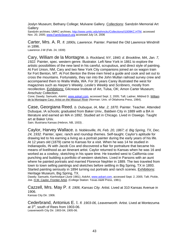Joslyn Museum; Bethany College; Mulvane Gallery. Collections: Sandzén Memorial Art **Gallery** 

Sandzén archives; UMKC archives, http://www.umkc.edu/whmckc/Collections/I1009KC.HTM, accessed Nov. 20, 2005; www.FamilySearch.org accessed July 14, 2006

Carter, Mrs. A. R. *fl. 1890s, Lawrence.* Painter. Painted the Old Lawrence Windmill in 1896.

Lawrence J-W (Feb. 24, 1939)

Cary, William de la Montagne. *b. Rockland, NY, 1840; d. Brookline, MA, Jan. 7, 1922.* Painter, spec. western genre. Illustrator. Left New York in 1861 to explore the artistic possibilities of the new land in his careful, scrupulous, and direct style of painting. At Fort Union, NM, Cary and two New York City companions joined an ox wagon train for Fort Benton, MT. At Fort Benton the three men hired a guide and cook and set out to cross the mountains. Fortunately, they ran into the John Mullan railroad survey crew and accompanied them to Walla Walla, WA. For 30 years Carey illustrated the west for magazines such as *Harper's Weekly, Leslie's Weekly* and *Scribners*, mostly from recollection. Exhibitions: Gilcrease Institute of Art, Tulsa, OK; Amon Carter Museum; Anschutz Collection.

Cone; Dawdy; Samuels; *AskArt*, www.askart.com, accessed Sept. 2, 2005; Taft; Ladner, Mildred D. William de la Montagne Cary: Artist on the Missouri River (Norman: Univ. of Oklahoma Press, 1984).

Case, Georgiana Reed. *b. Dubuque, IA, Mar. 2, 1870.* Painter. Teacher. Attended Dubuque, IA schools; graduated from Baker Univ., Baldwin City in 1889 with a BA in literature and earned an MA in 1892. Studied art in Chicago. Lived in Oswego. Taught art at Baker Univ.

Sain; Illustriana Kansas (Hebron, NB, 1933) .

Caylor, Harvey Wallace. *b. Noblesville, IN, Feb. 20, 1867; d. Big Spring, TX, Dec. 24, 1932.* Painter, spec. ranch and roundup themes. Self-taught. Caylor's aptitude for drawing led to his earning a living as a portrait painter during the early years of his life. At 12 years old (1879) came to Kansas for a visit. When he was 14 he studied in Indianapolis, IN with Jacob Cox and discovered a flair for portraiture that became his means of livelihood as an itinerant artist. Caylor returned to Kansas when he was 16 and worked as a cowboy, sketching in his spare time. He traveled west to California cow punching and building a portfolio of western sketches. Lived in Parsons with an aunt where he painted portraits and married Florence Nephler in 1889. The two traveled from town to town selling paintings and sketches before settling in Big Spring, TX in 1893. Started painting seriously in 1894 turning out portraits and ranch scenes. Exhibitions: Heritage Museum, Big Spring, TX.

Dawdy; Samuels; *Kanhistique* (June 1981); *AskArt*, www.askart.com, accessed Sept. 2, 2005; Taft; Pickle, Joe. H.W. Caylor, Frontier Artist. (College Station: Texas A&M Press, 1981).

Cazzell, Mrs. May P. *fl. 1906, Kansas City.* Artist. Lived at 310 Kansas Avenue in 1906.

Kansas City Dir. 1906.

Cederbrand, Antonius E. I. *fl. 1903-06, Leavenworth.* Artist. Lived at Montezuma at 3<sup>rd</sup>, south of Rees from 1903-06. Leavenworth City Dir. 1903-04, 1905-06.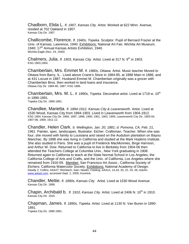Chadborn, Elida L. *fl. 1907, Kansas City.* Artist. Worked at 622 Minn. Avenue, resided at 702 Oakland in 1907. Kansas City Dir. 1907.

Challicombe, Florence. *fl. 1940s, Topeka.* Sculptor. Pupil of Bernard Frazier at the Univ. of Kansas, Lawrence, 1940. Exhibitions: National Art Fair; Wichita Art Museum, 1940: 17<sup>th</sup> Annual Kansas Artists Exhibition, 1940. Wichita Eagle (Nov. 24, 1940)

Chalmers, Julia. *fl. 1903, Kansas City.* Artist. Lived at 317 N. 9<sup>th</sup> in 1903. KSG 1903,1904.

Chamberlain, Mrs. Emmet M. *fl. 1980s, Ottawa.* Artist. Music teacher Moved to Ottawa from Barry, IL.. Lived above Crane's Store in 1884-85, at 1888 Main in 1886, and at 431 Locust in 1887. Husband Emmet M. Chamberlain originally was a grocer with Chamberlain Bros. then worked in land loans and insurance. Ottawa City Dir. 1884-85, 1887; KSG 1886.

Chamberlain, Mrs. M. L. *fl. 1890s, Topeka.* Decorative artist. Lived at 1719 w. 10<sup>th</sup> in 1890-1891.

Topeka City Dir. 1890-1891.

Chandlee, Marietta. *fl. 1894-1912, Kansas City & Leavenworth.* Artist. Lived at 1530 Wood, Kansas City from 1894-1903. Lived in Leavenworth from 1904-1912. KSG 1904; Kansas City Dir. 1894, 1897, 1898, 1900, 1901, 1903, 1905; Leavenworth City Dir. 1903-04, 1907-08, 1909, 1911-12.

Chandler, Helen Clark. *b. Wellington, Jan. 20, 1881; d. Pomona, CA, Feb. 21, 1961.* Painter, spec. landscapes. Illustrator. Etcher. Craftsman. Teacher. When she was four, she moved with family to Louisiana and raised on the Audubon plantation on Bayou Manchac. By 1898 she was living in California and studied at the Mark Hopkins Institute. She also studied in Paris. She was a pupil of Frederick MacMonnies, Birge Harrison, and Arthur W. Dow. Returned to California to live in Berkeley from 1904-06 then attended the Teachers College at Columbia Univ., New York graduating in 1908. Returned again to California to teach at the State Normal School in Los Angeles, the California College of Arts and Crafts, and the Univ. of California, Los Angeles where she remained from 1916-59. Member: San Francisco Art Assoc.; California Society of Etchers; California Watercolor Society. Exhibitions: National Academy of Design. Dawdy 2; Collins; AAA27; Reinbach; Sain; Newlin; Fielding; AAA12, 14,18, 20, 22, 24, 26; *AskArt*, www.askart.com, accessed Sept. 2, 2005; Kovinick.

Chandler, Mettie. *fl. 1890s, Kansas City.* Artist. Lived at 1530 Wood Avenue. Kansas City Dir. 1899.

Chapin, Archibald b. *fl. 1910, Kansas City.* Artist. Lived at 2406 N. 10<sup>th</sup> in 1910. Kansas City Dir. 1910.

Chapman, James. *fl. 1890s, Topeka.* Artist. Lived at 1130 N. Van Buren in 1890- 1891. Topeka City Dir. 1890-1891.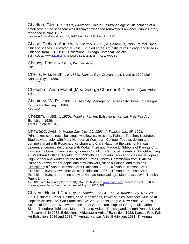Charlton, Glenn. *fl. 1930s, Lawrence.* Painter. Insurance agent. His painting of a small cove at the seashore was displayed when the renovated Lawrence Public Library reopened in Nov. 1937. Lawrence Journal World (Nov. 17, 1937; Nov. 18, 1937; Dec. 11, 1937).

Chase, Richard Andrew. *b. Columbus, 1892; d. Columbus, 1985.* Painter, spec. Chicago scenes. Illustrator. Muralist. Studied at the Art Institute of Chicago and lived in Chicago from 1918-1981. Collections: Chicago Historical Society. Sain; *AskArt*, www.askart.com, accessed Sept. 2, 2005; TPL; WWAA '82

Chasey, Frank. *fl. 1940s, Wichita.* Artist. Sain.

Chellis, Miss Ruth I. *fl. 1880s, Kansas City.* Crayon artist. Lived at 1120 Main, Kansas City in 1886. KSG 1886.

Chesebro, Anna Moffet (Mrs. George Chesebro). *fl. 1940s, Clyde.* Artist. Sain.

Chestney, W. R. *fl.1904, Kansas City.* Manager of Kansas City Bureau of Designs, 426 Beals Building in 1904. KSG 1904.

Chezem, Russ. *fl. 1930s, Topeka.* Painter. Exhibitions: Kansas Free Fair Art Exhibition, 1936. Topeka J (Sept. 9, 1936).

Chitwood, Avis. *b. Mound City, Dec. 29, 1893; d. Topeka, Jan. 25, 1994.*  Printmaker, spec. rustic buildings, wildflowers, missions. Painter. Teacher. Illustrator. Studied watercolor with Mary Huntoon at Washburn College, Topeka; design and commercial art with Rosemary Ketcham and Clara Hatton at the Univ. of Kansas, Lawrence; ceramic decoration with Walter Titze and Madge L. Gibbons of Kansas City. Illustrated a book of fairy tales by Louisa Cook Don Carlos, of Lawrence. Taught etching at Washburn College, Topeka from 1931-36. Taught adult education classes at Topeka High School and worked for the Kansas State Highway Commission from 1948-74. Primarily known for her depictions of wildflowers, rustic buildings, and missions. Exhibitions:  $8<sup>th</sup>$  Annual Kansas Artist Exhibition, 1932; 10<sup>th</sup> Annual Kansas Artist Exhibition, 1934; Midwestern Artists' Exhibition, 1936; 14<sup>th</sup> Annual Kansas Artist Exhibition, 1938; one-person show at Kansas State College, Manhattan, 1944; Topeka Public Library.

A&C KS; Sain; Topeka J (Nov.10, 1934); MAE 1936; *AskArt*, www.askart.com, accessed Sept. 2, 2005; Kovinick; www.FamilySearch.org accessed July 14, 2006; TPL.

Chivers, Herbert Chelsey. *b. Topeka, Feb 24, 1902; d. Kansas City, Nov. 29, 1991.* Sculptor. Etcher. Painter, spec. landscapes, flower studies. Architect. Studied at Hopkins Art Institute, San Francisco, CA; Art Students League, New York; St. Louis School of Fine Arts; Wentworth Institute of Art, Boston. Pupil of George Luks; John Sloan; Theodore Robinson; Mahonri Young; Voitech Preissig and Joseph Pennell. Lived in Tecumseh in 1932. Exhibitions: Midwestern Artists' Exhibition, 1922; Kansas Free Fair Art Exhibition, 1936 and 1938;  $7<sup>th</sup>$  Annual Kansas Artist Exhibition, 1931;  $8<sup>th</sup>$  Annual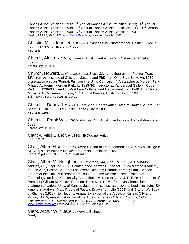Kansas Artist Exhibition, 1932; 9<sup>th</sup> Annual Kansas Artist Exhibition, 1933; 14<sup>th</sup> Annual Kansas Artist Exhibition, 1938; 15<sup>th</sup> Annual Kansas Artists Exhibition, 1939; 16<sup>th</sup> Annual Kansas Artist Exhibition, 1940; 17<sup>th</sup> Annual Kansas Artist Exhibition, 1941. Newlin; AAA 26; MAE 1922; www.FamilySearch.org accessed July 14, 2006.

Christie, Miss Jeannette. *fl.1880s, Kansas City.* Photographer. Painter. Lived in room 7, 819 Main, Kansas City in 1886. KSG 1886.

Church, Alena. *fl. 1890s, Topeka.* Artist. Lived at 622 W. 8<sup>th</sup> Avenue, Topeka in 1896-7. Topeka City Dir. 1896-87.

Church, Howard. *b. Nebraska, near Sioux City, IA.* Lithographer. Painter. Teacher. BFA from Art Institute of Chicago; Masters and PhD from Ohio State Univ. His 1939 dissertation was on "Portrait Painting in a Univ. Curriculum." Art teacher at Morgan Park Military Academy, Morgan Park, IL, 1933-36; instructor at Vanderpoel Gallery, Ridge Park, IL, 1936-38. Head of Washburn College's Art Department from 1940. Exhibitions: Mulvane Art Museum, Topeka; 17<sup>th</sup> Annual Kansas Artists Exhibition, 1941. Sain; Newlin; Topeka J (Aug. 23, 1940).

Churchill, Daney J. *fl. 1880s, Fort Scott.* Portrait artist. Lived at Market Square, Fort Scott [D.J.] in 1886; 209 E. 19<sup>th</sup>, Kansas City in 1891. KSG 1886, 1891.

Churchill, Frank W. *fl. 1890s, Kansas City.* Artist. Lived at 29 ½ Central Avenue in 1895. Kansas City Dir. 1895.

Clancy, Miss Elanor. *fl. 1880s, El Dorado.* Artist. KSG 1888-89.

Clark, Alfred H. *fl. 1920s, St. Mary's.* Head of art department at St. Mary's College in St. Mary's. Exhibitions: Midwestern Artists' Exhibition, 1922 AAA19; Topeka Cap (Feb. 2, 1922); MAE 1922.

Clark, Alfred M. Houghton. *b. Lawrence, MA, Dec. 10, 1868; d. Colorado Springs, CO, Sept. 27, 1936.* Painter, spec. portraits. Teacher. Studied at the Academy of Fine Arts, Boston, MA. Pupil of Joseph Decamp; Edmund Tarbell; Frank Benson. Taught at the Univ. of Kansas from 1893-1900; the Massachusetts Institute of Technology, and the Kansas City Art Institute. Married to Mary M. P. Painted portraits of President William McKinley, Theodore Roosevelt, Univ. of Kansas Chancellors and chairmen of various Univ. of Kansas departments. Illustrated several books including Six American Authors: Plate Proofs of Pastels Drawn from Life **(**1902) and Grandma's Book of Rhymes (1925). Exhibitions: Annual Exhibition of the Artists of Kansas City and Vicinity, 1915; Annual Exhibition of the Artists of Kansas City and Vicinity, 1917 Sain; Newlin; AAA14; Lawrence City Dir. 1898; KSG 94; Annual Exh. KCAI 1915, 1917; www.FamilySearch.org accessed July 14, 2006; KU Archives File.

Clark, Arthur W. *fl. 1919, Lawrence.* Etcher. Dawdy3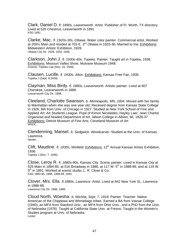Clark, Daniel D. *fl. 1890s, Leavenworth.* Artist. Publisher of Ft. Worth, TX directory. Lived at 526 Chestnut, Leavenworth in 1891. KSG 1891.

Clarke, Mac. *fl. 1920s-30s, Ottawa.* Water color painter. Commercial artist. Worked at 209 $\frac{1}{2}$  Main and resided at 703 E. 3<sup>rd,</sup> Ottawa in 1933-36. Married to Ina. Exhibitions: Midwestern Artists' Exhibition, 1928. Ottawa City Dir. 1928, 1933, 1936.

Clarkson, John J. *fl. 1930s-40s, Topeka.* Painter. Taught art in Topeka, 1938. Exhibitions: Missouri Valley Show, Mulvane Museum 1948. Greene; Topeka Cap (Nov. 10, 1948)

Clausen, Lucille. *fl. 1930s, Alton.* Exhibitions: Kansas Free Fair, 1939. Topeka J (Sept. 9,1939).

Clayman, Miss Birdy. *fl. 1880s, Leavenworth.* Artistic painter. Lived at 607 Cherokee, Leavenworth in 1888. Leavenworth City Dir. 1888.

Cleeland, Charlotte Swanson. *b. Minneapolis, MN, 1904.* Moved with her family to Manhattan when she was one year old. Received degree from Kansas State College in 1926; MA from Univ. of Chicago in 1927. Studied at New York School of Fine and Applied Art; Art Students League. Pupil of Kimon Nicolaides; Hayley Laer; Jean Charlot. Organized and headed Department of Art, Albion College in Albion, MI, 1928-37. Exhibitions: Detroit Museum of Fine Arts; Cleveland Museum of Art WKDC.

Clendenning, Mansel. *b. Sedgwick.* Woodcarver. Studied at the Univ. of Kansas, Lawrence. Newlin.

Clift, Maudine. *fl. 1930s, Winfield.* Exhibitions: 12<sup>th</sup> Annual Kansas Artists Exhibition, 1936.

Topeka J (Nov. 7, 1936)

Close, Leroy R. *fl. 1880s-90s, Kansas City.* Scenic painter. Lived in Kansas City at 525 Main in 1884-85, at 516 Broadway in 1886, at 117 W,  $5<sup>th</sup>$  in 1888-89, and at 119 W. 5<sup>th</sup> in 1891. Worked at scenic studio, L. R. Close & Co. KSG 1884-85, 1886, 1888-89, 1891.

Clover, Mrs. Ella. *fl.1880s, Lawrence.* Artist. Lived at 842 New York St., Lawrence in 1888-89. Lawrence City Dir. 1886, 1888.

Cloud North, Woesha. *b. Wichita, Sept. 7, 1918.* Painter. Teacher. Native American of the Chippewa and Winnebago tribes. Earned a BA from Vassar College (1940), an MFA from Stanford Univ., an MFA from Ohio Univ., and a PhD from the Univ. of Nebraska (1978). Taught at California State Univ. at Fresno. Taught in the Women's Studies program at Univ. of Nebraska. Lester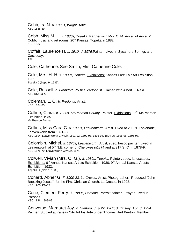Cobb, Ira N. *fl. 1880s, Wright.* Artist. KSG 1888-89.

Cobb, Miss M. L. *fl. 1880s, Topeka.* Partner with Mrs. C. M. Ancell of Ancell & Cobb, music and art rooms, 207 Kansas, Topeka in 1882. KSG 1882.

Coffelt, Laurence H. *b. 1910; d. 1976.*Painter. Lived in Sycamore Springs and Cassoday. TPL

Cole, Catherine. See Smith, Mrs. Catherine Cole.

Cole, Mrs. H. H. *fl. 1930s, Topeka.* Exhibitions: Kansas Free Fair Art Exhibition, 1939. Topeka J (Sept. 9, 1939).

Cole, Russell. *b. Frankfort.* Political cartoonist. Trained with Albert T. Reid. A&C KS; Sain.

Coleman, L. O. *b. Fredonia.* Artist. KSG 1884-85.

Colline, Clara. *fl. 1930s, McPherson County. Painter. Exhibitions:* 25<sup>th</sup> McPherson Exhibition 1935 McPherson Annual

Collins, Miss Cara C. *fl. 1890s, Leavenworth.* Artist. Lived at 203 N. Esplanade, Leavenworth from 1891-97. KSG 1894; Leavenworth City Dir. 1891-92, 1892-93, 1893-94, 1894-95, 1895-96, 1896-97.

Colombin, Michel. *fl. 1870s, Leavenworth.* Artist, spec. fresco painter. Lived in Leavenworth at  $5<sup>th</sup>$  N.E. corner of Cherokee in 1874 and at 317 S.  $5<sup>th</sup>$  in 1878-9. KSG 1878-79; Leavenworth City Dir. 1874.

Colwell, Vivian (Mrs. O. G.). *fl. 1930s, Topeka.* Painter, spec. landscapes. Exhibitions:  $6<sup>th</sup>$  Annual Kansas Artists Exhibition, 1930;  $9<sup>th</sup>$  Annual Kansas Artists Exhibition, 1933. Topeka. J (Nov. 1, 1930).

Conard, Abner G. *fl. 1900-23, La Crosse.* Artist. Photographer. Produced "John Baptizing Jesus," for the First Christian Church, La Crosse, in 1923. KSG 1900; KMCS.

Cone, Clement Perry. *fl. 1880s, Parsons.* Portrait painter. Lawyer. Lived in Parsons. KSG 1886, 1888-89.

Converse, Margaret Joy. *b. Stafford, July 22, 1902; d. Kinsley, Apr. 8, 1994.* Painter. Studied at Kansas City Art Institute under Thomas Hart Benton. Member: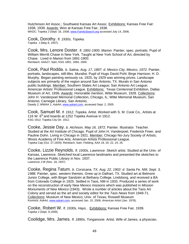Hutchinson Art Assoc.; Southwest Kansas Art Assoc. Exhibitions: Kansas Free Fair: 1938, 1939. Awards: Won at Kansas Free Fair, 1938. WKDC; Topeka J (Sept. 16, 1938; www.FamilySearch.org accessed July 14, 2006.

Cook, Dorothy. *fl. 1930s, Topeka.* Topeka J (May 8, 1937).

Cook, Mrs. Lenore Doster. *fl. 1891-1900, Marion.* Painter, spec. portraits. Pupil of William Merritt Chase in New York. Taught at New York School of Art, directed by Chase. Lived in Marion from 1891-1900. Reinbach; AAA27; Sain; KSG 1891, 1894, 1900.

Cook, Paul Rodda. *b. Salina, Aug. 17, 1897; d. Mexico City, Mexico, 1972.* Painter, portraits, landscapes, still-lifes. Muralist. Pupil of Hugo David Pohl; Birge Harrison; H. D. Murphy. Began painting seriously ca. 1925, by 1929 was winning prizes. Landscape subjects are primarily of the region around San Antonio, TX. Murals in San Antonio public buildings. Member: Southern States Art League; San Antonio Art League; American Artists' Professional League. Exhibitions: Texas Centennial Exhibition, Dallas Museum of Art, 1936. Awards: Honorable mention, Witte Museum, 1928. Collections: John H. Vanderpoel Memorial Collection, Chicago, IL; Witte Memorial Museum, San Antonio; Carnegie Library, San Antonio.

Dawdy 2; WWAA 1; *AskArt*, www.askart.com, accessed Sept. 2, 2005

Cook, Samuel M. *fl. 1912, Topeka.* Artist. Worked with S. M. Cook Co., Artists at 116 W. 6<sup>th</sup> and boards at 1252 Topeka Avenue in 1912. KSG 1912; Topeka City Dir. 1912.

Cooke, Jessie Day. *b. Atchison, May 16, 1872.* Painter. Illustrator. Teacher. Studied at the Art Institute of Chicago. Pupil of John H. Vanderpoel, Frederick Freer, and Pauline Dohn. Living in Chicago in 1921. Member: Chicago No-Jury Society of Artists; Illinois Academy of Fine Arts; American Artists Professional League. Topeka Cap (Oct. 27,1929); Reinbach; Sain; Fielding; AAA 18, 20, 22, 24, 26.

Cooke, Lizzie Reynolds. *fl. 1930s, Lawrence.* Sketch artist. Studied at the Univ. of Kansas, Lawrence. Sketched local Lawrence landmarks and presented the sketches to the Lawrence Public Library in Nov. 1937. Lawrence J-W (Nov. 18, 1937)

Cooke, Regina Tatum. *b. Corsicana, TX, Aug. 22, 1902; d. Santa Fe, NM, Sept. 3, 1988.* Painter, spec. western themes. Grew up in Dalhart, TX. Studied art at Belmont Junior College, with Birger Sandzén at Bethany College, Lindsborg, and received a BA from Colorado College in 1925. Settled in Taos, NM in 1933. Produced a series of work on the reconstruction of early New Mexico missions which was published in *Mission Monuments of New Mexico* (1943). Wrote a number of articles about the Taos Art Colony and served as the art and society editor for the *Taos News* from 1949-71. Collections: Museum of New Mexico; Univ. of Texas; Roswell Museum Kovinick; *AskArt*, www.askart.com, accessed Jan. 15, 2006; *American Artist* (Jan. 1978).

Cooke, Robert W. *fl. 1930s, Hays, .* Exhibitions: Kansas Free Fair, 1939. Topeka J (Sept. 9,1939).

Coolidge, Mrs. James. *fl. 1890s, Tonganoxie.* Artist. Wife of James, a physician.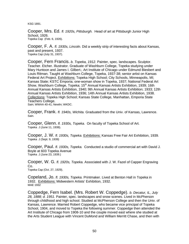KSG 1891.

Cooper, Mrs. Ed. *fl. 1920s, Pittsburgh.* Head of art at Pittsburgh Junior High School, 1926. Topeka Cap (Feb. 6, 1926).

Cooper, F. A. *fl. 1930s, Lincoln.* Did a weekly strip of interesting facts about Kansas, past and present, 1937. Topeka Cap (July 31, 1937).

Cooper, Fern Francis. *b. Topeka, 1912.* Painter, spec. landscapes. Sculptor. Teacher. Etcher. Illustrator. Graduate of Washburn College, Topeka studying under Mary Huntoon and James I. Gilbert.; Art Institute of Chicago under Edmund Biesbert and Louis Ritman. Taught at Washburn College, Topeka, 1937-38; senior artist on Kansas Federal Art Project. Exhibitions: Topeka High School; City Schools, Minneapolis, MI; Kansas State; KSTC Emporia; one-woman show in Topeka, 1937; National Federal Art Show, Washburn College, Topeka; 15<sup>th</sup> Annual Kansas Artists Exhibition, 1939; 16th Annual Kansas Artists Exhibition, 1940; 9th Annual Kansas Artists Exhibition; 1933; 12th Annual Kansas Artists Exhibition, 1936; 14th Annual Kansas Artists Exhibition, 1938. Collections: Topeka High School; Kansas State College, Manhattan, Emporia State Teachers College.

Sain; WWAA 40-41; Newlin; WKDC.

Cooper, Frank. *fl. 1940s, Wichita.* Graduated from the Univ. of Kansas, Lawrence. Sain.

Cooper, Glenn. *fl. 1930s, Topeka.* On faculty of Topeka School of Art. Topeka J (June 11, 1938).

Cooper, J. W. *fl. 1930s, Topeka.* Exhibitions: Kansas Free Fair Art Exhibition, 1939. Topeka J (Sept. 9, 1939)

Cooper, Paul. *fl. 1930s, Topeka.* Conducted a studio of commercial art with David J. Boyle at 603 Topeka Avenue Topeka J (June 23, 1939.)

Cooper, W. G. *fl. 1920s, Topeka.* Associated with J. W. Fazel of Capper Engraving Co.

Topeka Cap (Oct. 27, 1929).

Copeland, Jo. *fl. 1930s, Topeka.* Printmaker. Lived at Benton Hall in Topeka in 1932. Exhibitions: Midwestern Artists' Exhibition, 1932. MAE 1932

Coppedge, Fern Isabel. (Mrs. Robert W. Coppedge). *b. Decatur, IL, July 28, 1888; d. 1951.* Painter, spec. landscapes and snow scenes. Lived in McPherson through childhood and high school. Studied at McPherson College and then the Univ. of Kansas, Lawrence. Married Robert Coppedge, who became vice principal of Topeka School, 1904, and moved to Topeka the following summer. Coppedge then attended the Art Institute of Chicago from 1908-10 and the couple moved east where she studied at the Arts Student League with Vincent DuMond and William Merritt Chase, and then with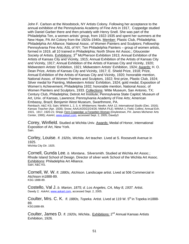John F. Carlson at the Woodstock, NY Artists Colony. Following her acceptance to the annual exhibition of the Pennsylvania Academy of Fine Arts in 1917, Coppedge studied with Daniel Garber there and then privately with Henry Snell. She was part of the Philadelphia Ten, a women artists' group, from 1922-1935 and spent her summers at the New Hope, PA Art Colony from the 1920s-1940s. Member: Plastic Club, Philadelphia; Philadelphia Art Alliance; National Assoc. of Women Painters and Sculptors; Fellowship Pennsylvania Fine Arts; ASL of NY; Ten Philadelphia Painters – group of women artists, formed in 1919, all 10 trained in Philadelphia; North Shore Art Assoc.; Gloucester Society of Artists. Exhibitions: 3<sup>rd</sup> McPherson Exhibition 1913; Annual Exhibition of the Artists of Kansas City and Vicinity, 1915; Annual Exhibition of the Artists of Kansas City and Vicinity, 1917; Annual Exhibition of the Artists of Kansas City and Vicinity, 1920; Midwestern Artists' Exhibition, 1921; Midwestern Artists' Exhibition, 1924; Awards: H. O. Dean Prize, Artists of Kansas City and Vicinity, 1917; E. Shield Prize, 1918; Prize, Annual Exhibition of the Artists of Kansas City and Vicinity, 1920; honorable mention, National Assoc. of Women Painters and Sculptors, 1922; first prize, Plastic Club, 1924; Silver medal for Painting, Midwestern Artists' Exhibition, 1924; gold medal, Exposition of Women's Achievement, Philadelphia 1932; honorable mention, National Assoc. of Women Painters and Sculptors, 1933. Collections: Witte Museum, San Antonio, TX; Century Club, Philadelphia; Detroit Art Institute; Pennsylvania State Capitol; Museum of Art, Univ. of Kansas, Lawrence; Pennsylvania Academy of Fine Arts; American Embassy, Brazil; Benjamin West Museum, Swarthmore, PA. Reinbach; A&C KS; Sain; WWAA 1, 2, 3, 4; Whittemore; Newlin; AAA 12; *International Studio* (Dec. 1916); *Kansas Teacher* (Apr. 1928); Snow; AAA14/20/22/24/26; NMAA FILE; WWAA 1; Field; Collins; Annual Exh.

1915, 1917, 1920-21; Shipp; Fern Coppedge: a Forgotten Woman (Doylestown, PA: James Michener Arts Center, 1990); *AskArt*, www.askart.com, accessed Sept. 2, 2005; Dawdy3

Corey, Winfield. Studied at Wichita Univ. Awards: Medal of Honor, International Exposition of Art, New York. Sain.

Corley, Louise. *fl. 1920s, Wichita.* Art teacher. Lived at S. Roosevelt Avenue in 1925.

Wichita City Dir. 1925.

Cornell, Gunda Lee. *b. Montana..* Silversmith. Studied at Wichita Art Assoc.; Rhode Island School of Design. Director of silver work School of the Wichita Art Assoc. Exhibitions: Philadelphia Art Alliance. Sain; A&C KS.

Cornell, W. W. *fl. 1880s, Atchison.* Landscape artist. Lived at 506 Commercial in Atchison in1888-89. KSG 1888-89.

Costello, Val J. *b. Marion, 1875; d. Los Angeles, CA, May 8, 1937.* Artist. Dawdy 2*; AskArt*, www.askart.com, accessed Sept. 2, 2005.

Coulter, Mrs. C. K. *fl. 1880s, Topeka.* Artist. Lived at 119 W. 5<sup>th</sup> in Topeka in1888-89. KSG1888-89.

Coulter, James D. *fl. 1920s, Wichita..* Exhibitions: 2nd Annual Kansas Artists Exhibition, 1926.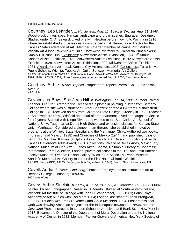Topeka Cap. (Nov. 10, 1926)

Courtney, Leo Leander. *b. Hutchinson, Aug. 11, 1890; d. Wichita, Aug. 11, 1940.* Wood-block printer, spec. Kansas landscape and urban scenes. Engraver. Designer. Studied under C. A. Seward. Lived briefly in Newton before moving to Wichita in 1918 where he established a business as a commercial artist. Served as a director for the Kansas State Federation of Art. Member: Charter Member of Prairie Print Makers; Wichita Art Assoc.; Wichita Art Guild; Northwest Printmakers; California Print Makers; Smoky Hill Print Club. Exhibitions: Midwestern Artists' Exhibition, 1924; 1<sup>st</sup> Annual Kansas Artists Exhibition, 1925; Midwestern Artists' Exhibition, 1926; Midwestern Artists' Exhibition, 1928. Midwestern Artists' Exhibition, 1929; Midwestern Artists' Exhibition, 1931. Awards: bronze medal, Kansas City Art Institute, 1928. Collections:; Tulsa Univ.; Public Schools, Wichita; Topeka Art Guild; Sandzén Memorial Art Gallery AAA27; Reinbach; Sain; WWAA 1, 2, 3; Newlin; Cone; AAA24; WWWAA1; AAA22, 26; Dawdy 2; MAE 1924, 1926, 1928-29, 1931; *AskArt*, www.askart.com, accessed Sept. 2, 2005; Sandzén archives.

Courtney, S. L. *fl. 1890s, Topeka.* Proprietor of Topeka Portrait Co., 527 Kansas Avenue KSG 1894.

Covacevich-Boys, Sue Jean Hill. *b. Wellington, Feb. 14, 1905; d. 1998.* Painter. Teacher. Lecturer. Art therapist. Received a diploma in painting in 1927 from Bethany College where she was a student of Birger Sandzén; earned a BA from Southwestern College in 1945; received an MA from Colorado State College, Greeley in 1950. Teacher at Southwestern Univ., Winfield and head of art department. Lived and taught in Mexico for 12 years. Studied with Diego Rivera and worked at the San Carlos Art School of National Univ. Taught art at Derby High School and extension classes for Kansas State Univ., Manhattan. Considered a pioneer in art therapy, she established innovative programs at the Winfield State Hospital and the Menninger Clinic. Authored two books, Impressions of Mexico (1938) and Churches of Mexico (1944), and published folios of her prints. Member: Kansas Sculptor's Assoc.; Wichita Art Assoc. Exhibitions: Awards: Kansas Governor's Artist Award, 1981. Collections: Palace of Bellas Artes, Mexico City; National Museum of Fine Arts, Buenos Aires; Bogotá, Columbia; Library of Congress; International Print Collection, London; private collections in the U.S. and Latin America; Jocelyn Museum, Omaha; Nelson Gallery; Wichita Art Assoc.; Mulvane Museum; Sandzén Memorial Art Gallery mural for the First National Bank, Winfield. A&C KS; Sain; WKDC; AAUW; Belden; Wichita Eagle (Nov. 2, 1947); Beach; Sandzén archives; TPL

Covell, Addie. *fl. 1890s, Lindsborg.* Teacher. Employed as an instructor in art at Bethany College, Lindsborg, 1893-94. 100 Years of Art

Covey, Arthur Sinclair. *b. Leroy, IL, June 13, 1877; d. Torrington, CT., 1960.* Mural painter. Etcher. Lithographer. Raised in El Dorado. Studied at Southwestern College, Winfield; Art Institute of Chicago with John H. Vanderpoel, 1899-1903; Paris; Royal Academy of Art; Munich with Karl Marr, 1904; London, assistant to Frank Brangwyn, 1905-08. Studied with Frank Duveneck and Garie Melchers, 1904. First professional work was drawing American subjects for the Indianapolis newspaper, *News,* and the *Cleveland Press*. Instructed in London School of Art. Lived at 5 Bank St. in New York in 1917. Became the Director of the Department of Mural Decoration under the National Academy of Design in 1932. Member: Painter-Gravers of America; New York Society of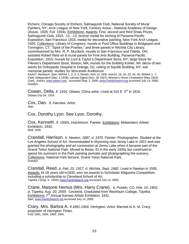Etchers; Chicago Society of Etchers; Salmagundi Club; National Society of Mural Painters, NY; Arch League of New York; Century Assoc.; National Academy of Design (Assoc. 1929, Full 1934). Exhibitions: Awards: First, second and third Shaw Prizes, Salmagundi Club, 1910, -11, -12; bronze medal for etching of Panama-Pacific Exposition, San Francisco 1915; medal for decorative painting, New York Arch League, 1925. Collections: Library of Congress; murals in Post Office Buildings in Bridgeport and Torrington, CT; "Spirit of the Prairies," and three panels in Wichita City Library, commissioned by Mrs. R. P. Murdock; murals in San Francisco and Toledo, OH; assisted Robert Reid on 8 mural panels for Fine Arts Building, Panama-Pacific Exposition, 1915; murals for Lord & Taylor's Department Store, NY; large frieze for Filenes's Department Store, Boston, MA; murals for the building Kohler, WI; décor of two wards for Orthopedic Hospital in Orange, NJ; ceiling of Squibb Building, NY; war memorial panels; studies for Worcester Auditorium.

AAA27; Reinbach; Sain; WWAA 1, 2, 3, 4; Newlin; AAA 12; AFB; AAA14, 18, 20, 22, 24, 26; WWAA 1, 7; Field; *Independent* (Mar. 3 1928); *Literary Digest* (Nov. 26 1927); *Woman's Home Companion (*May 1916); Clark; *AskArt*, www.askart.com, accessed Sept. 2, 2005; www.FamilySearch.org accessed July 14, 2006; Dawdy3.

Cowan, Della. *fl. 1916, Ottawa.* China artist. Lived at 315 E. 5<sup>th</sup> in 1916. Ottawa City Dir. 1916.

Cox, Dan. *fl. Fairview.* Artist. Sain.

Cox, Dorothy Lyon. See Lyon, Dorothy.

Cox, Kenneth. *fl. 1930s, Hutchinson.* Painter. Exhibitions: Midwestern Artists' Exhibition, 1930. MAE 1930

Crandall, Harrison. *b. Newton, 1887; d. 1970.* Painter. Photographer. Studied at the Los Angeles School of Art. Homesteaded in Wyoming near Jenny Lake in 1921 and was granted the photography and art concession at Jenny Lake when it became part of the Grand Teton National Park. Moved to Boise, ID in the early 1930s but continued to spend his summers in the Park painting portraits and photographing the scenery. Collections: National Park Service, Grand Teton National Park. Dawdy3

Crandall, Reed. *b. Feb. 22, 1917; d. Wichita, Sept. 1982.* Lived in Newton in 1935*.*  Awards: At 18 years old in1935, won six awards in Scholastic Magazine Competition, including a scholarship to Cleveland School of Art. Topeka J (Aug. 3, 1935); www.FamilySearch.org accessed July 14, 2006.

Crane, Marjorie Hemus (Mrs. Harry Crane). *b. Pueblo, CO, Feb. 14, 1902; d. Topeka, Aug. 20, 2000.* Ceramist. Graduated from Washburn College, Topeka. Exhibitions: 7<sup>th</sup> Annual Kansas Artists Exhibition, 1931. Sain; www.FamilySearch.org accessed July 14, 2006.

Crary, Mrs. Barbra A. *fl.1891-1904, Herington.* Artist. Married to A. M. Crary, proprietor of *Herington Times*. KSG 1891, 1894, 1900, 1904.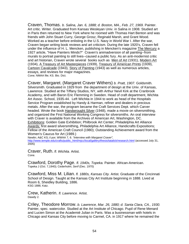Craven, Thomas. *b. Salina, Jan. 6, 1888; d. Boston, MA., Feb. 27, 1969.* Painter. Art critic. Writer. Graduated from Kansas Wesleyan Univ. in Salina in 1908. Studied art in Paris then returned to New York where he roomed with Thomas Hart Benton and was friends with John Stuart Curry, George Grosz, Reginald Marsh, and Grant Wood. Worked as a teacher before enlisting in the U.S. Navy in World War I. After the war, Craven began writing book reviews and art criticism. During the late 1920's, Craven fell under the influence of H. L. Mencken, publishing in Mencken's magazine The Mercury a 1927 article, "Have Painters Minds?" Craven's animadversion of all painting--from murals to portrait painting to still lives--caused a public fury. As an anti-modernist critic and art historian, Craven wrote several books such as Men of Art (1931), Modern Art (1934), A Treasury of Art Masterpieces (1939), Treasury of American Prints (1939), Cartoon Cavalcade (1943), Story of Painting (1943) as well as numerous articles, essays, and reviews for major magazines. Cone; NMAA file; KS. Bio. Dict.

Craver, Margaret. (Margaret Craver Withers) *b. Pratt, 1907.* Goldsmith. Silversmith. Graduated in 1929 from the department of design at the Univ. of Kansas, Lawrence. Studied at the Tiffany Studios, NY, with Arthur Nevil Kirk at the Cranbrook Academy, and with Baron Eric Flemming in Sweden. Head of craft department, Wichita Art Assoc. School, 1935-44. Left Wichita in 1944 to work as head of the Hospitals Service Program established by Handy & Harman, refiner and dealers in precious metals. After the war, the program became the Craft Services Dept. which Carver headed. Wrote the book Handwrought Silver (1948), made a movie on silversmithing, and organized the First National Working Congress for silversmiths. An oral interview with Craver is available from the Archives of American Art, Washington, DC. Exhibitions: Golden Gate Exhibition; Philbrook Art Center; Philadelphia Art Alliance Awards: first award silversmithing, Philadelphia Art Alliance, Handicrafts Expositions; Fellow of the American Craft Council (1980); Outstanding Achievement award from the Women's Caucus for Art (1989.)

Newlin; A&C KS; il por; WWAA 7, 6. *"Interview with Margaret Craver",* http://www.temple.edu/crafts/public\_html/mjcc/local/gallery/thesis/tatalick/research.html (accessed July 31, 2005)

Craver, Ruth. *fl. Wichita.* Artist. Cone.

Crawford, Dorothy Page. *fl. 1940s, Topeka.* Painter. African-American. Topeka J (Oct. 7,1940); Cederholm; *Serif* (Dec. 1970)

Crawford, Miss M. Lilian. *fl. 1880s, Kansas City.* Artist. Graduate of the Cincinnati School of Design. Taught at the Kansas City Art Institute beginning in 1888. Lived at Room 6, Sheidley Building, 1886. KSG 1886; Katz.

Crew, Katherin. *fl. Lawrence.* Artist. Dawdy 2.

Criley, Theodore Morrow. *b. Lawrence, Mar. 26, 1880; d. Santa Clara, CA., 1930.* Painter, spec. watercolor. Studied at the Art Institute of Chicago. Pupil of Rene Menard and Lucien Simon at the Academié Julian in Paris. Was a businessman with hotels in Chicago and Kansas City before moving to Carmel, CA. in 1917 where he remained the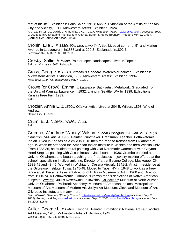rest of his life. Exhibitions: Paris Salon, 1913; Annual Exhibition of the Artists of Kansas City and Vicinity, 1917; Midwestern Artists' Exhibition, 1924. AAA 12, 14, 18, 20; Dawdy 2; Annual Exh. KCAI 1917; MAE 1924; *AskArt*, www.askart.com, accessed Sept. 2, 2005; John O'Shea and Friends: John O'Shea, Burton Shepard Boundry, Theodore Morrow Criley. (Carmel, CA: Carmel Art Assoc., 1993).

Cronin, Ella J. *fl. 1880s-90s, Leavenworth.* Artist. Lived at corner of 5th and Marion Avenue in Leavenworth in1888 and at 200 S. Esplanade in1892-3. Leavenworth City Dir. 1888, 1892-93

Crosby, Sallie. *b. Maine.* Painter, spec. landscapes. Lived in Topeka. Sain; *Art & Artists* (1907); Reinbach.

Cross, George. *fl. 1930s, Wichita & Goddard.* Watercolor painter. Exhibitions: Midwestern Artists' Exhibition, 1932; Midwestern Artists' Exhibition, 1934. MAE 1932, 1934; *KS Industrialist (* May 4, 1932).

Crowe (or Crow), Emma. *fl. Lawrence.* Batik artist. Metalwork. Graduated from the Univ. of Kansas, Lawrence in 1932. Living in Seattle, WA by 1939. Exhibitions: Kansas Free Fair, 1939. Sain.

Crozier, Annie E. *fl. 1890s, Ottawa.* Artist. Lived at 204 E. Wilson, 1898. Wife of Andrew.

Ottawa City Dir. 1898.

Crum, E. J. *fl. 1940s, Wichita.* Artist. Sain.

Crumbo, Woodrow "Woody" Wilson. *b. near Lexington, OK, Jan. 21, 1912; d. Cimarron, NM, Apr. 4, 1989.* Painter. Printmaker. Craftsman. Teacher. Pottawatomie Indian. Lived in Kansas as a child in 1916 then returned to Kansas from Oklahoma at age 19 when he attended the American Indian Institute in Wichita and then Wichita Univ. From 1933-36, he studied mural painting with Olaf Nordmark; watercolor with Clayton Henri Staples; painting with Oscar Brousse Jacobson. In 1936, Crumbo enrolled at the Univ. of Oklahoma and began teaching the first classes in jewelry making offered at the school, specializing in silversmithing. Director of art at Bacone College, Muskogee, OK 1938-41 and 43-45. Worked in Wichita for Cessna Aircraft, 1941-2. Artist in residence at the Gilcrease Institute, Tulsa, 1945-48. Moved to Taos, NM in 1948 to work as a freelance artist. Became Assistant director of El Paso Museum of Art in 1960 and Director from 1968-74. A Pottawatomie, Crumbo is known for his depictions of Native American subjects. Awards: Julius Rosenwald Fellowship. Collections: Museum of North Arizona; Univ. of Oklahoma; Philbrook Academy; Museum of American Indians; Metropolitan Museum of Art; Museum of Modern Art; Joslyn Art Museum; Cleveland Museum of Art; Gilcrease Institute; and many more.

Sain; WWAA3; Samuels. *"Woody Crumbo*", http://www.frisk.ws/WoodyCrumbo.htm (accessed July 31, 2005); Porter; *; AskArt*, www.askart.com, accessed Sept. 2, 2005; www.FamilySearch.org accessed July 14, 2006; Lester.

Culler, George b. *fl.1940s, Emporia.* Painter. Exhibitions: National Art Fair, Wichita Art Museum, 1940; Midwestern Artists Exhibition, 1942. Wichita Eagle (Nov. 24, 1940); MAE 1942.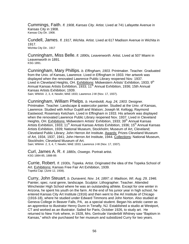Cummings, Faith. *fl. 1908, Kansas City.* Artist. Lived at 741 Lafayette Avenue in Kansas City in 1908. Kansas City Dir. 1908.

Cundell, James. *fl. 1917, Wichita.* Artist. Lived at 617 Madison Avenue in Wichita in 1917. Wichita City Dir.. 1917

Cunningham, Miss Belle. *fl. 1890s, Leavenworth.* Artist. Lived at 507 Miami in Leavenworth in 1891. KSG 1891.

Cunningham, Mary Phillips. *b. Effingham, 1903.* Printmaker. Teacher. Graduated from the Univ. of Kansas, Lawrence. Lived in Effingham in 1933. Her artwork was displayed when the renovated Lawrence Public Library reopened Nov. 1937. Lived in Cleveland Heights, OH. Exhibitions: Midwestern Artists' Exhibition, 1933; 9<sup>th</sup> Annual Kansas Artists Exhibition, 1933; 11<sup>th</sup> Annual Exhibition, 1936; 15th Annual Kansas Artists Exhibition; 1939. Sain; WWAA 2, 3, 4; Newlin; MAE 1933; Lawrence J-W (Nov. 17, 1937).

Cunningham, William Phelps. *b. Humboldt, Aug. 24, 1903.* Designer. Printmaker. Teacher. Landscape & watercolor painter. Studied at the Univ. of Kansas, Lawrence. Studied with Arthur Guptill and Watson; Joseph M. Kellogg; Raymond Eastwood; Rosemary Ketcham. Lived in Effingham in 1933. His artwork was displayed when the renovated Lawrence Public Library reopened Nov. 1937. Lived in Cleveland Heights, OH. Exhibitions: Midwestern Artists' Exhibition, 1933; 39<sup>th</sup> Annual Kansas Artists Exhibition, 1933; 11<sup>th</sup> Annual Kansas Artists Exhibition, 1936; 15<sup>th</sup> Annual Kansas Artists Exhibition, 1939; National Museum, Stockholm; Museum of Art, Cleveland; Cleveland Public Library; John Herron Art Institute. Awards: Prizes Cleveland Museum of Art, 1934, 1937, 1941; John Herron Art Institute, 1944. Collections: National Museum, Stockholm; Cleveland Museum of Art.

Sain; WWAA 2, 3, 4, 7; Newlin; MAE 1933; Lawrence J-W (Nov. 17, 1937).

Curl, James A. R. *fl. 1880s, Oswego.* Portrait artist. KSG 1884-85, 1888-89.

Currie, Robert. *fl. 1930s, Topeka.* Artist. Originated the idea of the Topeka School of Art. Exhibitions: Kansas Free Fair Art Exhibition, 1939. Topeka Cap. (June 12, 1938).

Curry, John Steuart. *b. Dunavent, Nov. 14, 1897; d. Madison, WI. Aug. 29, 1946.* Painter, spec. rural genre, landscape. Sculptor. Lithographer. Teacher. Attended Winchester High School where he was an outstanding athlete. Except for one winter in Arizona, he spent his youth on the farm. At the end of his junior year in high school, he entered Kansas City Art Institute (1916) and then went to the Art Institute of Chicago (1916-18), where he studied under Edward Timmons and John Norton. Also studied at Geneva College in Beaver Falls, PA, as a special student. Began his artistic career as an apprentice to illustrator Henry Dunn in Tenafly, NJ. Established a studio at Westport, CT and worked as an illustrator. Sailed for Paris, October 1926, to study art. He returned to New York where, in 1928, Mrs. Gertrude Vanderbilt Whitney saw "Baptism in Kansas," which she purchased for her museum and subsidized Curry for two years.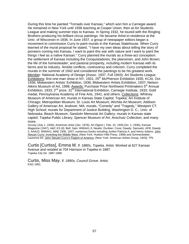During this time he painted "Tornado over Kansas," which won him a Carnegie award. He remained in New York until 1936 teaching at Cooper Union, then at Art Students League and making summer trips to Kansas. In Spring 1932, he toured with the Ringling Brothers producing his brilliant circus paintings. He became Artist-in-residence at the Univ. of Wisconsin in 1936. In June 1937, a group of newspaper editors began a movement to commission Curry to paint murals in the Kansas Statehouse. When Curry learned of the mural proposal he stated, "I have my own ideas about telling the story of pioneers coming into Kansas. I want to paint this war with nature and I want to paint the things I feel as a native Kansan." Curry planned the murals as a three-act conception: the settlement of Kansas including the Conquistadores, the plainsmen, and John Brown; the life of the homesteader; and pastoral prosperity, including modern Kansas with its farms and its industry. Amidst conflicts, controversy and criticism, Curry completed the murals in the summer of 1942 and considered the paintings to be his greatest work. Member: National Academy of Design (Assoc. 1937, Full 1943); Art Students League. Exhibitions: first one-man show in NY, 1931;  $25<sup>th</sup>$  McPherson Exhibition 1935; KCAI, Oct. 1936; Midwestern Artists' Exhibition, 1936; Midwestern Artists Exhibition, 1937; Nelson-Atkins Museum of Art, 1998. Awards: Purchase Prize Northwest Printmakers 5<sup>th</sup> Annual Exhibition, 1933;  $2^{nd}$  prize,  $31^{st}$  International Exhibition, Carnegie Institute, 1933; Gold medal, Pennsylvania Academy of Fine Arts, 1941; and others. Collections: Whitney Museum of American Art; murals in Kansas State Capitol, Topeka; Art Institute of Chicago; Metropolitan Museum; St. Louis Art Museum; Wichita Art Museum; Addison Gallery of American Art, Andover, MA; murals, "Comedy" and "Tragedy," Westport CT. High School; murals for Department of Justice Building, Washington D. C.; Univ. of Nebraska, Beach Museum; Sandzén Memorial Art Gallery; murals in Kansas state capitol; Topeka Public Library; Spencer Museum of Art; Anschutz Collection; and many more.

*Survey (*July 1, 1930); *American Artist* (Jan. 1976); *Art Digest* ( Feb. 15, 1935,Oct. 1, 1936); *Kansas Magazine* (1947); A&C KS (il); Bell; Sain; WWAA1-3; Newlin; Dunbier; Cone; Dawdy; Samuels; AFB; Dawdy 2; AAA22; WWAA1; MAE 1936, 1937; numerous books including Junker Patricia A, and Henry Adams. John Steuart Curry: Inventing the Middle West. (New York: Hudson Hills Press, 1998) and Schmeckebier, Laurence Eli. John Steuart Curry's Pagent of America. (New York: American Artists Group, 1943); TPL

Curtis [Curtiss], Emma M. *fl. 1880s, Topeka.* Artist. Worked at 627 Kansas Avenue and resided at 704 Harrison in Topeka in 1887. Topeka City Dir. 1887-1888.

Curtis, Miss May. *fl. 1890s, Council Grove.* Artist. KSG 1891.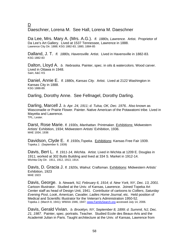D

Daeschner, Lorena M. See Hall, Lorena M. Daeschner

Da Lee, Mrs. Mary A. (Mrs. A.G.). *fl. 1880s, Lawrence.* Artist. Proprietor of Da Lee's Art Gallery. Lived at 1537 Tennessee, Lawrence in 1888. Lawrence City Dir. 1888; KSG 1882-83, 1880, 1884-85

Dalland, J. T. *fl. 1880s, Havensville.* Artist. Lived in Havensville in 1882-83. KSG 1882-83

Dalton, Lloyd A. *b. Nebraska.* Painter, spec. in oils & watercolors. Wood carver. Lived in Ottawa in 1948. Sain; A&C KS

Daniel, Annie E. *fl. 1880s, Kansas City.* Artist. Lived at 2122 Washington in Kansas City in 1888. KSG 1888-89.

Darling, Dorothy Anne. See Fellnagel, Dorothy Darling.

Darling, Marcell J. *b. Apr. 24, 1911; d. Tulsa, OK, Dec. 1976..* Also known as Wasconadie or Prairie Flower. Painter. Native American of the Potawatomi tribe. Lived in Mayetta and Lawrence. TPL; Lester.

Darst, Rose Marie. *fl. 1930s, Manhattan.* Printmaker. Exhibitions: Midwestern Artists' Exhibition, 1934; Midwestern Artists' Exhibition, 1936. MAE 1934, 1936

Davidson, Clyde E. *fl. 1930s,Topeka.* Exhibitions: Kansas Free Fair 1939. Topeka J. (September 9, 1939)

Davis, Bert L. *fl. 1911-14, Wichita.* Artist. Lived in Wichita at 1209 E. Douglas in 1911; worked at 302 Butts Building and lived at 334 S. Market in 1912-14. Wichita City Dir. 1911, 1912, 1913, 1914.

Davis, D. Gracia J. *fl. 1920s, Walnut.* Craftsman. Exhibitions: Midwestern Artists' Exhibition, 1923 MAE 1923

Davis, George. *b. Newark, NJ, February 6, 1914; d. New York, NY, Dec. 13, 2001.*  Cartoon Illustrator. Studied at the Univ. of Kansas, Lawrence. Joined Topeka Art Center staff as head of Design Unit, 1941. Contributor of cartoons to *Colliers*, *Saturday Evening Post*, *Look*, *American, Cavalier, Ladies Home Journal*, etc. Held position of Medical and Scientific Illustrator for the Veteran's Administration 1950-52. Topeka J. (March 8, 1941); WWAA 1946, 1947; www.FamilySearch.org accessed July 14, 2006.

Davis, Gerald Vivian. *b. Brooklyn, NY, September 8, 1899; d. Summit, NJ, Dec. 21, 1987.* Painter, spec. portraits. Teacher. Studied Ecole des Beaux-Arts and the Academié Julian in Paris. Taught architecture at the Univ. of Kansas, Lawrence from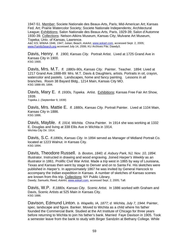1947-51. Member; Societe Nationale des Beaux-Arts, Paris; Mid-American Art; Kansas Fed. Art; Prairie Watercolor Society; Societe Nationale Independents; Architectural League; Exhibitions; Salon Nationale des Beaux-Arts, Paris, 1929-39; Salon d'Automne 1930-39. Collections: Nelson-Atkins Museum, Kansas City; Mulvane Art Museum, Topeka; Univ. of Kansas, Lawrence.

A&C KS; WWAA 1946, 1947; Julian; Beach; *AskArt,* www.askart.com, accessed Sept. 2, 2005; www.FamilySearch.org accessed July 14, 2006; KU Archives File; Dawdy3.

Davis, Henry. *fl. 1900, Kansas City.* Portrait Artist. Lived at 1725 Grand Ave in Kansas City in 1900. KSG 1900.

Davis, Mrs. M.T. *fl. 1880s-90s, Kansas City.* Painter. Teacher. 1894: Lived at 1217 Grand Ave.1888-89: Mrs. M.T. Davis & Daughters, artists. Portraits in oil, crayon, watercolor and pastels. Landscapes, home and fancy painting. Lessons in all branches. Room 38 Bayard Bldg., 1214 Main, Kansas City MO. KSG 1888-89, 1894.

Davis, Mary E. *fl. 1930s, Topeka.* Artist. Exhibitions; Kansas Free Fair Art Show, 1939.

Topeka J. (September 9, 1939)

Davis, Mrs. Mattie E. *fl. 1880s, Kansas City.* Portrait Painter. Lived at 1104 Main, Kansas City in 1886. KSG 1886.

Davis, Mayble. *fl. 1914, Wichita.* China Painter. In 1914 she was working at 1332 E. Douglas and living at 338 Ellis Ave in Wichita in 1914. Wichita City Dir. 1914.

Davis, S.C. *fl.1890s, Kansas City.* In 1894 served as Manager of Midland Portrait Co. located at 1223 Walnut. in Kansas City. KSG 1894.

Davis, Theodore Russell. *b. Boston, 1840; d. Asbury Park, NJ, Nov. 10, 1894.*  Illustrator. Instructed in drawing and wood engraving. Joined *Harper's Weekly* as an illustrator in 1861. Prolific Civil War Artist. Made a trip west in 1865 by way of Louisiana, Texas and Kansas then went by stage to Denver and on to Santa Fe. His sketches were published in *Harper's*. In approximately 1867 he was invited by General Hancock to accompany the Indian expedition in Kansas. A number of sketches of Kansas scenes are known from this trip. Collections: NY Public Library. Dawdy; Samuels; Reed; *AskArt,* www.askart.com, accessed Sept. 2, 2005; Taft

Davis, W.P. *fl.1880s, Kansas City.* Scenic Artist. In 1886 worked with Graham and Davis, Scenic Artists at 525 Main in Kansas City. KSG 1886.

Davison, Edmund Linton. *b. Wapello, IA, 1877; d. Wichita, July 7, 1944.* Painter, spec. landscape and figure. Banker. Moved to Wichita as a child where his father founded the Commercial Bank. Studied at the Art Institute of Chicago for three years before returning to Wichita to join his father's bank. Married Faye Davison in 1905. Took a semester leave from the bank to study with Birger Sandzén at Bethany College. While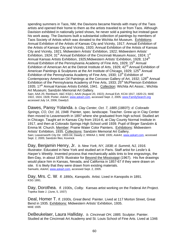spending summers in Taos, NM, the Davisons became friends with many of the Taos artists and opened their home to them as the artists traveled to or from Taos. Although Davision exhibited in nationally juried shows, he never sold a painting but instead gave his work away. The Davisons built a substantial collection of paintings by members of Taos Society of Artists which was donated to the Wichita Art Museum. Exhibitions: Annual Exhibition of the Artists of Kansas City and Vicinity, 1917; Annual Exhibition of the Artists of Kansas City and Vicinity, 1920; Annual Exhibition of the Artists of Kansas City and Vicinity, 1921; Midwestern Artists' Exhibition, 1922; Midwestern Artists' Exhibition, 1924; 31<sup>st</sup> Annual Exhibition of the Cincinnati Museum Assoc, 1924; 1<sup>st</sup> Annual Kansas Artists Exhibition, 1925;Midwestern Artists' Exhibition, 1928; 124<sup>th</sup> Annual Exhibition of the Pennsylvania Academy of Fine Arts, 1929; 15<sup>th</sup> Annual Exhibition of American Art at the Detroit Institute of Arts, 1929; 42<sup>nd</sup> Annual Exhibition of American Paintings & Sculptures at the Art Institute of Chicago, 1929; 125<sup>th</sup> Annual Exhibition of the Pennsylvania Academy of Fine Arts, 1930;  $13<sup>th</sup>$  Exhibition of Contemporary American Oil Paintings at the Corcoran Gallery of Art, 1932; 128<sup>th</sup> Annual Exhibition of the Pennsylvania Academy of Fine Arts, 1933; 25<sup>th</sup> McPherson Exhibition 1935; 17<sup>th</sup> Annual Kansas Artists Exhibit, 1941. Collection: Wichita Art Assoc.; Wichita Art Museum; Sandzén Memorial Art Gallery.

Sain; AAA 25; Reinbach; A&C KS(il.); AAAI (August 20, 1922); Annual Exh. KCAI 1917, 1920-21; MAE 1922, 1924, 1928; Porter; *AskArt,* www.askart.com, accessed Sept. 2, 2005; www.FamilySearch.org accessed July 14, 2006; Dawdy3.

Dawes, Pansy Yolanda. *b. Clay Center, Oct. 7, 1885 (1883?); d. Colorado Springs, CO, Oct. 16, 1948.* Painter, spec. landscape. Teacher. Grew up in Clay Center then moved to Leavenworth in 1897 where she graduated from high school. Studied art in Chicago. Taught art in Kansas City from 1914-6, at Clay County Normal Institute in 1917, and then at Colorado Springs High School until 1939. Pupil of Birger Sandzén & Emma M. Church. Member: Prairie Water Color Painters. Exhibitions: Midwestern Artists' Exhibition, 1935. Collections: Sandzén Memorial Art Gallery. Sain; Leavenworth City Dir. 1903-04; Dawdy 2; WWAA 1; MAE 1935; *AskArt,* www.askart.com, accessed Sept. 2, 2005; Sandzén files; Kovinick

Day, Benjamin Henry, Jr. *b. New York, NY, 1838; d. Summit, NJ, 1916.*  Illustrator. Educated in New York and studied art in Paris. Staff artist for *Leslie's* & *Harper's Weekly*. Invented process that mechanically adds tints to line engravings, the Ben-Day, in about 1879. Illustrator for Beyond the Mississippi (1967). His five drawings would place him in Kansas, Nevada, and California in 1857-67 if they were drawn on site. It is likely that they were drawn from existing materials. Samuels; *AskArt,* www.askart.com, accessed Sept. 2, 2005.

Day, Mrs. C. W*. fl. 1890s, Kanopolis.* Artist. Lived in Kanopolis in 1891. KSG 1891.

Day, Dorothea. *fl. 1930s*, *Colby.* Kansas artist working on the Federal Art Project. Topeka State J. (June, 5, 1937)

Deal, Homer T. *fl. 1930s, Great Bend.* Painter. Lived at 117 Morton Street, Great Bend in 1935. Exhibitions: Midwestern Artists' Exhibition, 1935. MAE 1935

DeBeukelaer, Laura Halliday. *b. Cincinnati OH, 1885.* Sculptor. Painter. Studied at the Cincinnati Art Academy and St. Louis School of Fine Arts. Lived at 1346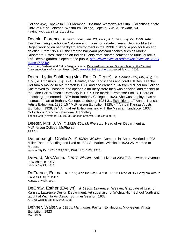College Ave, Topeka in 1921.Member; Cincinnati Women's Art Club. Collections: State Univ. of NY at Geneseo; Washburn College, Topeka; YWCA, Newark, NJ. Fielding; AAA, 12, 14, 18, 20; Collins.

Deeble, Florence. *b. near Lucas, Jan. 20, 1900; d. Lucas, July 22, 1999.* Artist. Teacher. Taught school in Osborne and Lucas for forty-two years. Self-taught artist. Began working on her backyard environment in the 1930s building a pool for lilies and goldfish. From 1950-99, she created backyard postcard scenes such as Mount Rushmore, Estes Park and an Indian Pueblo from colored cement and unusual rocks. The Deeble garden is open to the public, http://www.byways.org/browse/byways/12859/<br>places/58340/.

Brackman, Barbara, and Cathy Dwiggans, eds. Backyard Visionaries: Grassroots Art in the Midwest (Lawrence: Univ. of Kansas Press, 1999); www.FamilySearch.org accessed July 14, 2006.

Deere, Lydia Sohlberg (Mrs. Emil O. Deere). *b. Holmes City, MN, Aug. 22, 1873; d. Lindsborg, July, 1943.* Painter, spec. landscapes and floral still lifes. Teacher. Her family moved to McPherson in 1880 and she earned a BA from McPherson College. She moved to Lindsborg and opened a millinery store then was principal and teacher at the Lane Hart Women's Dormitory in 1907. She married Professor Emil O. Deere of Lindsborg and earned a BFA from Bethany College in 1923. She was employed as an instructor in art at Bethany College, Lindsborg, 1924-31. Exhibitions; 1<sup>st</sup> Annual Kansas Artists Exhibition, 1925; 15<sup>th</sup> McPherson Exhibition 1925; 4<sup>th</sup> Annual Kansas Artists Exhibition, 1928; 39<sup>th</sup> Annual Art Exhibition held with the Messiah, Lindsborg 1937. Collections: Sandzén Memorial Art Gallery

Topeka Cap (November 11, 1925); Sandzén archives; 100 Years of Art

Deeter, Mrs. J. W. *fl. 1920s-30s, McPherson.* Head of Art Department at McPherson College, McPherson. AAA 19.

Deffenbaugh, Orville A. *fl. 1920s, Wichita.* Commercial Artist. Worked at 203 Miller Theater Building and lived at 1804 S. Market, Wichita in 1923-25. Married to Maude.

Wichita City Dir. 1923, 1924,1925, 1926, 1927, 1929, 1930.

DeFord, Mrs.Verlie. *fl.1917, Wichita.* Artist. Lived at 2081/2 S. Lawrence Avenue in Wichita in 1917. Wichita City Dir. 1917.

DeFrance, Emma. *fl. 1907, Kansas City.* Artist. 1907: Lived at 350 Virginia Ave in Kansas City in 1907. Kansas City Dir. 1907.

DeGraw, Esther (Evelyn). *fl. 1930s, Lawrence.* Weaver. Graduate of Univ. of Kansas, Lawrence Design Department. Art supervisor of Wichita High School North and taught at Wichita Art Assoc. Summer Session, 1938. AAUW; Wichita Eagle (May 2, 1938)

Dehner, Walter. *fl. 1920s, Manhattan.* Painter. Exhibitions: Midwestern Artists' Exhibition, 1923 MAE 1923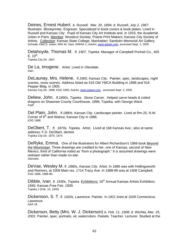Deines, Ernest Hubert. *b. Russell, Mar. 20, 1894; d. Russell, July 2, 1967.* Illustrator*.* Blockprinter, Engraver. Specialized in book covers & book plates. Lived in Russell and Kansas City. Pupil of Kansas City Art Institute and, in 1919, the Academié Julian in Paris. Member: Woodcut Society; Prairie Print Makers; Kansas City Society of Artists. Collection: Kansas State College, Manhattan; Sandzén Memorial Art Gallery. Schwab; KMCS; Julian; WW 44; Sain; WWAA 1; *AskArt,* www.askart.com, accessed Sept. 2, 2005.

Delahoyde, Thomas M. *fl. 1907, Topeka.* Manager of Campbell Portrait Co., 405

Topeka City Dir. 1907.

De La, Imogene. Artist. Lived in Glendale. Sain.

DeLaunay, Mrs. Helene. *fl.1900, Kansas City.* Painter, spec. landscapes, night scenes, snow scenes. Address listed as 516 Old YMCA Building in 1898 and 516 Pepper Bldg. in 1900. Kansas City Dir. 1898; KSG 1900; *AskArt,* www.askart.com, accessed Sept. 2, 2005.

Deliew, John. *fl.1890s, Topeka.* Stone Carver. Helped carve heads & coiled dragons on Shawnee County Courthouse, 1896, Topeka, with George Ward. FWP.

Del Plain, John. *fl.1880s, Kansas City.* Landscape painter. Lived at Rm.25, N.W. Corner of 9<sup>th</sup> and Walnut, Kansas City in 1886. KSG 1886.

DeObert, T. *fl. 1870s, Topeka.* Artist. Lived at 168 Kansas Ave.; also at same address: F.D. DeObert, dentist. Topeka City Dir. 1875, 1874.

DeRyke, Emma. One of the illustrators for Albert Richardson's 1869 book Beyond the Mississippi. Three drawings are credited to her, one of Kansas, second of New Mexico, third of California noted as "from a photograph." It is assumed drawings were redrawn rather than made on-site. Samuels.

DeVae, Wesley M. *fl. 1880s, Kansas City.* Artist. In 1886 was with Hollingsworth and Reimers, at 1009 Main res. 1714 Tracy Ave. In 1888-89 was at 1408 Campbell. KSG 1886, 1888-89.

Dibble, Ivan. *fl. 1930s, Topeka.* Exhibitions: 16<sup>th</sup> Annual Kansas Artists Exhibition, 1940; Kansas Free Fair, 1939. Topeka J (Feb. 10, 1940)

Dickenson, S. T. *fl. 1920s, Lawrence*. Painter. In 1921 lived at 1029 Connecticut, Lawrence. AAA 18.

Dickerson, Betty (Mrs. W. J. Dickerson) *b. Feb. 11, 1908; d. Wichita, Mar. 25, 2001.* Painter, spec. portraits, oil, watercolors. Pastels. Teacher. Lecturer. Studied at the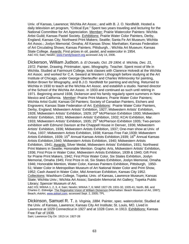Univ. of Kansas, Lawrence; Wichita Art Assoc.; and with B. J. O. Nordfeldt. Hosted a daily television art program, "Critical Eye." Spent two years traveling and lecturing for the National Committee for Art Appreciation. Member: Prairie Watercolor Painters: Wichita Artist Guild; Kansas Pastel Society. Exhibitions: Prairie Water Color Painters, Derby, England; Kansas City; Northwest Print Makers; Seattle; Santa Fe Art Museum; Wichita Art Assoc.; Joslyn Memorial; Omaha; All Kansas Show; Manhattan; Kansas Federation of Art Circulating Shows; Kansas Painters; Pittsburgh, ; Wichita Art Museum; Kansas State College. Awards: First prizes in oil, pastel, and watercolor in 1954. A&C KS; Sain; Newlin; www.FamilySearch.org accessed July 14, 2006.

Dickerson, William Judson. *b. El Dorado, Oct. 29 1904; d. Wichita, Dec. 21, 1972.* Painter. Drawing. Printmaker, spec. lithography. Teacher. Spent most of life in Wichita. Studied at Fairmount College, took classes with Clarence Hotvedt at the Wichita Art Assoc. and worked for C.A. Seward at Western Lithograph before studying at the Art Institute of Chicago, under George Oberteuffer and Charles Wilimovsky for painting, Bolton Brown for lithography, and B.J.O. Nordfeldt for painting and etching. Returned to Wichita in 1930 to teach at the Wichita Art Assoc. and establish a studio. Named director of the School of the Wichita Art Assoc. in 1933 and continued as such until retiring in 1971. Beginning around 1938, Dickerson and his family regularly spent summers in New Mexico and California. Member: Prairie Print Makers; Prairie Water Color Painters; Wichita Artist Guild; Kansas Oil Painters; Society of Canadian Painters, Etchers and Engravers; Kansas State Federation of Art. Exhibitions: Prairie Water Color Painters, Derby, England; Midwestern Artists' Exhibition, 1927; Midwestern Artists' Exhibition, 1928; Midwestern Artists' Exhibition, 1929; 20<sup>th</sup> McPherson Exhibition 1930; Midwestern Artists' Exhibition, 1931; Midwestern Artists' Exhibition, 1932; KCAI Exhibition, Mar. 1933; Midwestern Artists' Exhibition, 1935; 25<sup>th</sup> McPherson Exhibition 1935; Two-person exhibition with Edmund Davison at the Chappell House in Denver, 1936; Midwestern Artists' Exhibition, 1936; Midwestern Artists Exhibition, 1937; One-man show at Univ. of Tulsa, 1937; Midwestern Artists Exhibition, 1938; Kansas Free Fair,1939; Midwestern Artists Exhibition, 1939; 15<sup>th</sup> Annual Kansas Artists Exhibition, 1939; 16<sup>th</sup> Annual Kansas Artists Exhibition,1940; Midwestern Artists Exhibition, 1940; Midwestern Artists Exhibition, 1941; Awards: Silver Medal, Midwestern Artists' Exhibition, 1931; Northwest Print Makers in Seattle; Honorable Mention. Graphic Arts, Midwestern Artists' Exhibition, 1936; First Prize in Water Color, Midwestern Artists Exhibition, 1939 & 1940; Gift Print for Prairie Print Makers, 1942; First Prize Water Color, Six States Exhibition, Joslyn Memorial, Omaha 1945; First Prize in oil, Six States Exhibition, Joslyn Memorial, Omaha 1946; Honorable Mention, Water Color, Kansas Painters Exhibition, Pittsburgh, 1950- 51; Water Color in Metropolitan Museum of Art National Water Color and Print Show, 1952; Cash Award in Water Color, Mid American Exhibition, Kansas City 1952. Collections: Washburn College, Topeka; Univ. of Kansas, Lawrence Museum; Kansas State; Wichita Univ.; Wichita Art Assoc; Sandzén Memorial Art Gallery; Topeka Public Library; Spencer Museum of Art.

A&C KS; WWAA 1, 2, 3, 4; Sain; Newlin; WWAA 7, 6; MAE 1927-29, 1931-32, 1935-41; North, Bill, and Charles C. Eldredge. The Regionalist Vision of William Dickerson (Manhattan: Beach Museum of Art, 1997); Beach; *AskArt,* www.askart.com, accessed Sept. 2, 2005; TPL

Dickinson, Samuel R. T. *b. Virginia, 1884.* Painter, spec. watercolorist. Studied at the Univ. of Kansas, Lawrence; Kansas City Art Institute; St. Louis, MO. Lived in Lawrence at 1029 Connecticut in 1927 and at 1028 Conn. in 1913. Exhibitions: Kansas Free Fair of 1939.

Sain; Lawrence City Dir. 1913-14. 1927-28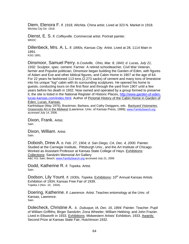Diem, Elenora F. *fl. 1918, Wichita.* China artist. Lived at 323 N. Market in 1918. Wichita City Dir. 1918.

Dienst, E. S. *fl. Coffeyville.* Commercial artist. Portrait painter. **WKDC** 

Dillenbeck, Mrs. A. L. *fl. 1890s, Kansas City.* Artist. Lived at 28, 1114 Main in 1891.

KSG 1891.

Dinsmoor, Samuel Perry. *b.Coolville, Ohio, Mar. 8, 1843; d. Lucas, July 21, 1932.* Sculptor, spec. cement. Farmer. A retired schoolteacher, Civil War Veteran, farmer and Populist politician, Dinsmoor began building the Garden of Eden, with figures of Adam and Eve and other biblical figures, and Cabin Home in 1907 at the age of 64. For 22 years he fashioned 113 tons (2,273 sacks) of cement and many tons of limestone into his unique "log" cabin with its surrounding sculptures. He opened his home to guests, conducting tours on the first floor and through the yard from 1907 until a few years before his death in 1932. Now owned and operated by a group formed to preserve it, the site is listed in the National Register of Historic Places, http://www.garden-of-edenlucas-kansas.com/index.html. Author of Pictorial History of the Cabin Home in Garden of Eden, Lucas, Kansas.

Kanhistique (May 1975); Brackman, Barbara, and Cathy Dwiggans, eds. Backyard Visionaries: Grassroots Art in the Midwest (Lawrence: Univ. of Kansas Press, 1999); www.FamilySearch.org accessed July 14, 2006.

Dixon, Frank. Artist. Sain.

Dixon, William. Artist. Sain.

Dobosh, Drew A. *b. Feb. 27, 1904; d. San Diego, CA, Dec. 4, 2000.* Painter. Studied at the Carnegie Institute, Pittsburgh Univ., and the Art Institute of Chicago. Worked as Assistant Professor at Kansas State College of Hays. Exhibitions: Collections: Sandzén Memorial Art Gallery A&C KS; Sain; Beach; www.FamilySearch.org accessed July 21, 2006

Dodd, Katherine R. *fl. Topeka.* Artist. Sain.

Dodson, Lily Yount. *fl. 1930s, Topeka.* Exhibitions: 10<sup>th</sup> Annual Kansas Artists Exhibition of 1934; Kansas Free Fair of 1939. Topeka J (Nov. 10, 1934).

Doering, Katherine. *fl. Lawrence.* Artist. Teaches entomology at the Univ. of Kansas, Lawrence. Sain.

Dolecheck, Christine A. *b. Dubuque, IA, Dec. 16, 1894.* Painter. Teacher. Pupil of William Griffiths; Birger Sandzén; Zona Wheeler; William Hekking; and John Frazier. Lived in Ellsworth in 1933. Exhibitions: Midwestern Artists' Exhibition, 1933. Awards: Second Prize at Kansas State Fair, Hutchinson 1932.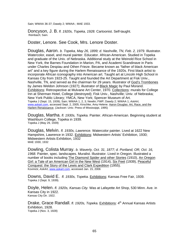Sain; WWAA 36-37; Dawdy 2; WWAA ; MAE 1933.

Doncyson, J. B. *fl. 1920s, Topeka, 1928.* Cartoonist. Self-taught. Reinbach; Sain.

Doster, Lenore. See Cook, Mrs. Lenore Doster.

Douglas, Aaron. *b. Topeka, May 26, 1899; d. Nashville, TN, Feb. 2, 1979.* Illustrator. Watercolor, easel, and mural painter. Educator. African-American. Studied in Topeka and graduate of the Univ. of Nebraska. Additional study at the Weinold Rice School in New York, the Barnes Foundation in Marion, PA, and Academi Scandinave in Paris under Charles Despiau and Othen Frieze. Became known as "father of black American art" and a key figure during the Harlem Renaissance of the 1920s. First black artist to incorporate African iconography into American art. Taught art at Lincoln High School in Kansas City from 1923-25. Taught and founded the Art Department at Fisk Univ., Nashville, TN, and served as the chairman for 29 years. Illustrator of God's Trombones by James Weldon Johnson (1927); illustrator of Black Magic by Paul Morand. Exhibitions: Retrospective at Mulvane Art Center, 1970. Collections: murals for College Inn at Sherman Hotel, College (destroyed); Fisk Univ., Nashville; Univ. of Nebraska; New York Public Library; YMCA, New York; Spencer Museum of Art. Topeka J (Sept. 15, 1939); Sain; WWAA 1, 2, 3; Newlin; FWP; Dawdy 2; WWAA 1; *AskArt*, www.askart.com, accessed Sept. 2, 2005; Kirschke, Amy Helene. Aaron Douglas: Art, Race, and the Harlem Renaissance. (Jackson: Univ. Press of Mississippi, 1995)

Douglas, Martha. *fl. 1930s, Topeka.* Painter. African-American. Beginning student at Washburn College, Topeka in 1939. Topeka J (May 29, 1939)

Douglas, Melvin. *fl. 1930s, Lawrence.* Watercolor painter. Lived at 1622 New Hampshire, Lawrence in 1932. Exhibitions: Midwestern Artists' Exhibition, 1930; Midwestern Artists Exhibition, 1932 MAE 1930, 1932

Dowling, Colista Murray. *b. Waverly, Oct. 31, 1877; d. Portland, OR, Oct. 16, 1968.* Painter, spec. landscapes. Muralist. Illustrator. Lived in Oregon. Illustrated a number of books including The Diamond Spider and other Stories (1910), An Oregon Girl: a Tale of an American Girl in the New West (1914), Six Feet (1939), Peaceful Conquest: the Story of the Lewis and Clark Expedition (1955). Kovinick; *AskArt*, www.askart.com, accessed Jan. 15, 2006

Downs, David E. *fl. 1930s, Topeka.* Exhibitions: Kansas Free Fair, 1939. Topeka J (Sept. 9, 1939).

Doyle, Helen. *fl. 1920s, Kansas City.* Was at Lafayette Art Shop, 530 Minn. Ave. in Kansas City in 1922. Kansas City Dir. 1922.

Drake, Grace Randall. *fl. 1920s, Topeka.* Exhibitions: 4<sup>th</sup> Annual Kansas Artists Exhibition, 1928. Topeka J (Nov. 3, 1928)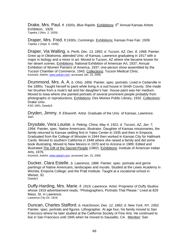Drake, Mrs. Paul. *fl. 1920s, Blue Rapids.* Exhibitions: 5<sup>th</sup> Annual Kansas Artists Exhibition, 1929. Topeka J (Nov. 2, 1929).

Draper, Mrs. Fred. *fl.1930s, Cummings.* Exhibitions: Kansas Free Fair, 1939. Topeka J (Sept. 9, 1939).

Draper, Via Walling. *b. Perth, Dec. 13, 1892; d. Tucson, AZ, Dec. 8, 1968.* Painter. Grew up in Oklahoma; attended Univ. of Kansas, Lawrence graduating in 1917 with a major in biology and a minor in art. Moved to Tucson, AZ where she became known for her desert scenes. Exhibitions: National Exhibition of American Art, 1937; Annual Exhibition of Women Painters of America, 1937; one-person show assembled by the Tucson Chamber of Commerce, 1943. Collections: Tucson Medical Clinic. Kovinick; AskArt, www.askart.com, accessed Jan. 15, 2006.

Drummond, Mrs. A. A. *b. Ohio, 1856.* Painter, spec. portraits. Lived in Cedarville in the 1890s. Taught herself to paint while living in a sod house in Smith County. She made her brushes from a mule's tail and her daughter's hair. House paint was her medium. Moved to Iowa where she painted portraits of several prominent people probably from photographs or reproductions. Exhibitions: Des Moines Public Library, 1932. Collections: Drake Univ.

KSG 1891; Dawdy3.

Dryden, Jimmy. *fl. Ellsworth.* Artist. Graduate of the Univ. of Kansas, Lawrence. Sain.

Drysdale, Vera Louise. *b. Peking, China, May 4, 1921; d. Tucson, AZ, Jan. 7, 1994.* Painter, spec. Native Americans. Illustrator. Daughter of Kansas missionaries, the family returned to Kansas settling first in Yates Center in 1935 and then in Emporia. Graduated from the College of Wooster in 1944 then worked in Kansas City for Hallmark Cards. Moved to southern California in 1946 where she raised a family and did some book illustrating. Moved to New Mexico in 1970 and to Arizona in 1989. Edited and illustrated The Gift of the Sacred People (1982). Exhibitions: Institute of American Indian Arts, 1976.

Kovinick; AskArt, www.askart.com, accessed Jan. 15, 2006

Ducker, Clara Estelle. *b. Lawrence, 1886.* Painter, spec. portraits and genre paintings of Native Americans, landscapes and murals. Studied at the Lewis Academy in Wichita; Emporia College; and the Pratt Institute. Taught at a vocational school in Weiser, ID. Dawdy3

Duffy-Harding, Mrs. Marie. *fl. 1919, Lawrence.* Artist. Proprietor of Duffy Studios whose 1919 advertisement reads, "Photographers, Portraits That Please." Lived at 829 Mass. St. in Lawrence. Lawrence City Dir. 1919.

Duncan, Charles Stafford. *b. Hutchinson, Dec. 12, 1892; d. New York, NY, 1952.*  Painter, spec. portraits and figures. Lithographer. At age four, his family moved to San Francisco where he later studied at the California Society of Fine Arts. He continued to live in San Francisco until 1945 when he moved to Sausalito, CA. Member: San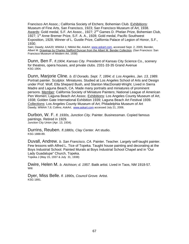Francisco Art Assoc.; California Society of Etchers; Bohemian Club. Exhibitions: Museum of Fine Arts, San Francisco, 1923; San Francisco Museum of Art, 1938. Awards: Gold medal, S.F. Art Assoc., 1927; 2<sup>nd</sup> Games D. Phelan Prize, Bohemian Club, 1927; 1<sup>st</sup> Anne Bremer Prize, S.F. A. A., 1928; Gold medal, Pacific Southwest Exposition, 1928; Winner of L. Gustle Prize, California Palace of Legion of Honor, S.F., 1930.

Sain; Dawdy; AAA20; WWAA 1; NMAA file; *AskArt*, www.askart.com, accessed Sept. 2, 2005; Bender, Albert M. Drawings by Charles Stafford Duncan from the Albert M. Bender Collection. (San Francisco: San Francisco Museum of Modern Art, 1938)

Dunn, Ben F. *fl.1904, Kansas City.* President of Kansas City Science Co., scenery for theatres, opera houses, and private clubs. 2331-33-35 Grand Avenue KSG 1904.

Dunn, Marjorie Cline. *b. El Dorado, Sept. 7, 1894; d. Los Angeles, Jan. 13, 1989.*  Portrait painter. Sculptor. Miniatures. Studied at Los Angeles School of Arts and Design under Prof. Wolf, Ella Shepard Bush, and Stanton MacDonald-Wright. Lived in Sierra Madre and Laguna Beach, CA. Made many portraits and miniatures of prominent persons. Member: California Society of Miniature Painters; National League of American Pen Women; Laguna Beach Art Assoc. Exhibitions: Los Angeles County Museum of Art, 1938; Golden Gate International Exhibition 1939; Laguna Beach Art Festival 1939. Collections: Los Angeles County Museum of Art; Philadelphia Museum of Art Dawdy; WWAA 7,6; Collins; *AskArt*, www.askart.com accessed July 21, 2006.

Durbon, W. F. *fl. 1930s, Junction City.* Painter. Businessman. Copied famous paintings. Retired in 1929. Junction City Union (Apr. 13, 1934).

Durrins, Reuben. *fl.1880s, Clay Center.* Art studio. KSG 1888-89.

Duvall, Andrew. *b. San Francisco, CA.* Painter. Teacher. Largely self-taught painter. Few lessons with Alfred L. Tice of Topeka. Taught house painting and decorating at the Boys Industrial School. Painted Murals at Boys Industrial School Chapel and in "Our Lady Guadalupe" Church, Topeka. Topeka J (May 15, 1937 & July 31, 1938)

Dwire, Helen M. *b. Atchison; d. 1957.* Batik artist. Lived in Taos, NM 1918-57. Witt

Dyer, Miss Belle. *fl. 1890s, Council Grove.* Artist. KSG 1891.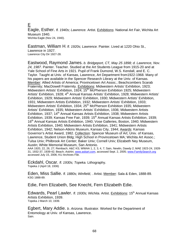E

Eagle, Esther. *fl. 1940s; Lawrence.* Artist. Exhibitions: National Art Fair, Wichita Art Museum 1940.<br>Wichita Eagle (Nov 24, 1940).

Eastman, William H. *fl. 1920s; Lawrence.* Painter. Lived at 1220 Ohio St., Lawrence in 1927. Lawrence City Dir 1927-28.

Eastwood, Raymond James. *b. Bridgeport, CT, May 25 1898; d. Lawrence, Nov. 24, 1987*. Painter. Teacher. Studied at the Art Students League from 1915-20 and at Yale School of Fine Arts in 1921. Pupil of Frank Dumond, W.S. Kendall, and E. C. Taylor. Taught at Univ. of Kansas, Lawrence, Art Department from1922-1968. Many of his papers are available in the Spencer Research Library at the Univ. of Kansas. Member: Allied Artists of America; Provincetown Art Assoc.; Beachcombers Scarab Fraternity; MacDowell Fraternity. Exhibitions: Midwestern Artists' Exhibition, 1923; Midwestern Artists' Exhibition, 1924; 15<sup>th</sup> McPherson Exhibition 1925; Midwestern Artists' Exhibition, 1928; 4<sup>th</sup> Annual Kansas Artists' Exhibition, 1928; Midwestern Artists' Exhibition, 1929; Midwestern Artists' Exhibition, 1930; Midwestern Artists' Exhibition, 1931; Midwestern Artists Exhibition, 1932; Midwestern Artists' Exhibition, 1933; Midwestern Artists' Exhibition, 1934; 25<sup>th</sup> McPherson Exhibition 1935; Midwestern Artists' Exhibition, 1935; Midwestern Artists' Exhibition, 1936; Midwestern Artists Exhibition, 1937; 14<sup>th</sup> Annual Kansas Artists Exhibition, 1938; Midwestern Artists Exhibition, 1939; Kansas Free Fair, 1939; 15<sup>th</sup> Annual Kansas Artists Exhibition, 1939; 16<sup>th</sup> Annual Kansas Artists Exhibition, 1940; Vose Galleries, Boston, 1940; Midwestern Artists Exhibition, 1940; Midwestern Artists Exhibition, 1941; Midwestern Artists Exhibition, 1942; Nelson-Atkins Museum, Kansas City, 1944; Awards: Kansas Governor's Artist Award, 1982. Collection: Spencer Museum of Art; Univ. of Kansas, Lawrence, Student Union Bldg; High School in Provincetown MA; Wichita Art Assoc.; Tulsa Univ; Philbrook Art Center; Baker Univ; Cornell Univ; Elizabeth Ney Museum, Austin; White Memorial Museum, San Antonio.

AAA 1920, 22, 26, 27; Reinbach; A&C KS; WWAA 1, 2, 3, 4, 7; Sain, Newlin, Dawdy 2; MAE 1923-24, 1928- 31, 1932-37, 1939-42; Beach; *AskArt*, www.askart.com, accessed Sept. 2, 2005; www.FamilySearch.org accessed July 15, 2006; KU Archives File.

Eckdahl, Oscar. *fl. 1930s; Topeka.* Lithography. Topeka J (April 18, 1936)

Eden, Miss Sallie. *fl. 1880s; Winfield, .* Artist. Member: Sala & Eden, 1888-89. KSG 1888-89.

Edie, Fern Elizabeth, See Knecht, Fern Elizabeth Edie.

Edwards, Pearl Lawler. *fl. 1930s; Wichita.* Artist. Exhibitions: 15<sup>th</sup> Annual Kansas Artists Exhibition, 1939. Topeka J March 10, 1939.

Egbert, Mary Addie. *b. Arizona.* Illustrator. Worked for the Department of Entomology at Univ. of Kansas, Lawrence. Sain.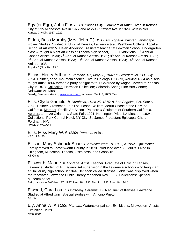Egy (or Egg), John F. *fl. 1920s, Kansas City.* Commercial Artist. Lived in Kansas City at 535 Minnesota Ave in 1927 and at 2242 Stewart Ave in 1929. Wife is Nell. Kansas City Dir. 1927, 1929.

Elden, Bess Murphy (Mrs. John F.). *fl. 1930s, Topeka.* Painter. Landscape. Flower Studies. Studied at Univ. of Kansas, Lawrence & at Washburn College, Topeka School of Art with V. Helen Anderson. Assistant teacher at Lowman School Kindergarten class & taught a night art class at Topeka high school, 1938. Exhibitions:  $6<sup>th</sup>$  Annual Kansas Artists, 1930; 7<sup>th</sup> Annual Kansas Artists, 1931; 8<sup>th</sup> Annual Kansas Artists, 1932; 9<sup>th</sup> Annual Kansas Artists, 1933; 10<sup>th</sup> Annual Kansas Artists, 1934; 14<sup>th</sup> Annual Kansas Artists, 1938.

Topeka J (Nov 10, 1934)

Elkins, Henry Arthur. *b. Vershire, VT, May 30, 1847; d. Georgetown, CO, July 1884.* Painter, spec. mountain scenes. Live in Chicago 1856-73, working 1864 as a selftaught artist. 1866 formed a party of eight to tour Colorado by wagon. Moved to Kansas City in 1873. Collection: Harmsen Collection; Colorado Spring Fine Arts Center; Delaware Art Museum Dawdy, Samuels; *AskArt*, www.askart.com, accessed Sept. 2, 2005; Taft

Ellis, Clyde Garfield. *b. Humboldt, , Dec 25, 1879; d. Los Angeles, CA, Sept 6, 1970.* Painter. Craftsman. Pupil of Judson, William Merritt Chase at the Univ. of California. Member: Pacific Art Assoc.; Painters & Sculptors of Southern California. Awards: 1<sup>st</sup> prize Oklahoma State Fair, 1921; Huntington Prize, LA Museum, 1924. Collections: Park Central Hotel, NY City; St. James Protestant Episcopal Church, Fordham, NY. Dawdy 2; WWAA 1

**Ellis, Miss Mary W**. *fl. 1880s, Parsons.* Artist.<br><sup>KSG 1984-85</sup>

Ellison, Mary Schenck Sparks. *b.Whitestown, IN, 1857; d.1952* . Quiltmaker. Family moved to Leavenworth County in 1870. Produced over 300 quilts. Lived in Effingham, Muscotah, Topeka, Oskaloosa, and Grantville.KS Quilts

Ellsworth, Maude. *b. Fontana.* Artist. Teacher. Graduate of Univ. of Kansas, Lawrence; student of R. Lagano. Art supervisor in the Lawrence schools who taught art at University high school in 1944. Her scarf called "Kansas Fields" was displayed when the renovated Lawrence Public Library reopened Nov. 1937. Collections: Spencer Museum of Art.

Sain; Lawrence J-W (Nov. 17, 1937; Nov. 18, 1937; Dec 11, 1937; Nov. 16, 1944)

Elwood, Cara Lou. *fl. Lindsborg.* Ceramist. BFA at Univ. of Kansas, Lawrence. Studied at Alfred Univ. Special studies with Antonio Prieto.<br>AAUW.

Ely, Anna W. *fl. 1920s, Merriam.* Watercolor painter. Exhibitions: Midwestern Artists' Exhibition, 1929.<br>MAE 1929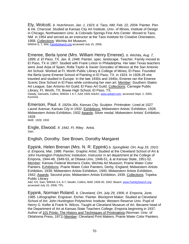Ely, Wolcott. *b. Hutchinson, Jan. 1, 1923; d. Taos, NM, Feb. 22, 2004.* Painter. Pen & ink. Charcoal. Studied at Kansas City Art Institute, Univ. of Illinois, Institute of Design in Chicago, Northwestern Univ. & Colorado Springs Fine Arts Center. Moved to Taos, NM in 1954 and served as an instructor at the Taos Institute for Creative Orientation, 1958. Collections: Wichita Art Museum.

WWAA 6, 7; Witt; FamilySearch.org accessed July 15, 2006.

Emeree, Berla Iyone (Mrs. William Henry Emeree). *b. Wichita, Aug. 7, 1899; d. El Paso, TX, Jan. 8, 1948.* Painter, spec. landscape. Teacher. Family moved to El Paso, TX in 1907. Studied with Frank Linton in Philadelphia. Her later Texas teachers were José Arpa of Spain, Rolla Taylor & Xavier Gonzalez of Mexico at the San Antonio Art School. Worked at Ft. Worth Public Library & College of Mines, El Paso. Founded the Berla Iyone Emeree School of Painting in El Paso, TX. in 1924. In 1928-29 she traveled and studied in Europe. In the late 1930s and 1940s, Emeree ran the Emeree Scenic Dive School in El Paso while continuing her own art. Member: Southern States Art League; San Antonio Art Guild; El Paso Art Guild. Collections: Carnegie Public Library, Ft. Worth, TX; Bowie High School, El Paso, TX.

Dawdy, Samuels, Collins, WWAA 1 6-7, AAA 1926 *AskArt*, www.askart.com, accessed Sept. 2, 2005; Kovinick.

Emerson, Paul. *fl. 1920s-30s, Kansas City.* Sculptor. Printmaker. Lived at 1027 Laurel Avenue, Kansas City in 1932. Exhibitions: Midwestern Artists' Exhibition, 1928; Midwestern Artists Exhibition, 1932 Awards: Silver medal, Midwestern Artists' Exhibition, 1928

MAE 1928, 1932

Engle, Elwood. *fl. 1942*, *Ft. Riley.* Artist. Sain.

English, Dorothy. See Brown, Dorothy Margaret

Eppink, Helen Brenan (Mrs. N. R. Eppink) *b. Springfield, OH, Aug 19, 1910; d. Emporia, Mar. 1986.* Painter. Graphic Artist. Studied at the Cleveland School of Art & John Huntington Polytechnic Institution. Instructor in art department at the College of Emporia, 1944-48, 1949-53, at Ottawa Univ, 1948-51, & at Kansas State, 1951-52. Member: Kansas Federal Womens Clubs; Wichita Art Museum; Prairie Water Color Painters. Exhibitions: Prairie Water Color Painters, Derby, England; Midwestern Artists Exhibition, 1939; Midwestern Artists Exhibition, 1940; Midwestern Artists Exhibition, 1942; Awards: Second prize, Midwestern Artists Exhibition, 1939. Collections: Topeka Public Library

A&C KS; Sain; WWAA 3-4, 6-7; Newlin; Collins; MAE 1939-40, 1942; Beach; www.FamilySearch.org accessed July 15, 2006; TPL.

Eppink, Norman Roland. *b. Cleveland, OH, July 29, 1906; d. Emporia, June, 1985.* Lithographer. Engraver. Etcher. Painter. Blockprint Maker. Studied at Cleveland School of Art; John Huntington Polytechnic Institute; Western Reserve Univ. Pupil of Henry G. Keller & Frank N. Wilcox. Taught at Cleveland Museum of Art. Became head of the Department of Art at Kansas State Teachers College, Emporia beginning in 1937. Author of 101 Prints: The History and Techniques of Printmaking (Norman: Univ. of Oklahoma Press, 1971) Member: Cleveland Print Makers; Prairie Water Color Painters.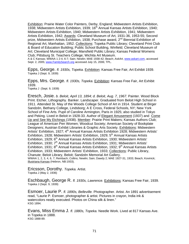Exhibition: Prairie Water Color Painters, Derby, England; Midwestern Artists Exhibition, 1938; Midwestern Artists Exhibition, 1939; 16<sup>th</sup> Annual Kansas Artists Exhibition, 1940; Midwestern Artists Exhibition, 1940; Midwestern Artists Exhibition, 1941; Midwestern Artists Exhibition, 1942; Awards: Cleveland Museum of Art, 1931-36, 1953-55; Second prize, Midwestern Artists Exhibition, 1938; Purchase award,  $2<sup>nd</sup>$  Biennial Exhibition of Regional Art, Manhattan, 1952. Collections: Topeka Public Library; Cleveland Print Club & Board of Education Building; Public School Building, Winfield; Cleveland Museum of Art; Cleveland Municipal College; Mansfield Public Library; Kansas Federal Womens Club; Pittsburg St. Teachers College; Wichita Art Museum.

A & C Kansas; WWAA 1 2-4, 6-7; Sain; Newlin; MAE 1938-42; Beach; *AskArt*, www.askart.com, accessed Sept. 2, 2005; www.FamilySearch.org accessed July 15, 2006; TPL.

Epps, George. *fl. 1930s, Topeka.* Exhibition: Kansas Free Fair, Art Exhibit 1939. Topeka J (Sept. 9, 1939)

Epps, Mrs. George. *fl. 1930s, Topeka*. Exhibition: Kansas Free Fair, Art Exhibit 1939. Topeka J (Sept. 9, 1939)

Eresch, Josie. *b. Beloit, April 13, 1894; d. Beloit, Aug. 7, 1967.* Painter. Wood Block Print. Etcher, Lithography. Banker. Landscaper. Graduated from Beloit High School in 1911. Attended St. May of the Woods College School of Art in 1914. Student at Birger Sandzén, Bethany College, Lindsborg; A E Cross, Federal Schools, NY; New York School of Fine Arts. Pupil of Caroline Armington, Paris in 1925; also studied in Tokyo and Peking. Lived in Beloit in 1928-33. Author of Elegant Amusement (1937) and Come Up and See My Etchings (1938). Member: Prairie Print Makers; Kansas Authors Club; League of American Pen Women; Woodcut Society; American Society of Bookplate Designers; Austrian Exhibit Libraries & Graphic Arts Society. Exhibitions: Midwestern Artists' Exhibition, 1927; 4<sup>th</sup> Annual Kansas Artists Exhibition 1928; Midwestern Artists' Exhibition, 1928; Midwestern Artists' Exhibition, 1929; 5<sup>th</sup> Annual Kansas Artists Exhibition, 1929; 6<sup>th</sup> Annual Kansas Artists Exhibition, 1930; Midwestern Artists' Exhibition, 1930; 7<sup>th</sup> Annual Kansas Artists Exhibition, 1931; Midwestern Artists' Exhibition, 1931;  $8<sup>th</sup>$  Annual Kansas Artists Exhibition, 1932;  $9<sup>th</sup>$  Annual Kansas Artists Exhibition, 1933; Midwestern Artists' Exhibition, 1933; Collections: Public Library, Chanute; Beloit Library, Beloit; Sandzén Memorial Art Gallery. WWAA 1, 2, 3, 4, 6, 7; Reinbach; Collins; Newlin; Sain; Dawdy 2; MAE 1927-31, 1933; Beach; Kovinick; Illustriana Kansas (Hebron, NB:1933).

Ericsson, Dorothy. *Topeka.* Artist. Topeka J (May 2, 1936)

Eschbaugh, George R. *fl. 1930s, Lawrence.* Exhibitions: Kansas Free Fair, 1939. Topeka J (Sept. 9, 1939)

Esmoer, Laurie P. *fl. 1890s, Belleville.* Photographer. Artist. An 1891 advertisement read, "Laurie P. Esmoer, photographer & artist. Pictures in crayon, India ink & watercolors neatly executed. Photos on China silk & linen." KSG 1894.

Evans, Miss Emma J. *fl. 1880s, Topeka.* Needle Work. Lived at 817 Kansas Ave. in Topeka in 1888. KSG 1888-89.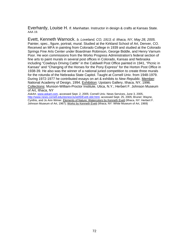Everhardy, Louise H. *fl. Manhattan.* Instructor in design & crafts at Kansas State. AAA 19.

Evett, Kenneth Warnock. *b. Loveland, CO, 1913; d. Ithaca, NY, May 28, 2005.* Painter, spec., figure, portrait, mural. Studied at the Kirkland School of Art, Denver, CO. Received an MFA in painting from Colorado College in 1939 and *s*tudied at the Colorado Springs Fine Arts Center under Boardman Robinson, George Biddle, and Henry Varnum Poor. He won commissions from the Works Progress Administration's federal section of fine arts to paint murals in several post offices in Colorado, Kansas and Nebraska including "Cowboys Driving Cattle" in the Caldwell Post Office painted in 1941, "Picnic in Kansas" and "Changing of the Horses for the Pony Express" for the Horton Post Office in 1938-39. He also was the winner of a national juried competition to create three murals for the rotunda of the Nebraska State Capitol. Taught at Cornell Univ. from 1948-1979. During 1972-1977 he contributed essays on art & exhibits to *New Republic.* Member: National Academy of Design, 1994. Exhibition: Upstairs Gallery, Ithaca, NY, 1996. Collections: Munson-William-Proctor Institute, Utica, N.Y.; Herbert F. Johnson Museum of Art, Ithaca, NY

*AskArt*, www.askart.com, accessed Sept. 2, 2005; Cornell Univ. News Services, June 3, 2005, http://www.news.cornell.edu/stories/June05/Evett.obit.html, accessed Sept. 25, 2005; Bruner; Wayne, Cynthis, and Jo Ann Wimer. Elements of Nature: Watercolors by Kenneth Evett (Ithaca, NY: Herbert F. Johnson Museum of Art, 1967); Works by Kenneth Evett (Ithaca, NY: White Museum of Art, 1969)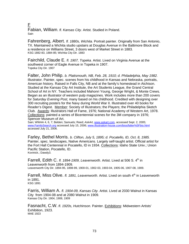F

Fabian, William. *fl. Kansas City.* Artist. Studied in Poland. Sain

Fahrenberg, Albert. *fl. 1880s, Wichita.* Portrait painter. Originally from San Antonio, TX. Maintained a Wichita studio upstairs at Douglas Avenue in the Baltimore Block and a residence on Williams Street, 3 doors west of Market Street in 1883. KSG 1882-83, 1884-85; Wichita City Dir. 1883

Fairchild, Claude E. *fl. 1907, Topeka.* Artist. Lived on Virginia Avenue at the southwest corner of Eagle Avenue in Topeka in 1907. Topeka City Dir. 1907

Falter, John Philip. *b. Plattsmouth, NB, Feb. 28, 1910; d. Philadelphia, May 1982.*  Illustrator. Painter, spec. scenes from his childhood in Kansas and Nebraska, portraits, American history. Raised in Falls City, NB and at the family's homestead in Atchison. Studied at the Kansas City Art Institute, the Art Students League, the Grand Central School of Art in NY. Teachers included Mahonri Young, George Wright, & Monte Crews. Began as an illustrator of western pulp magazines. Work includes more than 200 covers for *Saturday Evening Post,* many based on his childhood. Credited with designing over 300 recruiting posters for the Navy during World War II. Illustrated over 40 books for Reader's Digest. Member: Society of Illustrators; the Players; the Philadelphia Sketch Club. Awards: Illustrators Hall of Fame, 1976; National Academy of Western Art, 1978. Collections: painted a series of Bicentennial scenes for the 3M company in 1976; Spencer Museum of Art.

Sain; WWAA 4, 6, 7; Belden; Samuels; Reed; *AskArt*, www.askart.com, accessed Sept. 2, 2005; www.FamilySearch.org accessed July 15, 2006; www.illustration-house.com/bios/falter%5Fbio.html accessed July 21, 2006.

Farley, Bethel Morris. *b. Clifton, July 5, 1895; d. Pocatello, ID, Oct. 8, 1985.*  Painter, spec. landscapes, Native Americans. Largely self-taught artist. Official artist for the Fort Hall Centennial in Pocatello, ID in 1934. Collections: Idaho State Univ.; Union Pacific Station, Pocatello, ID. Kovinick.; Dawdy3.

Farrell, Edith C. *fl. 1894-1909, Leavenworth.* Artist. Lived at 506 S. 4<sup>th</sup> in Leavenworth from 1894-1909. Leavenworth City Dir. 1894-95, 1898-99, 1900-01, 1902-03, 1903-04, 1905-06, 1907-08, 1909.

Farrell, Miss Olive. *fl. 1891, Leavenworth.* Artist. Lived on south 4<sup>th</sup> in Leavenworth in 1891. KSG 1891

Farris, William A. *fl. 1904-09, Kansas City.* Artist. Lived at 2030 Walnut in Kansas City from 1904-08 and at 2080 Walnut in 1909. Kansas City Dir. 1904, 1908, 1909

Fasnacht, C.W. *fl. 1920s, Hutchinson.* Painter. Exhibitions: Midwestern Artists' Exhibition, 1923. MAE 1923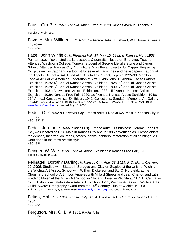Faust, Ora P. *fl. 1907, Topeka.* Artist. Lived at 1128 Kansas Avenue, Topeka in 1907. Topeka City Dir. 1907

Fayette, Mrs. William H. *fl. 1891, Nickerson.* Artist. Husband, W.H. Fayette, was a physician. KSG 1891

Fazel, John Winfield. *b. Pleasant Hill, WI, May 15, 1882; d. Kansas, Nov. 1963.*  Painter, spec. flower studies, landscapes, & portraits. Illustrator. Engraver. Teacher. Attended Washburn College, Topeka. Student of George Melville Stone and James I. Gilbert. Attended Kansas City Art Institute. Was the art director for Capper Engraving Co. plus an illustrator and cartoonist for several magazines and newspapers. Taught at the Topeka School of Art. Lived at 1040 Garfield Street, Topeka 1925-33. Member: Topeka Art Guild; American Federation of Arts. Exhibitions: 1<sup>st</sup> Annual Kansas Artists Exhibition, 1925; 4<sup>th</sup> Annual Kansas Artists Exhibition, 1928; 5<sup>th</sup> Annual Kansas Artists Exhibition, 1929; 6<sup>th</sup> Annual Kansas Artists Exhibition, 1930;  $7<sup>th</sup>$  Annual Kansas Artists Exhibition, 1931; Midwestern Artists' Exhibition, 1933; 15<sup>th</sup> Annual Kansas Artists Exhibition, 1939; Kansas Free Fair, 1939; 16<sup>th</sup> Annual Kansas Artists Exhibition, 1940; 17<sup>th</sup> Annual Kansas Artists Exhibition, 1941. <u>Collections</u>: Sandzén Memorial Art Gallery<br>Dawdy2; Topeka J. (June 11, 1938); Reinbach; AAA 22, 25; Newlin; WWAA 1, 2, 3; Sain ; MAE 1933; www.FamilySearch.org accessed July 15, 2006.

Fedeli, G. *fl. 1882-83, Kansas City.* Fresco artist*.* Lived at 622 Main in Kansas City in 1882-83. KSG 1882-83

Fedeli, Jerome. *fl. 1886, Kansas City.* Fresco artist. His business, Jerome Fedeli & Co., was located at 1036 Main in Kansas City and in 1886 advertised as" Fresco artists, residences, theatres, churches, offices, banks, banners, restoration of oil paintings. All work done in the most artistic style." KSG 1886

Feinger, W. W. *fl. 1939, Topeka.* Artist. Exhibitions: Kansas Free Fair, 1939. Topeka J (Sept. 9, 1939)

Fellnagel, Dorothy Darling. *b. Kansas City, Aug. 26, 1913; d. Oakland, CA, Apr. 22, 2006.* Studied with Elizabeth Sprague and Clayton Staples at the Univ. of Wichita; the Wichita Art Assoc. School with William Dickerson and B.J.O. Nordfeldt; at the Chouinard School of Art in Los Angeles with Millard Sheets and Jean Charlot; and with Frederic Mizen at the Mizen Art School in Chicago. Lived in Wichita at 4105 E. Central in 1935. Exhibitions: Midwestern Artists' Exhibition, 1935; Wichita Art Assoc.; Wichita Artist Guild. Award: Lithography award from the 20<sup>th</sup> Century Club of Wichita in 1934. Sain; AAUW; WWAA 1, 2, 3; MAE 1935; www.FamilySearch.org accessed July 15, 2006.

Felton, Mable. *fl. 1904, Kansas City.* Artist. Lived at 3712 Central in Kansas City in 1904. KSG 1904

Ferguson, Mrs. G. B. *fl. 1904, Paola.* Artist. KSG 1904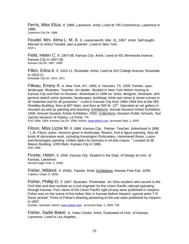Ferris, Miss Eliza. *fl. 1888, Lawrence.* Artist. Lived at 745 Connecticut, Lawrence in 1888. Lawrence City Dir. 1888

Feudel, Mrs. Alma L. M. A. *b. Leavenworth, Mar. 31, 1867.* Artist. Self-taught. Married to Arthur Feudell, also a painter. Lived in New York. AAA 1

Field, Helen C. *fl. 1907-08, Kansas City.* Artist. Lived at 451 Minnesota Avenue, Kansas City in 1907-08. Kansas City Dir. 1907, 1908

Filkin, Edna b. *fl. 1910-11, Rosedale.* Artist. Lived at 310 College Avenue, Rosedale in 1910-11. Rosedale City Dir. 1910, 1911

Filleau, Emery A. *b. New York, NY, 1855; d. Houston, TX, 1935.* Painter, spec. landscape. Illustrator. Teacher. Art dealer. Studied in New York before moving to Kansas City and then to Houston. Advertised in 1894 as "artist, designer, illustrator, and general sketch artist; portraits, landscapes, buildings, birds-eye views & street scenes in all materials and for all purposes." Lived in Kansas City from 1894-1904 first at the 560 Sheidley Building, then at 807 Main, and then at 300 W.  $10<sup>th</sup>$  Operated an art gallery in Houston as well as painting and teaching. Exhibitions: Annual Houston Artists Exhibition, 1926; Annual Houston Artists Exhibition, 1930. Collections: Houston Public Schools, San Jacinto Museum of History, La Porte, TX.

KSG 1894, 1904; Kansas City Dir. 1898; *AskArt*, www.askart.com, accessed Sept. 2, 2005

Filson, Miss Lizzie M. *fl. 1886, Kansas City.* Painter. Teacher. Advertised in 1886 " L.M. Filson, artist—lessons given in landscape, flowers, fruit & figure painting. Also all kinds of decorative work, including Kensington Embroidery, Hammered Brass, Lustre and Kensington painting. Orders taken for portraits in oil and crayon. " Located at 38 Mason Building, 1009 Main, Kansas City in 1886. KSG 1886

Fincke, Helen. *fl. 1940, Kansas City.* Student in the Dept. of Design at Univ. of Kansas, Lawrence. Wichita Eagle (Feb. 4, 1940)

Fisher, Mildred. *fl. 1930s, Topeka.* Artist. Exhibitions: Kansas Free Fair, 1939. Topeka J (Sept. 9, 1939)

Fisher, Phillip D. *fl. 1867.* Illustrator. Printmaker. An Ohio resident who served in the Civil War and then worked as a civil engineer for the Union Pacific railroad operating through Kansas. Four views of the Union Pacific right-of-way were published in *Harpers.* Fisher was on the scene of the Indian War in Kansas before *Harpers*' special artist T.R. Davis arrived. Three of Fisher's drawing pertaining to the war were published by *Harpers* in 1867.

Dunbier; Samuels; *AskArt*, www.askart.com, accessed Sept. 2, 2005; Taft

Fisher, Sadie Baker. *b. Yates Center.* Artist. Graduated of Univ. of Kansas, Lawrence. Lived in Los Angeles.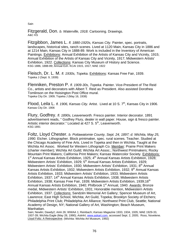Fitzgerald, Don. *b. Waterville, 1918.* Cartooning. Drawings. A&C KS

Fitzgibbon, James L. *fl. 1880-1920s, Kansas City.* Painter, spec. portraits, landscapes, historical sites, ranch scenes. Lived at 1120 Main, Kansas City in 1886 and at 1214 Main, Kansas City in 1888-89. Work is included in the Inventory of American Paintings. Exhibitions: Annual Exhibition of the Artists of Kansas City and Vicinity, 1915; Annual Exhibition of the Artists of Kansas City and Vicinity, 1917; Midwestern Artists' Exhibition, 1922. Collections: Kansas City Museum of History and Science. KSG 1886, 1888-89; Annual Exh. KCAI 1915, 1917; MAE 1922

Fleisch, Dr. L. M. *fl. 1930s, Topeka.* Exhibitions: Kansas Free Fair, 1939. Topeka J (Sept. 9, 1939)

Flenniken, Preston P. *fl. 1909-30s, Topeka.* Painter. Vice-President of The Reid Co., artists and decorators with Albert T. Reid as President. Also assisted Dorothea Tomlinson on the Hoisington Post Office mural. Topeka City Dir. 1909; Topeka J (May 16, 1938)

Flood, Leila L. *fl. 1906, Kansas City.* Artist. Lived at 10 S. 7<sup>th</sup>, Kansas City in 1906. Kansas City Dir. 1906

Flury, Godfrey. *fl. 1890s, Leavenworth.* Fresco painter. Interior decorator. 1891 advertisement reads, " Godfrey Flury, dealer in wall paper. House, sign & fresco painter. Artistic interior decorator." Located at 427 S. 5<sup>th</sup>, Leavenworth. KSG 1891

Foltz, Lloyd Chester. *b. Pottawatomie County, Sept. 24, 1897; d. Wichita, May 25, 1990.* Etcher. Lithographer. Block printmaker, spec. rural scenes. Teacher. Studied at the Chicago Academy of Fine Arts. Lived in Topeka and then in Wichita. Taught at the Wichita Art Assoc. Worked for Western Lithograph Co. Member: Prairie Print Makers (charter member); Wichita Art Guild; Wichita Art Assoc.; Northwest Printmakers; Rocky Mountain Print Makers; California Print Makers; Kansas Watercolor Society. Exhibitions: 1<sup>st</sup> Annual Kansas Artists Exhibition, 1925; 4<sup>th</sup> Annual Kansas Artists Exhibition, 1928; Midwestern Artists' Exhibition, 1929; 5<sup>th</sup> Annual Kansas Artists Exhibition, 1929; Midwestern Artists' Exhibition, 1930; Midwestern Artists' Exhibition, 1931; 8<sup>th</sup> Annual Kansas Artists Exhibition, 1932; Midwestern Artists Exhibition, 1932; 9<sup>th</sup> Annual Kansas Artists Exhibition, 1933; Midwestern Artists' Exhibition, 1933; Midwestern Artists Exhibition, 1937; 14<sup>th</sup> Annual Kansas Artists Exhibition, 1938; Midwestern Artists Exhibition, 1938; Kansas Free Fair, 1939; Midwestern Artists Exhibition, 1939;16<sup>th</sup> Annual Kansas Artists Exhibition, 1940; Philbrook 1<sup>st</sup> Annual, 1940. Awards: Bronze medal, Midwestern Artists' Exhibition, 1931; Honorable mention, Midwestern Artists Exhibition, 1937. Collections: Sandzén Memorial Art Gallery; Spencer Museum of Art, Lawrence; East High School, Wichita; Art Guild, Topeka; Brooklyn Society of Etchers; Philadelphia Print Club; Philadelphia Art Alliance; Northwest Print Club, Seattle; National Academy of Design, NY; National Gallery of Art, Washington; Beach Museum, Manhattan.

Sain; Newlin; Dawdy2; AAA 26; WWAA 1; Reinbach; *Kansas Magazine* 1933, 1934, 1935; MAE 1929-33, 1937-39; Wichita Eagle (May 28, 1990); *AskArt*, www.askart.com, accessed Sept. 2, 2005; Ross, Novelene. Lloyd Foltz: A Retrospective. (Wichita: Wichita Art Museum, 1992)

**Sain**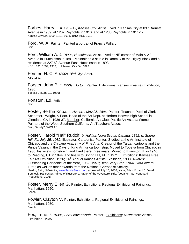Forbes, Harry L. *fl. 1909-12, Kansas City.* Artist. Lived in Kansas City at 837 Barnett Avenue in 1909, at 1207 Reynolds in 1910, and at 1230 Reynolds in 1911-12. Kansas City Dir. 1909, 1910, 1911, 1912; KSG 1912

Ford, W. A. Painter. Painted a portrait of Francis Willard. Sain

Ford, William A. *fl. 1890s, Hutchinson.* Artist. Lived at NE corner of Main & 2nd Avenue in Hutchinson in 1891. Maintained a studio in Room D of the Higley Block and a residence at 227 6<sup>th</sup> Avenue East, Hutchinson in 1893. KSG 1891, 1894, 1900; Hutchinson City Dir. 1893

Forster, H. C. *fl. 1890s, Bird City.* Artist. KSG 1891

Forster, John P. *fl. 1930s, Horton.* Painter. Exhibitions: Kansas Free Fair Exhibition, 1936. Topeka J (Sept. 19, 1936)

Fortstun, Ed. Artist. Sain

Foster, Bertha Knox. *b. Hymer, , May 25, 1896.* Painter. Teacher. Pupil of Clark, Schaeffer, Wright, & Poor. Head of the Art Dept. at Herbert Hoover High School in Glendale, CA in 1936-37. Member: California Art Club; Pacific Art Assoc.; Women Painters of the West; Southern California Art Teachers Assoc. Sain; Dawdy2; WWAA 1

Foster, Harold "Hal" Rudolf. *b. Halifax, Nova Scotia, Canada, 1892; d. Spring Hill, FL, July 25, 1982.* Illustrator. Cartoonist. Painter. Studied at the Art Institute of Chicago and the Chicago Academy of Fine Arts. Creator of the Tarzan cartoons and the Prince Valiant in the Days of King Arthur cartoon strip. Moved to Topeka from Chicago in 1936, his wife's hometown, and lived there three years. Moved to Evanston, IL in 1940, to Reading, CT in 1944, and finally to Spring Hill, FL in 1971. Exhibitions: Kansas Free Fair Art Exhibition, 1936; 14<sup>th</sup> Annual Kansas Artists Exhibition, 1938. Awards: Outstanding Cartoonist of the Year, 1952, 1957; Best Story Strip, 1964; SAM Award, 1969; as well as other awards from the National Cartoonist Society. Newlin; Sain; NMAA file; www.FamilySearch.org accessed July 15, 2006; Kane, Brian M., and J. David Spurlock. Hal Foster: Prince of Illustrators, Father of the Adventure Strip. (Lebanon, NJ: Vanguard Productions, 2001)

Foster, Merry Ellen G. Painter. Exhibitions: Regional Exhibition of Paintings, Manhattan, 1950. **Beach** 

Fowler, Clayton V. Painter. Exhibitions: Regional Exhibition of Paintings, Manhattan, 1950. **Beach** 

Fox, Irene. *fl. 1930s, Fort Leavenworth.* Painter. Exhibitions: Midwestern Artists' Exhibition, 1935.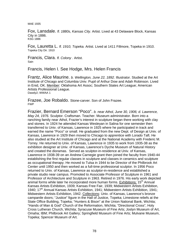MAE 1935

Fox, Lansdale. *fl. 1880s, Kansas City.* Artist. Lived at 43 Delaware Block, Kansas City in 1886. KSG 1886

Fox, Lauretta L. *fl. 1910, Topeka.* Artist. Lived at 1411 Fillmore, Topeka in 1910. Topeka City Dir. 1910

Francis, Clara. *fl. Colony .* Artist. **Sain** 

Francis, Helen I. See Hodge, Mrs. Helen Francis

Frantz, Alice Maurine. *b. Wellington, June 22, 1892.* Illustrator. Studied at the Art Institute of Chicago and Columbia Univ. Pupil of Arthur Dow and Adah Robinson. Lived in Enid, OK. Member: Oklahoma Art Assoc; Southern States Art League; American Artists Professional League. Dawdy2; WWAA 1

Frazee, Joe Robaldo. Stone-carver. Son of John Frazee. FWP

Frazier, Bernard Emerson "Poco". *b. near Athol, June 30, 1906; d. Lawrence, May 24, 1976.* Sculptor. Craftsman. Teacher. Museum administrator. Born into a ranching family near Athol, Frazier's interest in sculpture began there working with clay and stones. In 1924 he attended Kansas Wesleyan in Salina for one semester then transferred to Univ. of Kansas, Lawrence in 1925 where he participated in track and earned the name "Poco" or small. He graduated from the new Dept. of Design at Univ. of Kansas, Lawrence in 1929 then moved to Chicago to apprentice with Lorado Taft. He also studied at the Art Institute of Chicago and at the National Academy with Frederic M. Torrey. He returned to Univ. of Kansas, Lawrence in 1935 to work from 1935-38 as the exhibition designer at Univ. of Kansas, Lawrence's Dyche Museum of Natural History and created the dioramas. Served as sculptor-in-residence at Univ. of Kansas, Lawrence in 1938-39 on an Andrew Carnegie grant then joined the faculty from 1940-44 establishing the first regular classes in sculpture and classes in ceramics and sculpture as occupational therapy. He moved to Tulsa in 1944 to be Director of the Philbrook Art Center until 1950 and then worked as a full-time professional sculptor. In 1956 Poco returned to Univ. of Kansas, Lawrence as sculptor-in-residence and established a private studio near campus. Promoted to Associate Professor of Sculpture in 1961 and Professor of Architecture and Sculpture in 1963. Retired in 1976. His early work depicted animal forms while later he incorporated more human forms. Exhibitions:  $15<sup>th</sup>$  Annual Kansas Artists Exhibition, 1939; Kansas Free Fair, 1939; Midwestern Artists Exhibition, 1940; 17<sup>th</sup> Annual Kansas Artists Exhibition, 1941; Midwestern Artists Exhibition, 1941; Midwestern Artists Exhibition, 1942. Collections: Univ. of Kansas, Lawrence's bronze campanile doors; "Justice" figure in the Hall of Justice, Topeka; Limestone reliefs at the State Office Building, Topeka; "Hunters & Bison" at the Union National Bank, Wichita; "Hands of Man & God" Church of the Reformation, Wichita; "Directional Cross", Holy Cross Lutheran Church, Wichita; Syracuse Museum of Fine Arts; Joslyn Museum of Art, Omaha; IBM; Philbrook Art Gallery; Springfield Museum of Fine Arts; Mulvane Museum, Topeka; Spencer Museum of Art.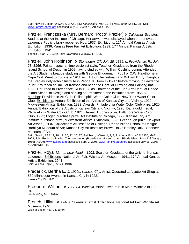Sain; Newlin; Belden; WWAA 6, 7; A&C KS; *Kanhistique* (Mar. 1977); MAE 1940-42; KS. Bio. Dict.; www.FamilySearch.org accessed July 15, 2006; KU Archives File.

Frazier, Franczeska (Mrs. Bernard "Poco" Frazier) *b. California.* Sculptor. Studied at the Art Institute of Chicago. Her artwork was displayed when the renovated Lawrence Public Library reopened Nov. 1937. Exhibitions: 11<sup>th</sup> Annual Kansas Artists Exhibition, 1936; Kansas Free Fair Art Exhibition, 1939; 17<sup>th</sup> Annual Kansas Artists Exhibition, 1941.

Topeka J (Jan. 7, 1936); Sain; Lawrence J-W (Nov. 17, 1937)

Frazier, John Robinson. *b. Stonington, CT, July 28, 1889; d. Providence, RI, July 23, 1966.* Painter, spec. an impressionist style. Teacher. Graduated from the Rhode Island School of Design in 1909 having studied with William Cushing Loring. Attended the Art Students League studying with George Bridgeman. Pupil of C.W. Hawthorne in Cape Cod. Went to Europe in 1911 with Arthur Heinzelman and William Drury. Taught at the Bradley Polytechnic Institute in Peoria, IL. from 1912-17 before moving to Lawrence in 1917 to teach at Univ. of Kansas and head the Dept. of Drawing and Painting until 1923. Returned to Providence, RI in 1923 as Chairman of the Fine Arts Dept. at Rhode Island School of Design and serving as President of the institution from 1955-62. Member: Providence Art Club; Philadelphia Water Color Club; New York Water Color Club. Exhibitions: Annual Exhibition of the Artists of Kansas City and Vicinity, 1920; Midwestern Artists' Exhibition, 1923. Awards: Philadelphia Water Color Club prize, 1920; Annual Exhibition of the Artists of Kansas City and Vicinity, 1920; Dana gold medal, Philadelphia Water Color Club, 1921; Harriet B. Jones prize, Baltimore Water Color Club, 1922; Logan purchase prize, Art Institute of Chicago, 1922; Kansas City Art Institute purchase prize, Midwestern Artists' Exhibition, 1923; Greenough prize, Newport Art Assoc., 1934. Collections: Art Institute of Chicago; Rhode Island School of Design; Brooklyn Museum of Art; Kansas City Art Institute; Brown Univ.; Bradley Univ.; Spencer Museum of Art.

Sain; Newlin; AAA 12, 18, 19, 20, 22, 26, 27; Reinbach; WWAA 1, 2, 3, 7; Annual Exh. KCAI 1920; MAE 1923; John Robinson Frazier: The Late Works. (Providence: Museum of Art, Rhode Island School of Design, 1969); *AskArt*, www.askart.com, accessed Sept. 2, 2005; www.FamilySearch.org accessed July 15, 2006; KU Archives File.

Frazier, Royal O. *b. near Athol, , 1903.* Sculptor. Graduate of the Univ. of Kansas, Lawrence. Exhibitions: National Art Fair, Wichita Art Museum, 1941; 17<sup>th</sup> Annual Kansas Artists Exhibition, 1941. Sain; Wichita Eagle (Nov. 24, 1940)

Frederick, Bertha E. *fl. 1920s, Kansas City.* Artist. Operated Lafayette Art Shop at 530 Minnesota Avenue in Kansas City in 1922. Kansas City Dir. 1922

Freeborn, William. *fl. 1903-04, Winfield.* Artist. Lived at 618 Main, Winfield in 1903- 04. Winfield City Dir. 1903-04

French, Lillian. *fl. 1940s, Lawrence.* Artist. Exhibitions: National Art Fair, Wichita Art Museum, 1940. Wichita Eagle (Nov. 24, 1940)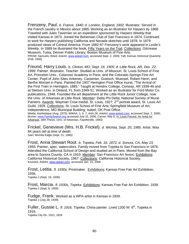Frenzeny, Paul. *b. France, 1840; d. London, England, 1902.* Illustrator. Served in the French cavalry in Mexico about 1865. Working as an illustrator for *Harpers* by 1868. Traveled with Jules Tavernier on an expedition sponsored by *Harpers Weekly* that visited Kansas in 1873. Joined the Bohemian Club of San Francisco in 1874. Continued to work for *Harpers* publishing California and Nevada sketches until 1878. In 1879 produced views of Central America. From 1882-87 Frenzeny's work appeared in *Leslie's Weekly.* In 1889 he illustrated the book, Fifty Years on the Trail. Collections: Gilcrease Museum, Tulsa; Denver Public Library; Boston Museum of Fine Arts. PROW; Samuels; Reed; *AskArt*, www.askart.com, accessed Sept. 2, 2005; Taft; *Kansas Historical Quarterly* (Feb. 1946)

Freund, Harry Louis. *b. Clinton, MO, Sept. 16, 1905; d. Little Rock, AR, Dec. 22,*  1999. Painter. Illustrator. Teacher. Studied at Univ. of Missouri, St. Louis School of Fine Art, Princeton Univ., Colarossi Academy in Paris, and the Colorado Springs Fine Art Center. Pupil of John Sites Ankeney, Carpenter, Goetsch, Wuerpel, Robert Henri, and Berthe Moriset in Paris. Painted the 1937 Herington Post Office mural, "The Arrival of the First Train in Herington, 1885." Taught at Hendrix College, Conway, AR 1939-46 and at Stetson Univ. in Deland, FL from 1949-51. Worked as an illustrator for Ford Motor Co. publications, 1948. Founded the art department at the Little Rock Junior College, now the Univ. of Arkansas at Little Rock. Member: Delta Phi Delta; National Society of Mural Painters. Awards: Wayman Crow medal, St. Louis, 1927; 2<sup>nd</sup> portrait award, St. Louis Art Guild, 1929. Collections: St. Louis School of Fine Arts; Springfield Museum of Art; Independence, MO Municipal Building; Isabel, OK Post Office.<br>Wiebe; *Kanhistique* (Aug. 1975); WWAA, 1, 6, 7; AAA 26; *AskArt*, <u>www.askart.com</u>, accessed Sept. 2, 2005;

Bruner; www.FamilySearch.org accessed July 15, 2006; Carver, Rita S. H. Louis Freund: An Artist for Arkansas. (MA Thesis, Univ. of Arkansas, Fayetteville, 1993)

Frickel, Genevieve (Mrs. H.B. Frickel). *d. Wichita, Sept. 20, 1985.* Artist. Was 84 years old at time of death. Sain; Wichita Eagle (Sept. 21, 1985)

Frost, Anna Stewart Root. *b. Topeka, Feb. 16, 1872; d. Sonora, CA, May 23, 1955.* Painter, spec. watercolors. Family moved from Topeka to San Francisco in 1876. Attended the California School of Design and studied art in Paris. Moved from the Bay area to Sonora County, CA in 1910. Member: San Francisco Art Assoc. Exhibitions: California Historical Society, 1967. Collections: California Historical Society. Kovinick; AskArt, www.askart.com, accessed Jan. 15, 2006

Frost, Letitia. *fl. 1930s.* Printmaker. Exhibitions: Kansas Free Fair Art Exhibition, 1936. Topeka J (Sept. 19, 1936)

Frost, Marcia. *fl. 1930s, Topeka.* Exhibitions: Kansas Free Fair Art Exhibition, 1939. Topeka J (Sept. 9, 1939)

Fudge, Frank. Worked as a WPA artist in Kansas in 1939. Topeka J (July 28, 1939)

Fuller, Gussie L. *fl. 1916, Topeka.* China painter. Lived 1200 W. 6<sup>th</sup>, Topeka in 1916. Topeka City Dir. 1912, 1916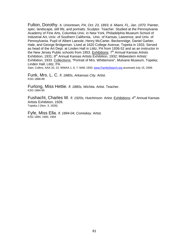Fulton, Dorothy. *b. Uniontown, PA, Oct. 23, 1893; d. Miami, FL, Jan. 1970.* Painter, spec. landscape, still life, and portraits. Sculptor. Teacher. Studied at the Pennsylvania Academy of Fine Arts, Columbia Univ. in New York, Philadelphia Museum School of Industrial Art, Univ. of Southern California, Univ. of Kansas, Lawrence, and Univ. of Pennsylvania. Pupil of Albert Laessle, Henry McCarter, Beckenridge, Daniel Garber, Hale, and George Bridgeman. Lived at 1620 College Avenue, Topeka in 1933. Served as head of the Art Dept. at Linden Hall in Lititz, PA from 1936-52 and as an instructor in the New Jersey Public schools from 1953. Exhibitions: 7<sup>th</sup> Annual Kansas Artists Exhibition, 1931; 8<sup>th</sup> Annual Kansas Artists Exhibition, 1932; Midwestern Artists' Exhibition, 1933. Collections: "Portrait of Mrs. Whittemore", Mulvane Museum, Topeka; Linden Hall, Lititz, PA.

Sain; Collins; AAA 20, 22; WWAA 1, 6, 7; MAE 1933; www.FamilySearch.org accessed July 15, 2006.

Funk, Mrs. L. C. *fl. 1880s, Arkansas City.* Artist. KSG 1888-89

Furlong, Miss Hettie. *fl. 1880s, Wichita.* Artist. Teacher. KSG 1884-85

Fushacht, Charles W. *fl. 1920s, Hutchinson.* Artist. Exhibitions: 4<sup>th</sup> Annual Kansas Artists Exhibition, 1928. Topeka J (Nov. 3, 1928)

Fyfe, Miss Ella. *fl. 1894-04, Comiskey.* Artist. KSG 1894, 1900, 1904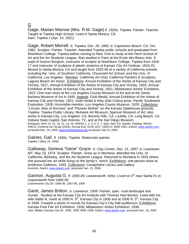## G

Gage, Marian Marrow (Mrs. R.M. Gage) *fl. 1920s, Topeka.* Painter. Teacher. Taught at Topeka High School. Lived in Santa Monica, CA. Sain; Topeka J (Apr. 14, 1921)

Gage, Robert Merrell. *b. Topeka, Dec. 26, 1892; d. Capistrano Beach, CA, Oct. 1981.* Sculptor. Painter. Teacher. Attended Topeka public schools and graduated from Washburn College, Topeka before moving to New York to study at the Henri School of Art and the Art Students League. Also studied in Paris at the Ecole des Beaux Arts. A pupil of Gutzon Borglum. Instructor of sculptor at Washburn College, Topeka from 1916- 17 and instructor of sculpture & plastic anatomy at Kansas City Art Institute, 1916-23. Moved to Santa Monica, CA and taught from 1925-58 at a variety of California schools including the Univ. of Southern California, Chouinard Art School, and the Univ. of California, Los Angeles. Member: California Art Club; California Painters & Sculptors; Laguna Beach Art Assoc. Exhibitions: Annual Exhibition of the Artists of Kansas City and Vicinity, 1917; Annual Exhibition of the Artists of Kansas City and Vicinity, 1920; Annual Exhibition of the Artists of Kansas City and Vicinity, 1921; Midwestern Artists' Exhibition, 1922; One-man show at the Los Angeles County Museum of Art and at the Santa Barbara Museum of Art in 1945. Awards: Gold Medal, Annual Exhibition of the Artists of Kansas City and Vicinity, 1921; Gold medal & Way Side Colony prize, Pacific Southwest Exposition, 1928; Honorable mention, Los Angeles County Museum, 1929. Collections: "Lincoln, Man of Sorrows" and "Pioneer Mother" on the Kansas Statehouse grounds, Topeka; Topeka Public Library; Mulvane Art Museum; Spencer Museum of Art; also works in Kansas City, Los Angeles, CA, Beverly Hills, CA, LaJolla, CA, Long Beach, CA Indiana State Capitol, San Antonio, TX, and at the San Diego Museum Reinbach; AAA 13, 14, 18, 22, 24, 26; WWAA 1, 2, 3, 4, 6, 7; Sain; A&C KS; Newlin; Fielding; WKDC; KMCS; Contemp Am Sculp (1929); Annual Exh. KCAI 1917, 1920-21; MAE 1922; *AskArt,* www.askart.com, accessed Dec. 16, 2005; www.FamilySearch.org accessed July 15, 2006.

Gaines, Gail. *fl. 1930s, Topeka.* Watercolor painter. Topeka J (May 19, 1936)

Galloway, Geneva "Gene" Grace. *b. Clay Center, Dec. 21, 1897; d. Lewistown, MT, May 19, 1974.* Sculptor. Painter. Grew up in Montana. attended the Univ. of California, Berkeley, and the Art Students League. Returned to Montana in 1933 where she pursued her art while living on the family's ranch. Exhibitions: one-person show at Anderson Galleries, 1933. Collections: Canajoharie Library and Gallery Kovinick; *AskArt*, www.askart.com, accessed Jan. 15, 2006.

Gannon, Augusta G. *fl. 1905-09, Leavenworth.* Artist. Lived on 4<sup>th</sup> near Santa Fe in Leavenworth from 1905-09. Leavenworth City Dir. 1905-06, 1907-08, 1909

Gantt, James Britton. *b. Lawrence, 1909.* Painter, spec. rural landscape and murals. Studied at the Kansas City Art Institute with Thomas Hart Benton. Lived with his wife Hattie N. Gantt at 1005 N.  $5<sup>th</sup>$ , Kansas City in 1936 and at 2006 N.  $5<sup>th</sup>$ , Kansas City in 1938. Created a series of murals for Kansas City's City Hall auditorium. Exhibitions: Kansas Free Fair Art Exhibition, 1936; Midwestern Artists Exhibition, 1938. Sain; Wiebe; Kansas City Dir. 1936, 1938; MAE 1938; *AskArt*, www.askart.com, accessed Dec. 16, 2005.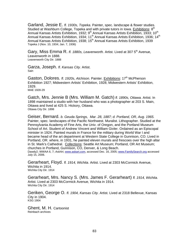Garland, Jessie E. *fl. 1930s, Topeka.* Painter, spec. landscape & flower studies. Studied at Washburn College, Topeka and with private tutors in Iowa. Exhibitions:  $8<sup>th</sup>$ Annual Kansas Artists Exhibition, 1932;  $9<sup>th</sup>$  Annual Kansas Artists Exhibition, 1933; 10<sup>th</sup> Annual Kansas Artists Exhibition, 1934; 11<sup>th</sup> Annual Kansas Artists Exhibition, 1936; 14<sup>th</sup> Annual Kansas Artists Exhibition, 1938; 15<sup>th</sup> Annual Kansas Artists Exhibition, 1939 Topeka J (Nov. 10, 1934; Jan. 7, 1936)

Gary, Miss Emma R. fl. 1880s, Leavenworth. Artist. Lived at 307 5<sup>th</sup> Avenue, Leavenworth in 1888. Leavenworth City Dir. 1888

Garza, Joseph. *fl. Kansas City.* Artist. Sain

Gaston, Dolores. *fl. 1920s, Atchison. Painter. Exhibitions:* 17<sup>th</sup> McPherson Exhibition 1927; Midwestern Artists' Exhibition, 1928; Midwestern Artists' Exhibition, 1929. MAE 1928-29

Gatch, Mrs. Jennie B (Mrs. William M. Gatch) *fl. 1890s, Ottawa.* Artist. In 1898 maintained a studio with her husband who was a photographer at 203 S. Main, Ottawa and lived at 425 S. Hickory, Ottawa. Ottawa City Dir. 1898

Geiser, Bernard. *b. Geuda Springs, Mar. 28, 1887; d. Portland, OR, Aug. 1965.*  Painter, spec. landscapes of the Pacific Northwest. Muralist. Lithographer. Studied at the Pennsylvania Academy of Fine Arts, the Univ. of Oregon, and the Portland Museum School of Art. Student of Andrew Vincent and William Givler. Ordained as an Episcopal minister in 1924. Painted murals in France for the military during World War I and became head of the art department at Western State College in Gunnison, CO. Lived in Portland, OR. where, in 1931, he painted eleven murals and frescoes over the high altar in St. Mark's Cathedral. Collections: Seattle Art Museum; Portland, OR Art Museum; churches in Portland, Gunnison, CO, Denver, & Long Beach. Dawdy2; WWAA 6, 7; *AskArt*, www.askart.com, accessed Dec. 16, 2005; www.FamilySearch.org accessed July 15, 2006.

Gerarheart, Floyd. *fl. 1914, Wichita.* Artist. Lived at 2303 McCormick Avenue, Wichita in 1914. Wichita City Dir. 1914

Gerarheart, Mrs. Nancy S. (Mrs. James F. Gerarheart) *fl. 1914, Wichita.*  Artist. Lived at 2303 McCormick Avenue, Wichita in 1914. Wichita City Dir. 1914

Geriken, George O. *fl. 1904, Kansas City.* Artist. Lived at 2318 Bellevue, Kansas City in 1904. KSG 1904

Ghent, M. H. Cartoonist Reinbach archives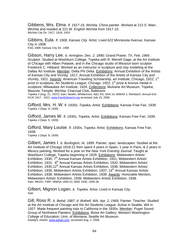Gibbens, Mrs. Elma. *fl. 1917-19, Wichita.* China painter. Worked at 213 S. Main, Wichita and resided at 221 W. English Wichita from 1917-10. Wichita City Dir. 1917, 1918, 1919

Gibbins, Eula. *fl. 1908, Kansas City.* Artist. Lived 622 Minnesota Avenue, Kansas City in 1908.

KSG 1908; Kansas City Dir. 1908

Gibson, Harry Lee. *b. Arrington, Dec. 2, 1890; Grand Prairie, TX, Feb. 1966 .*  Sculptor. Studied at Washburn College, Topeka with R. Merrell Gage, at the Art Institute of Chicago with Alben Polasek, and in the Chicago studio of Missouri-born sculptor Frederick C. Hibbard. Worked as an instructor in sculpture and clay modeling at the Dallas Art Institute. Member: Delta Phi Delta. Exhibitions: Annual Exhibition of the Artists of Kansas City and Vicinity, 1917; Annual Exhibition of the Artists of Kansas City and Vicinity, 1921. Awards: American Traveling Scholarship, art Institute, Chicago, 1922; 1<sup>st</sup> prize in sculpture, Art Students League, Chicago, 1922; 1<sup>st</sup> prize & bronze medal in sculpture, Milwaukee Art Institute, 1929. Collections: Mulvane Art Museum, Topeka; Masonic Temple, Wichita; Charcoal Club, Baltimore

Topeka J (Aug. 21, 1937); Sain; Newlin; Whittemore; A&C KS; AAA 14; WWAA 1; Reinbach; Annual Exh. KCAI 1917, 1921; www.FamilySearch.org accessed July 15, 2006.

Gifford, Mrs. H. W. *fl. 1930s, Topeka.* Artist. Exhibitions: Kansas Free Fair, 1939. Topeka J (Sept. 9, 1939)

Gifford, James W. *fl. 1930s, Topeka.* Artist. Exhibitions: Kansas Free Fair, 1939. Topeka J (Sept. 9, 1939)

Gifford, Mary Louise. *fl. 1930s, Topeka.* Artist. Exhibitions: Kansas Free Fair, 1939.

Topeka J (Sept. 9, 1939)

Gilbert, James I. *b. Burlington, IA, 1899.* Painter, spec. landscapes. Studied at the Art Institute of Chicago 1918-21 then spent 4 years in Spain, 1 year in Paris, & 2 years in Mexico painting. Worked for a year on the *New York Evening Journal*. Taught at Washburn College, Topeka beginning in 1929. Exhibitions: Midwestern Artists' Exhibition, 1930; 7<sup>th</sup> Annual Kansas Artists Exhibition, 1931; Midwestern Artists' Exhibition, 1931; 8<sup>th</sup> Annual Kansas Artists Exhibition, 1932; Midwestern Artists' Exhibition, 1935;12<sup>th</sup> Annual Kansas Artists Exhibition, 1936; Midwestern Artists' Exhibition, 1936; Midwestern Artists Exhibition, 1937; 14<sup>th</sup> Annual Kansas Artists Exhibition, 1938; Midwestern Artists Exhibition, 1939. Awards: Honorable Mention, Midwestern Artists' Exhibition, 1936; Midwestern Artists Exhibition, 1938. Sain; WKDC; FWP; WWAA 1940-41; MAE 1930, 1935-39

Gilbert, Mignon Logan. *b. Topeka*. Artist. Lived in Kansas City. Sain

Gill, Ross R. *b. Beloit, 1887; d. Bothell, WA, Apr. 2, 1969.* Painter. Teacher. Studied at the Art Institute of Chicago and the Art Students League. Active in Seattle, WA in 1927. Made frequent painting trips to California in the 1930s. Member: Puget Sound Group of Northwest Painters. Exhibitions: Boise Art Gallery; Western Washington College of Education; Univ. of Montana; Seattle Art Museum. Dawdy3; *AskArt*, www.askart.com, accessed Aug. 2, 2006.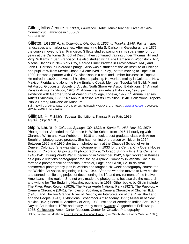Gillett, Miss Jennie*. fl. 1880s, Lawrence*. Artist. Music teacher. Lived at 1424 Connecticut, Lawrence in 1888-89. KSG 1888-89

Gillette, Lester A. *b. Columbus, OH, Oct. 5, 1855; d. Topeka, 1940.* Painter, spec. landscapes and harbor scenes. After marrying Ida S. Carlson in Galesburg, IL in 1876, the couple moved to San Francisco. Gillette studied painting in his spare time for four years at the California School of Design then continued training under Thomas Hill and Virgil Williams in San Francisco. He also studied with Birge Harrison in Woodstock, NY, Mitchell Jacobs in New York City, George Elmer Browne in Provincetown, MA*.,* and John F. Carlson in Colorado Springs. Also was a student at the Art Institute of Chicago and pupil of William Merritt Chase. Gillette lived in Riley, before moving to Topeka in 1900. He was a partner with C.C. Nicholson in a coal and lumber business in Topeka. He retired in 1920 to devote all his time to painting. He worked mainly in Colorado, New Mexico, Florida, and along the New England Coast. Member: Topeka Art Guild; Miami Art Assoc; Gloucester Society of Artists; North Shore Art Assoc. Exhibitions: 1<sup>st</sup> Annual Kansas Artists Exhibition, 1925; 4<sup>th</sup> Annual Kansas Artists Exhibition, 1928; joint exhibition with George Stone at Washburn College, Topeka, 1929; 5<sup>th</sup> Annual Kansas Artists Exhibition, 1929; 16<sup>th</sup> Annual Kansas Artists Exhibition, 1940. Collections: Topeka Public Library; Mulvane Art Museum

Sain; Newlin; Greene; Was; AAA 24, 26, 27; Reinbach; WWAA 1, 2, 3; *AskArt*, www.askart.com, accessed July 21, 2006; TPL; Dawdy3.

Gilligan, P. *fl. 1930s, Topeka.* Exhibitions: Kansas Free Fair, 1939. Topeka J (Sept. 9, 1939)

Gilpin, Laura. *b. Colorado Springs, CO, 1891; d. Santa Fe, NM, Nov. 30, 1979.*  Photographer. Attended the Clarence H. White School from 1916-17 studying with Clarence White and Max Webber. In 1918 she took a post-graduate class with Anton Bruehl on photogravure process. She had her first one-person exhibition in 1924. Between 1926 and 1930 she taught photography at the Chappell School of Art in Denver, Colorado. She was staff photographer in 1933 for the Central City Opera House Assoc. in Colorado. Gilpin taught photography at Colorado Springs Fine Arts Center in 1940-1941. During World War II, beginning in November 1942, Gilpin worked in Kansas as a public relations photographer for Boeing Airplane Company in Wichita. She also formed a photographic partnership, Krehbiel, Page, and Gilpin, Co. to do small commercial photography jobs in Wichita and taught a six-week photography course for the Wichita Art Assoc. beginning in Nov. 1944. After the war she moved to New Mexico and started her lifelong project of documenting the life and environment of the Native Americans in the region. She not only made the photographs but also did the research and writing for The Enduring Navaho, published in 1968. Other books by Gilpin include The Pikes Peak Region (1926), The Mesa Verde National Park (1927), The Pueblos: A Camera Chronicle (1941), Temples of Yucatan, a Camera Chronicle of Chichen Itzá (1948), and The Rio Grande: River of Destiny; An Interpretation of the River, the Land, and the People (1947). Exhibitions: Broadmoor Art Academy, 1921; Museum of New Mexico, 1921; Honolulu Academy of Arts, 1930; Institute of American Indian Arts, 1971; Dayton Art Institute, 1976; and many, many more. Awards: Guggenheim Fellowship, 1975. Collections: Amon Carter Museum; Center for Creative Photography Heller; Sandweiss, Martha A. Laura Gilpin:An Enduring Grace**. (**Fort Worth: Amon Carter Museum, 1986);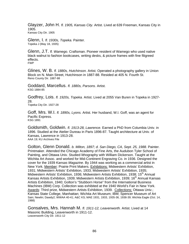Glayzer, John H. *fl. 1905, Kansas City.* Artist. Lived at 639 Freeman, Kansas City in 1905. Kansas City Dir. 1905

Glenn, I. *fl. 1930s, Topeka.* Painter. Topeka J (May 18, 1935)

Glenn, J.T. *fl. Wamego.* Craftsman. Pioneer resident of Wamego who used native black walnut to fashion bookcases, writing desks, & picture frames with fine filigreed effects. FWP

Glines, W. B. *fl. 1880s, Hutchinson.* Artist. Operated a photography gallery in Union Block on N. Main Street, Hutchinson in 1887-88. Resided at 405 N. Fourth St. Reno County Dir. 1887-88

Goddard, Marcellus. *fl. 1880s, Parsons.* Artist. KSG 1884-85

Godfrey, Lois. *fl. 1920s, Topeka.* Artist. Lived at 2055 Van Buren in Topeka in 1927- 28.

Topeka City Dir. 1927-28

Goff, Mrs. W.I. *fl. 1890s, Lyons.* Artist. Her husband, W.I. Goff, was an agent for Pacific Express. KSG 1891

Goldsmith, Goldwin. *fl. 1913-28, Lawrence.* Earned a PhD from Columbia Univ. in 1896. Studied at the Atelier Dureau in Paris 1896-87. Taught architecture at Univ. of Kansas, Lawrence in 1913-28. AAA 19; KU Archives File

Golton, Glenn Donald. *b. Milton, 1897; d. San Diego, CA, Sept. 25, 1988.* Painter. Printmaker. Attended the Chicago Academy of Fine Arts, the Audubon Tyler School of Painting, and Ottawa Univ. Studied lithography with William Dickerson. Taught at the Wichita Art Assoc. and worked for Mid-Continent Engraving Co. in 1936. Designed the cover for the 1939 *Kansas Magazine*. By 1944 was working as a commercial artist in New York. Member: Prairie Print Makers. Exhibitions: Midwestern Artists' Exhibition, 1931; Midwestern Artists' Exhibition, 1933; Midwestern Artists' Exhibition, 1935; Midwestern Artists' Exhibition, 1936; Midwestern Artists Exhibition, 1938; 15<sup>th</sup> Annual Kansas Artists Exhibition, 1939; Midwestern Artists Exhibition, 1939; 16<sup>th</sup> Annual Kansas Artists Exhibition, 1940; Golton's "Stubborn Horse" from the International Business Machines (IBM) Corp. Collection was exhibited at the 1940 World's Fair in New York. Awards: Third prize, Midwestern Artists Exhibition, 1939. Collections: Ottawa Univ.; Kansas State College, Manhattan; Wichita Art Museum; IBM; Spencer Museum of Art Sain; Newlin; Dawdy2; WWAA 40-41; A&C KS; MAE 1931, 1933, 1935-36, 1938-39; Wichita Eagle (Oct. 14, 1988)

Gonsalves, Mrs. Hannah M. *fl. 1911-12, Leavenworth.* Artist. Lived at 14 Masonic Building, Leavenworth in 1911-12. Leavenworth City Dir. 1911-12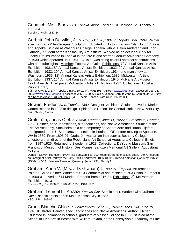Goodrich, Miss B. *fl. 1880s, Topeka.* Artist. Lived at 310 Jackson St., Topeka in 1883-84. Topeka City Dir. 1883-84

Gorbutt, John Detwiler, Jr. *b. Troy, Oct. 20, 1904; d. Topeka, Mar. 1984*. Painter, spec. portraits & landscapes. Sculptor. Educated in Horton, Kansas City, Holton, Salina, and Topeka. Studied at Washburn College, Topeka with V. Helen Anderson and John Canaday. Student at the Kansas City Art Institute. Worked as an actuarial clerk for Liberty Life Insurance in Topeka in the 1920s and started Gorbutt Advertising Company in 1939 which operated until 1961. By 1971 was doing colorful abstract constructions with bent tube lights. Member: Topeka Art Guild. Exhibitions: 7<sup>th</sup> Annual Kansas Artists Exhibition, 1931;  $8<sup>th</sup>$  Annual Kansas Artists Exhibition, 1932;  $9<sup>th</sup>$  Annual Kansas Artists Exhibition, 1933; 10<sup>th</sup> Annual Kansas Artists Exhibition, 1934; one-man show at Washburn, 1935; 12<sup>th</sup> Annual Kansas Artists Exhibition, 1936; Midwestern Artists Exhibition, 1937; 16<sup>th</sup> Annual Kansas Artists Exhibition, 1940; Mulvane Art Museum, 1971. Awards: Third prize, Midwestern Artists Exhibition, 1937. Collections: Topeka Public Library

Sain; WWAA 1, 2, 3, 4; Topeka J (Nov. 10, 1934); MAE 1937; *AskArt*, www.askart.com, accessed Dec. 16, 2005; www.FamilySearch.org accessed July 15, 2006; Sallee, Jeanne Gorbutt. John D. Gorbutt, Jr.: A Study of a Kansas Artist, 1931 until 1971. (M.S. Thesis, Kansas State Univ., 1971); TPL

Gowen, Frederick. *b. Topeka, 1882.* Designer. Architect. Sculptor. Lived in Marion. Commissioned in 1923 to design "Spirit of the Nation" for Central Park in New York City. Sain; Newlin; Reinbach

Grafström, Jonas Olof. *b. Attmar, Sweden, June 11, 1855; d. Stockholm, Sweden, 1933.* Painter, spec. landscapes, altar paintings, and Native Americans. Studied at the Fria Art Academy, Stockholm as a contemporary of Anders Zorn and Bruno Liljefors. Immigrated to the U.S. in 1886 and settled in Portland, OR before moving to Spokane, WA in 1889. From 1893-97, Grafström was an art instructor at Bethany College, Lindsborg then director of the Rock Island Art School at Augustana College in Illinois from 1897-1926. Returned to Sweden in 1928. Collections: DeYoung Museum, San Francisco; Museum of History, Des Moines; Sandzén Memorial Art Gallery; Augustana College.

Dunbier; Dawdy; Harmsen; NMAA file; Sandzén files; 100 Years of Art; Magnusson, Brian. "Olof Grafström: an Immigrant Artist Portrays the Early Pacific Northwest, 1886-1890", *Swedish American Quarterly* v.37 #2 (1986) p.42-59; *Swedish American Quarterly* (April 1998); Dawdy3.

Graham, Anna V. (Mrs. J.D. Graham) *fl. 1900-21, Emporia.* Art teacher. Painter. China Painter. Worked at 613 Commercial and resided at 703 Union in Emporia in 1900-01. Lived at 614 Market, Emporia from 1916-21. Exhibitions: 3<sup>rd</sup> McPherson Exhibition, 1913

Emporia City Dir. 1900-01; 1902-03; 1908; 1916; 1921

Graham, Lemuel L. *fl. 1880s, Kansas City.* Scenic artist. Worked with Graham and Davis, scenic artists at 525 Main, Kansas City in 1886. KSG 1886; 1888-89

Grant, Blanche Chloe. *b. Leavenworth, Sept. 23, 1874; d. Taos, NM, June 19, 1948.* Illustrator. Painter, spec. landscapes and Native Americans. Author. Etcher. Educated in Indianapolis schools, graduate of Vassar College in 1896, studied at the School of Fine Arts in Boston with William Paxton, at the Pennsylvania Academy of Fine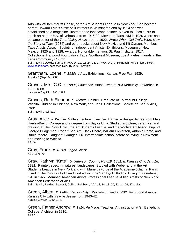Arts with William Merritt Chase, at the Art Students League in New York. She became part of Howard Pyle's circle of illustrators in Wilmington and by 1914 she was established as a magazine illustrator and landscape painter. Moved to Lincoln, NB to teach art at the Univ. of Nebraska from 1916-20. Moved to Taos, NM in 1920 where she became editor of the *Taos Valley News* around 1922. Wrote *When Old Trails Were New; the Story of Taos* (1934) and other books about New Mexico and Kit Carson. Member: Taos Artists' Assoc.; Society of Independent Artists. Exhibitions: Museum of New Mexico, 1925 and 1928. Awards: Honorable mention, St. Paul Institute, 1917. Collections: Harwood Foundation, Taos; Southwest Museum, Los Angeles; murals in the Taos Community Church.

Sain; Newlin; Dawdy; Samuels; AAA 14, 20, 22, 24, 26, 27; WWAA 2, 3; Reinbach; Witt; Shipp; *AskArt*, www.askart.com, accessed Dec. 16, 2005; Kovinick

Grantham, Loene. *fl. 1930s, Alton.* Exhibitions: Kansas Free Fair, 1939. Topeka J (Sept. 9, 1939)

Graves, Mrs. C.C. *fl. 1880s, Lawrence.* Artist. Lived at 763 Kentucky, Lawrence in 1886-1888. Lawrence City Dir. 1886, 1888

Graves, Ruth Eleanor. *fl. Wichita.* Painter. Graduate of Fairmount College, Wichita. Studied in Chicago, New York, and Paris. Collections: Societé de Beaux Arts, Paris.

Sain; Newlin; Reinbach

Gray, Alice. *fl. Wichita.* Gallery Lecturer. Teacher. Earned a design degree from Mary Hardin-Baylor College and a degree from Baylor Univ. Studied sculpture, ceramics, and drawing at New York Univ., the Art Students League, and the Wichita Art Assoc. Pupil of George Bridgeman, Robert Ben Ami, Jack Pharo, William Dickerson, Antonio Prieto, and Bruce Moore. Taught at Granger, TX. Intermediate school before studying in New York and moving to Wichita. AAUW

Gray, Kathryn "Kate". *b. Jefferson County, Nov.18, 1881; d. Kansas City, Jan. 18, 1931.* Painter, spec. miniatures, landscapes. Studied with Weber and at the Art Students League in New York and with Marie LaForge at the Academié Julian in Paris. Lived in New York in 1917 and worked with the Van Dyck Studios. Living in Pasadena, CA. in 1927. Member: American Artists Professional League; Allied Artists of New York; American Federation of Arts.

Sain; Newlin; Fielding; Dawdy2; Collins; Reinbach; AAA 12, 14, 18, 20, 22, 24, 26, 27; Julian

Green, Albert. *fl. 1940s, Kansas City.* Wax artist. Lived at 2201 Richmond Avenue, Kansas City with his wife Jessie from 1940-42. Kansas City Dir. 1940, 1942

Green, Father Andrew. *fl. 1916, Atchison.* Teacher. Art instructor at St. Benedict's College, Atchison in 1916. AAA 13

Gray, Frank. *fl. 1870s, Logan.* Artist. KSG 1878-79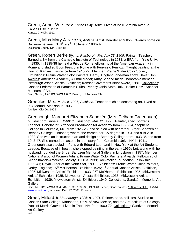Green, Arthur W. *fl. 1912, Kansas City.* Artist. Lived at 2201 Virginia Avenue, Kansas City in 1912. Kansas City Dir. 1912

Green, Miss Mary A. *fl. 1880s, Abilene.* Artist. Boarder at Milton Edwards home on Buckeye between N. 8<sup>th</sup> & 9<sup>th</sup>, Abilene in 1886-87. Dickinson County Dir., 1886-87

Green, Robert Berkeley. *b. Pittsburgh, PA, July 28, 1909.* Painter. Teacher. Earned a BA from the Carnegie Institute of Technology in 1931, a BFA from Yale Univ. in 1935. In 1935-38 he held a Prix de Rome fellowship at the American Academy in Rome and studied Buon Fresco in Rome with Ferrussio Ferrazzi. Taught painting at the Univ. of Kansas, Lawrence from 1946-79. Member: Prairie Water Color Society. Exhibitions: Prairie Water Color Painters, Derby, England; one-man show, Baker Univ. Awards: American Academy Alumni Medal; Army Second medal; honorable mention, Pittsburgh Assoc. Artists Exhibition; Kansas Governor's Artist Award, 1981. Collections: Kansas Federation of Women's Clubs; Pennsylvania State Univ.; Baker Univ.; Spencer Museum of Art.

Sain; Newlin; A&C KS, WWAA 6, 7; Beach; KU Archives File

Greenlee, Mrs. Ella. *fl. 1906, Atchison.* Teacher of china decorating art. Lived at 934 Mound, Atchison in 1906. Atchison City Dir. 1906

Greenough, Margaret Elizabeth Sandzén (Mrs. Pelham Greenough) *b*. *Lindsborg, June 16, 1909; d. Lindsborg, Mar. 21, 1993.* Painter, spec. portraits. Teacher. Benefactor. Attended Broadmoor Art Academy from 1923-24, Stephens College in Columbia, MO. from 1926-28, and studied with her father Birger Sandzén at Bethany College, Lindsborg where she earned her BA degree in 1931 and a BFA in 1932. She was an instructor in art and design at Bethany College from 1933-36 and from 1943-47. She earned a master's in art history from Columbia Univ., NY in 1941. Greenough also studied in Paris with Edourd Leon and in New York at the Art Students League. Because of ill health, she stopped painting in the early 1950s but, along with her husband, founded the Birger Sandzén Memorial Gallery in Lindsborg in 1957. Member: National Assoc. of Women Artists; Prairie Water Color Painters. Awards: Fellowship of Scandinavian-American Society, 1938 & 1939; Rockefeller Foundation Fellowship, 1939-41; Royal Order of the North Star, 1991. Exhibitions: Prairie Water Color Painters, Derby, England; 15<sup>th</sup> McPherson Exhibition 1925; 1<sup>st</sup> Annual Kansas Artists Exhibition, 1925; Midwestern Artists' Exhibition, 1933; 25<sup>th</sup> McPherson Exhibition 1935; Midwestern Artists' Exhibition, 1935; Midwestern Artists' Exhibition, 1936; Midwestern Artists Exhibition, 1939; Midwestern Artists Exhibition, 1940. Collections: Sandzén Memorial Art **Gallerv** 

Sain; A&C KS; WWAA 3, 4; MAE 1933, 1935-36, 1939-40; Beach; Sandzén files; 100 Years of Art*; AskArt*, www.askart.com, accessed Dec. 27, 2005; Kovinick

Greer, Milford. *b. Moundridge, 1926; d. 1971.* Painter, spec. still lifes. Studied at Kansas State College, Manhattan, Univ. of New Mexico, and the Art Institute of Chicago*.* Pupil of Morris Graves. Lived in Taos, NM from 1960-72. Collections: Sandzén Memorial Art Gallery Witt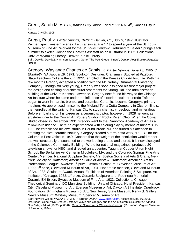Greer, Sarah M. *fl. 1905, Kansas City.* Artist. Lived at 2116 N. 4<sup>th</sup>, Kansas City in 1905. Kansas City Dir. 1905

Gregg, Paul. *b. Baxter Springs, 1876; d. Denver, CO, July 9, 1949.* Illustrator. Painter, spec. western scenes. Left Kansas at age 17 to spend a year at the St. Louis Museum of Fine Art. Worked for the *St. Louis Republic*. Returned to Baxter Springs each summer to sketch. Joined the *Denver Post* staff as an illustrator in 1902. Collections: Univ. of Wyoming Library; Denver Public Library

Sain; Dawdy; Dawdy2; Harmsen; Lindbert, Gene "The Paul Gregg I Knew", *Denver Post-Empire Magazine* (1954)

Gregory, Waylande Charles de Santis. *b. Baxter Springs, June 13, 1905; d. Elizabeth, NJ, August 18, 1971.* Sculptor. Designer. Craftsman. Studied at Pittsburg State Teachers College then, in 1922, enrolled in the Kansas City Art Institute. Within a few months Gregory accepted a position with the McCartney Ornamental Plastering Company. Though still very young, Gregory was soon assigned his first major project: the design and casting of architectural ornaments for Strong Hall, the administration building at the Univ. of Kansas, Lawrence. Gregory next found his way to the Chicago Art Institute where he came under the influence of historian-sculptor Loredo Taft and began to work in marble, bronze, and ceramics. Ceramics became Gregory's primary medium. He apprenticed himself to the Midland Terra Cotta Company in Cicero, Illinois, then enrolled at the Univ. of Kansas City to study chemistry, geology, and mineralogy. Before embarking on his career as a ceramic sculptor, however, in 1928 he went as artist-designer to the Cowan Art Pottery Studio in Rocky River, Ohio. When the Cowan Studio closed in December 1931 Gregory went to the Cranbrook Academy of Art as a fellow-in-residence. There he experimented with coloring clay by means of minerals. In 1932 he established his own studio in Bound Brook, NJ, and turned his attention to creating ton-size, ceramic statuary. Gregory created a terra-cotta work, "R.F.D." for the Columbus Post Office in 1940. Concern that the weight of the installation would render the wall structurally unsound led to the work being crated and stored. It is now displayed in the Columbus Community Building. Wrote for national magazines, produced 20 television shows for NBC, and directed an art center. Taught at Cooper Union Night School, the Berkshire Art Center in Middlefield, MA, and the Colorado Springs Fine Arts Center. Member: National Sculpture Society, NY; Boston Society of Arts & Crafts; New York Society of Craftsmen; American Guild of Artists & Craftsmen; American Artists Professional League. Awards: 1<sup>st</sup> prize, Ceramic Sculpture, Cleveland Museum of Art, 1929; 1<sup>st</sup> prize, Cleveland Museum of Art, 1931; Honorable mention, Cleveland Museum of Art, 1933; Sculpture Award, Annual Exhibition of American Painting & Sculpture, Art Institute of Chicago, 1933; 1<sup>st</sup> prize, Ceramic Sculpture and, Robineau Memorial Ceramic Exhibition, Syracuse Museum of Fine Arts, 1933. Collections: Chicago Theological Seminary; DC Municipal Building; Univ. of Chicago; Hotel President, Kansas City; Cleveland Museum of Art; Everson Museum of Art; Dayton Art Institute; Cranbrook Foundation: Birmingham Museum of Art; New Jersey State Museum; Renwick Gallery; Newark Museum; Whitney Museum; Spencer Museum of Art.

Sain; Newlin; Wiebe; WWAA 1, 2, 3, 6, 7; Bruner; *AskArt*, www.askart.com, accessed Dec. 16, 2005; DeGruson, Gene. ""No Greater Ecstasy": Waylande Gregory and the Art of Ceramic Sculpture," *Kansas Quarterly*, v.14 #4 (1982), p. 65-82; Ceramic Sculpture by Waylande Gregory. (Richmond: Virginia Museum of Fine Arts, 1944).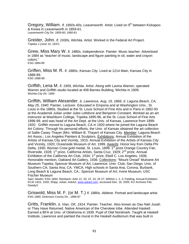Gregory, William. *fl. 1850s-60s, Leavenworth.* Artist. Lived on 9<sup>th</sup> between Kickapoo & Kiowa in Leavenworth in 1859-61. Leavenworth City Dir. 1859-60; 1860-61

Greider, John. *fl. 1930s, Wichita.* Artist. Worked in the Federal Art Project. Topeka J (June 15, 1937)

Grew, Miss Mary W. *fl. 1880s, Independence.* Painter. Music teacher. Advertised in 1884 as "teacher of music; landscape and figure painting in oil, water and crayon colors." KSG 1884-85

Griffen, Miss M. R. *fl. 1880s, Kansas City.* Lived at 1214 Main, Kansas City in 1888-89. KSG 1888-89

Griffith, Lena M. *fl. 1909, Wichita.* Artist. Along with Lavina Warren, operated Warren and Griffith studio located at 408 Barnes Building, Wichita in 1909. Wichita City Dir. 1909

Griffith, William Alexander. *b. Lawrence, Aug. 19, 1866; d. Laguna Beach, CA, May 25, 1940.* Painter. Lecturer. Educated in Emporia and at Washington Univ., St. Louis in the 1880s. Studied at the St. Louis School of Fine Arts and in Paris in 1892-93 at the Academié Julian under Jules Lefebvre and Benjamin Constant. Worked as an art instructor at Washburn College, Topeka 1895-96, at the St. Louis School of Fine Arts 1896-99, and was head of the Art Dept. at the Univ. of Kansas, Lawrence from 1899- 1920. Griffith moved to Laguna Beach, CA in 1920 where he joined the Laguna Beach Art Colony. Through his personal efforts, the Univ. of Kansas obtained the art collection of Sallie Casey Thayer (Mrs. William B. Thayer) of Kansas City. Member: Laguna Beach Art Assoc.; Los Angeles Painters & Sculptors. Exhibitions: Annual Exhibition of the Artists of Kansas City and Vicinity, 1915; Annual Exhibition of the Artists of Kansas City and Vicinity, 1920; Oceanside Museum of Art, 1999. Awards: Honor key from Delta Phi Delta, 1930; Wyman Crow gold medal, St. Louis, 1899; 1<sup>st</sup> prize Orange Country Fair, Riverside, 1928; 1<sup>st</sup> prize, California Artists, Santa Cruz, 1929; 2<sup>nd</sup> prize, Annual Exhibition of the California Art Club, 1934; 1<sup>st</sup> prize, Ebell C. Los Angeles, 1936; Honorable mention, Oakland Art Gallery, 1936. Collections: "Mount Oread" Mulvane Art Museum Topeka; Spencer Museum of Art, Lawrence; Univ. Club, San Diego; Univ. of Southern CA; Santa Ana, CA. YMCA; High schools in Santa Ana, Corona, Burbank, Long Beach & Laguna Beach, CA.; Spencer Museum of Art; Irvine Museum; USC Fischer Museum

Sain; Newlin; KSG 1894; Reinbach; AAA 12, 20, 22, 24, 26 27; WWAA 1, 2, 3; Fielding; Annual Exhibition KCAI 1915, 1920; Shipp; Julian; *AskArt*, www.askart.com, accessed Dec. 16, 2005; KU Archives File; Dawdy3.

Griswold, Miss M. F. (or M. T.) *fl. 1880s, Abilene.* Portrait and landscape artist. KSG 1880; Dickinson County Dir., 1886-87

Gritts, Franklin. *b. Vian, OK, 1914.* Painter. Teacher. Also known as Oau Nah Jusah or They Have Returned. Native American of the Cherokee tribe. Attended Haskell. Earned a BFA at Univ. of Oklahoma in 1939. Pupil of Olaf Nordmark. Taught at Haskell Institute, Lawrence and painted the mural in the Haskell Auditorium that was built in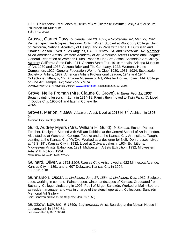1933. Collections: Fred Jones Museum of Art; Gilcrease Institute; Joslyn Art Museum; Philbrook Art Museum. Sain; TPL; Lester

Grosse, Garnet Davy. *b. Geuda, Jan 23, 1879; d Scottsdale, AZ, Mar. 29, 1961.*  Painter, spec. landscapes. Designer. Critic. Writer. Studied at Woodbury College, Univ. of California, National Academy of Design, and in Paris with Rene T. DuQuillan and Charles Benson. Lived in Los Angeles, CA, El Centro, CA, and Scottsdale, AZ. Member: Allied American Artists; Western Academy of Art; American Artists Professional League; General Federation of Womens Clubs; Phoenix Fine Arts Assoc; Scottsdale Art Colony. Awards: California State Fair, 1911; Arizona State Fair, 1919; medals, Arizona Museum of Art, 1930 and 1938; Arizona Brick and Tile Company, 1922; Women's Home Companion, 1922; General Federation Women's Club, 1930, 1931, 1934; Scottsdale Society of Artists, 1937; American Artists Professional League, 1942 and 1944. Collections: Tiffany's, NY; Arizona Museum of Art; Whistler House, Lowell, MA; College of Fine Art, Temple, AZ; New York YMCA.

Dawdy2; WWAA 6.7; Kovinick; *AskArt*, www.askart.com, accessed Jan. 13, 2006

Grove, Nellie Froman (Mrs. Claude C. Grove). *b. Edna, Feb. 12, 1902.*  Began painting lessons in Edna in 1914-18. Family then moved to Twin Falls, ID. Lived in Dodge City, 1950-51 and later in Coffeyville. **WKDC** 

Groves, Marion. *fl. 1890s, Atchison.* Artist. Lived at 1018 N. 3rd, Atchison in 1893- 94. Atchison City Directory 1893-94

Guild, Audrey Myers (Mrs. William H. Guild). *b. Seneca.* Etcher. Painter. Teacher. Designer. Studied with William Robbins at the Central School of Art in London. Also studied at Washburn College, Topeka and at the Kansas City Art Institute. Taught painting at the Kansas City YWCA. Worked as a designer for Nelly Don dresses. Lived at 49 S.  $19<sup>th</sup>$ , Kansas City in 1932. Lived at Quivara Lakes in 1934 Exhibitions: Midwestern Artists' Exhibition, 1931; Midwestern Artists Exhibition, 1932; Midwestern Artists' Exhibition, 1934 MAE 1931-32, 1934; Sain; WKDC

Guinard, Oliver. *fl. 1891-1904, Kansas City.* Artist. Lived at 622 Minnesota Avenue, Kansas City in 1891 and at 607 Delaware, Kansas City in 1904. KSG 1891, 1904

Gunnarson, Oscar. *b. Lindsborg, June 17, 1884; d. Lindsborg, Dec. 1962.* Sculptor, spec. working in cement. Painter, spec. winter landscapes of Kansas. Graduated from Bethany College, Lindsborg in 1906. Pupil of Birger Sandzén. Worked at Malm Bothers as resident manager and was in charge of the stencil operation. Collections: Sandzén Memorial Art Gallery

Sain; Sandzén archives; *Life Magazine* (Jan. 23, 1956)

Gutzkow, Edward. *fl. 1860s, Leavenworth.* Artist. Boarded at the Mozart House in Leavenworth in 1860-61. Leavenworth City Dir. 1860-61.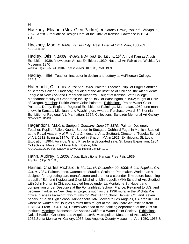## H

Hackney, Eleanor (Mrs. Glen Parker). *b. Council Grove, 1901; d. Chicago, IL, 1928.* Artist. Graduate of Design Dept. at the Univ. of Kansas, Lawrence in 1924. Sain.

Hackney, Mae. *fl. 1880s, Kansas City.* Artist. Lived at 1214 Main, 1888-89. KSG 1888-89.

Hadley, Otis. *fl. 1930s, Wichita & Winfield.* Exhibitions: 15<sup>th</sup> Annual Kansas Artists Exhibition, 1939; Midwestern Artists Exhibition, 1939; National Art Fair at the Wichita Art Museum, 1940 Wichita Eagle (Nov, 24, 1940); Topeka J (Mar. 10, 1939); MAE 1939

Hadley, Tillie. Teacher. Instructor in design and pottery at McPherson College. AAA19.

Hafermehl, C. Louis. *b. 1916; d. 1989.* Painter. Teacher. Pupil of Birger Sandzén at Bethany College, Lindsborg. Studied at the Art Institute of Chicago, the Art Students League of New York and Cranbrook Academy. Taught at Kansas State College, Manhattan; faculty at Cranbrook; faculty at Univ. of Washington in 1962; taught at Univ. of Oregon. Member: Prairie Water Color Painters. Exhibitions: Prairie Water Color Painters, Derby, England; Regional Exhibition of Paintings, Manhattan, 1950; one-man shows in Kansas, Michigan, and Washington. Awards: Purchase award, 3<sup>rd</sup> Biennial Exhibition of Regional Art, Manhattan, 1954. Collections: Sandzén Memorial Art Gallery NMAA files; Beach.

Hagendorn, Max. *b. Stuttgart, Germany, June 27, 1870.* Painter. Designer. Teacher. Pupil of Faller; Kuertz; Seubert in Stuttgart; Gebhard Fugel in Munich. Studied at the Royal Academy of Fine Arts & Industrial Arts, Stuttgart. Director of Topeka School of Art, 1912, living at 114 W.  $8<sup>th</sup>$ . Lived in Sharon, MA in 1921. Exhibitions: St. Louis Exposition, 1904. Awards: Grand Prize for a decorated safe, St. Louis Exposition, 1904 Collections: Museum of Fine Arts, Boston, MA. AAA14/18/20/22/24/26; Dawdy 2; WWAA1; Topeka City Dir. 1912.

Hahn, Audrey. *fl. 1930s, Alton.* Exhibitions: Kansas Free Fair, 1939. Topeka J (Sept. 9, 1939).

Haines, Charles Richard. *b. Marian, IA, December 29, 1906; d. Los Angeles, CA, Oct. 9, 1984.* Painter, spec. watercolor. Muralist. Sculptor. Printmaker. Worked as a designer for a greeting card manufacturer and then for a calendar firm before becoming a pupil of Edmund Kopietz and Glen Mitchell at Minneapolis (MN) School of Art. Studied with John Norton in Chicago; studied fresco under La Montaigne St. Hubert and composition under Despujols at the Fontainbleau School, France. Returned to U.S. and became involved in New Deal art projects such as the 1936 mural in the Wichita Post Office, "Kansas Farming", two murals for West High School, Denver, CO, and seven panels in South High School, Minneapolis, MN. Moved to Los Angeles, CA area in 1941 where he worked for Douglas aircraft then taught at the Chouinard Art Institute from 1945-54. From 1954-1974, Haines was head of the painting department at the Otis Art Institute. Member: Minnesota Art Assoc.; California Water Color Society. Exhibitions: Dalzell Hatfield Galleries, Los Angeles, 1948; Metropolitan Museum of Art, 1950 & 1952;Santa Monica Art Gallery, 1956; Los Angeles County Museum of Art, 1950, 1955 &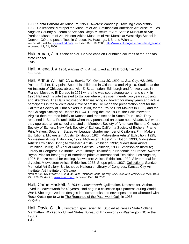1956; Santa Barbara Art Museum, 1959. Awards: Vanderlip Traveling Scholarship, 1933. Collections: Metropolitan Museum of Art; Smithsonian American Art Museum; Los Angeles Country Museum of Art; San Diego Museum of Art; Seattle Museum of Art; Portland Museum of Art; Nelson-Atkins Museum of Art; Murals at West High School in Denver, CO and post offices in Gresco, IA, Hastings, NB, and Wichita. Wiebe; Afb; AskArt, www.askart.com, accessed Dec. 16, 2005; http://www.sullivangoss.com/richard\_haines/ accessed July 21, 2006

Halderman, Jim. Stone carver. Carved caps on Corinthian columns of the Kansas state capitol. FWP.

Hall, Allena J. *fl. 1904, Kansas City.* Artist. Lived at 513 Brooklyn in 1904. KSG 1904.

Hall, Arthur William C. *b. Bowie, TX, October 30, 1899; d. Sun City, AZ, 1981.*  Painter. Etcher. Dry point. Spent his childhood in Oklahoma and Virginia. Studied at the Art Institute of Chicago; abroad with E. S. Lumsden, Edinburgh and for two years in France. Moved to El Dorado in 1921 where he was court stenographer and clerk. In 1925 Hall and his wife traveled to Europe where they spent nearly two years studying and sketching. The Halls returned to Kansas living in Howard for many years and active participants in the Wichita area circle of artists. He made the presentation print for the California Society of Print Makers in 1930, for the Prairie Print Makers in 1932, and for the Chicago Society of Etchers in 1944. During the late 1930s, the Halls moved to Virginia then returned briefly to Kansas and then settled in Santa Fe in 1942. They remained in Santa Fe until 1950 when they purchased an estate near Alcade, NM where they operated an art school and studio. Member: Society of American Etchers; Chicago Society of Etchers; New York Society of Etchers; California Society of Etchers; Prairie Print Makers; Southern States Art League; charter member of California Print Makers. Exhibitions: Midwestern Artists' Exhibition, 1924; Midwestern Artists' Exhibition, 1925; Midwestern Artists' Exhibition, 1929; Midwestern Artists' Exhibition, 1930; Midwestern Artists' Exhibition, 1931; Midwestern Artists Exhibition, 1932; Midwestern Artists' Exhibition, 1933; 14<sup>th</sup> Annual Kansas Artists Exhibition, 1938; Smithsonian Institute; Library of Congress; California State Library; Bibliothèque Nationale de France. Awards: Bryan Prize for best group of American prints at International Exhibition, Los Angeles, 1927; Bronze medal for etching, Midwestern Artists' Exhibition, 1932; Silver medal for drypoint, Midwestern Artists' Exhibition, 1933; Shope prize, 1937. Collections: Sandzén Memorial Art Gallery; Bibliotheque Nationale; Library of Congress; Kansas City Art Institute; Art Institute of Chicago

Newlin; A&C KS il; WWAA 1, 2, 3, 4; Sain; Reinbach; Cone; Dawdy; AAA 14/22/26; WWAA 6,7; MAE 1924- 25, 1929-33; *AskArt*, www.askart.com, accessed Dec. 16, 2005

Hall, Carrie Hackett. *fl. 1930s, Leavenworth.* Quiltmaker. Dressmaker. Author. Lived in Leavenworth for 40 years. Had begun a collection quilt patterns during World War I. She organized the designs into scrapbooks and envelopes and collaborated with Rose Kretsinger to write The Romance of the Patchwork Quilt in 1935. Ks Quilts

Hall, David G. ,Jr., Illustrator, spec. scientific. Studied at Kansas State College, Manhattan. Worked for United States Bureau of Entomology in Washington DC in the 1930s. Sain.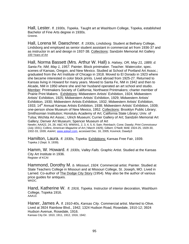Hall, Lester. *fl. 1930s, Topeka*. Taught art at Washburn College, Topeka, established Bachelor of Fine Arts degree in 1930s. Greene.

Hall, Lorena M. Daeschner. *fl. 1930s, Lindsborg.* Student at Bethany College, Lindsborg and employed as senior student assistant in commercial art from 1936-37 and as instructor in art and design in 1937-38. Collections: Sandzén Memorial Art Gallery 100 Years of Art

Hall, Norma Bassett (Mrs. Arthur W. Hall) *b. Halsey, OR, May 21, 1889; d. Santa Fe, NM, May 1, 1957.* Painter. Block printmaker. Teacher. Watercolor, spec. scenes of Kansas, Oregon, and New Mexico. Studied at School of Portland Art Assoc.; graduated from the Art Institute of Chicago in 1918. Moved to El Dorado in 1923 where she became interested in color block prints. Lived abroad from 1925-27. Returned to Kansas living in Howard for many years. Moved to Santa Fe, NM in 1942 and then to Alcade, NM in 1950 where she and her husband operated an art school and studio. Member: Printmakers Society of California; Northwest Printmakers; charter member of Prairie Print Makers. Exhibitions: Midwestern Artists' Exhibition, 1924; Midwestern Artists' Exhibition, 1925; Midwestern Artists' Exhibition, 1929; Midwestern Artists' Exhibition, 1930; Midwestern Artists Exhibition, 1932; Midwestern Artists' Exhibition, 1933; 14<sup>th</sup> Annual Kansas Artists Exhibition, 1938; Midwestern Artists' Exhibition, 1939; one-person show Museum of New Mexico, 1952. Collections: Brooklyn Public Library; Smithsonian Institution; Honolulu Academy of Art; California State Library; Univ. of Tulsa; Wichita Art Assoc.; Ulrich Museum; Currier Gallery of Art; Sandzén Memorial Art Gallery; Denver Art Museum; Spencer Museum of Art

Newlin; AAA22, 24, 26; A&C KS; WWAA1, 2, 3, 4, 5, 6; Sain; Reinbach; Cone; Dawdy; *Print Connoisseur* (July 1931); Collins; *American Magazine of Art (* March 1929); Gilbert; O'Neill; MAE 1924-25, 1929-30, 1932-33, 1939; *AskArt*, www.askart.com, accessed Dec. 16, 2005; Kovinick; Dawdy3

Hamilton, Laura. *fl. 1930s, Topeka.* Exhibitions: Kansas Free Fair, 1939. Topeka J (Sept. 9, 1939).

Hamm, W. Howard. *fl. 1930s, Valley Falls.* Graphic Artist. Studied at the Kansas City Art Institute in 1936. Register of KCAI

Hammond, Dorothy M. *b. Missouri, 1924.* Commercial artist. Painter. Studied at State Teachers College in Missouri and at Missouri College, St. Joseph, MO. Lived in Larned. Co-author of The Dodge City Story (1954). May also be the author of various price guides for antiques. WKDC.

Hand, Katherine W. *fl. 1916, Topeka.* Instructor of interior decoration, Washburn College, Topeka 1916. AAA13.

Haner, James A. *fl. 1910-40s, Kansas City.* Commercial artist. Married to Olive. Lived at 3924 Rainbow Blvd., 1942; 1324 Hudson Road, Rosedale, 1910-12; 3924 Hudson Avenue, Rosedale, 1916. Kansas City Dir. 1910, 1911, 1912, 1916, 1942.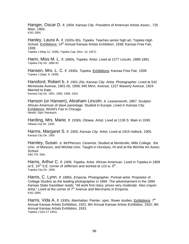Hanger, Oscar D. *fl. 1904, Kansas City.* President of American Artists Assoc., 725 Main, 1904. KSG 1904.

Hanley, Laura A. *fl. 1920s-30s, Topeka.* Teaches senior high art, Topeka High School. Exhibitions: 14<sup>th</sup> Annual Kansas Artists Exhibition, 1938; Kansas Free Fair, 1939.

Topeka J (May 12, 1936); Topeka Cap. (Nov. 10, 1927).

Hann, Miss M. L. *fl. 1890s, Topeka.* Artist. Lived at 1277 Lincoln, 1890-1891. Topeka City Dir. 1890-91.

Hansen, Mrs. L. C. *fl. 1930s, Topeka.* Exhibitions: Kansas Free Fair, 1939. Topeka J (Sept. 9, 1939).

Hansford, Robert b. *fl. 1901-20s, Kansas City.* Artist. Photographer. Lived at 542 Minnesota Avenue, 1901-05, 1908; 945 Minn. Avenue; 1227 Waverly Avenue, 1924. Married to Kate. Kansas City Dir. 1901, 1905, 1908, 1924.

Hanson (or Hansen), Abraham Lincoln. *b. Leavenworth, 1867.* Sculptor. African-American of slave parentage. Studied in Europe. Lived in Kansas City. Exhibitions: World's Fair in Chicago. Newlin; Sain; Reinbach.

Harding, Mrs. Marie. *fl. 1930s, Ottawa.* Artist. Lived at 1136 S. Main in 1930. Ottawa City Dir. 1930.

Harms, Margaret S. *fl. 1905, Kansas City.* Artist. Lived at 1915 Hallock, 1905. Kansas City Dir. 1905

Harnley, Susan. *b. McPherson.* Ceramist. Studied at Monticello, Mills College, the Univ. of Missouri, and Wichita Univ. Taught in Honolulu, HI and at the Wichita Art Assoc. School. A&C KS; Sain.

Harris, Arthur C. *fl. 1909, Topeka.* Artist. African-American. Lived in Topeka in 1909 at E.  $24^{th}$  S.E. corner of Jefferson and worked at 115 w.  $5^{th}$ .<br>Topeka City Dir. 1909.

Harris, C. Lynn. *fl. 1890s, Emporia.* Photographer. Portrait artist. Proprietor of Cottage Studios as the leading photographer in 1894. The advertisement in the 1894 Kansas State Gazetteer reads: "All work first class; prices very moderate. Also crayon artist." Lived at the corner of  $7<sup>th</sup>$  Avenue and Merchants in Emporia. KSG 1894.

Harris, Vida A. *fl. 1930s, Manhattan.* Painter, spec. flower studies. Exhibitions: 7th Annual Kansas Artists Exhibition, 1931; 8th Annual Kansas Artists Exhibition, 1932; 9th Annual Kansas Artists Exhibition, 1933. Topeka J (Oct 17 1931).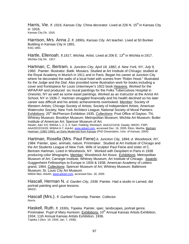Harris, Vie. *fl. 1916, Kansas City.* China decorator. Lived at 226 N. 15<sup>th</sup> in Kansas City in 1916. Kansas City Dir. 1916.

Harrison, Mrs. Anna J. *fl. 1890s, Kansas City.* Art teacher. Lived at 50 Bunker Building in Kansas City in 1891. KSG 1891.

Hartle, Ellenoah. *fl.1917, Wichita.* Artist. Lived at 206 E. 13<sup>th</sup> in Wichita in 1917. Wichita City Dir. 1917.

Hartman, C. Bertram. *b. Junction City, April 18, 1882; d. New York, NY, July 9, 1960.* Painter. Illustrator. Batik. Mosaics. Studied at Art Institute of Chicago; studied at the Royal Academy in Munich in 1911 and in Paris. Began his career at Junction City where he decorated the walls of a local hotel with scenes from "Robin Hood." Illustrated for the *Judge* and the *Dial*. Also provided some illustration work for books including a cover and frontispiece for Louis Untermeyer's 1922 book Heavens. Worked for the WPA/FAP and produced six mural paintings for the Folks Tuberculosis Hospital in Oneonto, NY as well as some easel paintings. Worked as an instructor at the Annot Art School, NY in 1936-7. Hartman struggled financially and his health declined so his later career was difficult and his artistic achievements overlooked. Member: Society of Western Artists; Chicago Society of Artists; Society of Independent Artists; American Watercolor Society; New York Architect League; National Society of Mural Painters. Exhibitions: 25<sup>th</sup> McPherson Exhibition 1935. Collections: Post Office of Dayton, TN; Whitney Museum; Brooklyn Museum; Metropolitan Museum; Wichita Art Museum; Butler Institute of American Art; Spencer Museum of Art.

Newlin; A&C KS; WWAA 1, 2, 3, 4; Sain; Fielding; Reinbach; AAA12/14/18; Dawdy; WKDC; FWP; AAA20/22/24/26; WWAA 6-7; *AskArt*, www.askart.com, accessed Dec. 16, 2005; Elton, Martha. Bertram Hartman: (1882-1960), an Early Modernist from Kansas (PhD Dissertation, Univ. of Kansas, 2004)

Hartman, Rosella (Mrs. Paul Fiene) *b. Junction City, 1894; d. Woodstock, NY, 1984.* Painter, spec. animals, nature. Printmaker. Studied at Art Institute of Chicago and the Art Students League of New York. Wife of sculptor Paul Fiene and sister of C. Bertram Hartman. Lived in Woodstock, NY. Worked with Desjobert in Paris in 1938 producing color lithographs. Member: Woodstock Art Assoc. Exhibitions: Metropolitan Museum of Art; Carnegie Institute; Whitney Museum; Art Institute of Chicago. Awards: Guggenheim Fellowships to Europe in 1934 & 1938; American Academy of Letters grand, 1964. Collections: Spencer Museum of Art; Whitney Museum; Baltimore Museum; St. Louis City Art Museum.

NMAA files; *AskArt*, www.askart.com, accessed Dec. 16, 2005

Hascall, Herman N. *d. Garden City, 1936.* Painter. Had a studio in Larned, did portrait painting and gave lessons. WKDC.

Hascall (Mrs.). *fl. Garfield Township.* Painter. Collector. Norris.

Haskell, Ruth. *fl. 1930s, Topeka.* Painter, spec. landscapes, portrait genre. Printmaker. Pupil of Mary Huntoon. Exhibitions: 10<sup>th</sup> Annual Kansas Artists Exhibition, 1934; 11th Annual Kansas Artists Exhibition, 1936. Topeka J (Nov. 10, 1934; Jan. 7, 1936).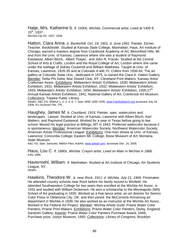Hatje, Mrs. Katherine b. *fl. 1930s, Wichita.* Commercial artist. Lived at 1400 E. 15th, 1937. Wichita City Dir. 1937, 1938.

Hatton, Clara Anna. *b. Bunkerhill, Oct. 19, 1901; d. June 1991.* Painter. Etcher. Teacher. Bookbinder. Studied at Kansas State College, Manhattan; Hays; Art Institute of Chicago; earned a masters degree from Cranbrook Academy of Art, Bloomfield Hills, MI and from the Univ. of Kansas, Lawrence where she was a student of Raymond Eastwood, Albert Bloch, Albert Thayer, and John R. Frazier. Studied at the Central School of Arts & Crafts, London and the Royal College of Art, London where she came under the tutelage of Sidney Cockerell and William Matthews. Taught at Univ. of Kansas, Lawrence, 1926-35 and at Colorado A &M, Ft. Collins from 1936-64. The art gallery at Colorado State Univ., dedicated in 1975, is named the Clara A. Hatton Gallery. Member: Delta Phi Delta; Mac Dowell Club, NY; Cleveland Print Makers; Kansas Artist-Craftsmen Assoc. Exhibitions: Midwestern Artists' Exhibition, 1930; Midwestern Artists' Exhibition, 1931; Midwestern Artists Exhibition, 1932; Midwestern Artists' Exhibition, 1933; Midwestern Artists' Exhibition, 1934; Midwestern Artists' Exhibition, 1935;17<sup>th</sup> Annual Kansas Artists Exhibition, 1941; National Gallery of Art; Cranbrook Art Museum. Collections: Topeka Public Library

Newlin; A&C KS; WWAA 1, 2, 3, 4, 6, 7; Sain; MAE 1930-1935; www.FamilySearch.org accessed July 16, 2006; KU Archives File; TPL

Haughey, James M. *b. Courtland, 1915.* Painter, spec. watercolors and landscapes. Lawyer. Studied at Univ. of Kansas, Lawrence with Albert Bloch, Karl Mattern, and Raymond Eastwood. Worked for a year in Texas before going to law school. Moved his legal practice to Billings, MT in 1943. Preferred watercolor because it is spontaneous. Member: American Watercolor Society; Northwest Watercolor Society; American Artists Professional League. Exhibitions: One-man shows at Univ. of Kansas, Lawrence; Concordia College; Eastern Mt. College; Boise Museum of Art; Montana State Museum.

A&C KS; Sain; Samuels; NMAA Files; *AskArt*, www.askart.com, accessed Dec. 16, 2005.

Haus, Lou C. *fl. 1880s, Wichita.* Crayon artist. Lived on Main in Wichita in 1886. KSG 1886.

Havermehl, William. *fl. Manhattan.* Studied at Art Institute of Chicago; Art Students League, NY. Newlin.

Hawkins, Theodore W. *b. near Rock, 1911; d. Wichita, July 21, 1969.* Printmaker. He attended country schools near Rock before his family moved to Winfield. He attended Southwestern College for two years then enrolled at the Wichita Art Assoc. in 1931 and studied with William Dickerson. He won a scholarship to the Minneapolis (MN) School of Art graduating in 1935. Worked as a free-lance artist, an art director for Semco Color Press in Oklahoma City, OK. and then joined the McCormick-Armstrong art department in Wichita in 1939. He also worked as an instructor at the Wichita Art Assoc.. Worked in the Federal Art Project. Member: Wichita Artists Guild; Prairie Water Color Painters; Prairie Print Makers. Exhibitions: Prairie Water Color Painters, Derby, England; Sandzén Gallery; Awards: Prairie Water Color Painters Purchase Award, 1948; Purchase prize, Joslyn Museum, 1950. Collections: Library of Congress; Brooklyn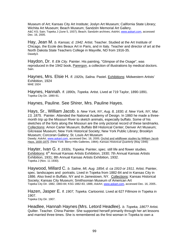Museum of Art; Kansas City Art Institute; Joslyn Art Museum; California State Library; Wichita Art Museum; Beach Museum; Sandzén Memorial Art Gallery. A&C KS; Sain; Topeka J (June 5, 1937); Beach; Sandzén archives; *AskArt*, www.askart.com, accessed Dec. 16, 2005.

Hay, Jean M. *b. Kansas; d. 1942.* Artist. Teacher. Studied at the Art Institute of Chicago, the Ecole des Beaux Art in Paris, and in Italy. Teacher and director of art at the North Dakota State Teachers College in Mayville, ND from 1916-35. Dawdy3.

Haydon, Dr. *fl. Elk City.* Painter. His painting, "Glimpse of the Osage", was reproduced in the 1942 book, Parergon, a collection of illustrations by medical doctors. Sain.

Haynes, Mrs. Elsie H. *fl. 1920s, Salina.* Pastel. Exhibitions: Midwestern Artists' Exhibition, 1924 MAE 1924

Haynes, Hannah. *fl. 1890s, Topeka.* Artist. Lived at 719 Taylor, 1890-1891. Topeka City Dir. 1890-91.

Haynes, Pauline. See Shirer, Mrs. Pauline Hayes.

.

Hays, Sr., William Jacob. *b. New York, NY, Aug. 8, 1830; d. New York, NY, Mar. 13, 1875.* Painter. Attended the National Academy of Design. In 1860 he made a threemonth trip up the Missouri River to sketch animals, especially buffalo. Some of his sketches of the forts along the Missouri are the only pictorial record of these landmarks. Collections: Amon Carter Museum; Buffalo Bill Historical Center; Denver Art Museum; Gilcrease Museum; New York Historical Society; New York Public Library; Brooklyn Museum; Corcoran Gallery; St. Louis Art Museum Dawdy; AskArt, www.askart.com, accessed Dec. 16, 2005; Orchid and wildflower studies by William Jacob

Hays, 1830-1875. (New York: Berry-Hills Galleries, 1984); *Kansas Historical Quarterly* (May 1946)

Hayter, Ivan G. *fl. 1930s, Topeka.* Painter, spec. still life and flower studies. Exhibitions: 6<sup>th</sup> Annual Kansas Artists Exhibition, 1930; 7th Annual Kansas Artists Exhibition, 1931; 8th Annual Kansas Artists Exhibition, 1932. Topeka J (Nov. 11 1930).

Haywood, Millard C. *b. Saline, MI, Aug. 1854; d. ca 1910 or 1911.* Artist. Painter, spec. landscapes and portraits. Lived in Topeka from 1882-84 and in Kansas City in 1886. Also lived in Buffalo, NY and in Jamestown, NY. Collections: Kansas Historical Society; Kansas City Museum; Smithsonian Museum of American Art Topeka City Dir. 1882, 1883-84; KSG 1882-83, 1886; *AskArt*, www.askart.com, accessed Dec. 16, 2005..

Hazen, Jasper E. *fl. 1907, Topeka.* Cartoonist. Lived at 627 Fillmore in Topeka in 1907. Topeka City Dir. 1907.

Headlee, Hannah Haynes (Mrs. Letord Headlee). *b. Topeka, 1867?* Artist*.*  Quilter. Teacher. China Painter. She supported herself primarily through her art lessons and married three times. She is remembered as the first woman in Topeka to own a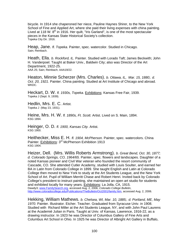bicycle. In 1914 she chaperoned her niece, Pauline Haynes Shirer, to the New York School of Fine and Applied Art, where she paid their living expenses with china painting. Lived at 118 W.  $8<sup>th</sup>$  in 1916. Her quilt, "Iris Garland", is one of the most spectacular pieces in the Kansas State Historical Society's collection. Topeka City Dir. 1916.

Heap, Jane. *fl. Topeka.* Painter, spec. watercolor. Studied in Chicago. Sain; Reinbach.

Heath, Ella. *b. Rockford, IL.* Painter. Studied with Lorado Taft; James Beckwith; John H. Vanderpoel. Taught at Baker Univ., Baldwin City; also was Director of the Art Department, 1922-25. AAA 25; Sain; Reinbach; AAA19/22.

Heaton, Minnie Scherzer (Mrs. Charles). *b. Ottawa, IL, Mar. 15, 1880;. d. Oct. 20, 1921.* Painter. China painting. Studied at Art Institute of Chicago and abroad. WKDC.

Heckart, D. W. *fl. 1930s, Topeka.* Exhibitions: Kansas Free Fair, 1939. Topeka J (Sept. 9, 1939).

Hedlin, Mrs. E. C. Artist. Topeka J (May 23, 1931).

Heine, Mrs. H. W. *fl. 1890s, Ft. Scott.* Artist. Lived on S. Main, 1894. KSG 1894.

Heinger, O. D. *fl. 1900, Kansas City.* Artist. KSG 1900.

Heithecker, Miss E. H. *fl. 1904, McPherson.* Painter, spec. watercolors. China Painter. Exhibitions: 3<sup>rd</sup> McPherson Exhibition 1913 KSG 1904.

Heizer, Dell. (Mrs. Willis Roberts Armstrong). *b. Great Bend, Oct. 30, 1877; d. Colorado Springs, CO, 1964/65.* Painter, spec. flowers and landscapes. Daughter of a noted Kansas pioneer and Civil War veteran who founded the resort community of Cascade, CO. She attended Cutler Academy, studied with Louis Soulter, and earned her BA in Latin from Colorado College in 1899. She taught English and Latin at Colorado College then moved to New York to study at the Art Students League, and the New York School of Art. Pupil of William Merritt Chase and Robert Henri. Invited back by Colorado College's president to instruct painting, she maintained an open art studio for students and exhibited locally for many years. Exhibitions: La Jolla, CA, 1915. Dawdy3; www.FamilySearch.org, accessed Aug. 2, 2006; *Colorado College Bulletin*, http://www.coloradocollege.edu/Publications/TheBulletin/Oct2001/family.htm, accessed Aug. 2, 2006.

Hekking, William Mathews. *b. Chelsea, WI, Mar. 10, 1885;. d. Portland, ME, May*  1970. Painter. Illustrator. Etcher. Teacher. Graduated from Syracuse Univ. in 1908. Studied with Richard Miller at the Art Students League, NY, and with John Paul Laurens at the Academié Julian in Paris. Taught at Univ. of Kansas, Lawrence, 1916-22, as a drawing instructor. In 1923 he was Director of Columbus Gallery of Fine Arts and Columbus Art School in Ohio. In 1925 he was Director of Albright Art Gallery in Buffalo,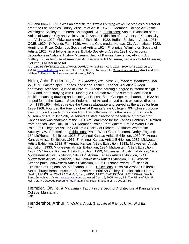NY, and from 1937-37 was an art critic for *Buffalo Evening News*. Served as a curator of art at the Los Angeles County Museum of Art in 1937-38. Member: College Art Assoc.; Wilmington Society of Painters; Salmagundi Club. Exhibitions: Annual Exhibition of the Artists of Kansas City and Vicinity, 1917; Annual Exhibition of the Artists of Kansas City and Vicinity, 1920; Midwestern Artists' Exhibition, 1922; Buffalo Society of Artist, 1931; GGIE, 1939; NY Worlds Fair, 1939. Awards: Gold medal, Kansas City Art Institute, 1922; Huntington Prize, Columbus Society of Artists, 1924; First prize, Wilmington Society of Artists, 1926; First fellowship prize, Buffalo Society of Artists, 1931. Collections: decorations in National History Museum, Univ. of Kansas, Lawrence; Albright Art Gallery; Butler Institute of American Art; Delaware Art Museum; Farnsworth Art Museum; Columbus Museum of Art

AAA 13/14/18/19/20/22/24/26; WWAA1; Dawdy 2; Annual Exh. KCAI 1917, 1920; MAE 1922; Julian; *AskArt*, www.askart.com, accessed Dec. 16, 2005; KU Archives File; Oils and Watercolors**. (**Rockland, Me. : William A. Farnsworth Library and Art Museum, 1962)

Helm, John Frederick., Jr. *b. Syracuse, NY, Sept. 16, 1900; d. Manhattan, Mar. 27, 1972.* Painter, spec. Kansas landscape. Etcher. Teacher. Aquatint & wood engraving. Architect. Studied at Univ. of Syracuse earning a degree in interior design in 1924 and, after studying with F. Montague Charman over the summer, accepted a position teaching drawing and painting at Kansas State College, Manhattan. In 1932 he helped found the Kansas State Federation of Art and served as its executive director from 1935-1954. Helped revive the *Kansas Magazine* and served as the art editor from 1933-1968. Founded the Friends of Art at Kansas State College in 934 whose purpose was to buy art objects for a collection. This collection forms the basis for the Beach Museum of Art. In 1935-36, he served as state director of the federal art project for Kansas and was chairman of the 1961 Art Committee for the Kansas Centennial. Retired from Kansas State Univ. in 1971. Member: Prairie Print Makers; Prairie Water Color Painters; College Art Assoc.; California Society of Etchers; Baltimore Watercolor Society; N.W. Printmakers. Exhibitions: Prairie Water Color Painters, Derby, England;  $18<sup>th</sup>$  McPherson Exhibition 1928;  $6<sup>th</sup>$  Annual Kansas Artists Exhibition, 1930; 7<sup>th</sup> Annual Kansas Artists Exhibition, 1931;  $8<sup>th</sup>$  Annual Kansas Artists Exhibition, 1932; Midwestern Artists Exhibition, 1932; 9<sup>th</sup> Annual Kansas Artists Exhibition, 1933.; Midwestern Artists' Exhibition, 1933; Midwestern Artists' Exhibition, 1934; Midwestern Artists Exhibition, 1937; 15<sup>th</sup> Annual Kansas Artists Exhibition, 1939; Midwestern Artists' Exhibition, 1939; Midwestern Artists Exhibition, 1940;17<sup>th</sup> Annual Kansas Artists Exhibition, 1941; Midwestern Artists Exhibition, 1941; Midwestern Artists Exhibition, 1942. Awards: Second prize, Midwestern Artists Exhibition, 1937; Purchase award,  $2<sup>nd</sup>$  Biennial Exhibition of Regional Art, Manhattan, 1952. Collections: Tulsa Art Assoc.; California State Library; Beach Museum; Sandzén Memorial Art Gallery; Topeka Public Library Newlin; A&C KS por; WWAA 1,2, 4, 6, 7; Sain; WKDC; AAA26; MAE 1932-34, 1937, 1939-42; Beach; Sandzén archives; AskArt, www.askart.com, accessed Dec. 16, 2005; North, Bill. The Prints of John F. Helm, Jr.: a Catalogue Raisonne (Manhattan, KS: Beach Museum of Art, 2001); TPL

Hempler, Orville. *fl. Manhattan.* Taught in the Dept. of Architecture at Kansas State College, Manhattan. Sain.

Hendershot, Arthur. *fl. Wichita.* Artist. Graduate of Friends Univ., Wichita. Sain.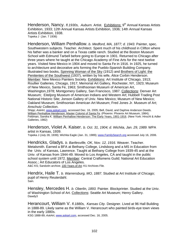Henderson, Nancy. *fl.1930s, Auburn.* Artist. Exhibitions: 9<sup>th</sup> Annual Kansas Artists Exhibition, 1933; 12th Annual Kansas Artists Exhibition, 1936; 14th Annual Kansas Artists Exhibition, 1938. Topeka J (Jan. 7 1936)

Henderson, William Penhallow. *b. Medford, MA, 1877; d. 1943.* Painter, spec. Southwestern subjects. Teacher. Architect. Spent much of his childhood in Clifton where his father was a banker and on a Texas cattle ranch. Studied at the Boston Museum School with Edmund Tarbell before going to Europe in 1901. Returned to Chicago after three years where he taught at the Chicago Academy of Fine Arts for the next twelve years. Visited New Mexico in 1904 and moved to Santa Fe in 1916. In 1925, he turned to architecture and decorative arts forming the Pueblo-Spanish Building Company. Illustrated two books, Spinning Woman of the Sky (1912) and Brothers of Light: the Penitentes of the Southwest (1937), written by his wife, Alice Corbin Henderson. Member: New Mexico Painters Society. Exhibitions: Art Institute of Chicago, 1913; Roullier Galleries, Chicago, 1917; Memorial Art Gallery, Rochester, NY, 1923; Museum of New Mexico, Santa Fe, 1963; Smithsonian Museum of American Art, Washington,1978; Montgomery Gallery, San Francisco, 1987. Collections: Denver Art Museum; Eiteljorg Museum of American Indians and Western Art; Hubbell Trading Post National Historic Site; Jonson Gallery of Univ. New Mexico; Museum of New Mexico; Oakland Museum; Smithsonian American Art Museum; Fred Jones Jr. Museum of Art; Anschutz Collection.

Shipp; *AskArt*, www.askart.com, accessed Dec. 16, 2005; Bell, David, and Daphne Anderson Deeds. William Penhallow Henderson: Master Colorist of Santa Fe. (Phoenix: Phoenix Art Museum, 1984); Feldman, Sandra K. William Penhallow Henderson: The Early Years, 1901-1916. (New York: Hirschl & Adler Galleries, 1982)

Henderson, Violet A. Kaiser. *b. Oct. 31, 1904; d. Wichita, Jan. 29, 1989.* WPA artist in Kansas, 1939.

Topeka J (July 28, 1939); Wichita Eagle (Jan. 31, 1989); www.FamilySearch.org accessed July 16, 2006.

Hendricks, Gladys. *b. Bartlesville, OK, Nov. 12, 1916.* Weaver. Teacher. Metalsmith. Earned a BFA at Bethany College, Lindsborg and a MS in Education from the Univ. of Kansas, Lawrence. Taught at Bethany College from 1939-45 and at the Univ. of Kansas from 1944-49. Moved to Los Angeles, CA and taught in the public school system until 1972. Member: Central Craftsmens Guild; National Art Education Assoc.; Art Educators of Los Angeles.

A&C KS; Sandzén archive; 100 Years of Art*;* KU Archives File*.* 

Hendrix, Haile T. *b. Warrensburg, MO, 1887.* Studied at Art Institute of Chicago; pupil of Henry Reuterdahl. Sain.

Hensley, Mercedes H. *b. Oberlin, 1893.* Painter. Blockprinter. Studied at the Univ. of Washington School of Art. Collections: Seattle Art Museum; Henry Gallery. Dawdy3

Herancourt, William V. *fl.1880s, Kansas City.* Designer. Lived at 96 Hall Building in 1888-89. Likely same as the William V. Herancourt who painted birds-eye town views in the early 1880s.

KSG 1888-89; *AskArt*, www.askart.com, accessed Dec. 16, 2005.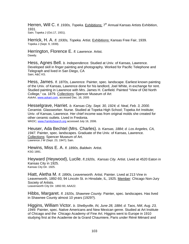Herren, Will C. *fl. 1930s, Topeka.* Exhibitions: 7<sup>th</sup> Annual Kansas Artists Exhibition, 1931. Sain; Topeka J (Oct.17, 1931).

Herrick, H. A. *fl. 1930s, Topeka.* Artist. Exhibitions: Kansas Free Fair, 1939. Topeka J (Sept. 9, 1939).

Herrington, Florence E. *fl. Lawrence.* Artist. Dawdy.

Hess, Agnes Bell. *b. Independence.* Studied at Univ. of Kansas, Lawrence. Developed skill in finger painting and photography. Worked for Pacific Telephone and Telegraph and lived in San Diego, CA Sain; A&C KS.

Hess, James. *fl. 1870s, Lawrence.* Painter, spec. landscape. Earliest known painting of the Univ. of Kansas, Lawrence done for his landlord, Joel White, in exchange for rent. Studied painting in Lawrence with Mrs. James H. Canfield. Painted "View of Old North College," ca. 1879. Collections: Spencer Museum of Art *AskArt*, www.askart.com, accessed Dec. 16, 2005

Hesselgrave, Harriet. *b. Kansas City, Sept. 30, 1924; d. Neal, Feb. 3, 2000.*  Ceramist. Glassworker. Nurse. Studied at Topeka High School; Topeka Art Institute; Univ. of Kansas, Lawrence. Her chief income was from original molds she created for other ceramic outlets. Lived in Fredonia. WKDC; www.FamilySearch.org accessed July 16, 2006.

Heuser, Ada Bechtel (Mrs. Charles). *b. Kansas, 1884; d. Los Angeles, CA, 1947.* Painter, spec. landscapes. Graduate of the Univ. of Kansas, Lawrence. Collections: Spencer Museum of Art. Lawrence J W (Sept. 23, 1947); Sain.

Hewins, Miss E. A. *fl. 1890s, Baldwin.* Artist. KSG 1891.

Heyward (Heywood), Lucile. *fl.1920s, Kansas City.* Artist. Lived at 4520 Eaton in Kansas City in 1925. Kansas City Dir. 1925.

Hiatt, Aletha M. *fl. 1890s, Leavenworth.* Artist. Painter. Lived at 213 Vine in Leavenworth, 1892-93; 94 Lincoln St. in Hinsdale, IL, 1925. Member: Chicago Non-Jury Society of Artists. Leavenworth City Dir. 1892-93; AAA22.

Hibbs, Margaret. *fl. 1920s, Shawnee County.* Painter, spec. landscapes. Has lived in Shawnee County almost 10 years (1929?).

Higgins, William Victor. *b. Shelbyville, IN, June 28, 1884; d. Taos, NM, Aug. 23, 1949.* Painter, spec. Native Americans and New Mexican genre. Studied at Art Institute of Chicago and the Chicago Academy of Fine Art. Higgins went to Europe in 1910 studying first at the Academie de la Grand Chaumiere, Paris under Réné Ménard and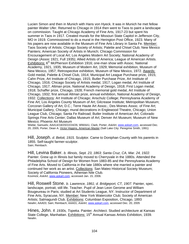Lucien Simon and then in Munich with Hans von Hyeck. It was in Munich he met fellow painter Walter Ufer. Returned to Chicago in 1914 then went to Taos to paint a landscape on commission. Taught at Chicago Academy of Fine Arts, 1917-23 but spent his summer in Taos in 1917. Created murals for the Missouri State Capitol in Jefferson City, MO in 1919. Commissioned to do a mural in the Herington Post Office, 1923. Many of his papers are now available in the Museum of Fine Arts Library in Santa Fe. Member: Taos Society of Artists; Chicago Society of Artists; Palette and Chisel Club; New Mexico Painters; American Society of Artists in Munich; Chicago Commission for Encouragement of Local Art; Los Angeles Modern Art Society; National Academy of Design (Assoc 1921; Full 1935); Allied Artists of America; League of American Artists. Exhibitions: 6<sup>th</sup> McPherson Exhibition 1916; one-man show with Assoc. National Academy, 1921, 1935; Museum of Modern Art, 1929; Memorial exhibition, Museum of New Mexico, 1957; Retrospective exhibition, Museum of New Mexico, 1972. Awards: Gold medal, Palette & Chisel Club, 1914; Municipal Art League Purchase prize, 1915; Cahn Prize, Art Institute of Chicago, 1915; Butler Purchase Prize, Art Institute of Chicago, 1916; Chicago Society of Artists medal, 1917; Logan medal, Art Institute of Chicago, 1917; Altman prize, National Academy of Design, 1918; First Logan medal, 1918; Schaffer prize, Chicago, 1928; French memorial gold medal, Art Institute of Chicago, 1932; first annual Altman prize, annual exhibition, National Academy of Design, 1932. Collections: Art Institute of Chicago; Anschulz College; Pennsylvania Academy of Fine Art; Los Angeles County Museum of Art; Gilcrease Institute; Metropolitan Museum; Corcoran Gallery of Art, D.C.; Terre Haute Art Assoc.; Des Moines Assoc. of Fine Art; Municipal Gallery, Chicago; mural decorations in Englewood Theatre, Chicago; Union League Club, Chicago; Santa Fe Railroad; Butler Institute of American Art; Colorado Springs Fine Arts Center; Dallas Museum of Art; Denver Art Museum; Museum of New Mexico; Phoenix Art Museum

Wiebe; Samuels; AAA14/18/20/22/24/26; WWAA1; Clark; Porter; *AskArt*, www.askart.com, accessed Dec. 20, 2005; Porter, Dean A. Victor Higgins, American Master (Salt Lake City: Peregrine Smith, 1991)

Hill, Joseph. *d*. *Beloit, 1915.* Sculptor. Came to Doniphan County with his parents in 1855. Self-taught farmer-sculptor. Sain; Reinbach.

Hill, Levina Baker. *b. Illinois, Sept. 23, 1863; Santa Cruz, CA, Mar. 24, 1922.*  Painter. Grew up in Illinois but family moved to Cherryvale in the 1880s. Attended the Philadelphia School of Design for Women from 1883-85 and the Pennsylvania Academy of Fine Arts. Moved to California in the late 1880s where she married a painter and continued her work as an artist. Collections: San Mateo Historical Society Museum; Society of California Pioneers, Athenian Nile Club. Kovinick; *AskArt*, www.askart.com, accessed Jan. 15, 2006.

Hill, Roswell Stone. *b. Lawrence, 1861; d. Bridgeport, CT, 1907.* Painter, spec. landscape, portrait, still life. Teacher. Pupil of Jean Leon Gerome and William Bougeureau in Paris; studied at Art Students League, NY. Instructor of Department of Fine Arts, Syracuse, NY. Member: New York Watercolor Club; Society of American Artists; Salmagundi Club. Exhibitions: Columbian Exposition, Chicago, 1893 Newlin; AAA03; Sain; Reinbach; AAA01; *AskArt*, www.askart.com, accessed Dec. 20, 2005

Hines, John. *fl. 1930s, Topeka.* Painter. Architect. Studied architecture at Kansas State College, Manhattan. Exhibitions: 15<sup>th</sup> Annual Kansas Artists Exhibition, 1939. Newlin.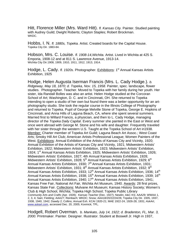Hitt, Florence Miller (Mrs. Ward Hitt). *fl. Kansas City.* Painter. Studied painting with Audrey Guild; Dwight Roberts; Clayton Staples; Robert Brockman. WKDC.

Hobbs, I. N. *fl. 1880s, Topeka.* Artist. Created boards for the Capital House. Topeka City Dir. 1883-84.

Hobson, Mrs. C. Louise. *fl. 1908-14,Wichita.* Artist. Lived in Wichita at 425 S. Emporia, 1908-12 and at 811 S. Lawrence Avenue, 1913-14. Wichita City Dir.1908, 1909, 1910, 1911, 1912, 1913, 1914.

Hodge, L. Cady. *fl. 1920s.* Photographer. Exhibitions: 1<sup>st</sup> Annual Kansas Artists Exhibition, 1925

Hodge, Helen Augusta Iserman Francis (Mrs. L. Cady Hodge.). *b. Ridgeway, May 18, 1870; d. Topeka, Nov. 15, 1958.* Painter, spec. landscape, flower studies. Photographer. Teacher. Moved to Topeka with her family during her youth. Her sister, Ida Randall Bolles was also an artist. Helen Hodge studied at the Corcoran School of Art; Washington, D. C. and in Cincinnati, OH. She returned to Topeka intending to open a studio of her own but found there was a better opportunity for an artphotography studio. She took the regular course in the Illinois College of Photography and returned to Topeka. Pupil of George Melville Stone of Topeka, George E. Hopkins of Cincinnati, and Anna Hills of Laguna Beach, CA, where she spent several summers. Married first to Willard Francis, a physician, and then to L. Cady Hodge, managing director of the *Topeka Daily Capital*. Every summer she painted in the East or West and once went abroad with George M. Stone and his wife and daughter. Frequently traveled with her sister through the western U.S. Taught at the Topeka School of Art in1938. Member: Charter member of Topeka Art Guild; Laguna Beach Art Assoc.; West Coast Arts; Smoky Hill Art Club; American Artists Professional League; Women Painters of the West. Exhibitions: Annual Exhibition of the Artists of Kansas City and Vicinity, 1920; Annual Exhibition of the Artists of Kansas City and Vicinity, 1921; Midwestern Artists' Exhibition, 1922; Midwestern Artists' Exhibition, 1923; Midwestern Artists' Exhibition, 1924; 1<sup>st</sup> Annual Kansas Artists Exhibition, 1925; Midwestern Artists' Exhibition, 1926; Midwestern Artists' Exhibition, 1927; 4th Annual Kansas Artists Exhibition, 1928; Midwestern Artists' Exhibition, 1928;  $5<sup>th</sup>$  Annual Kansas Artists Exhibition, 1929;  $6<sup>th</sup>$ Annual Kansas Artists Exhibition, 1930;  $7<sup>th</sup>$  Annual Kansas Artists Exhibition, 1931; Midwestern Artists' Exhibition, 1931; 8<sup>th</sup> Annual Kansas Artists Exhibition, 1932; 9<sup>th</sup> Annual Kansas Artists Exhibition, 1933; 12<sup>th</sup> Annual Kansas Artists Exhibition, 1936; 14<sup>th</sup> Annual Kansas Artists Exhibition, 1938; 15 $^{\text{th}}$  Annual Kansas Artists Exhibition, 1939; 16 $^{\text{th}}$ Annual Kansas Artists Exhibition, 1940; 17<sup>th</sup> Annual Kansas Artists Exhibition, 1941; Kansas Free Fair, National Art Fair, Wichita Art Museum, 1940. Awards: 28 first prizes, Kansas State Fair. Collections: Mulvane Art Museum; Kansas History Society; Women's Club & High School, Wichita; Topeka High School; Topeka Public Library *Community Arts and Crafts* (Apr. 1928); *Kansas Teacher (*Dec. 1927); Newlin; A&C KS; AAA29; WWAA 1, 2, 3, 4; Sain; Fielding; AAA27; Reinbach; WKDC; Snow; AAA18/20/22/24/26; Topeka City Dir. 1935, 1937, 1938, 1940, 1942; Dawdy 2; Collins; Annual Exh. KCAI 1920-21; MAE 1922-24, 1926-28, 1931; *AskArt*, www.askart.com, accessed Dec. 20, 2005; Kovinick; TPL.

Hodgell, Robert Overman. *b. Mankato, July 14, 1922; d. Bradenton, FL, Mar. 3, 2000.* Printmaker. Painter. Designer. Illustrator. Student at Boswell Jr. High in 1937,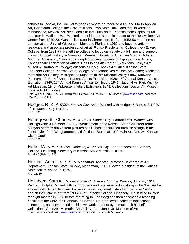schools in Topeka, the Univ. of Wisconsin where he received a BS and MA in Applied Art, Dartmouth College, the Univ. of Illinois, Iowa State Univ., and the Universidad Minhoacana, Mexico. Assisted John Steuart Curry on the Kansas state Capitol mural and later in Madison, WI. Worked as resident artist and instructor at the Des Moines Art Center from 1949-53. Was an illustrator in Champaign, IL. from 1953-56 and then art director at the Univ. of Wisconsin. Moved to Florida in 1962 and became artist-inresidence and associate professor of art at Florida Presbyterian College, now Eckerd College, from 1961-77. He left the college to focus on his artwork full time and support his own Hodgell Gallery in Sarasota. Member: Society of American Graphic Artists; Madison Art Assoc.; National Serigraphic Society; Society of Typographical Artists; Kansas State Federation of Artists; Des Moines Art Center. Exhibitions: Joslyn Art Museum; Dartmouth College; Wisconsin Univ.; Topeka Art Guild; Kansas State Teachers College; Kansas State College, Manhattan; Des Moines Art Center; Rochester Memorial Art Gallery; Metropolitan Museum of Art; Missouri Valley Show, Mulvane Museum, 1948; 14<sup>th</sup> Annual Kansas Artists Exhibition, 1938; 16<sup>th</sup> Annual Kansas Artists Exhibition, 1940; 17<sup>th</sup> Annual Kansas Artists Exhibition, 1941; National Art Fair, Wichita Art Museum, 1940; Midwestern Artists Exhibition, 1942; Collections: Joslyn Art Museum; Topeka Public Library

Sain; Wichita Eagle (Nov. 24, 1940); WKDC; WWAA 6-7; MAE 1942; *AskArt*, www.askart.com, accessed Dec. 20, 2005; TPL.

Hodges, R. K. *fl. 1890s, Kansas City.* Artist. Worked with Hodges & Barr, at 8 1/2 W. 9<sup>th</sup> in Kansas City in 1891. KSG 1891.

Hollingsworth, Charles M. *fl. 1880s, Kansas City.* Portrait artist. Worked with Hollingsworth & Reimers, 1886. Advertisement in the Kansas State Gazetteer reads, "Crayon portraits drawn from pictures of all kinds and finished from life sittings in the finest style of art. We guarantee satisfaction." Studio at 1009 Main St., Rm. 24, Kansas City in 1886. KSG 1886.

Hollis, Mary E. *fl. 1920s, Lindsborg & Kansas City.* Former teacher at Bethany College, Lindsborg. Secretary of Kansas City Art Institute in 1922. Topeka J (Feb. 2, 1922).

Holman, Araminta. *fl. 1916, Manhattan.* Assistant professor in charge of Art Department, Kansas State College, Manhattan, 1916. Elected president of the Kansas State Artists' Assoc. in 1925. AAA 13, 19.

Holmberg, Samuel. *b. Vastergotland, Sweden, 1885; d. Kansas, June 26, 1911.*  Painter. Sculptor. Moved with four brothers and one sister to Lindsborg in 1903 where he studied with Birger Sandzén. He served as an assistant instructor in art from 1904-05 and an instructor in art from 1906-08 at Bethany College, Lindsborg. He studied in Paris for eight months in 1908 before returning to Lindsborg and then accepting a teaching position at the Univ. of Oklahoma in Norman. He produced a series of landscapes scenes but, as a severe critic of his own work, he destroyed much of it himself. Collections: Sandzén Memorial Art Gallery; Fred Jones Jr. Museum of Art Sandzén archives; *AskArt*, www.askart.com, accessed Dec. 20, 2005; Dawdy3.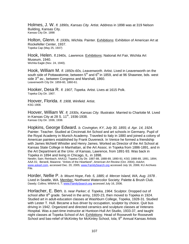Holmes, J. W. *fl. 1890s, Kansas City.* Artist. Address in 1898 was at 319 Nelson Building, Kansas City. Kansas City Dir. 1898

Holton, Glenn. *fl. 1930s, Wichita.* Painter. Exhibitions: Exhibition of American Art at Rockefeller Center, 1937. Topeka Cap (May 25, 1937)

Hook, Helen. *fl.1940s, Lawrence.* Exhibitions: National Art Fair, Wichita Art Museum, 1940. Wichita Eagle (Nov. 24, 1940).

Hook, William M. *fl. 1850s-60s, Leavenworth.* Artist. Lived in Leavenworth on the south side of Pottawatomie, between  $5<sup>th</sup>$  and  $6<sup>th</sup>$  in 1859, and at 96 Shawnee, bds. west side  $3^{rd}$  av., between Congress and Marshall, 1860. Leavenworth City Dir. 1859-60, 1860-61.

Hooker, Desa R. *fl. 1907, Topeka.* Artist. Lives at 1615 Polk. Topeka City Dir. 1907.

Hoover, Florida. *fl. 1908, Winfield.* Artist. KSG 1908.

Hoover, William W. *fl. 1930s, Kansas City.* Illustrator. Married to Charlotte M. Lived in Kansas City at 28 S, 11<sup>th</sup>, 1936-1938. Kansas City Dir. 1936, 1938.

Hopkins, George Edward. *b. Covington, KY, July 30, 1855; d. Apr. 14, 1924.*  Painter. Teacher. Studied at Cincinnati Art School and art schools in Germany. Pupil of the Royal Academy in Munich Academy. Traveled to Italy in 1880 and joined a colony of American painters established by Frank Duveneck. In Venice he formed a friendship with James McNeill Whistler and Henry James. Worked as Director of the Art School at Kansas State College in Manhattan, at the Art Assoc. in Topeka from 1886-1891, and in the Art Department at the Univ. of Kansas, Lawrence, from 1891-93. Was back in Topeka in 1894 and living in Chicago, IL. in 1898.

Newlin; Sain; Reinbach; AAA12; Topeka City Dir. 1887-88, 1888-89, 1890-91; KSG 1888-89, 1891, 1894; AAA 01; Berardi, Maianne. "Artists of the Heartland", *American Art Review* (Oct. 2004); *AskArt*, www.askart.com, accessed Dec. 20, 2005; www.FamilySearch.org accessed July 16, 2006; KU Archives File.

Horder, Nellie P. *b. Mount Hope, Feb. 5, 1885; d. Mercer Island, WA, Aug. 1978 .*  Lived in Seattle, WA. Member: Northwest Watercolor Society; Palette & Brush Club. Dawdy; Collins; WWAA 6, 7; www.FamilySearch.org accessed July 16, 2006.

Horlacher, E. Ben. *b. near Parker; d. Topeka, 1964.* Sculptor. Dropped out of school after  $8<sup>th</sup>$  grade. Served in the army, 1920-23, then moved to Topeka in 1924. Studied art in adult-education classes at Washburn College, Topeka, 1928-31. Studied with Lester T. Hull. Became a bus driver by occupation, sculptor by choice. Quit bus driving in 1942. Organized and directed ceramics and sculpture classes at Veterans Hospital. Was a part-time instructor at Huntoon-Hull Art Studio, 1933-37, and taught night classes at Topeka School of Art. Exhibitions: Head of Roosevelt for Roosevelt School and bas-relief of McKinley for McKinley School, Iola; 9<sup>th</sup> Annual Kansas Artists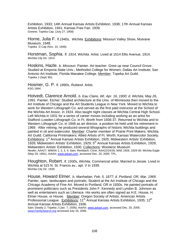Exhibition, 1933; 14th Annual Kansas Artists Exhibition, 1938; 17th Annual Kansas Artists Exhibition, 1941; Kansas Free Fair, 1939. Greene; Topeka Cap. (July 27, 1958)

Horne, Julia F. *fl.1940s, Wichita.* Exhibitions: Missouri Valley Show, Mulvane Museum, 1948. Topeka D Cap (Nov. 10, 1948).

Horstman, Sophia. *fl. 1914, Wichita.* Artist. Lived at 1514 Ellis Avenue, 1914. Wichita City Dir. 1914.

Hoskins, Hazle. *b. Missouri.* Painter. Art teacher. Grew up near Council Grove. Studied at Emporia State Univ.; Methodist College for Women; Dallas Art Institute; San Antonio Art Institute; Florida Manatee College. Member: Topeka Art Guild. Topeka J (Sept.'80).

Hosmer, G. P. *fl. 1890s, Rutland.* Artist. KSG 1894.

Hotvedt, Clarence Arnold. *b. Eau Claire, WI, Apr. 16, 1900; d. Wichita, May 26, 1991.* Painter. Etcher. Studied architecture at the Univ. of Minnesota then moved to the Art Institute of Chicago and the Art Students League in New York. Moved to Wichita to work for Western Lithograph Co. and served as the first paid instructor at the School of the Wichita Art Assoc. in 1924. Also taught night classes at Wichita Central High School. Left Wichita in 1931 for a series of career moves including working as an artist for Stafford–Lowden Lithograph Co. in Ft. Worth from 1936-37. Returned to Wichita and to Western Lithograph Co. in 1948 as art director, a position he held until his retirement in 1969. After retiring, he produced several lithographs of historic Wichita buildings and painted in oil and watercolor. Member: Charter member of Prairie Print Makers; Wichita Art Guild; California Printmakers; Allied Artists of Ft. Worth; Kansas Watercolor Society. Exhibitions: 1<sup>st</sup> Annual Kansas Artists Exhibition, 1925; Midwestern Artists' Exhibition, 1926; Midwestern Artists' Exhibition, 1929;  $5<sup>th</sup>$  Annual Kansas Artists Exhibition, 1929; Midwestern Artists' Exhibition, 1930. Collections: Woolaroc Museum. Newlin; AAA27; WWAA 1, 2, 3, 4; Sain; Reinbach; Cone; AAA22/24/26; MAE 1926, 1929-30; Wichita Eagle (May 29, 1991); *AskArt*, www.askart.com, accessed Dec. 20, 2005; TPL.

Houghton, Robert. *fl. 1930s, Wichita.* Commercial artist. Married to Jessie. Lived in Wichita at 515 N. St. Francis av., apt. V in 1939. Wichita City Dir. 1939.

House, Howard Elmer. *b. Manhattan, Feb. 5, 1877; d. Portland, OR, Mar. 1969.*  Painter, spec. landscapes and portraits. Student at the Art Institute of Chicago and the Chicago Academy of Fine Art. Moved to Portland, OR in 1930s. He painted portraits of prominent politicians such as Presidents John F. Kennedy and Lyndon B. Johnson as well as entertainers such as Liberace. His works are often signed as H.E. House, H. Elmer House, or House. Member: Oregon Society of Artists; American Artists Professional League. Exhibitions: 11<sup>th</sup> Annual Kansas Artists Exhibition, 1935; 12<sup>th</sup> Annual Kansas Artists Exhibition, 1936.

Sain; Dawdy 2; Topeka J (Jan. 7, 1936); *AskArt*, www.askart.com, accessed Dec. 20, 2005; www.FamilySearch.org accessed July 16, 2006.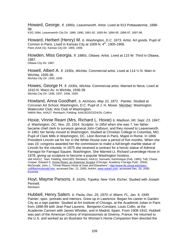Howard, George. *fl. 1890s, Leavenworth.* Artist. Lived at 913 Pottawatomie, 1888- 98.

KSG 1894; Leavenworth City Dir. 1888, 1890, 1891-92, 1893-94, 1894-95, 1896-97, 1897-98.

Howard, Herbert (Henry) M. *b. Washington, D.C, 1873.* Artist. Art goods. Pupil of Cormon in Paris. Lived in Kansas City at 1009 N. 4<sup>th</sup>, 1905-1906. Paris (AAA 01); Kansas City Dir. 1905, 1906.

Howden, Miss Georgia. *fl. 1880s, Ottawa.* Artist. Lived at 115 W. Third in Ottawa, 1887.

Ottawa City Dir. 1887.

Howell, Albert A. *fl. 1930s, Wichita.* Commercial artist. Lived at 114 ½ N. Main in Wichita, 1935-36. Wichita City Dir. 1935, 1936.

Howes, George H. *fl. 1930s, Wichita.* Commercial artist. Married to Neva. Lived at 1610 N. Waco Av. in Wichita, 1936-39. Wichita City Dir. 1936, 1937, 1938, 1939.

Howland, Anna Goodhart. *b. Atchison, May 10, 1871.* Painter. Studied at Corcoran Art School, Washington, D.C. Pupil of J. H. Moser. Member: Washington Watercolor Club; Arts Club of Washington. NMAA files; AAA27; Reinbach; Fielding; AAA18/20/22/24/26; Collins.

Hoxie, Vinnie Ream (Mrs. Richard L. Hoxie) *b. Madison, WI, Sept. 23, 1847; d. Washington, DC, Nov. 20, 1914.* Sculptor. In 1854 when she was 7, her father became chief clerk to surveyor general John Calhoun, and they moved to Leavenworth. In 1861 her family moved to Washington. Studied at Christian College in Columbia, MO. Pupil of Clark Mills in Washington, DC, Léon Bonnat in Paris, Majoli in Rome. In 1866 President Lincoln sat for her in the White House over a period of five months. When she was 19, congress awarded her the commission to make a full-length marble statue of Lincoln for the rotunda. In 1875 she received a contract for a heroic statue of Admiral Farragut for Farragut Square, Washington. She Married Lt. Richard Leveridege Hoxie in 1878, giving up sculpture to become a popular Washington hostess. obit AAA12; Sain; Fielding; AAA1903; Reinbach; AAA12; Samuels; *Kanhistique* (Feb. 1980); Taft; Chase; Cooper, Edward S. Vinnie Ream: an American Scuptor (Chicago: Academy Chicago Publ., 2004); McDonald, John J., "Vinnie Reams Hoxie at Iowa and Elsewhere", http://www.lib.uiowa.edu/speccoll/Bai/mcdonald.htm, accessed Dec. 21, 2005; *AskArt*, www.askart.com, accessed Dec. 20, 2005; Kovinick..

Hoyt, Mayme Parsons. *fl. 1920s, Topeka; New York.* Etcher. Studied with Joseph Pennell. Reinbach.

Hubbell, Henry Salem. *b. Paola, Dec. 25, 1870; d. Miami, FL, Jan. 9, 1949.*  Painter, spec. portraits and interiors. Grew up in Lawrence. Began his career in Garden City as a sign painter. Studied at Art Institute of Chicago, at the Academié Julian in Paris from 1898-99 with Jean Paul Laurens, Benjamin-Constant, Louis Collin, at the Academie Carmen with James Whistler, and in Madrid, Spain. From 1908-1910, Hubbell was part of the American Colony of Impressionists at Giverny, France. He returned to the U.S. and worked as an illustrator for *Woman's Home Companion* then directed the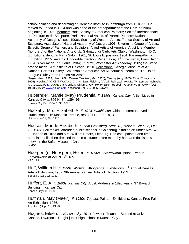school painting and decorating at Carnegie Institute in Pittsburgh from 1918-21. He moved to Florida in 1924 and was head of the art department at the Univ. of Miami beginning in 1925. Member: Paris Society of American Painters; Societé Internationale de Peinture et de Sculpture, Paris; National Assoc. of Portrait Painters; National Academy of Design (Assoc. 1906); Society of Western Artists; Florida Society of Art and Sculpture; Associate of National Academy of Design, 1906; Silvermine Group of Artists; Eclectic Group of Painters and Sculptors; Allied Artists of America; Artist Life Member (honorary) of the National Arts Club; Salmagundi Club; Arts Club of Washington, D.C. Exhibitions: debut at Paris Salon, 1901; St. Louis Exposition, 1904; Panama-Pacific Exhibition, 1915. Awards: Honorable mention, Paris Salon; 3<sup>rd</sup> prize medal, Paris Salon, 1904; silver medal, St. Louis, 1904; 3rd prize, Worcester Art Academy, 1905; the Waite bronze medal, Art Institute of Chicago, 1910. Collections: Georgia Museum of Art; National Portrait Gallery; Smithsonian American Art Museum; Museum of Lille; Union League Club; Grand Rapids Art Assoc. .

*Harpers (*Nov. 1913; Jan. 1909); *Kansas Teacher (* Mar. 1928); *Century* (Aug. 1905); *World Today* (Nov. 1906); Newlin; A&C KS il; WWAA 1, 2, 3, 4; Sain; Fielding; AAA27; Reinbach; AAA12; Whittemore; Schwab; AAA14/22/24/26; AAA01; Clark; Julian; Williams, Jay, "Henry Salem Hubbell," *American Art Review* (Oct. 1998); *AskArt*, www.askart.com, accessed Dec. 20, 2005; Dawdy3.

Hubernger, Mamie (May) Prudentia. *fl. 1890s, Kansas City.* Artist. Lived in Kansas City at 806 N. 3<sup>rd</sup>, 1894-96. Kansas City Dir. 1894, 1895, 1896.

Huckeby, Mrs. Elizabeth A. *fl. 1913. Hutchinson.* China decorator. Lived in Hutchinson at 16 Masonic Temple, res. 401 N. Elm, 1913. Hutchinson City Dir. 1913.

Hudson, Maude Elizabeth. *b. near Galesberg, Sept. 18, 1885; d. Chanute, Oct. 15, 1963.* Doll maker. Attended public schools in Galesburg. Studied art under Mrs. W. J. Hannan of Tulsa and Mrs. William Peters, Pittsburg. She cast, painted and fired porcelain dolls, then dressed them in costumes often made by her. One doll is now shown in the Safari Museum, Chanute. WKDC.

Huergen (or Huesgen), Helen. *fl. 1890s, Leavenworth.* Artist. Lived in Leavenworth at  $221$  N.  $5<sup>th</sup>$ , 1891. KSG 1891.

Huff, William H. *fl. 1930s, Wichita.* Lithographer. Exhibitions: 8th Annual Kansas Artists Exhibition, 1932; 9th Annual Kansas Artists Exhibition, 1933. Topeka J (Oct. 22, 1932)

Huffert, E. A. *fl. 1890s, Kansas City.* Artist. Address in 1898 was at 37 Bayard Building in Kansas City. Kansas City Dir. 1898

Huffman, May (Mae?). *fl. 1930s, Topeka.* Painter. Exhibitions: Kansas Free Fair Art Exhibition, 1936. Topeka J (Sept. 19, 1936)

Hughes, Eileen. *b. Kansas City, 1913.* Jeweler. Teacher. Studied at Univ. of Kansas, Lawrence. Taught junior high school in Kansas City .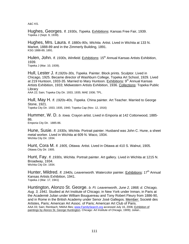A&C KS.

Hughes, Georges. *fl. 1930s, Topeka.* Exhibitions: Kansas Free Fair, 1939. Topeka J (Sept. 9, 1939).

Hughes, Mrs. Laura. *fl. 1880s-90s, Wichita.* Artist. Lived in Wichita at 133 N. Market, 1888-89 and in the Zimmerly Building, 1891.<br>KSG 1888-89, 1891.

Hulen, John, *fl. 1930s, Winfield,* Exhibitions: 15<sup>th</sup> Annual Kansas Artists Exhibition, 1939.

Topeka J (Mar. 10, 1939).

Hull, Lester J. *fl.1920s-30s, Topeka.* Painter. Block prints. Sculptor. Lived in Chicago, 1925. Became director of Washburn College, Topeka Art School, 1929. Lived at 219 Huntoon, 1933-35. Married to Mary Huntoon. Exhibitions:  $9<sup>th</sup>$  Annual Kansas Artists Exhibition, 1933; Midwestern Artists Exhibition, 1936. Collections: Topeka Public Library

AAA 22; Sain; Topeka City Dir. 1933, 1935; MAE 1936; TPL.

Hull, May H. *fl. 1920s-40s, Topeka.* China painter. Art Teacher. Married to George Stone, 1921.

Topeka City Dir. 1933, 1935, 1940; Topeka Cap (Nov. 12, 1916)

Hummer, W. D. *b. Iowa.* Crayon artist. Lived in Emporia at 142 Cottonwood, 1885- 86.

Emporia City Dir. 1885-86.

Hune, Susie. *fl. 1930s, Wichita.* Portrait painter. Husband was John C. Hune, a sheet metal worker. Lived in Wichita at 609 N. Waco, 1934. Wichita City Dir. 1934.

Hunt, Cora M. *fl. 1905, Ottawa.* Artist. Lived in Ottawa at 410 S. Walnut, 1905. Ottawa City Dir. 1905.

Hunt, Fay. *fl. 1930s, Wichita.* Portrait painter. Art gallery. Lived in Wichita at 1215 N. Broadway, 1934. Wichita City Dir. 1934.

Hunter, Mildred. *fl. 1940s, Leavenworth.* Watercolor painter. Exhibitions: 17<sup>th</sup> Annual Kansas Artists Exhibition, 1941. Topeka J (Mar. 17, 1941)

Huntington, Alonzo St. George. *b. Ft. Leavenworth, June 2, 1868; d. Chicago, Aug. 3, 1941.* Studied at Art Institute of Chicago; in New York under Inman, in Paris at the Academié Julian under William Bouguereau and Tony Robert Fleury from 1886-90, and in Rome in the British Academy under Senor José Gallegos. Member: Societé des Artistes, Paris; American Art Assoc. of Paris; American Art Club of Paris. AAA 03; Sain; Reinbach; NMAA files; www.FamilySearch.org accessed July 16, 2006; Exhibition of paintings by Alonzo St. George Huntington. Chicago: Art Institute of Chicago, 1909); Julian..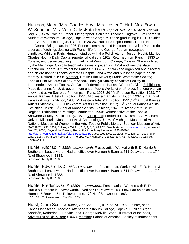Huntoon, Mary. (Mrs. Charles Hoyt; Mrs. Lester T. Hull; Mrs. Erwin W. Seaman; Mrs. Willis C. McEntarfer) *b. Topeka, Nov. 29, 1896; d. Topeka, Aug. 16, 1970.* Painter. Etcher. Lithographer. Sculptor. Teacher. Engraver. Art Therapist. Student at Washburn College, Topeka with George M. Stone graduating in1920. Studied at the Art Students League, NY from 1920-26. Pupil of Joseph Pennell, Robert Henri, and George Bridgeman. In 1926, Pennell commissioned Huntoon to travel to Paris to do a series of etchings dealing with French life for the George Putnam newspaper syndicate. While in Paris, Huntoon studied with the Polish etcher, Joseph Hecht. Married Charles Hoyt, a Daily Capital reporter who died in 1929. Returned from Paris in 1930 to Topeka, and began teaching printmaking at Washburn College, Topeka. She was hired by the Menninger Clinic to teach art classes to patients in 1934 and was the state director on Federal Art Project for Kansas, 1936-37. In 1946 she organized and directed and art division for Topeka Veterans Hospital, and wrote and published papers on art therapy. Retired in 1958. Member: Prairie Print Makers; Prairie Watercolor Society; Topeka Print Makers; Salina Art Assoc.; Brooklyn Society of Artists; Society of Independent Artists; Topeka Art Guild; Federation of Kansas Women's Club. Exhibitions: Made five prints for U. S. government under Public Works of Art Project; first one-woman show held at Au Sacre du Printemps in Paris, 1928; 20<sup>th</sup> McPherson Exhibition 1923; 7<sup>th</sup> Annual Kansas Artists Exhibition, 1931; Midwestern Artists Exhibition, 1932; 9th Annual Kansas Artists Exhibition, 1933; Midwestern Artists' Exhibition, 1935;12<sup>th</sup> Annual Kansas Artists Exhibition, 1936; Midwestern Artists Exhibition, 1937; 15<sup>th</sup> Annual Kansas Artists Exhibition, 1939; 16<sup>th</sup> Annual Kansas Artists Exhibition, 1940; Mulvane Art Museum; Regional Exhibition of Paintings, Manhattan, 1950; Retrospective at the Topeka-Shawnee County Public Library, 1970. Collections: Frederick R. Weisman Art Museum; Univ. of Missouri's Museum of Art & Archaeology; Univ. of Michigan Museum of Art; National Museum of Women in the Arts; Topeka Public Library; Spencer Museum of Art. MAE 1932, 1935, 1937; Collins, WWAA 1, 2, 3, 4, 5, 6; AAA 26; Beach; *AskArt*, www.askart.com, accessed Dec. 20, 2005; "Beyond the Drawing Room: the Art of Mary Huntoon (1896-1970)," http://teen3.teen.k12.ks.us/kday/plan34/goodtext.pdf, accessed Dec. 21, 2005; Wix, Linney. "Looking for What's Lost: the Artistic Roots of Art Therapy: Mary Huntoon," *Art Therapy*, v.17 #3 (2000), p.168-76; Kovinick; TPL.

Hurrle, Alfonso. *fl. 1880s, Leavenworth.* Fresco artist. Worked with E. D. Hurrle & Brothers in Leavenworth. Had an office over Hannon & Baun at 511 Delaware, res. 17<sup>th</sup> N. of Shawnee in 1883. Leavenworth City Dir. 1883.

Hurrle, Edward D. *fl. 1880s, Leavenworth.* Fresco artist. Worked with E. D. Hurrle & Brothers in Leavenworth. Had an office over Hannon & Baun at 511 Delaware, res. 17<sup>th</sup> N. of Shawnee in 1883. Leavenworth City Dir. 1883.

Hurrle, Frederick G. *fl. 1880s, Leavenworth.* Fresco artist. Worked with E. D. Hurrle & Brothers in Leavenworth. Lived at 417 Delaware, 1884-85. Had an office over Hannon & Baun at 511 Delaware, res.  $17<sup>th</sup>$  N. of Shawnee in 1883. KSG 1884-85; Leavenworth City Dir. 1883.

Hurst, Clara Scott. *b. Kirwin, Dec. 27, 1889; d. June 14, 1987.* Painter, spec. Kansas landscape. Teacher. Attended Washburn College, Topeka. Pupil of Birger Sandzén, Katherine L. Perkins, and George Melville Stone. Illustrator of the book, Adventures of Dicky Bear (1937). Member: Salons of America; Society of Independent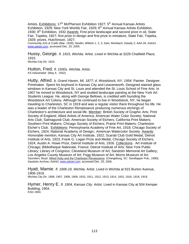Artists. Exhibitions: 17<sup>th</sup> McPherson Exhibition 1927; 5<sup>th</sup> Annual Kansas Artists Exhibition, 1929; New York Worlds Fair, 1929;  $6<sup>th</sup>$  Annual Kansas Artists Exhibition, 1930; 8<sup>th</sup> Exhibition, 1932 Awards: First prize landscape and second prize in oil, State Fair, Topeka, 1927; first prize in design and first prize in miniature, State Fair, Topeka, 1929; prizes, Hutchinson, 1927.

*Community Arts & Crafts* (Mar. 1928); Newlin; WWAA 1, 2, 3; Sain; Reinbach; Dawdy 2; AAA 26; *AskArt*, www.askart.com, accessed Dec. 20, 2005.

Hussy, George. *fl. 1915, Wichita.* Artist. Lived in Wichita at 3229 Chatfield Place, 1915.

Wichita City Dir. 1915.

Hutton, Fred. *fl. 1930s, Wichita.* Artist. *KS Industrialist* (May 4, 1932)

Hutty, Alfred. *b. Grand Haven, MI, 1877; d. Woodstock, NY, 1954.* Painter. Designer. Printmaker. Spent his boyhood in Kansas City and Leavenworth. Designed stained glass windows in Kansas City and St. Louis and attended the St. Louis School of Fine Arts. In 1907 he moved to Woodstock, NY and studied landscape painting at the New York Art Students League. He, along with George Bellows, is credited with founding the Woodstock Art Colony. Although he continued to live in Woodstock, NY, he began traveling to Charleston, SC in 1919 and was a regular visitor there throughout his life. He was a leader of the Charleston Renaissance producing numerous etchings of Charleston's architecture and social life. Member: British Society of Graphic Arts; Print Society of England; Allied Artists of America; American Water Color Society; National Arts Club; Salmagundi Club; American Society of Etchers; California Print Makers; Southern Print Makers; Chicago Society of Etchers; Prairie Print Makers; Charleston Etcher's Club. Exhibitions: Pennsylvania Academy of Fine Art, 1918; Chicago Society of Etchers, 1924; National Academy of Design;; American Watercolor Society. Awards: Honorable mention, Kansas City Art Institute, 1922; Scarab Club Gold Medal, Detroit Institute of Arts, 1923; Frank G. Logan Prize and Medal, Chicago Society of Etchers, 1924; Austin A. Howe Prize, Detroit Institute of Arts, 1926. Collections: Art Institute of Chicago; Bibliotheque Nationale, France; Detroit Institute of Arts; New York Public Library; Library of Congress; Cleveland Museum of Art; Sandzén Memorial Art Gallery; Los Angeles County Museum of Art; Fogg Museum of Art; Morris Museum of Art. Saunders, Boyd. Alfred Hutty and the Charleston Renaissance. (Orangeburg, SC: Sandlapper Pub., 1990); Sandzén Archive; *AskArt*, www.askart.com, accessed Dec. 20, 2005.

Hyatt, Mamie. *fl. 1906-19, Wichita.* Artist. Lived in Wichita at 915 Burton Avenue, 1906-1919.

Wichita City Dir. 1906, 1907, 1908, 1909, 1910, 1911, 1912, 1913, 1914, 1915, 1916, 1918, 1919.

Hymer, Henry E. *fl. 1904, Kansas City.* Artist. Lived in Kansas City at 504 Kemper Building, 1904. KSG 1904.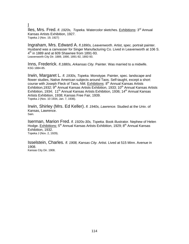### I

Iles, Mrs. Fred. *fl. 1920s, Topeka.* Watercolor sketches. Exhibitions: 3rd Annual Kansas Artists Exhibition, 1927. Topeka J (Nov. 19, 1927)

Ingraham, Mrs. Edward A. *fl.1890s, Leavenworth.* Artist, spec. portrait painter. Husband was a canvasser for Singer Manufacturing Co. Lived in Leavenworth at 106 S.  $4<sup>th</sup>$  in 1889 and at 609 Shawnee from 1891-93. Leavenworth City Dir. 1889, 1890, 1891-92, 1892-93.

Inns, Frederick. *fl.1880s, Arkansas City.* Painter. Was married to a midwife. KSG 1884-85.

Irwin, Margaret L. *fl. 1930s, Topeka.* Monotype. Painter, spec. landscape and flower studies, Native American subjects around Taos. Self-taught, except a short course with Joseph Fleck of Taos, NM. Exhibitions:  $8<sup>th</sup>$  Annual Kansas Artists Exhibition, 1932;  $9<sup>th</sup>$  Annual Kansas Artists Exhibition, 1933; 10<sup>th</sup> Annual Kansas Artists Exhibition, 1934; 11<sup>th</sup> Annual Kansas Artists Exhibition, 1936; 14<sup>th</sup> Annual Kansas Artists Exhibition, 1938; Kansas Free Fair, 1939. Topeka J (Nov. 10 1934, Jan. 7, 1936).

Irwin, Shirley (Mrs. Ed Keller). *fl. 1940s, Lawrence.* Studied at the Univ. of Kansas, Lawrence. Sain.

Iserman, Marion Fred. *fl. 1920s-30s, Topeka.* Book illustrator. Nephew of Helen Hodge. Exhibitions: 5<sup>th</sup> Annual Kansas Artists Exhibition, 1929; 8<sup>th</sup> Annual Kansas Exhibition, 1932. Topeka J (Nov. 2, 1929).

Isselstein, Charles. *fl. 1908, Kansas City.* Artist. Lived at 515 Minn. Avenue in 1908. Kansas City Dir. 1908.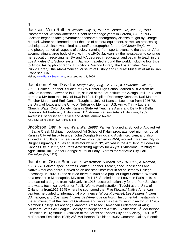## J

Jackson, Vera Ruth. *b. Wichita, July 21, 1911; d. Corona, CA, Jan. 25, 1999.*  Photographer. African-American. Spent her teenage years in Corona, CA. In 1936, Jackson began to take government-sponsored photography classes taught by George Manuel, where she learned about the use of camera equipment, as well as processing techniques. Jackson was hired as a staff photographer for the *California Eagle*, where she photographed all aspects of society, ranging from sports events to the theater. After accumulating a large body of works in the 1940s Jackson left the newspaper to continue her education, receiving her BA and MA degrees in education and began to teach in the Los Angeles City School system. Jackson traveled around the world, including four trips to Africa, taking photographs. Exhibitions: Vernon Library; the Los Angeles County Public Library; the Afro-American Museum of History and Culture; Museum of Art in San Francisco, CA.

Heller; www.FamilySearch.org, accessed Aug. 1, 2006

Jacobson, Arvid David. *b. Morganville, Aug. 12, 1908; d. Lawrence, Oct. 26, 1989.* Painter. Teacher. Studied at Clay Center High School, earned a BFA from he Univ. of Kansas, Lawrence in 1936, studied at the Art Institute of Chicago until 1937, and earned a MA from the Univ. of Iowa in 1941. Pupil of Rosemary Kethcam, Karl Mattern, Fletcher Martin, and Emil Ganso. Taught at Univ. of Kansas, Lawrence from 1946-78, the Univ. of Iowa, and the Univ. of Nebraska. Member: U.S. Army, Trinity Lutheran Church, Water Color Society, Kansas State Art Teachers Assn. and Delta Phi Delta Honorary Art Fraternity. Exhibitions: 15<sup>th</sup> Annual Kansas Artists Exhibition, 1939; Awards: Distinguished Service and Achievement Award. A&C KS; Sain; Beach; KU Archives File

Jacobson, Dan. *b. near Waterville, 1898?* Painter. Studied at School of Applied Art in Battle Creek Michigan, Lockwood Art School of Kalamazoo, attended night school at Kansas City Art Institute under John Douglas Patrick and Austin Kethcam, and also studied at Art Student's League of New York. Served in WWI, worked in Kansas City for Burger Engraving Co., as an illustrator while in NY, worked in the Art Dept. of Loomis in Kansas City in 1927, and Patts Advertising Agency for 46 yrs. Exhibitions: Painting at Agricultural Hall, Bonner Springs; Mural of Pony Express for Maryville City Hall. *Kanhistique (*May 1978).

Jacobson, Oscar Brousse. *b. Westerwick, Sweden, May 16, 1882; d. Norman, OK, 1966.* Painter, spec. portraits. Writer. Teacher. Etcher, spec. landscapes and Native American genre. Served as an assistant instructor in art at Bethany College, Lindsborg, in 1902-03 and studied there in 1908 as a pupil of Birger Sandzén. Worked as a teacher in Minneapolis, MN from 1911-15. Studied at the Louvre in Paris in 1914 and earned a degree from Yale Univ. in 1916. Lectured nationally for the Park Service and was a technical advisor for Public Works Administration. Taught at the Univ. of Oklahoma from1915-1945 where he sponsored the "Five Kiowas," Native American painters he guided to international prominence. Wrote *Kiowa Art*, *Les Peintres Indiens d'Amerique*, and *Costumes Indiens de l'Amerique du Nord*. Instrumental in establishing the art museum at the Univ. of Oklahoma and served as the museum director until 1952. Member: College Art Assoc.; Oklahoma Art Assoc.; American Federation of Arts; Southern States Art League; Society of Independent Artists. Exhibitions: 6<sup>th</sup> McPherson Exhibition 1916; Annual Exhibition of the Artists of Kansas City and Vicinity, 1921; 15<sup>th</sup> McPherson Exhibition 1925; 25<sup>th</sup> McPherson Exhibition 1935; Corcoran Gallery Biennial.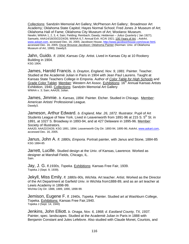Collections: Sandzén Memorial Art Gallery; McPherson Art Gallery; Broadmoor Art Academy; Oklahoma State Capitol; Hayes Normal School; Fred Jones Jr Museum of Art; Oklahoma Hall of Fame; Oklahoma City Museum of Art; Woolaroc Museum. Newlin; WWAA 1, 2, 3, 4; Sain; Fielding; Reinbach; Dawdy; *Heldeman – Julius Quarterly (* Jan 1927); Samuels; AAA14/18/20/22/24/26; WWAA 6,7; Annual Exh. KCAI 1921; 100 Years of Art*;* ; *AskArt*, www.askart.com, accessed Dec. 16, 2005; Jacobson House, http://www.jacobsonhouse.com/oscar.html, accessed Dec. 16, 2005; Oscar Brousse Jacobson: Oklahoma Painter (Norman: Univ. of Oklahoma Museum of Art, 1990); Dawdy3.

Jahn, Guido. *fl. 1904, Kansas City.* Artist. Lived in Kansas City at 10 Rookery Building in 1904. KSG 1904.

James, Harold Francis. *b. Drayton, England, Nov. 9, 1881.* Painter. Teacher. Studied at the Academié Julian in Paris in 1904 with Jean Paul Laurens. Taught at Kansas State Teachers College in Emporia. Author of *Color Table for High Schools* and Grade Color Tablet. Member: Western Art Assoc. Exhibitions: 16<sup>th</sup> Annual Kansas Artists Exhibition, 1940. Collections: Sandzén Memorial Art Gallery WWAA v. 3; Sain; AAA26; Julian.

James, Jimmie. *b. Kansas, 1894.* Painter. Etcher. Studied in Chicago. Member: American Artists' Professional League. Dawdy3.

Jameson, Arthur Edward. *b. England, Mar. 26, 1872.* Illustrator. Pupil of Art Students League of New York. Lived in Leavenworth from 1891-96 at 215 S.  $5<sup>th</sup>$  St. in 1891, at 1027 S. Broadway in 1893-94, and at 427 Delaware in 1895-96. Member: Society of Illustrators.

AAA20; AAA22/24/26; KSG 1891, 1894; Leavenworth City Dir. 1893-94, 1895-96; *AskArt*, www.askart.com, accessed Dec. 16, 2005.

Janus, John A. *fl. 1880s, Emporia.* Portrait painter, with Janus and Stone, 1884-85 KSG 1884-85

Jarrett, Lucille. Studied design at the Univ. of Kansas, Lawrence. Worked as designer at Marshall Fields, Chicago, IL. Sain.

Jay, J. G. *fl.1930s, Topeka.* Exhibitions: Kansas Free Fair, 1939. Topeka J (Sept. 9, 1939).

Jekyll, Miss Emily. *fl. 1880s-90s, Wichita.* Art teacher. Artist. Worked as the Director of the Art Department at Garfield Univ. in Wichita from1888-89, and as an art teacher at Lewis Academy in 1898-99.

Wichita City Dir. 1888, 1889, 1890, 1898-99.

Jemison, Eugene F. *fl. 1940s, Topeka.* Painter. Studied art at Washburn College, Topeka. Exhibitions: Kansas Free Fair,1940. Topeka J (Sept. 14, 1940)

Jenkins, John Elliott. *b. Onaga, Nov. 6, 1868; d. Eastland County, TX, 1937.*  Painter, spec. landscapes. Studied at the Academié Julian in Paris in 1888 with Benjamin Constant and Jules Lefebvre. Also studied with Claude Monet, Courtois, and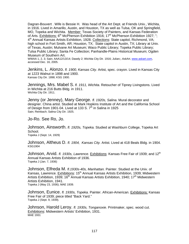Dagran-Bouvert . Wife is Bessie H. Was head of the Art Dept. at Friends Univ., Wichita, in 1916. Lived in Amarillo, Austin, and Houston, TX as well as Tulsa, OK and Springfield, MO, Topeka and Wichita. Member: Texas Society of Painters, and Kansas Federation of Arts. Exhibitions: 6<sup>th</sup> McPherson Exhibition 1916; 17<sup>th</sup> McPherson Exhibition 1927; "; 4<sup>th</sup> Annual Kansas Artists Exhibition, 1928. Collections: State capitol, Richmond, VA: high school in Fort Smith, AR; Houston, TX; State capitol in Austin, TX; Library at Univ. of Texas, Austin; Mulvane Art Museum; Waco Public Library; Topeka Public Library; Tulsa Public Library; Santa Fe Collection; Panhandle-Plains Historical Museum; Ogden Museum of Southern Art.

WWAA 1, 2, 3; Sain; AAA12/13/14; Dawdy 2; Wichita City Dir. 1916; Julian;; *AskArt*, www.askart.com, accessed Dec. 16, 2005.

Jenkins, L. Alonzo. *fl. 1900, Kansas City.* Artist, spec. crayon. Lived in Kansas City at 1223 Walnut in 1898 and 1900. Kansas City Dir. 1898; KSG 1900.

Jennings, Mrs. Mabel S. *fl. 1911, Wichita.* Retoucher of Tipney Livingstons. Lived in Wichita at 216 Butts Bldg. in 1911. Wichita City Dir. 1911.

Jenny (or Jenney), Mary George. *fl. 1920s, Salina.* Mural decorator and designer. China artist. Studied at Mark Hopkins Institute of Art and the California School of Design from 1901-04. Lived at 133 S.  $7<sup>th</sup>$  in Salina in 1925 Sain; Reinbach; Salina City Dir. 1925.

Jo-Ro. See Ro, Jo.

Johnson, Ainsworth. *fl. 1920s, Topeka.* Studied at Washburn College, Topeka Art School.

Topeka J (Sept. 14, 1929)

Johnson, Altheus D. *fl. 1904, Kansas City.* Artist. Lived at 418 Beals Bldg. in 1904. KSG1904

Johnson, Arvid. *fl. 1930s, Lawrence.* Exhibitions: Kansas Free Fair of 1939; and 12<sup>th</sup> Annual Kansas Artists Exhibition of 1936. Topeka J (Jan. 7, 1936)

Johnson, Elfreda M. *fl.1930s-40s, Manhattan.* Painter. Studied at the Univ. of Kansas, Lawrence, Exhibitions: 15<sup>th</sup> Annual Kansas Artists Exhibition, 1939; Midwestern Artists Exhibition, 1939; 16<sup>th</sup> Annual Kansas Artists Exhibition, 1940; 17<sup>th</sup> Midwestern Artists Exhibition, 1941. Topeka J (May 23, 1936); MAE 1939.

Johnson, Eunice. *fl. 1930s, Topeka.* Painter. African-American. Exhibitions: Kansas Free Fair of 1939; piece titled "Back Yard." Topeka J (Sept. 9, 1939).

Johnson, Harold Leroy. *fl. 1930s, Tonganoxie.* Printmaker, spec. wood cut. Exhibitions: Midwestern Artists' Exhibition, 1931. MAE 1931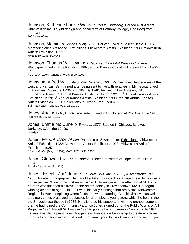Johnson, Katherine Louise Watts. *fl. 1930s, Lindsborg*. Earned a BFA from Univ. of Kansas. Taught design and handcrafts at Bethany College, Lindsborg from 1936-41 100 Years of Art

Johnson, Mamie. *b. Saline County, 1879.* Painter. Lived in Tescott in the 1930s*.*  Member: Salina Art Assoc.Exhibitions: Midwestern Artists' Exhibition, 1930; Midwestern Artists' Exhibition, 1933. MAE 1930, 1933; Dawdy3

Johnson, Thomas W. *fl. 1894 Blue Rapids and 1900-04 Kansas City.* Artist. Wallpaper. Lived in Blue Rapids in 1894, and in Kansas City at 421 Stewart from 1900- 04.

KSG 1894, 1904; Kansas City Dir. 1900, 1901.

Johnston, Alfred W. *b. Isle of Man, Sweden, 1884.* Painter, spec. landscapes of the west and Kansas. Self-trained after being sent to live with relatives in Minnesota. Lived in Arkansas City in the 1920s and 30s. By 1940, he lived in Los Angeles, CA. Exhibitions: Paris; 3<sup>rd</sup> Annual Kansas Artists Exhibition, 1927; 5<sup>th</sup> Annual Kansas Artists Exhibition, 1929;  $6<sup>th</sup>$  Annual Kansas Artists Exhibition. 1930; the 7th Annual Kansas Artists Exhibition, 1931. Collections: Mulvane Art Museum Sain; Reinbach; Topeka J (Oct. 18 1930).

Jones, Arta. *fl. 1910, Hutchinson.* Artist. Lived in Hutchinson at 212 Ave. E. in 1910. Hutchinson City Dir. 1910.

Jones, Emma Mc Cune. *b. Emporia, 1873.* Studied in Chicago, IL. Lived in Berkeley, CA in the 1940s. Dawdy 2.

Jones, Felix. *fl. 1930s, Wichita.* Painter in oil & watercolor. Exhibitions: Midwestern Artists' Exhibition, 1932; Midwestern Artists' Exhibition, 1933; Midwestern Artists' Exhibition, 1935. *KS Industrialist* (May 4, 1932); MAE 1932, 1933, 1935

Jones, Glenwood. *fl. 1920s, Topeka.* Elected president of Topeka Art Guild in 1924. Topeka Cap. (May 28, 1924).

Jones, Joseph "Joe" John, *b. St. Louis, MO, Apr. 7, 1909; d. Morristown, NJ*, *1963*. Painter. Lithographer. Self taught artist who quit school at age fifteen to work as a house painter. Winning his first award in 1931, Jones gained the attention of St. Louis patrons who financed his travel to the artists' colony in Provincetown, MA. He began winning awards at age 22 in 1931 with his early paintings that are typical Midwestern Regionalist works depicting wheat fields and wheat farming. A political activist as well as a painter, Jones organized art classes for unemployed youngsters, which he held in the old St. Louis courthouse in 1934. He alienated his supporters with the pronouncement that he had joined the Communist Party, so Jones signed up for the Public Works of Art Project in 1934. He left St. Louis in 1935 to pursue his art career in New York. In 1937 he was awarded a prestigious Guggenheim Foundation Fellowship to create a pictorial record of conditions in the dust bowl. That same year, his work was included in a major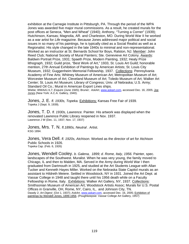exhibition at the Carnegie Institute in Pittsburgh, PA. Through the period of the WPA Jones was awarded five major mural commissions. As a result, he created murals for the post offices at Seneca, "Men and Wheat" (1940); Anthony, "Turning a Corner" (1939); Hutchinson, Kansas; Magnolia, AR. and Charleston, MO. During World War II he worked as a war artist for *Life* magazine. Because Jones addressed major political and social issues in so many of his paintings, he is typically cited as a Social Realist as well as a Regionalist. His style changed in the late 1940s to minimal and non-representational. Worked as an instructor at St. Bernards School for Boys, Ralston, NJ. Member: John Reed Club; National Society of Mural Painters; Ste. Genevieve Art Colony. Awards: Baldwin Portrait Prize, 1931; Spaeth Prize, Modern Painting, 1932; Healy Prize lithograph, 1932; Guild prize, "Best Work of Art," 1933, St. Louis Art Guild; honorable mention, 27th Annual Exhibition of Paintings by American Artists; St. Louis City Museum, 1932; Guggenheim Memorial Fellowship, 1937. Collections: Pennsylvania Academy of Fine Arts; Whitney Museum of American Art; Metropolitan Museum of Art; Worcester Museum of Art; Cleveland Museum of Art; Toledo Museum of Art; Walker Art Center; St. Louis Art Museum; Library of Congress; Univ. of Nebraska; U.S. Army; Standard Oil Co.; Mural in American Export Lines ships.

Wiebe; WWAA1 6,7; *Esquire* (June 1945); Bruner; *AskArt*, www.askart.com, accessed Dec. 16, 2005; Joe Jones (New York: A.C.A. Gallery, 1940).

Jones, J. E. *fl. 1930s, Topeka.* Exhibitions: Kansas Free Fair of 1939. Topeka J (Sept. 9, 1939).

Jones, T. D. *fl. 1930s, Lawrence.* Painter. His artwork was displayed when the renovated Lawrence Public Library reopened in Nov. 1937. Lawrence J W (Dec. 11, 1937; Nov. 17, 1937)

Jones, Mrs. T. N. *fl.1890s, Neutral .* Artist. KSG 1894.

Jones, Vera Dell. *fl. 1920s, Atchison.* Worked as the director of art for Atchison Public Schools in 1926. Topeka Cap. (Feb. 6, 1926)

Jones, Wendell Cooley. *b. Galena, 1899; d. Rome, Italy, 1956.* Painter, spec. landscapes of the Southwest. Muralist. When he was very young, the family moved to Chicago, IL and then to Malden, MA. Served in the Army during World War I then graduated from Dartmouth in 1925, and studied at the Art Students League with Allan Tucker and Kenneth Hayes Miller. Worked on the Nebraska State Capitol murals as an assistant to Hildreth Meiere. Settled in Woodstock, NY in 1931. Joined the Art Dept. at Vassar College in 1948 and taught there until his 1956 death while on a Faculty Fellowship in Rome, Italy. Exhibitions: Walker Art Gallery, NY, 1937. Collections: Smithsonian Museum of American Art; Woodstock Artists Assoc; Murals for U.S. Postal Offices in Granville, OH, Rome, NY, Cairo, IL, and Johnson City, TN. Dawdy 2; *Art Digest* (Oct 1, 1937); *AskArt*, www.askart.com, accessed Dec. 16, 2005; Exhibition of paintings by Wendell Jones, 1899-1956. (Poughkeepsie: Vassar College Art Gallery, 1957)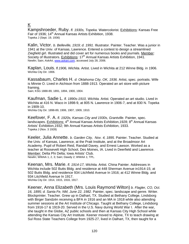## K

Kampshroeder, Ruby. *fl. 1930s, Topeka.* Watercolorist. Exhibitions: Kansas Free Fair of 1936; 14<sup>th</sup> Annual Kansas Artists Exhibition, 1938. Topeka J (Sept. 19, 1936)

Kalin, Victor. *b. Belleville, 1919; d. 1991.* Illustrator. Painter. Teacher. Was a junior in 1941 at the Univ. of Kansas, Lawrence. Entered a contest to design a streamlined Ziegfield girl. Illustrated and did cover art for numerous books and journals. Member: Society of Illustrators. Exhibitions: 17<sup>th</sup> Annual Kansas Artists Exhibition, 1941. Newlin; Sain; *AskArt*, www.askart.com, accessed July 28, 2006.

Kaplan, Louis. *fl.1906, Wichita.* Artist. Lived in Wichita at 212 Winne Bldg. in 1906. Wichita City Dir. 1906.

Kassabaum, Charles H. *d. Oklahoma City, OK, 1936.* Artist, spec. portraits. Wife is Minnie O. Lived in Atchison from 1888-1913. Operated an art store with picture framing. Sain; KSG 1888-89, 1891, 1894, 1900, 1904.

Kaufman, Sadie L. *fl. 1890s-1910, Wichita.* Artist. Operated an art studio. Lived in Wichita at 416 N. Waco in 1898-9, at 805 N. Lawrence in 1906-7, and at 830 N. Topeka in 1909-10.

Wichita City Dir. 1898-89, 1906, 1907, 1909, 1910.

Keefover, F. A. *fl. 1920s, Kansas City and 1930s, Grantville.* Painter, spec. landscapes. Exhibitions:  $4<sup>th</sup>$  Annual Kansas Artists Exhibition, 1928;  $8<sup>th</sup>$  Annual Kansas Artists' Exhibition,1932; 9th Annual Kansas Artists Exhibition, 1933. Topeka J (Nov. 3 1928)

Keeler, Julia Annette. *b. Garden City, Nov. 4, 1895.* Painter. Teacher. Studied at the Univ. of Kansas, Lawrence, at the Pratt Institute, and at the Broadmoor Art Academy. Pupil of Robert Reid, Randall Davey, and Ernest Lawson. Worked as a teacher at Roosevelt High School, Des Moines, IA. Lived in Deerfield and Lawrence. Member: Delta Phi Delta; Iowa Artists' Club. Newlin; WWAA 1, 2, 3; Sain; Dawdy 2; WWAA 1; TPL.

Keenan, Mrs. Marie. *fl. 1914-17, Wichita.* Artist. China Painter. Addresses in Wichita include 502 Butts Bldg. and residence at 448 Sherman Avenue in1914-15; at 502 Butts Bldg. and residence 934 Litchfield Avenue In 1916; at 412 Winne Bldg. and 934 Litchfield Avenue In 1917. Wichita City Dir. 1914, 1915, 1916, 1917.

Keener, Anna Elizabeth (Mrs. Louis Raymond Wilton) *b. Flagler, CO, Oct. 16, 1895; d. Santa Fe, NM, June 22, 1982.* Painter, spec. landscape and genre. Writer. Blockprinter. Teacher. Grew up in Dalhart, TX. Studied at Bethany College, Lindsborg with Birger Sandzén receiving a BFA in 1916 and an MA in 1918 while also attending summer sessions at the Art Institute of Chicago. Taught at Bethany College, Lindsborg from 1916-17 & 1919-20. Served in the U.S. Navy during World War I. After the war, she taught in the Globe, AZ public schools and then at Kansas City High School while attending the Kansas City Art Institute. Keener moved to Alpine, TX to teach drawing at Sul Ross State Teachers College from 1925-27, lived in Dalhart, TX, then taught for a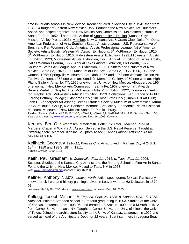time in various schools in New Mexico. Keener studied in Mexico City in 1941 then from 1942-54 taught at Eastern New Mexico Univ. Founded the New Mexico Art Educators Assoc. and helped organize the New Mexico Arts Commission. Maintained a studio in Santa Fe from 1952 till her death. Author of Spontaneity in Design (Kansas City: Missouri Valley Press, 1923). Member: New Orleans Arts & Crafts Club; Delta Phi Delta; American Federation of Arts; Southern States Artists Leagues; U.S. Representative of Brush and Pen Women's Club; American Artists Professional League; Art of America Society; Artists Equity; Western Art Assoc. Exhibitions: 5<sup>th</sup> McPherson Exhibition 1915; 6<sup>th</sup> McPherson Exhibition 1916; Midwestern Artists' Exhibition, 1922; Midwestern Artists' Exhibition, 1923; Midwestern Artists' Exhibition, 1925; Annual Exhibition of Texas Artists, Dallas Woman's Forum, 1927; Annual Texas Artists Exhibition, Fort Worth, 1927; Southern States Art League Annual Exhibition, 1930, Painters and Sculptors of New Mexico, Santa Fe, 1949-1950; Museum of Fine Arts, Santa Fe, 1953, 1956,1958 onewoman, 1968; Springville Museum of Art, Utah, 1957 and 1958 one-woman; Tucson Art Festival, Arizona, 1958 one-woman; Sandzén Memorial Gallery, 1959 one-woman; High Plains Gallery, Amarillo, TX, 1960 one-woman; Univ. of New Mexico, Albuquerque, 1964 one-woman; New Mexico Arts Commission, Santa Fe, 1967 one-woman. Awards: Bronze Medal for Graphic Arts, Midwestern Artists' Exhibition, 1922; Honorable mention for Graphic Arts, Midwestern Artists' Exhibition. 1923. Collections: San Francisco Public Library; Bethany College; Oklahoma Univ.; Sul Ross State Univ.; Smoky Hill Art Club; John H. Vanderpoel Art Assoc.; Texas Historical Society; Museum of New Mexico; Mural in Court House, Gallup, NM; Sandzén Memorial Art Gallery; Panhandle-Plains Historical Museum; Museum of New Mexico; Santa Fe Public Library. Fielding; Dawdy; Collins; AAA20/22/24/26; WWAA1; WWAA 6,7; MAE 1922-23, 1925; Sandzén files; 100

Years of Art*; AskArt*, www.askart.com, accessed Dec. 16, 2005; Kovinick*.* 

Keeney, Bert O. *b. Nebraska.* Metalsmith. Potter. Sculptor. Teacher. Pupil of Margeret Craver at Wichita Art Assoc. Served in the U.S. Naval Reserve. Taught at Pittsburg State. Member: Kansas Sculptors Assoc.; Kansas Artist-Craftsmen Assoc. A&C KS; Sain; TPL.

Keilhack, George. *fl. 1910-11, Kansas City.* Artist. Lived in Kansas City at 248 S.  $18^{th}$  in 1910 and 138 S. 18<sup>th</sup> in 1911. Kansas City Dir. 1910, 1911

Keith, Paul Gresham. *b. Coffeyville, Feb. 11, 1915; d. Taos, Feb. 11, 2001.*  Sculptor. Studied at the Kansas City Art Institute, the Morang School of Fine Art in Santa Fe, and the Univ. of New Mexico. Moved to Taos, NM in 1953. Witt; www.FamilySearch.org accessed July 16, 2006.

Kellner, Anthony. *fl. 1870s, Leavenworth.* Artist, spec. genre, folk-art. Particularly known for civil war and history paintings. Lived in Leavenworth at 63 Delaware in 1870- 01.

Leavenworth City Dir. 70-1; *AskArt*, www.askart.com, accessed Dec. 16, 2005.

Kellogg, Joseph Mitchell. *b. Emporia, Sept. 26, 1885; d. Kansas, Dec. 15, 1963.*  Architect. Painter. Attended school in Emporia graduating in 1903. Studied at the Univ. of Kansas, Lawrence from 1903-05, and earned a B.Arch in 1909 and a M.Arch in 1912 from Cornell Univ. in Ithaca, NY. Taught at Cornell Univ., the Univ. of Illinois, the Univ. of Texas. Joined the architecture faculty at the Univ. of Kansas, Lawrence in 1922 and served as head of the Architecture Dept. for 22 years. Spent summers in Laguna Beach,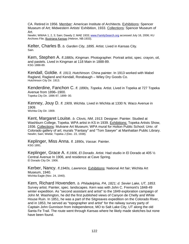CA. Retired in 1956. Member: American Institute of Architects. Exhibitions: Spencer Museum of Art; Midwestern Artists' Exhibition, 1933. Collections: Spencer Museum of Art.

Newlin; WWAA 1, 2, 3; Sain; Dawdy 2; MAE 1933; www.FamilySearch.org accessed July 16, 2006; KU Archives File; Illustriana Kansas (Hebron, NB:1933).

Kelter, Charles B. *b. Garden City, 1895.* Artist. Lived in Kansas City*.*  Sain.

Kem, Stephen A. *fl.1880s, Kingman.* Photographer. Portrait artist, spec. crayon, oil, and pastels. Lived in Kingman at 118 Main in 1888-89. KSG 1888-89.

Kendall, Goldie. *fl. 1913, Hutchinson.* China painter. In 1913 worked with Mabel Ragland, Ragland and Kendall, Rorabaugh – Wiley Dry Goods Co. Hutchinson City Dir. 1913.

Kenderdine, Fanchon C. *fl. 1890s, Topeka.* Artist. Lived in Topeka at 727 Topeka Avenue from 1896–1900. Topeka City Dir. 1896-97, 1899- 00.

Kenney, Jouy D. *fl. 1909, Wichita.* Lived in Wichita at 1330 N. Waco Avenue in 1909.

Wichita City Dir. 1909.

Kent, Margaret Louise. *b. Clovis, NM, 1913.* Designer. Painter. Studied at Washburn College, Topeka. WPA artist in KS in 1939. Exhibitions: Topeka Artists Show, 1936. Collections: Mulvane Art Museum; WPA mural for Holton Public School; Univ. of Colorado gallery of art; murals "Fantasy" and "Tom Sawyer" at Manhattan Public Library. Newlin; Sain; Wiebe; Topeka J (Dec. 23, 1938).

Keplinger, Miss Anna. *fl. 1890s, Vassar.* Painter. KSG 1891.

Keplinger, Grace A. *fl.1906, El Dorado.* Artist. Had studio in El Dorado at 405 ½ Central Avenue In 1906, and residence at Cave Spring. El Dorado City Dir. 1906.

Kerber, Nancy. *fl.1940s, Lawrence.* Exhibitions: National Art fair; Wichita Art Museum, 1940. Wichita Eagle (Nov. 24, 1940).

Kern, Richard Hovenden. *b. Philadelphia, PA, 1821; d. Sevier Lake, UT, 1853.*  Survey artist. Painter, spec. landscapes. Kern was with John C. Fremont's 1848-49 winter expedition. As "second assistant and artist" to the 1849 exploration campaign of John M. Washington, he did the first published views of Canyon de Chelly and White House Ruin. In 1851, he was a part of the Sitgreaves expedition on the Colorado River, and in 1853, he served as "topographer and artist" for the railway survey party of Captain John Gunnison from Independence, MO to Salt Lake City, UT along the old Santa Fe Trail. The route went through Kansas where he likely made sketches but none have been found.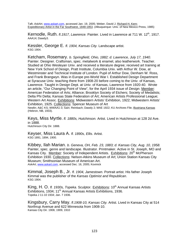Taft; *AskArt*, www.askart.com, accessed Jan. 19, 2005; Weber, David J. Richard H. Kern: Expeditionary Artist in the Far Southwest, 1848-1853. (Albuquerque: Univ. of New Mexico Press, 1985)

Kernodle, Ruth, *fl.1917, Lawrence, Painter, Lived in Lawrence at 711 W. 12<sup>th</sup>, 1917.* AAA14; Dawdy3.

Kessler, George E. *fl. 1904, Kansas City.* Landscape artist. KSG 1904.

Ketcham, Rosemary. *b. Springfield, Ohio, 1882; d. Lawrence, July 17, 1940.*  Painter. Designer. Craftsman, spec. metalwork & enamel, also leatherwork. Teacher. Studied at Ohio Wesleyan Univ. and received a literature degree; received art training at New York School of Design, Pratt Institute, Columbia Univ. with Arthur W. Dow, at Westminster and Technical Institute of London. Pupil of Arthur Dow, Denham W. Ross, and Frank Brangwyn. Was in Europe pre-World War I. Established Design Department at Syracuse Univ. teaching there from 1908-20 before coming to the Univ. of Kansas, Lawrence. Taught in Design Dept. at Univ. of Kansas, Lawrence from 1920-40. Wrote an article, "Our Changing Point of View", for the April 1934 issue of *Design*. Member: American Federation of Arts; Alliance; Brooklyn Society of Etchers; Society of Medalists; Delta Phi Delta; Kansas State Federation of Art; American Artists Professional League; Western Art Assoc. Exhibitions: Midwestern Artists' Exhibition, 1922; Midwestern Artists' Exhibition, 1925. Collections: Spencer Museum of Art

Newlin; A&C KS; WWAA1-3; Sain; Reinbach; Dawdy 2; MAE 1922; KU Archives File; Illustriana Kansas (Hebron, NB, 1933).

Keys, Miss Myrtle. *fl. 1880s, Hutchinson.* Artist. Lived in Hutchinson at 128 2d Ave. in 1888. Hutchinson City Dir. 1888.

Keyser, Miss Laura A. *fl. 1890s, Ellis.* Artist. KSG 1891, 1894, 1900.

Kibbey, Ilah Marian. *b. Geneva, OH, Feb. 23, 1883; d. Kansas City, Aug. 10, 1958.*  Painter, spec. genre and landscape. Illustrator. Printmaker. Active in St. Joseph, MO and Kansas City. Member: Society of Independent Artists. Exhibitions: 20<sup>th</sup> McPherson Exhibition 1930. Collections: Nelson-Atkins Museum of Art; Union Station Kansas City Museum; Smithsonian Museum of American Art. *AskArt*, www.askart.com, accessed Dec. 16, 2005; Kovinick

Kimmal, Joseph B., Jr. *fl. 1904, Jamestown.* Portrait artist. His father Joseph Kimmal was the publisher of the *Kansas Optimist and Republican*. KSG 1904.

King, H. O. *fl. 1930s, Topeka.* Sculptor. Exhibitions: 10<sup>th</sup> Annual Kansas Artists Exhibitions, 1934; 11<sup>th</sup> Annual Kansas Artists Exhibitions, 1936. Topeka J 11-10 1934; Jan. 7 1936.

Kingsbury, Carry May. *fl.1908-10, Kansas City.* Artist. Lived in Kansas City at 514 Northrup Avenue and 622 Minnesota from 1908-10. Kansas City Dir. 1908, 1909, 1910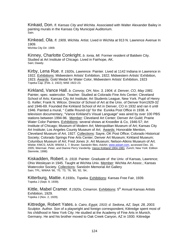Kinkaid, Don. *fl. Kansas City and Wichita.* Associated with Walter Alexander Bailey in painting murals in the Kansas City Municipal Auditorium. Sain.

Kinkead, Ola. *fl. 1909, Wichita.* Artist. Lived in Wichita at 913 N. Lawrence Avenue In 1909. Wichita City Dir. 1909.

Kinney, Charlotte Conkright. *b. Ionia, MI.* Former resident of Baldwin City. Studied at Art Institute of Chicago. Lived in Fairhope, AK. Sain; Dawdy.

Kirby, Lena Rue. *fl. 1920s, Lawrence.* Painter. Lived at 1142 Indiana in Lawrence in 1922. Exhibitions: Midwestern Artists' Exhibition, 1922; Midwestern Artists' Exhibition, 1923. Awards: Gold Medal for Water Color, Midwestern Artists' Exhibition, 1923 Topeka Cap. (Feb. 2, 1922); MAE 1922-23.

Kirkland, Vance Hall. *b. Convoy, OH, Nov. 3, 1904; d. Denver, CO, May 1981.* Painter, spec. watercolor. Teacher. Studied at Colorado Fine Arts Center; Cleveland School of Arts; Kansas City Art Institute; Art Students League, New York. Pupil of Henry G. Keller; Frank N. Wilcox. Director of School of Art at the Univ. of Denver from1929-32 and 1946-69. Founded the Kirkland School of Art in Denver, CO in 1932 and ran it until 1946. Painted a mural, " Cattle Round-Up" for the Eureka Post Office in 1938. A television documentary, "Vance Kirkland's Visual Language" was aired by over 100 PBS stations between 1994-96. Member: Cleveland Art Center; Denver Art Guild; Prairie Water Color Painters. Exhibitions: several shows at Knoedler & Co, 1946-57; Art Institute of Chicago; Museum of Modern Art; Metropolitan Museum of Art; Kansas City Art Institute; Los Angeles County Museum of Art; Awards: Honorable Mention, Cleveland Museum of Art, 1927. Collections: Sayre, OK Post Office; Colorado Historical Society; Colorado Springs Fine Arts Center; Denver Art Museum; Kirkland Museum; Columbus Museum of Art; Fred Jones Jr. Art Museum; Nelson-Atkins Museum of Art. Wiebe; KMCS; AA26; WWAA 1, 7; Bruner; Sandzén files; *AskArt*, www.askart.com, accessed Dec. 16, 2005; Wiermair, Peter, and Dianne Perry Vanderlip. Vance Kirkland 1904-1981. Zurich; New York: Edition Stemmle, 1998)

Kiskadden, Robert. *b. 1918.* Painter. Graduate of the Univ. of Kansas, Lawrence; Ohio Wesleyan in 1945. Taught at Wichita Univ. Member: Wichita Art Assoc.; Kansas Watercolor Society. Collections: Sandzén Memorial Art Gallery Sain; TPL; WWAA '66, '70, '73, '76, '80, '82, '84..

Kitterburg, Mattie. *fl.1930s, Topeka.* Exhibitions: Kansas Free Fair, 1939. Topeka J (Sept. 9, 1939).

Kittle, Mabel Cramer. *fl.1920s, Cimarron.* Exhibitions: 5<sup>th</sup> Annual Kansas Artists Exhibition, 1929. Topeka J (Nov. 2, 1929).

Kittredge, Robert Yates. *b. Cairo, Egypt, 1910; d. Sedona, AZ, Sept. 28, 2003.*  Sculptor. Author. Son of a playwright and foreign correspondent, Kittredge spent most of his childhood in New York City. He studied at the Academy of Fine Arts in Munich, Germany. He and his brother moved to Oak Creek Canyon, AZ in 1930. Kittredge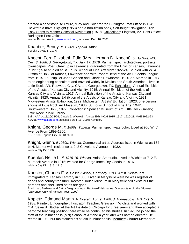created a sandstone sculpture, "Boy and Colt," for the Burlington Post Office in 1942. He wrote a novel Skylight (1958) and a non-fiction book, Self-taught Navigation: Ten Easy Steps to Master Celestial Navigation (1970). Collections: Flagstaff, AZ. Post Office; Burlington Post Office.

Wiebe, Bruner; *AskArt*, www.askart.com, accessed Dec. 16, 2005.

Knauber, Benny. *fl. 1930s, Topeka.* Artist Topeka J (May 8, 1937)

Knecht, Fern Elizabeth Edie (Mrs. Herman D. Knecht) *b. Du Bois, NB, Dec. 8, 1888; d. Georgetown, TX, Jan. 17, 1979.* Painter, spec. architecture, portraits, townscapes. Poet. Grew up in Lawrence; graduated from the Univ. of Kansas, Lawrence in 1911; also studied at St. Louis School of Fine Arts from 1922-24. Studied with W. A. Griffith at Univ. of Kansas, Lawrence and with Robert Henri at the Art Students League from 1915-17. Pupil of John Carlson and Charles Hawthorne, 1926-27. Married in 1917 to an engineering consultant and traveled widely in Mexico and South America. Lived in Little Rock, AR, Redwood City, CA, and Georgetown, TX. Exhibitions: Annual Exhibition of the Artists of Kansas City and Vicinity, 1915; Annual Exhibition of the Artists of Kansas City and Vicinity, 1917; Annual Exhibition of the Artists of Kansas City and Vicinity, 1920; Annual Exhibition of the Artists of Kansas City and Vicinity, 1921; Midwestern Artists' Exhibition, 1922; Midwestern Artists' Exhibition, 1923; one-person shows at Little Rock Art Museum, 1936; St. Louis School of Fine Arts, 1942, Southwestern Univ., 1977. Collections: Spencer Museum of Art; Little Rock Gallery; Little Rock Public Library.

Sain; AAA14/18/20/22/26; Dawdy 2; WWAA1; Annual Exh. KCAI 1915, 1917, 1920-21; MAE 1922-23; *AskArt*, www.askart.com, accessed Dec. 16, 2005; Kovinick.

Knight, George M. *fl. 1890s, Topeka.* Painter, spec. watercolor. Lived at 900 W. 6<sup>th</sup> Avenue From 1899-1900.

KSG 1900; Topeka City Dir. 1899-00.

Knight, Glenn. *fl.1930s, Wichita.* Commercial artist. Address listed in Wichita as 154 ½ N. Market with residence at 243 Cleveland Avenue In 1932. Wichita City Dir. 1932.

Koehler, Nellie L. *fl. 1915-16, Wichita.* Artist. Art studio. Lived in Wichita at 712 E. Murdock Avenue in 1915; worked for George Innes Dry Goods in 1916. Wichita City Dir. 1915, 1916.

Koester, Charles F. *b. Hesse-Cassel, Germany, 1841.* Artist. Self-taught. Immigrated to Kansas Territory in 1860. Lived in Marysville were he was register of deeds and county treasurer. Koester House Museum in Marysville still exists but the gardens and shell-lined paths are gone.

Brackman, Barbara, and Cathy Dwiggans, eds*.* Backyard Visionaries: Grassroots Art in the Midwest (Lawrence: Univ. of Kansas Press, 1999)

Kopietz, Edmund Martin. *b. Everett, Apr. 9, 1900; d. Minneapolis, MN, Oct. 5, 1988.* Painter. Lithographer. Illustrator. Teacher. Grew up in Wichita and worked with C.A. Seward. Studied at the Art Institute of Chicago for three years and then accepted a part-time teaching position there while he continued his studies. In 1928 he joined the staff of the Minneapolis (MN) School of Art and a year later was named director. He retired in 1950 but maintained his studio in Minneapolis. Member: Charter Member of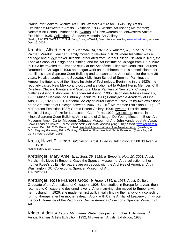Prairie Print Makers; Wichita Art Guild; Western Art Assoc.; Twin City Artists. Exhibitions: Midwestern Artists' Exhibition, 1935; Wichita Art Assoc.; McPherson; Nokomis Art School, Minneapolis. Awards: 1<sup>st</sup> Prize watercolor, Midwestern Artists' Exhibition, 1935. Collections: Sandzén Memorial Art Gallery Newlin; A&C KS; WWAA 1, 2, 3, 4; Sain; Cone; WWAA1; Sandzén files; *AskArt*, www.askart.com, accessed Dec. 16, 2005 .

Krehbiel, Albert Henry. *b. Denmark, IA, 1873; d. Evanston, IL, June 29, 1945.* Painter. Muralist Teacher. Family moved to Newton in 1879 where his father was a carriage and buggy maker. Krehbiel graduated from Bethel College, Newton in 1897, the Topeka School of Design and Painting, and the Art Institute of Chicago from 1897-1902. In 1903 he traveled to Europe to study at the Académie Julian with Jean Paul Laurens. Returned to Chicago in 1906 and began work on the thirteen murals commissioned for the Illinois state Supreme Court Building and to teach at the Art Institute for the next 39 years. He also taught at the Saugatuck Michigan School of Summer Painting, the Armour Institute, and at the Illinois Institute of Technology. Beginning in the 1920s, he regularly visited New Mexico and occupied a studio next to Robert Henri. Member: Cliff Dwellers; Chicago Painters and Sculptors; Mural Painters of New York; Chicago Galleries Assoc. Exhibitions: American Art Assoc., 1905; Salon des Artistes Francais, 1905; Museo Nacional de Pintura y Escultura, 1906; Pennsylvania Academy of Fine Arts, 1923, 1928 & 1931; National Society of Mural Painters, 1925; thirty-two exhibitions at the Art Institute of Chicago between 1906-1939;  $15<sup>th</sup>$  McPherson Exhibition 1925; 17<sup>th</sup> McPherson Exhibition 1927; Gerald Peters Gallery, 1996. Awards: Prix de Rome; Municipal League Prize for Landscape; Cahn Prize, 1922. Collections: murals in the Illinois Supreme Court Building; Art Institute of Chicago; De Young Museum; Block Art Museum; Amon Carter Museum; Dubuque Museum of Art; John Vanderpoel Art Assoc. Snow; Sandzén archives; *J. of the Illinois State Historical Society* (Spring 1984); *AskArt*, www.askart.com, accessed Dec. 16, 2005; Guinan, Robert. Krehbiel, Life and Works of an American Artist. (Washington, D.C.: Regnery Gateway, 1991); Whitney, Catherine. Albert Krehbiel: Santa Fe works. (Santa Fe, NM: Gerald Peters Gallery, 1996)

Kress, Hazel E. *fl.1910, Hutchinson.* Artist. Lived in Hutchinson at 308 3d Avenue E. in 1910.

Hutchinson City Dir. 1910.

Kretsinger, Mary Amelia. *b. Sept. 29, 1915; d. Emporia, Nov. 10, 2001.* Artist. Metalsmith. Lived in Emporia. Gave the Spencer Museum of Art a collection of her mother Rose's quilts. Her papers are on deposit with the Archives of American Art in Washington, DC. Collections: Spencer Museum of Art TPL; WWAA'84

Kretsinger, Rose Frances Good. *b. Hope, 1886; d. 1963.* Artist. Quilter. Graduate of the Art Institute of Chicago in 1908. She studied in Europe for a year, then returned to Chicago and designed jewelry. After marrying, she moved to Emporia with her husband. In 1926, she made her first quilt, initially finding the handwork a consoling form of therapy after her mother's death. Along with Carrie A. Hall of Leavenworth, wrote the book Romance of the Patchwork Quilt in America Collections: Spencer Museum of Art

Krider, Alden. *fl. 1930s, Manhattan.* Watercolor painter. Etcher. Exhibitions: 8<sup>th</sup> Annual Kansas Artists Exhibition, 1932; Midwestern Artists' Exhibition, 1933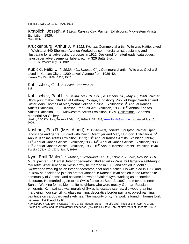Topeka J (Oct. 22, 1932); MAE 1933

Krstolich, Joseph. *fl. 1920s, Kansas City.* Painter. Exhibitions: Midwestern Artists' Exhibition, 1926. MAE 1926

Kruckenburg, Arthur J. *fl. 1912, Wichita.* Commercial artist. Wife was Hattie. Lived in Wichita at 440 Sherman Avenue Worked as commercial artist, designing and illustrating for all advertising purposes in 1912. Designed for letterheads, catalogues, newspaper advertisements, labels, etc. at 326 Butts Bldg. KSG 1912; Wichita City Dir. 1912.

Kubicki, Felix C. *fl. 1930s-40s, Kansas City.* Commercial artist. Wife was Cecilia S. Lived in Kansas City at 1209 Lowell Avenue from 1936-42. Kansas City Dir. 1936, 1938, 1942.

Kubitschek, C. J. *b. Salina.* Iron worker. Sain.

Kubitschek, Paul L. *b. Salina, May 19, 1916; d. Lincoln, NB, May 18, 1988.* Painter. Block print maker. Studied at Bethany College, Lindsborg. Pupil of Birger Sandzén and Sister Mary Thomas at Marymount College, Salina. Exhibitions: 8<sup>th</sup> Annual Kansas Artists Exhibition, 1932; Kansas Free Fair Art Exhibition, 1936; 15<sup>th</sup> Annual Kansas Artists Exhibition,1939; Midwestern Artists Exhibition, 1939. Collections: Sandzén Memorial Art Gallery

Newlin; A&C KS; Sain; Topeka J (Mar. 10, 1939); MAE 1939; www.FamilySearch.org accessed July 16, 2006.

Kushner, Etta R. (Mrs. Albert). *fl. 1930s-40s, Topeka.* Sculptor. Painter, spec. landscape and genre. Studied with David Overmyer and Mary Huntoon. Exhibitions:  $9<sup>th</sup>$ Annual Kansas Artists Exhibition, 1933; 10<sup>th</sup> Annual Kansas Artists Exhibition, 1934; 11<sup>th</sup> Annual Kansas Artists Exhibition, 1936; 14<sup>th</sup> Annual Kansas Artists Exhibition, 1938; 15<sup>th</sup> Annual Kansas Artists Exhibition, 1939; 16<sup>th</sup> Annual Kansas Artists Exhibition, 1940. Topeka J (Nov. 10, 1934, Jan. 7, 1936)

Kym, Emil "Maler". *b. Möhlin, Switzerland Feb. 15, 1862; d. Buhler, Nov.22, 1918.* Mural painter. Folk artist. Interior decorator. Studied art in Paris, but largely a self-taught folk artist. After serving in Swiss army, he married in 1883 and settled in Möhlin, Switzerland working as an interior decorator, chef and butcher. His wife died in 1893 and in 1896 he decided to join his brother Johann in Kansas. Kym settled in the Mennonite community of Goessel and became known as "Maler" Kym, working as an interior decorator. He married again to his Swiss fiancé on Sept. 2, 1897 and moved to near Buhler. Working for his Mennonite neighbors who were mostly German-Russian emigrants, Kym painted wall murals of Swiss landscape scenes, did wood-graining, marbleing, floor stenciling, glass painting, decorative border painting, object painting, paintings on cardboard and sketches. The majority of Kym's work is found in homes built between 1900 and 1910.

*Kanhistique (* Apr. 1977); *Clarion* (Fall 1978); Friesen, Steve. The Life and Times of Emil Kym: A Great Plains Folk Artist and the Immigrant Experience. (MA Thesis, State Univ. of New York at Oneonta, 1978)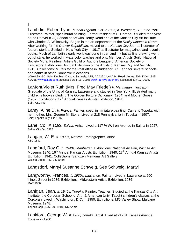# L

Lambdin, Robert Lynn. *b. near Dighton, Oct. 7 1886; d. Westport, CT, June 1981.*  Illustrator. Painter, spec mural painting. Former resident of El Dorado. Studied for a year at the Denver (CO) School of Art with Henry Read and at the Kansas City Art institute with Charles A. Wilimovsky. Began in the art department of the *Rocky Mountain News*. After working for the *Denver Republican*, moved to the *Kansas City Star* as illustrator of feature stories. Settled in New York City in 1917 as illustrator for magazines and juvenile books. Much of Lambdin's early work was done in pen and ink but as line drawing went out of style, he worked in watercolor washes and oils. Member: Artists Guild; National Society Mural Painters; Artists Guild of Authors League of America; Society of Illustrators. Exhibitions: Annual Exhibition of the Artists of Kansas City and Vicinity, 1915. Collections: Murals for the Post office in Bridgeport, CT. and for several schools and banks in other Connecticut locations.

WWAA2-4,6-2; Sain; Dunbier; Dawdy; Samuels; AFB; AAA22,24,AAA14; Reed; Annual Exh. KCAI 1915; *AskArt*, www.askart.com, accessed Dec. 16, 2005; www.FamilySearch.org accessed July 17, 2006.

LaMont,Violet Ruth (Mrs. Fred May Friedel) *b. Manhattan.* Illustrator. Graduate of the Univ. of Kansas, Lawrence and studied in New York. Illustrated many children's books including The Golden Picture Dictionary (1954) and Mother Goose (1957). Exhibitions: 17th Annual Kansas Artists Exhibition, 1941. Sain, A&C KS

Lamy, Aline D. *b. France.* Painter, spec. in miniature painting. Came to Topeka with her mother, Mrs. George M. Stone. Lived at 218 Pennsylvania in Topeka in 1907. Sain; Topeka City Dir. 1907

Lane, Co. *fl. 1920s, Salina.* Artist. Lived at117 ½ W. Iron Avenue in Salina in 1927. Salina City Dir. 1927

Langan, W. E. *fl. 1890s, Newton.* Photographer. Artist KSG 1891

Langford, Roy C. *fl. 1940s, Manhattan*. Exhibitions: National Art Fair, Wichita Art Museum, 1940; 16<sup>th</sup> Annual Kansas Artists Exhibition, 1940; 17<sup>th</sup> Annual Kansas Artists Exhibition, 1941. Collections: Sandzén Memorial Art Gallery Wichita Eagle (Nov. 24, 1940)

#### Langsdorf, Martyl Susanne Schweig. See Schweig, Martyl

Langworthy, Frances. *fl. 1930s, Lawrence.* Painter. Lived in Lawrence at 900 Illinois Street in 1936. Exhibitions: Midwestern Artists Exhibition, 1936. MAE 1936

Lanigan, Jean. *fl. 1940s, Topeka.* Painter. Teacher. Studied at the Kansas City Art Institute, the Corcoran School of Art, & American Univ. Taught children's classes at the Corcoran. Lived in Washington, D.C. in 1950. Exhibitions: MO Valley Show; Mulvane Museum, 1948.<br>Topeka Cap. (Nov. 20, 1948); NMAA file

Lankford, George W. *fl. 1900, Topeka*. Artist. Lived at 212 N. Kansas Avenue, Topeka in 1900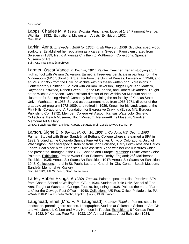KSG 1900

Lapps, Charles M. *fl. 1930s, Wichita.* Printmaker. Lived at 1424 Fairmont Avenue, Wichita in 1932. Exhibitions: Midwestern Artists' Exhibition, 1932. MAE 1932

Larkin, Anna. *b. Sweden, 1856 (or 1855); d. McPherson, 1939.* Sculptor, spec. wood sculpture. Established her reputation as a carver in Sweden. Family emigrated from Sweden in 1889, first to Arkansas City then to McPherson. Collections: Spencer Museum of Art. Sain, A&C KS; Sandzén archives

Larmer, Oscar Vance. *b. Wichita, 1924.* Painter. Teacher. Began studying art in high school with William Dickerson. Earned a three-year certificate in painting from the Minneapolis (MN) School of Art, a BFA from the Univ. of Kansas, Lawrence in 1949, and an MFA in 1955 from the Univ. of Wichita with his thesis written on "Expressions in Contemporary Painting." Studied with William Dickerson, Briggs Dyer, Karl Mattern, Raymond Eastwood, Robert Green, Eugene McFarland, and Robert Kiskadden. Taught at the Wichita Art Assoc., was assistant director of the Wichita Art Museum and an illustrator for Boeing Aircraft Company before joining the art faculty of Kansas State Univ., Manhattan in 1956. Served as department head from 1965-1971, director of the graduate art program 1972-1989, and retired in 1989. Known for his landscapes of the Flint Hills. Co-author of A Foundation for Expressive Drawing (Edina, MN: Burgess Publishing Co., 1972). Member: College Art Assoc.; Kansas Watercolor Society. Collections: Beach Museum; Ulrich Museum; Nelson-Atkins Museum; Sandzén Memorial Art Gallery.

WKDC; Beach; Sandzén archives; *Kansas Quarterly* (Fall, 1982); WWAA '80, '82, '84

Larson, Signe E. *b. Buxton, IA, Oct. 16, 1908; d. Cordova, NB, Dec. 4, 1993.*  Painter. Studied with Birger Sandzén at Bethany College where she earned a BFA in 1933. Studied at the Colorado Springs Fine Art Center, Univ. of Colorado, & Univ. of Washington. Received special training from John Folinsbe, Harry Leith-Ross and Carlos Lopez. Deaf since birth. Her sister Elvira assisted Signe with her chalk lectures which she presented throughout the U.S., Canada and Europe. Member: Prairie Water Color Painters. Exhibitions: Prairie Water Color Painters, Derby, England; 25<sup>th</sup> McPherson Exhibition 1935; Annual Six States Art Exhibition, 1947; Annual Six States Art Exhibition, 1948; Collections: mural in St. Paul's Lutheran Church in Clay Center; Beach Museum; Sandzén Memorial Art Gallery

Sain; A&C KS; AAUW; Beach; Sandzén archives

Larter, Robert Ekings. *fl. 1930s, Topeka.* Painter, spec. muralist. Received BFA from Choate School at Wallingford, CT. in 1934. Student at Yale Univ. School of Fine Arts. Taught at Washburn College, Topeka, beginning in1938. Painted the mural "Farm Life" for the Oswego Post Office in 1940. Collections: US Post Office, Philadelphia, PA. WWAA 1940-41;Sain; Newlin; Wiebe; Topeka J (July 2, 1938); Bruner

Laughead, Ethel (Mrs. F. A. Laughead). *fl. 1930s, Topeka*. Painter, spec. in landscape, portrait, genre scenes. Lithographer. Studied at Columbus School of Art, OH. and with James I. Gilbert and Mary Huntoon in Topeka. Exhibitions: 8<sup>th</sup> Kansas Free Fair, 1932, 9<sup>th</sup> Kansas Free Fair, 1933; 10<sup>th</sup> Annual Kansas Artist Exhibition 1934;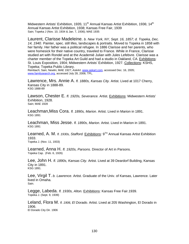Midwestern Artists' Exhibition, 1935; 11<sup>th</sup> Annual Kansas Artist Exhibition, 1936; 14<sup>th</sup> Annual Kansas Artist Exhibition, 1938; Kansas Free Fair, 1939 Sain; Topeka J (Nov. 10, 1934 & Jan. 7, 1936); MAE 1935

Laurent, Clarisse Madeleine. *b. New York, NY, Sept. 16, 1857; d. Topeka, Dec. 14, 1940.* Painter, spec. still lifes, landscapes & portraits. Moved to Topeka in 1858 with her family. Her father was a political refugee. In 1886 Clarisse and her parents, who were homesick for their native country, traveled to France. While in France, Clarisse studied art with Rondel and at the Academié Julian with Jules Lefebvre. Clarisse was a charter member of the Topeka Art Guild and had a studio in Oakland, CA. Exhibitions: St. Louis Exposition, 1904; Midwestern Artists' Exhibition, 1927. Collections: KSHS, Topeka; Topeka Public Library.

Reinbach; Sain; Newlin; MAE 1927; *AskArt*, www.askart.com, accessed Dec. 16, 2005; www.familysearch.org, accessed July 28, 2006; TPL.

Lawrence, Mrs. Annie A. *fl. 1880s, Kansas City.* Artist. Lived at 1017 Cherry, Kansas City in 1888-89. KSG 1888-89

Lawson, Chester E. *fl. 1920s, Severance.* Artist. Exhibitions: Midwestern Artists' Exhibition, 1928. Sain; MAE 1928

Leachman,Miss Cora. *fl. 1890s, Marion.* Artist. Lived in Marion in 1891. KSG 1891

Leachman, Miss Jesse. *fl. 1890s, Marion.* Artist. Lived in Marion in 1891. KSG 1891

Learned, A. M. *fl. 1930s, Stafford.* Exhibitions: 9TH Annual Kansas Artist Exhibition 1933.

Topeka J. (Nov. 11, 1933)

Learned, Anna H. *fl. 1920s, Parsons.* Director of Art in Parsons. Topeka Cap. (Feb. 6, 1926)

Lee, John H. *fl. 1890s, Kansas City.* Artist. Lived at 39 Deardorf Building, Kansas City in 1891. KSG 1891.

Lee, Virgil T. *b. Lawrence*. Artist. Graduate of the Univ. of Kansas, Lawrence. Later lived in Omaha. Sain.

Legge, Labeda. *fl. 1930s, Alton.* Exhibitions: Kansas Free Fair.1939. Topeka J. (Sept. 9, 1939)

Leland, Flora M. *fl. 1906, El Dorado.* Artist. Lived at 205 Washington, El Dorado in 1906. El Dorado City Dir. 1906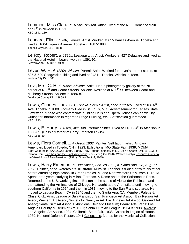Lemmon, Miss Clara. *fl. 1890s, Newton.* Artist. Lived at the N.E. Corner of Main and  $6<sup>th</sup>$  in Newton in 1891. KSG 1891, 1894

Leonard, Ella. *fl. 1880s, Topeka.* Artist. Worked at 615 Kansas Avenue, Topeka and lived at 1004 Topeka Avenue, Topeka in 1887-1888. Topeka City Dir. 1887-1888

Le Roy, Robert. *fl. 1890s, Leavenworth.* Artist. Worked at 427 Delaware and lived at the National Hotel in Leavenworth in 1891-92. Leavenworth City Dir. 1891-92

Lever, W. H. *fl. 1880s, Wichita.* Portrait Artist. Worked for Lever's portrait studio, at 525 & 529 Sedgwick building and lived at 343 N. Topeka, Wichita in 1888. Wichita City Dir. 1888

Levi, Mrs. C. H. *fl. 1880s, Abilene.* Artist. Had a photography gallery at the NE corner of N.  $3^{rd}$  and Cedar Streets, Abilene. Resided at N.  $5^{th}$  St. between Cedar and Mulberry Streets, Abilene in 1886-87. Dickinson County Dir., 1886-87

Lewis, Charles L. *fl. 1880s, Topeka.* Scenic Artist, spec in fresco. Lived at 106 6<sup>th</sup> Ave. Topeka in 1880. Formerly lived in St. Louis, MO. Advertisement for Kansas State Gazetteer: "Those who contemplate building Halls and Opera Houses can do well by writing for information in regard to Stage Building, etc. Satisfaction guaranteed." KSG 1880

Lewis, E. Harry. *fl. 1880s, Atchison.* Portrait painter. Lived at 118 S. 4<sup>th</sup> in Atchison in 1888-89. (Possibly father of Harry Emerson Lewis) KSG 1888-89

Lewis, Flora Cornell. *b. Atchison 1903.* Painter. Self taught artist. African-American. Lived in Toledo, OH in1923. Exhibitions: MO State Fair, 1939; MOMA. Sain; Cederholm; AAA 20/22; Janus, Sidney They Taught Themselves (1942); *Art Digest* (Oct. 15, 1939); Indiana Univ. Fine Arts and the Black Americans; *The Serif* (Dec.1970); Walker, Roslyn Resource Guide to the Visual Arts of Afro-American (1971); *Time* (Sept. 4, 1939)

Lewis, Harry Emerson. *b. Hutchinson, Feb. 28,1892; d. Santa Ana, CA, Aug. 17, 1958*. Painter, spec. watercolors. Illustrator. Muralist. Teacher. Studied art with his father before attending high school in Grand Rapids, MI and Northwestern Univ. from 1912-13. Spent three years studying in Milan, Florence, & Rome and at the Sorbonne in Paris. Returned to the U.S. working first in Boston in the studio of Alexander Robinson and then attending the Art Institute of Chicago. He taught at the Art Institute until moving to southern California in 1924 and then, in 1931, moving to the San Francisco area. He moved to Laguna Beach, CA in 1945 and then to Santa Ana, CA. Member: Palette & Chisel Club; Artist League of San Francisco; San Francisco Art Assoc.; Bay Region Art Assoc; Western Art Assoc; Society for Sanity in Art; Los Angeles Art Assoc; Oakland Art Assoc; Santa Cruz Art Assoc. Exhibitions: Delgado Museum; Beaux Arts, Paris; Los Angeles County Museum of Art, 1931; Santa Cruz Art League, 1934 & 1938; Awards: Los Angeles Art Assoc, 1934; California State Fair, 1938; California Legion of Honor, 1939; National Defense Poster, 1941 Collections: Murals for the Municipal Collection,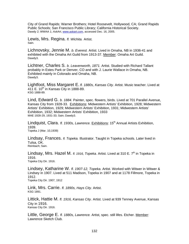City of Grand Rapids; Warner Brothers; Hotel Roosevelt, Hollywood, CA; Grand Rapids Public Schools; San Francisco Public Library; California Historical Society. Dawdy 2; WWAA 1; *AskArt*, www.askart.com, accessed Dec. 16, 2005.

Lewis, Mrs. Regina. *fl. Wichita.* Artist. Sain.

Lichnovsky, Jennie M. *b. Everest.* Artist. Lived in Omaha, NB in 1936-41 and exhibited with the Omaha Art Guild from 1913-37. Member: Omaha Art Guild. Dawdy3.

Lichtner, Charles S. *b. Leavenworth, 1871.* Artist. Studied with Richard Tallant probably in Estes Park or Denver, CO and with J. Laurie Wallace in Omaha, NB. Exhibited mainly in Colorado and Omaha, NB. Dawdy3.

Lightfoot, Miss Margaret E. *fl. 1880s, Kansas City.* Artist. Music teacher. Lived at 411 E.  $10^{th}$  in Kansas City in 1888-89. KSG 1888-89.

Lind, Edward G. *b. 1884.* Painter, spec. flowers, birds. Lived at 701 Parallel Avenue, Kansas City from 1928-33. Exhibitions: Midwestern Artists' Exhibition, 1928; Midwestern Artists' Exhibition, 1929; Midwestern Artists' Exhibition, 1931; Midwestern Artists' Exhibition, 1932; Midwestern Artists' Exhibition, 1933 MAE 1928-29, 1931-33; Sain; Dawdy3.

Lindquist, Clara. *fl. 1930s, Lawrence.* Exhibitions: 15<sup>th</sup> Annual Artists Exhibition, 1939. Topeka J (Mar. 10,1939)

Lindsay, Frances. *fl. Topeka.* Illustrator. Taught in Topeka schools. Later lived in Tulsa, OK.<br>Reinbach: Sain.

Lindsay, Mrs. Hazel M. *fl. 1916, Topeka.* Artist. Lived at 310 E. 7<sup>th</sup> in Topeka in 1916. Topeka City Dir. 1916.

Lindsey, Katharine W. *fl. 1907-12, Topeka.* Artist. Worked with Witwer in Witwer & Lindsey in 1907. Lived at 511 Madison, Topeka in 1907 and at 1178 Fillmore, Topeka in 1912. Topeka City Dir. 1907, 1912

**Link, Mrs. Carrie.** *fl. 1890s, Hays City.* Artist.<br><sub>KSG 1891.</sub>

Littick, Hattie M. *fl. 1916, Kansas City.* Artist. Lived at 939 Tenney Avenue, Kansas City in 1916. Kansas City Dir. 1916.

Little, George E. *fl. 1880s, Lawrence.* Artist, spec. still lifes. Etcher. Member: Lawrence Sketch Club.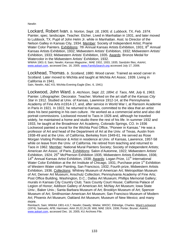**Newlin** 

Lockard, Robert Ivan. *b. Norton, Sept. 18, 1905; d. Lubbock, TX, Feb. 1974*. Painter, spec. landscape. Teacher. Etcher. Lived in Manhattan in 1931, and later moved to Lubbock, TX. Pupil of John Helm Jr. while in Manhattan. Asst. to Director of the Nelson Galley in Kansas City, 1934. Member: Society of Independent Artist; Prairie Water Color Painters. Exhibitions: 7th Annual Kansas Artists Exhibition, 1931; 8<sup>th</sup> Annual Kansas Artists Exhibition, 1932; Midwestern Artists' Exhibition, 1932; Midwestern Artists' Exhibition, 1933; Midwestern Artists' Exhibition, 1935. Awards: Bronze Medal for Watercolor in the Midwestern Artists' Exhibition, 1932. WWAA 1901-3; Sain; Newlin; *Kansas Magazine*.; MAE 1932, 1933, 1935; Sandzén files; *AskArt*,

www.askart.com, accessed Dec. 16, 2005; www.FamilySearch.org accessed July 17, 2006.

Lockhead, Thomas. *b. Scotland, 1880.* Wood carver. Trained as wood carver in Scotland. Later moved to Wichita and taught at Wichita Art Assoc. 1939. Living in California in 1941.

Sain, Newlin, A&C KS; Wichita Evening Eagle (Dec. 6, 1941)

Lockwood, John Ward. *b. Atchison, Sept. 22, 1894; d. Taos, NM, July 6, 1963.* Painter. Lithographer. Decorator. Teacher. Worked on the art staff of the *Kansas City Star* in 1912. Studied at Univ. of Kansas, Lawrence 1912-14, at the Pennsylvania Academy of Fine Arts in1914-17, and, after service in World War I, at Ransom Academie in Paris in 1921. In 1922, he returned to Kansas, committed to the idea that an artist does his best painting in his own culture. He worked as a commercial artist and also did portrait commissions. Lockwood moved to Taos in 1926 and, although he traveled widely, he maintained a home and studio there the rest of his life. In summer 1932 and 1933, he taught at the Broadmoor Art Academy, Colorado Springs, CO. In 1936 Lockwood painted a mural for the Wichita Post Office, "Pioneer in Kansas." He was a professor of Art and head of the Department of Art at the Univ. of Texas, Austin from 1938-49 and at the Univ. of California, Berkeley from 1949-61. He served as Rose Morgan Visiting Professor & Artist in residence at Univ. of Kansas, Lawrence, 1957-58 while on leave from the Univ. of California. He retired from teaching and returned to Taos in 1962. Member: National Mural Painters Society; Society of Independent Artists; American Art Assoc. of Paris. Exhibitions: Salon d'Automne, 1922; Midwestern Artists' Exhibition, 1924; 25<sup>th</sup> McPherson Exhibition 1935; Midwestern Artists Exhibition, 1936; 14<sup>th</sup> Annual Kansas Artist Exhibition, 1938; Awards: Logan Prize, 11<sup>th</sup> International Water Color Exhibition at the Art Institute of Chicago, 1931; Purchase prize  $1<sup>st</sup>$  Exhibition of Western Water color Painting, San Francisco, 1932; Fourth prize, Midwestern Artists Exhibition, 1936. Collections: Whitney Museum of American Art; Metropolitan Museum of Art; Denver Art Museum; Anschutz Collection; Pennsylvania Academy of Fine Arts; Post Office Building, Washington, D.C.; Dallas Art Museum; Phillips Memorial Gallery; murals in Kansas City Country Club; Taos County Court House; California Palace of Legion of Honor; Addison Gallery of American Art; McNay Art Museum; Iowa State Univ.; Baker Univ.; Santa Barbara Museum of Art; Brooklyn Museum of Art; Spencer Museum of Art; Smithsonian American Art Museum; San Francisco Museum of Modern Art; Phoenix Art Museum; Oakland Art Museum; Museum of New Mexico; and many more.

Reinbach; Sain; WWAA 1901-4,6,7; Newlin; Dawdy; Wiebe; WKDC; Eldredge, Charles*.* Ward Lockwood (1974); Samuels; AFB; Harmsen; AAA 20,22,24,26; Witt; MAE 1924, 1936; Porter; Bruner; *AskArt*, www.askart.com, accessed Dec. 16, 2005; KU Archives File.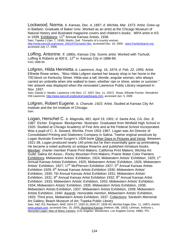Lockwood, Norma. *b. Kansas, Dec. 4, 1897; d. Wichita, Mar. 1973.* Artist. Grew up in Baldwin. Graduate of Baker Univ. Worked as an artist at the Chicago Museum of Natural History and illustrated magazine covers and children's books. WPA artist in KS in 1939. Exhibitions: 11<sup>th</sup> Annual Kansas Artists, 1936.

Sain; Topeka J (Jan. 7, 1936); Martin, Gail. *Triumphs of a country woman*, http://www.kancoll.org/voices\_2001/0701martin.htm, accessed Dec. 16, 2005; www.FamilySearch.org accessed July 17, 2006.

Loffing, Antonine. *fl. 1880s, Kansas City.* Scenic artist. Worked with Tschudi, Loffing & Roberts at 400 E.  $12^{th}$  in Kansas City in 1888-89. KSG 1888-89.

Lofgren, Hilda Henrietta. *b. Lawrence, Aug. 16, 1874; d. Feb. 22, 1956.* Artist. Elfriede Rowe writes, "Miss Hilda Lofgren started her beauty shop in her home in the 700 block on Kentucky Street. Hilda was a tall, blonde, angular woman, who always carried an umbrella when she walked to town, whether rain or shine, winter or summer." Her artwork was displayed when the renovated Lawrence Public Library reopened in Nov. 1937.

Sain; Dawdy 2; Newlin; Lawrence J-W (Nov. 17, 1937; Dec. 11, 1937); Rowe, Elfriede Fischer. *Wonderful Old Lawrence,* http://www.kancoll.org/books/rowe/beauty.htm, accessed Jan. 5, 2006

Lofgren, Robert Eugene. *b. Chanute, 1923.* Artist. Studied at Kansas City Art Institute and the Art Institute of Chicago. Sain.

Logan, Herschel C. *b. Magnolia, MO, April 19, 1901; d. Santa Ana, CA, Dec. 8, 1987.* Etcher. Engraver. Blockprinter. Illustrator. Graduated from Winfield High School in 1920. Studied at Chicago Academy of Fine Arts and at the Federal School Incorporated. Was a pupil of C. A. Seward, Wichita. From 1931-1967, Logan was Art Director of Consolidated Printing and Stationery Company in Salina. Twelve original woodcuts by Logan illustrate Everett Scogrin's 1928 book Other Days in Pictures and Verse*.* Between 1921-38, Logan produced nearly 140 prints but he then essentially gave up printmaking. He became a noted authority on antique firearms and published miniature books. Member: charter member Prairie Print Makers; California Print Makers; Wichita Art Guild; Salina Art Assoc.; Rocky Mountain Print Makers; Prairie Water Color Painters. Exhibitions: Midwestern Artists' Exhibition, 1924; Midwestern Artists' Exhibition, 1925; 1<sup>st</sup> Annual Kansas Artists Exhibition, 1925; Midwestern Artists' Exhibition, 1926; Midwestern Artists' Exhibition, 1927; 17<sup>th</sup> McPherson Exhibition 1927; 5<sup>th</sup> Annual Kansas Artists Exhibition 1929; 6<sup>th</sup> Annual Kansas Artists Exhibition 1930; Midwestern Artists' Exhibition, 1930; 7th Annual Kansas Artist Exhibition 1931; Midwestern Artists' Exhibition, 1931;  $8<sup>th</sup>$  Annual Kansas Artist Exhibition 1932;  $9<sup>th</sup>$  Annual Kansas Artist Exhibition 1933; Midwestern Artists' Exhibition, 1933; Midwestern Artists' Exhibition, 1934; Midwestern Artists' Exhibition, 1935. Midwestern Artists Exhibition, 1936; Midwestern Artists Exhibition, 1937; Midwestern Artists Exhibition, 1939; Midwestern Artists Exhibition, 1940. Awards: Honorable mention, Midwestern Artists' Exhibition, 1933; Third prize, Midwestern Artists Exhibition, 1937. Collections: Sandzén Memorial Art Gallery; Beach Museum of Art; Topeka Public Library Sain, A&C KS; Reinbach; MAE 1924-27, 1930-31,1933-37, 1939-40; Wichita Eagle (Dec. 11, 1987); *AskArt*,

www.askart.com, accessed Dec. 16, 2005; Illustriana Kansas (Hebron, NB, 1933); Lehman, Anthony L. Herschel Logan: Man of Many Careers. (Los Angeles: Westerners, Los Angeles Corral, 1986); TPL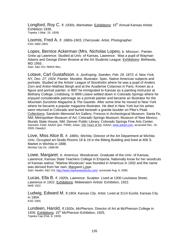Longford, Roy C. fl. 1930s, Manhattan, Exhibitions: 15<sup>th</sup> Annual Kansas Artists Exhibition 1939. Topeka J (Mar. 10, 1939)

Loomis, Fred A. *fl. 1880s-1903, Cherryvale.* Artist. Photographer. KSG 1882-1903.

Lopes, Bernice Ackerman (Mrs. Nicholas Lopes). *b. Missouri..* Painter. Grew up Lawrence. Studied at Univ. of Kansas, Lawrence. Was a pupil of Wayman Adams and George Elmer Browne at the Art Students League. Exhibitions: Bethesda, MD 1955. Sain; A&C KS; NMAA files.

Lotave, Carl Gustafsson. *b. JonKoping, Sweden, Feb. 29, 1872; d. New York, NY, Dec. 27, 1924.* Painter. Muralist. Illustrator. Spec. Native American subjects and portraits. Studied at the Artists' League of Stockholm where he was a pupil of Anders Zorn and Anton-Mathias Bergh and at the Academie Colarossi in Paris. Known as a figure and portrait painter, in l897 he immigrated to Kansas as a painting instructor at Bethany College, Lindsborg. In l899 Lotave settled down in Colorado Springs where he enjoyed considerable patronage as a portrait painter and became an illustrator for the *Mountain Sunshine Magazine* & *The Gazette*. After some time he moved to New York where he became a popular magazine illustrator. He died in New York but his ashes were returned to Colorado and buried beneath a granite boulder on Pike's Peak. Collections: Sandzén Memorial Art Gallery; Frescos in Archeological Museum, Santa Fe, NM; Metropolitan Museum of Art; Colorado Springs Museum; Museum of New Mexico; Murals State House, NM; Denver Public Library; Colorado Springs Fine Arts Center. Samuels; Field; AAA01 (por. P499); Julian; 100 Years of Art*; AskArt*, www.askart.com, accessed Dec. 16, 2005; Dawdy3.

Love, Miss Alice B. *fl. 1880s, Wichita.* Director of the Art Department at Wichita Univ. Occupied art Studio Rooms 18 & 19 in the Bitting Building and lived at 406 S. Market in Wichita in 1888. Wichita City Dir. 1888-89

Lowe, Margaret. *b. Americus.* Woodcarver. Graduate of the Univ. of Kansas, Lawrence; Kansas State Teachers College in Emporia. Nationally know for her woodcuts of Kansas walnut, "Marlow Woodcuts" was founded in Americus in 1932 and the name was derived from her own, Margaret Lowe. Sain; Newlin; A&C KS; http://www.marlowwoodcuts.com/, accessed Aug. 6, 2006.

Lucas, Ella B. *fl. 1920s, Lawrence.* Sculptor. Lived at 1300 Louisiana Street,

Lawrence in 1922. Exhibitions: Midwestern Artists' Exhibition, 1922. MAE 1922

Ludwig, Edward M. *fl.1904, Kansas City.* Artist. Lived at 3114 Euclid, Kansas City in 1904. KSG 1904.

Lundeen, Harold. *fl.1920s, McPherson.* Director of Art at McPherson College in 1926. Exhibitions: 15<sup>th</sup> McPherson Exhibition, 1925. Topeka Cap (Feb. 6, 1926)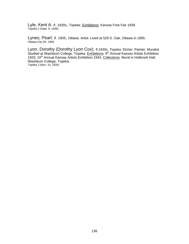Lyle, Kent A. *fl. 1930s*, *Topeka.* Exhibitions: Kansas Free Fair 1939. Topeka J (Sept. 9, 1939)

Lynes, Pearl. *fl. 1905*, *Ottawa.* Artist. Lived at 529 S. Oak, Ottawa in 1905. Ottawa City Dir. 1905.

Lyon, Dorothy (Dorothy Lyon Cox). *fl.1930s, Topeka.* Etcher. Painter. Muralist. Studied at Washburn College, Topeka. Exhibitions: 9<sup>th</sup> Annual Kansas Artists Exhibition 1933; 10<sup>th</sup> Annual Kansas Artists Exhibition 1934. Collections: Mural in Holbrook Hall, Washburn College, Topeka. Topeka J (Nov. 10, 1934)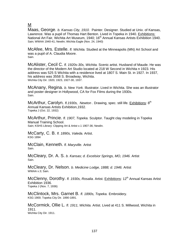M

Maas, George. *b. Kansas City, 1910.* Painter. Designer. Studied at Univ. of Kansas, Lawrence. Was a pupil of Thomas Hart Benton. Lived in Topeka in 1940. Exhibitions: National Art Fair, Wichita Art Museum, 1940; 16<sup>th</sup> Annual Kansas Artists Exhibition 1940. Sain; WWAA 1940-41; Newlin; Wichita Eagle (Nov. 24, 1940)

McAfee, Mrs. Estelle. *fl. Wichita.* Studied at the Minneapolis (MN) Art School and was a pupil of A. Claudia Moore. Sain.

McAlister, Cecil C. *fl. 1920s-30s, Wichita.* Scenic artist. Husband of Maude. He was the director of the Modern Art Studio located at 218 W Second in Wichita n 1923. His address was 525 S Wichita with a residence lived at 1807 S. Main St. in 1927. In 1937, his address was 3558 S. Broadway, Wichita. Wichita City Dir. 1920, 1923, 1927-30, 1937.

McAnany, Regina. *b. New York.* Illustrator. Lived in Wichita. She was an illustrator and poster designer in Hollywood, CA for Fox Films during the 1930s. Sain.

McArthur, Carolyn. *fl.1930s, Newton .* Drawing, spec. still life. Exhibitions: 8th Annual Kansas Artists Exhibition,1932.<br>Topeka J (Oct. 22, 1932)

McArthur, Princie. *fl. 1907, Topeka.* Sculptor. Taught clay modeling in Topeka Manual Training School. Sain; KSHS Library: Clipping Art & Artist v.1 1907-36; Newlin.

McCarty, C. B. *fl. 1890s, Valeda.* Artist. KSG 1894

McClain, Kenneth. *fl. Maryville.* Artist Sain.

McCleary, Dr. A. S. *b. Kansas; d. Excelsior Springs, MO, 1946.* Artist Sain.

McCleary, Dr. Nelson. *b. Medicine Lodge, 1888; d. 1946.* Artist WWAA v.3; Sain.

McClenny, Dorothy. *fl. 1930s, Rosalia.* Artist. Exhibitions: 12<sup>th</sup> Annual Kansas Artist Exhibition 1936. Topeka J (Nov. 7, 1936)

McClintock, Mrs. Garnet B. *fl. 1890s, Topeka.* Embroidery. KSG 1900; Topeka City Dir. 1890-1891.

McCormick, Ollie L. *fl. 1911, Wichita.* Artist. Lived at 411 S. Millwood, Wichita in 1911. Wichita City Dir. 1911.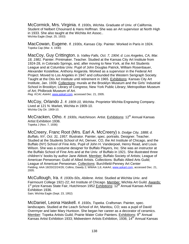McCormick, Mrs. Virginia. *fl. 1930s, Wichita.* Graduate of Univ. of California. Student of Nelbert Chouinard & Hans Hoffman. She was an Art supervisor at North High in 1933. She also taught at the Wichita Art Assoc.. Wichita Eagle (Sept. 25, 1933)

MacCowan, Eugene. *fl. 1930s, Kansas City.* Painter. Worked in Paris in 1924. Topeka Cap (Mar. 4, 1930)

MacCoy, Guy Crittington. *b. Valley Falls, Oct. 7, 1904; d. Los Angeles, CA, Mar. 18, 1981.* Painter. Printmaker. Teacher. Studied at the Kansas City Art Institute from 1924-28, in Colorado Springs, and, after moving to New York, at the Art Students League and at Columbia Univ. Pupil of John Douglas Patrick, William Rosenbauer, Alexander Kostellow, Anthony Angarola. Worked as a supervisor in the Federal Art Project. Moved to Los Angeles in 1947 and cofounded the Western Serigraph Society. Taught at the Otis Art Institute until retirement in 1965. Exhibitions: Kansas City Art Institute, Jan. 1939. Collections: murals at the Brooklyn Museum and the Girls' Industrial School in Brooklyn; Library of Congress; New York Public Library; Metropolitan Museum of Art; Philbrook Museum of Art.

*Reg. KCAI; AskArt*, www.askart.com, accessed Dec. 21, 2005.

McCoy, Orlando J. *fl. 1909-10, Wichita.* Proprietor Wichita Engraving Company. Lived at 121 N. Market, Wichita in 1909-10. Wichita City Dir. 1909-10.

McCracken, Otho. *fl. 1930s, Hutchinson.* Artist. Exhibitions: 12<sup>th</sup> Annual Kansas Artist Exhibition 1936. Topeka J (Nov. 7, 1936)

McCreery, Franc Root (Mrs. Earl A. McCreery) *b. Dodge City, 1888; d. Buffalo, NY, Oct. 31, 1957.* Illustrator. Painter, spec. portraits. Designer. Teacher. Studied at the Students School of Art, Denver, CO, the Art Institute of Chicago, and the Buffalo (NY) School of Fine Arts. Pupil of John H. Vanderpoel, Henry Read, and Louis Wilson. She was a costume designer for Buffalo Players, Inc. She was an instructor at the Buffalo School of Fine Arts and at the Univ. of Buffalo in 1921. She illustrated three children's' books by author Jane Abbott. Member: Buffalo Society of Artists; League of American Penwoman; Guild of Allied Artists. Collections: Buffalo Allied Arts Guild; League of American Penwoman. Collections: Burchfield-Penney Art Center Fielding; AAA 18/20/22/24/26; Collins; Dawdy 2; WWAA 1,6; *AskArt*, www.askart.com, accessed Dec. 21, 2005.

McCullough, Ira. *fl. 1930s-50s, Abilene.* Artist. Studied at Wichita Univ. and Fairmount College 1921-22; Art Institute of Chicago. Member: Wichita Art Guild. Awards: 1<sup>st</sup> prize Kansas State Fair, Hutchinson 1952 Exhibitions: 12<sup>th</sup> Annual Kansas Artist Exhibition 1936. Sain; Wichita Eagle (Sept. 23, 1952)

McDaniel, Leona Haskell. *fl. 1930s, Topeka.* Craftsman. Painter, spec. landscapes. Studied at the Leach School of Art, Manitou, CO; was a pupil of David Overmyer and later Mary Huntoon. She began her career as a decorator of ceramics. Member: Topeka Artists Guild; Prairie Water Color Painters. Exhibitions: 9<sup>th</sup> Annual  $\overline{\text{Kansas}}$  Artist Exhibition 1933; Midwestern Artists Exhibition, 1936; 14<sup>th</sup> Annual Kansas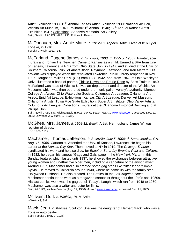Artist Exhibition 1938; 15<sup>th</sup> Annual Kansas Artist Exhibition 1939; National Art Fair, Wichita Art Museum, 1940; Philbrook 1<sup>st</sup> Annual, 1940; 17<sup>th</sup> Annual Kansas Artist Exhibition 1941; Collections: Sandzén Memorial Art Gallery Sain; Newlin: A&C KS; MAE 1936; Philbrook; Beach.

McDonough, Mrs. Annie Marie. *fl. 1912-16, Topeka.* Artist. Lived at 816 Tyler, Topeka, in 1916. Topeka City Dir. 1912 –16.

McFarland, Eugene James. *b. St. Louis, 1908; d. 1955 or 1956?.* Painter, spec murals and frontier life. Teacher. Came to Kansas as a child. Earned a BFA from Univ. of Kansas, Lawrence, a PhD from Ohio State Univ. in 1947, and studied at the Univ. of Southern California. Pupil of Albert Bloch, Raymond Eastwood, and Karl Mattern. His artwork was displayed when the renovated Lawrence Public Library reopened in Nov. 1937. Taught at Phillips Univ. (OK) from 1938-1942, and, from 1942, at Ohio Wesleyan Univ. Illustrated a book of poems, Thistle Down and Prairie Rose by Bess Truitt in 1940. McFarland was head of Wichita Univ.'s art department and director of the Wichita Art Museum, which was then operated under the municipal university's authority. Member: College Art Assoc; Ohio Watercolor Society; Columbus Art League; Oklahoma Art Assoc; Enid Art League. Exhibitions: Kansas City Art League; Denver Art Museum; Oklahoma Artists; Tulsa Five State Exhibition; Butler Art Institute; Ohio Valley Artists; Columbus Art League. Collections: murals at the Oklahoma Historical Building and at Phillips Univ.

Sain; Newlin; A&C KS; Wichita Eagle (Nov.1, 1947); Beach; *AskArt*, www.askart.com, accessed Dec. 21, 2005; Lawrence J-W (Nov. 17, 1937).

McGhee, Mrs. James. *fl. 1908-12, Beloit.* Artist. Her husband James W. was register of deeds. KSG 1908, 1912.

Machamer, Thomas Jefferson. *b. Belleville, July 5, 1900; d. Santa Monica, CA, Aug. 16, 1960.* Cartoonist. Attended the Univ. of Kansas, Lawrence. He began his career at the *Kansas City Star.* Then moved to NY in 1919. The *Chicago Tribune* syndicated his work and he also drew for *Esquire*, *Saturday Evening Post* and *Colliers*. In 1932, he began his famous 'Gags and Gals' page in the *New York Mirror*. In this Sunday feature, which lasted until 1937, he showed the exchanges between attractive young women and unattractive older men, including a caricature of the artist himself. Around 1937, Machamer had also created some gag strips like 'Nifties' and 'Simple Sylvia'. He moved to California around 1940, where he came up with the family strip 'Hollywood Husband'. He also created 'The Baffles' in the *Los Angeles Times*. Machamer continued to work as a magazine cartoonist throughout the 1940s and 1950s. His last comics work was the gag panel 'Today's Laugh', which ran from 1948 to 1960. Machamer was also a writer and actor for films.

Sain; A&C KS; Wichita Beacon (Aug. 17, 1960); *AskArt*, www.askart.com, accessed Dec. 21, 2005.

McIlvain, Duff. *b. Wichita, 1918.* Artist. WWAA v.3, Sain.

Mack, Jean. *b. Kansas.* Sculptor. She was the daughter of Herbert Mack, who was a Topeka auto dealer. Sain; Topeka J (May 2, 1936)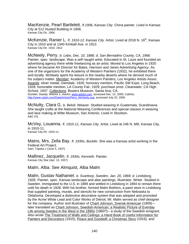MacKenzie, Pearl Bartlelett. *fl.1906, Kansas City.* China painter. Lived in Kansas City at 512 Husted Building in 1906.<br>Kansas City Dir. 1906.

McKenzie, Ranier L. fl. 1910-12, Kansas City. Artist. Lived at 2018 N. 16<sup>th</sup>, Kansas City in 1910 and at 1340 Kimball Ave. in 1912. Kansas City Dir. 1910, 1912

McNeely, Perry. *b. Lebo, Dec. 10, 1886; d. San Bernadino County, CA, 1966.* Painter, spec. landscape. Was a self–taught artist. Educated in St. Louis and founded an advertising agency there while freelancing as an artist. Moved to Los Angeles in 1920 where he became Art Director for Bates, Harrison and Janes Advertising Agency. As one of the organizers for the Academy of Western Painters (1932), he exhibited there and locally. McNeely spent his leisure in the nearby deserts where he derived much of his subject matter. Member: Academy of Western Painters; Los Angeles Artists Assoc. Awards: silver medal, Glendale, 1926; honorary mention, Pacific SW Expo, Long Beach, 1928; honorable mention, LA County Fair, 1929; purchase prize, Clearwater, CA High School, 1937. Collections: Bowers Museum, Santa Ana, CA. Dunbier; Dawdy; WWAA 1; *AskArt*, www.askart.com, accessed Dec. 21, 2005; CalArts, http://www.calart.com/Data/Artists/Perry\_McNeely.asp, accessed July 22, 2006

McNulty, Clara G. *b. Beloit.* Weaver. Studied weaving in Guatemala, Scandinavia. She taught crafts at the National Weaving Conferences and special classes in weaving and lace making at Witte Museum, San Antonio. Lived in Stockton. A&C KS.

McVey, Louanna. *fl. 1910-11, Kansas City.* Artist. Lived at 246 N. Mill, Kansas City, in 1910-11. Kansas City Dir. 1910-11.

Mains, Mrs. Zella Bay. *fl. 1930s, Bucklin.* She was a Kansas artist working in the Federal Art Project. Sain; Topeka J (June 5, 1937)

Mallinez, Jacquelin. *fl. 1930s, Kenneth.* Painter. Kansas City Star (Apr. 13, 1937)

Malm, Alba. See Almquist, Alba Malm

Malm, Gustav Nathaniel. *b. Svarttorp, Sweden, Jan. 20, 1869; d. Lindsborg, 1928.* Painter, spec. Kansas landscape and altar paintings. Illustrator. Writer. Studied in Sweden. Immigrated to the U.S. in 1889 and settled in Lindsborg in 1894 to remain there until his death in 1928. With his brother, formed Malm Bothers, a paint store in Lindsborg that supplied painting, murals, and stencils for new construction from Nebraska to Oklahoma. Developed a distinctive decorative system that was adopted and promoted by the Acme White Lead and Color Works of Detroit, MI. Malm served as chief designer for the company. Author and illustrator of Charli Johnson, Svensk-American (1909) later translated as Charli Johnson, Swedish-American: a Realistic Picture of Everday Life among Swedes in the West in the 1890s (1960?)-- a study of the Swedish emigrant. Also wrote The Treatment of Walls and Ceilings: a Hand Book of Useful Information for Painters and Decorators (1915), Peace and Goodwill: a Christmas Story (1916)*,* and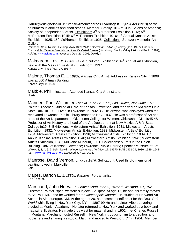Härute;Verklighetsbild ur Svensk-Amerikanarnes Hvardagslif i Fyra Akter (1919) as well as numerous articles and short stories. Member: Smoky Hill Art Club; Salons of America; Society of Independent Artists. Exhibitions: 3<sup>rd</sup> McPherson Exhibition 1913; 5<sup>th</sup> McPherson Exhibition 1915; 6<sup>th</sup> McPherson Exhibition 1916; 1<sup>st</sup> Annual Kansas Artists Exhibition, 1925; 15<sup>th</sup> McPherson Exhibition 1925. Collections: Sandzén Memorial Art **Gallery** 

Reinbach; Sain; Newlin; Fielding, AAA 18/20/24/26; *Haldeman- Julius Quarterly* (Jan. 1927); Lindquist, Emory. G.N. Malm: a Swedish Immigrant's Varied Career (Lindsborg: Smoky Valley Historical Publ., 1989); *AskArt*, www.askart.com, accessed Dec. 21, 2005; Dawdy3.

Malmgrem, Levi. *fl. 1930s, Falun.* Sculptor. **Exhibitions: 39<sup>th</sup> Annual Art Exhibition.** held with the Messiah Festival in Lindsborg, 1937. Kansas City Times (Mar. 17, 1937)

Malone, Thomas E. *fl. 1890s, Kansas City.* Artist. Address in Kansas City in 1898 was at 600 Altman Building. Kansas City Dir. 1898

Maltbie, Phil. Illustrator. Attended Kansas City Art Institute. Norris.

Mannen, Paul William. *b. Topeka, June 22, 1906; Las Cruces, NM, June 1976.* Painter. Teacher. Studied at Univ. of Kansas, Lawrence, and received an MA from Ohio State Univ. in 1939. Lived in Lawrence in 1932-36. His artwork was displayed when the renovated Lawrence Public Library reopened Nov. 1937. He was a professor of Art and head of the Art Department at Oklahoma College for Women, Chickasha, OK, 1945-48; Professor of Art History and head of the Art Department at New Mexico A & M State College in1948. Exhibitions: Midwestern Artists' Exhibition, 1931; Midwestern Artists' Exhibition, 1932; Midwestern Artists' Exhibition, 1933; Midwestern Artists' Exhibition, 1934; Midwestern Artists Exhibition, 1936; Midwestern Artists Exhibition, 1939: 16<sup>th</sup> Annual Kansas Artists Exhibition 1940; Midwestern Artists Exhibition, 1941; Midwestern Artists Exhibition, 1942; Mulvane Museum, 1991. Collections: Murals in the Union Building, Univ. of Kansas, Lawrence; Lawrence Public Library; Spencer Museum of Art. WWAA 2, 3, 4, 6, 7; Sain; Newlin; Wiebe; Lawrence J-W (Nov. 17, 19370; MAE 1931-34, 1936, 1939, 1941- 42; ; www.FamilySearch.org accessed July 17, 2006.

Manrose, David Vernon. *b. circa 1876.* Self-taught. Used third-dimensional painting. Lived in Maryville. Sain.

Mapes, Barton E. *fl. 1880s, Parsons.* Portrait artist. KSG 1888-89.

Marchand, John Norval. *b. Leavenworth, Mar. 9, 1875; d. Westport, CT, 1921.* Illustrator. Painter, spec. western subjects. Sculptor. At age 16, he and his family moved to St, Paul, MN, and he worked for the *Minneapolis Journal.* He studied at Harwood Art School in Albuquerque, NM. At the age of 20, he became a staff artist for the *New York World* while living in New York City, NY. In 1897-99 He and painter Albert Levering studied at Munich Academy. He later returned to New York and worked as a book and magazine illustrator. He made trips west for material and, in 1902, met Charles Russell in Montana. Marchand hosted Russell in New York introducing him to art editors and publishers and sharing his studio. Marchand moved to Westport, CT in 1904. Member: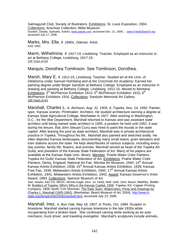Salmagundi Club; Society of Illustrators. Exhibitions: St. Louis Exposition, 1904. Collections: Anschutz Collection; Witte Museum. Dunbier; Dawdy; Samuels; *AskArt*, www.askart.com, accessed Dec. 21, 2005; ; www.FamilySearch.org accessed July 17, 2006.

**Marks, Mrs. Ella.** *fl. 1890s, Odense.* Artist.<br>KSG 1891.

Marm, Wilhelmina. *fl. 1917-19, Lindsborg.* Teacher. Employed as an instructor in art at Bethany College, Lindsborg, 1917-19. 100 Years of Art

Marquis, Dorothea Tomlinson. See Tomlinson, Dorothea.

Marsh, Mary E. *fl. 1912-15, Lindsborg.* Teacher. Studied art at the Univ. of Oklahoma under Samuel Holmberg and at the Cincinnati Art Academy. Earned her painting degree under Birger Sandzén at Bethany College. Employed as an instructor in drawing and painting at Bethany College, Lindsborg, 1912-15. Moved to Montana. Exhibitions: 3<sup>rd</sup> McPherson Exhibition 1913; 5<sup>th</sup> McPherson Exhibition 1915; 6<sup>th</sup> McPherson Exhibition 1916. Collections: Sandzén Memorial Art Gallery 100 Years of Art

Marshall, Charles L. *b. Atchison, Aug. 31, 1905; d. Topeka, Nov. 14, 1992.* Painter, spec. Kansas scenes. Printmaker. Architect. He studied architecture earning a degree at Kansas State Agricultural College, Manhattan in 1927. After working in Washington, D.C., for the War Department, Marshall returned to Kansas and was assistant state architect until being named state architect in 1945, a position he held until 1952. It was during his tenure, that John Steuart Curry was hired to paint the murals in the state capitol. After leaving the post as state architect, Marshall was in private architectural practice in Topeka. Throughout his life, Marshall also painted and sketched avidly. He often depicted Kansas landscapes, documenting many small towns, grain elevators and train stations across the state. He kept sketchbooks of various subjects, including everyday scenes, family life, flowers, and animals. Marshall served as head of the Topeka Art Guild, and president of the Kansas State Federation of Art. Many of his papers are available at the Kansas State Univ. library. Member: Prairie Water Color Painters; Topeka Art Guild; Kansas State Federation of Art. Exhibitions: Prairie Water Color Painters, Derby, England; National Art Fair, Wichita Art Museum, 1940; 14<sup>th</sup> Annual Kansas Artists Exhibition, 1938; 15th Annual Kansas Artists Exhibition, 1939; Kansas Free Fair, 1939; Midwestern Artists Exhibition, 1940; 17<sup>th</sup> Annual Kansas Artists Exhibition, 1941; Midwestern Artists Exhibition, 1942; Award: Kansas Governor's Artist Award, 1983. Collections: Spencer Museum of Art.

Sain; Newlin; A&C KS; WKDC; Wichita Eagle, (Nov. 24, 1940); MAE 1940, 1942; Beach; Markley, Walter M. Builders of Topeka: Who's Who in the Kansas Capital, 1956. Topeka, KS: Capper Printing Company, 1956; North, Cori Sherman. The Daily Seen: Watercolors, Prints and Drawings by Charles L. Marshall (1905-1992). (Manhattan: Beach Museum of Art, 2004), http://www.kstate.edu/bma/exhib/2004/marshall.html, accessed July 23, 2006.

Marshall, Inez. *b. Burr Oak, May 18, 1907; d. Portis, Oct. 1984. S*culptor in limestone. Marshall started carving Kansas limestone in the late 1930s while recuperating from a broken back. She continued carving while working as an auto mechanic, truck driver, and traveling evangelist. Marshall's sculptures include animals,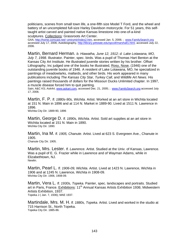politicians, scenes from small town life, a one-fifth size Model T Ford, and the wheel and battery of an uncompleted full-size Harley Davidson motorcycle. For 51 years, this selftaught artist carved and painted native Kansas limestone into one-of-a-kind sculptures. Collections: Grassroots Art Center.<br>GAA, http://home.comcast.net/~ymirymir/index2.htm, accessed Jan. 5, 2006; ; www.FamilySearch.org

accessed July 17, 2006; Autobiography, http://library.pittstate.edu/spcoll/marshall1.html, accessed July 22, 2006.

Martin, Bernard Herman. *b. Hiawatha, June 12, 1912; d. Lake Lotawana, MO, July 7, 1998.* Illustrator. Painter, spec. birds. Was a pupil of Thomas Hart Benton at the Kansas City Art Institute. He illustrated juvenile stories written by his brother. Offset Lithography, Inc judged one of the books he illustrated, Rosy, Nose*,* (1946) one of the outstanding juvenile books of 1946. A resident of Lake Lotawana, MO, he specialized in paintings of meadowlarks, mallards, and other birds. His work appeared in many publications including *The Kansas City Star, Turkey Call*, and *Wildlife Art News*. His paintings raised thousands of dollars for the Missouri Ducks Unlimited chapter. In 1997, a muscle disease forced him to quit painting.

Sain; A&C KS; AskArt, www.askart.com, accessed Dec. 21, 2005; ; www.FamilySearch.org accessed July 17, 2006.

Martin, F. P. *fl. 1880s-90s, Wichita.* Artist. Worked at an art store in Wichita located at 151 N. Main in 1896 and at 114 N. Market in 1889-90. Lived at 1511 N. Lawrence in 1896.

Wichita City Dir. 1889-90, 1896

Martin, George D. *fl. 1890s, Wichita.* Artist. Sold art supplies at an art store in Wichita located at 151 N. Main in 1890. Wichita City Dir. 1890.

Martin, Ina M. *fl. 1905, Chanute.* Artist. Lived at 623 S. Evergreen Ave., Chanute in 1905.

Chanute City Dir. 1905.

Martin, Mrs. Lester. *fl. Lawrence.* Artist. Studied at the Univ. of Kansas, Lawrence. Was a pupil of E. G. Frazier while in Lawrence and of Wayman Adams, while in Elizabethtown, NJ. Newlin.

Martin, Pearl L. *fl. 1906-09, Wichita.* Artist. Lived at 1423 N. Lawrence, Wichita in 1906 and at 1245 N. Lawrence, Wichita in 1908-09. Wichita City Dir. 1906, 1908-09.

Martin, Vera L. *fl. 1930s, Topeka.* Painter, spec. landscapes and portraits. Studied art in Paris, France. Exhibitions: 11<sup>th</sup> Annual Kansas Artists Exhibition 1936; Midwestern Artists Exhibition, 1937. Topeka J ( Jan. 7, 1936); MAE 1937.

Martindale, Mrs. M. H. *fl. 1880s, Topeka.* Artist. Lived and worked in the studio at 715 Harrison St., North Topeka. Topeka City Dir. 1885-86.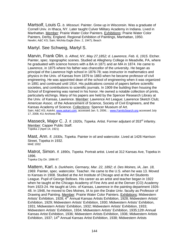Martsolf, Louis G. *b. Missouri.* Painter. Grew up in Wisconsin. Was a graduate of Cornell Univ. in Ithaca, NY. Later taught Culver Military Academy in Indiana. Lived in Manhattan. Member: Prairie Water Color Painters. Exhibitions: Prairie Water Color Painters, Derby, England. Regional Exhibition of Paintings, Manhattan, 1950. Newlin; A&C KS; Sain; Wichita Eagle (Nov. 2, 1947); Beach

## Martyl. See Schweig, Martyl S.

Marvin, Frank Olin. *b. Alfred, NY, May 27,1852; d. Lawrence, Feb. 6, 1915.* Etcher. Painter, spec. topographic scenes. Studied at Allegheny College in Meadville, PA, where he graduated with science honors with a BA in 1871 and an MA in 1874. He came to Lawrence, in 1875 where his father was chancellor of the university. He began as principal of the Lawrence high school in 1876-78; was instructor in mathematics and physics in the Univ. of Kansas from 1879 to 1883 when he became professor of civil engineering. He was appointed dean of the school of engineering when it was organized in 1891 and continued until 1914. His publications consist of papers before scientific societies, and contributions to scientific journals. In 1909 the building then housing the School of Engineering was named in his honor. He owned a notable collection of prints, particularly etchings. Many of his papers are held by the Spencer Research Library at the Univ. of Kansas, Lawrence. Member: Lawrence Art League; Lawrence Sketch Club; American Assoc. of the Advancement of Science, Society of Civil Engineers, and the Kansas Academy of Science. Collections: Spencer Museum of Art. Sain; A&C KS; *AskArt*, www.askart.com, accessed Jan. 5, 2006; ; www.FamilySearch.org accessed July 17, 2006; KU Archives File.

Masseck, Major C. J. *fl. 1920s, Topeka.* Artist. Former adjutant of 353<sup>rd</sup> infantry. Member: Capper Public Staff.<br>Topeka J (April 14, 1921)

Mast, Ann. *fl. 1930s, Topeka.* Painter in oil and watercolor. Lived at 1426 Harrison Street, Topeka in 1932. MAE 1932

Matrot, Simon. *fl. 1890s, Topeka.* Portrait artist. Lived at 312 Kansas Ave, Topeka in 1896. Topeka City Dir. 1896-97.

Mattern, Karl. *b. Durkheim, Germany, Mar. 22, 1892; d. Des Moines, IA, Jan. 18, 1969.* Painter, spec. watercolor. Teacher. He came to the U.S. when he was 13. Moved to Kansas in 1908. Studied at the Art Institute of Chicago and at the Art Students League. Pupil of George Bellows. His career as an artist and teacher began in 1922 when he taught at the Chicago Academy of Fine Arts and at the Denver (CO) Academy from 1923-24. He taught at Univ. of Kansas, Lawrence in the painting department 1926- 48. In 1948, he moved to Des Moines, IA to join the Drake Univ. faculty as Professor of Drawing and Painting. Member: Prairie Water Color Painters. Exhibitions: Midwestern Artists' Exhibition, 1928; 4<sup>th</sup> Annual Kansas Artists Exhibition, 1928; Midwestern Artists' Exhibition, 1929; Midwestern Artists' Exhibition, 1930; Midwestern Artists' Exhibition, 1931; Midwestern Artists' Exhibition, 1932; Midwestern Artists' Exhibition, 1933; Midwestern Artists' Exhibition, 1934; Midwestern Artists' Exhibition, 1935;12th Annual Kansas Artist Exhibition, 1936; Midwestern Artists Exhibition, 1936; Midwestern Artists Exhibition, 1937; 14<sup>th</sup> Annual Kansas Artist Exhibition, 1938; Midwestern Artists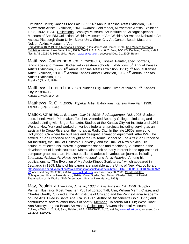Exhibition, 1939; Kansas Free Fair 1939; 16<sup>th</sup> Annual Kansas Artist Exhibition, 1940; Midwestern Artists Exhibition, 1941; Awards: Gold medal, Midwestern Artists Exhibition 1928, 1932, 1934. Collections: Brooklyn Museum; Art Institute of Chicago; Spencer Museum of Art; IBM Collection; Wichita Museum of Art; Wichita Art Assoc.; Nebraska Art Assoc.; Pittsburgh State Univ.; Baker Univ. Sioux City Art Center; Beach Museum; Nelson-Atkins Museum of Art

Karl Mattern 1892-1969: A Memorial Exhibition. (Des Moines Art Center, 1970); Karl Mattern Memorial Exhibition*.* (Ames: Iowa State Univ., 1973); WWAA 1, 2, 3, 4, 6, 7; Sain; A&C KS; Dunbier; Dawdy; NMAA files; MAE 1928-37, 1939, 1941; *AskArt*, www.askart.com, accessed Dec. 21, 2005; Beach

Matthews, Catherine Allen. *fl. 1920s-30s, Topeka.* Painter, spec. portraits, landscapes and marine. Studied art in eastern schools. Exhibitions:  $5<sup>th</sup>$  Annual Kansas Artists Exhibition, 1929; 6<sup>th</sup> Annual Kansas Artists Exhibition, 1930; 7<sup>th</sup> Annual Kansas Artist Exhibition, 1931; 8<sup>th</sup> Annual Kansas Artists Exhibition, 1932; 9<sup>th</sup> Annual Kansas Artists Exhibition, 1933. Topeka J (Nov. 2, 1929).

Matthews, Loretta b. *fl. 1890s, Kansas City.* Artist. Lived at 1902 N. 7<sup>th</sup>, Kansas City in 1894-96. Kansas City Dir. 1894-96.

Matthews, R. C. *fl. 1930s, Topeka.* Artist. Exhibitions: Kansas Free Fair, 1939. Topeka J (Sept. 9, 1939)

Mattox, Charles. *b. Bronson, July 21, 1910; d. Albuquerque, NM, 1995*. Sculptor, spec. kinetic work. Printmaker. Teacher. Attended Bethany College, Lindsborg and studied painting with Birger Sandzén. Studied at the Kansas City Art Institute until 1931. Went to New York and worked on various federal art projects including serving as an assistant to Diego Rivera on the murals at Radio City. In the late 1930s, moved to Hollywood, CA where he built sets and designed animation equipment. After WWII he settled in San Francisco and taught at the California School of Fine Arts (San Francisco Art Institute), the Univ. of California, Berkeley, and the Univ. of New Mexico. His sculpture reflected his interest in geometric shapes and machinery. A pioneer in the development of kinetic sculpture, Mattox also took an early interest in the application of computer graphics to art. He also published articles in various art journals including *Leonardo, Artform, Art News, Art International,* and *Art in America.* Among his publications is, "The Evolution of My Audio-Kinetic Sculptures, " which appeared in *Leonardo* in 1969. Many of his papers are available at the Univ. of New Mexico library. http://www.aaa.si.edu/collections/oralhistories/transcripts/mattox64.htm?CFID=879053&CFTOKEN=905972 22, accessed July 30, 2006; *AskArt*, www.askart.com, accessed July 30, 2006; Charles Mattox. (Albuquerque, Univ. of New Mexico., 1978); Coke, Sterling Van Deren. Charles Mattox: A Partial Examination of his Works. (PhD Dissertation, Univ. of New Mexico, 1968).

May, Beulah. *b. Hiawatha, June 26, 1883; d. Los Angeles, CA, 1959.* Sculptor. Painter. Illustrator. Poet. Teacher. Pupil of Lorado Taft; Ulm, William Merritt Chase, and Charles Gradfly. Studied at the Art Institute of Chicago and the Pennsylvania Academy of Fine Arts. Lived in Santa Ana, CA. in 1917. Author of Buccaneer's Gold (1935) and contributor to several other books of poetry. Member: California Art Club; West Coast Arts Society; Laguna Beach Art Assoc. Collections: Bowers Historical Museum. Collins; WWAA 1, 2, 3, 4; Sain; Fielding; AAA, 14/18/20/22/24/26; *AskArt*, www.askart.com, accessed July 22, 2006; Dawdy3.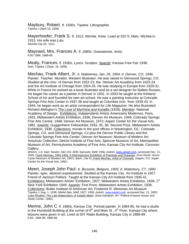Maybury, Robert. *fl. 1930s, Topeka.* Lithographer. Topeka J (April 18, 1936)

Mayerhoefer, Frank S. *fl. 1913, Wichita.* Artist. Lived at 322 S. Main, Wichita in 1913. His wife was Lulu. Wichita City Dir. 1913.

Maynard, Mrs. Frances A. *fl. 1880s, Osawatomie.* Artist.<br>KSG 1886, 1888-89.

Mealy, Frances. *fl. 1930s, Lyons.* Sculptor. Awards: Kansas Free Fair 1938. Sain; Topeka J (Sept. 16, 1938)

Mechau, Frank Albert, Jr. *b. Wakeeney, Jan. 26, 1904; d. Denver, CO, 1946.* Painter. Teacher. Muralist. Western illustrator. He was raised in Glenwood Springs, CO. Studied at the Univ. of Denver from 1922-23, the Denver Art Academy from 1923-24, and the Art Institute of Chicago from 1924-25. He was studying in Europe from 1929-31. While in France he worked as a book illustrator and as a set designer for Ballets Russes. He began his career as a painter in Denver in 1931. In 1933 he taught at the Kirkland School of Art and founded his own art school. He was a painting instructor at Colorado Springs Fine Arts Center in 1937-38 and taught at Columbia Univ. from 1939-43. In 1944, he began work as an artist correspondent for *Life Magazine*. He also illustrated Richard Aldington's The Love of Myrrhine and Konallis (1926). Member: National Academy of Design. Exhibitions: Independants Artists Americains Modernes, Paris, 1931; Midwestern Artists Exhibition, 1936; Denver Art Museum, 1946; Colorado Springs Fine Arts Centre, 1948; Denver Art Museum, 1972; Aspen Center for the Visual Arts, 1981. Awards: Guggenheim Fellowships 1933, 35, 36; Second Prize, Midwestern Artists Exhibition, 1936. Collections: murals in the post offices in Washington, DC, Colorado Springs, CO, and Glenwood Springs, Co plus the Denver Public Library and the Colorado Springs Fine Arts Center; Denver Art Museum; Museum of Modern Art; Anschutz Collection; Detroit Institute of Fine Arts; Spencer Museum of Art; Metropolitan Museum of Art; Pennsylvania Academy of Fine Arts; Kansas City Art Institute; Corcoran Gallery.

WWAA, 1-3; Sain; Newlin; A&C KS; AFB; Samuels; MAE 1936; *AskArt*, www.askart.com, accessed Dec. 21, 2005; Frank Mechau, 1904-1946; A Retrospective Exhibition of Paintings and Drawings. (Fort Worth: Amon Carter Museum of Western Art, 1967); Bach, Cile M. Frank Mechau: Artist of Colorado. (Aspen, CO: Aspen Center for the Visual Arts, 1981)

Meert, Joseph John Paul. *b. Brussels, Belgium, 1905; d. Waterbury, CT, 1990.* Painter, spec. abstract expressionist. Studied at the Kansas City Art Institute in 1927. Friend of Jackson Pollock. Taught at the Kansas City Art Institute from 1935-41. Exhibitions: Midwestern Artists' Exhibition, 1927; Midwestern Artists Exhibition, 1936; 1<sup>st</sup> New York Exhibition 1949. Awards: First Prize, Midwestern Artists Exhibition, 1936. Collections: Butler Institute of American Art; Frederick R. Weisman Art Museum Topeka J, Aug. 1, 1936; NMAA files; MAE 1927; 1936; *AskArt*, www.askart.com, accessed Dec. 21, 2005; Color Rhythm: The Late Watercolors of Joseph Meert. (East Hampton, NY: Pollock-Krasner House and Study Center, 1994).

Merine, John C. *fl. 1880s, Kansas City.* Portrait painter. In 1884-85, he had a studio in the Humboldt Building at the corner of  $6<sup>th</sup>$  and Main St., 4<sup>th</sup> Floor, Kansas City where lessons were given in art. Lived at 507 Rialto Building, Kansas City in 1888-89. KSG, 1884-85, 1888-89.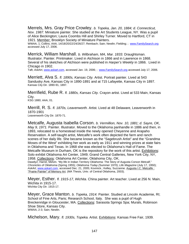Merrels, Mrs. Gray Price Crowley. *b. Topeka, Jan. 20, 1884; d. Connecticut, Nov. 1987.* Miniature painter. She studied at the Art Students League, NY. Was a pupil of Alice Beckington; Laura Coombs Hill and Shirley Turner. Moved to Hartford, CT in 1921. <u>Member:</u> Brooklyn Society of Miniature Painters.<br>WWAA, 1; Collins; AAA, 14/18/20/22/24/26/27; Reinbach; Sain; Newlin; Fielding; ; www.FamilySearch.org

accessed July 17, 2006.

Merrick, William Marshall. *b. Wilbraham, MA, Mar. 1833.* Draughtsman. Illustrator. Painter. Printmaker. Lived in Atchison in 1866 and in Lawrence in 1868. Several of his sketches of Atchison were published in *Harper's Weekly* in 1866. Lived in Chicago in 1902.

Taft; AskArt, www.askart.com, accessed Jan. 19, 2006; ; www.FamilySearch.org accessed July 17, 2006.

Merriett, Alva S. *fl. 1890s, Kansas City.* Artist. Portrait painter. Lived at 543 Sandusky Ave, Kansas City in 1890-1891 and at 715 Lafayette, Kansas City in 1897. Kansas City Dir. 1890-91, 1897.

Merrifield, Rube R. *fl. 1880s, Kansas City.* Crayon artist. Lived at 533 Main, Kansas City.

KSG 1880; AAA, 01.

Merrill, R. S. *fl. 1870s, Leavenworth.* Artist. Lived at 48 Delaware, Leavenworth in 1870-1901 Leavenworth City Dir. 1870-71.

Metcalfe, Augusta Isabella Corson. *b. Vermillion, Nov. 10, 1881; d. Sayre, OK, May 9, 1971.* Painter. Illustrator. Moved to the Oklahoma panhandle in 1886 and then, in 1893, relocated to a homestead inside the newly opened Cheyenne and Arapaho Reservation. A self-taught artist, Metcalfe's work often depicted the farm and ranch scenes of her daily life. She became known as the "Sagebrush Artist" and the "Grandma Moses of the West" exhibiting her work as early as 1911 and winning prizes at state fairs in Oklahoma and Texas. In 1968 she was elected to Oklahoma's Hall of Fame. The Metcalfe Museum in Durham, OK is the repository for the work of this artist. Exhibitions: Solo exhibit Oklahoma Art Center, 1949; Grand Central Galleries, New York City, NY, 1958. Collections: Oklahoma Art Center, Oklahoma City, OK.

Dawdy2; Harrel, Melvin. "My life in Indian Territory Oklahoma: The Story of Augusta Corson Metcalf." *Chronicles of Oklahoma* (Spring 1955); *Oklahoma Today (*Summer 1970); *Life Magazine* (July 17, 1950); AskArt, www.askart.com, accessed Dec. 21, 2005; Kovinick.; Kelley, Suzzanne. Augusta I.C. Metcalfe : "Prairie Painter" of Memory Art. (MA Thesis, Univ. of Central Oklahoma, 2003).

Meyer, Esther. *fl. 1915-17, Wichita.* China painter. Art teacher. Lived at 256 N. Main, Wichita in 1915-17. Wichita City Dir. 1915-17.

Meyer, Grace Manton. *b. Topeka, 1914.* Painter. Studied at Lincoln Academie, RI; School of Fine Arts, Paris; Research School, Italy. She was a pupil of Hugh Breckenridge in Gloucester, MA. Collections: Sarasota Springs Spa; Murals, Robinson Shoe Store, Kansas City. WWAA, 2-3; Sain; Newlin.

Michelson, Mary. *fl. 1930s, Topeka.* Artist. Exhibitions: Kansas Free Fair, 1939.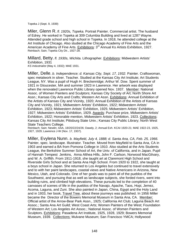Topeka J (Sept. 9, 1939)

Miler, Glenn R. *fl. 1920s, Topeka.* Portrait Painter. Commercial artist. The husband of Edrey. He worked in Topeka at 309 Columbia Building and lived at 1287 Wayne. Attended grade school and high school in Topeka. In 1918, he attended college at the Art Institute of Chicago. Also studied at the Chicago Academy of Fine Arts and the American Academy of Fine Arts. Exhibitions: 3<sup>rd</sup> Annual Ks Artists Exhibition, 1927. Reinbach; Sain; Topeka City Dir., 1927-28.

Millard, Betty. *fl. 1930s, Wichita.* Lithographer. Exhibitions: Midwestern Artists' Exhibition, 1931

*KS Industrialist* (May 4, 1932); MAE 1931.

Miller, Delle. *b. Independence; d. Kansas City, Sept. 17, 1932.* Painter. Craftswoman, spec metalwork in silver. Teacher. Studied at the Kansas City Art Institute; Art Students League, NY. Was a pupil of Hugh H. Breckenridge; Arthur W. Dow. Spent summer of 1921 in Gloucester, MA and summer 1923 in Lawrence. Her artwork was displayed when the renovated Lawrence Public Library opened Nov. 1937. Member: National Assoc. of Women Painters and Sculptors; Kansas City Society of Art; North Shore Art Assn.; Kansas City Arts and Crafts; Western Art Assn. Exhibitions: Annual Exhibition of the Artists of Kansas City and Vicinity, 1920; Annual Exhibition of the Artists of Kansas City and Vicinity, 1921; Midwestern Artists' Exhibition, 1922; Midwestern Artists' Exhibition, 1923; Midwestern Artists' Exhibition, 1925; Midwestern Artists' Exhibition, 1927; Midwestern Artists' Exhibition, 1929. Awards: Purchase prize, Midwestern Artists' Exhibition, 1922; Honorable mention, Midwestern Artists' Exhibition, 1923. Collections: Kansas City Art Institute; Pittsburg State Univ.; Kansas City Public Library; North West State Teachers College.

Reinbach; Sain; Newlin; AAA, 18/20/22/24/26; Dawdy, 2; Annual Exh. KCAI 1920-21; MAE 1922-23, 1925, 1927, 1929; Lawrence J-W (Nov. 17, 1937).

Miller, Evylena Nunn. *b. Mayfield, July 4, 1888; d. Santa Ana, CA, Feb. 25, 1966.* Painter, spec. landscape. Illustrator. Teacher. Moved from Mayfield to Santa Ana, CA in 1903 and earned a BA from Pomona College in 1910. Also studied at the Arts Students League, the Berkshire Summer School of Art, the Univ. of California, and in Japan. Pupil of Hannah Tempest Jenkins, Anna Althea Hills, John F. Carlson, Norwood MacGilvary, and W. A. Griffith. From 1911-1918, she taught art at Claremont High School and Riverside Girls School and at Santa Ana High School. From 1920 to 1922, she taught at a boys school in Japan. She returned to Los Angeles but continued to travel extensively and to with her paint landscapes, coastal views and Native Americans in Arizona, New Mexico, Utah, and Colorado. One of her goals was to paint all of the pueblos of the Southwest, and pursuing that as well as landscape subjects, she forded rivers, went into building ruins, and climbed high elevations. These pursuits led to the completion of 40 canvases of scenes of life in the pueblos of the Navajo, Apache, Taos, Hopi, Jemez, Acoma, Laguna, and Zuni. She also painted in Japan, China, Egypt and the Holy Land and in 1933, her book, Travel Tree, about these journeys was published. In 1956 Miller became the Director of the Bowers Memorial Museum in Santa Ana, CA. Member: Official artist of the Arrow-Bear Park Assn., 1925; California Art Club; Laguna Beach Art Assoc.; Santa Ana Art Guild; West Coast Arts; Women Painters of the West; Foundation of Western Art; Los Angeles Art Assoc.; National Assoc. of Women Painters and Sculptors. Exhibitions: Pasadena Art Institute, 1925, 1928, 1929; Bowers Memorial Museum, 1939. Collections: Mulvane Museum; San Francisco YMCA; Hollywood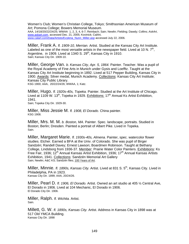Women's Club; Women's Christian College, Tokyo; Smithsonian American Museum of Art; Pomona College; Bowers Memorial Museum.

AAA, 14/18/20/22/24/25; WWAA 1, 2, 3, 4, 6-7; Reinbach; Sain; Newlin; Fielding; Dawdy; Collins; *AskArt*, www.askart.com, accessed Dec. 21, 2005; Kovinick; CalArt, www.calart.com/Data/Artists/Evylena\_Nunn\_Miller.asp accessed July 22, 2006.

Miller, Frank A. *fl. 1909-10, Merrian.* Artist. Studied at the Kansas City Art Institute. Labeled as one of the most versatile artists in the newspaper field. Lived at 10 N.  $7<sup>th</sup>$ . Argentine, in 1909. Lived at 1340 S,  $29<sup>th</sup>$ . Kansas City in 1910. Sain; Kansas City Dir. 1909-10.

Miller, George Van. *b. Kansas City, Apr. 5, 1864.* Painter. Teacher. Was a pupil of the Royal Academy of Fine Arts in Munich under Gysis and Loefftz. Taught at the Kansas City Art Institute beginning in 1892. Lived at 517 Pepper Building, Kansas City in 1900. Awards: Silver medal, Munich Academy. Collections: Kansas City Art Institute; Kansas City Public Library. KSG 1900; AAA, 20/22/24/26; WWAA, 1; Katz.

Miller, Hugo. *fl. 1920s-40s, Topeka.* Painter. Studied at the Art Institute of Chicago. Lived at 1109 W. 13<sup>th</sup>, Topeka in 1929. Exhibitions: 17<sup>th</sup> Annual Ks Artist Exhibition, 1941.

Sain; Topeka City Dir. 1929-30.

Miller, Miss Jessie M. *fl. 1908, El Dorado.* China painter. KSG 1908.

Miller, Mrs. M. M. *b. Boston, MA.* Painter. Spec. landscape, portraits. Studied in Boston; Berlin; Dresden. Painted a portrait of Albert Pike. Lived in Topeka. Sain.

Miller, Margaret Marie. *fl. 1930s-40s, Almena.* Painter, spec. watercolor flower studies. Etcher. Earned a BFA at the Univ. of Colorado. She was pupil of Birger Sandzén; Randell Davey; Ernest Lawson; Boardmen Robinson. Taught at Bethany College, Lindsborg from 1936-37. Member: Prairie Water Color Painters. Exhibitions: Ks Free Fair, 1936; 12<sup>th</sup> Annual Kansas Artist Exhibition, 1936; 17<sup>th</sup> Annual Kansas Artists Exhibition, 1941. Collections: Sandzén Memorial Art Gallery Sain; Newlin; A&C KS; Sandzén files; 100 Years of Art.

Miller, Minnie. *fl. 1890s, Kansas City.* Artist. Lived at 831 S. 5<sup>th</sup>, Kansas City. Lived in Philadelphia, PA in 1923. Kansas City Dir. 1899; AAA, 20/24/26.

Miller, Pearl D. *fl. 1906, El Dorado.* Artist. Owned an art studio at 405 ½ Central Ave, El Dorado in 1906. Lived at 104 Mechanic, El Dorado in 1906. El Dorado City Dir. 1906.

Miller, Ralph. *fl. Wichita.* Artist. Sain.

Millett, G. W. *fl. 1890s, Kansas City.* Artist. Address in Kansas City in 1898 was at 517 Old YMCA Building. Kansas City Dir. 1898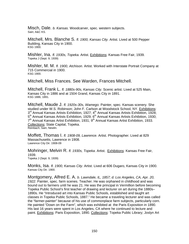Misch, Dale. *b. Kansas.* Woodcarver, spec. western subjects. Sain; A&C KS.

Mitchell, Mrs. Blanche S. *fl. 1900, Kansas City.* Artist. Lived at 500 Pepper Building, Kansas City in 1900. KSG 1900.

Mishler, Ina. *fl. 1930s, Topeka.* Artist. Exhibitions: Kansas Free Fair, 1939. Topeka J (Sept. 9, 1939)

Mishler, M. M. *fl. 1900, Atchison.* Artist. Worked with Interstate Portrait Company at 715 Commercial in 1900. KSG 1900.

Mitchell, Miss Frances. See Warden, Frances Mitchell.

Mitchell, Frank L. *fl. 1880s-90s, Kansas City.* Scenic artist. Lived at 525 Main, Kansas City in 1886 and at 1504 Grand, Kansas City in 1891.<br>KSG 1886, 1891.

Mitchell, Maude J. *fl. 1920s-30s, Wamego.* Painter, spec. Kansas scenery. She studied under W.S. Robinson; John F. Carlson at Woodstock School, NY. Exhibitions:  $3<sup>rd</sup>$  Annual Kansas Artists Exhibition, 1927;  $4<sup>th</sup>$  Annual Kansas Artists Exhibition, 1928; 5<sup>th</sup> Annual Kansas Artists Exhibition, 1929; 6<sup>th</sup> Annual Kansas Artists Exhibition, 1930;  $7<sup>th</sup>$  Annual Kansas Artist Exhibition, 1931;  $9<sup>th</sup>$  Annual Kansas Artist Exhibition, 1933. Collections: State Capital, Topeka.<br>Reinbach; Sain; Newlin.

Moffett, Thomas I. *fl. 1908-09, Lawrence.* Artist. Photographer. Lived at 829 Massachusetts, Lawrence in 1908. Lawrence City Dir. 1908-09

Mohringer, Melvin R. *fl. 1930s, Topeka*. Artist. Exhibitions: Kansas Free Fair, 1939. Topeka J (Sept. 9, 1939)

Monks, Isa. *fl. 1900, Kansas City*. Artist. Lived at 606 Dugaro, Kansas City in 1900. Kansas City Dir. 1900.

Montgomery, Alfred E. A. *b. Lawndale, IL, 1857; d. Los Angeles, CA, Apr. 20, 1922*. Painter, spec. farm scenes. Teacher. He was orphaned in childhood and was bound out to farmers until he was 21. He was the principal in Vermillion before becoming Topeka Public School's first teacher of drawing and lecturer on art during the 1880s– 1890s. He "Introduced art into Kansas Public Schools, established and taught art classes in Topeka Public Schools, 1887." He became a traveling lecturer and was called the "farmer-painter" because of his use of commonplace farm subjects, particularly corn. He painted "Down on the Farm", which was exhibited at the Paris Exposition in 1890. His last 16 years were spent in Los Angeles, CA where he continued to lecture and paint. Exhibitions: Paris Exposition, 1890. Collections: Topeka Public Library; Joslyn Art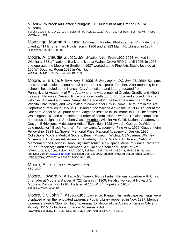Museum; Philbrook Art Center; Springville, UT. Museum of Art; Orange Co. CA. Museum Topeka J (Dec. 30, 1940); Los Angeles Times (Apr. 21, 1922); AAA, 01; Reinbach; Sain; Newlin; FWP; Dawdy, 2; Field.

Monzingo, Martha b. *fl. 1907, Hutchinson.* Painter. Photographer. China decorator. Lived at 414 E. Sherman, Hutchinson in 1906 and at 323 Main, Hutchinson in 1907. Hutchinson City Dir. 1906-07.

Moore, A. Claudia. *fl. 1920s-30s, Wichita.* Artist. From 1922-1925, worked in Wichita at 335 1<sup>st</sup> National Bank and lived at Walnut Grove RFD 1, until 1926. In 1923 she operated the Moore Art Studio. In 1937 worked at the Fine Arts Studio located at 106 W. Douglas, Room 1035 in Wichita. Wichita City Dir. 1922-27, 1930-34, 1937-39.

Moore, E. Bruce. *b. Bern, Aug. 5, 1905; d. Washington, DC, Jan. 25, 1980.* Sculptor, spec. animal studies, monumental and portrait sculpture. Teacher. After attending Bern schools, he studied at the Kansas City Art Institute and later graduated from Pennsylvania Academy of Fine Arts where he was a pupil of Charles Gradfly and Albert Laessle. He won a Cresson Prize of a four-month tour of Europe and studied in Paris with Cecil Howard and Jean Dampt. At the age of 21, he became a member of the Wichita Univ. faculty and was invited to compete for Prix in Rome. He taught in the Art Department at Wichita Univ. in 1928 and at the Wichita Art Assoc. in 1933. Taught at the Rinehart School of Sculpture at the Maryland Institute in Baltimore. In 1950, he settled in Washington, DC and completed a number of commissioned works. He also completed numerous designs for Steuben Glass. Member: Wichita Art Guild; National Academy of Design. Exhibitions: Midwestern Artists' Exhibition, 1928 Awards: George D. Widener gold medal for " Black Panther", Pennsylvania Academy of Fine Arts, 1929; Guggenheim Fellowship, 1929-31; Speyer Memorial Prize, National Academy of Design, 1935. Collections: Wichita Medical Society; Beach Museum; Wichita Art Museum; Whitney Museum of American Art; American Academy, Rome; Wichita Art Assoc.; National Memorial of the Pacific in Honolulu; Smithsonian Air & Space Museum; Grace Cathedral in San Francisco; Sandzén Memorial Art Gallery; Spencer Museum of Art. WWAA 1, 2, 3, 4; Cone; Belden; AAA, 25/27; Reinbach; Sain; Newlin; A&C KS; MAE 1928; Sandzén archives; *AskArt*, www.askart.com, accessed Dec. 21, 2005; Spencer, Howard DaLee. Bruce Moore, a Retrospective. (Wichita: Wichita Art Museum, 1984)

**Moore, Effie.** *fl. 1900, Richfield.* Artist.<br>KSG 1900.

Moore, Howard N. *fl. 1909-10, Topeka.* Portrait artist. He was a partner with Chas. J. Snyder at Moore & Snyder at 722 Kansas in 1909. He also worked at Howard N. Moore & Company in 1910. He lived at 116 W.  $6<sup>th</sup>$ , Topeka in 1910. Topeka City Dir. 1909-10.

Moore, Dr. John T. *fl.1880s-1915, Lawrence.* Painter. His landscape paintings were displayed when the renovated Lawrence Public Library reopened in Nov. 1937. Member: Lawrence Sketch Club. Exhibitions: Annual Exhibition of the Artists of Kansas City and Vicinity, 1915. Collections: Spencer Museum of Art.<br>Lawrence J-W (Nov. 17, 1937; Nov. 18, 1937); Sain; Annual Exh. KCAI 1915.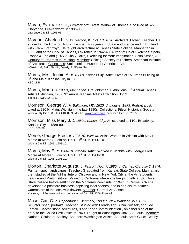Moran, Eva. *fl. 1905-06, Leavenworth.* Artist. Widow of Thomas. She lived at 522 Cheyenne, Leavenworth in 1905-06. Lawrence City Dir. 1905-06.

Morgan, Charles L. *b. Mt. Vernon, IL, Oct. 13, 1890.* Architect. Etcher. Teacher. He studied at the Univ. of Illinois. He spent two years in Spain and France and in England with Frank Brangwyn. He taught architecture at Kansas State College, Manhattan in 1933 and at the Univ. of Kansas, Lawrence in 1942-43. Author of Color Sketches: Spain, France & England (1927)*;* Chalk Talks*;* Sketching for You*;* Imagination, Sixth Sense*;* A Century of Progress in Painting*.* Member*:* Chicago Society of Etchers; American Institute of Architects. Collections: Smithsonian Museum of American Art.. WWAA, 1-3; Sain; Newlin; Dawdy, 2; NMAA files.

Morris, Mrs. Jennie A. *fl. 1880s, Kansas City.* Artist. Lived at 15 Times Building at 9<sup>th</sup> and Main, Kansas City in 1886. KSG 1886.

Morris, Maria. *fl. 1930s, Manhattan.* Draughtsman. Exhibitions: 8th Annual Kansas Artists Exhibition, 1932; 9<sup>th</sup> Annual Kansas Artists Exhibition, 1933. Topeka J (Oct. 22, 1932)

Morrison, George W. *b. Baltimore, MD, 1820; d. Indiana, 1893.* Portrait artist. Lived at 220 N. Main, Wichita in the late 1880s. Collections: Filson Historical Society Wichita City Dir. 1888; KSG 1888-89; *AskArt*, www.askart.com, accessed Dec. 21, 2005

Morrison, Miss Mary J. *fl. 1880s, Kansas City.* Artist. Lived at 1101 Broadway, Kansas City in 1888-89. KSG 1888-89.

Morse, George Fred. *fl. 1906-10, Wichita.* Artist. Worked in Wichita with May E. Morse at Morse Studio on 109 E. 1<sup>st</sup> St. in 1906-10. Wichita City Dir. 1906, 1908-10.

Morris, May E. *fl. 1906-10, Wichita.* Artist. Worked in Wichita with George Fred Morse at Morse Studio on 109 E. 1<sup>st</sup> St. in 1906-10. Wichita City Dir. 1906, 1908-10.

Morton, Charlotte Augusta. *b. Tescott, Nov. 7, 1885; d. Carmel, CA, July 2, 1974.*  Painter, spec. landscapes. Teacher. Graduated from Kansas State College, Manhattan, then studied at the Art Institute of Chicago and in New York City at the Art Students League and Pratt Institute. Moved to California where she taught briefly at San Jose State College before settling on the Monterey Peninsula in 1947. In Carmel, CA she developed a postcard business depicting local scenes, and in her leisure painted watercolors of the local wild flowers. Member: Carmel Art Assoc. Kovinick; *AskArt*, www.askart.com, accessed Jan. 15, 2006; Dawdy3.

Mose, Carl C. *b. Copenhagen, Denmark, 1903; d. New Windsor, MD, 1973.*  Sculptor, spec. portraits. Teacher. Studied with Lorado Taft, Albin Polasek, and Leo Lentelli. Carved stone sculptures, "Land" and "Communication", on either side of the entry to the Salina Post Office in 1940. Taught at Washington Univ., St. Louis. Member: National Sculpture Society; Southern Washington Artists; St. Louis Artist Guild; Two by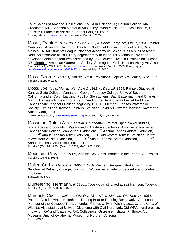Four; Salons of America. Collections: YMCA in Chicago, IL; Carlton College, MN; Croodston, MN; Sandzén Memorial Art Gallery; "Stan Musial" at Busch Stadium, St. Louis; "St. Francis of Assisi" in Forrest Park, St. Louis Bruner; ; *AskArt*, www.askart.com, accessed Dec. 21, 2005

Moser, Frank H. *b. Oketo, May 27, 1886; d. Dobbs Ferry, NY, Oct. 1, 1964.* Painter. Cartoonist. Animator. Illustrator. Teacher. Studied at Cumming School of Art, Des Moines, IA; Art Students League; National Academy of Design. Was a pupil of Albert Reid. An associate of Paul Terry, together they founded TerryToons in 1929 and developed animated features distributed by Fox Pictures. Lived in Hastings on Hudson, NY. Member: American Watercolor Society; Salmagundi Club; Hudson Valley Art Assoc. Sain; A&C KS; WWAA, 6,7; AskArt, www.askart.com, accessed Dec. 21, 2005; Filmography, http://www.imdb.com/name/nm0608487/, accessed July 22, 2006

Moss, George. *fl.1930s, Topeka.* Artist. Exhibitions: Topeka Art Center, Sept. 1939. Topeka J (Sept. 9, 1939)

Moss, Joel C. *b. Murray, KY, June 2, 1912; d. Dec. 16, 1989.* Painter. Studied at Kansas State College, Manhattan, George Peabody College, Univ. of Southern California and at Columbia Univ. Pupil of Glen Lukens, Saul Baizermann and Charles Martin. He was a Professor of Art and head of the Department of Art at Fort Hays Kansas State Teachers College beginning in 1946. Member: Kansas Watercolor Society. Exhibitions: Kansas Painters Exhibition, 1949-53. Awards: Kansas Governor's Artist Award, 1981.

WWAA, 6,7; Beach; ; www.FamilySearch.org accessed July 17, 2006; TPL.

Mossman, Thirza A. *fl. 1930s-40s, Manhattan.* Painter, spec. flower studies, landscapes and portraits. Was trained in Eastern art schools. Also was a teacher at Kansas State College, Manhattan. Exhibitions: 6<sup>th</sup> Annual Kansas Artists Exhibition, 1930; 7<sup>th</sup> Annual Kansas Artist Exhibition, 1931; Midwestern Artists' Exhibition, 1932; Midwestern Artists' Exhibition, 1933; 15<sup>th</sup> Annual Kansas Artist Exhibition, 1939; 17<sup>th</sup> Annual Kansas Artist Exhibition, 1941.

Topeka J (Oct. 18, 1930), (Mar. 10, 1939; MAE 1932, 1933.

Mountain, Grover. *fl. 1930s, Kansas City.* Artist. Worked in the Federal Art Project. Topeka J (June 5, 1937)

Muller, Carl. *b. Marquette, 1895; d. 1978.* Painter. Designer. Studied with Birger Sandzén at Bethany College, Lindsborg. Worked as an interior decorator and contractor in Salina. Sandzén archives

Muntefering, Hermann. *fl. 1880s, Topeka.* Artist. Lived at 282 Harrison, Topeka. Topeka City Dir. 1885-1886, 1887-88.

Murdock, Cecil. *b. McLoud, OK, Oct. 13, 1913; d. McLoud, OK, Dec. 14, 1954*. Painter. Also known as Koketha or Turning Bear or Running Bear. Native American. Member of the Kickapoo Tribe. Attended Friends Univ. in Wichita 1932-33 and Univ. of Wichita. Also studied at Univ. of Oklahoma with Olaf Nordmark. Did WPA mural projects in Lawton, OK and Anadarko, OK. Collections: Gilcrease Institute; Philbrook Art Museum; Univ. of Oklahoma; Museum of Northern Arizona. TCP; Lester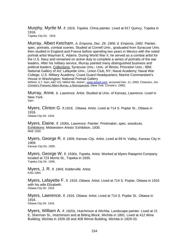Murphy, Myrtle M. *fl. 1916, Topeka.* China painter. Lived at 917 Quincy, Topeka in 1916. Topeka City Dir. 1916.

Murray, Albert Ketcham. *b. Emporia, Dec. 29, 1906; d. Emporia, 1992.* Painter, spec. portraits, combat scenes. Studied at Cornell Univ., graduated from Syracuse Univ. then studied in England and France before spending two years in Mexico with the noted portrait artist Wayman E. Adams. During World War II, he served as a combat artist for the U.S. Navy and remained on active duty to complete a series of portraits of the war leaders. After his military service, Murray painted many distinguished business and political leaders. Collections: Syracuse Univ.; Univ. of Illinois; Princeton Univ.; IBM; National Gallery of Art; Lafayette Univ.; Union Club, NY; Naval Academy; Naval War College; U.S. Military Academy; Coast Guard Headquarters; Marine Commandant's House in Washington; National Portrait Gallery

WWAA, 6,7; Sain; A&C KS; NMAA file; *AskArt* , www.askart.com, accessed Dec. 21, 2005; Cheevers, Jim. Christie's Presents Albert Murray, a Retrospective. (New York: Christie's, 1995).

Murray, Anne. *b. Lawrence.* Artist. Studied at Univ. of Kansas, Lawrence. Lived in New York.

Sain.

Myers, Clinton G*. fl.1916, Ottawa.* Artist. Lived at 714 S. Poplar St., Ottawa in 1916. Ottawa City Dir. 1916.

Myers, Elaine. *fl. 1930s, Lawrence.* Painter. Printmaker, spec. woodcuts. Exhibitions: Midwestern Artists' Exhibition, 1930. MAE 1930

Myers, George R. *fl. 1909, Kansas City.* Artist. Lived at 69 N. Valley, Kansas City in 1909.

Kansas City Dir. 1909.

Myers, George W. *fl. 1930s, Topeka.* Artist. Worked at Myers Rataprint Company located at 723 Morris St., Topeka in 1935. Topeka City Dir. 1935.

Myers, J. R. *fl. 1904, Kidderville.* Artist. KSG 1904.

Myers, Lafayette F. *fl. 1916, Ottawa.* Artist. Lived at 714 S. Poplar, Ottawa in 1916 with his wife Elizabeth. Ottawa City Dir. 1916.

Myers, Lawrence. *fl. 1916, Ottawa.* Artist. Lived at 714 S. Poplar St., Ottawa in 1916. Ottawa City Dir. 1916.

Myers, William A. *fl. 1920s, Hutchinson & Wichita.* Landscape painter. Lived at 21 E. Sherman St., Hutchinson and at Bitting Block, Wichita in 1891. Lived at 412 Wine Building, Wichita in 1926-28 and 408 Winne Building, Wichita in 1929-33.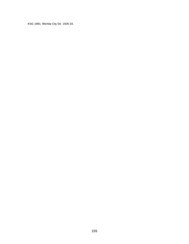KSG 1891; Wichita City Dir. 1926-33.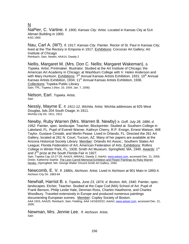## N

NaPier, C. Vartine. *fl. 1900, Kansas City*. Artist. Located in Kansas City at 514 Altman Building in 1900. KSG 1900

Nau, Carl A. (W?). *fl. 1917, Kansas City.* Painter. Rector of St. Paul in Kansas City; lived at the The Rectory in Emporia in 1917. Exhibitions: Corcoran Art Gallery; Art Institute of Chicago Reinbach, Sain, Newlin, AAA14, Dawdy 2

Nellis, Margaret M. (Mrs. Don C. Nellis; Margaret Wakeman). *b. Topeka.* Artist. Printmaker. Illustrator. Studied at the Art Institute of Chicago; the American Art Academy in Chicago; at Washburn College with V. Helen Anderson and with Mary Huntoon. Exhibitions: 7<sup>th</sup> Annual Kansas Artists Exhibition, 1931; 10<sup>th</sup> Annual Kansas Artists Exhibition, 1934; 11<sup>th</sup> Annual Kansas Artists Exhibition, 1936. Collections: Topeka Public Library Sain; TPL; Topeka J (Nov, 10, 1934; Jan. 7, 1936)

Nelson, Earl. *Topeka*. Artist. Sain

Nessly, Mayme E. *fl. 1911-12, Wichita*. Artist. Wichita addresses at 925 West Douglas, bds 204 South Osage, in 1911. Wichita City Dir. 1911, 1912

Newby, Ruby Warren (Mrs. Warren B. Newby) *b. Goff, July 28, 1886; d. 1952.* Painter, spec. landscape. Teacher, Blockprinter. Studied at Southern College in Lakeland, FL. Pupil of Everett Warner, Kathryn Cherry, R.P. Ensign, Ernest Watson, Will Taylor, Gustave Cimiatti, and Merlin Pease. Lived in Orlando, FL. Directed the 261 Art Gallery, located at 261 N. Court, Tucson, AZ. Many of her papers are available at the Arizona Historical Society Library. Member: Orlando Art Assoc.; Southern States Art League; Florida Federation of Art; American Federation of Arts. Exhibitions: Rollins College in Winter Park, FL, 1928; Smith Art Museum, Springfield, MA, 1940. Awards: 1<sup>st</sup> and 2<sup>nd</sup> prize at the South Florida Fair in 1927.

Sain, Topeka Cap 10-27-29, AAA24, WWAA1, Dawdy 2; *AskArt*, www.askart.com, accessed Dec. 21, 2005; Dreier, Katherine Sophie. The Leon Carroll Memorial Exhibition and Flower Paintings by Ruby Warren Newby. (Springfield, MA: George Walter Vincent Smith Art Gallery, 1940.

Newcomb, E. V. *fl. 1880s, Atchison.* Artist. Lived in Atchison at 901 Main in 1893-4. Atchison City Dir. 1883-84

Newhall, Harriot B. *b. Topeka, June 23, 1874; d. Boston, MA, 1940.* Painter, spec. landscapes. Etcher, Teacher. Studied at the Cape Cod (MA) School of Art. Pupil of Frank Benson, Philip Leslie Hale, Denman Ross, Charles Hawthorne, and Charles Woodbury. Traveled extensively in Europe and produced numerous paintings documenting European scenes. Member: Copley Society of Boston. AAA 1915, AAA25, Reinbach, Sain, Fielding, AAA 14/18/20/22; *AskArt*, www.askart.com, accessed Dec. 21, 2005.

Newman, Mrs. Jennie Lee. *fl. Atchison.* Artist. Sain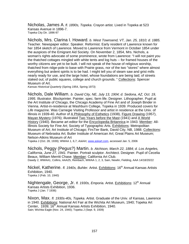Nicholas, James A. *fl. 1890s, Topeka*. Crayon artist. Lived in Topeka at 523 Kansas Avenue in 1896-7. Topeka City Dir. 1896-97

Nichols, Mrs. Clarina I. Howard. *b. West Townsend, VT, Jan. 25, 1810; d. 1885.* Teacher. Newspaper editor. Speaker. Reformist. Early resident of Lawrence known for her 1854 sketch of Lawrence. Moved to Lawrence from Vermont in October 1854 under the auspices of the Emigrant Aid Society. On November 2, 1854, Mrs. Nichols, a woman's rights advocate of some prominence, wrote from Lawrence: "I will not paint you the thatched cottages mingled with white tents and log huts -- for framed houses of the worthy citizens are yet to be built. I will not speak of the house of religious worship, thatched from ridge-pole to base with Prairie grass, nor of the two "stores" where almost everything but ardent spirits is to be had. I might tell you of steam saw and grist mills nearly ready for use, and the large hotel, whose foundations are being laid; of streets staked out; of public squares, college and church grounds. " Collections: Spencer Museum of Art.

*Kansas Historical Quarterly* (Spring 1954, Spring 1973)

Nichols, Dale William. *b. David City, NE, July 13, 1904; d. Sedona, AZ, Oct. 19, 1995.* Illustrator. Blockprinter. Painter, spec. farm life. Designer. Lithographer. Pupil at the Art Institute of Chicago, the Chicago Academy of Fine Art and of Joseph Binder in Vienna. Artist-in-residence at Washburn College, Topeka in 1939. Produced covers for *Life* magazine. Was Carnegie Visiting Professor and artist in residence at the Univ. of Illinois in 1939-40. Author of A Philosophy of Esthetics (1938), Figure Drawing (1957), Mayan Mystery (1976); illustrated Two Years before the Mast (1941) and A World History (1940). Became art editor for the Encyclopedia Britannica in 1943. Member: All-Illinois Society for Fine Art; Society of Typographic Arts. Exhibitions: Metropolitan Museum of Art; Art Institute of Chicago; FirsTier Bank, David City, NB, 1988. Collections: Museum of Nebraska Art; Butler Institute of American Art; Great Plains Art Museum; Nelson-Atkins Museum of Art

Topeka J (Oct. 28, 1939); WWAA 1, 6,7; *AskArt*, www.askart.com, accessed Jan. 5, 2006

Nichols, Peggy (Pegus?) Martin. *b. Atchison, March 22, 1884; d. Los Angeles, California, June 27, 1941.* Painter. Portrait sculptor. Architect. Designer. Pupil of Cecelia Beaux, William Merritt Chase. Member: California Art Club. Dawdy 2, WWAA1, Collins, AAA25, Reinbach, WWAA 1, 2, 3, Sain, Newlin, Fielding, AAA 14/18/20/22

Nickel, Katherine. *fl. 1940s, Buhler.* Artist. Exhibitions: 16<sup>th</sup> Annual Kansas Artists Exhibition, 1940. Topeka J (Feb. 10, 1940)

Nightengale, George, Jr. *fl. 1930s, Emporia.* Artist. Exhibitions: 12<sup>th</sup> Annual Kansas Artists Exhibition, 1936. Topeka J (Jan. 7 1936)

Nixon, Max. *fl. 1930s-40s, Topeka*. Artist. Graduate of the Univ. of Kansas, Lawrence in 1940. Exhibitions: National Art Fair at the Wichita Art Museum, 1940; Topeka Art Center, 1939; 16<sup>th</sup> Annual Kansas Artists Exhibition, 1940. Sain; Wichita Eagle (Nov. 24, 1940); Topeka J (Sept. 9, 1939)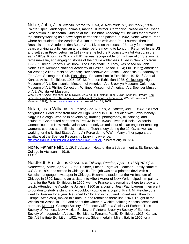Noble, John, Jr. *b. Wichita, March 15, 1874; d. New York, NY, January 6, 1934.*  Painter, spec. landscapes, animals, marine. Illustrator. Cartoonist. Raised on the Osage Reservation in Oklahoma. Studied at the Cincinnati Academy of Fine Arts then traveled the country working as a newspaper cartoonist and painter. In 1902, Noble went to Paris where he studied at the Academié Julian in Paris with Jean Paul Laurens, then in Brussels at the Academie des Beaux Arts. Lived on the coast of Brittany for several years working as a fisherman and painter before moving to London. Returned to the US and settled in Provincetown in 1919 where he led the Provincetown Art Assoc. in the early 1920s. Known as "Wichita Bill" he was recognizable for his five-gallon Stetson hat, rattlesnake tie, and engaging stories of the prairie wilderness. Lived in New York from 1925-33. Irving Stone's 1949 book, The Passionate Journey, was based on John Noble's life. Member: National Academy of Design (Assoc. 1924; Full 1927); American Art Assoc.; Allied Artists of America; Provincetown Art Assoc.; Connecticut Academy of Fine Arts; Salmagundi Club. Exhibitions: Panama Pacific Exhibition, 1915; 1<sup>st</sup> Annual Kansas Artists Exhibition, 1925; 25<sup>th</sup> McPherson Exhibition 1935. Collections: High Museum of Art; Smithsonian Museum of American Art; Brooklyn Museum; Columbus Museum of Art; Phillips Collection; Whitney Museum of American Art; Spencer Museum of Art; Wichita Art Museum.

WW26-27; AAA27; Reinbach; Sain; Newlin; A&C Ks (il); Fielding; Shipp; Julian; Spencer, Howard. The Legendary Wichita Bill: a Retrospective Exhibition of Paintings by John Noble*.* (Wichita: Wichita Art Museum, 1982); AskArt, www.askart.com, accessed Dec. 21, 2005.

Nolan, Leah Williams. *b. Kinsley, Feb. 3, 1901; d. Topeka, Jan. 6, 1982.* Sculptor of figurines. Graduated from Kinsley High School in 1918. Studied with Lazlo Moholy-Nagy in Chicago. Worked in advertising, drafting, photography, oil painting, and sculpture. Contributed cartoons to *Esquire* in the 1930s. Lived in Illinois, California, Connecticut, and New York. Nolan was not only an artist but also an engineer teaching women's courses at the Illinois Institute of Technology during the 1940s, as well as working for the United States Army Air Force during WWII. Many of her papers are available at the Spencer Research Library in Lawrence.

http://ead.diglib.ku.edu/xml/ksrl.kc.nolanleah.html#IDAKHAQ, accessed Aug. 10, 2006.

Nolte, Father Felix. *fl. 1916, Atchison*. Head of the art department at St. Benedicts College in Atchison in 1916. AAA13

Nordfeldt, Bror Julius Olsson. *b. Tulstorp, Sweden, April 13, 1878[1873?]; d. Henderson, Texas, April 21, 1955.* Painter, Etcher, Engraver, Teacher. Family came to U.S.A. in 1891 and settled in Chicago, IL. First job was as a printer's devil with a Swedish-language newspaper in Chicago. Became a student at the Art Institute of Chicago in 1899; became an assistant to Albert Herter of New York, helped him paint a mural for the Paris Exhibition. In 1900, went to France and remained there to study and teach. Attended the Academié Julian in 1900 as a pupil of Jean Paul Laurens, then went to London to study etching and woodblock cutting as a pupil of Frank M. Fletcher, then went to Sweden for a year. Returned to Chicago in 1903 and moved east, then to Europe. After WWI, moved to Santa Fe and remained there until 1940. Taught at the Wichita Art Assoc. in 1933 and spent the winter in Wichita painting Kansas scenes and portraits. Member: Chicago Society of Etchers; California Society of Etchers; Taos Society of Painters; New Mexico Society of Painters; Brooklyn Society of Etchers; Society of Independent Artists; . Exhibitions: Panama Pacific Exhibition, 1915; Kansas City Art Institute Exhibition, 1921 Awards: Silver medal in Milan, Italy in 1906 for a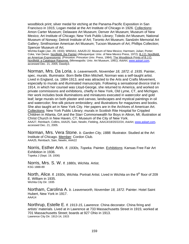woodblock print; silver medal for etching at the Panama-Pacific Exposition in San Francisco in 1915; Logan medal at the Art Institute of Chicago in 1926. Collections: Amon Carter Museum; Delaware Art Museum; Denver Art Museum; Museum of New Mexico; Art Institute of Chicago; New York Public Library; Toledo Art Museum; National Museum of Norway; Detroit Institute of Art; Toronto Art Museum; Sandzén Memorial Art Gallery; Smithsonian American Art Museum; Tucson Museum of Art; Phillips Collection; Spencer Museum of Art.

Wichita Eagle (Jan. 29, 1933); WWAA1; AAA20-22; Museum of New Mexico; Harmsen; Julian; Porter; Coke, Van Deren. **Nordfeldt, the Painter** (Albuquerque: Univ. of New Mexico Press, 1972); **B.J.O. Nordfeldt**, an American Expressionist. (Princeton: Princeton Univ. Press, 1984); The Woodblock Prints of B.J.O. Nordfeldt: a Catalogue Raisonne. (Minneapolis: Univ. Art Museum, 1991); *AskArt*, www.askart.com, accessed Dec. 21, 2005; Dawdy3.

Norman, Mrs. Da Loria. *b. Leavenworth, November 18, 1872; d. 1935.* Painter, spec. murals. Illuminator*.* Born Belle Elkin Mitchell, Norman was a self-taught artist. Lived in England, ca. 1884-1913, and was attracted to the Arts and Crafts Movement, especially to murals and illuminated manuscripts. Following a sensational divorce trial in 1914, in which her counsel was Lloyd-George, she returned to America, and worked on private commissions and exhibitions, chiefly in New York, Old Lyme, CT, and Michigan. Her work includes book illuminations and miniatures executed in watercolor and gold leaf; large murals on both plaster and canvas; landscapes and mystical paintings in oil and watercolor; fine-silk picture embroidery; and illustrations for magazines and books. She also taught art in New York City. Her papers are in the Archives of American Art. Collections: New York Public Library; murals in Scottish Rite Hospital for Crippled Children in Atlanta, GA and the Starr Commonwealth for Boys in Altron, MI; illustration at Christ Church in New Haven, CT; Museum of the City of New York. AAA27, Reinbach, Collins, AAA25, Sain, Newlin, Fielding, AAA14/18/20/22/24; *AskArt*, www.askart.com, accessed Dec. 21, 2005.

Norman, Mrs. Vera Stone. *b. Garden City, 1888.* Illustrator. Studied at the Art Institute of Chicago. Member: Cordon Club. AAA25, Reinbach, Sain, Newlin, AAA22

Norris, Esther Ann. *fl. 1930s, Topeka.* Painter. Exhibitions: Kansas Free Fair Art Exhibition in 1936. Topeka J (Sept. 19, 1936)

Norris, Mrs. S. W. *fl. 1880s, Wichita.* Artist. KSG 1888-89

North, Alice. *fl. 1930s, Wichita.* Portrait Artist. Lived in Wichita on the 9<sup>th</sup> floor of 209 E. William in 1935. Wichita City Dir. 1935

Northam, Carolina A. *b. Leavenworth, November 18, 1872.* Painter. Hotel Saint Hubert, New York in 1917. AAA14

Northrup, Estelle E. *fl. 1913-15, Lawrence.* China decorator. China firing and artists' materials. Lived at in Lawrence at 733 Massachusetts Street in 1915; worked at 701 Massachusetts Street; boards at 927 Ohio in 1913. Lawrence City Dir. 1913-14, 1915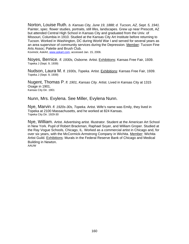Norton, Louise Ruth. *b. Kansas City, June 19, 1888; d. Tucson, AZ, Sept. 5, 1941.*  Painter, spec. flower studies, portraits, still lifes, landscapes. Grew up near Prescott, AZ but attended Central High School in Kansas City and graduated from the Univ. of Missouri, Columbia in 1910. Studied at the Kansas City Art Institute before returning to Tucson. Worked in Washington, DC during World War I and served for several years as an area supervisor of community services during the Depression. Member: Tucson Fine Arts Assoc; Palette and Brush Club.

Kovinick; AskArt, www.askart.com, accessed Jan. 15, 2006.

Noyes, Bernice. *fl. 1930s, Osborne.* Artist. Exhibitions: Kansas Free Fair, 1939. Topeka J (Sept. 9, 1939)

Nudson, Laura M. *fl. 1930s, Topeka.* Artist. Exhibitions: Kansas Free Fair, 1939. Topeka J (Sept. 9, 1939)

Nugent, Thomas P. *fl. 1901, Kansas City.* Artist. Lived in Kansas City at 1315 Osage in 1901. Kansas City Dir. 1901

Nunn, Mrs. Evylena. See Miller, Evylena Nunn.

Nye, Marvin. *fl. 1920s-30s, Topeka.* Artist. Wife's name was Emily, they lived in Topeka at 2100 Massachusetts, and he worked at 824 Kansas. Topeka City Dir. 1929-30

Nye, William. Artist. Advertising artist. Illustrator. Student at the American Art School in New York. Pupil of Robert Brackman, Raphael Soyer, and William Groper. Studied at the Ray Vogue Schools, Chicago, IL. Worked as a commercial artist in Chicago and, for over six years, with the McCormick-Armstrong Company in Wichita. Member: Wichita Artist Guild. Exhibitions: Murals in the Federal Reserve Bank of Chicago and Medical Building in Newton. AAUW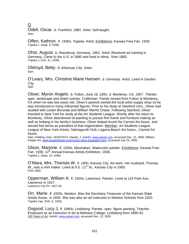O

Odell, Oscar. *b. Frankfort, 1881.* Artist. Self-taught. Sain.

Offen, Kathryn. *fl. 1930s, Topeka.* Artist. Exhibitions: Kansas Free Fair, 1939. Topeka J. (Sept. 9, 1939)

Ohst, August. *b. Ratzeburg, Germany, 1851.* Artist. Received art training in Germany. Came to the U.S. in 1880 and lived in Alma, from 1883. Topeka J. (Oct. 31, 1936)

Oldroyd, Betty. *fl. Arkansas City.* Artist Sain.

O'Leary, Mrs. Christine Marie Hansen. *b. Germany.* Artist. Lived in Garden City*.* Sain.

Oliver, Myron Angelo. *b. Fulton, June 16, 1891; d. Monterey, CA, 1967.* Painter, spec. landscape and street scenes. Craftsman. Family moved from Fulton to Monterey, CA when he was two years old. Oliver's parents owned the local artist supply shop so he was introduced to many influential figures. Prior to his study at Stanford Univ., Oliver had studied with Lester Boronda and William Merritt Chase. Following Stanford, Oliver traveled to New York for study at the Art Students League. Shortly after his return to Monterey, Oliver abandoned oil painting to pursue fine frame and furniture making as well as helping in his family's business. Oliver helped found the Carmel Art Assoc. and served five terms as president of that organization. Member: Art Students League; League of New York Artists; Salmagundi Club; Laguna Beach Art Assoc.; Carmel Art Assoc.

Sain; Fielding; AAA, 18/20/22/24; Dawdy, 2; *AskArt*, www.askart.com, accessed Dec. 22, 2005; William Karges Art, www.kargesfineart.com/myron-oliver-biography.html, accessed July 24, 2006.

Olson, Marjorie. *fl. 1930s, Manhattan.* Watercolor painter. Exhibitions: Kansas Free Fair, 1936; 12<sup>th</sup> Annual Kansas Artists Exhibition, 1936. Topeka J. (Sept. 19, 1936)

O'Mara, Mrs. Thomas W. *fl. 1900, Kansas City.* Art work. Her husband, Thomas W., was a shirt maker. Lived at 8 E.  $11<sup>th</sup>$  St., Kansas City in 1900. KSG 1900.

Opperman, William A. *fl. 1920s, Lawrence.* Painter. Lived at 115 Park Ave., Lawrence in 1927. Lawrence City Dir. 1927-28.

Orr, Marie. *fl. 1920s, Newton.* Was the Secretary-Treasurer of the Kansas State Artists Assoc. in 1926. She was also an art instructor in Newton Schools from 1920. Topeka Cap. (Feb. 6, 1926)

Osgood, Lucy J. *fl. 1890s, Lindsborg.* Painter, spec. figure painting. Teacher. Employed as an instructor in art at Bethany College, Lindsborg from 1890-92. 100 Years of Art*; AskArt*, www.askart.com, accessed Dec. 22, 2005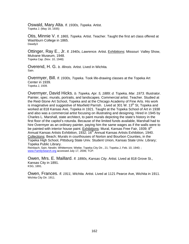Oswald, Mary Alta. *fl. 1930s, Topeka.* Artist. Topeka J. (May 18, 1935)

Otis, Minnie V. *fl. 1865, Topeka.* Artist. Teacher. Taught the first art class offered at Washburn College in 1865. Dawdy3

Ottinger, Ray E., Jr. *fl. 1940s, Lawrence.* Artist. Exhibitions: Missouri Valley Show, Mulvane Museum, 1948. Topeka Cap. (Nov. 10, 1948)

Overend, H. G. *b. Illinois.* Artist. Lived in Wichita*.* Sain.

Overmyer, Bill. *fl. 1930s, Topeka*. Took life-drawing classes at the Topeka Art Center in 1939. Topeka J, 1939.

Overmyer, David Hicks. *b. Topeka, Apr. 5, 1889; d. Topeka, Mar. 1973.* Illustrator. Painter, spec. murals, portraits, and landscapes. Commercial artist. Teacher. Studied at the Reid-Stone Art School, Topeka and at the Chicago Academy of Fine Arts. His work is imaginative and suggestive of Maxfield Parrish. Lived at 301 W.  $13<sup>th</sup>$  St, Topeka and worked at 818 Kansas Ave, Topeka in 1921. Taught at the Topeka School of Art in 1938 and also was a commercial artist focusing on illustrating and designing. Hired in 1945 by Charles L. Marshall, state architect, to paint murals depicting the state's history in the first floor of the capitol's rotunda. Because of the limited funds available, Marshall had to hire Overmyer as an ordinary painter, paying him the same wages as if the walls were to be painted with interior house paint. Exhibitions: Mural, Kansas Free Fair, 1939; 8<sup>th</sup> Annual Kansas Artists Exhibition, 1932; 16<sup>th</sup> Annual Kansas Artists Exhibition, 1940. Collections: Beach; Murals in courthouses of Norton and Bourbon Counties, in the Topeka High School, Pittsburg State Univ. Student Union, Kansas State Univ. Library; Topeka Public Library.

Reinbach; Sain; Newlin; Whittemore; Wiebe; Topeka City Dir., 21; Topeka J, Feb. 10, 1940; ; www.FamilySearch.org accessed July 17, 2006; TCP.

Owen, Mrs. E. Maillard. *fl. 1890s, Kansas City*. Artist. Lived at 818 Grove St., Kansas City in 1891. KSG, 1891.

Owen, Frances. *fl. 1911, Wichita.* Artist. Lived at 1121 Pearce Ave, Wichita in 1911. Wichita City Dir. 1911.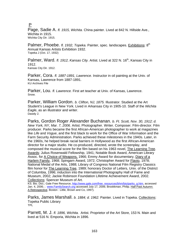P

Page, Sadie A. *fl. 1915, Wichita.* China painter. Lived at 842 N. Hillside Ave., Wichita in 1915. Wichita City Dir. 1915.

Palmer, Phoebe. *fl. 1932, Topeka.* Painter, spec. landscapes. Exhibitions: 8<sup>th</sup> Annual Kansas Artists Exhibition 1932. Topeka J (Oct. 17, 1932)

Palmer, Ward. *fl. 1912, Kansas City.* Artist. Lived at 322 N. 16<sup>th</sup>, Kansas City in 1912. Kansas City Dir. 1912.

Parker, Cora. *fl. 1887-1891, Lawrence.* Instructor in oil painting at the Univ. of Kansas, Lawrence from 1887-1891. KU Archives File

Parker, Lou. *fl. Lawrence.* First art teacher at Univ. of Kansas, Lawrence. Snow.

Parker, William Gordon. *b. Clifton, NJ, 1875.* Illustrator. Studied at the Art Student's League in New York. Lived in Arkansas City in 1905-10. Staff of the *Wichita Eagle*, as an illustrator and writer. Dawdy 2.

Parks, Gordon Roger Alexander Buchanan. *b. Ft. Scott, Nov. 30, 1912; d. New York, NY, Mar. 7, 2006.* Artist. Photographer. Writer. Composer. Film-director. Film producer. Parks became the first African-American photographer to work at magazines like *Life* and *Vogue*, and the first black to work for the Office of War Information and the Farm Security Administration. Parks achieved these milestones in the 1940s. Later, in the 1960s, he helped break racial barriers in Hollywood as the first African-American director for a major studio. He co-produced, directed, wrote the screenplay, and composed the musical score for the film based on his 1963 novel, The Learning Tree. Awards: Julius Rosenwald Fellowship, 1941; Notable Book Award, American Library Assoc. for A Choice of Weapons, 1966; Emmy Award for documentary, Diary of a Harlem Family, 1968; Spingarn Award, 1972; Christopher Award for Flavio, 1978; National Medal of the Arts, 1988; Library of Congress National Film Registry Classics film honor for The Learning Tree, 1989; honorary Doctor of Letters, Univ. of the District of Columbia, 1996; induction into the International Photography Hall of Fame and Museum, 2002; Jackie Robinson Foundation Lifetime Achievement Award, 2002. Collections: Spencer Museum of Art.

KS. Bio. Dict.; Gale Free Resource, http://www.gale.com/free\_resources/bhm/bio/parks\_g.htm, accessed Jan. 4, 2006; ; www.FamilySearch.org accessed July 17, 2006; Brookkman, Philip. Half Past Autumn: A Retrospective. Boston : Little, Brown and Co, 1997).

Parks, James Marshall. *b. 1884; d. 1962.* Painter. Lived in Topeka. Collections: Topeka Public Library TPL

Parrett, M. J. *fl. 1896, Wichita.* Artist. Proprietor of the Art Store, 153 N. Main and lived at 516 N. Emporia, Wichita in 1896.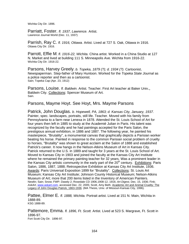Wichita City Dir. 1896.

Parriatt, Foster. *fl. 1937, Lawrence.* Artist. Lawrence Journal World (Dec. 11, 1937)

Parrish, Ray C. *fl. 1916, Ottawa.* Artist. Lived at 727 S. Oak, Ottawa in 1916. Ottawa City Dir. 1916.

Parrott, Effie M. *fl. 1916-22, Wichita.* China artist. Worked in a China Studio at 127 N. Market and lived at building 111 S. Minneapolis Ave. Wichita from 1916-22. Wichita City Dir. 1916-22.

Parsons, Harvey Greely. *b. Topeka, 1879 (?); d. 1934 (?).* Cartoonist. Newspaperman. Step-father of Mary Huntoon. Worked for the *Topeka State Journal* as a police reporter and then as a cartoonist. Sain; Topeka Cap (Apr. 23, 1912)

Parsons, Louise. *fl. Baldwin.* Artist. Teacher. First Art teacher at Baker Univ., Baldwin City. Collections: Spencer Museum of Art. Sain.

Parsons, Mayme Hoyt. See Hoyt, Mrs. Mayme Parsons

Patrick, John Douglas. *b. Hopewell, PA, 1863; d. Kansas City, January, 1937.* Painter, spec. landscapes, portraits, still life. Teacher. Moved with his family from Pennsylvania to a farm near Lenexa in 1878. Attended the St. Louis School of Art for four years then left in 1885 to study at the Academié Julian in Paris. His talent was recognized by the faculty and he had paintings accepted for the Paris Salon, the prestigious annual exhibition, in 1886 and 1887. The following year, he painted his masterpiece, "Brutality", a monumental canvas that graphically depicts a Parisian worker beating his horse. Painted in response to the common Parisian social problem of cruelty to horses, "Brutality" was shown to great acclaim at the Salon of 1888 and established Patrick's career. It now hangs in the Nelson-Atkins Museum of Art in Kansas City. Patrick returned to the U.S. in 1889 and taught for 3 years at the St. Louis School of Art. Moved to Kansas City in 1903 and joined the faculty at the Kansas City Art Institute where he remained the primary painting teacher for 32 years. Was a prominent leader in the Kansas City artistic community in the early part of the  $20<sup>th</sup>$  century. Exhibitions: Paris Salon, 1886, 1887, 1888; Retrospective Exhibition at Kansas City Art Institute, 1936. Awards: Paris Universal Exposition 1899 for "Brutality". Collections: St. Louis Art Museum; Kansas City Art Institute; Johnson County Historical Museum; Nelson-Atkins Museum of Art; more that 200 items listed in the Inventory of American Painters. Newlin; Sain; Snow; FWP; Dawdy 2; Rosedale CD 1906,1908-12, 1916; *Art Digest*, Dec. 15, 1936; Fink; *AskArt*, www.askart.com, accessed Dec. 22, 2005; Scott, Amy Beth. Academic Art and Animal Cruelty: The Legacy of John Douglas Patrick, 1863-1936. (MA Thesis, Univ. of Missouri-Kansas City, 1996).

Pattee, Elmer E. *fl. 1888, Wichita.* Portrait artist. Lived at 151 N. Main, Wichita in 1888-89. KSG 1888-89.

Pattemore, Emma. *fl. 1896, Ft. Scott.* Artist. Lived at 523 S. Margrave, Ft. Scott in 1896-97. Fort Scott City Dir. 1896-97.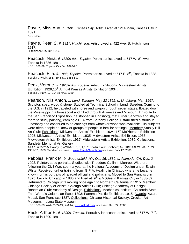Payne, Miss Ann. *fl. 1891, Kansas City.* Artist. Lived at 1214 Main, Kansas City in 1891. KSG 1891.

Payne, Pearl S. *fl. 1917, Hutchinson.* Artist. Lived at 422 Ave. B, Hutchinson in 1917. Hutchinson City Dir. 1917.

Peacock, Nina. *fl. 1880s-90s, Topeka.* Portrait artist. Lived at 517 W. 8<sup>th</sup> Ave., Topeka in 1886-1891. KSG 1888-89; Topeka City Dir. 1896-97.

Peacock, Ella. *fl. 1888, Topeka.* Portrait artist. Lived at 517 E. 8<sup>th</sup>, Topeka in 1888.<br><sub>Topeka</sub> City Dir. 1887-89; KSG 1888-89.

Peak, Verone. *fl. 1920s-30s, Topeka.* Artist. Exhibitions: Midwestern Artists' Exhibition, 1929;10<sup>th</sup> Annual Kansas Artists Exhibition 1934. Topeka J (Nov. 10, 1948); MAE 1929.

Pearson, Nils Anton. *b. Lund, Sweden, May 23,1892; d. Lindsborg, Mar. 1967.* Sculptor, spec. wood & stone. Studied at Technical School in Lund, Sweden. Coming to the U.S. in 1912, he traveled with horse and wagon through seven states, floated down the Mississippi in a houseboat and hiked through Arkansas and Missouri. En route to the San Francisco Exposition, he stopped in Lindsborg, met Birger Sandzén and stayed there to study painting, earning a BFA from Bethany College. Established a studio in Lindsborg and continued to do carvings from whatever wood was available. His subjects were often people he knew or groups of people in familiar settings. Member: Smoky Hill Art Club; Exhibitions: Midwestern Artists' Exhibition, 1924; 15<sup>th</sup> McPherson Exhibition 1925; Midwestern Artists' Exhibition, 1935; Midwestern Artists Exhibition, 1936; Midwestern Artists Exhibition, 1937; Midwestern Artists Exhibition, 1939. Collections: Sandzén Memorial Art Gallery

AAA 18/20/22/25; Dawdy 2; WWAA 1, 2, 3, 4,6-7; Newlin; Sain; Reinbach; A&C KS; AAUW; MAE 1924, 1935-37, 1939; Sandzén archives; ; www.FamilySearch.org accessed July 17, 2006.

Pebbles, Frank M. *b. Weatherfield, NY, Oct. 16, 1839; d. Alameda, CA, Dec. 2, 1928.* Painter, spec portraits. Studied with Theodore Catlin in Monroe, WI, then, following the Civil War, spent a year at the National Academy of Design under Edwin White. Received further training from G.P.A. Healing in Chicago where he became known for his portraits of railroad official and politicians. Moved to San Francisco in 1875, back to Chicago in 1880 and lived at  $9<sup>th</sup>$  & McGee in Kansas City in 1888-89. Returned to Chicago until moving once again to Northern California in 1915. Member: Chicago Society of Artists; Chicago Artists Guild; Chicago Academy of Design; Bohemian Club; Academy of Design. Exhibitions: Mechanics Institute; California State Fair; World's Columbian Expo, 1893; Panama Pacific Exhibition, 1915 Awards: Award Medal, San Francisco 1887. Collections: Chicago Historical Society; Crocker Art Museum; Indiana State Museum

KSG 1888-89; AAA 20/22/24; *AskArt*, www.askart.com, accessed Dec. 22, 2005.

Peck, Arthur E. *fl. 1890s, Topeka.* Portrait & landscape artist. Lived at 617 W. 7<sup>TH</sup>, Topeka in 1890-1891.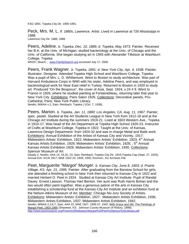KSG 1891; Topeka City Dir. 1890-1891.

Peck, Mrs. M. L. *fl. 1880s, Lawrence.* Artist. Lived in Lawrence at 726 Mississippi in 1888. Lawrence City Dir. 1886, 1888

Peers, Adeline. *b. Topeka, Dec. 10, 1889; d. Topeka, May 1973.* Painter. Received her B.A. at the Univ. of Michigan; studied bacteriology at the Univ. of Chicago and the Univ. of California. She began studying art in 1945 with Alexander Tillotson at Washburn College, Topeka

WKDC; Beach; ; www.FamilySearch.org accessed July 17, 2006.

Peers, Frank Wagner. *b. Topeka, 1891; d. New York City, Apr. 4, 1938.* Painter. Illustrator. Designer. Attended Topeka High School and Washburn College, Topeka. Was a pupil of Mrs. L. D. Whittemore. Went to Boston to study architecture. Was part of Harvard Ambulance Corps in WWI with his sister, Adeline Peers, and was employed in bacteriological work for Near East relief in Turkey. Returned to Boston in 1920 to study art. Produced "On the Bosporus", the cover of *Asia*, Sept. 1924, v.24 # 9. Went to France in 1926, where he studied painting at Fontainebleau, returning later that year to New York City. Exhibitions: Paris Salon 1926. Collections: Decorative panels, Pro-Cathedral, Paris; New York Public Library.

Newlin; WWAA v.2; Sain; Reinbach; Topeka J (Oct. 7, 1938).

Peers, Marion. *b. Topeka, Jan. 11, 1880; Los Angeles, CA, Aug. 11, 1967.* Painter, spec. pastel. Studied at the Art Students League in New York from 1912-18 and at the Chicago Art Institute during the summers 1919-21. Lived at 1603 Western Ave., Topeka in 1910-17. Was head of the Art Department at Topeka High School 1920-23. Instructor of Crafts at Washburn College, Topeka in 1922. Taught at the Univ. of Kansas, Lawrence Design Department from 1924-32 and was in charge Metal and Batik work. Exhibitions: Annual Exhibition of the Artists of Kansas City and Vicinity, 1917; Midwestern Artists' Exhibition, 1922; Midwestern Artists' Exhibition, 1923; 4<sup>th</sup> Annual Kansas Artists Exhibition, 1928; Midwestern Artists' Exhibition, 1928; ;  $5<sup>th</sup>$  Annual Kansas Artists Exhibition 1929; Midwestern Artists' Exhibition, 1930. Collections: Spencer Museum of Art

Dawdy 2; Newlin; AAA 14, 19,20, 23; Sain; Reinbach; Topeka City Dir. 1910;Topeka Cap (Sept. 27, 1920); Annual Exh. KCAI 1917; MAE 1922-23, 1928, 1930; Kovinick.; KU Archives File

Peet, Marguerite "Margot" Munger. *b. Kansas City, June 8, 1903; d. Prairie Village, KS, Apr. 21, 1995.* Painter. After graduating from the Barstow School for girls, she attended a finishing school in New York then returned to Kansas City in 1922 and married Herbert O. Peet in 1924. Studied at Kansas City Art Institute. Pupil of Randal Davey, Ernest Lawson, Thomas Hart Benton. Her aunt was Ruth Harris Bohan and the two would often paint together. Was a generous patron of the arts in Kansas City establishing a scholarship fund at the Kansas City Art Institute and an exhibition fund at the Nelson-Atkins Museum of Art. Member: Chicago No-Jury Society of Artists. Exhibitions: Midwestern Artists' Exhibition, 1927; Midwestern Artists Exhibition, 1936; Midwestern Artists Exhibition, 1937; Midwestern Artists Exhibition, 1942. Newlin; WWAA 2,3,6,7; Sain; AAA 22; MAE 1927, 1936-37, 1942; With Grace and Wit: The Paintings of Margot Peet, 1903-1995 (Shawnee, KS: Johnson County Museum of History, 1999); http://www.jocomuseum.org/Press%20Releases/Margot%20Peet%20press%20release.pdf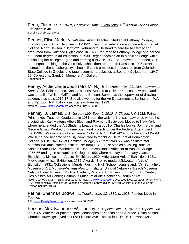Penn, Florence. *fl. 1940s, Coffeyville.* Artist. Exhibitions: 16<sup>th</sup> Annual Kansas Artist Exhibition 1940. Topeka J (Feb. 10, 1940)

Penner, Elise Marie. *b. Halstead.* Artist. Teacher*.* Studied at Bethany College, Lindsborg with Birger Sandzén in 1920-21. Taught art education and fine arts at Bethel College, North Newton in 1921-22. Returned to Halstead to care for her family and graduated from Halstead High School in 1927. Returned to Bethany College and earned a 60 hour degree in art education in 1930. Began teaching art in Medicine Lodge while continuing her college degree and earning a BFA in 1933. She moved to Portland, OR and began teaching at the Girls Polytechnic then returned to Kansas in 1935 as art instructor in the Lindsborg city schools. Earned a masters in education from Colorado State College in Greeley and taught summer art classes at Bethany College from 1947- 50. Collections: Sandzén Memorial Art Gallery Sandzén files

Penny, Addie Underwood (Mrs M. N.). *b. Lawrence, Oct. 29, 1891; Lawrence, Sept. 1985.* Painter, spec. Kansas scenes. Studied at Univ. of Kansas, Lawrence and was a pupil of William Griffith and Maria Benson. Served as the supervisor of drawing in Lawrence schools 1916-17. She also worked for the Art Department at Bellingham, WA and Rantoon, NM. Exhibitions: Kansas Free Fair 1939. Newlin; ; www.FamilySearch.org accessed July 17, 2006.

Penney, J. James. *b. St Joseph, MO, Sept. 6, 1910; d. Clinton, NY, 1982.* Painter. Printmaker. Teacher. Graduated in 1931 from the Univ. of Kansas, Lawrence where he studied with Karl Mattern, Albert Bloch and Raymond Eastwood. Moved to New York where he attended the Art Students League as a pupil of Charles Locke, John Sloan and George Grosz. Worked on numerous mural projects under the Federal Arts Project in the 1930s. Was an instructor at Hunter College, NY in 1941-42 and by the end of World War II, he had become seriously committed to teaching. He taught at Bennington College, VT in 1946-47, at Hamilton College, NY from 1948-55, was an instructor Munson-Williams-Proctor Institute, NY from 1948-55, served as a visiting- artist at Kansas State Univ., Manhattan, in 1955, as Assistant Professor at Vassar College 1955-56 and again at Hamilton College in1956 where he stayed for many years. Exhibitions: Midwestern Artists' Exhibition, 1930; Midwestern Artists' Exhibition, 1931; Midwestern Artists' Exhibition, 1932. Awards: Bronze medal, Midwestern Artists' Exhibition, 1931. Collections: Murals: Flushing High School, Long Island, NY; Springfield Museum of Art; Munson-Williams-Proctor Institute; Univ. of Nebraska; Beach Museum; Nelson-Atkins Museum; Phillips Academy; Wichita Art Museum; Ft. Worth Art Center; Des Moines Art Center; Columbus Museum of Art; Spencer Museum of Art. Newlin; WWAA 3,4,6,7; Sain; MAE 1930-32; *AskArt*, www.askart.com, accessed Dec. 22, 2005; Prior, Harris K. A Retrospective Exhibition of Paintings by James Penney. (Utica, NY: Art Gallery, Munson-Williams-Proctor Institute, 1955).

Perine, Sherman Bodwell. *b. Topeka, Mar. 13, 1880; d. 1923*. Painter. Lived in Topeka.

TPL; www.FamilySearch.org, accessed July 30, 2006

Perkins, Mrs. Katherine W. Lindsey. *b. Topeka, Dec. 21, 1871; d. Topeka, Jan. 29, 1965.* Watercolor painter, spec. landscapes of Kansas and Colorado. China painter. Charcoal drawings. Lived at 1178 Fillmore Ave, Topeka in 1916-25. Her work was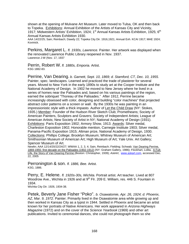shown at the opening of Mulvane Art Museum. Later moved to Tulsa, OK and then back to Topeka. Exhibitions: Annual Exhibition of the Artists of Kansas City and Vicinity, 1917; Midwestern Artists' Exhibition, 1924; 1<sup>st</sup> Annual Kansas Artists Exhibition, 1925; 6<sup>th</sup> Annual Kansas Artists Exhibition 1930.

AAA 14/22/25; Sain; Reinbach; Dawdy 22; Topeka City Dir. 1916,1921; Annual Exh. KCAI 1917; MAE 1924; Kovinick.

Perkins, Margaret L. *fl. 1930s, Lawrence.* Painter. Her artwork was displayed when the renovated Lawrence Public Library reopened in Nov. 1937. Lawrence J-W (Nov. 17, 1937

Perrin, Robert W. *fl. 1880s, Emporia.* Artist. KSG 1882-83.

Perrine, Van Dearing. *b. Garnett, Sept. 10, 1869; d. Stamford, CT, Dec. 10, 1955.* Painter, spec. landscapes. Learned and practiced the trade of plasterer for several years. Moved to New York in the early 1890s to study art at the Cooper Institute and the National Academy of Design. In 1902 he moved to New Jersey where he lived in a series of homes near the Palisades and, based on his various paintings of the region, earned the sobriquet "Thoreau of the Palisades." After 1912, Perrine became increasingly obsessed with color, designing and building "color machines" that projected abstract color patterns on a screen or wall. By the 1930s he was painting in an impressionistic style with a thick impasto. Author of Let the Child Draw (NY: Stokes, 1935.) Member: Founder of the Hudson River Sketch Club; Prometheans; Society of American Painters, Sculptors and Gravers; Society of Independent Artists; League of American Artists; New Society of Artist in NY; National Academy of Design (1931). **Exhibitions: Paris Exposition 1902; Armory Show, 1913. Awards: Silver medal,** Charleston Exposition 1902; Honorable mention, Carnegie Institute 1903; Silver medal, Panama-Pacific Exposition 1915; Altman prize, National Academy of Design, 1930. Collections: Phillips College; Brooklyn Museum; Whitney Museum of American Art; Smithsonian Museum of American Art; High Museum of Art; Yale Univ. Art Gallery; Spencer Museum of Art.

Newlin; AAA 12/14/20/22/24/27; WWAA 1, 2, 3, 4; Sain, Reinbach; Fielding; Schwab; Van Dearing Perrine, 1869-1955: first decade on the Palisades (1902-1912) (NY: Graham Gallery, 1986); Flockhart, Lolita, A Full-Life, the Story of Van Dearing Perrine (Boston: Christopher, 1939); *AskArt*, www.askart.com, accessed Dec. 22, 2005

Perronington & son. *fl. 1886, Bee.* Artist. KSG, 1886.

Perry, E. Helene. *fl. 1920s-30s, Wichita.* Portrait artist. Art teacher. Lived at 807 Woodrow Ave., Wichita in 1926 and at 9<sup>th</sup> Flr. 209 E. William, res. 446 S. Fountain in 1934.

Wichita City Dir. 1926, 1934-38.

Petek, Beverly Jane Fisher "Poko". *b. Osawatomie, Apr. 26, 1924; d. Phoenix, AZ, Mar. 9, 1972.* Painter. Primarily lived in the Osawatomie area while growing up and then worked in Kansas City as a typist in 1944. Settled in Phoenix and became an artist known for her portraits of Native Americans. Her work appeared in *Arizona Highways Magazine* (1972) and on the cover of the *Science Yearbook* (1969) and other art publications. Invited to ceremonial dances, she could not photograph them so she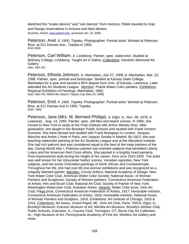sketched the "snake dances" and "rain dances" from memory. Petek traveled to Hopi and Navajo reservations in Arizona and New Mexico. Kovinick; *AskArt*, www.askart.com, accessed Jan. 15, 2006.

Peterson, Axel. *fl. 1900, Topeka.* Photographer. Portrait artist. Worked at Peterson Bros. at 511 Kansas Ave., Topeka in 1900. KSG 1900

Peterson, Carl William. *b. Lindsborg.* Painter, spec. watercolor. Studied at Bethany College, Lindsborg. Taught art in Salina. Collections: Sandzén Memorial Art Gallery Sain; A&C KS.

Peterson, Elfreda Johnson. *b. Manhattan, July 27, 1908; d. Manhattan, Mar. 22, 1998.* Painter, spec. portrait and landscape. Studied at Kansas State College, Manhattan for a year and earned a BFA degree from Univ. of Kansas, Lawrence. Later attended the Art Students League. Member: Prairie Water Color painters. Exhibitions: Regional Exhibition of Paintings, Manhattan, 1950. Sain; A&C KS; NMAA file; Beach; Topeka Cap (Mar.24, 1998)

Peterson, Emil. *fl. 1900, Topeka.* Photographer. Portrait artist. Worked at Peterson Bros. at 511 Kansas Ave in 1900, Topeka. KSG, 1900.

Peterson, Jane (Mrs. M. Bernard Philipp). *b. Elgin, IL, Nov. 28, 1876; d. Leawood, , Aug. 14, 1965.* Painter, spec. still-lifes and beach scenes. In 1865, she moved to New York to study at the Pratt Institute with Arthur Wesley Dow. After graduation, she taught in the Brooklyn Public Schools and studied with Frank Vincent Dumond. She went abroad and studied with Frank Brangwyn in London. Jacques Blanche and Andre L'Hote in Paris, and Joaquin Soralla in Madrid. By 1912, she was teaching watercolor painting at the Art Students League and at the Maryland Institute. She had rich patrons and was considered equal to the best of the male painters of the day. During World War I, Peterson painted war-oriented subjects that benefited Liberty Loans and the American Red Cross efforts. She painted in a brightly hued painterly, Post-Impressionist style during the height of her career, from circa 1910-1925. The artist was well known for her Gloucester harbor scenes, Venetian vignettes, New York subjects, and her exotic Orientalist paintings of North African and Constantinople. Throughout her life, she had over 80 one-woman exhibitions and was recognized as a uniquely talented painter. Member: Circulo Artitico; National Academy of Design; New York Water Color Club; American Water Color Society; National Assoc. of Woman Painters and Sculptures; Society of Women painters; Connecticut American Federation of Artists; Pen and Brush Club; National Art Club; Society of Painter of New York; Washington Watercolor Club; Audubon Artists. Awards: Water Color prize, Girls Art Club; Flagg prize, Connecticut American Federation of Artists, 1917; Honorable mention, Connecticut American Federation of Artists, 1916; Honorable mention, National Assoc. of Woman Painters and Sculptors, 1919. Exhibitions: Art Institute of Chicago, 1910 & 1914. Collections: Art Assoc. Grand Rapid, MI; Girls Art Club, Paris; YMCA, Elgin, IL; Brooklyn Museum; Everson Museum of Art; Wichita Art Museum; Brooklyn Athletic Club; Public Schools, Evanston, IL; Country Club, Torrington, CT; Borse City Art Collection, IA.; High Museum of Art; Pennsylvania Academy of Fine Art; Sheldon Art Gallery and more.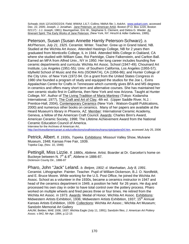Schwab; AAA 12/14/20/22/24; Field; WWAA 1,6,7; Collins; NMAA file; ); *AskArt*, www.askart.com, accessed Dec. 22, 2005; Joseph, J. Jonathan. Jane Peterson, an American Artist. Boston (P.O. Box 1220, Boston 02117) : J.J. Joseph, 1981); Baumgartner, Eric W., Stephanie S. Clement, and Debra G. Wieder. An Itinerant Spirit: The Early Works of Jane Peterson. (New York, NY: Hirschl & Adler Galleries, 1995).

Peterson, Susan (Susan Annette Harnly Peterson-Schwarz). *b. McPherson, July 21, 1925.* Ceramist. Writer. Teacher. Grew up in Grand Island, NB. Studied at the Wichita Art Assoc. Attended Hastings College, NB for 2 years then graduated from Monticello College, IL in 1944. Attended Mills College in Oakland, CA where she studied with William Gaw, Roi Partridge, Claire Falkenstein, and Carlton Ball. Earned an MFA from Alfred Univ., NY in 1950. Her long career includes founding five ceramic departments and curricula: Wichita Art Assoc. School (1947-49); Chouinard Art Institute, Los Angeles (1951-55); Univ. of Southern California, Los Angeles (1955-57); Idyllwild School of Music and the Arts (ISOMATA), CA (1956-86); and Hunter College of the City Univ. of New York (1972-94. On a grant from the United States Congress in 1980 she founded a program of study and equipped the studios for the Joe L. Evins Appalachian Centre for Crafts in Tennessee which currently gives BFA and MS degrees in ceramics and offers many short term and alternative courses. She has maintained her own ceramic studio first in California, then New York and now Arizona. Taught at Hunter College, NY. Author of The Living Tradition of Maria Martinez (Tokyo: Kodansha International, 1977), The Craft and Art of Clay, 4th ed. (Upper Saddle River, N.J. : Prentice-Hall, 2004), Contemporary Ceramics (New York : Watson-Guptill Publications, 2000) and numerous other books on ceramics. Many of her papers are available at the Heard Museum's library in Phoenix, AZ. Member: International Ceramic Academy, Geneva, a fellow of the American Craft Council. Awards: Charles Binn's Award, American Ceramic Society, 1998; The Lifetime Achievement Award from the National Ceramic Education Council of America. Interview for the Archives of American Art,

http://archivesofamericanart.si.edu/collections/oralhistories/transcripts/peters04.htm, accessed July 25, 2006

Petrick, Albert. *fl. 1930s, Topeka.* Exhibitions: Missouri Valley Show, Mulvane Museum, 1948; Kansas Free Fair, 1939. Topeka Cap, (Nov. 10, 1948)

Pettingill, Miss Lizzie. *fl. 1880s, Abilene.* Artist. Boarder at Dr. Garcelon's home on Buckeye between N.  $7<sup>th</sup>$  &  $8<sup>th</sup>$ , Abilene in 1886-87. Dickinson County Dir., 1886-87

Pharo, John "Jack" Leland. *b. Belpre, 1902; d. Manhattan, July 8, 1991.* Ceramist. Lithographer. Painter. Teacher. Pupil of William Dickerson, B.J. O. Nordfeldt, and E. Bruce Moore. While working for the U.S. Post Office, he joined the Wichita Art Assoc. School as a volunteer in the 1930s, became a ceramics instructor in 1947 and head of the ceramics department in 1949, a position he held for 26 years. He dug and processed his own clay in order to have total control over the pottery process. Pharo worked on multiple wheels and fired pieces three or four times. He retired from the Wichita Art Assoc. in 1973. Awards: Medal of Honor, Wichita Art Assoc. Exhibitions: Midwestern Artists Exhibition, 1936; Midwestern Artists Exhibition, 1937; 15<sup>th</sup> Annual Kansas Artists Exhibition, 1939. Collections: Wichita Art Assoc.; Wichita Art Museum; Sandzén Memorial Art Gallery

AAUW; Belden; MAE 1936, 1937; Wichita Eagle (July 11, 1991); Sandzén files; *J. American Art Pottery Assoc*. v.9#2, Mr-Apr. 1994, p.12-15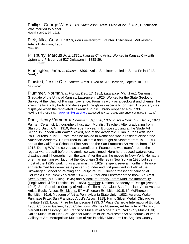Phillips, George W. *fl. 1920s, Hutchinson.* Artist. Lived at 22 3<sup>rd</sup> Ave., Hutchinson. Was married to Mabel. Hutchinson City Dir. 1923.

Pick, Alice Cary. *fl. 1930s, Fort Leavenworth.* Painter. Exhibitions: Midwestern Artists Exhibition, 1937. MAE 1937

Pillsburry, Marcus A. *fl. 1880s, Kansas City.* Artist. Worked in Kansas City with Upton and Pillsburry at 527 Delaware in 1888-89. KSG 1888-89.

Pinnington, Jane. *b. Kansas, 1896.* Artist. She later settled in Santa Fe in 1942. Dawdy 2.

Plaisted, Jessie C. *fl. Topeka.* Artist. Lived at 516 Harrison, Topeka, in 1900. KSG 1900.

Plummer, Norman. *b. Horton, Dec. 17, 1901; Lawrence, Mar. 1981*. Ceramist. Graduate of the Univ. of Kansas, Lawrence in 1925. Worked for the State Geologic Survey at the Univ. of Kansas, Lawrence. From his work as a geologist and chemist, he knew the local clay beds and developed fine glazes especially for them. His pottery was displayed when the renovated Lawrence Public Library reopened Nov. 1937. Newlin; Sain; A&C KS; ; www.FamilySearch.org accessed July 17, 2006; Lawrence J-W (Nov. 17, 1937)

Poor, Henry Varnum*. b. Chapman, Sept. 30, 1887; d. New York, NY, Dec. 8, 1970.* Painter. Ceramist. Lithographer. Illustrator. Muralist. Teacher. After graduating from Stanford Univ., CA in 1910, Poor spent a year in Europe studying at the Slade Art School in London with Walter Sickert, and at the Academié Julian in Paris with John Paul Laurens in 1911. From Paris he moved to Rome and was a resident artist at the American Academy. He returned to California and taught at Stanford from 1911-1914 and at the California School of Fine Arts and the San Francisco Art Assoc. from 1915- 1918. During WWI he served as a camofleur in France and was transferred to the regular war art staff before the armistice was signed. Here he produced watercolors, drawings and lithographs from the war. After the war, he moved to New York. He had a one-man painting exhibition at the Kevorkian Galleries in New York in 1920 but spent most of the 1920s working as a ceramist. In 1929 he spent several months in France and reclaimed his career as a painter. Founder and first president in 1946 of the Skowhegan School of Painting and Sculpture, ME. Guest professor of painting at Columbia Univ., New York from 1952-55. Author and illustrator of the book, An Artist Sees Alaska (NY: Viking, 1945) and A Book of Pottery—from Mud into Immortality (Englewood Cliffs: Prentice Hall, 1958). Member: National Academy of Design (Assoc, 1948); San Francisco Society of Artists; California Art Club; San Francisco Artist Assoc.; Artists Equity Assoc. Exhibitions: 5<sup>th</sup> McPherson Exhibition 1915; 6<sup>th</sup> McPherson Exhibition 1916; Museum of Art at Pennsylvania State Univ., 1983. Awards: Walter Purchase Prize, San Francisco Artist's Assoc. 1918; Harris Silver Medal, Chicago Art Institute 1932; Logan Prize for Landscape 1933; 3<sup>rd</sup> Prize Carnegie International Exhibit, 1933; Corcoran Gallery, 1935 Collections: Whitney Museum; Art Institute of Chicago; Garnett Public Library; San Francisco Museum of Modern Art; Radio City Music Hall; Dallas Museum of Fine Art; Spencer Museum of Art; Worcester Art Museum; Columbus Gallery of Art; Metropolitan Museum of Art; Brooklyn Museum; Los Angeles County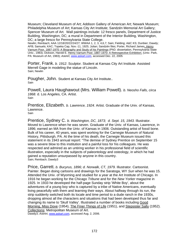Museum; Cleveland Museum of Art; Addison Gallery of American Art; Newark Museum; Philadelphia Museum of Art; Kansas City Art Institute; Sandzén Memorial Art Gallery; Spencer Museum of Art. Wall paintings include: 12 fresco panels, Department of Justice Building, Washington, DC; a mural in Department of the Interior Building, Washington, DC; a large fresco for Pennsylvania State College.

Newlin; Reinbach; AAA 12/18/20/22/24/27; WWAA 1, 2, 3, 4,6,7; Sain; Fielding; A&C KS; Dunbier; Dawdy; AFB; Samuels; KAC; Topeka Cap, Nov.-11, 1925; Julian; Sandzén files; Porter, Richard James. Henry Varnum Poor, 1887-1970: A Biography and Study of his Paintings (PhD. dissertation, Pennsylvania State Univ., 1983); Dickson, Harold E. Henry Varnum Poor, 1887-1970: A Retrospective Exhibition. (Univ. Park, PA: Museum of Art, 1983); *AskArt*, www.askart.com, accessed Dec. 22, 2005

Porter, Frank. *b. 1912*. Sculptor. Student at Kansas City Art Institute. Assisted Merrell Gage in modeling the statue of Lincoln. Sain; Newlin

Pougher, John. Student at Kansas City Art Institute.. Sain

Powell, Laura Haughawout (Mrs. William Powell). *b. Neosho Falls, circa 1868.* d. Los Angeles, CA. Artist. Sain

Prentice, Elizabeth. *b. Lawrence, 1924.* Artist. Graduate of the Univ. of Kansas, Lawrence.

Sain

Prentice, Sydney C. *b. Washington, DC, 1873; d. Sept. 15, 1943.* Illustrator. Moved to Lawrence when he was seven. Graduate of the Univ. of Kansas, Lawrence, in 1896; earned an MA from the Univ. of Kansas in 1906. Outstanding artist of fossil bone. Bulk of his career, 40 years, was spent working for the Carnegie Museum of Natural History, Pittsburgh, PA. At the time of his death, the Carnegie Museum issued this statement in its 1943 annual report: "The demise of Sydney Prentice on September 15 was a severe blow to this institution and a painful loss for his colleagues. He was respected and admired as an untiring worker in his professional field of scientific illustration, especially in the subjects of paleontology and osteology, in which he had gained a reputation unsurpassed by anyone in this country. Sain; Reinbach; Dawdy3

Price, Garrett. *b. Bucyrus, 1896; d. Norwalk, CT, 1979.* Illustrator. Cartoonist. Painter. Began doing cartoons and drawings for the Saratoga, WY *Sun* when he was 15. Attended the Univ. of Wyoming and studied for a year at the Art Institute of Chicago. In 1916 he began working for the Chicago *Tribune* and for the *New Yorker* magazine in 1925. In 1933 he developed the half-page Sunday strip 'White Boy', about the adventures of a young boy who is captured by a tribe of Native Americans, eventually living peacefully with them and learning their ways. About halfway through its run, the strip suddenly switched both its locale and time period to a dude ranch in the 1930s, dropping almost all the characters and situations that had been developed thus far and changing its name to 'Skull Valley'. Illustrated a number of books including Good Morning, Miss Dove (1954), The Finer Things of Life (1951), and Stepsister Sally (1952). Collections: Metropolitan Museum of Art.

Dawdy3; *AskArt*, www.askart.com, accessed Aug. 2, 2006.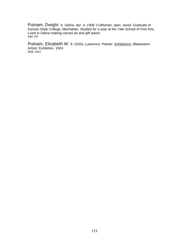Putnam, Dwight. *b. Salina, Apr. 4, 1908.* Craftsman, spec. wood. Graduate of Kansas State College, Manhattan. Studied for a year at the Yale School of Fine Arts. Lived in Salina making carved art and gift wares.<br>A&C KS

Putnam, Elizabeth W. *fl. 1920s, Lawrence. Painter. Exhibitions: Midwestern* Artists' Exhibition, 1924 MAE 1924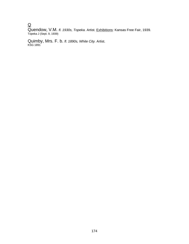## $\overline{\mathsf{Q}}$

Quendow, V.M. *fl. 1930s, Topeka.* Artist. Exhibitions: Kansas Free Fair, 1939. Topeka J (Sept. 9, 1939)

Quimby, Mrs. F. b. *fl. 1890s, White City.* Artist. KSG 1891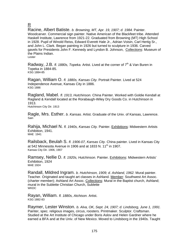## R

Racine, Albert Batiste. *b. Browning, MT, Apr. 19, 1907; d. 1984.* Painter. Woodcarver. Commercial sign painter. Native American of the Blackfeet tribe. Attended Haskell Institute, Lawrence from 1921-22. Graduated from Browning (MT) High School in 1928. Pupil of Winold Reiss, Edward Everett Hale Jr., Adrian Voisin, Carl Hertig Sr., and John L. Clark. Began painting in 1926 but turned to sculpture in 1936. Carved gavels for Presidents John F. Kennedy and Lyndon B. Johnson, Collections: Museum of the Plains Indian. Lester

Radway, J.B. *fl. 1880s, Topeka.* Artist. Lived at the corner of 7<sup>th</sup> & Van Buren in Topeka in 1884-85. KSG 1884-85

Ragan, William O. *fl. 1880s, Kansas City.* Portrait Painter. Lived at 524 Independence Avenue, Kansas City in 1886. KSG 1886

Ragland, Mabel. *fl. 1913, Hutchinson.* China Painter. Worked with Goldie Kendall at Ragland & Kendall located at the Rorabaugh-Wiley Dry Goods Co. in Hutchinson in 1913.

Hutchinson City Dir. 1913

Ragle, Mrs. Esther. *b. Kansas.* Artist. Graduate of the Univ. of Kansas, Lawrence.<br><sub>Sain</sub>

Rahija, Michael N. *fl. 1940s, Kansas City.* Painter. Exhibitions: Midwestern Artists Exhibition, 1941. MAE 1941

Railsback, Beulah S. *fl. 1906-07, Kansas City.* China painter. Lived in Kansas City at 542 Minnesota Avenue in 1906 and at 1833 N. 11<sup>th</sup> in 1907.<br>Kansas City Dir. 1906, 1907

Ramsey, Nellie D. *fl. 1920s, Hutchinson.* Painter. Exhibitions: Midwestern Artists' Exhibition, 1924 MAE 1924

Randall, Mildred Ingram. *b. Hutchinson, 1909; d. Ashland, 1962.* Mural painter. Teacher. Originated and taught art classes in Ashland. Member: Southwest Art Assoc. (charter member); Ashland Art Assoc. Collections: Mural in the Baptist church, Ashland; mural in the Sublette Christian Church, Sublette **WKDC** 

Rayan, William. *fl. 1880s, Atchison.* Artist.<br>KSG 1882-83

Raymer, Lester Winston. *b. Alva, OK, Sept. 24, 1907; d. Lindsborg, June 1, 1991.*  Painter, spec. religious images, circus, roosters. Printmaker. Sculptor. Craftsman. Studied at the Art Institute of Chicago under Boris Aslov and Helen Gardner where he earned a BFA and at the Univ. of New Mexico. Moved to Lindsborg in the 1940s. Taught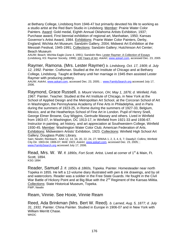at Bethany College, Lindsborg from 1946-47 but primarily devoted his life to working as a studio artist at the Red Barn Studio in Lindsborg. Member: Prairie Water Color Painters. Award: Gold medal, Eighth Annual Oklahoma Artists Exhibition, 1937; Purchase award, First biennial exhibition of regional art, Manhattan, 1950; Kansas Governor's Artist Award, 1984. Exhibitions: Prairie Water Color Painters, Derby, England; Wichita Art Museum; Sandzén Gallery, 2004; Midwest Art Exhibition at the Messiah Festival, 1945-1991; Collections: Sandzén Gallery; Hutchinson Art Center; Beach Museum

AAUW; Beach; Wichita Eagle (June 4, 1991); Sandzén files; Lester Raymer: A Collection of Essays (Lindsborg, KS: Raymer Society, 1998); 100 Years of Art; *AskArt*, www.askart.com, accessed Dec. 23, 2005

Raymer, Ramona. (Mrs. Lester Raymer) *b. Lindsborg, Oct. 17, 1909; d. July 12, 1992.* Painter. Craftsman. Studied at the Art Institute of Chicago and at Bethany College, Lindsborg. Taught at Bethany until her marriage in 1945 then assisted Lester Raymer with producing pottery.

AAUW; *AskArt*, www.askart.com, accessed Dec. 23, 2005; ; www.FamilySearch.org accessed July 17, 2006.

Raymond, Grace Russell. *b. Mount Vernon, OH, May 1, 1876; d. Winfield, Feb. 1967.* Painter. Teacher. Studied at the Art Institute of Chicago, in New York at the School of Applied Design and the Metropolitan Art School, at the Corcoran School of Art in Washington, the Pennsylvania Academy of Fine Arts in Philadelphia, and in Paris during the summers of 1923-25, in Rome during the summers of 1927-33, Belgium, Mexico, and at the Heatherleys School of Fine Art in London. Pupil of Henry Snell, George Elmer Browne, Guy Wiggins, Gertrude Massey and others. Lived in Winfield from 1903-07, in Washington, DC 1913-17, in Winfield from 1921-33 and 1936-67. Instructor in painting, art history, and art appreciation at Southwestern College, Winfield 1930-45. Member: Washington Water Color Club; American Federation of Arts. Exhibitions: Midwestern Artists' Exhibition, 1923. Collections: Winfield High School Art Gallery; Douglass Public Library.

Sain; Newlin; Reinbach; AAA 12, 14, 18, 20, 22, 24, 27; WWAA 1, 2, 3, 4, 6, 7; Dawdy2; Collins; Winfield City Dir. 1903-04; 1906-07; MAE 1923; *AskArt*, www.askart.com, accessed Dec. 23, 2005; ; www.FamilySearch.org accessed July 17, 2006.

Read, Mrs. W. W. *fl. 1890s, Fort Scott.* Artist*.* Lived at corner of 1st & Main, Ft. Scott, 1894. KSG 1894

Reader, Samuel J. *fl. 1850s & 1860s, Topeka.* Painter. Homesteader near north Topeka in 1855. He left a 12-volume diary illustrated with pen & ink drawings, and by oil and watercolors. Reader was a soldier in the Free State Guards. He fought in the Civil War Battle of Hickory Point and at Big Blue with the 2<sup>nd</sup> Regiment of the Kansas Militia. Collections: State Historical Museum, Topeka. FWP; Newlin

Ream, Vinnie. See Hoxie, Vinnie Ream

Reed, Ada Brinkman (Mrs. Bert W. Reed). *b. Larned, Aug. 5, 1877; d. July 31, 1931.* Painter. China Painter. Studied in Europe in 1906-07 and in New York with William Merritt Chase. WKDC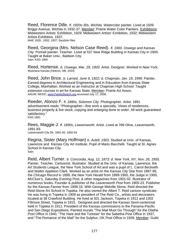Reed, Florence Dille. *fl. 1920s-30s, Wichita.* Watercolor painter. Lived at 1509 Briggs Avenue, Wichita in 1932-37. Member: Prairie Water Color Painters. Exhibitions: Midwestern Artists' Exhibition, 1929; Midwestern Artists' Exhibition, 1932; Midwestern Artists Exhibition, 1937. MAE 1929, 1932, 1937; Sandzén files

Reed, Georgina (Mrs. Nelson Case Reed). *fl. 1900, Oswego and Kansas City.* Portrait painter. Teacher. Lived at 537 New Ridge Building in Kansas City in 1900. Taught at Baker Univ., Baldwin City. Sain; KSG 1900

Reed, Hortense. *b. Oswego, Mar. 29, 1903.* Artist. Designer. Worked in New York. Illustriana Kansas (Hebron, NB, 1933)

Reed, John Brice. *b. Larned, June 9, 1922; d. Chapman, Jan. 19, 1999.* Painter. Earned degrees in Architectural Engineering and in Education from Kansas State College, Manhattan. Worked as an instructor at Chapman High School. Taught extension courses in art for Kansas State. Member: Prairie Art Assoc.<br>AAUW; WKDC; www.FamilySearch.org accessed July 17, 2006.

Reeder, Alonzo F. *fl. 1890s, Solomon City.* Photographer. Artist. 1891 advertisement reads: "Photographer—fine work a specialty. Views of residences, business property & live stock, copying and enlarging done to order. All work guaranteed satisfactory." KSG 1891

Rees, Maggie J. *fl. 1890s, Leavenworth.* Artist. Lived at 768 Olive, Leavenworth, 1891-93. Leavenworth City Dir. 1891-92, 1892-93

Regina, Sister (Mary Hoffman) *b. Axtell, 1903.* Studied at Univ. of Kansas, Lawrence and Kansas City Art Institute. Pupil of Mario Bacchelli. Taught at St. Agnes School in Kansas City. Sain

Reid, Albert Turner. *b. Concordia, Aug. 12, 1873; d. New York, NY, Nov. 26, 1955.*  Painter. Teacher. Cartoonist. Illustrator. Studied at the Univ. of Kansas, Lawrence, the Art Students League, the New York School of Art and was a pupil of L. Carrol Beckwith and Walter Appleton Clark. Worked as an artist on the *Kansas City Star* from 1897-99, the *Chicago Record* in 1899, the *New York Herald* from 1899-1900, the *Judge* in 1900, *McClure's, Saturday Evening Post,* & other magazines from 1901-02. Illustrator of numerous books. Founder & publisher of the *Leavenworth Post* from 1905-23. Publisher for the *Kansas Farmer* from 1908-16. With George Melville Stone, Reid directed the Reid-Stone Art School in Topeka. He also owned the Albert T. Reid cartoon syndicate. He was living in Topeka in 1909 as president of The Reid Co., artists and decorators located at 38 Crawford Building. He lived at 501 Jackson, Topeka in 1912 and 1302 Fillmore Street, Topeka in 1915. Designed and directed the Kansas Semi-centennial held in Topeka in 1911. President of the Kansas commissions to the Panama-Pacific and San Diego Expositions. Painted murals "The Mail Must Go Through" for the Olathe Post Office in 1940, "The Hare and the Tortoise" for the Sabetha Post Office in 1937, and "The Romance of the Mail" for the Sulphur, OK Post Office in 1939. Member: Guild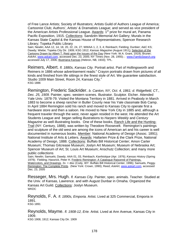of Free Lance Artists; Society of Illustrators; Artists Guild of Authors League of America; Cartoonist Club; Authors', Artists' & Dramatists League; and served as vice president of the American Artists Professional League. Awards: 1<sup>st</sup> prize for mural art, Panama Pacific Exposition, 1915. Collections: Sandzén Memorial Art Gallery; Murals in the Kansas State Capitol & the Kansas House of Representatives; Spencer Research Library; Topeka Public Library

Sain; Newlin; AAA 12, 14, 18, 20, 22, 24, 27; WWAA 1, 2, 3, 4; Reinbach; Fielding; Dunbier; A&C KS; Dawdy; Wiebe; Topeka City Dir. 1909; KSG 1912; *Kansas Magazine* (August 1911); Selection of the Cartoons Drawn by Albert T. Reid upon the Issues of the Day (New York: W.A. Grant, 1919); Bruner; *AskArt*, www.askart.com, accessed Dec. 23, 2005; NY Times (Nov. 28, 1955); ; www.FamilySearch.org accessed July 17, 2006; Illustriana Kansas (Hebron, NB, 1933); TPL.

Reimers, Albert. *fl. 1880s, Kansas City.* Portrait artist. Part of Hollingsworth and Reimers in 1886 whose advertisement reads:" Crayon portraits drawn from pictures of all kinds and finished from life sittings in the finest style of Art. We guarantee satisfaction. Studio 1009 Main Street, Room 24, Kansas City." KSG 1886

Remington, Frederic Sackrider. *b. Canton, NY, Oct. 4, 1861; d. Ridgefield, CT., Dec. 25, 1909.* Painter, spec. western scenes. Illustrator. Sculptor. Etcher. Attended Yale Univ. 1878-79. Visited the Montana Territory in 1881. Arrived in Peabody in March 1883 to become a sheep rancher in Butler County near his Yale classmate Bob Camp. In April 1884 Remington sold his ranch and moved to Kansas City to operate first a hardware store and then a saloon. He moved to New York City in 1885 and, although a frequent traveler through the west, never again resided in the west. He attended the Art Students League and began selling illustrations to *Harpers Weekly* and *Century Magazine* as well illustrating books. One of these books, Ranch Life and the Hunting-Trail (NY: Century, 1888), was written by Theodore Roosevelt. Remington's paintings and sculpture of the old west are among the icons of American art and his career is well documented in numerous books. Member: National Academy of Design (Assoc. 1891); National Institute of Arts & Letters. Awards: Hallarten Prize & the Clark Prize, National Academy of Design, 1888. Collections: Buffalo Bill Historical Center; Amon Carter Museum; Thomas Gilcrease Museum; Joslyn Art Museum; Museum of Nebraska Art; Spencer Museum of Art; St. Louis Art Museum; Anschutz Collection; and many more public collections

Sain; Newlin; Samuels; Dawdy; AAA 01, 03, Reinbach; *Kanhistique* (Apr. 1976); *Kansas History* (Spring 1979); Fielding; Hassrick, Peter H. Frederic Remington: A Catalogue Raisonné of Paintings, Watercolors, and Drawings. 2v. + disc (Cody, WY: Buffalo Bill Historical Center, 1996); Samuels, Peggy. Remington: The Complete Prints. (New York: Crown, 1990); Reed; *AskArt*, www.askart.com, accessed Dec. 23, 2005

Resseger, Mrs. Hugh. *fl. Kansas City.* Painter, spec. animals. Teacher. Studied at the Univ. of Kansas, Lawrence. and with August Dunbar in Omaha. Organized the Kansas Art Guild. Collections: Joslyn Museum.<br>WKDC

Reynolds, F. A. *fl. 1890s, Emporia.* Artist. Lived at 325 Commercial, Emporia in 1891. KSG 1891

Reynolds, Mayme. *fl. 1908-12, Erie.* Artist. Lived at Ann Avenue, Kansas City in 1909.

KSG 1908, 1912; Kansas City Dir. 1909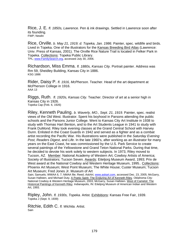Rice, J. E. *fl. 1850s, Lawrence.* Pen & ink drawings. Settled in Lawrence soon after its founding. FWP; Newlin

Rice, Orville. *b. May 21, 1919; d. Topeka, Jan. 1986*. Painter, spec. wildlife and birds. Lived in Topeka. One of the illustrators for the Kansas Breeding Bird Atlas (Lawrence: Univ. Press of Kansas, 2001). The Orville Rice Nature Trail is located in Felker Park in Topeka. Collections: Topeka Public Library. TPL; www.FamilySearch.org, accessed July 30, 2006.

Richardson, Miss Emma. *fl. 1880s, Kansas City.* Portrait painter. Address was Rm 59, Sheidley Building, Kansas City in 1886. KSG 1886

Rider, Daisy P. *fl. 1916, McPherson.* Teacher. Head of the art department at McPherson College in 1916. AAA 13

Riggs, Ruth. *fl. 1920s, Kansas City.* Teacher. Director of art at a senior high in Kansas City in 1926. Topeka Cap (Feb. 6, 1926)

Riley, Kenneth Pauling. *b. Waverly, MO., Sept. 21, 1919.* Painter, spec. realist views of the Old West. Illustrator. Spent his boyhood in Parsons attending the public schools and the Parsons Junior College. Went to Kansas City Art Institute in 1938 to study with Thomas Hart Benton, and to the Art Students League in 1941 to study with Frank DuMond. Riley took evening classes at the Grand Central School with Harvey Dunn. Enlisted in the Coast Guards in 1942 and served as a fighter and as a combat artist recording the Pacific War. His illustrations were published in the *Saturday Evening Post, Readers Digest*, and *Life*. In the late 1960's, after working as an illustrator for many years on the East Coast, he was commissioned by the U.S. Park Service to create several paintings of the Yellowstone and Grand Teton National Parks. During that time, he decided to devote his work solely to western subjects. In 1973, Riley moved to Tucson, AZ. Member: National Academy of Western Art; Cowboy Artists of America; Society of Illustrators; Tucson Seven. Awards: Eiteljorg Museum Award, 1993; Prix de West award at the National Cowboy and Western Heritage Museum, 1995.. Collections: Phoenix Art Museum; West Point Museum; The White House; Custer Museum; Tucson Art Museum; Fred Jones Jr. Museum of Art

Sain; Samuels; WWAA 6, 7; NMAA file; Reed; *AskArt*, www.askart.com, accessed Dec. 23, 2005; McGarry, Susan Hallsten, and Michael Duty. A Poetic Spirit: The Enduring Art of Kenneth Riley. Oklahoma City: National Cowboy & Western Heritage Museum, 2003; McGarry, Susan Hallsten. West of Camelot: The Historical Paintings of Kenneth Riley. Indianapolis, IN: Eiteljorg Museum of American Indian and Western Art, 1993.

Ripley, John. *fl. 1930s, Topeka.* Artist. Exhibitions: Kansas Free Fair, 1939. Topeka J (Sept. 9, 1939)

Ritchie, Edith C. *fl. Wichita.* Artist. **Sain**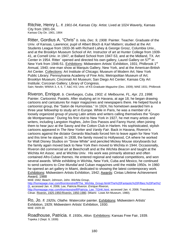Ritchie, Henry L. *fl. 1901-04, Kansas City.* Artist. Lived at 1024 Waverly, Kansas City from 1901-04. Kansas City Dir. 1901, 1904

Ritter, Gordius A. "Chris" *b. Iola, Dec. 9, 1908.* Painter. Teacher. Graduate of the Univ. of Kansas, Lawrence; pupil of Albert Bloch & Karl Mattern; studied at the Art Students League from 1933-36 with Richard Lahey & George Grosz, Columbia Univ., and at the Brooklyn Museum School of Art. Instructor of art at Hunter College from 1939- 41, at Cornell Univ. in 1947, at Ballard School from 1947-53, and at the Midland, TX. Art Center in 1954. Ritter` opened and directed his own gallery, Laurel Gallery on  $57<sup>th</sup>$  in New York from 1946-51. Exhibitions: Midwestern Artists' Exhibition, 1931; Philbrook 1st Annual, 1940; one-man show at Marquis Gallery, New York, and at the American-British Art Center. Collections: Art Institute of Chicago; Museum of Modern Art; New York Public Library; Pennsylvania Academy of Fine Arts; Metropolitan Museum of Art; Brooklyn Museum; Cincinnati Art Museum; San Diego Art Center; Kansas City Art Institute; Corcoran Gallery; Library of Congress.

Sain; Newlin; WWAA 3, 4, 6, 7; A&C KS; Univ. of KS *Graduate Magazine* (Dec. 1939); MAE 1931; Philbrook

Riveron, Enrique. *b. Cienfuegos, Cuba, 1902; d. Melbourne, FL, Apr. 23, 1998.*  Painter. Cartoonist. Pastels. After studying art in Havana, at age 18, he began drawing cartoons and caricatures for major magazines and newspapers there. He helped found a cartoonist group, the "Salon de Humoristas." In 1924, his hometown awarded him a three year fellowship to study art in Europe. While in Paris, he was a member of a loosely organized group of young Latin artists and writers calling themselves the "Grupo de Montparnasse." During his first visit to New York in 1927, he met many artists and writers, including Langston Hughes, John Dos Passos and Fanny Hurst; often joining them to hear jazz at the Savoy and the Cotton Club in Harlem. His sophisticated, stylish cartoons appeared in *The New Yorker* and *Vanity Fair*. Back in Havana, Riveron's cartoons against the dictator Gerardo Machado forced him to leave again for New York and this time he stayed. In 1938, the family moved to Hollywood, CA where he worked for Walt Disney Studios on "Snow White" and penciled Mickey Mouse storyboards but the family again moved back to New York then moved to Wichita in 1944. Occasionally, Riveron did commercial art at Beechcraft and at the *Wichita Beacon* and taught at the Wichita Art Assoc. and at Wichita Univ. His work was primarily abstract and often contained Afro-Cuban themes. He entered regional and national competitions, and won several awards. While exhibiting in Wichita, New York, Cuba and Mexico, he continued to send cartoons to *Cine Mundial* and Cuban magazines until the middle 1950s. In 1960 he opened an art gallery in Miami, dedicated to showing the latest contemporary work. Exhibitions: Midwestern Artists Exhibition, 1942; Awards: Cintas Lifetime Achievement Award, 1988

MAE 1942; Beach; Johnson, John. *Wichita Group*,

http://homepage.mac.com/thorntonstreiff/The\_Wichita\_Group.html#The%20Fantastic%20Fifties:%20Part%2 0I, accessed Jan. 4, 2006; Lee, Patricia Riveron. *Enrique Riveron,* http://homepage.mac.com/thorntonstreiff/Patricia\_Lee\_TGHK.html, accessed Jan. 4, 2006; Trasobares, César. Riverón, 1925-1950:Riverón, 1950-1980. (Miami: Lowe Art Museum, 1980).

Ro, Jo. *fl. 1920s, Olathe.* Watercolor painter. Exhibitions: Midwestern Artists' Exhibition, 1929; Midwestern Artists' Exhibition, 1930. MAE 1929-30

Roadhouse, Patricia. *fl. 1930s, Alton.* Exhibitions: Kansas Free Fair, 1939. Topeka J (Sept. 9, 1939)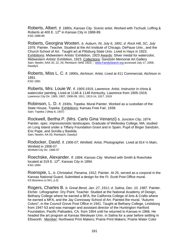Roberts, Albert. *fl. 1880s, Kansas City.* Scenic artist. Worked with Tschudi, Loffing & Roberts at 400 E.  $12<sup>th</sup>$  in Kansas City in 1888-89. KSG 1888-89

Roberts, Georgina Wooten. *b. Auburn, IN, July 6, 1891; d. Rock Hill, SC, July 1976.* Painter. Teacher. Studied at the Art Institute of Chicago, DePauw Univ., and the Church School of Art. Taught art at Pittsburg State Univ. Lived in Hays in 1923. Exhibitions: Midwestern Artists' Exhibition, 1923 Awards: Silver medal for watercolor, Midwestern Artists' Exhibition, 1923. Collections: Sandzén Memorial Art Gallery Sain; Newlin; AAA 20, 22, 25; Reinbach; MAE 1923; ; www.FamilySearch.org accessed July 17, 2006; Dawdy3.

Roberts, Miss L. C. *fl. 1890s, Atchison.* Artist. Lived at 411 Commercial, Atchison in 1891. KSG 1891

Roberts, Mrs. Louie W. *fl. 1905-1919, Lawrence.* Artist. Instructor in china & watercolor painting. Lived at 1146 & 1148 Kentucky, Lawrence from 1905-1919. Lawrence City Dir. 1905, 1907, 1908-09, 1911, 1913-14, 1917, 1919

Robinson, L. D. *fl. 1930s, Topeka.* Mural Painter. Worked as a custodian of the State House, Topeka. Exhibitions: Kansas Free Fair, 1939. Sain; Topeka J (May 8, 1937)

Rockwell, Bertha P. (Mrs. Carlo Gina Venanzi) *b. Junction City, 1874.*  Painter, spec. impressionistic landscapes. Graduate of Wellesley College, MA; studied on Long Island under a Tiffany Foundation Grant and in Spain. Pupil of Birger Sandzén, Eric Pape, and Sorolla y Bastida. Sain; Newlin; AA 03; Reinbach; Dawdy2

Rodocker, David. *fl. 1906-07, Winfield.* Artist. Photographer. Lived at 814 ½ Main, Winfield in 1906-07. Winfield City Dir. 1906-07

Roechske, Alexander. *fl. 1894, Kansas City.* Worked with Smith & Roechske located at 319 E.  $12<sup>th</sup>$ , Kansas City in 1894. KSG 1894

Roenspie, L. *b. Christabol, Panama, 1912.* Painter. At 25, served as a corporal in the Kansas National Guard. Submitted a design for the Ft. Scott Post Office mural. *KS Business* (v.5#1, p.3)

Rogers, Charles B. *b. Great Bend, Jan. 27, 1911; d. Salina, Dec. 10, 1987.* Painter. Etcher. Lithographer. Dry Point. Teacher. Studied at the National Academy of Design, Bethany College where he earned a BFA, the California College of Arts & Crafts where he earned a MFA, and the Jay Connoway School of Art. Painted the mural, "Autumn Colors", in the Council Grove Post Office in 1941. Taught at Bethany College, Lindsborg from 1947-53 and was manager and assistant director of the Huntington Hartford Foundation, Pacific Palisades, CA. from 1954 until he returned to Kansas in 1966. He headed the art program at Kansas Wesleyan Univ. in Salina for a year before settling in Ellsworth. Member: Northwest Print Makers; Prairie Print Makers; Prairie Water Color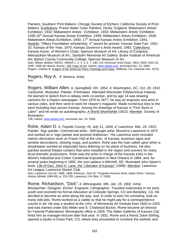Painters; Southern Print Makers; Chicago Society of Etchers; California Society of Print Makers. Exhibitions: Prairie Water Color Painters, Derby, England; Midwestern Artists' Exhibition, 1932; Midwestern Artists' Exhibition, 1933; Midwestern Artists' Exhibition, 1935;15<sup>th</sup> Annual Kansas Artists Exhibition, 1939; Midwestern Artists Exhibition, 1939; Midwestern Artists Exhibition, 1940;  $17<sup>th</sup>$  Annual Kansas Artists Exhibition, 1941; Awards: Tiffany Foundation scholarship; 1<sup>st</sup> award for portrait, Kansas State Fair, 1931-32; Kansas of the Year, 1970; Kansas Governor's Artist Award, 1983. Collections: Kansas Assoc. of Women's Clubs; Spencer Museum of Art; Library of Congress; Metropolitan Museum of Art.; Sandzén Memorial Art Gallery; Butler Institute of American Art; Barton County Community College; Spencer Museum of Art. Sain; Wiebe; Belden; WKDC; WWAA 1, 2, 3, 4, 6, 7; A&C KS; *American Artist* (Sept. 1961); MAE 1932-33, 1935, 1939-40; Beach; Bruner; 100 Years of Art*; AskArt*, www.askart.com, accessed Dec. 23, 2005; Rogers, Charles B. *Images of the American West: Paintings and Haiku. (Millbrae, CA: Celestial Arts, 1975).* 

Rogers, Roy A. *fl. Seneca.* Artist. Sain<sup>1</sup>

Rogers, William Allen. *b. Springfield, OH, 1854; d. Washington, DC, Oct. 20, 1931.*  Cartoonist. Illustrator. Painter. Printmaker. Attended Worcester Polytechnical Institute. He learned to sketch from a railway clerk co-worker, and by age 14 was drawing cartoons for a Dayton newspaper. From 1870 to 1877, he was an engraver and artist in various cities, and then went to work for *Harper's* magazine. Made numerous trips to the west including trips across Kansas. Among his drawings of Kansas is "First Store in Lakin" and he wrote an autobiography, A World Worthwhile (1922). Member: Society of Illustrators.

Taft; *AskArt*, www.askart.com, accessed Jan. 19, 2006.

Rohe, Adam D. *b. Fayette County, IN, July 11, 1844; d. Lawrence, Mar. 24, 1923.*  Painter. Sign painter. Commercial artist. Self-taught artist. Moved to Lawrence in 1872 and worked as a "sign painter and pictorial draftsman." His Lawrence work included interior decorative work on Fraser Hall at the Univ. of Kansas, business signs and window decorations, shaving mugs, and posters. Rohe was the man called upon when a shopkeeper wanted an especially fancy lettering on his place of business. He also painted several theatre curtains that were installed in the region and scenery for many local dramatic productions. Rohe was the artist in charge of the Kansas entry in the World's Industrial and Cotton Centennial Exposition in New Orleans in 1884, and, for several years beginning in 1892, the corn palace in Mitchell, SD. Illustrated John Speer's book, Life of Gen. John H. Lane, the "Liberator of Kansas" (1896). Member: Lawrence Art League; Lawrence Sketch Club

Sain; Lawrence City Dir. 1886, 1888; Peterson, John M. "Forgotten Kansas Artist, Adam Rohe." *Kansas History* (Winter 1994-95), p. 220-235; Lawrence J-W (Mar. 3, 1938)

## Rome, Richardson, "Dick". *b. Minneapolis, MN, Jan. 15, 1902*. Artist.

Blockprinter. Designer. Etcher. Engraver. Lithographer. Traveled extensively in his early youth and received his formal education at Colorado Springs, CO and Berkeley, CA. He decided to become an artist along the way, and, in order to earn his schooling, took on many odd jobs. Rome worked as a caddy so that he might pay for a correspondence course in art. He was a student at the Univ. of Minnesota Art Institute from 1920 to 1925, and was trained under Ella Witter and S. Chatwood Burton. Rome became art director for Fawcett Publications' Minneapolis office in 1929. The Alden Galleries of Kansas City hired him as manager-lecturer later that year. In 1931, Rome and a friend, Dave Stirling, opened a studio in Estes Park, CO, where they proceeded to combine the esthetic and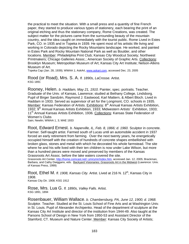the practical to meet the situation. With a small press and a quantity of fine French paper, they started to produce various types of stationery, each bearing the print of an original etching and thus the stationary company, Rome Creations, was created. The subject matter for the pictures came from the surrounding beauty of the mountain country, and the idea caught on immediately with the tourist public. Rome Lived in Estes Park, CO. in 1935 and in Topeka in 1939. He spent most of his artistic life living and working in Colorado depicting the Rocky Mountains landscape. He worked, and painted in Estes Park and Rocky Mountain National Park as well as Boulder, and other locations. Member: Philadelphia Print Club; Kansas City Woodcut Society; Northwest Printmakers; Chicago Galleries Assoc.; American Society of Graphic Arts. Collections: Brooklyn Museum; Metropolitan Museum of Art; Kansas City Art Institute; Nelson-Atkins Museum of Art.

Topeka Cap (Jan. 28, 1939); WWAA 1; AskArt, www.askart.com, accessed Dec. 23, 2005

Rood (or Road), Mrs. S. A. *fl. 1890s, LaCrosse.* Artist. KSG 1891

Rooney, Helen. *b. Haddam, May 21, 1910.* Painter, spec. portraits. Teacher. Graduate of the Univ. of Kansas, Lawrence; studied at Bethany College, Lindsborg. Pupil of Birger Sandzén, Raymond J. Eastwood, Karl Mattern, & Albert Bloch. Lived in Haddam in 1933. Served as supervisor of art for the Longmont, CO. schools in 1935. Member: Kansas Federation of Artists. Exhibitions: 8<sup>th</sup> Annual Kansas Artists Exhibition, 1932;  $9<sup>th</sup>$  Annual Kansas Artists Exhibition, 1933; Midwestern Artists' Exhibition, 1933; 11<sup>th</sup> Annual Kansas Artists Exhibition, 1936. Collections: Kansas State Federation of Women's Clubs Sain; Newlin; WWAA 1, 3; MAE 1933

Root, Edward Ernest. *b. Naperville, IL, Feb. 8, 1866; d. 1960.* Sculptor in concrete. Farmer. Self-taught artist. Farmed south of Lucas until an automobile accident in 1937 forced an early retirement from farming. Over the next twenty years, he energetically occupied himself with the creation of hundreds of concrete shapes embellished with broken glass, stones and metal with which he decorated his whole farmstead. The site where he and his wife lived with their ten children is now under Lake Wilson, but more than a hundred pieces were moved and preserved by members of the Kansas Grassroots Art Assoc. before the lake waters covered the site.

Grassroots Art Center, http://home.comcast.net/~ymirymir/index.htm, accessed Jan. 12, 2005; Brackman, Barbara, and Cathy Dwiggans, eds. Backyard Visionaries: Grassroots Art in the Midwest (Lawrence: Univ. of Kansas Press, 1999)

Root, Ethel M. *fl. 1908, Kansas City.* Artist. Lived at 216 N. 12<sup>th</sup>, Kansas City in 1908. Kansas City Dir. 1908; KSG 1912

Rose, Mrs. Lua G. *fl. 1890s, Valley Falls.* Artist. KSG 1891, 1894

Rosenbauer, William Wallace. *b. Chambersburg, PA, June 12, 1900; d. 1968.* Sculptor. Teacher. Studied at the St. Louis School of Fine Arts and at Washington Univ. in St. Louis. Pupil of Alexander Archipenko. Head of the department of sculpture at the Kansas City Art Institute and director of the institution from 1944-49. Also taught at the Parsons School of Design in New York from 1950-53 and Assistant Director of the Stamford, CT. Museum and Nature Center. Member: Kansas City Society of Artists;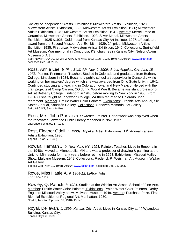Society of Independent Artists. Exhibitions: Midwestern Artists' Exhibition, 1923; Midwestern Artists' Exhibition, 1925; Midwestern Artists Exhibition, 1936; Midwestern Artists Exhibition, 1940; Midwestern Artists Exhibition, 1941. Awards: Merrell Prize of Ceramics, Midwestern Artists' Exhibition, 1923; Silver Medal, Midwestern Artists' Exhibition, 1925 & 1926; Gold medal from Kansas City Art Institute, 1927; 1<sup>st</sup> sculpture award from the Second Missouri Art Exhibit in 1929; 2<sup>nd</sup> prize, Midwestern Artists Exhibition,1935; First prize, Midwestern Artists Exhibition, 1940. Collections: Springfield Art Museum; War memorial in Concordia, KS; churches in Kansas City; Nelson-Atkins Museum of Art

Sain; Newlin' AAA 20, 22, 24; WWAA 6, 7; MAE 1923, 1925, 1936, 1940-41; *AskArt*, www.askart.com, accessed Dec. 23, 2005

Ross, Annie Lee. *b. Pine Bluff, AR, Nov. 9, 1909; d. Los Angeles, CA, June 15, 1978.* Painter. Printmaker. Teacher. Studied in Colorado and graduated from Bethany College, Lindsborg in 1934. Became a public school art supervisor in Concordia while working on her masters' degree which she was awarded from Ohio State Univ. in 1941. Continued studying and teaching in Colorado, Iowa, and New Mexico. Helped with the craft projects at Camp Carson, CO during World War II. Became assistant professor of Art at Bethany College, Lindsborg in 1945 before moving to New York in 1950. From 1951-71 she taught at Longwood College, VA then returned to Colorado upon retirement. Member: Prairie Water Color Painters. Exhibitions: Graphic Arts Annual, Six States Annual, Sandzén Gallery. Collections: Sandzén Memorial Art Gallery Sain; A&C KS; Sandzén files

Ross, Mrs. John P. *fl. 1930s, Lawrence.* Painter. Her artwork was displayed when the renovated Lawrence Public Library reopened in Nov. 1937. Lawrence J-W (Nov. 17, 1937

Rost, Eleanor Odell. *fl. 1930s, Topeka.* Artist. Exhibitions: 11<sup>th</sup> Annual Kansas Artists Exhibition, 1936. Topeka J (Jan. 7, 1936)

Rowan, Herman J. *b. New York, NY, 1923.* Painter. Teacher. Lived in Emporia in the 1940s. Moved to Minneapolis, MN and was a professor of drawing & painting at the Univ. of Minnesota for many years before retiring in 1993. Exhibitions: Missouri Valley Show, Mulvane Museum, 1948. Collections: Frederick R. Weisman Art Museum; Walker Art Gallery

Topeka Cap (Nov. 10, 1948); *AskArt*, www.askart.com, accessed Dec. 23, 2005

Rowe, Miss Hattie A. *fl. 1904-12, LeRoy.* Artist. KSG 1904, 1912

Rowley, Q. Patrick. *b. 1924.* Studied at the Wichita Art Assoc. School of Fine Arts. Member: Prairie Water Color Painters. Exhibitions: Prairie Water Color Painters, Derby, England; Missouri Valley show, Mulvane Museum,1948. Awards: Purchase Prize, First Biennial Exhibition of Regional Art, Manhattan, 1950. Newlin; Topeka Cap (Nov. 10, 1948); Beach

Royal, Dellavan. *fl. 1899, Kansas City.* Artist. Lived in Kansas City at 44 Wyandotte Building, Kansas City. Kansas City Dir. 1899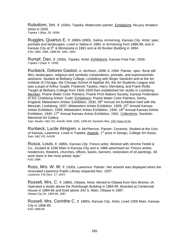Rubottom, Ion. *fl. 1930s, Topeka.* Watercolor painter. Exhibitions: No-jury Amateur show in 1939. Topeka J (May, 29, 1939)

Ruggles, Quartus E. *fl. 1880s-1890s, Salina, Armstrong, Kansas City.* Artist, spec. portraits and landscapes. Lived in Salina in 1880, in Armstrong from 1886-89, and in Kansas City at 5<sup>th</sup> & Minnesota in 1891 and at 40 Bunker Building in 1894. KSG 1880, 1886, 1888-89, 1891, 1894

Rumpf, Dan. *fl. 1930s, Topeka.* Artist. Exhibitions: Kansas Free Fair, 1939. Topeka J (Sept. 9, 1939)

Runbeck, Dolores Gaston. *b. Atchison, 1898; d. 1994.* Painter, spec. floral still lifes, landscapes, religious and symbolic compositions, portraits, and expressionistic abstracts. Studied at Bethany College, Lindsborg with Birger Sandzén and at the Art Institute of Chicago, the Chicago School of Applied Art, the Art Students League and was a pupil of Arthur Guptill, Frederick Taubes, Harry Sternberg, and Frank Reilly. Taught at Bethany College from 1926-1929 then established her studio in Lindsborg. Member: Prairie Water Color Painters; Prairie Print Makers Society; Kansas Federation of Art; Lindsborg Artists' Guild. Exhibitions: Prairie Water Color Painters, Derby, England; Midwestern Artists' Exhibition, 1930; 39<sup>th</sup> Annual Art Exhibition held with the Messiah, Lindsborg, 1937; Midwestern Artists Exhibition, 1939; 15<sup>th</sup> Annual Kansas Artists Exhibition, 1939; Midwestern Artists Exhibition, 1940; 16<sup>th</sup> Annual Kansas Artists Exhibition, 1940; 17<sup>th</sup> Annual Kansas Artists Exhibition, 1941. Collections: Sandzén Memorial Art Gallery

Sain; Newlin; A&C KS; AAUW; MAE 1930, 1939-40; Sandzén files; 100 Years of Art

Runbeck, Lucile Almgren. *b. McPherson.* Painter. Ceramist. Studied at the Univ. of Kansas, Lawrence. Lived in Topeka. Awards: 1<sup>st</sup> prize in Design, College Art Assoc. Sain; A&C KS; AAUW

Rusca, Louis. *fl. 1880s, Kansas City.* Fresco artist. Worked with Jerome Fedeli & Co., located at 1036 Main in Kansas City and in 1886 advertised as" Fresco artists, residences, theatres, churches, offices, banks, banners, restoration of oil paintings. All work done in the most artistic style." KSG 1886

Russ, Mrs. W. W. *fl. 1930s, Lawrence.* Painter. Her artwork was displayed when the renovated Lawrence Public Library reopened Nov. 1937. Lawrence J-W (Nov. 17, 1937)

Russell, Mrs. C. *fl. 1880s, Ottawa.* Artist. Moved to Ottawa from Des Moines, IA. Operated a studio above the Rohrbaugh Building in 1884-95. Boarded at Centennial House in 1884-85 and lived above 342 S. Main, Ottawa in 1887. Ottawa City Dir. 1884-85, 1887

Russell, Mrs. Corinthe C. *fl. 1880s, Kansas City.* Artist. Lived 1006 Main, Kansas City in 1888-89. KSG 1888-89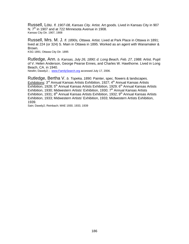Russell, Lou. *fl. 1907-08, Kansas City.* Artist. Art goods. Lived in Kansas City in 907 N. 7<sup>th</sup> in 1907 and at 722 Minnesota Avenue in 1908. Kansas City Dir. 1907, 1908

Russell, Mrs. M. J. *fl. 1890s, Ottawa.* Artist. Lived at Park Place in Ottawa in 1891; lived at 224 (or 324) S. Main in Ottawa in 1895. Worked as an agent with Wanamaker & Brown.

KSG 1891; Ottawa City Dir. 1895

Rutledge, Ann. *b. Kansas, July 26, 1890; d. Long Beach, Feb. 27, 1988.* Artist. Pupil of V. Helen Anderson, George Pearse Ennes, and Charles W. Hawthorne. Lived in Long Beach, CA. in 1940.

Newlin; Dawdy2; ; www.FamilySearch.org accessed July 17, 2006.

Rutledge, Bertha V. *b. Topeka, 1890.* Painter, spec. flowers & landscapes. Exhibitions: 3rd Annual Kansas Artists Exhibition, 1927; 4th Annual Kansas Artists  $\overline{\text{Exhibition}}$ , 1928; 5<sup>th</sup> Annual Kansas Artists Exhibition, 1929; 6<sup>th</sup> Annual Kansas Artists Exhibition, 1930; Midwestern Artists' Exhibition, 1930;  $7<sup>th</sup>$  Annual Kansas Artists Exhibition, 1931;  $8<sup>th</sup>$  Annual Kansas Artists Exhibition, 1932;  $9<sup>th</sup>$  Annual Kansas Artists Exhibition, 1933; Midwestern Artists' Exhibition, 1933; Midwestern Artists Exhibition, 1939.

Sain; Dawdy2; Reinbach; MAE 1930, 1933, 1939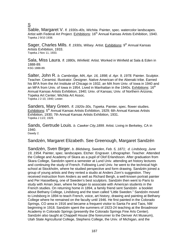## S

Sable, Margaret V. *fl. 1930s-40s, Wichita.* Painter, spec. watercolor landscapes. Artist with Federal Art Project. Exhibitions: 16<sup>th</sup> Annual Kansas Artists Exhibition, 1940. Topeka J 9/10 1938.

Sager, Charles Mills. *fl. 1930s, Wilsey.* Artist. Exhibitions: 9<sup>th</sup> Annual Kansas Artists Exhibition, 1933. Topeka J Nov 11, 1933.

Sala, Miss Laura. *fl. 1880s, Winfield.* Artist. Worked in Winfield at Sala & Eden in 1888-89. KSG 1888-89.

Salter, John R. *b. Cambridge, MA, Apr. 16, 1898; d. Apr. 9, 1978.* Painter. Sculptor. Teacher. Ceramist. Illustrator. Designer. Native American of the Abenaki tribe. Earned his BFA from the Art Institute of Chicago in 1932, an MA from Univ. of Iowa in 1940 and an MFA from Univ. of Iowa in 1954. Lived in Manhattan in the 1940s. Exhibitions:  $16<sup>th</sup>$ Annual Kansas Artists Exhibition, 1940; Univ. of Kansas; Univ. of Northern Arizona; Topeka Art Center; Wichita Art Assoc. Topeka J 2-10, 1940; Lester.

Sanders, Mary Green. *fl. 1920s-30s, Topeka.* Painter, spec. flower studies. Exhibitions: 5<sup>th</sup> Annual Kansas Artists Exhibition, 1929; 6th Annual Kansas Artists Exhibition, 1930; 7th Annual Kansas Artists Exhibition, 1931. Topeka J 11/2, 1929.

Sands, Gertrude Louis. *b. Cawker City,1899.* Artist. Living in Berkeley, CA in 1940.

Dawdy 2.

Sandzén, Margaret Elizabeth. See Greenough, Margaret Sandzén

Sandzén, Sven Birger. *b. Blidsberg, Sweden, Feb. 5, 1871; d. Lindsborg, June 19, 1954.* Painter, spec. landscapes. Etcher. Engraver. Lithographer. Teacher. Attended the College and Academy of Skara as a pupil of Olof Erlandsson. After graduation from Skara College, Sandzén spent a semester at Lund Univ. attending art history lectures and continuing the study of French. Following Lund Univ. he went to the technical high school at Stockholm, where he studied perspective and form drawing. Sandzén joined a group of young artists and they rented a studio at Anders Zorn's suggestion. They received instruction from Anders as well as Richard Bergh, a well-known portrait painter and Per Hasselberg, one of Sweden's best sculptors. Sandzén then went to Paris to study with Aman Jean, where he began to associate with American students in the French studies. On returning home in 1894, a family friend sent Sandzén a booklet about Bethany College, Lindsborg and the town called "Little Sweden." Sandzén moved to Lindsborg in 1894 to teach French, voice, art history, drawing and painting at Bethany College where he remained on the faculty until 1946. He first painted in the Colorado Springs, CO area in 1916 and became a frequent visitor to Santa Fe and Taos, NM beginning in 1918. Sandzén spent the summers of 1923-24 teaching at the Broadmoor Academy in Colorado Springs (presently the Colorado Springs Fine Arts Center). Sandzén also taught at Chappell House (the forerunner to the Denver Art Museum), Utah State Agricultural College, Stephens College, the Univ. of Michigan, and the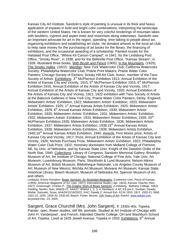Kansas City Art Institute. Sandzén's style of painting is unusual in its thick and heavy application of impasto in bold and bright color combinations, interpreting the landscape of the western United States. He is known for very colorful renderings of mountain lakes with boulders, cypress and aspen trees and moonrises along waterways. Sandzén was an important advocate for art in the region, spending time talking to people about art, organizing exhibitions and establishing art clubs. He donated artwork to the local art club to help raise money for the purchasing of art books for the library, the financing of exhibitions, and the occasional awarding of a scholarship. Painted murals for the Halstead Post Office, "Where Kit Carson Camped", in 1941, for the Lindsborg Post Office, "Smoky River", in 1938, and for the Belleville Post Office, "Kansas Stream", in 1939. Illustrated three books, With Brush and Pencil (1905), In the Mountains*,* (1925), The Smoky Valley*,* (1922). Member: New York Watercolor Club; California Watercolor Society; Philadelphia Watercolor Club; Prairie Print Makers; Prairie Water Color Painters; Chicago Society of Etchers; Smoky Hill Art Club; Assoc. member of the Taos Society of Artists. Exhibitions: 3<sup>rd</sup> McPherson Exhibition 1913; Annual Exhibition of the Artists of Kansas City and Vicinity, 1915;  $5<sup>th</sup>$  McPherson Exhibition 1915;  $6<sup>th</sup>$  McPherson Exhibition 1916; Annual Exhibition of the Artists of Kansas City and Vicinity, 1917; Annual Exhibition of the Artists of Kansas City and Vicinity, 1920; Annual Exhibition of the Artists of Kansas City and Vicinity, 1921; 1922 exhibition with Taos Society of Artists at the Babcock Galleries in New York City; Prairie Water Color Painters, Derby, England; Midwestern Artists' Exhibition, 1922; Midwestern Artists' Exhibition, 1923; Midwestern Artists' Exhibition, 1925; 1<sup>st</sup> Annual Kansas Artists Exhibition, 1925; Midwestern Artists' Exhibition, 1929;  $6<sup>th</sup>$  Annual Kansas Artists Exhibition, 1930; Midwestern Artists' Exhibition, 1930; Midwestern Artists' Exhibition, 1931; Midwestern Artists' Exhibition, 1932; Midwestern Artists' Exhibition, 1933; Midwestern Artists' Exhibition, 1935; 25<sup>th</sup> McPherson Exhibition 1935; Midwestern Artists Exhibition, 1936; Midwestern Artists Exhibition, 1937; Midwestern Artists Exhibition, 1938;15<sup>th</sup> Annual Kansas Artists Exhibition, 1939; Midwestern Artists Exhibition, 1939; Midwestern Artists Exhibition, 1940;16<sup>th</sup> Annual Kansas Artists Exhibition, 1940. Awards: First Moore prize, Artists of Kansas City and Vicinity, 1917; Prize, Annual Exhibition of the Artists of Kansas City and Vicinity, 1920; Nichols Purchase Prize, Midwestern Artists' Exhibition, 1922; Philadelphia Water Color Club Prize, 1922; Honorary doctorates from Midland College of Fremont, NE, by Univ. of Nebraska, and by Kansas State Univ. Knight of the Swedish Order of the North Star, 1940. Collections: Library of Congress; Sandzén Memorial Gallery; Brooklyn Museum of Art; Art Institute of Chicago; National College of Fine Arts; Yale Univ. Art Museum; Luxembourg Museum, Paris; Stockholm & Lund Museums; Nelson-Atkins Museum of Art; British Museum; Bibliotheque Nationale; Los Angeles County Museum of Art; Museum of New Mexico; Wichita Art Museum; Mulvane Art Museum; Kansas State Historical Library; Beach Museum; Museum of Nebraska Art; Spencer Museum of Art, and others

Lindquist, Emory Kempton. Birger Sandzén: An Illustrated Biography*.* (Lawrence Univ. Press of Kansas, c1993); *American Magazine of Art,* (Jan. 1927); *International Studio (* Apr. 1923); *Kansas Teacher (*Nov. 1927); Greenough, Charles P. The Graphic Work of Birger Sandzén*.* (Lindsborg : Bethany College, 1952); Fielding; Newlin; Sain; WW26-27; AAA27; WWAA 1, 2, 3, 4; Reinbach; A &C KS por il.; Dunbier; Dawdy; Wiebe; Samuels; Snow; AAA24/12/18/20/22; KAC; Dawdy 2; Annual Exh. KCAI 1915, 1917, 1920-21; MAE 1922-23, 1925. 1929-33, 1935-40; Beach; Porter; Bruner; 100 Years of Art*; AskArt*, www.askart.com, accessed Dec. 23, 2005

Sargent, Grace Churchill (Mrs. John Sargent). *fl. 1930s-40s, Topeka.*  Painter, spec. flower studies, still life, portraits. Studied at Art Institute of Chicago with John H. Vanderpoel , and French; Attended Oberlin College, OH and Washburn School of Art, Topeka. Lived at 1625 Jewell Avenue, Topeka in 1933. Exhibitions:  $6<sup>th</sup>$  Annual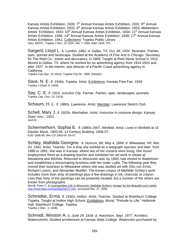Kansas Artists Exhibition, 1930; 7<sup>th</sup> Annual Kansas Artists Exhibition, 1931; 8<sup>th</sup> Annual Kansas Artists Exhibition, 1932;  $9<sup>th</sup>$  Annual Kansas Artists Exhibition, 1933; Midwestern Artists' Exhibition, 1933; 10<sup>th</sup> Annual Kansas Artists Exhibition, 1934; 11<sup>th</sup> Annual Kansas Artists Exhibition, 1936; 14<sup>th</sup> Annual Kansas Artists Exhibition, 1938; 17<sup>th</sup> Annual Kansas Artists Exhibition, 1941. Collections: Topeka Public Library Sain; WKDC; Topeka J Nov. 10 1934; Jan. 7 1936; MAE 1933; TPL.

Sargent, Lloyd L. *b. Lyndon, 1881; d. Dallas, TX, Oct. 28, 1934.* Illustrator. Painter, spec. portrait and landscape. Studied at the Academy of Fine Arts in Chicago. Secretary for The Reid Co., artists and decorators, in 1909. Taught at Reid-Stone School in 1912. Moved to Dallas, TX where he worked for an advertising agency from 1914-1924 and after 1927. In the interim, was director of a Pacific Coast advertising agency in California.

Topeka Cap (Apr. 23 1912); Topeka City Dir. 1909; Dawdy3.

Saxe, N. E. *fl. 1930s, Topeka.* Artist. Exhibitions: Kansas Free Fair, 1939. Topeka J (Sept. 9, 1939).

Say, C. E. *fl. 1919, Junction City.* Farmer. Painter, spec. landscapes, portraits. Topeka Cap. (Jan. 23, 1919).

Schaum, H. L. *fl. 1880s, Lawrence.* Artist. Member: Lawrence Sketch Club

Schell, Mary J. *fl. 1920s, Manhattan.* Artist. Instructor in costume design, Kansas State Univ., 1922. AAA19.

Schermerhorn, Sophia E. *fl. 1880s-1907, Winfield.* Artist. Lived in Winfield at 10 Dauber Block, 1903-04; 12 Century Building, 1906-07. KSG 1888-89; Win CD 1903-04, 06-07.

Schley, Mathilda Georgine*. b. Horicon, WI, May 4, 1884; d. Milwaukee, WI, Mar. 20, 1941.* Artist. Teacher. For a time she worked as a telegraph operator and later, from 1888 to 1891, she was in Kansas, where two of her cousins were living. She found employment there as a drawing teacher and exhibited her art work in shows at Neodesha and Wichita. Returned to Wisconsin and, by 1893, had moved to Watertown and established a dressmaking business with her sister Lydia. The following year they moved their business to Milwaukee where she was studied art with Otto von Ernst, Richard Lorenz, and Alexander Mueller. The known corpus of Mathilde Schley's work includes more than sixty oil paintings plus a few drawings in ink, charcoal, or crayon. Less than forty of the paintings can be presently located, but a number of the others are known from photographs.

Merrill, Peter C. A Cosmopolitan Life in Wisconsin: Mathilde Schley's Hunger for the Beautiful and Useful*,*  http://www.tfaoi.com/aa/3aa/3aa71.htm, accessed Dec. 27, 2005.

Schmidler, Erma. *fl. 1930s, Holton.* Artist. Teacher. Studied at Washburn College, Topeka. Taught at Holton High School. Exhibitions: Mural, "Prelude to Life," Holbrook Hall, Washburn College, Topeka. Topeka J (Dec. 3, 1936)

Schmidt, Winston A. *b. June 24, 1918; d. Hutchison, Sept. 1977.* Architect. Watercolorist. Studied architecture at Kansas State College. Watercolor purchased by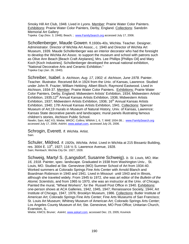Smoky Hill Art Club, 1948. Lived in Lyons. Member: Prairie Water Color Painters. Exhibitions: Prairie Water Color Painters, Derby, England. Collections: Sandzén Memorial Art Gallery

Topeka Cap (Nov. 3, 1948); Beach; ; www.FamilySearch.org accessed July 17, 2006.

Schollenberger, Maude Gowen. fl.1930s-40s, Wichita. Teacher. Designer. Administrator. Director of Wichita Art Assoc., c. 1940 and Director of Wichita Art Museum, 1939. Maude Schollenberger was an interior decorator who had the foresight to develop the Wichita Art Assoc. to support the museum and school with patrons such as Olive Ann Beach [Beach Craft Airplanes], Mrs. Lee Phillips [Phillips Oil] and Mary Koch [Koch Industries]. Schollenberger developed the annual national exhibition, "National Decorative Arts and Ceramic Exhibition." Topeka Cap (Jan. 26, 1940).

Schreiber, Isabel. *b. Atchison, Aug. 17, 1902; d. Atchison, June 1978.* Painter. Teacher. Illustrator. Received BA in 1924 from the Univ. of Kansas, Lawrence. Studied under John R. Frazier; William Hekking; Albert Bloch; Raymond Eastwood. Lived in Atchison, 1934-37. Member: Prairie Water Color Painters. Exhibitions: Prairie Water Color Painters, Derby, England; Midwestern Artists' Exhibition, 1934; Midwestern Artists' Exhibition, 1935;12<sup>th</sup> Annual Kansas Artists Exhibition, 1936; Midwestern Artists Exhibition, 1937; Midwestern Artists Exhibition, 1936; 16<sup>th</sup> Annual Kansas Artists Exhibition, 1940; 17th Annual Kansas Artists Exhibition, 1941. Collections: Spencer Museum of Art;19 murals in Museum of Natural History, Univ. of Kansas, Lawrence; Kansas State decorative panels and landscapes; mural panels illustrating famous children's stories, Atchison Public School.

Newlin; Sain; A&C KS; Wiebe; WKDC; Collins; WWAA 1, 6, 7; MAE 1934-38; ; www.FamilySearch.org accessed July 17, 2006; *AskArt*, www.askart.com, accessed July 25, 2006.

Schrogin, Everett. *fl. Wichita.* Artist. Sain.

Schuler, Mildred. *fl. 1920s, Wichita.* Artist. Lived in Wichita at 215 Bissantz Building, res. 3004 E. 13th, 1927; 116 ½ S. Lawrence Avenue, 1928. Sain; Reinbach; Wichita City Dir. 1927, 1928.

Schweig, Martyl S. (Langsdorf, Susanne Schweig). *b. St. Louis, MO, Mar. 16, 1918.* Painter, spec. landscape. Graduated in 1938 from Washington Univ., St. Louis, MO. Studied at Ste. Genevieve (MO) Summer School of Art from 1934-40. Worked summers at Colorado Springs Fine Arts Center with Arnold Blanch and Boardman Robinson in 1940 and 1941. Lived in Missouri until 1943 and in Illinois, although she traveled widely. From 1945 to 1972, she was art editor of the *Bulletin of the Atomic Scientists*, and from 1965 to 1970, she was an instructor at the Univ. of Chicago. Painted the mural, "Wheat Workers", for the Russell Post Office in 1940. Exhibitions: one-person shows at ACA Galleries, 1942, 1945, 1947; Renaissance Society, 1944; Art Institute of Chicago, 1947, 1976; Brooklyn Museum, 1986. Collections: Butler Institute of American Art; Colorado Springs Fine Arts Center; Fine Arts Museums of San Francisco; St. Louis Art Museum; Whitney Museum of American Art; Colorado Springs Arts Center; Los Angeles County Museum of Art; Ste. Genevieve, MO Post Office; Unitarian Church, Evanston, IL.

Wiebe; KMCS; Bruner; *AskArt*, www.askart.com, accessed Dec. 23, 2005; Kovinick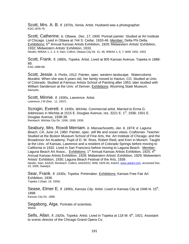Scott, Mrs. A. B. *fl. 1870s, Xenia.* Artist. Husband was a photographer. KSG 1878-79.

Scott, Catherine. *b. Ottawa, Dec. 17, 1900.* Portrait painter. Studied at Art Institute of Chicago. Lived in Ottawa at 744 S. Cedar, 1933-46. Member: Delta Phi Delta. Exhibitions: 5<sup>th</sup> Annual Kansas Artists Exhibition, 1929; Midwestern Artists' Exhibition, 1932; Midwestern Artists' Exhibition, 1933. Newlin; WWAA 1, 2, 3, 4; Sain; Collins; Ottawa City Dir. 41, 46; WWAA 1, 6, 7; MAE 1932, 1933

Scott, Frank. *fl. 1880s, Topeka.* Artist. Lived at 805 Kansas Avenue, Topeka in 1888- 89.

KSG 1888-89.

Scott, Jessie. *b. Portis, 1912.* Painter, spec. western landscape. Watercolorist. Muralist. When she was 6 years old, her family moved to Haxtun, CO. Studied at Univ. of Colorado. Studied at Famous Artists School of Painting after 1953, later studied with William Sanderson at the Univ. of Denver. **Exhibitions: Wyoming State Museum.** Samuels.

Scott, Minnie. *fl. 1930s, Lawrence.* Artist. Lawrence J W (Dec. 11, 1937).

Scrogin, Everett. *fl. 1930s, Wichita.* Commercial artist. Married to Erma G. Addresses in Wichita at 1515 E. Douglas Avenue, res. 3221 E. 1<sup>st</sup>, 1936; 1501 E. Douglas Avenue, 1938-39. Reinbach; Wichita City Dir. 1936, 1938, 1939.

Seabury, Mrs. Roxoli Merriam. *b. Massachusetts, Jan. 6, 1874; d. Laguna Beach, CA, June 14, 1960.* Painter, spec. still life and ocean views. Craftsman. Teacher. Studied at the Boston Museum School of Fine Arts, the Art Institute of Chicago, and the Broadmoor Art Academy. Pupil of D. W. Ross, Robert Reid, and Knirr in Munich. Taught at the Univ. of Kansas, Lawrence and a resident of Colorado Springs before moving to California in 1932. Lived in San Francisco before moving to Laguna Beach. Member: Laguna Beach Art Assoc.. Exhibitions: 1<sup>st</sup> Annual Kansas Artists Exhibition, 1925; 4<sup>th</sup> Annual Kansas Artists Exhibition, 1928; Midwestern Artists' Exhibition, 1929; Midwestern Artists' Exhibition, 1930; Laguna Beach Festival of the Arts, 1939. Newlin; Sain; AAA25; Reinbach; Collins; AAA20/22, MAE 1929-30; *AskArt*, www.askart.com, accessed Dec. 23, 2005; Dawdy3.

Sear, Frank. *fl. 1930s, Topeka.* Printmaker. Exhibitions: Kansas Free Fair Art Exhibition, 1936. Topeka J (Sept. 19, 1936).

Sease, Elmer E. *fl. 1890s, Kansas City.* Artist. Lived in Kansas City at 1946 N. 15<sup>th</sup>, 1898. Kansas City Dir. 1898.

Segaborg, Alga. Portraits of scientists. Wiebe.

Sells, Allan. *fl. 1920s, Topeka.* Artist. Lived in Topeka at 118 W. 6<sup>th</sup>, 1921. Assistant to scenic director of the Chicago Grand Opera Co.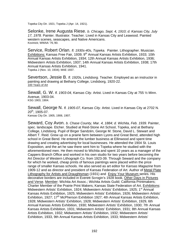Topeka City Dir. 1921; Topeka J (Apr. 14, 1921).

Selonke, Irene Augusta Riese. *b. Chicago, Sept. 4, 1910; d. Kansas City, July 17, 1978.* Painter. Illustrator. Teacher. Lived in Kansas City and Leawood. Painted western scenes, seascapes, and Native Americans. Kovinick; WWAA '76,'80.

Service, Robert Orlan. *fl. 1930s-40s, Topeka.* Painter. Lithographer. Musician. Exhibitions: Kansas Free Fair, 1939; 9<sup>th</sup> Annual Kansas Artists Exhibition, 1933; 10th Annual Kansas Artists Exhibition, 1934; 12th Annual Kansas Artists Exhibition, 1936; Midwestern Artists Exhibition, 1937; 14th Annual Kansas Artists Exhibition, 1938; 17th Annual Kansas Artists Exhibition, 1941. Topeka J (Nov. 10, 1934); MAE 1937.

Severtson, Jessie B. *fl. 1920s, Lindsborg.* Teacher. Employed as an instructor in painting and drawing at Bethany College, Lindsborg, 1920-22. 100 Years of Art

Sewall, G. W. *fl. 1903-04, Kansas City.* Artist. Lived in Kansas City at 755 ½ Minn. Avenue, 1903-04. KSG 1903, 1904.

Sewall, George N. *fl. 1905-07, Kansas City.* Artist. Lived in Kansas City at 2702 N.  $20^{th}$ , 1905-07. Kansas City Dir. 1905, 1906, 1907.

Seward, Coy Avon. *b. Chase County, Mar. 4, 1884; d. Wichita, Feb. 1939.* Painter, spec. landscape. Etcher. Studied at Reid-Stone Art School, Topeka, and at Bethany College, Lindsborg. Pupil of Birger Sandzén, George M. Stone, David L. Stewart and Albert T. Reid. Grew up on a prairie farm between Lyons and Great Bend, attended high school in Great Bend. He entered the lumber business at Ellinwood and spent time drawing and creating advertising for local businesses. He attended the 1904 St. Louis Exposition, and the art he saw there sent him to Topeka where he studied with the aforementioned men. He then moved to Wichita and spent 10 years as a manager of the Cappers Branch Office and worked in his own studio for two years before becoming the Art Director of Western Lithograph Co. from 1923-39. Through Seward and the company for which he worked, cheap prints of famous paintings were placed within the price range of smaller Kansas schools. He also served as art editor for *Kansas Magazine* from 1909-12 and as director and president of Kansas Federation of Art. Author of Metal Plate Lithography for Artists and Draughtsman (1931) and Enjoy Your Museum series. His decorative borders are included in Everett Scrogin's 1928 book, Other Days in Pictures and Verse. Member: Wichita Art Assoc.; Wichita Artists Guild; California Printmakers; Charter Member of the Prairie Print Makers; Kansas State Federation of Art. Exhibitions: Midwestern Artists' Exhibition, 1924; Midwestern Artists' Exhibition, 1925; 1<sup>st</sup> Annual Kansas Artists Exhibition, 1925; Midwestern Artists' Exhibition, 1926; Midwestern Artists' Exhibition, 1927; 17<sup>th</sup> McPherson Exhibition 1927; 4th Annual Kansas Artists Exhibition, 1928; Midwestern Artists' Exhibition, 1928; Midwestern Artists' Exhibition, 1929, 6th Annual Kansas Artists Exhibition, 1930; Midwestern Artists' Exhibition, 1930; 7th Annual Kansas Artists Exhibition, 1931; Midwestern Artists' Exhibition, 1931; 8th Annual Kansas Artists Exhibition, 1932; Midwestern Artists' Exhibition, 1932; Midwestern Artists' Exhibition, 1933, 9th Annual Kansas Artists Exhibition, 1933; Midwestern Artists'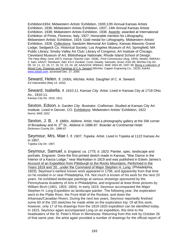Exhibition1934; Midwestern Artists' Exhibition, 1935;12th Annual Kansas Artists Exhibition, 1936; Midwestern Artists Exhibition, 1937; 14th Annual Kansas Artists Exhibition, 1938; Midwestern Artists Exhibition, 1938. Awards: awarded at International Exhibition of Prints, Florence, Italy, 1927; Honorable mention for Lithography, Midwestern Artists' Exhibition, 1924; Gold medal for Lithography, Midwestern Artists' Exhibition, 1928. Collections: Sandzén Memorial Art Gallery; Kansas Masonic Grand Lodge; Sedgwick Co. Historical Society; Los Angeles Museum of Art; Springfield, MA Public Library; Smoky Valley Art Club; Library of Congress; Art Institute of Chicago; Cleveland Museum of Art; Bibliotheque Nationale; Rhode Island School of Design. *The Harp (*May–June 1927)*; Kansas Teacher (*Jan. 1928),*; Print Connoisseur (*Aug. 1925); Newlin; WWAA1- 2; Sain; AAA27; Reinbach; A&C KS il; Dunbier; Cone; Dawdy; Samuels; Snow; KSG 08; Wichita City Dir. 09, 10, 11, 12, 16, 17, 18, 22, 23, 24, 28; AAA22/24; WWAA1; MAE 1924-35, 1937-38; Being a collection of Wood Cuts, Drawings and Paintings of C.A. Seward (Wichita: Capper Engraving Co., 1923); *AskArt*, www.askart.com, accessed Dec. 27, 2005

Seward, Helen. *fl. 1930s, Wichita*. Artist. Daughter of C. A. Seward. *KS Industrialist* (May 14, 1932)

Seward, Isabella. *fl. 1910-11, Kansas City.* Artist. Lived in Kansas City at 1718 Ohio Av., 1910-11. Kansas City Dir. 1910, 1911.

Sexton, Edson. *b. Garden City.* Illustrator. Craftsman. Studied at Kansas City Art Institute. Lived in Denver, CO. Exhibitions: Midwestern Artists' Exhibition, 1922 Norris; MAE 1922

Sexton, J. B. . *fl. 1880s, Abilene.* Artist. Had a photography gallery at the SW corner of Broadway and N. 3<sup>rd</sup> St., Abilene in 1886-87. Boarder at Continental Hotel Dickinson County Dir., 1886-87

Seymour, Mrs. Mae I. *fl. 1907, Topeka*. Artist. Lived in Topeka at 1122 Kansas Av. in 1907.

Topeka City Dir. 1907.

Seymour, Samuel. *b. England, ca. 1775; d. 1823*. Painter, spec. landscape and portraits. Engraver. Drew the first printed sketch made in Kansas, "War Dance in the Interior of a Kanza Lodge," near Manhattan in 1819 and was published in Edwin James's Account of an Expedition from Pittsburgh to the Rocky Mountains, Performed in the Years 1819 and '20...under the Command of Major Stephen H. Long. (Philadelphia, 1823). Seymour's earliest known work appeared in 1796, and apparently from that time on he resided in or near Philadelphia, PA. Not much is known of his work for the next 20 years. He exhibited landscape paintings at various showings sponsored by the Pennsylvania Academy of Arts in Philadelphia, and engraved at least three pictures by William Birch (1801, 1803, 1804). In early 1819, Seymour accompanied the Major Stephen H. Long Expedition as landscape painter. The following year, the exploration went to the Platte River, the Front Wall of the Rockies, and down the Arkansas/Canadian Rivers. During the next two years, Seymour reportedly finished some 60 of the 150 sketches he made while on the exploration trip. Of all this work, however, only 17 of his drawings from the 1819-1820 expedition can be identified today. In 1823, Seymour again accompanied Long on an expedition, this time to the headwaters of the St. Peter's River in Minnesota. Returning from this trek by October 26 of that same year, the artist again provided a number of drawings for the official report of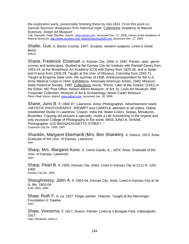the exploration party, presumably finishing these by mid-1824. From this point on, Samuel Seymour disappears from historical sight. Collections: Academy of Natural Sciences; Joslyn Art Museum

Taft; Samuels; Field; Stauffer; *AskArt*, www.askart.com, accessed Dec. 27, 2005; Library of the Academy of Natural Sciences, http://www.acnatsci.org/~spamer/seymour820.xml, accessed Dec. 27, 2005

Shafer, Gus. *b. Barton County, 1907*. Sculptor, western subjects. Lived in Great Bend KMCS.

Shane, Frederick Emanuel. *b. Kansas City, 1906; d. 1992.* Painter, spec. genre scenes and landscapes. Studied at the Kansas City Art Institute with Randall Davey from 1923-24, at the Broadmoor Art Academy (CO) with Davey from 1925-26, and in Spain and France from 1928-29. Taught at the Univ. of Missouri, Columbia from 1932-71. Taught at Emporia State Univ. the summer of 1936. Artist/correspondent for the U.S. Army Medical Corps in 1944. Exhibitions: Associate American Artists, 1943; Missouri State Historical Society, 1982. Collections: mural, "Picnic, Lake of the Ozarks" (1941) in the Eldon, MO Post Office; Nelson-Atkins Museum of Art; St. Louis Art Museum; IBM Corporate Collection; Museum of Art & Archaeology; Amon Carter Museum. *Pikes Peak Vision*; *AskArt*, www.askart.com, accessed Jan. 20, 2006

Shane, Juno B. *fl. 1905-97, Lawrence.* Artist. Photographer. Advertisement reads: "ARTISTIC PHOTOGRAPHY. PROMPT and CAREFUL attention to all orders. Oldest established Studio in Lawrence. Crayon, India Ink, Water Colors, Sepias, Miniatures, Bromides. Copying old pictures a specialty. Holds a Life Scholarship in the original and only exclusive College of Photography in the world. MISS JUNO B. SHANE, Photographer. 615 MASSACHUSETTS STREET. " Lawrence City Dir. 1905; 1907

Shanklin, Margaret Eberhardt (Mrs. Ben Shanklin). *b. Glasco, 1913*. Artist. Graduate of the Univ. of Kansas, Lawrence. Sain.

Sharp, Mrs. Margaret Kuns. *b. Cereo Gardo, IL., 1874*. Artist. Graduate of the Univ. of Kansas, Lawrence.<br>Sain.

Sharp, Pearl B*. fl. 1905, Kansas City*. Artist. Lived in Kansas City at 2111 N. 12th, 1905. Kansas City Dir. 1905.

Shaughnessy, John A. *fl. 1903-04, Kansas City*. Artist. Lived in Kansas City at 16 N. 8th, 1903-04. KSG 1903, 1904.

Shaw, Ruth F. *b. ca. 1927*. Finger painter. Teacher. Taught at the Menninger Foundation in Topeka. Sain.

Shaw, Vinnorma. *fl. 1917, Downs*. Painter. Lived at 4 Bungalo Park, Indianapolis, 1917.<br>Sain; Reinbach; AAA14.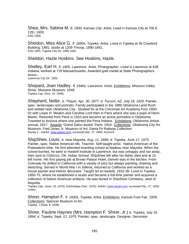Shea, Mrs. Sabina M. *fl. 1900, Kansas City*. Artist. Lived in Kansas City at 706 E. 12th, 1900. KSG 1900.

Sheldon, Miss Alice G. *fl. 1890s, Topeka*. Artist. Lived in Topeka at 36 Crawford Building, 1891; studio at 1209 Throop, 1890-1891. KSG 1891; Topeka City Dir. 1890-1891.

Sheldon, Hazle Hoskins. See Hoskins, Hazle.

Shelley, Earl H. *fl. 1905, Lawrence*. Artist. Photographer. Lived in Lawrence at 538 Indiana; worked at 719 Massachusetts. Awarded gold medal at State Photographers Assoc.. Lawrence City Dir. 1905.

Shepard, Joan Hadley. *fl. 1940s, Lawrence*. Artist. Exhibitions: Missouri Valley Show, Mulvane Museum, 1948. Topeka Cap. (Nov. 10, 1948).

Shepherd, Nellie. *b. Thayer, Apr. 30, 1877; d. Tucson, AZ, July 18, 1920*. Painter, spec. landscapes and portraits. Family participated in the 1889 Oklahoma Land Rush and settled near Oklahoma City. Studied for at the Cincinnati Art Academy from 1900- 02 with Lewis H. Meakin and Caroline Lord then in Paris where she was a pupil of Henri Martin. Returned from Paris in 1910 and became an active portraitist in Oklahoma. Traveled to Arizona where she painted the Pima Indians. Exhibitions: Oklahoma Artists annual, 1917. Awards: Grand Salon award, Paris, 1910. Collections: Oklahoma City Art Museum; Fred Jones Jr. Museum of Art; Santa Fe Railway Collection Dawdy 2 ; *AskArt*, www.askart.com, accessed Dec. 27, 2005; Kovinick

ShipShee, Louis. *b. near Mayetta, Aug. 11, 1896; d. Topeka, June 17, 1975*. Painter, spec. Native American life. Teacher. Self-taught artist. Native American of the Potawatomi tribe. He first attended boarding school at Nadeau near Mayetta. When the school burned, he went to Haskell Institute in Lawrence, but was unhappy and ran away, then sent to Chilocco, OK, Indian School. ShipShee left after his father died and at 15 left home. His first paying job at Brown Palace Hotel, Denver was in the kitchen. From Colorado he drifted to California with a variety of jobs but always painting, drawing and sketching. Served in World War I in Siberia, returned to California and worked as a house painter and interior decorator. Taught art at Haskell, 1932-38. Lived in Topeka, 1950-75, where he established a studio and became a full-time painter and acquired a collection of Native American artifacts. He was buried in ShipShee Cemetery, west of Mayetta.

Topeka Cap. (June, 18, 1975); *Kanhistique (*Dec. 1976); *AskArt*, www.askart.com, accessed Dec. 27, 2005; Lester.

Shirer, Hampton F. *fl. 1930s, Topeka*. Artist. Exhibitions: Kansas Free Fair, 1939. Collections: Spencer Museum of Art. Topeka J (Sept. 9, 1939).

Shirer, Pauline Haynes (Mrs. Hampton F. Shirer, Jr.) *b. Topeka, July 16, 1894; d. Topeka, Sept. 12, 1975*. Painter, spec. landscape. Designer. Decorator.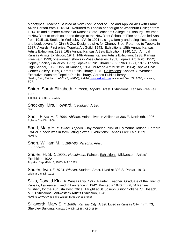Monotypes. Teacher. Studied at New York School of Fine and Applied Arts with Frank Alvah Parson from 1913-14. Returned to Topeka and taught at Washburn College from 1914-15 and summer classes at Kansas State Teachers College in Pittsburg. Returned to New York to teach color and design at the New York School of Fine and Applied Arts from 1915-18. Settled in Wellesley, MA in 1921 raising a family and doing illustrations and book covers for Ginn & Co.. Designed silks for Cheney Bros. Returned to Topeka in 1937. Awards: First prize, Topeka Art Guild, 1943. Exhibitions: 15th Annual Kansas Artists Exhibition, 1939; 16th Annual Kansas Artists Exhibition, 1940; 17th Annual Kansas Artists Exhibition, 1941; 14th Annual Kansas Artists Exhibition, 1938; Kansas Free Fair, 1939; one-woman shows in Vose Galleries, 1931, Topeka Art Guild, 1952; Copley Society Galleries, 1953; Topeka Public Library 1959, 1963, 1971, 1975; Topeka High School, 1960; Univ. of Kansas, 1961; Mulvane Art Museum, 1964; Topeka Civic Center Gallery, 1969, Garnet Public Library, 1970. Collections: Kansas Governor's Executive Mansion: Topeka Public Library. Garnett Public Library. Newlin; Sain; Reinbach; A&C KS; WKDC); AskArt, www.askart.com, accessed Dec. 27, 2005; Kovinick; TCP.

## Shirer, Sarah Elizabeth. *fl. 1930s, Topeka*. Artist. Exhibitions: Kansas Free Fair,

1939. Topeka J (Sept. 9, 1939).

Shockey, Mrs. Howard. *fl. Kinkaid*. Artist. Sain.

Sholl, Elsie E. *fl. 1906, Abilene.* Artist. Lived in Abilene at 306 E. North 6th, 1906.<br>Abilene City Dir. 1906.

Short, Mary H. *fl. 1930s, Topeka*. Clay modeler. Pupil of Lily Yount Dodson; Bernard Frazier. Specializes in formulating glazes. Exhibitions: Kansas Free Fair, 1939.<br>Newlin.

**Short, William M.** *fl. 1884-85, Parsons*. Artist.<br>KSG 1884-85.

Shuler, H. S. *fl. 1920s, Hutchinson*. Painter. Exhibitions: Midwestern Artists' Exhibition, 1922 Topeka Cap. (Feb. 2, 1922); MAE 1922

Shuler, Ivan. *fl. 1913, Wichita*. Student. Artist. Lived at 303 S. Poplar, 1913. Wichita City Dir. 1913.

Silks, Donald Kirk*. b. Kansas City, 1912*. Painter. Teacher. Graduate of the Univ. of Kansas, Lawrence. Lived in Lawrence in 1942. Painted a 1940 mural, "A Kansas Gusher", for the Augusta Post Office. Taught at St. Joseph Junior College, St. Joseph, MO. Exhibitions: Midwestern Artists Exhibition, 1942. Newlin; WWAA v 4; Sain; Wiebe, MAE 1942; Bruner

Silkworth, Mary S. *fl. 1880s, Kansas City*. Artist. Lived in Kansas City in rm. 73, Sheidley Building, Kansas City Dir. 1886;. KSG 1886.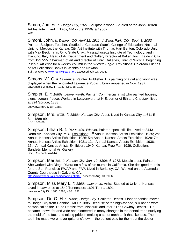Simon, James. *b. Dodge City, 1921.* Sculptor in wood. Studied at the John Herron Art Institute. Lived in Taos, NM in the 1950s & 1960s.<br><sup>Witt</sup>

Simoni, John. *b. Denver, CO, April 12, 1911; d. Estes Park, CO, Sept. 3, 2003.* Painter. Sculptor. Teacher. Studied at Colorado State's College of Education; National Univ. of Mexico; the Kansas City Art Institute with Thomas Hart Benton; Colorado Univ. with Max Beckmann; Ohio State Univ.; Massachusetts Institute of Technology; and in Trentino, Italy. Head of Art Department and Gallery Director at Baker Univ., Baldwin City from 1937-55. Chairman of art and director of Univ. Galleries, Univ. of Wichita, beginning in1957. Art critic for a weekly column in the *Wichita Eagle*. Exhibitions: Colorado Friends of Art Collection; Banks in Wichita and Newton. Sain; WWAA 7; www.FamilySearch.org accessed July 17, 2006.

Simons, W. C. *fl. Lawrence.* Painter*.* Publisher. His painting of a girl and violin was displayed when the renovated Lawrence Public Library reopened in Nov. 1937. Lawrence J-W (Nov. 17, 1937; Nov. 18, 1937)

Simpier, E. *fl. 1880s, Leavenworth*. Painter. Commercial artist who painted houses, signs, screen, fresco. Worked in Leavenworth at N.E. corner of 5th and Choctaw; lived at 324 Spruce, 1888.

Leavenworth City Dir. 1888.

Simpson, Mrs. Etta. *fl. 1880s, Kansas City*. Artist. Lived in Kansas City at 611 E. 8th, 1888-89. KSG 1888-89.

Simpson, Lillian B. *fl. 1920s-40s, Wichita*. Painter, spec. still life. Lived at 3443 Reno Av., Kansas City, MO. Exhibitions: 1<sup>st</sup> Annual Kansas Artists Exhibition, 1925; 2nd Annual Kansas Artists Exhibition, 1926; 5th Annual Kansas Artists Exhibition, 1929; 7th Annual Kansas Artists Exhibition, 1931; 12th Annual Kansas Artists Exhibition, 1936; 16th Annual Kansas Artists Exhibition, 1940; Kansas Free Fair, 1939. Collections: Sandzén Memorial Art Gallery Sain; Reinbach; AAA14.

Simpson, Marian. *b. Kansas City, Jan. 12, 1899; d. 1978.* Mosaic artist. Painter. She worked with Diego Rivera on a few of his murals in California. She designed murals for the San Francisco PWAP and FAP*.* Lived in Berkeley, CA. Worked on the Alameda County Courthouse in Oakland, CA. http://www.wpamurals.com/wpabios.html#S, accessed Aug. 10, 2006.

Simpson, Miss Mary L. *fl. 1890s, Lawrence*. Artist. Studied at Univ. of Kansas. Lived in Lawrence at 1549 Tennessee; 1601 Tenn., 1891. Lawrence City Dir. 1886, 1888; KSG 1891.

Simpson, Dr. O. H. *fl. 1880s, Dodge City*. Sculptor. Dentist. Pioneer dentist, moved to Dodge City from Hannibal, MO in 1885. Because of the high-topped, silk hat he wore, he was called the "Dude Dentist from Missouri" and later "The Cowboy Dentist." He became known far and wide and pioneered in many changes in the dental trade studying the mold of the face and taking pride in making a set of teeth to fit that likeness. The teeth he made were never quite one's own---the patient paid for them but the doctor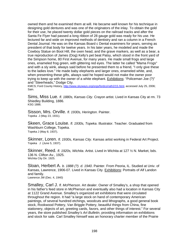owned them and he examined them at will. He became well known for his technique in designing gold dentures and was one of the originators of the inlay. To obtain the gold for their use, he placed twenty dollar gold pieces on the railroad tracks and after the Santa Fe Flyer had passed a long ribbon of 28 gauge gold was ready for his use. He lectured far and wide on improved methods of dentistry and ran a column in a French Dental Journal. He was on the Kansas Board c Dental examiners for years, serving as president of that body for twelve years. In his later years, he modeled and made the Cowboy Statue on Boot Hill, the oxen head, and the grave markers, as well as a bear, a true reproduction of James (Dog) Kelly's pet beat Patsy, which stood in the front yard of the Simpson home, 80 First Avenue, for many years. He made small frogs and large ones, enameled frog green, with glittering red eyes. The latter he called "Mama Frogs" and with a sly wink, always said before he presented them to a friend, "I only give these to the ladies love." He made baby elephants and larger ones, enameled white, and, when presenting these gifts, always said he hoped would not make the owner poor trying to keep up with the owner of a white elephant. Exhibitions: "Policeman Joe (?)" and "Steerheads," Dodge City.

KMCS; Ford County History, http://www.skyways.org/orgs/fordco/rath2/15.html, accessed July 25, 2006; Sain.

Sims, Miss Lue. *fl. 1880s, Kansas City*. Crayon artist. Lived in Kansas City at rm. 73 Shiedley Building, 1886. KSG 1886.

Sisson, Mrs. Orville. *fl. 1930s, Herington*. Painter. Topeka J (May 23, 1931).

Skeen, Grace Louise. *fl. 1930s, Topeka*. Illustrator. Teacher. Graduated from Washburn College, Topeka. Topeka J (May 8, 1937).

Skinner, Loren. *fl. 1930s, Kansas City*. Kansas artist working in Federal Art Project. Topeka J (June 5, 1937).

Skinner, Reed. *fl. 1920s, Wichita*. Artist. Lived in Wichita at 127 ½ N. Market, bds. 136 N. Clifton Av., 1925. Wichita City Dir. 1925.

Sloan, Herbert A. *b. 1888 (?). d. 1940*. Painter. From Peoria, IL. Studied at Univ. of Kansas, Lawrence, 1906-07. Lived in Kansas City. Exhibitions: Portraits of Alf Landon and family. Lawrence JW (Dec. 4, 1940)

Smalley, Carl J. *fl. McPherson*. Art dealer. Owner of Smalley's, a shop that opened in his father's feed store in McPherson and eventually also had a location in Kansas City at 1122 Grand Avenue. Smalley's organized art exhibitions that were circulated throughout the region. It had "a large stock on hand of contemporary American paintings, of several hundred etchings, woodcuts and lithographs, a good general book stock, Rookwood Pottery, Van Briggle Pottery, beautiful things from China, fine stationery, objects of art, greeting cards, favors, and other things of interest." For several years, the store published *Smalley's Art Bulletin*, providing information on exhibitions and stock for sale. Carl Smalley himself was an honorary charter member of the Prairie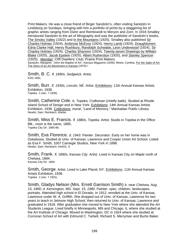Print Makers. He was a close friend of Birger Sandzén's, often visiting Sandzén in Lindsborg on Sundays, bringing with him a portfolio of prints by a staggering list of graphic artists ranging from Dürer and Rembrandt to Meryon and Zorn. In 1916 Smalley introduced Sandzén to the art of lithography and was the publisher of Sandzén's books, The Smoky Valley (1922) and In the Mountains (1925). Smalley also published Sir Charles Holmes (1924), Ambrose McEvoy (1924), Henry Lamb (1924), Draughtsmen: Edna Clarke Hall, Henry Rushbury, Randolph Schwabe, Leon Underwood (1924), Sir Charles Holmes (1924), Charles Shannon (1924), Twenty-seven Drawings by William Blake (1925), Jacob Epstein (1925), Albert Rutherston (1925), and *Stanley Spencer* (1925). Member: Cliff Dwellers' Club; Prairie Print Makers Sandzén, Margaret. "John the Baptist of Art", *Kansas Magazine* (1939); Mines, Cynthia. For the Sake of Art: The Story of an Art Movement in Kansas (1979) /

Smith, B. C. *fl. 1890s, Sedgwick*. Artist. KSG 1891.

Smith, Burr. *fl. 1930s, Lincoln, NE*. Artist. Exhibitions: 11th Annual Kansas Artists Exhibition, 1936. Topeka J (Jan. 7 1936)

Smith, Catherine Cole. *b. Topeka*. Craftsman (chiefly batik). Studied at Rhode Island School of Design and in New York. Exhibitions: 14th Annual Kansas Artists Exhibition, 1938. Collections: mural, "Land of Memory," Manhattan Public Library. Newlin; Sain; Reinbach; Wiebe.

Smith, Miss E. Francis. *fl. 1880s, Topeka*. Artist. Studio in Topeka in the Office Blk., room is the same, 1885. Topeka City Dir. 1885-86.

Smith, Eva Florence. *d. 1943*. Painter. Decorator. Early on her home was in Oskaloosa. Studied at Univ. of Kansas, Lawrence and Cooper Union Art School. Listed as Eva F. Smith, 1007 Carnegie Studios, New York in 1898. Newlin; Sain; Reinbach; AAA01. S

Smith, Frank. *fl. 1890s, Kansas City*. Artist. Lived in Kansas City on Maple north of Chelsea, 1894. Kansas City Dir. 1894.

Smith, George. Artist. Lived in Lake Placid, NY. Exhibitions: 11th Annual Kansas Artists Exhibition, 1936. Topeka J (Jan. 7 1931)

Smith, Gladys Nelson (Mrs. Errett Garrison Smith) *b. near Chelsea, Aug. 15, 1890; d. Kensington, MD, Sept. 15, 1980*. Painter, spec. children. landscapes, portraits. Attended high school in El Dorado. In 1912, enrolled at the Univ. of Kansas, Lawrence under W. A. Griffith. She dropped out of Univ. of Kansas, Lawrence for two years to teach in Jetmore High School, then returned to Univ. of Kansas, Lawrence and graduated in 1918. After graduation she moved to New York where she attended the Art Students League. Lived briefly in Minneapolis, MN and Chicago, IL where she studied at the Art Institute of Chicago. Moved to Washington, DC in 1924 where she studied at Corcoran School of Art with Edmund C. Tarbell, Richard S. Merryman and Burtis Baker.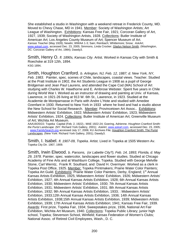She established a studio in Washington with a weekend retreat in Frederick County, MD. Moved to Chevy Chase, MD in 1941. Member: Society of Washington Artists; Art League of Washington. Exhibitions: Kansas Free Fair, 1921; Corcoran Gallery of Art, 1927, 1939; Society of Washington Artists, 1928. Collections: Butler Institute of American Art; Los Angeles County Museum of Art; Spencer Museum of Art. *Kansas Teacher* (May 1928); Newlin; WWAA 1-3; Sain; Reinbach; Whittemore; Snow; *AskArt*, www.askart.com, accessed Dec. 23, 2005; Simmons, Linda Crocker. Gladys Nelson Smith. (Washington, DC: Corcoran Gallery of Art, 1984); Dawdy3.

Smith, Henry O. *fl. 1890s, Kansas City*. Artist. Worked in Kansas City with Smith & Roechske at 319 12th, 1894. KSG 1894.

Smith, Houghton Cranford. *b. Arlington, NJ, Feb. 12, 1887; d. New York, NY, Feb. 1983.* Painter, spec. scenes of Chile, landscapes, coastal views. Teacher. Studied at the Pratt Institute in 1902, the Art Students League in 1908 as a pupil of George Bridgeman and Jean Paul Laurens, and attended the Cape Cod (MA) School of Art studying with Charles W. Hawthorne and E. Ambrose Webster. Spent five years in Chile during World War I. Worked as an instructor of drawing and painting at Univ. of Kansas, Lawrence, in 1921-26 living at 913 W. 6th St., Lawrence, in 1923. Studied at the Academie de Montparnasse in Paris with Andre L'Hote and studied with Amedee Ozenfant in 1930. Returned to New York in 1933 where he lived and had a studio above the New School for Social Research. Member: Provincetown Art Assoc.. Exhibitions: Midwestern Artists' Exhibition, 1922; Midwestern Artists' Exhibition, 1923; Midwestern Artists' Exhibition, 1924. Collections: Butler Institute of American Art; Greenville Museum of Art; Wichita Art Museum.

AAA19/20/22; Topeka Capital (Feb. 2, 1922).; MAE 1922-24; Goering, Adrienne. *Houghton Cranford Smith: the Purist Landscape.* (NY: Richard York Gallery, 2001); *AskArt*, www.askart.com, accessed Dec. 23, 2005; ; www.FamilySearch.org accessed July 17, 2006; KU Archives File; Houghton Cranford Smith: The Purist Landscapes. (New York: Richard York Gallery, 2001); Dawdy3.

Smith, I. Isabel. *fl. 1907-09, Topeka*. Artist. Lived in Topeka at 1505 Western Av. Topeka City Dir. 1907, 1909.

Smith, Irwin Elwood. *b. Parsons, (or Labette City?), Feb. 14, 1893; Florida, d. May 29, 1978*. Painter, spec. watercolor, landscapes and flower studies. Studied at Chicago Academy of Fine Arts and at Washburn College, Topeka. Studied with George Melville Stone, Carl Werntz, Frank R. Southard, and David H. Overmyer. Worked as a clerk in Topeka Post Office, 1925. Member: Topeka Printmakers; Prairie Water Color Painters; Topeka Art Guild. Exhibitions: Prairie Water Color Painters, Derby, England; 1<sup>st</sup> Annual Kansas Artists Exhibition, 1925; Midwestern Artists' Exhibition, 1926; Midwestern Artists' Exhibition, 1927; 4th Annual Kansas Artists Exhibition, 1928; 6th Annual Kansas Artists Exhibition, 1930; Midwestern Artists' Exhibition, 1930; 7th Annual Kansas Artists Exhibition, 1931; Midwestern Artists' Exhibition, 1931; 8th Annual Kansas Artists Exhibition, 1932; 9th Annual Kansas Artists Exhibition, 1933; : Midwestern Artists' Exhibition, 1933;12th Annual Kansas Artists Exhibition, 1936; 14th Annual Kansas Artists Exhibition, 1938;15th Annual Kansas Artists Exhibition, 1939; Midwestern Artists Exhibition, 1939; 17th Annual Kansas Artists Exhibition; 1941; Kansas Free Fair, 1939. Awards: First prize, Topeka Fair, 1934; Sweepstakes prize, 1936, National Art Fair Exhibition, Wichita Art Museum, 1940. Collections: Topeka Public Library; junior high school, Topeka; Stevenson School, Winfield; Kansas Federation of Women's Clubs; National Assoc. of Retired Civil Employees, Wash., D. C.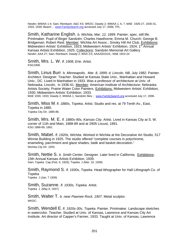Newlin; WWAA 1-4; Sain; Reinbach; A&C KS; WKDC; Dawdy 2; WWAA 1, 6, 7; MAE 1926-27, 1930-31, 1933, 1939; Beach; ; www.FamilySearch.org accessed July 17, 2006; TPL.

Smith, Katharine English. *b. Wichita, Mar. 12, 1899*. Painter, spec. still life. Printmaker. Pupil of Birger Sandzén; Charles Hawthorne; Emma M. Church; George B. Bridgeman; Robert Reid. Member: Wichita Art Assoc.; Smoky Hill Art Club. Exhibitions: Midwestern Artists' Exhibition, 1923; Midwestern Artists' Exhibition, 1924; 1<sup>st</sup> Annual Kansas Artists Exhibition, 1925. Collections: Sandzén Memorial Art Gallery Newlin; AAA 27; Sain; Reinbach; Dawdy 2; WAA 3:5; AAA20/22/24.; MAE 1923-24

Smith, Mrs. L. W. *fl. 1908, Erie*. Artist. KSG1908.

Smith, Linus Burr. b*. Minneapolis, Mar. 8, 1899; d. Lincoln, NB, July 1982*. Painter. Architect. Designer. Teacher. Studied at Kansas State Univ., Manhattan and Howard Univ., DC. Lived in Manhattan in 1933. Was a professor of architecture at Univ. of Nebraska, Lincoln, in 1936-41. Member: American Institute of Architecture; Nebraska Artists Society; Prairie Water Color Painters. Exhibitions: Midwestern Artists' Exhibition, 1930; Midwestern Artists' Exhibition, 1933.

MAE 1930, 1933; Dawdy 2; WWAA 1; Sandzén files; ; www.FamilySearch.org accessed July 17, 2006.

Smith, Miss M. *fl. 1880s, Topeka*. Artist. Studio and res. at 79 Tenth Av., East, Topeka in 1885. Topeka City Dir. 1885-86.

Smith, Mrs. M. E. *fl. 1880s-90s, Kansas City*. Artist. Lived in Kansas City at S. W. corner of 11th and Main, 1888-89 and at 2905 Locust, 1891. KSG 1888-89, 1891.

Smith, Mabel. *fl. 1920s, Wichita*. Worked in Wichita at the Decorative Art Studio, 517 Winnie Building in 1925. The studio offered "complete courses in polychrome, enameling, parchment and glaze shades, batik and basket decoration." Wichita City Dir. 1925.

Smith, Nettie S. *b. Smith Center*. Designer. Later lived in California. Exhibitions: 15th Annual Kansas Artists Exhibition, 1939. Sain; Topeka Cap (Feb. 6, 1926); Topeka J (Mar. 10, 1939)

Smith, Raymond S. *fl. 1930s, Topeka*. Head lithographer for Hall Lithograph Co. of Topeka Topeka J (Jan. 7 1936)

Smith, Suzanne. *fl. 1930s, Topeka*. Artist. Topeka J (May 8, 1937)

Smith, Walter T. *b. near Pawnee Rock, 1907*. Metal sculptor. WKDC.

Smith, Wendell E. *fl. 1920s-30s, Topeka*. Painter. Printmaker. Landscape sketches in watercolor. Teacher. Studied at Univ. of Kansas, Lawrence and Kansas City Art Institute. Art director of Capper's Farmer, 1933. Taught at Univ. of Kansas, Lawrence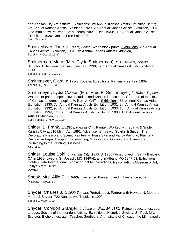and Kansas City Art Institute. Exhibitions: 3rd Annual Kansas Artists Exhibition, 1927; 5th Annual Kansas Artists Exhibition, 1929; 7th Annual Kansas Artists Exhibition, 1931; One-man show, Mulvane Art Museum, Nov. – Dec. 1933; 11th Annual Kansas Artists Exhibition, 1936; Kansas Free Fair, 1939. Sain; Reinbach.

Smith-Mayer, Jane. *fl. 1930s, Salina*. Wood block prints. Exhibitions: 7th Annual Kansas Artists Exhibition, 1931; 9th Annual Kansas Artists Exhibition, 1933. Topeka J (Oct. 17 1931)

Smitherman, Mary. (Mrs. Clyde Smitherman) *fl. 1930s-40s, Topeka*. Sculptor. Exhibitions: Kansas Free Fair, 1939; 17th Annual Kansas Artists Exhibition, 1941. Topeka J (Sept. 9, 1939).

Smithmeyer, Clara. *fl. 1930s,Topeka*. Exhibitions: Kansas Free Fair, 1939. Topeka J (Sept. 9, 1939).

Smithmeyer, Lydia Cooke. (Mrs. Fred P. Smithmeyer) *fl. 1930s, Topeka*. Watercolor painter, spec. flower studies and Kansas landscapes. Graduate of the Univ. of Kansas, Lawrence; pupil of William A. Griffith. Exhibitions: 6th Annual Kansas Artists Exhibition, 1930; 7th Annual Kansas Artists Exhibition, 1931; 8th Annual Kansas Artists Exhibition, 1932; 9th Annual Kansas Artists Exhibition, 1933; 10th Annual Kansas Artists Exhibition, 1934; 14th Annual Kansas Artists Exhibition, 1938; 15th Annual Kansas Artists Exhibition, 1939. Sain; Topeka J (Nov. 10 1934)

Snider, B. Frank. *fl. 1890s, Kansas City*. Painter. Worked with Sparks & Snider in Kansas City at 610 Minn. Av., 1891. Advertisement read: "Sparks & Snider, The Decorators Fresco and Scenic Painters – House Sign and Fancy Painting, Plain and Decorative Paper Hanging, Kalsomining, Graining and Glazing, and Everything Pertaining to the Painting Business." KSG 1891.

Snider, Louise Bohl. *b. Kansas City, 1893; d. 1955?* Artist. Lived in Santa Barbara, CA in 1939. Lived in St. Joseph, MO 1940-41 and in Albany MO 1947-53. Exhibitions: Golden Gate International Exposition, 1939. Collections: Nelson-Atkins Museum of Art; Joslyn Art Museum. Dawdy3.

Snook, Mrs. Allie E. *fl. 1880s, Lawrence*. Painter. Lived in Lawrence at 67 Massachusetts St. KSG 1880.

Snyder, Charles J. *fl. 1909,Topeka*. Portrait artist. Partner with Howard N. Moore of Moore & Snyder, 722 Kansas Av., Topeka in 1909. Topeka City Dir. 1909.

Snyder, Corydon Granger. *b. Atchison. Feb. 24, 1879.* Painter, spec. landscape. League; Society of Independent Artists. Exhibitions: Historical Society, St. Paul, MN. Sculptor. Etcher. Illustrator. Teacher. Studied at Art Institute of Chicago, the Minneapolis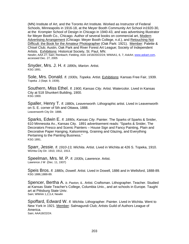(MN) Institute of Art, and the Toronto Art Institute. Worked as Instructor of Federal Schools, Minneapolis in 1916-18, at the Meyer Booth Community Art School in1920-30, at the Krompier School of Design in Chicago in 1940-43, and was advertising Illustrator for Meyer Booth Co., Chicago. Author of several books on commercial art, Modern Advertising Arrangement (Chicago: Meyer Booth College, n.d.), and Retouching Not Difficult: the Book for the Amateur Photographer (Oak Park: 1921). Member: Palette & Chisel Club; Austin, Oak Park and River Forest Art League; Society of Independent Artists. Exhibitions: Historical Society, St. Paul, MN.

Newlin; AAA 27; Sain; Reinbach; Fielding; AAA 14/18/20/22/24; WWAA1, 6, 7; *AskArt*, www.askart.com, accessed Dec. 27, 2005

Snyder, Mrs. J. H. *fl. 1890s, Marion*. Artist. KSG 1891.

Sole, Mrs. Donald. *fl. 1930s, Topeka*. Artist. **Exhibitions: Kansas Free Fair, 1939.** Topeka J (Sept. 9, 1939).

Southern, Miss Ethel. *fl. 1900, Kansas City*. Artist. Watercolor. Lived in Kansas City at 518 Shunkert Building, 1900. KSG 1900.

Spaller, Henry T. *fl. 1880s, Leavenworth*. Lithographic artist. Lived in Leavenworth on S. E. corner of 5th and Ottawa, 1888. Leavenworth City Dir. 1888.

Sparks, Edwin E. *fl. 1890s, Kansas City*. Painter. The Sparks of Sparks & Snider, 610 Minnesota Av., Kansas City. 1891 advertisement reads: "Sparks & Snider, The Decorators Fresco and Scenic Painters – House Sign and Fancy Painting, Plain and Decorative Paper Hanging, Kalsomining, Graining and Glazing, and Everything Pertaining to the Painting Business." KSG 1891.

Sparr, Jessie. *fl. 1910-13, Wichita*. Artist. Lived in Wichita at 426 S. Topeka, 1910. Wichita City Dir. 1910, 1912, 1913.

Speelman, Mrs. M. P. *fl. 1930s, Lawrence*. Artist. Lawrence J W (Dec. 11, 1937)

Speis Bros. *fl. 1880s, Dowell*. Artist. Lived in Dowell, 1886 and in Wellsford, 1888-89. KSG 1886,1888-89.

Spencer, Bertha A. *b. Paxton, IL.* Artist. Craftsman. Lithographer. Teacher. Studied at Kansas State Teacher's College, Columbia Univ., and art schools in Europe. Taught art at Pittsburg State Univ. Sain; WWAA 1,2,3,4; Newlin

Spoffard, Edward W. *fl. Wichita*. Lithographer. Painter. Lived in Wichita. Went to New York in 1921. Member: Salmagundi Club; Artists Guild of Authors League of America. Sain; AAA18/22/24.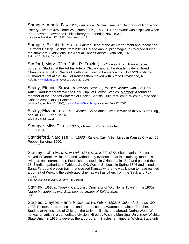Sprague, Amelia B. *fl. 1937, Lawrence*. Painter. Teacher. Decorator of Rookwood Pottery. Lived at 425 Porter Av., Buffalo, NY, 1917-21. Her artwork was displayed when the renovated Lawrence Public Library reopened in Nov. 1937. Lawrence J-W (Nov. 17, 1937); Sain; AAA 14/18.

Sprague, Elizabeth. *d. 1938*. Painter. Head of the Art Department and teacher at Fairmont College, Wichita from1901-33. Made annual pilgrimages to Colorado during the summers. Exhibitions: 4th Annual Kansas Artists Exhibition, 1928. Sain; AAA 12/ 19; Dawdy 2.

Stafford, Mary. (Mrs. John R. Frazier) *b. Chicago, 1895.* Painter, spec. portraits. Studied at the Art Institute of Chicago and at the Academy de la Grand Chaumiere. Pupil of Charles Hawthorne. Lived in Lawrence from 1917-23 while her husband taught at the Univ. of Kansas then moved with him to Providence, RI. *AskArt*, www.askart.com, accessed Dec. 27, 2005

Staley, Eleanor Brown. *b. Wichita, Sept. 27, 1913; d. Wichita, Jan. 12, 1995.*  Artist. Graduated from Wichita Univ. Pupil of Clayton Staples. Member: A founding member of the Kansas Watercolor Society: Artists Guild of Wichita: Wichita Art Assoc.: Kansas Assoc. of Oil Painters.

Wichita Eagle (Jan. 15, 1995); ; www.FamilySearch.org accessed July 17, 2006.

Staley, Elizabeth. *fl. 1916, Wichita*. China artist. Lived in Wichita at 507 Butts Bldg., bds. at 305 E. Pine, 1916. Wichita City Dir. 1916.

Stamper, Miss Eva. *fl. 1880s, Oswego*. Portrait Painter. KSG 1884-85.

Standeford, Narcisse K. *fl.1900, Kansas City*. Artist. Lived in Kansas City at 405 Pepper Building, 1900. KSG 1900.

Stanley, John M. *b. New York, 1814; Detroit, MI, 1872.* Sketch artist. Painter. Moved to Detroit, MI in 1834 and, without any evidence of artistic training, made his living as an itinerant artist. Established a studio in Oklahoma in 1842 and painted the 1843 Indian gathering in Tahlequah, OK. Was in St. Louis in Spring 1846 and joined the Santa Fe-bound wagon train that crossed Kansas where he was known to have painted a portrait of Keokuk, the celebrated chief, as well as others from the Sauk and Fox tribes.

Taft; *Kansas Historical Quarterly* (Feb. 1952)

Stanley, Lee. *b. Topeka*. Cartoonist. Originator of "Old Home Town" in the 1930s. *Not to be confused with Stan Lee, co-creator of Spider Man.*  Sain.

Staples, Clayton Henri. *b. Osceola, WI, Feb. 4, 1892; d. Colorado Springs, CO, 1978.* Painter, spec. seascapes and harbor scenes. Watercolor painter. Teacher. Studied at Art Institute of Chicago, the Univ. of Illinois, and abroad. During World War I, he was an artist in a camouflage division. Hired by Wichita Municipal Univ. (now Wichita State Univ.) in 1930 to develop the art program, Staples remained at Wichita State until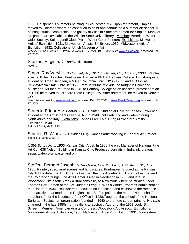1950. He spent his summers painting in Gloucester, MA. Upon retirement, Staples moved to Colorado where he continued to paint and conducted a summer art school. A painting studio, scholarship, and gallery at Wichita State are named for Staples. Many of his papers are available in the Wichita State Univ. Library. Member: American Water Color Society; Salmagundi Club; Prairie Water Color Painters. Exhibitions: Midwestern Artists' Exhibition, 1931; Midwestern Artists' Exhibition, 1932; Midwestern Artists' Exhibition, 1932. Collections: Ulrich Museum of Art

WWAA 1-4; Sain; A&C KS; Dawdy; WWAA 1, 6, 7; MAE 1931-33; *AskArt*, www.askart.com, accessed Dec. 27, 2005

Staples, Virginia. *fl. Topeka*. Illustrator. Newlin.

Stapp, Ray Veryl. *b. Norton, July 10, 1913; d. Denver, CO, June 23, 2000..* Painter, spec. still lifes. Teacher. Printmaker. Earned a BFA at Bethany College, Lindsborg as a student of Birger Sandzén, a MA at Columbia Univ., NY in 1952, and a D.Ed. at Pennsylvania State Univ. in 1963. From 1939-the mid 40s, he taught in Beloit and Muskegon, MI then returned in 1949 to Bethany College as an assistant professor of art. In 1956 he moved to Edinboro State College, PA. After retirement, he moved to Denver, CO.

Sandzén files; AskArt, www.askart.com, accessed Dec. 27, 2005; ; www.FamilySearch.org accessed July 17, 2006.

Stareck, Edgar A. *b. Benton, 1917*. Painter. Studied at Univ. of Kansas, Lawrence; student at the Art Students League, NY in 1948. Did sketching and watercoloring in North Africa and Italy. Exhibitions: Kansas Free Fair, 1939; Midwestern Artists Exhibition, 1940. Sain; A&C KS; MAE 1940

Staufer, R. W. *fl. 1930s, Kansas City.* Kansas artist working in Federal Art Project. Topeka J (June 5, 1937)

Steele, G. A. *fl. 1900, Kansas City*. Artist. In 1900, he was Manager of National Fine Art Co., 638 Nelson Building in Kansas City. Produced portraits in India ink, crayon, sepia, watercolor, pastel and oil. KSG 1900.

Steffen, Bernard Joseph. *b. Neodesha, Nov. 24, 1907; d. Flushing, NY, July 1980.* Painter, spec. rural scenes and landscapes. Printmaker. Studied at the Kansas City Art Institute, the Art Students League, the Los Angeles Art Students League, and the Colorado Springs Fine Arts Center. Lived in Neodesha in 1930 and later in Woodstock, NY. Steffen took a rural sensibility to New York, where he studied under Thomas Hart Benton at the Art Students League. Was a Works Progress Administration muralist from 1934-1941 where he focused on landscape and eschewed the romance and narrative that marked the Regionalists. Steffen painted the mural, "Neodesha First Inhabitants", for the Neodesha Post Office in 1938.Taught at the school of the National Serigraph Society, an organization founded in 1940 to promote screen printing. His style changed in the late 1950s from realistic to abstract. Author of the 1963 book, Silk Screen. Member: American Artists Congress; Woodstock Art Assoc.. Exhibitions: Midwestern Artists' Exhibition, 1930; Midwestern Artists' Exhibition, 1931; Midwestern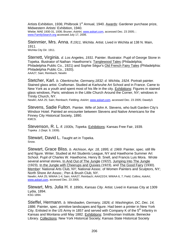Artists Exhibition, 1936; Philbrook 1<sup>st</sup> Annual, 1940. Awards: Gardener purchase prize, Midwestern Artists' Exhibition, 1940. Wiebe; MAE 1930-31, 1936; Bruner; *AskArt*, www.askart.com, accessed Dec. 23 2005; ; www.FamilySearch.org accessed July 17, 2006.

Steinmier, Mrs. Anna. *fl.1911, Wichita*. Artist. Lived in Wichita at 138 N. Main, 1911. Wichita City Dir. 1911.

Sterrett, Virginia. *d. Los Angeles, 1931*. Painter. Illustrator. Pupil of George Stone in Topeka. Illustrator of Nathan Hawthorne's: Tanglewood Tales (Philadelphia: Philadelphia Public Co., 1921) and Sophie Ségur's Old French Fairy Tales (Philadelphia: Philadelphia Public Co., 1920). AAA27; Sain; Reinbach; Newlin

Stetcher, Karl. *b. Oberkirsche, Germany,1832; d. Wichita, 1924*. Portrait painter. Stained glass artist. Craftsman. Studied at Karlsruhe Art School and in France. Came to New York as a youth and spent most of his life in the city. Exhibitions: Figures in stained glass windows, Paris; windows in the Little Church Around the Corner, NY; windows in Trinity Church, NY.

Newlin; AAA 25; Sain; Reinbach; Fielding; *AskArt*, www.askart.com, accessed Dec. 23 2005; Dawdy3.

Stevens, Sadie Fulton. Painter. Wife of John A. Stevens, who built Garden City's Windsor Hotel. Painted an encounter between Stevens and Native Americans for the Finney City Historical Society, 1890. KMCS.

Stevenson, R. L. *fl. 1930s, Topeka*. Exhibitions: Kansas Free Fair, 1939. Topeka J (Sept. 9, 1939).

Stewart, David L. Taught art in Topeka. Snow.

Stewart, Grace Bliss. *b. Atchison, Apr. 18, 1895; d. 1969*. Painter, spec. still life and figure. Writer. Studied at Art Students League, NY and Hawthorne Summer Art School. Pupil of Charles W. Hawthorne, Henry B. Snell, and Francis Luis Mora. Wrote several animal stories, In And Out of The Jungle (1922), Jumping Into The Jungle (1923), In the Jungle with Cheerups and Quixies (1923), and The Good Fairy (1930). Member: National Arts Club, NY; National Assoc. of Women Painters and Sculptors, NY; North Shore Art Assoc.; Pen & Brush Club, NY.

Newlin; AAA 25; WWAA 1-4; Sain; AAA27; Reinbach; AAA22/24; WWAA 6, 7; Field; Collins; *AskArt*, www.askart.com, accessed Dec. 23 2005.

Stewart, Mrs. Julia H. *fl. 1890s, Kansas City*. Artist. Lived in Kansas City at 1309 Lydia, 1894. KSG 1894.

Stieffel, Hermann. *b. Wiesbaden, Germany, 1826; d. Washington, DC, Dec. 14, 1886*. Painter, spec. primitive landscapes and figure. Had been a printer in New York City. Enlisted in the US Army in 1857 and served with Company K of the  $5<sup>th</sup>$  Infantry in Kansas and Montana until May 1882. Exhibitions: Smithsonian Institute; Beinecke Library. Collections: New York Historical Society; Kansas State Historical Society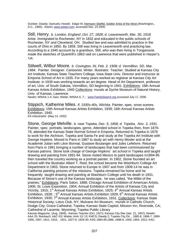Dunbier; Dawdy; Samuels; Howell, Edgar M. Hermann Stieffel, Soldier Artist of the West (Washington,, D.C., 1960); *AskArt*, www.askart.com, accessed Dec. 23 2005.

Still, Henry. *b. London, England ,Oct. 27, 1828; d. Leavenworth, Mar. 30, 1918.*  Artist. Immigrated to Rochester, NY in 1832 and educated in the public schools of Rochester, NY and Cleveland, OH. Studied law and was admitted to practice in the courts of Ohio in 1850. By 1859, Still was living in Leavenworth and practicing law. According to a 1940 account by a grandson, Still, who was then living in Tonganoxie, made the sketches of Quantrill's 1863 raid on Lawrence that were published in *Harper's*. Taft.

Stilwell, Wilbur Moore. *b. Covington, IN, Feb. 2, 1908; d. Vermillion, SD, Mar. 1984*. Painter. Designer. Cartoonist. Writer. Illustrator. Teacher. Studied at Kansas City Art Institute; Kansas State Teachers College; Iowa State Univ. Director and instructor at Emporia School of Art in 1935. For many years worked as registrar at Kansas City Art Institute; in 1939 was working towards an art degree. Head of Art Department, professor of art, Univ. of South Dakota, Vermillion, SD beginning in 1941. Exhibitions: 16th Annual Kansas Artists Exhibition, 1940 Collections: murals at Dyche Museum of Natural History, Univ. of Kansas, Lawrence.

Newlin; WWAA 1-4; Sain; Wiebe; WWAA 6, 7; ; www.FamilySearch.org accessed July 17, 2006.

Stippich, Katherine Miles. *fl. 1930s-40s, Wichita*. Painter, spec. snow scenes. Exhibitions: 15th Annual Kansas Artists Exhibition, 1939; 16th Annual Kansas Artists Exhibition, 1940.

*KS Industrialist* (May 14, 1932)

Stone, George Melville. *b. near Topeka, Dec. 5, 1858; d. Topeka, Nov. 3, 1931.* Painter, spec. portraits, landscapes, genre. Attended school in Topeka then, from 1876- 78, attended the Kansas State Normal School in Emporia. Returned to Topeka in 1878 to work for the Atchison, Topeka and Santa Fe and study at the Topeka Art Institute with George Hopkins. Moved to Paris in 1887 to study art with Henry Mosler and at the Academié Julian with Léon Bonnat, Gustave Boulanger and Jules Lefebvre. Returned from Paris in 1891 bringing a number of landscapes that had been commissioned by Kansas patrons. Stone took charge of George Hopkins' art school in Topeka and taught drawing and painting from 1891-94. Stone visited Mexico to paint landscapes in1894-95 then traveled the country working as a portrait painter. In 1902, Stone founded an art school with the illustrator Albert T. Reid; the school became the Washburn College Art Department in 1903. Stone returned to Europe in 1907 and from 1909-14 he was in California painting pictures of the missions. Topeka remained his home and he frequently taught drawing and painting at Washburn College until his death in 1931. Because of Stone's use of the Kansas landscape, he was called, "the Millet of the prairies." Exhibitions: Paris Salon, 1888; Chicago Annual Exhibition of American Artists, 1906; St. Louis Exposition, 1904; Annual Exhibition of the Artists of Kansas City and Vicinity, 1915; 1st Annual Kansas Artists Exhibition, 1925; 4th Annual Kansas Artists Exhibition, 1928; ;  $5<sup>th</sup>$  Annual Kansas Artists Exhibition 1929;  $6<sup>th</sup>$  Annual Kansas Artists Exhibition, 1930; 7<sup>th</sup> Annual Kansas Artists Exhibition, 1931. Collections: Kansas State Historical Society; Lotus Club, NY; Mulvane Art Museum; murals in Catholic Church, Dodge City; Grace Cathedral, Topeka; Kansas State Capitol; Mission Inn, Riverside, CA; Cathedral of Laramie, Wyoming; Topeka Public Library

*Kansas Magazine*¸ (Aug. 1909); *Kansas Teacher (*Oct. 1927); Kansas City Star (Apr. 21, 1907); Newlin; AAA 25; Reinbach; A&C KS; Wiebe; AAA 12/ 13; KMCS; Dawdy 2; Topeka City Dir, , 1885-6, 1896-7, 1899- 1900, 1907, 1912, 1916, . 1921, 1927-8, 1929-30; KSG 1884-85,1886, 1888-9, 1900, 1904, 1912; KAC;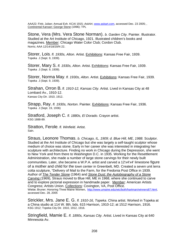AAA22; Fink; Julian; Annual Exh. KCAI 1915; *AskArt*, www.askart.com, accessed Dec. 23 2005; *,*  Continental Kansan: George Stone (1996); TPL

Stone, Vera (Mrs. Vera Stone Norman). *b. Garden City*. Painter. Illustrator. Studied at the Art Institute of Chicago, 1921. Illustrated children's books and magazines. Member: Chicago Water Color Club; Cordon Club. Norris; AAA 12/14/18/20/N 22.

Storer, Lois. *fl. 1930s, Alton.* Artist. Exhibitions: Kansas Free Fair, 1939. Topeka J (Sept. 9, 1939).

Storer, Mary S. *fl. 1930s, Alton*. Artist. Exhibitions: Kansas Free Fair, 1939. Topeka J (Sept. 9, 1939).

Storer, Norma May. *fl. 1930s, Alton*. Artist. Exhibitions: Kansas Free Fair, 1939. Topeka J (Sept. 9, 1939).

Strahan, Orron B**.** *fl. 1910-12, Kansas City*. Artist. Lived in Kansas City at 48 Lombard Av., 1910-12. Kansas City Dir. 1910, 1912.

Strapp, Ray. *fl. 1930s, Norton*. Painter. Exhibitions: Kansas Free Fair, 1936. Topeka J (Sept. 19, 1936)

Stratford, Joseph C. *fl. 1880s, El Dorado*. Crayon artist. KSG 1888-89.

Stratton, Ferole. *fl. Winfield.* Artist. Sain.

Straus, Leonore Thomas. *b. Chicago, IL, 1909; d. Blue Hill, ME, 1988.* Sculptor. Studied at the Art Institute of Chicago but she was largely a self-taught sculptor whose medium of choice was stone. Early in her career she was interested in integrating her sculpture with architecture. Finding no work in Chicago during the Depression, she went to New York and from there to Washington D.C. in 1935. Working for the Resettlement Administration, she made a number of large stone carvings for their newly built communities. Later, she became a W.P.A. artist and carved a 12'x4'x4' limestone figure of a mother and child for the town center in Greenbelt, MD. Created a seven unit terra cotta sculpture, "Delivery of Mail to the Farm, for the Fredonia Post Office in 1939. Author of T*he Tender Stone* (1964) and *Stone Dust; the Autobiography of a Stone Carving* (1969)*,* Straus moved to Blue Hill, ME in 1968, where she continued to carve and to explore pictorial expression in handmade paper. Member: American Artists Congress; Artists Union. Collections: Covington, VA, Post Office. Wiebe; Bruner; Honoring Three Maine Women, http://www.umaine.edu/wic/both/hartman/winners87.html, accessed Dec. 28, 2005

Strickler, Mrs. Jane E. G. *fl. 1910-16, Topeka*. China artist. Worked in Topeka at a China studio at 114 W. 8th, bds. 615 Harrison, 1910-12; at 1512 Harrison, 1916. KSG 1912; Topeka City Dir. 1910, 1912, 1916.

Stringfield, Mamie E. *fl. 1890s, Kansas City*. Artist. Lived in Kansas City at 640 Minnesota Av.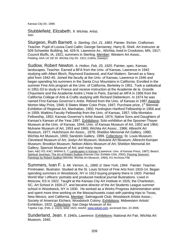Kansas City Dir. 1899.

Stubblefield, Elizabeth. *fl. Wichita*. Artist. Sain.

Sturgeon, Ruth Barnett. *b. Sterling, Oct. 21, 1883*. Painter. Etcher. Craftsman. Teacher. Pupil of Louisa Card Catlin; George Senseney; Harry B. Shell. Art instructor at 509 Schweiter Building, bd. 429 N. Lawrence Av., Wichita; lived in Crookston, MN, 1917; Council Bluffs, IA, 1921; summers in Sterling. Member: Western Art Assoc.. Fielding; AAA 14/ 18/ 20. Wichita City Dir. 1912; Collins; Dawdy3.

Sudlow, Robert Newton. *b. Holton, Feb. 25, 1920*. Painter, spec. Kansas landscapes. Teacher. Earned a BFA from the Univ. of Kansas, Lawrence in 1942 studying with Albert Bloch, Raymond Eastwood, and Karl Mattern. Served as a Navy pilot from 1942-45. Joined the faculty at the Univ. of Kansas, Lawrence in 1946 and began spending his summers in the Santa Cruz Mountains in California. Enrolled in the summer Fine Arts program at the Univ. of California, Berkeley in 1951. Took a sabbatical in 1951-53 to study in France and receive instruction at the Academie de la Grande Chaumiere and the Academie Andre L'Hote in Paris. Earned an MFA in 1956 from the California College of Arts & Crafts studying with Richard Diebenkorn. In 1974 he was named First Kansas Governor's Artist. Retired from the Univ. of Kansas in 1987.Awards: Morton May Prize, 1946; 6 States Water Color Prize, 1947; Purchase prize, 1<sup>st</sup> Biennial Exhibition of Regional Art, Manhattan, 1950; Huntington Hartford Fellowship in 1956 and in 1959; Watkins Faculty Fellowship from the Univ. of Kansas, 1957; Villa Montalvo Fellowship, 1952; Kansas Governor's Artist Award, 1974; Native Sons and Daughters of Kansas's Kansan of the Year,1997. Exhibitions: Solo exhibition at the Spooner-Thayer Museum at the Univ. of Kansas, 1944; Univ. of Kansas Museum of Art, 1952 and 1964; Mulvane Museum of Art, 1953 and 1965; Wichita Art Assoc., 1966; Albrecht Art Museum, 1977; Hutchinson Art Assoc., 1978; Sheldon Memorial Art Gallery, 1980; Wichita Art Museum, 1993; Sandzén Gallery, 1999. Collections: St. Louis Museum; Cleveland Museum of Art; Joslyn Art Museum; Mulvane Art Museum; Albrecht-Kemper Museum; Brooklyn Museum; Nelson-Atkins Museum of Art; Sheldon Memorial Art Gallery; Spencer Museum of Art; and many more

Sain; A&C KS; KAC; WWAA 6, 7*;* Landscapes in Kansas (Lawrence: Univ. of Kansas Press, 1987); Beach; Spiritual Journeys: The Art of Robert Sudlow (Kansas City: Exhibits USA, 2002); Passing Seasons: Paintings by Robert Sudlow (Wichita: Wichita Art Museum, 1994); KU Archives File

Summers, Ivan F. b. Mt. Vernon, IL, 1889; d. New York, 1964. Painter. Teacher. Printmaker. Illustrator. Studied at the St. Louis School of Fine Arts from 1910-14. Began spending summers in Woodstock, NY in 1913 buying property there in 1920. Painted World War I officers' portraits and produced medical journal illustrations. Lived in Moscow, KS in 1922. Taught at the Kansas City Art Institute in 1925, the Charleston, SC, Art School in 1926-27, and became director of the Art Students League summer school in Woodstock, NY in 1930. He worked as a Works Progress Administration artist and spent more time working on the Massachusetts coast with painting trips to Texas, New Mexico, and California. Member: Salmagundi Club; Woodstock Artists Assoc.; Society of American Etchers; Woodstock Colony. Exhibitions: Midwestern Artists' Exhibition, 1922. Collections: San Diego Museum of Art Topeka Cap. (Feb. 2, 1922); MAE 1922; *AskArt*, www.askart.com, accessed Dec. 23 2005.

Sunderland, Jean. *fl. 1940s, Lawrence*. Exhibitions: National Art Fair, Wichita Art Museum, 1940.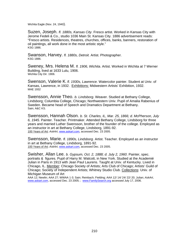Wichita Eagle (Nov. 24, 1940).

Suzen, Joseph. *fl. 1880s, Kansas City*. Fresco artist. Worked in Kansas City with Jerome Fedeli & Co., studio 1036 Main St. Kansas City. 1886 advertisement reads: "Fresco artists. Residences, theatres, churches, offices, banks, banners, restoration of oil paintings, all work done in the most artistic style." KSG 1886.

Swanson, Harvey. *fl. 1880s, Detroit.* Artist. Photographer. KSG 1886.

Sweney, Mrs. Helena M. *fl. 1906, Wichita*. Artist. Worked in Wichita at 7 Werner Building, lived at 1633 Lulu, 1906. Wichita City Dir. 1906.

Swenson, Valerie K. *fl. 1930s, Lawrence.* Watercolor painter. Student at Univ. of Kansas, Lawrence, in 1932. Exhibitions: Midwestern Artists' Exhibition, 1932. MAE 1932

Swensson, Annie Theo. *b. Lindsborg*. Weaver. Studied at Bethany College, Lindsborg; Columbia College, Chicago; Northwestern Univ. Pupil of Amalia Rabenius of Sweden. Became head of Speech and Dramatics Department at Bethany. Sain; A&C KS.

Swensson, Hannah Olson. *b. St. Charles, IL, Mar. 25, 1866; d. McPherson, July 6, 1945.* Painter. Teacher. Printmaker. Attended Bethany College, Lindsborg for three years and married Luther Swensson, brother of the founder of the college. Employed as an instructor in art at Bethany College, Lindsborg, 1891-92. 100 Years of Art*; AskArt*, www.askart.com, accessed Dec. 23 2005.

Swensson, Marie. *fl. 1890s, Lindsborg.* Artist. Teacher. Employed as an instructor in art at Bethany College, Lindsborg, 1891-92. 100 Years of Art*; AskArt*, www.askart.com, accessed Dec. 23 2005.

Swisher, Allan Lee. *b. Gypsum, Oct. 2, 1888; d. July 2, 1960*. Painter, spec. portraits & figures. Pupil of Harry M. Walcott, in New York. Studied at the Academié Julian in Paris in 1913 with Jean Paul Laurens. Taught at Univ. of Kentucky. Lived in Chicago, IL. Member: Chicago Society of Artists; Arts Club of Chicago; Artists' Guild of Chicago; Society of Independent Artists; Whitney Studio Club. Collections: Univ. of Michigan Museum of Art

AAA 12; Newlin; AAA 27; WWAA 1-3; Sain; Reinbach; Fielding; AAA 12/ 14/ 24/ 22/ 20; Julian; *AskArt*, www.askart.com, accessed Dec. 23 2005; ; www.FamilySearch.org accessed July 17, 2006.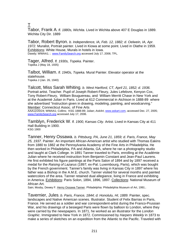## T

Tabor, Frank A. *fl. 1880s, Wichita.* Lived in Wichita above 407 E Douglas in 1889. Wichita City Dir. 1889

Tabor, Robert Byron. *b. Independence, IA, Feb. 12, 1882; d. Oelwein, IA, Apr. 1972.* Muralist, Portrait painter. Lived in Kiowa at some point. Lived in Olathe in 1959. Exhibitions: White House, Murals in hotels in Iowa. Dawdy; WWAA1; ; www.FamilySearch.org accessed July 17, 2006; TPL.

Tager, Alfred. *fl. 1930s, Topeka.* Painter. Topeka J (May 18, 1935)

Talbot, William. *fl. 1940s, Topeka.* Mural Painter. Elevator operator at the statehouse. Topeka J (Jan. 26, 1940)

Talcott, Miss Sarah Whiting. *b. West Hartford, CT, April 21, 1852; d. 1936.*  Portrait artist. Teacher. Pupil of Joseph Robert-Fleury, Jules Lefebvre, Kenyon Cox, Tony Robert-Fleury, William Bouguereau, and William Merritt Chase in New York and at the Academié Julian in Paris. Lived at 612 Commercial in Atchison in 1888-89 where she advertised "Instruction given in drawing, modeling, painting, and woodcarving." Member: Connecticut Assoc. of Fine Arts

AAA12/20/24; WWAA1; Collins; KSG 1888-89; Julian; *AskArt*, www.askart.com, accessed Dec. 27, 2005; www.FamilySearch.org accessed July 17, 2006.

Tamblyn, Frederick W. *fl. 1900, Kansas City.* Artist. Lived in Kansas City at 411 Hall Building in 1900. KSG 1900

Tanner, Henry Ossawa. *b. Pittsburg, PA, June 21, 1859; d. Paris, France, May 25, 1937.* Painter. An important African-American artist who studied with Thomas Eakins from 1880 to 1882 at the Pennsylvania Academy of the Fine Arts in Philadelphia. He then worked in Philadelphia, PA and Atlanta, GA, where he ran a photography studio and taught at Clark College. In 1891 Tanner traveled to Paris, enrolling at the Académie Julian where he received instruction from Benjamin Constant and Jean-Paul Laurens. He first exhibited his figure paintings at the Paris Salon of 1894 and by 1897 received a medal for the *Raising of Lazarus* (1897; ex-Pal. Luxembourg, Paris), which was bought by the French government. Tanner's family was living in Kansas City in 1897 where his father was a Bishop in the A.M.E. church. Tanner visited for several months and painted watercolors of the area. Tanner retained dual allegiance, living in France and exhibiting in America. Exhibitions: Paris Solon, 1894, 1896, 1897. Collections: National Museum of African Art.

Sain; Mosby, Dewey F. Henry Ossawa Tanner. Philadelphia: Philadelphia Museum of Art, 1991.

Tavernier, Jules. *b. Paris, France, 1844; d. Honolulu, HI, 1889.* Painter, spec. landscapes and Native American scenes. Illustrator. Student of Felix Barrias in Paris, France. He served as a soldier and war correspondent-artist during the Franco-Prussian War, and his drawings of a besieged Paris were flown by balloon to London, where they were carried by the newspapers. In 1871, he worked as an illustrator for the *London Graphic*. Immigrated to New York in 1872. Commissioned by *Harpers Weekly* in 1873 to make a series of sketches on an expedition from the Atlantic to the Pacific. Traveled with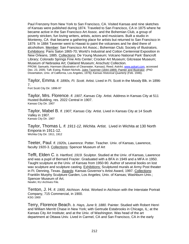Paul Frenzeny from New York to San Francisco, CA. Visited Kansas and nine sketches of Kansas were published during 1874. Traveled to San Francisco, CA in 1875 where he became active in the San Francisco Art Assoc. and the Bohemian Club, a group of poverty stricken, fun loving writers, artists, actors and musicians. Built a studio in Monterey, CA that became a gathering place for artists but returned to San Francisco in 1879. In 1884 Tavenier went to Hawaii to paint the volcanoes and he died there of alcoholism. Member: San Francisco Art Assoc.; Bohemian Club; Society of Illustrators. Exhibitions: Paris Salon 1865-70; World's Industrial and Cotton Centennial Exposition in New Orleans, 1885. Collections: De Young Museum; Volcano National Park' Bancroft Library; Colorado Springs Fine Arts Center; Crocker Art Museum; Gilcrease Museum; Museum of Nebraska Art; Oakland Museum; Anschutz Collection.

PROW; Samuels; Harmsen (illustration of Clearwater, Kansas); Reed; *AskArt*, www.askart.com, accessed Dec. 23, 2005; Taft; Ewing, Robert Nichols. Jules Tavernier (1844-1889): Painter and Illustrator. (PhD Dissertation, Univ. of California, Los Angeles, 1978*); Kansas Historical Quarterly* (Feb. 1946).

Taylor, Emma. *fl. 1890s, Ft. Scott.* Artist. Lived in Ft. Scott in the Moody Blk. in 1896- 7.

Fort Scott City Dir. 1896-97

Taylor, Mrs. Florence. *fl. 1907, Kansas City.* Artist. Address in Kansas City at 511 Husted Building, res. 2022 Central in 1907. Kansas City Dir. 1907

Taylor, Mabel B. *fl. 1907, Kansas City.* Artist. Lived in Kansas City at 14 South Valley in 1907. Kansas City Dir. 1907

Taylor, Thomas L. *fl. 1911-12, Wichita.* Artist. Lived in Wichita at 130 North Emporia in 1911-12. Wichita City Dir. 1911, 1912

Teeter, Paul. *fl. 1920s, Lawrence.* Potter. Teacher. Univ. of Kansas, Lawrence, faculty 1920-3. Collections: Spencer Museum of Art

Tefft, Elden C. *b. Hartford, 1919.* Sculptor. Studied at the Univ. of Kansas, Lawrence and was a pupil of Bernard Frazier. Graduated with a BFA in 1949 and a MFA in 1950. Taught sculpture at the Univ. of Kansas from 1950-90. Author of several books on lost wax sculpture and sculpture casting. Exhibitions: Sculptured murals at Army Post theater in Ft. Denning, Texas. Awards: Kansas Governor's Artist Award, 1997. Collections: Franklin Murphy Sculpture Garden, Los Angeles; Univ. of Kansas; Washburn Univ.; Spencer Museum of Art. Newlin; KU Archives File.

Tenton, J. H. *fl. 1900, Atchison.* Artist. Worked in Atchison with the Interstate Portrait Company, 715 Commercial, in 1900. KSG 1900

Terry, Florence Beach. *b. Hays, June 9, 1880.* Painter. Studied with Robert Henri and William Merritt Chase in New York; with Gertrude Estabrooks in Chicago, IL; at the Kansas City Art Institute; and at the Univ. of Washington. Was head of the art department at Ottawa Univ. Lived in Carmel, CA and San Francisco, CA in the early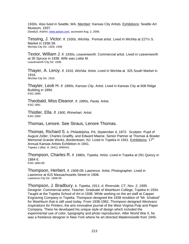1930s. Also lived in Seattle, WA. Member: Kansas City Artists. Exhibitions: Seattle Art Museum, 1937. Dawdy3; *AskArt*, www.askart.com, accessed Aug. 2, 2006.

Tessing, J. Victor. *fl. 1930s, Wichita.* Portrait artist. Lived in Wichita at 227½ S. Market in 1936-39. Wichita City Dir. 1929, 1936

Textor, William J. *fl. 1930s, Leavenworth.* Commercial artist. Lived in Leavenworth at 35 Spruce in 1938. Wife was Lottie M. Leavenworth City Dir. 1936

Thayer, A. Leroy. *fl. 1916, Wichita.* Artist. Lived in Wichita at 325 South Market in 1916. Wichita City Dir. 1916.

Thayter, Leoti H. *fl. 1890s, Kansas City.* Artist. Lived in Kansas City at 608 Ridge Building in 1894. KSG 1894

Theobald, Miss Eleanor. *fl. 1890s, Paola.* Artist. KSG 1891

Thistler, Ella. *fl. 1900, Rhinehart.* Artist. KSG 1900

Thomas, Lenore. See Straus, Lenore Thomas.

Thomas, Richard S. *b. Philadelphia, PA, September 4, 1872.* Sculptor. Pupil of August Zeller, Charles Gradfly, and Edward Maene. Senior Partner at Thomas & Bowler Memorial Granite Works, Bordentown, NJ. Lived in Topeka in 1941. Exhibitions: 17<sup>th</sup> Annual Kansas Artists Exhibition in 1941. Topeka J (Mar. 8, 1941); WWAA1

Thompson, Charles R. *fl. 1880s, Topeka.* Artist. Lived in Topeka at 291 Quincy in 1884-5.<br>KSG 1884-85

Thompson, Herbert. *fl. 1908-09, Lawrence.* Artist, Photographer. Lived in Lawrence at 615 Massachusetts Street in 1908. Lawrence City Dir. 1908-09

Thompson, J. Bradbury. *b. Topeka, 1911; d. Riverside, CT, Nov. 2, 1995.*  Designer. Commercial artist. Teacher. Graduate of Washburn College, Topeka in 1934. Taught at the Topeka School of Art in 1938. While working on the art staff at Capper Engraving Company in Topeka, Thompson designed the 1938 rendition of "Mr. Ichabod" for Washburn that is still used today. From 1938-1962, Thompson designed *Westvaco Inspirations for Printers*, the arts innovative journal of the West Virginia Pulp and Paper Company. There he developed his unique style of design which included the experimental use of color, typography and photo reproduction. After World War II, he was a freelance designer in New York where he art directed *Mademoiselle* from 1945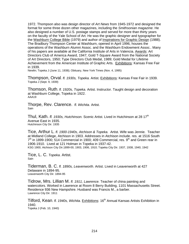1972. Thompson also was design director of *Art News* from 1945-1972 and designed the format for some three dozen other magazines, including the *Smithsonian magazine*. He also designed a number of U.S. postage stamps and served for more than thirty years on the faculty of the Yale School of Art. He was the graphic designer and typographer for the Washburn College Bible (1979) and author of Inspirations for Graphic Design (1988). The Bradbury Thompson Center at Washburn, opened in April 1996, houses the operations of the Washburn Alumni Assoc. and the Washburn Endowment Assoc.. Many of his papers are available at the California Institute of Arts in Valencia. Awards: Art Directors Club of America Award, 1947; Gold T-Square Award from the National Society of Art Directors, 1950; Type Directors Club Medal, 1989; Gold Medal for Lifetime Achievement from the American Institute of Graphic Arts. Exhibitions: Kansas Free Fair in 1939.

Newlin; Topeka J (June 11, 1938); Obituary, New York Times (Nov. 4, 1995)

Thompson, Orval. *fl. 1930s, Topeka.* Artist. Exhibitions: Kansas Free Fair in 1939. Topeka J (Sept. 9, 1939)

Thomson, Ruth. *fl. 1920s, Topeka.* Artist. Instructor. Taught design and decoration at Washburn College, Topeka in 1922. AAA19

Thorpe, Rev. Clarence. *fl. Wichita.* Artist. **Sain** 

Thul, Kath. *fl. 1930s, Hutchinson.* Scenic Artist. Lived in Hutchinson at 28 17<sup>th</sup> Avenue East in 1935. Hutchinson City Dir. 1935

Tice, Arthur L. *fl. 1900-1940s, Atchison & Topeka.* Artist. Wife was Jennie. Teacher at Midland College, Atchison in 1903. Addresses in Atchison include. res. at 1516 South  $7<sup>th</sup>$  in 1899-1900; 514 Commercial in 1900; 409 Commercial, res. 9<sup>th</sup> and Green rear in 1906-1910. Lived at 121 Holman in Topeka in 1937-42. KSG 1900, Atchison City Dir.1899-00, 1903, 1906, 1910; Topeka City Dir. 1937, 1938, 1940, 1942

Tice, L. C. *Topeka*. Artist. **Sain** 

Tiderman, B. C. *fl. 1890s, Leavenworth.* Artist. Lived in Leavenworth at 427 Delaware in 1894-95. Leavenworth City Dir. 1894-95

Tidrow, Mrs. Lillian M. *fl. 1911, Lawrence.* Teacher of china painting and watercolors. Worked in Lawrence at Room 8 Berry Building, 1101 Massachusetts Street. Residence 936 New Hampshire. Husband was Francis M., a barber. Lawrence City Dir. 1911

Tilford, Kean. *fl. 1940s, Wichita.* Exhibitions: 16th Annual Kansas Artists Exhibition in 1940. Topeka J (Feb. 10, 1940)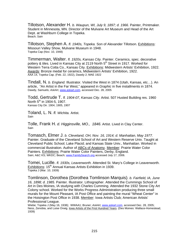Tillotson, Alexander H. *b. Waupun, WI, July 9, 1897; d. 1966.* Painter, Printmaker. Student in Minnesota, MN. Director of the Mulvane Art Museum and Head of the Art Dept. at Washburn College in Topeka. Beach; Sain

Tillotson, Stephen A. *fl. 1940s, Topeka.* Son of Alexander Tillotson. Exhibitions: Missouri Valley Show, Mulvane Museum in 1948. Topeka Cap (Nov. 10, 1948)

Timmerman, Walter. *fl. 1920s, Kansas City.* Painter. Ceramics, spec. decorative pottery & tiles. Lived in Kansas City at 2119 North 5<sup>th</sup> Street in 1917. Worked for Western Terra Cotta Co., Kansas City. Exhibitions: Midwestern Artists' Exhibition, 1922. Awards: Bronze medal for ceramics, Midwestern Artists' Exhibition, 1922. AAA 14, Topeka Cap. (Feb. 22, 1922), Dawdy 2; MAE 1922

Tindall, N. *b. England.* Illustrator. Visited the West in 1874 (Utah, Kansas, etc…). An article, "An Artist in the Far West," appeared in *Graphic* in five installments in 1874. Dawdy, Samuels; *AskArt*, www.askart.com, accessed Dec. 28, 2005

Todd, Gertrude T. *fl. 1904-07, Kansas City.* Artist. 507 Husted Building res. 1960 North  $5^{th}$  in 1904-5, 1907. Kansas City Dir. 1904, 1905, 1907

Toland, L. N. *fl. Wichita.* Artist. Sain

Tolle, Frank H. *d. Higginsville, MO., 1846*. Artist. Lived in Clay Center. Sain

Tomasch, Elmer J. *b. Cleveland, OH, Nov. 16, 1914; d. Manhattan, May 1977.*  Painter. Graduate of the Cleveland School of Art and Western Reserve Univ. Taught at Cleveland Public School; Lake Placid; and Kansas State Univ., Manhattan. Worked in commercial illustration. Author of ABCs of Anatomy. Member: Prairie Water Color Painters. Exhibitions: Prairie Water Color Painters, Derby, England. Sain; A&C KS; WKDC; Beach; www.FamilySearch.org accessed July 17, 2006.

Tomei, Lucille. *fl. 1930s, Leavenworth.* Attended St. Mary's College in Leavenworth. Exhibitions: 15<sup>th</sup> Annual Kansas Artists Exhibition in 1939. Topeka J (Mar. 10, 1939)

Tomlinson, Dorothea (Dorothea Tomlinson Marquis). *b. Fairfield, IA, June 16, 1898; d. 1985.* Painter. Illustrator. Lithographer. Attended the Cummings School of Art in Des Moines, IA studying with Charles Cumming. Attended the 1932 Stone City Art Colony school. Worked for the Works Progress Administration producing three small murals for the Mount Pleasant, IA Post Office and painting the mural "Wheat Center" in the Hoisington Post Office in 1938. Member: Iowa Artists Club; American Artists' Professional League.

Wiebe; Topeka J (May 16, 1938); WWAA1; Bruner; *AskArt*, www.askart.com, accessed Dec. 28, 2005; Ness, Zenobia, and Luise Orwig. lowa Artists of the First Hundred Years. (Des Moines: Wallace-Homestead, 1939)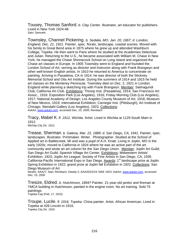Tousey, Thomas Sanford. *b. Clay Center.* Illustrator, art educator for publishers. Lived in New York 1924-48 Sain; Samuels

Townsley, Channel Pickering. *b. Sedalia, MO, Jan. 20, 1867; d. London, England, Dec. 21, 1921.* Painter, spec. florals, landscape, coastal scenes. Moved with his family to Great Bend area in 1875 where he grew up and attended Washburn College, Topeka. He then went to Paris where he studied at the Academies Delecluse and Julian. Returning to the U.S., he became associated with William M. Chase in New York; he managed the Chase Shinnecock School on Long Island and organized the Chase art classes in Europe. In 1905 Townsley went to England and founded the London School of Art, serving as director and instructor along with Frank Brangwyn and other well-known English artists. In 1910 he returned to America to concentrate on painting. Arriving in Pasadena, CA in 1914, he was director of both the Stickney Memorial School and Otis Art Institute. During the summers of 1914 and 1915 he held art classes on the Monterey Peninsula. Townsley died on Dec. 2, 1921 in London, England while planning a sketching trip with Frank Brangwyn. Member: Salmagundi Club; California Art Club. Exhibitions: Throop Inst. (Pasadena), 1914; San Francisco Art Assoc., 1916; Exposition Park (Los Angeles), 1916; Friday Morning Club (Los Angeles), 1917; National Academy of Design; Los Angeles County Museum of Art, 1918; Museum of New Mexico, 1919; International Exhibition, Carnegie Inst. (Pittsburgh); Art Institute of Chicago; Stendahl Gallery (Los Angeles), 1923. Collections: *AskArt*, www.askart.com, accessed Dec. 23, 2005; Reinbach

Tracy, Mabel K. *fl. 1912, Wichita.* Artist. Lived in Wichita at 1129 South Main in 1912. Wichita City Dir. 1912.

Trease, Sherman. *b. Galena, Mar. 22, 1889; d. San Diego, CA, 1941.* Painter, spec. landscapes. Illustrator. Printmaker. Writer. Photographer. Studied at the School of Applied art in Battlecreek, MI and was a pupil of A.H. Knatt. Living in Joplin, MO in the early 1920s; moved to California in 1924 where he was an active part of the art community and wrote an art column for the *San Diego Union*. Member: Joplin Art Guild; San Diego Art Guild; Spanish Village Art Center. Exhibitions: Midwestern Artists' Exhibition, 1923; Joplin Art League; Society of Fine Artists in San Diego, CA; 1935 California-Pacific International Expo in San Diego. Awards: 1<sup>st</sup> landscape prize at Joplin Spring Exhibition in 1922; grand prize at Joplin fall Exhibition in 1922. Collections: San Diego Museum of Art

Newlin; AAA27; Sain; Reinbach; Dawdy 2; AAA20/22/24; MAE 1923; *AskArt*, www.askart.com, accessed Dec. 23, 2005

Tresize, Eldred. *b. Hutchinson, 1894?* Painter. 21-year-old janitor and fireman at YMCA building in Hutchinson; painted in the engine room. No art training. Sold 75 paintings. Topeka Cap (Feb. 17, 1915)

Troupe, Lucile. *fl. 1916, Topeka.* China painter. Artist. African American. Lived in Topeka at 428 Lincoln in 1916. Topeka City Dir. 1916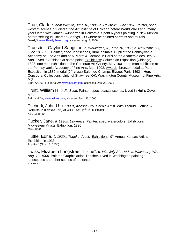True, Clark. *b. near Wichita, June 18, 1885; d. Haysville, June 1967.* Painter, spec. western scenes. Studied at the Art Institute of Chicago before World War I and, many years later, with James Swinnerton in California. Spent 6 years painting in New Mexico before settling in Colorado Springs, CO where he painted portraits and murals. Dawdy3; www.FamilySearch.org, accessed Aug. 2, 2006.

Truesdell, Gaylord Sangston. *b. Waukegan, IL, June 10, 1850; d. New York, NY, June 13, 1899.* Painter, spec. landscapes, rural, animals. Pupil at the Pennsylvania Academy of Fine Arts and of A. Morat & Cormon in Paris at the Academie des Beaux-Arts. Lived in Atchison at some point. Exhibitions: Columbian Exposition (Chicago), 1893; one man exhibition at the Corcoran Art Gallery, May 1901; one man exhibition at the Pennsylvania Academy of Fine Arts, Mar. 1902. Awards: bronze medal at Paris Exposition in 1889; medal ( $2^{nd}$  class) Salon de Champs Elysee, Paris 1892 – Hors Concours. Collections: Univ. of Shawnee, OK; Washington County Museum of Fine Arts, MD

Sain; AAA01; Field; *AskArt*, www.askart.com, accessed Dec. 23, 2005

Truitt, William H. *b. Ft. Scott.* Painter, spec. coastal scenes. Lived in Hull's Cove, ME. Sain; *AskArt*, www.askart.com, accessed Dec. 23, 2005

Tschudi, John U. *fl. 1880s, Kansas City.* Scenic Artist. With Tschudi, Loffing, & Roberts in Kansas City at 400 East  $12<sup>th</sup>$  in 1888-89. KSG 1888-89.

Tucker, Jane. *fl. 1930s, Lawrence.* Painter, spec. watercolors. Exhibitions*:*  Midwestern Artists' Exhibition, 1930. MAE 1930

Tuttle, Edna. *fl. 1930s, Topeka.* Artist. Exhibitions: 9th Annual Kansas Artists Exhibition in 1933. Topeka J (Nov. 11, 1933)

Twiss, Elizabeth Longstreet "Lizzie". *b. Iola, July 21, 1865; d. Waitsburg, WA, Aug. 10, 1906.* Painter. Graphic artist. Teacher. Lived in Washington painting landscapes and other scenes of the state. Kovinick..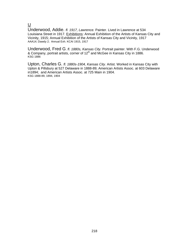U

Underwood, Addie. *fl. 1917, Lawrence.* Painter. Lived in Lawrence at 534 Louisiana Street in 1917. Exhibitions: Annual Exhibition of the Artists of Kansas City and Vicinity, 1915; Annual Exhibition of the Artists of Kansas City and Vicinity, 1917 AAA14; Dawdy 2; Annual Exh. KCAI 1915, 1917

Underwood, Fred G. *fl. 1880s, Kansas City.* Portrait painter. With F.G. Underwood & Company, portrait artists, corner of 12<sup>th</sup> and McGee in Kansas City in 1886. KSG 1886

Upton, Charles G. *fl. 1880s-1904, Kansas City.* Artist. Worked in Kansas City with Upton & Pillsbury at 527 Delaware in 1888-89; American Artists Assoc. at 603 Delaware in1894; and American Artists Assoc. at 725 Main in 1904. KSG 1888-89, 1894, 1904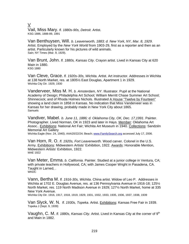# V Vail, Miss Mary. *fl. 1880s-90s, Detroit*. Artist. KSG 1886, 1888-89, 1891

Van Benthuysen, Will. *b. Leavenworth, 1883; d. New York, NY, Mar. 8, 1929*. Artist. Employed by the *New York World* from 1903-29, first as a reporter and then as an artist. Particularly known for his pictures of wild animals. Sain; NY Times (Mar. 9, 1929).

Van Brunt, John. *fl. 1880s, Kansas City*. Crayon artist. Lived in Kansas City at 620 Main in 1880.<br>KSG 1880

Van Cleve, Grace. *fl. 1920s-30s, Wichita*. Artist. Art instructor. Addresses in Wichita at 138 North Market, res. at 1805½ East Douglas, Apartment 1 in 1929. Wichita City Dir. 1929, 1930

Vanderveer, Miss M. H. *b. Amsterdam, NY*. Illustrator. Pupil at the National Academy of Design; Philadelphia Art School; William Merritt Chase Summer Art School; Shinnecock; and of Rhoda Holmes Nichols. Illustrated A House "Twelve by Fourteen" showing a land claim in 1858 in Kansas. No indication that Miss Vanderveer was in Kansas for her drawing, probably made in New York City about 1865. **Samuels** 

Vandiver, Mabel. *b. June 11, 1886; d. Oklahoma City, OK, Dec. 17,1991*. Painter. Photographer. Lived Norman, OK in 1923 and later in Hays. Member: Oklahoma Art Assoc.. Exhibitions: National Art Fair; Wichita Art Museum in 1940. Collections: Sandzén Memorial Art Gallery

Wichita Eagle (Nov. 24, 1940); AAA20/22/24; Beach; www.FamilySearch.org accessed July 17, 2006.

Van Horn, R. O. *fl. 1920s, Fort Leavenworth.* Wood carver. Colonel in the U.S. Army. Exhibitions: Midwestern Artists' Exhibition, 1922. Awards: Honorable Mention, Midwestern Artists' Exhibition, 1922. MAE 1922

Van Meter, Emma. *b. California*. Painter. Studied at a junior college in Ventura, CA; with private teachers in Hollywood, CA; with James Cooper Wright in Pasadena, CA. Taught in Larned, . WKDC

Vann, Bertha M. *fl. 1916-30s, Wichita*. China artist. Widow of Leo P. Addresses in Wichita at 1702 E. Douglas Avenue, res. at 136 Pennsylvania Avenue in 1916-18; 125½ North Market, res. 119 North Madison Avenue in 1929; 127½ North Market, home at 335 New York Avenue.

Wichita City Dir. 1916, 1917, 1918, 1919, 1929, 1931, 1932, 1933, 1935, 1936, 1937, 1938, 1939

Van Slyck, W. N. *fl. 1930s, Topeka*. Artist. Exhibitions: Kansas Free Fair in 1939. Topeka J (Sept. 9, 1939)

Vaughn, C. M. *fl. 1880s, Kansas City*. Artist. Lived in Kansas City at the corner of 9th and Main in 1882.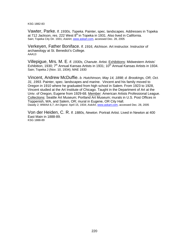KSG 1882-83

Vawter, Parke. *fl. 1930s, Topeka*. Painter, spec. landscapes. Addresses in Topeka at 712 Jackson, res. 222 West 8<sup>th</sup> in Topeka in 1931. Also lived in California. Sain; Topeka City Dir. 1931; *AskArt*, www.askart.com, accessed Dec. 28, 2005

Verkeyen, Father Boniface. *fl. 1916, Atchison*. Art instructor. Instructor of archaeology at St. Benedict's College. AAA13

Villepigue, Mrs. M. E. *fl. 1930s, Chanute*. Artist. Exhibitions: Midwestern Artists' Exhibition, 1930;  $7<sup>th</sup>$  Annual Kansas Artists in 1931; 10<sup>th</sup> Annual Kansas Artists in 1934. Sain; Topeka J (Nov. 10, 1934); MAE 1930

Vincent, Andrew McDuffie. *b. Hutchinson, May 14, 1898; d. Brookings, OR, Oct. 31, 1993*. Painter, spec. landscapes and marine. Vincent and his family moved to Oregon in 1910 where he graduated from high school in Salem. From 1923 to 1928, Vincent studied at the Art Institute of Chicago. Taught in the Department of Art at the Univ. of Oregon, Eugene from 1929-68. Member: American Artists Professional League. Collections: Seattle Art Museum; Portland Art Museum; murals in U.S. Post Offices in Toppenish, WA, and Salem, OR; mural in Eugene, OR City Hall. Dawdy 2; WWAA 6,7; *Art Digest.* April 15, 1934; *AskArt*, www.askart.com, accessed Dec. 28, 2005

Von der Heiden, C. R. *fl. 1880s, Newton*. Portrait Artist. Lived in Newton at 400 East Main in 1888-89. KSG 1888-89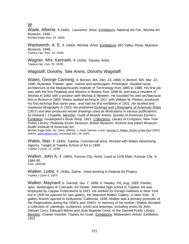# W

Wade, Alberta. *fl.1940s, Lawrence*. Artist. Exhibitions: National Art Fair, Wichita Art Museum, 1940. Wichita Eagle (Nov. 24, 1940)

Wadsworth, A. E. *fl. 1940s, Wichita.* Artist. Exhibitions: MO Valley Show, Mulvane Museum, 1948. Topeka Cap. (Nov. 10, 1948)

Wagner, Mrs. Kenneth. *fl. 1930s, Topeka.* Artist.<br><sub>Topeka</sub> Cap. (Jan. 28, 1939)

Wagstaff, Dorothy. See Arens, Dorothy Wagstaff.

Wales, George Canning. *b. Boston, MA, Dec. 23, 1868; d. Boston, MA, Mar. 22, 1940.* Illustrator. Painter, spec. marine and landscapes. Printmaker. Studied naval architecture at the Massachusetts Institute of Technology from 1885 to 1888. His first job was with the firm Peabody and Stearns in Boston from 1888-91 and was a resident of Wichita in 1892 with a position with Wichita & Western. He founded his own architectural firm in Boston in 1893. Wales studied etching in 1917 with William M. Paxton, produced his first etchings that same year, and had his first exhibition in 1921. He studied and mastered lithography in 1923. He published Etchings and Lithographs of American Ships (1927) and also produced vessel drawings used as illustrations in various publications by Howard I. Chapelle. Member: Guild of Boston Artists; Society of American Etchers. Exhibition: Goodspeed's Book Shop, 1921. Collections: Library of Congress; New York Public Library; Peabody-Essex Museum; British Museum; Victoria and Albert Museum; Butler Institute of American Art.

Wichita Eagle (Mar. 28, 1940); WWAA, 1; Field; Holman, Louis. George C. Wales: Etcher of the Sea (1922); *AskArt*, www.askart.com, accessed Dec. 28, 2005.

Wales, Max. *fl. 1930s, Topeka.* Commercial artist. Worked with Wales Advertising Agency. Taught at Topeka School of Art in 1938. Topeka J (June, 11, 1938)

Walker, John A. *fl. 1880s, Kansas City.* Artist. Lived at 1106 Main, Kansas City in 1884-85. KSG, 1884-85.

Walker, Lottie. *fl. 1930s, Salina*. Artist working in Federal Art Project. Topeka J (June 5, 1937)

Walker, Maynard. *b. Garnett, Jan. 7, 1896; d. Hawley, PA, Aug. 1985*. Painter, spec. landscapes of Colorado. Art Dealer. Attended high school in Topeka. He was employed by Capper Publications in 1921. He worked for Feragil Galleries in New York but in 1935 he opened his own gallery, the Maynard Walker Gallery, in New York. A gallery branch opened in Hollywood, California, 1938. Walker was a primary promoter of the Regionalists during the 1930's and 1940's. In memory of his mother, Walker donated a collection of paintings, sculptures, prints and drawings, including works by John Steuart Curry, Edouard Manet and Jean Baptiste Corot, to the Garnett Public Library. Member: Charter member Topeka Art Guild. Exhibitions: Midwestern Artists' Exhibition, 1922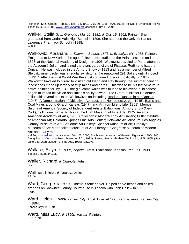Reinbach; Sain; Greene; Topeka J (Apr. 14, 1921, July 30, 1938); MAE 1922; Archives of American Art; NY Times (Aug. 23, 1985) www.FamilySearch.org accessed July 17, 2006.

Walker, Stella b. *b. Grenola, , Mar.11, 1881. d. Oct. 19, 1962*. Painter. She graduated from Cedar Vale High School in 1896. She attended the Univ. of Kansas, Lawrence Pharmacy School in 1898. WKCD.

Walkowitz, Abraham. *b. Tuiemen, Siberia, 1878; d. Brooklyn, NY, 1965*. Painter. Emigrated to New York at the age of eleven. He studied at the Artists Institute and, in 1898, at the National Academy of Design. In 1906, Walkowitz traveled to Paris, attended the Academié Julian, and joined the avant garde circle of Picasso, Rodin and Isadore Duncan. He was included in the Armory Show of 1913 and, as a member of Alfred Steiglitz' inner circle, was a regular exhibitor at the renowned 291 Gallery until it closed in 1917. After the First World War the artist continued to work prolifically. In 1945, Walkowitz traveled to Girard to visit an old friend and stay through the summer painting landscapes made up largely of strip mines and barns. This was to be his last venture in active painting for, by 1946, the glaucoma which was to lead to his eventual blindness began to impair his vision and limit his ability to work. The Girard publisher Haldeman-Julius did several books on Walkowitz's art including, Isadora Duncan in her Dances (1945), A Demonstration of Objective, Abstract, and Non-objective Art (1945), Barns and Coal Mines around Girard, Kansas (1947), and Art from Life to Life (1951). Member: Salons of America; Society of Independent Artists. Exhibitions: Armory Show (New York). 1913; one man exhibition at the Utah Museum of Fine Arts, 1975. Awards: American Academy of Arts, 1963. Collections: Albright-Knox Art Gallery; Butler Institute of American Art; Colorado Springs Fine Arts Center; Delaware Art Museum; Los Angeles County Museum of Art; Sheldone Art Gallery; Spencer Museum of Art; Brooklyn Museum of Art; Metropolitan Museum of Art; Library of Congress; Museum of Modern Art; and many more.

*AskArt*, www.askart.com, accessed Dec. 23, 2005; Smith Kent. Abraham Walkowitz, Figuration 1895-1945. (Long Beach, CA: Long Beach Museum of Art, 1982); Sawin, Marcia. Abraham Walkowitz, 1878-1965. (Salt Lake City: Utah Museum of Fine Arts, 1975); Dawdy3.

Wallace, Evlyn. *fl. 1930s, Topeka*. Artist. Exhibitions: Kansas Free Fair, 1939. Topeka J (Sept. 9, 1939)

Waller, Richard. *fl. Chanute*. Artist. Sain.

Waltner, Lena. *fl. Newton*. Artist. AAUW.

Ward, George. *fl. 1890s, Topeka.* Stone carver. Helped carve heads and coiled dragons on Shawnee County Courthouse in Topeka with John Deliew in 1896. FWP.

Ward, Helen. *fl. 1890s,Kansas City*. Artist. Lived at 1220 Pennsylvania, Kansas City in 1894. Kansas City Dir., 1894.

Ward, Miss Lucy. *fl. 1890s, Vassar*. Painter.<br>KSG, 1891.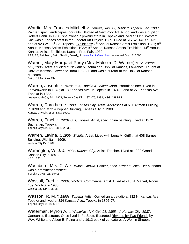Wardin, Mrs. Frances Mitchell. *b. Topeka, Jan. 19, 1888; d. Topeka, Jan. 1983*. Painter, spec. landscapes, portraits. Studied at New York Art School and was a pupil of Robert Henri. In 1930, she owned a jewelry store in Topeka and lived at 1131 Western. She was a Kansas artist in the Federal Art Project, 1939. Lived at 617 W. 143 St., NY and at 923 W. 16<sup>th</sup> St., Topeka. Exhibitions: 7<sup>th</sup> Annual Kansas Artist Exhibition, 1931; 8<sup>th</sup> Annual Kansas Artists Exhibition, 1932; 9<sup>th</sup> Annual Kansas Artists Exhibition; 14<sup>th</sup> Annual Kansas Artists Exhibition; Kansas Free Fair, 1939.

AAA, 12; Reinbach; Sain; Newlin; Dawdy, 2; www.FamilySearch.org accessed July 17, 2006.

Warner, Mary Margaret Parry (Mrs. Malcolm D. Warner) *b. St Joseph, MO, 1906*. Artist. Studied at Newark Museum and Univ. of Kansas, Lawrence. Taught at Univ. of Kansas, Lawrence from 1928-35 and was a curator at the Univ. of Kansas Museum. Sain; KU Archives File.

Warren, Joseph. *fl. 1870s-80s, Topeka & Leavenworth*. Portrait painter. Lived in Leavenworth in 1873; at 189 Kansas Ave. in Topeka in 1874-5; and at 273 Kansas Ave., Topeka in 1882.

Leavenworth City Dir., 1873; Topeka City Dir., 1874-75, 1882; KSG, 1882-83

Warren, Dorothea. *fl. 1900, Kansas City*. Artist. Addresses at 611 Altman Building in 1898 and at 314 Pepper Building, Kansas City in 1900. Kansas City Dir. 1898; KSG 1900.

Warren, Ethel. *fl. 1920s-30s, Topeka*. Artist, spec. china painting. Lived at 1272 Buchanan, Topeka. Topeka City Dir. 1927-28, 1929-30.

Warren, Lavina. *fl. 1909, Wichita*. Artist. Lived with Lena M. Griffith at 408 Barnes Building, Wichita in 1909. Wichita City Dir. 1909.

Warrington, W. J. *fl. 1890s, Kansas City*. Artist. Teacher. Lived at 1209 Grand, Kansas City in 1891. KSG 1891.

Washburn, Mrs. C. A. *fl. 1940s, Ottawa*. Painter, spec. flower studies. Her husband was a prominent architect. Topeka J (Mar. 23, 1940)

Wassall, Fred. *fl. 1930s, Wichita*. Commercial Artist. Lived at 215 N. Market, Room 409, Wichita in 1930. Wichita City Dir. 1930-31.

Wasson, R. M. *fl. 1890s. Topeka.* Artist. Owned an art studio at 832 N. Kansas Ave., Topeka and lived at 834 Kansas Ave., Topeka in 1896-97. Topeka City Dir. 1896-97.

Waterman, Myron A. *b. Westville , NY, Oct. 28, 1855; d. Kansas City, 1937*. Cartoonist. Illustrator. Once lived in Ft. Scott. Illustrated Rhymes by Two Friends by W.A. White and Albert B. Paine and a 1912 book of caricatures A Wolf in Sheep's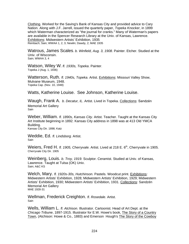Clothing. Worked for the Saving's Bank of Kansas City and provided advice to Cary Nation. Along with J.F. Jarrell, issued the quarterly paper, *Topeka Knocker*, in 1899 which Waterman characterized as "the journal for cranks." Many of Waterman's papers are available in the Spencer Research Library at the Univ. of Kansas, Lawrence. Exhibitions: Midwestern Artists' Exhibition, 1935 Reinbach; Sain; WWAA 1, 2, 3; Newlin; Dawdy, 2; MAE 1935

Watrous, James Scales. *b. Winfield, Aug. 3, 1908*. Painter. Etcher. Studied at the Univ. of Wisconsin. Sain: WWAA 3, 4

Watson, Wiley W*. fl. 1930s, Topeka*. Painter. Topeka J (Aug. 1, 1936)

Watterson, Ruth. *fl. 1940s, Topeka*. Artist. Exhibitions: Missouri Valley Show, Mulvane Museum, 1948. Topeka Cap. (Nov. 10, 1948)

Watts, Katherine Louise. See Johnson, Katherine Louise.

Waugh, Frank A. b. Decatur, IL. Artist. Lived in Topeka. Collections: Sandzén Memorial Art Gallery **Sain** 

Weber, William. *fl. 1890s, Kansas City.* Artist. Teacher. Taught at the Kansas City Art Institute beginning in 1892. Kansas City address in 1898 was at 413 Old YMCA Building. Kansas City Dir. 1898; Katz

Weddie, Ed. *fl. Lindsborg.* Artist. **Sain** 

Weiers, Fred H. *fl. 1905, Cherryvale.* Artist. Lived at 218 E. 6<sup>th</sup>, Cherryvale in 1905. Cherryvale City Dir. 1905

Weinberg, Louis. *b. Troy, 1919.* Sculptor. Ceramist. Studied at Univ. of Kansas, Lawrence. Taught at Tulsa (OK) Univ. Sain; A&C KS

Welch, Mary. *fl. 1920s-30s, Hutchinson.* Pastels. Woodcut print. **Exhibitions:** Midwestern Artists' Exhibition, 1928; Midwestern Artists' Exhibition, 1929; Midwestern Artists' Exhibition, 1930; Midwestern Artists' Exhibition, 1931. Collections: Sandzén Memorial Art Gallery MAE 1928-31

Wellman, Frederick Creighton. *fl. Rosedale.* Artist. Sain

Wells, William L. *fl. Atchison.* Illustrator. Cartoonist. Head of Art Dept. at the *Chicago Tribune*, 1897-1915. Illustrator for E.W. Howe's book, The Story of a Country Town, (Atchison: Howe & Co., 1883) and Emerson Hough's The Story of the Cowboy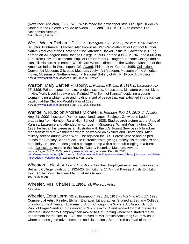(New York: Appleton, 1897). W.L. Wells made the newspaper strip 'Old Opie Dilldock's Stories' in the *Chicago Tribune* between 1908 and 1914. In 1915, he created 'Old Nicodemus Nimble'. Sain; Newlin; Reinbach

West, Walter Richard "Dick". *b. Darlington, OK, Sept. 8, 1912; d. 1996.* Painter. Sculptor. Printmaker. Teacher. Also known as Wah-Pah-Nah-Yah or Lightfoot Runner. Native American of the Cheyenne tribe. Attended Haskell Institute, Lawrence in 1935; earned an AA degree from Bacone College in 1938; earned a BFA in 1941 and a MFA in 1950 from Univ. of Oklahoma. Pupil of Olaf Nordmark. Taught at Bacone College and at Haskell. His son, also named W. Richard West, is director of the National Museum of the American Indian in Washington. DC. Award: Philbrook Art Center, 1955. Collections: Denver Art Museum; Gilcrease Museum; Joslyn Art Museum; Museum of the American Indian; Museum of Northern Arizona; National Gallery of Art; Philbrook Art Museum *AskArt*, www.askart.com, accessed July 30, 2006; Lester.

Weston, Mary Bartlett Pillsbury. *b. Hebron, NE, Jan. 5, 1817; d. Lawrence, Apr. 25, 1895.* Painter, spec. portraits, religions scenes, landscapes. Miniature painter. Lived in New York. Lived in Lawrence. Painted "The Spirit of Kansas" depicting a young woman riding a white horse and holding a bird of peace that was exhibited in the Kansas pavilion at the Chicago World's Fair of 1893.

*AskArt*, www.askart.com. accessed Jan. 11, 2006; Kovinick

Wendelin, Rudolph Andreas Michael. *b. Herndon, Feb. 27, 1910; d. Virginia, Aug. 31, 2000.* Illustrator. Painter, spec. landscapes. Sculptor. Grew up in Ludell graduating from Herndon Rural High School in 1928. Studied architecture at the Univ. of Kansas, Lawrence and attended art schools in Milwaukee, WI and Washington, DC . In 1933, he began his career as an illustrator with the U.S. Forest Service in Milwaukee then transferred to Washington where he worked on exhibits and illustrations. After military service during World War II, he rejoined the U.S. Forest Service and helped launch the Smokey Bear project. He is credited with giving Smokey his friendliness and popularity. In 1984, he designed a postage stamp with a bear cub clinging to a burnt tree. Collections: mural in the Rawlins County Historical Museum, Atwood Wichita Eagle (Oct. 7, 2000); *AskArt*, www.askart.com, accessed Dec. 28, 2005; http://www.sierraclub.org/john\_muir\_exhibit/frameindex.html?http://www.sierraclub.org/john\_muir\_exhibit/sta mps/rudolph\_wendelin.html, accessed July 26, 2006.

Wheaton, Lola A. *fl. 1920s, Lindsborg.* Teacher. Employed as an instructor in art at Bethany College, Lindsborg, 1924-25. Exhibitions: 1<sup>st</sup> Annual Kansas Artists Exhibition, 1925. Collections: Sandzén Memorial Art Gallery 100 Years of Art

Wheeler, Mrs. Charles. *fl. 1890s, McPherson.* Artist. KSG 1891

Wheeler, Zona Lorraine. *b. Bridgeport, Feb. 15, 1913; d. Wichita, Nov. 17, 1998*. Commercial Artist. Painter. Etcher. Engraver. Lithographer. Studied at Bethany College, Lindsborg, the American Academy of Art in Chicago, the Wichita Art Assoc. School. Pupil of Birger Sandzén. She moved to Wichita in 1934 and worked for C.A. Seward at Western Lithography Company then moved to Grit Printing where she started the art department for the firm. In 1943, she moved to McCormich Armstrong Co. of Wichita where she designed advertisements and illustrations. She retired as head of the art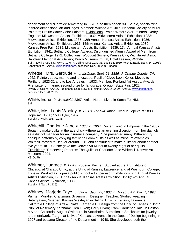department at McCormick Armstrong in 1978. She then began 3-D Studio, specializing in three-dimensional art and logos. Member: Wichita Art Guild; National Society of Mural Painters; Prairie Water Color Painters. Exhibitions: Prairie Water Color Painters, Derby, England; Midwestern Artists' Exhibition, 1932; Midwestern Artists' Exhibition, 1933; Midwestern Artists' Exhibition, 1935; 12th Annual Kansas Artists Exhibition, 1936; Midwestern Artists Exhibition, 1936; 15th Annual Kansas Artists Exhibition, 1939; Kansas Free Fair, 1939; Midwestern Artists Exhibition, 1939; 17th Annual Kansas Artists Exhibition, 1941; Bethany College. Awards: Distinguished Alumni Award of Merit from Bethany College, 1972. Collections: Woodcut Society, Kansas City; Wichita Art Assoc., Sandzén Memorial Art Gallery; Brach Museum; mural, Hotel Lassen, Wichita. Sain; Newlin; A&C KS; WWAA 1, 6, 7; Collins; MAE 1932-33, 1935-36, 1939; Wichita Eagle (Nov. 24, 1998); Sandzén files; *AskArt*, www.askart.com, accessed Dec. 28, 2005; Beach .

Whetsel, Mrs. Gertrude P. *b. McCune, Sept. 21, 1886; d. Orange County, CA, 1952*. Painter, spec. marine and landscape. Pupil of Clyde Leon Keller. Moved to Portland, 1923-31 and to Los Angeles in 1933. Member: Portland Art Assoc. Awards: First prize for marine, second prize for landscape, Oregon State Fair, 1922. Dawdy 2; Collins; AAA 27; Reinbach; Sain; Newlin; Fielding; AAA20/ 22/ 24; *AskArt*, www.askart.com, accessed Dec. 28, 2005.

White, Edna. *b. Wakefield, 1897.* Artist. Nurse. Lived in Santa Fe, NM. **Sain** 

White, Mrs. Louis Wooley. *fl. 1930s, Topeka*. Artist. Lived in Topeka at 1833 Hope Av., 1938; 1530 Tyler, 1937. Topeka City Dir. 1937, 1938.

Whitehill, Charlotte Jane. *b. 1866; d. 1964.* Quilter. Lived in Emporia in the 1930s. Began to make quilts at the age of sixty-three as an evening diversion from her day job as a district manager for an insurance company. She preserved many 19th-century appliqué patterns by copying family heirloom quilts as well as museum examples. Whitehill moved to Denver around 1940 and continued to make quilts for about another five years. In 1955 she gave the Denver Art Museum twenty-eight of her quilts. Exhibitions: "Preserving Patterns: The Quilts of Charlotte Jane Whitehill" Denver Art Museum, 2001. KS Quilts

Whitmer, Lugrace. *fl. 1930s, Topeka*. Painter. Studied at the Art Institute of Chicago, at Chicago Univ., at the Univ. of Kansas, Lawrence, and at Washburn College, Topeka. Worked as Topeka public school art supervisor. Exhibitions: 7th Annual Kansas Artists Exhibition, 1931; 11th Annual Kansas Artists Exhibition, 1936;14th Annual Kansas Artists Exhibition, 1938. Topeka J (Jan. 7 1936)

Whitney, Marjorie Faye. *b. Salina, Sept. 23, 1903; d. Tucson, AZ, Mar. 1, 1998*. Painter. Muralist. Craftsman. Silversmith. Designer. Teacher. Studied weaving in Säterglatem, Sweden; Kansas Wesleyan in Salina; Univ. of Kansas, Lawrence; California College of Arts & Crafts. Earned a B. Design from the Univ. of Kansas in 1927. Pupil of Rosemary Ketcham; Glen Luken; Harry Dixon; Frank Gardener Hale, in Boston, MA and California; August Swinburn, in Stockholm; Burnstien in Stockholm for jewelry and metalwork. Taught at Univ. of Kansas, Lawrence in the Dept. of Design beginning in 1927 and became Director of the Department in 1940. She developed both the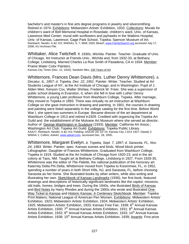bachelor's and master's in fine arts degree programs in jewelry and silversmithing. Retired in 1974. Exhibitions: Midwestern Artists' Exhibition, 1933. Collections: Murals for children's ward of Bell Memorial Hospital in Rosedale; children's ward, Univ. of Kansas, Lawrence Med Center; mural with sunflowers and jayhawks in the Watkins Hospital, Univ. of Kansas, Lawrence; Gage Park School, Topeka; Spencer Museum of Art. Reinbach; Newlin; A &C KS; WWAA1, 6, 7; MAE 1933; Beach; www.FamilySearch.org accessed July 17, 2006; KU Archives File.

Whittaker, Alice Twitchell. *fl. 1930s, Wichita*. Painter. Teacher. Graduate of Univ. of Chicago. Art Instructor at Friends Univ., Wichita and, from 1932-33, at Bethany College, Lindsborg. Married Charles La Rue Smith of Pasadena, CA in 1934. Member: Prairie Water Color Painters.<br>Kansas City Times (Dec. 12, 1934); Sandzén files; 100 Years of Art

Whittemore, Frances Dean Davis (Mrs. Luther Denny Whittemore). *b. Decatur, IL, 1857; d. Topeka, Dec. 22, 1951.* Painter. Writer. Teacher. Studied at Art Students League of NY, at the Art Institute of Chicago, and in Washington. Pupil of J. Alden Weir, Kenyon Cox, Walter Shirlaw, Frederick W. Freer. She was a supervisor of public school drawing in Evanston, IL when she fell in love with Luther Denny Whittemore, a young Latin professor from Washburn College, Topeka. After marriage, they moved to Topeka in 1893. There was virtually no art instruction at Washburn College so she gave instruction in drawing and painting. In 1901, the courses in drawing and painting were listed separately in the college catalog for the first time. Before World War I, she spent two summers in Europe. Became director of the art department at Washburn College in 1913 and retired in1929. Credited with organizing the Topeka Art Guild and the establishment of the Mulvane Art Museum where she served as director. Author of George Washington in Sculpture (1933). Member: California Art Assoc.; Washington Art Club; Topeka Art Guild. Exhibitions: Topeka Public Library. AAA27; Reinbach; Newlin; A &C KS; Fielding; AAA19/ 20/ 22/ 24; Kansas City J 3/14 1927; Dawdy 2; WWAA 1; Collins; *AskArt*, www.askart.com, accessed Dec. 28, 2005..

Whittemore, Margaret Evelyn. *b. Topeka, Sept. 7, 1897; d. Sarasota, FL, Nov. 24, 1983.* Writer. Painter, spec. Kansas scenes and birds. Wood block printer. Lithographer. Daughter of Frances Whittemore. Graduated from Washburn College, Topeka in 1919. Studied at the Art Institute of Chicago from 1920-23, and in the art colony at Taos, NM. Taught art at Bethany College, Lindsborg in 1927. From 1928-35, Whittemore was the editor of *The Palette,* the national publication of the honorary art fraternity Delta Phi Delta. Whittemore moved from Topeka to Kissimmee, FL, in 1952, spending a number of years in both Short Hills, NJ, and Sarasota, FL, before choosing Sarasota as her home. She illustrated books by other writers, while also writing and illustrating her own. Sketchbook of Kansas Landmarks (1936), her first book, featured drawings and descriptions of historically significant landmarks like the capitol, missions, old trails, homes, bridges and trees. During the 1940s, she illustrated Birds of Kansas and Bird Notes by Harry Rhodes and during the 1950s she wrote and illustrated One-Way Ticket to Kansas and Historic Kansas: A Centenary Sketchbook*.* Member: Topeka Print Makers; National League of American Pen Women. Exhibitions: Midwestern Artists' Exhibition, 1923; Midwestern Artists' Exhibition, 1924; Midwestern Artists' Exhibition, 1925; Midwestern Artists' Exhibition, 1933; Kansas Free Fair, 1939; 6<sup>th</sup> Annual Kansas Artists Exhibition, 1930; 7<sup>th</sup> Annual Kansas Artists Exhibition, 1931; 8<sup>th</sup> Annual Kansas Artists Exhibition, 1932; 9<sup>th</sup> Annual Kansas Artists Exhibition, 1933; 14<sup>th</sup> Annual Kansas Artists Exhibition, 1938; 15<sup>th</sup> Annual Kansas Artists Exhibition, 1939; Awards: First prize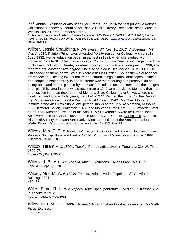in  $9<sup>th</sup>$  Annual Exhibition of American Block Prints, Jan. 1936 for best print by a Kansan. Collections: Spencer Museum of Art Topeka Public Library; Reinbach; Beach Museum; Wichita Public Library; Emporia Library

"Notes on Some Kansas Artists," in *Kansas Magazine,* 1935; Dawdy 2; WWAA 1, 6, 7; AAA25; Reinbach; Newlin; A&C KS; WKDC; AAA 20/ 22; MAE 1923-25, 1933; *AskArt*, www.askart.com, accessed Dec. 23, 2005; Kovinick.

Wilber, Jessie Spaulding. *b. Whitewater, WI, Nov. 10, 1912; d. Bozeman, MT, Oct. 2, 1989.* Painter. Printmaker. Attended Port Huron Junior College, Michigan, in 1930-1932. Her art education began in earnest in 1933, when she studied with modernist Estelle Stinchfield, as a junior, at Colorado State Teachers College (now Univ. of Northern Colorado), Greeley, graduating in 1935 with a fine arts degree. In 1938, she received her Master of Arts degree. She also studied in Des Moines, IA in 1938-1940, while teaching there, as well as elsewhere with Otis Dozier. Though the majority of her art reflected her lifelong love of nature and natural things, plants, landscapes, animals and people, a major activity in her art career was the recording and preservation of pictographs and murals painted by the Blackfoot Indians on the exteriors of their lodges and tipis. This latter interest would result from a 1940 summer visit to Montana that led to a position in the art department of Montana State College (later Univ.), where she would remain for over thirty years, from 1941-1972. Painted the mural, "In the Days of the Cattlemen's Picnic", for the Kingman Post Office in 1942. Member: Montana Institute of the Arts. Exhibitions: one-person shows at the Univ. of Montana, Missoula, 1965; Ketterer Gallery, Bozeman, 1972; and Montana State Univ., 1983. Awards: Artist of the Year, Montana Institute of the Arts, 1973; Governor's Award for Distinguished Achievement in the Arts in 1988 from the Montana Arts Council. Collections: Montana Historical Society; Montana State Univ.; Montana Institute of the Arts Foundation. Wiebe; Bruner; *AskArt*, www.askart.com, accessed Dec. 23, 2005; Kovinick

Wilcox, Mrs. E. B. *fl. 1880s, Hutchinson.* Art studio. Had office in Hutchinson over People's Savings Bank and lived at 134 N. W. corner of Sherman and Poplar, 1888. Hutchinson City Dir. 1888.

Wilcox, Hiram P. *fl. 1890s, Topeka.* Portrait artist. Lived in Topeka at 314 W. Third, 1896-97. Topeka City Dir. 1896-7.

Wilcox, J. B.. *fl. 1930s, Topeka.* Artist. Exhibitions: Kansas Free Fair, 1939 Topeka J (Sept. 9,1939)

Wilder, Mrs. M. A. *fl. 1890s, Topeka.* Artist. Lived in Topeka at 37 Crawford Building, 1891. KSG 1891.

Wiles, Elmer R. *fl. 1912, Topeka.* Artist, spec. portraiture. Lived at 629 Kansas Ave. in Topeka in 1912. KSG 12; Topeka City Dir. 1912.

Wiles, Mrs. M. C. *fl. 1890s, Halstead.* Artist. Husband worked as an agent for Wells Fargo Express.<br>KSG 1891.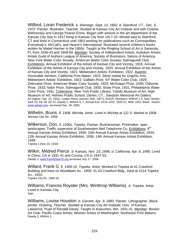Wilford, Loran Frederick. *b. Wamego, Sept. 13, 1892; d. Stamford, CT., Dec. 5, 1972.* Painter. Illustrator. Teacher. Studied at Kansas City Art Institute and with Charles Wilimovsky and George Pearse Ennis. Began with artwork in the art department of the *Kansas City Star* in 1917 living in Kansas City from 1917-23. Moved east to Stamford, CT and lived in Connecticut until 1953 working for publications such as *Cosmopolitan, Everybody's, McCall's*, and *Hearst's International*. Illustrated several children's books written by Mabel Harmer in the 1950s. Taught at the Ringling School of Art in Sarasota, FL from 1936-43 and 1948-69. Member: Society of Independent Artists; Audubon Artists; Artists Guild of Authors League of America; Society of Illustrators; Salons of America; New York Water Color Society; American Water Color Society; Salmagundi Club. Exhibitions: Annual Exhibition of the Artists of Kansas City and Vicinity, 1915; Annual Exhibition of the Artists of Kansas City and Vicinity, 1920; Annual Exhibition of the Artists of Kansas City and Vicinity, 1921; Midwestern Artists' Exhibition, 1922. Awards: Honorable mention, California Print Maker, 1922; Silver medal for Graphic Arts, Midwestern Artists' Exhibition, 1922; Gallatin Prize, NY Water Color Club, 1929; Zebruskie Prize, American Water Color Society, 1929; McGowan Prize, 1930; Osborne Prize, 1933; Isidor Prize, Salmagundi Club, 1930; Shaw Prize, 1931; Philadelphia Water Color Prize, 1931. Collections: New York Public Library; Toledo Museum of Art; High Museum of Art; Holmes Public School, Darien, CT.; Sandzén Memorial Art Gallery *Art Digest (* Apr. 15, 1931); *Ladies Home Journal (* Mar. 1927); AAA25; Reinbach; WWAA 1-4; Sain; Newlin; AAA 12/ 24/ 18/ 20/ 22; Dawdy 2; WWAA 6, 7; Annual Exh. KCAI 1915, 1920-21; MAE 1922; Reed; *AskArt*, www.askart.com, accessed Dec. 28, 2005.

Wilhelm, Bruns. *fl. 1908, Wichita.* Artist. Lived in Wichita at 122 S. Market in 1908. Wichita City Dir. 1908.

Wilkerson, Don. *fl. 1930s, Topeka.* Painter. Businessman. Printmaker, spec. landscapes. Traffic supervisor of Southwestern Bell Telephone Co. Exhibitions: 6<sup>th</sup> Annual Kansas Artists Exhibition, 1930; 10th Annual Kansas Artists Exhibition; 1934; 12th Annual Kansas Artists Exhibition, 1936; 14th Annual Kansas Artists Exhibition, 1938.

Topeka J (Nov.10, 1934)

Wilkin, Mildred Pierce. *b. Kansas, Nov. 23, 1896; d. California, Apr. 6, 1990.* Lived in Chino, CA in 1931-41 and Corona, CA in 1947-53. Dawdy 2; www.FamilySearch.org accessed July 17, 2006.

Willard, Frank G. *fl. 1909-10, Topeka.* Artist. Worked in Topeka at 41 Crawford Building and lived on Woodlawn Av., 1909; 41-43 Crawford Bldg., lived at 1014 Topeka Av., 1910. Topeka City Dir. 1909-10.

Williams, Frances Royster (Mrs. Winthrop Williams). *b. Topeka.* Artist. Lived in Kansas City. Sain

Williams, Louise Houston. *b. Garnett, Apr. 9, 1883.* Painter. Lithographer. Block printer. Drawing. Teacher. Studied at Kansas City Art Institute; Univ. of Kansas, Lawrence. Pupil of Randall Davey. Taught in Anacortes, WA, 1931-41. Member: Boston Art Club; Pacific Coast Artists; Women Artists of Washington; Northwest Print Makers. Dawdy 2; WWAA 1.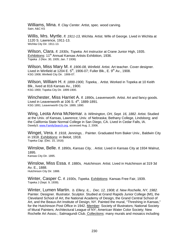Williams, Mina. *fl. Clay Center*. Artist, spec. wood carving. Sain; A&C KS

Willis, Mrs. Myrtle. *fl. 1911-13, Wichita.* Artist. Wife of George. Lived in Wichita at 1120 S. Lawrence, 1911-13. Wichita City Dir. 1911-13.

Wilson, Clara. *fl. 1930s, Topeka.* Art instructor at Crane Junior High, 1935. Exhibitions: 11<sup>th</sup> Annual Kansas Artists Exhibition, 1936. Topeka J (Nov. 30, 1935; Jan. 7 1936)

Wilson, Miss Mary M. *fl. 1906-08, Winfield.* Artist. Art teacher. Cover designer. Lived in Winfield at 1204 E.  $5<sup>th</sup>$ , 1906-07; Fuller Blk., E. 9<sup>th</sup> Av., 1908. KSG 1908; Winfield City Dir. 1906-07.

Wilson, William H. *fl. 1899-1900, Topeka, .* Artist. Worked in Topeka at 10 Keith Blk., lived at 816 Kansas Av., 1900. KSG 1900; Topeka City Dir. 1899-1900.

Winchester, Miss Harriet A. *fl. 1890s, Leavenworth.* Artist. Art and fancy goods. Lived in Leavenworth at 106 S.  $4<sup>th</sup>$ , 1889-1891. KSG 1891; Leavenworth City Dir. 1889, 1890.

Wing, Leota Anna McNemar. *b. Wilmington, OH, Sept. 16, 1882.* Artist. Studied at the Univ. of Kansas, Lawrence; Univ. of Nebraska; Bethany College, Lindsborg; and the California State Normal College in San Diego, CA. Lived in Cedar Falls, IA. Dawdy3; www.FamilySearch.org, accessed Aug. 2, 2006.

Winget, Vera. *fl. 1918, Jennings, .* Painter. Graduated from Baker Univ., Baldwin City in 1918. Exhibitions: in Beloit, 1918. Topeka Cap. (Dec. 15, 1918)

Winslow, Belle. *fl. 1890s, Kansas City, .* Artist. Lived in Kansas City at 1934 Walnut, 1895. Kansas City Dir. 1895.

Winslow, Miss Essa. *fl. 1880s, Hutchinson.* Artist. Lived in Hutchinson at 319 3d Av. E., 1888. Hutchinson City Dir. 1888.

Winter, Casper C. *fl. 1930s, Topeka.* Exhibitions: Kansas Free Fair, 1939.<br><sub>Topeka J (Sept. 9, 1939).</sub>

Winter, Lumen Martin. *b. Ellery, IL., Dec. 12, 1908; d. New Rochelle, NY, 1982.* Painter. Designer. Illustrator. Sculptor. Studied at Grand Rapids Junior College (MI), the Cleveland School of Art, the National Academy of Design, the Grand Central School of Art, and the Beaux-Art Institute of Design, NY. Painted the mural, "Threshing in Kansas," for the Hutchinson Post Office in 1942. Member: Society of Illustrators; National Society of Mural Painters; Architectural League of NY; American Water Color Society; New Rochelle Art Assoc.; Salmagundi Club. Collections: many murals and mosaics including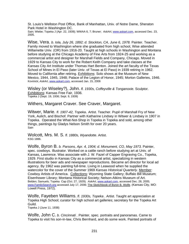St. Louis's Wellston Post Office, Bank of Manhattan, Univ. of Notre Dame, Sheraton Park Hotel in Washington DC.

Sain; Wiebe; Topeka J (Apr. 22, 1939); WWAA 6, 7; Bruner; *AskArt*, www.askart.com, accessed Dec. 23, 2005.

Wise, Vera. *b. Iola, July 26, 1892; d. Stockton, CA, June 6, 1978.* Painter. Teacher. Family moved to Washington where she graduated from high school, Wise attended Willamette Univ. (OR) from 1916-20. Taught at high schools in Washington and Montana before studying at the Chicago Academy of Fine Arts from 1924-25 and working as a commercial artist and designer for Marshall Fields and Company, Chicago. Moved in 1929 to Kansas City to work for the Robert Keith Company and take classes at the Kansas City Art Institute under Thomas Hart Benton. Joined the art faculty of the Texas School of Mines in El Paso (later Univ. of Texas at El Paso) in 1939 retiring in 1962. Moved to California after retiring. Exhibitions: Solo shows at the Museum of New Mexico, 1944, 1945, 1948; Palace of the Legion of Honor, 1945; Morton Galleries, 1946. Kovinick; *AskArt*, www.askart.com, accessed Jan. 15, 2006

Wisley (or Wiseley?), John. *fl. 1930s, Coffeyville & Tonganoxie.* Sculptor. Exhibitions: Kansas Free Fair, 1936.<br>Topeka J (Sept. 19, 1936; Sept. 9, 1939)

Withers, Margaret Craver. See Craver, Margaret.

Witwer, Marie. *fl. 1907-42, Topeka*. Artist. Teacher. Pupil of Marshall Fry of New York, Aulich, and Bischof. Partner with Katharine Lindsey in Witwer & Lindsey in 1907 in Topeka. Operated the What-Not-Shop in Topeka in Topeka and sold, among other things, paintings by Gladys Nelson Smith for over 20 years. **Sain** 

W**olcott, Mrs. M. S.** *fl. 1880s, Wyandotte*. Artist.<br><sup>KSG 1886.</sup>

Wolfe, Byron B. *b. Parsons, Apr. 4, 1904; d. Monument, CO, May 1973.* Painter, spec. cowboys. Illustrator. Worked on a cattle ranch before studying art at Univ. of Kansas, Lawrence. Was associate with J. W. Fazel of Capper Engraving Co., Topeka, 1929. First studio in Kansas City as a commercial artist, specializing in western illustrations for beer ads and newspaper reproductions. Became art director for local ad agency. By 1962 was painting full-time. Living in Leawood when he supplied the watercolor for the cover of the Summer 1969 *Kansas Historical Quarterly*. Member: Cowboy Artists of America. Collections: Wyoming State Gallery; Buffalo Bill Museum; Eisenhower Library; Montana Historical Society; Nelson-Atkins Museum of Art. Belden; Samuels; Topeka Cap (Oct. 27, 1929); *AskArt*, www.askart.com, accessed Dec. 28, 2005; www.FamilySearch.org accessed July 17, 2006; The Sketchbook of Byron B. Wolfe. (Kansas City, MO: Lowell Press, 1972).

Wolfe, Fayeben Williams. *fl. 1930s, Topeka .* Artist. Taught art appreciation at Topeka High School; curator for high school art galleries; secretary for the Topeka Art Guild.

Topeka J (June 11, 1938)

Wolfe, John C. *b. Cincinnati .* Painter, spec. portraits and panoramas. Came to Topeka to visit his son-in-law, Chris Bernhard, and do some work. Painted portraits of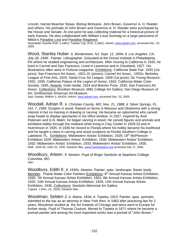Lincoln, Harriet Beacher Stowe, Bishop McIlvane, John Brown, Governor A. H. Reeder and others. His portraits of John Brown and Governor A. H. Reeder were purchased by the House and Senate. At one point he was collecting material for a historical picture of early Kansas. He also collaborated with William Louis Sonntag on a large panorama of Milton's <u>Paradise Lost</u> and <u>Paradise Regained</u>.<br>Wyandotte Gazette (Feb. 4,1881); Topeka Cap. (Feb. 2,1881); *AskArt*, www.askart.com, accessed Dec. 23,

2005.

Wood, Stanley Huber. *b. Bordentown, NJ, Sept. 12, 1894; d. Los Angeles, CA, July 28, 1949..* Painter. Lithographer. Educated at the Drexel Institute in Philadelphia, PA where he studied engineering and architecture. After moving to California in 1920, he lived in Carmel and San Francisco. Lived in Lawrence and in Cleveland, 1927. His illustrations often were in *Fortune* magazine. Exhibitions: California State Fair, 1920 (1st prize); San Francisco Art Assoc., 1921-31 (prizes); Carmel Art Assoc., 1920s; Berkeley League of Fine Arts, 1924; Santa Cruz Art League, 1928 (1st prize); De Young Museum, 1932, 1935; California Palace of the Legion of Honor, 1942; California Water Color Society, 1945. Awards: Gold medal, 1924 and Bremer Prize, 1930, San Francisco Art Assoc. Collections: Brooklyn Museum; Mills College Art Gallery; San Diego Museum of Art; Smithsonian American Art Museum.

Sain; Dawdy; WWAA 1; AAA24; *AskArt*, www.askart.com, accessed Dec. 23, 2005.

Woodall, Adrian R. *b. Christian County, MO, Nov. 21, 1888; d. Silver Springs, FL, Oct. 7, 1969.* Sculptor in wood. Raised on farms in Missouri and Oklahoma with a strong interest in but no training in drawing or carving. He became an optometrist who carved soap heads to display spectacles in his office window. In 1927, inspired by Axel Petersen and G.N. Malm, he began carving in wood. He carved figures and animals and exhibited widely through the midwest while living in Clay Center in 1929-33 and in Hutchinson in 1935. In 1936 he moved to Florida where his hobby became his livelihood and he taught a class in carving and wood sculpture at Florida Southern College in Lakeland, FL. Exhibitions: Midwestern Artists' Exhibition, 1929; 19<sup>th</sup> McPherson Exhibition 1929; Midwestern Artists' Exhibition, 1930; Midwestern Artists' Exhibition, 1932; Midwestern Artists' Exhibition, 1933; Midwestern Artists' Exhibition, 1935. MAE 1929-30, 1932-33, 1935; Sandzén files; www.FamilySearch.org accessed July 17, 2006.

Woodbury, Arleen. *fl. Newton.* Pupil of Birger Sandzén at Stephens College, Columbia, MO. Sain

Woodbury, Edith K. *fl. 1930s, Newton.* Painter, spec. landscape, flower study. Member: Prairie Water Color Painters Exhibitions: 6<sup>th</sup> Annual Kansas Artists Exhibition, 1930; 7th Annual Kansas Artists Exhibition, 1931; 8th Annual Kansas Artists Exhibition, 1932; 10th Annual Kansas Artists Exhibition, 1934; 12th Annual Kansas Artists Exhibition, 1936..Collections: Sandzén Memorial Art Gallery Topeka J (Nov. 10, 1934); Sandzén files.

Woodman, Selden J. *b. Maine, 1834; d. Topeka, 1923.* Painter, spec. portraits. Admitted to the bar as an attorney in New York then, in 1863 after practicing law for 2 years, Woodman studied at the Art Institute of Chicago and twice went to Europe for further study. Pupil of Thomas Couture. Moved to Topeka in 1871 where he became a portrait painter and among his most important works was a portrait of "John Brown."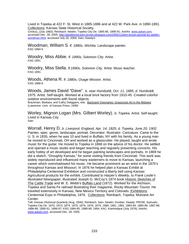Lived in Topeka at 422 F. St. West in 1885-1886 and at 422 W. Park Ave. in 1890-1891. Collections: Kansas State Historical Society.

*Century*, (July 1883); Reinbach; Newlin; Topeka City Dir. 1885-86, 1890-91; *AskArt*, www.askart.com, accessed Dec. 28, 2005; http://abolitionist-john-brown.blogspot.com/2005/12/john-brown-portrait-by-seldenwoodman.html, accessed July 26, 2006; Sain; Dawdy3.

Woodman, William S. *fl. 1880s, Wichita.* Landscape painter.<br>KSG 1884-5.

Woodry, Miss Abbie. *fl. 1890s, Solomon City.* Artist. KSG 1891.

Woodry, Miss Stella. *fl.1890s, Solomon City.* Artist. Music teacher. KSG 1891.

Woods, Athena R. fl. 1880s, Osage Mission. Artist.<br>KSG 1888-9.

Woods, James David "Dave". *b. near Humboldt, Oct. 11, 1885; d. Humboldt, 1975.* Artist. Self-taught. Worked at a local brick factory from 1910-45. Created colorful outdoor environments with found objects.

Brackman, Barbara, and Cathy Dwiggans, eds. Backyard Visionaries: Grassroots Art in the Midwest (Lawrence: Univ. of Kansas Press, 1999)

Worley, Mignon Logan (Mrs. Gilbert Worley). *b. Topeka.* Artist. Self-taught. Lived in Kansas City. **Sain** 

Worrall, Henry D. *b. Liverpool, England, Apr. 14, 1825; d. Topeka, June 20, 1902.* Painter, spec. genre, landscape, portrait. Decorator. Illustrator. Caricature. Came to the U. S. in 1835, when he was 10 and lived in Buffalo, NY with his family. As a young man he moved to Cincinnati, OH and worked as a glasscutter. He played, taught and wrote music for the guitar. He moved to Topeka in 1868 on the advice of his doctor. He settled and opened a music studio and began teaching and regularly presenting concerts. His early hobby of art developed and he began painting landscapes and portraits. In 1869 he did a sketch, "Droughty Kansas," for some visiting friends from Cincinnati. This work was widely reproduced and influenced many easterners to move to Kansas, launching a career which overshadowed his music. He became prominent as an artist in the 1870's throughout Kansas and Missouri. In 1876 he helped plan a Kansas Exhibit at Philadelphia Centennial Exhibition and constructed a liberty bell using Kansas Agricultural products for the exhibit. Contributed to *Harper's Weekly*, to *Frank Leslie's Illustrated Newspaper*; illustrated Joseph G. McCoy's 1874 book Historic Sketches of The Cattle Trade and W. E. Webb's Buffalo Land (1872)*.* Worked for the Atchison, Topeka and Santa Fe railroad illustrating their magazine*, Rocky Mountain Tourist*. He traveled extensively in Kansas, New Mexico Territory and Colorado. Exhibitions: Centennial Expo in Philadelphia, 1876. Collections: Reinbach, Topeka; Mulvane Art Center.

Taft; *Kansas Historical Quarterly (*Aug. 1946); Reinbach; Sain; Newlin; Dunbier; Dawdy; PROW; Samuels; Topeka City Dir. 1870, 1873, 1874, 1875, 1876, 1878, 1879, 1880, 1881, 1882, 1883-84, 1885-86, 1887-88, 1888-89, 1890-91, 1896-97; KSG 1884-85, 1888-89, 1894; KAC; *Kanhistique (*July 1976); *AskArt*, www.askart.com, accessed Dec. 28, 2005.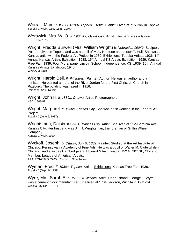Worrall, Mamie. *fl.1880s-1907 Topeka, .* Artist. Pianist. Lived at 715 Polk in Topeka. Topeka City Dir., 1887-1888, 1907.

W**orswick, Mrs. W. O.** *fl. 1904-12, Oskaloosa.* Artist. Husband was a lawyer. <br><sup>KSG 1904, 1912.</sup>

Wright, Fredda Burwell (Mrs. William Wright) *b. Nebraska, 1904?.* Sculptor. Painter. Lived in Topeka and was a pupil of Mary Huntoon and Lester T. Hull. She was a Kansas artist with the Federal Art Project in 1939. Exhibitions: Topeka Artists, 1936; 14<sup>th</sup> Annual Kansas Artists Exhibition, 1938; 15<sup>th</sup> Annual KS Artists Exhibition, 1939; Kansas Free Fair, 1939; Four Mural panel Lincoln School, Independence, KS, 1939; 16th Annual Kansas Artists Exhibition, 1940. WWAA, 3; Sain.

Wright, Harold Bell. *fl. Pittsburg, .* Painter. Author. He was an author and a minister. He painted a mural of the River Jordan for the First Christian Church in Pittsburg. The building was razed in 1916. Reinbach; Sain; Newlin.

W**right, John H**. *fl. 1880s, Ottawa*. Artist. Photographer.<br>ĸsG, 1888-89.

Wright, Margaret. *fl. 1930s, Kansas City.* She was artist working in the Federal Art Project. Topeka J (June 5, 1937)

Wrightsman, Daisia. *fl.1920s, Kansas City.* Artist. She lived at 1129 Virginia Ave, Kansas City. Her husband was Jim J. Wrightsman, the foreman of Griffin Wheel Company. Kansas City Dir. 1920.

Wyckoff, Joseph. *b. Ottawa, July 9, 1882.* Painter. Studied at the Art Institute of Chicago; Pennsylvania Academy of Fine Arts. He was a pupil of Walter M. Clute while in Chicago, and also Jay Hambridge and Howard Giles. Lived at 152 N.  $20<sup>th</sup>$  St., Chicago. Member: League of American Artists.<br>AAA, 12/14/20/22/24/27; Reinbach; Sain; Newlin.

Wyman, Fred. *fl. 1930s, Topeka*. Artist. Exhibitions: Kansas Free Fair, 1939.<br><sub>Topeka J (Sept. 9, 1939)</sub>

Wyre, Mrs. Sarah E. *fl. 1911-14, Wichita*. Artist*.* Her husband, George T. Wyre, was a cement block manufacturer. She lived at 1704 Jackson, Wichita in 1911-14. Wichita City Dir. 1911-14.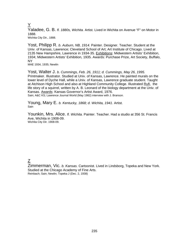Y Yaladee, G. B. *fl. 1880s, Wichita.* Artist. Lived in Wichita on Avenue "F" on Motor in 1888. Wichita City Dir., 1888.

Yost, Philipp R. *b. Auburn, NB, 1914.* Painter. Designer. Teacher. Student at the Univ. of Kansas, Lawrence; Cleveland School of Art; Art Institute of Chicago. Lived at 2135 New Hampshire, Lawrence in 1934-35. Exhibitions: Midwestern Artists' Exhibition, 1934; Midwestern Artists' Exhibition, 1935. Awards: Purchase Prize, Art Society, Buffalo, NY

MAE 1934, 1935; Newlin

Yost, Walter J. *b. Cummings, Feb. 26, 1911; d. Cummings, May 26, 1995.* Printmaker. Illustrator. Studied at Univ. of Kansas, Lawrence. He painted murals on the lower level of Dyche Hall, while a Univ. of Kansas, Lawrence graduate student. Taught at Atchison High School and also at Highland Community College. Illustrated Rufi, the life story of a squirrel, written by A. B. Leonard of the biology department at the Univ. of Kansas. Awards: Kansas Governor's Artist Award, 1976. Sain; A&C KS; Lawrence Journal World (May 1982) interview with J. Branson.

Young, Mary E. *b. Kentucky, 1868; d. Wichita, 1941.* Artist. **Sain** 

Younkin, Mrs. Alice. *fl. Wichita.* Painter. Teacher. Had a studio at 356 St. Francis Ave, Wichita in 1908-09. Wichita City Dir. 1908-09.

Z

Zimmerman, Vic. *b. Kansas.* Cartoonist. Lived in Lindsborg, Topeka and New York. Studied at the Chicago Academy of Fine Arts. Reinbach; Sain; Newlin; Topeka J (Dec. 2, 1938)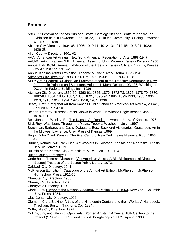# **Sources:**

- A&C KS: Festival of Kansas Arts and Crafts. Catalog: Arts and Crafts of Kansas: an Exhibition held in Lawrence, Feb. 18-22, 1948 in the Community Building. Lawrence: World Co., 1948.
- Abilene City Directory: 1904-05; 1906; 1910-11; 1912-13; 1914-15; 1918-21; 1923; 1926-28
- Allen County Directory: 1901-02
- AAA= American Art Annual. New York: American Federation of Arts, 1898-1947
- AAUW= Arts in Kansas N.P.: American Assoc. of Univ. Women. Kansas Division. 1958 Annual Exh. KCAI= Annual Exhibition of the Artists of Kansas City and Vicinity, Kansas City Art Institute, 1915-21

Annual Kansas Artists Exhibition. Topeka: Mulvane Art Museum, 1925-1941 Arkansas City Directory: 1898; 1906-07; 1925; 1930; 1932; 1936; 1938

- AFB= Art in Federal Buildings: an illustrated record of the Treasury Department's New Program in Painting and Sculpture. Volume 1: Mural Design, 1934-36. Washington, DC: Art in Federal Buildings Inc., 1936
- Atchison City Directory: 1859-60; 1860-61; 1865; 1870; 1872-73; 1876; 1878-79; 1880; 1882-83; 1884; 1885; 1887; 1888; 1891; 1893-94; 1896; 1899-1900; 1903; 1906; 1910; 1913; 1917; 1924; 1926; 1928; 1934; 1936
- Beatty, Brett. "Regional Art from Kansas Public Schools," American Art Review, v.14#2, April 2002. p. 94-101
- Belden, Dorothy. "Kansas Artists Known in World", in Wichita Eagle Beacon, Jan. 29, 1978. p. 12K

Bell, Jonathan Wesley, Ed. The Kansas Art Reader. Lawrence: Univ. of Kansas, 1976. Bird, Roy. Washburn; Through the Years. Topeka: Washburn Univ., 1997.

- Brackman, Barbara, and Cathy Dwiggans, Eds. Backyard Visionaries: Grassroots Art in the Midwest Lawrence: Univ. Press of Kansas, 1999.
- Bright, John D. ed. Kansas: The First Century. New York: Lewis Historical Pub., 1956. 4v.
- Bruner, Ronald Irwin. New Deal Art Workers in Colorado, Kansas and Nebraska. Thesis. Univ. of Denver, 1979.

Bulletin of the Kansas City Art Institute. v.1#1, Jan. 1932-1942.

Butler County Directory: 1920

Cederholm, Theresa Dickason. Afro-American Artists; A Bio-Bibliographical Directory. [Boston] Trustees of the Boston Public Library, 1973.

- Caldwell City Directory: 1941
- McPherson Exhibition= Catalogue of the Annual Art Exhibit. McPherson: McPherson High School Press, 1911-35

Chanute City Directory: 1905

Cheney City Directory: 1930

- Cherryvale Directory: 1905
- Clark, Eliot. History of the National Academy of Design, 1825-1953. New York: Columbia Univ. Press, 1954.
- Clay Center City Directory: 1906
- Clement, Clara Erskine. Artists of the Nineteenth Century and their Works: A Handbook. 4<sup>th</sup> edition. Boston: Ticknor & Co, [1884].

Coffeyville City Directory: 1925

Collins, Jim, and Glenn b. Opitz, eds. Women Artists in America: 18th Century to the Present (1790-1980). Rev. and enl. ed. Poughkeepsie, N.Y.: Apollo, 1980.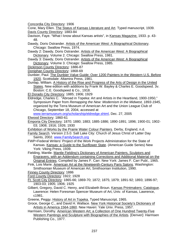Concordia City Directory: 1906

Cone, Mary Ellen. The Status of Kansas Literature and Art. Typed manuscript, 1939. Davis County Directory: 1883-84

Davison, Faye. "What I know about Kansas artists", in Kansas Magazine, 1933. p. 43- 48.

Dawdy, Doris Ostrander. Artists of the American West: A Biographical Dictionary. Chicago: Swallow Press, 1974.

Dawdy 2: Dawdy, Doris Ostrander. Artists of the American West: A Biographical Dictionary. Volume 2. Chicago: Swallow Press, 1981.

- Dawdy 3: Dawdy, Doris Ostrander. Artists of the American West: A Biographical Dictionary. Volume 3. Chicago: Swallow Press, 1985.
- Dickinson County Directory: 1886-87
- Doniphan County Directory: 1868-69
- Dunbier, Paul. The Dunbier Value Guide; Over 1200 Painters in the Western U.S. Before 1920. Scottsdale: Altamira Press, 1981.
- Dunlap, William. A History of the Rise and Progress of the Arts of Design in the United States. New edition with additions by Frank W. Bayley & Charles E. Goodspeed. 3v. Boston: C.E. Goodspeed & Co., 1918.

El Dorado City Directory: 1885; 1906; 1929

Eldredge, Charles C. "Abroad in Topeka: Art and Artists in the Heartland, 1900-1950," Symposium Paper from *Remapping the New: Modernism in the Midwest, 1893-1945*, organized by the Terra Museum of American Art and the Union League Club of Chicago, September 18, 2004, accessed at

www.terramuseum.org/scholarship/eldredge.shtml, Dec. 27, 2005

Elwood Directory: 1860-61

- Emporia City Directory: 1870; 1880; 1883; 1885-1886; 1890-1891; 1896; 1900-01; 1902- 03; 1908; 1916; 1926; 1930
- Exhibition of Works by the Prairie Water Colour Painters. Derby, England, n.d.
- Family Search. Version 2.5.0. Salt Lake City: Church of Jesus Christ of Latter Day Saints, 2002. www.FamilySearch.org
- FWP=Federal Writers' Project of the Work Projects Administration for the State of Kansas. Kansas: a Guide to the Sunflower State. (American Guide Series) New York: Viking Press, 1939.
- Fielding, Mantle. Mantle Fielding's Dictionary of American Painters, Sculptors and Engravers, with an Addendum containing Corrections and Additional Material on the Original Entries. Compiled by James F. Carr. New York: James F. Carr Publ., 1965.
- Fink, Lois Marie. American Art at the Nineteenth-Century Paris Salons. Washington: Smithsonian Museum of American Art, Smithsonian Institution, 1990.

Finney County Directory: 1886

Ford County Directory: 1922; 1928

- Ft. Scott City Directory: 1865-66; 1869-70; 1872; 1875; 1879; 1891-92; 1893; 1896-97; 1903-03; 1905; 1906; 1925
- Gilbert, Gregory, David C. Henry, and Elizabeth Broun. Kansas Printmakers: Catalogue. Lawrence: Helen Foresman Spencer Museum of Art, Univ. of Kansas, Lawrence, c1981.

Greene, Peggy. History of Art in Topeka. Typed Manuscript, 1965.

- Groce, George C., and David H. Wallace. New York Historical Society's Dictionary of Artists in America 1564-1860. New Haven: Yale Univ. Press, 1957.
- Harmsen, Dorothy. American Western Art; a Collection of One Hundred Twenty-Five Western Paintings and Sculpture with Biographies of the Artists. [Denver}: Harmsen Publishing Co., 1977.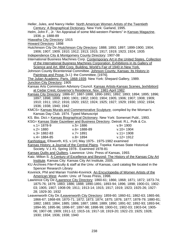|                                                                                                                                                              |              | Heller, Jules, and Nancy Heller. North American Women Artists of the Twentieth      |  |
|--------------------------------------------------------------------------------------------------------------------------------------------------------------|--------------|-------------------------------------------------------------------------------------|--|
| Century: A Biographical Dictionary. New York: Garland, 1995.                                                                                                 |              |                                                                                     |  |
| Helm, John F., Jr. "An Appraisal of some Mid-western Painters" in Kansas Magazine,<br>1936. p. 1888-89                                                       |              |                                                                                     |  |
| Hiawatha City Directory: 1915                                                                                                                                |              |                                                                                     |  |
| Howard Directory: 1898                                                                                                                                       |              |                                                                                     |  |
| Hutchinson City Dir./Hutchinson City Directory: 1888; 1893; 1897; 1899-1900; 1904;<br>1906; 1907; 1909; 1910; 1912; 1913; 1915; 1917; 1919; 1923; 1924; 1935 |              |                                                                                     |  |
| Independence City & Montgomery County Directory: 1907-08                                                                                                     |              |                                                                                     |  |
| International Business Machines Corp. Contemporary Art in the United States, Collection                                                                      |              |                                                                                     |  |
| of the International Business Machines Corporation. Exhibitions in its Gallery of                                                                            |              |                                                                                     |  |
| Science and Art, IBM Corp. Building, World's Fair of 1940 in New York.                                                                                       |              |                                                                                     |  |
| Johnson County Bicentennial Committee. Johnson County, Kansas: Its History in                                                                                |              |                                                                                     |  |
| Paintings and Prose. [s.l.]: the Committee, [1976].                                                                                                          |              |                                                                                     |  |
| The Julian Academy, Paris, 1868-1939. New York: Shepard Gallery, 1989.                                                                                       |              |                                                                                     |  |
| Junction City Directory: 1905                                                                                                                                |              |                                                                                     |  |
|                                                                                                                                                              |              | Kansas Arts Commission Advisory Council. Kansas Artists-Kansas Scenes, [exhibition] |  |
| at Cedar Crest, Governor's Residence, Nov. 1981-April 1982.                                                                                                  |              |                                                                                     |  |
| Kansas City Directory: 1886-87; 1887-1888; 1890-1891; 1892; 1893; 1894; 1895; 1896;                                                                          |              |                                                                                     |  |
| 1897; 1898; 1899; 1900; 1901; 1902; 1903; 1904; 1905; 1906; 1907; 1908; 1909;                                                                                |              |                                                                                     |  |
| 1910; 1911; 1912; 1916; 1920; 1922; 1924; 1925; 1927; 1929; 1930; 1932; 1934;                                                                                |              |                                                                                     |  |
| 1936; 1938; 1940; 1942                                                                                                                                       |              |                                                                                     |  |
|                                                                                                                                                              |              | KMCS= Kansas Murals and Commemorative Sculpture, compiled by the Woman's            |  |
| Kansas Day Club. 1974. Typed Manuscript                                                                                                                      |              |                                                                                     |  |
| KS. Bio. Dict.= Kansas Biographical Dictionary. New York: Somerset Publ., 1993.                                                                              |              |                                                                                     |  |
|                                                                                                                                                              |              | KSG= Kansas State Gazetteer and Business Directory. Detroit: R.L. Polk & Co.        |  |
| $v.1 = 1878 - 9$                                                                                                                                             | $v.5 = 1886$ | $v.9 = 1900$                                                                        |  |
| $v.2 = 1880$                                                                                                                                                 | v.6= 1888-89 | $v.10 = 1904$                                                                       |  |
| $v = 1882 - 83$                                                                                                                                              | $v.7 = 1891$ | $v.11 = 1908$                                                                       |  |
| $v.4 = 1884 - 85$                                                                                                                                            | $v.8 = 1894$ | $v.12 = 1912$                                                                       |  |
| Kanhistique. Ellsworth, KS, v.1#1 May 1975-. 1975-1982 examined                                                                                              |              |                                                                                     |  |
| Kansas History, a Journal of the Central Plains. Topeka: Kansas State Historical                                                                             |              |                                                                                     |  |
| Society. V.1 #1, Spring 1978-. Examined 1978-81                                                                                                              |              |                                                                                     |  |
| Kansas Quilts and Quilters. Lawrence: Univ. Press of Kansas, 1993.                                                                                           |              |                                                                                     |  |
| Katz, Milton S. A Century of Excellence and Beyond: The History of the Kansas City Art                                                                       |              |                                                                                     |  |
| Institute. Kansas City: Kansas City Art Institute, 2005.                                                                                                     |              |                                                                                     |  |
| KU Archives File=Faculty & staff at the Univ. of Kansas, card catalog file located in the                                                                    |              |                                                                                     |  |
| Spencer Research Library                                                                                                                                     |              |                                                                                     |  |
| Kovinick, Phil and Marian Yoshiki-Kovinick. An Encyclopedia of Women Artists of the                                                                          |              |                                                                                     |  |
| American West. Austin: Univ. of Texas Press, 1998.                                                                                                           |              |                                                                                     |  |
| Lawrence City Dir./Lawrence City Directory: 1860-61; 1866; 1868; 1871; 1872; 1873-74;                                                                        |              |                                                                                     |  |
| 1875-76; 1879; 1883; 1886; 1888; 1890-1891; 1893-94; 1896; 1898; 1900-01; 1902-                                                                              |              |                                                                                     |  |
| 03; 1905; 1907; 1908-09; 1911; 1913-14; 1915; 1917; 1919; 1923; 1925-26; 1927-                                                                               |              |                                                                                     |  |
| 28; 1929-30; 1932                                                                                                                                            |              |                                                                                     |  |
| Leavenworth City Dir./Leavenworth City Directory: 1859-60; 1860-61; 1862-63; 1865-66;                                                                        |              |                                                                                     |  |
| 1866-67; 1868-69; 1870-71; 1872; 1873; 1874; 1875; 1876; 1877; 1878-79; 1880-81;                                                                             |              |                                                                                     |  |
| 1882; 1883; 1884; 1885; 1886; 1887; 1888; 1889; 1890; 1891-92; 1892-93; 1893-94;                                                                             |              |                                                                                     |  |
| 1894-95; 1895-96; 1896-97; 1897-98; 1898-99; 1900-01; 1902-03; 1903-04; 1905-                                                                                |              |                                                                                     |  |
| 06; 1907-08; 1909; 1911-12; 1915-16; 1917-18; 1919-20; 1922-23; 1925; 1928;                                                                                  |              |                                                                                     |  |
| 1930; 1934; 1936; 1938; 1940                                                                                                                                 |              |                                                                                     |  |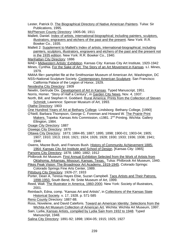Lester, Patrick D. The Biographical Directory of Native American Painters. Tulsa: Sir Publications, 1995.

McPherson County Directory: 1905-06; 1911

Mallett, Daniel. Index of artists, international-biographical; including painters, sculptors, illustrators, engravers and etchers of the past and the present. New York: R.R. Bowker Co., 1935.

Mallett 2: Supplement to Mallett's Index of artists, international-biographical; including painters, sculptors, illustrators, engravers and etchers of the past and the present not in the 1935 edition. New York: R.R. Bowker Co., 1940.

Manhattan City Directory: 1886

MAE= Midwestern Artists' Exhibition. Kansas City: Kansas City Art Institute, 1920-1942

Mines, Cynthia. For the Sake of Art: The Story of an Art Movement in Kansas. s.l. Mines, 1979.

NMAA file= pamphlet file at the Smithsonian Museum of American Art, Washington, DC NSS=National Sculpture Society. Contemporary American Sculpture. San Francisco:

California Palace of the Legion of Honor, 1929.

Neodesha City Directory: 1909

Newlin, Gertrude Dix. Development of Art in Kansas. Typed Manuscript, 1951.

Norris, Homer. "Story of Half a Century", in Garden City News, Nov. 4, 1937.

North, Bill, and Stephen H. Goddard. Rural America: Prints from the Collection of Steven Schmidt. Lawrence: Spencer Museum of Art, 1993.

Olathe Directory: 1903

One Hundred Years of Art at Bethany College. Lindsborg: Bethany College, [1990]

O'Neill, Barbara Thompson, George C. Foreman and Howard W. The Prairie Print Makers. Topeka: Kansas Arts Commission, c1981. 2<sup>nd</sup> Printing. Wichita: Gallery Ellington, 1984.

Osage City Directory: 1887

Oswego City Directory: 1870

Ottawa City Directory: 1873; 1884-85; 1887; 1895; 1898; 1900-01; 1903-04; 1905; 1907; 1910; 1913; 1916; 1921; 1924; 1926; 1928; 1930; 1933; 1936; 1938; 1941; 1946

Owens, Mazee Bush, and Frances Bush. History of Community Achievement 1885- 1964: Kansas City Art Institute and School of Design. [Kansas City: 1965]

Parsons City Directory: 1878; 1880; 1882; 1912

Philbrook Art Museum. First Annual Exhibition Selected from the Work of Artists from Oklahoma, Arkansas, Missouri, Kansas, Texas. Tulsa: Philbrook Art Museum, 1940.

Pikes Peak Vision: The Broadmoor Art Academy, 1919-1945. Colorado Springs:

Colorado Springs Fine Arts Center, 1989.

Pittsburg City Directory: 1926-27; 1933

Porter, Dean A, Teresa Hayes Ebie, Suzan Campbell. Taos Artists and Their Patrons, 1898-1950. South Bend, IN: Snite Museum of Art, 1999.

Reed, Walt. The Illustrator in America, 1860-2000. New York: Society of Illustrators, 2001.

Reinbach, Edna, comp. "Kansas Art and Artists", in Collections of the Kansas State Historical Society. v. 17, 1928. p. 571-585

Reno County Directory: 1887-88.

Ross, Novelene, and David Cateforis. Toward an American Identity: Selections from the Wichita Art Museum Collection of American Art. Wichita: Wichita Art Museum, 1997.

Sain, Lydia. Kansas Artists, compiled by Lydia Sain from 1932 to 1948. Typed Manuscript, 1948.

Salina City Directory: 1891-92; 1898; 1904-05; 1915; 1925; 1927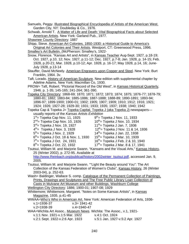Samuels, Peggy. Illustrated Biographical Encyclopedia of Artists of the American West. Garden City, NY: Doubleday & Co., 1976. Schwab, Arnold T. A Matter of Life and Death: Vital Biographical Facts about Selected American Artists. New York: Garland Pub., 1977. Shawnee County Directory: 1887 Shipp, Steve. American Art Colonies, 1850-1930: a Historical Guide to America's Original Art Colonies and Their Artists. Westport, CT: Greenwood Press, 1996. Smalley's Art Bulletin. (McPherson: Smalley's, 1922- Snow, Florence. "Kansas Art and Artists", in Kansas Teacher Aug-Sept. 1927, p.18-19; Oct. 1927, p.10, 12; Nov. 1927, p.11-12; Dec. 1927, p.7-8; Jan. 1928, p. 14-15; Feb. 1928, p.20-21; Mar. 1928, p.10-12; Apr. 1928, p. 16-17; May 1928, p.14, 16; June-July 1928, p.13-14 Stauffer, David McNeely. American Engravers upon Copper and Steel. New York: Burt Franklin, 1964. 3v. Taft, Lorado. History of American Sculpture. New edition with supplemental chapter by Adeline Adams. New York: Macmillan Co, 1930. PROW= Taft, Robert. "Pictorial Record of the Old West", in Kansas Historical Quarterly, 1946. p. 1-35; 145-165; 241-264; 361-390. Topeka City Directory: 1868-69; 1870; 1871; 1872; 1873; 1874; 1875; 1876-77; 1878-79; 1880-81; 1882; 1883-84; 1885-1886; 1887-1888; 1888-89; 1890-1891; 1893-94; 1896-97; 1899-1900; 1900-01; 1902; 1905; 1907; 1909; 1910; 1912; 1916; 1921; 1924; 1926; 1927-28; 1929-30; 1931; 1933; 1935; 1937; 1938; 1940; 1942 Topeka Cap & Topeka J= Topeka Capital, Topeka J (aka Topeka J) newspapers usually reports of the *Kansas Artists Exhibition*  $1<sup>st</sup>$  Topeka Cap Nov. 11, 1925  $9<sup>th</sup>$  Topeka J Nov. 11, 1933  $2^{nd}$  Topeka Cap Nov. 10, 1926  $10^{th}$  Topeka J Nov. 10, 1934  $3^{rd}$  Topeka J Nov. 19, 1927 11<sup>th</sup> Topeka J Jan. 7, 1936  $4<sup>th</sup>$  Topeka J Nov. 3, 1928 12<sup>th</sup> = Topeka J Nov. 11 & 14, 1936  $5<sup>th</sup>$  Topeka J Nov. 2, 1929  $14<sup>th</sup>$  Topeka J Jan. 22, 1938  $6^{th}$  Topeka J Oct. 18 & Nov. 1, 1930 15<sup>th</sup> = Topeka J Mar. 10, 1939  $7<sup>th</sup>$  Topeka J Oct. 24, 1931 16<sup>th</sup> = Topeka J Feb. 2 & 10, 1940  $8<sup>th</sup>$  Topeka J Oct. 22, 1932 17<sup>th</sup> = Topeka J Mar. 8 & 17, 1941 Tsutsui, William M. and Marjorie Swann. "Kansans and the Visual Arts," Kansas History, 25 (Winter 2002), p. 272-95. Available at http://www.Reinbach.org/publicat/history/2002winter\_tsutsui.pdf, accessed Jan. 9, 2005. Tsutsui, William M. and Marjorie Swann. ""Light the Beauty around You": The Art Collection of the Kansas Federation of Women's Clubs", Kansas History, 26 (Winter 2003-04), p. 252-63. Wash= Baldinger, Wallace S. comp. Catalogue of the Permanent Collection of Paintings, Prints, Drawings and Sculptures and The Free Public Library Loan Collection of Casts in Mulvane Art Museum and other Buildings, Washburn College Wellington City Directory: 1886; 1900-01; 1907-08; 1929 Whittemore; Whittemore, Margaret. "Notes on Some Kansas Artists", in Kansas Magazine, 1935. p.41-45 WWAA=Who's Who in American Art. New York: American Federation of Arts, 1936 v.1=1936-37 v.3= 1941-42 v.2=1938-39 v.4=1940-47 WAA=Wichita Art Assoc.. Museum News. Wichita: The Assoc., v.1, 1921 v.1:1 Nov. 1921-v.1:5 Mar. 1922 v.4:1 Oct. 1924 v.2:1 Sept. 1922-v.2:6 Apr. 1923 v.5:1 Jan. 1927-v.5:2 Apr. 1927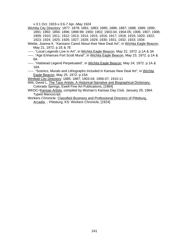v.3:1 Oct. 1923-v.3:6-7 Apr.-May 1924

Wichita City Directory: 1877; 1878; 1881; 1883; 1885; 1886; 1887; 1888; 1889; 1890; 1891; 1892; 1894; 1896; 1898-99; 1900; 1902; 1903-04; 1904-05; 1906; 1907; 1908; 1909; 1910; 1911; 1912; 1913; 1914; 1915; 1916; 1917; 1918; 1919; 1920; 1922; 1923; 1924; 1925; 1926; 1927; 1928; 1929; 1930; 1931; 1932; 1933; 1934

- Wiebe, Joanna K. "Kansans Cared About their New Deal Art", in Wichita Eagle Beacon, May 21, 1972. p.1E & 7E
- -----. "Local Legends Live in Art", in Wichita Eagle Beacon, May 22, 1972. p.1A & 3A
- -----. "Age Enhances Fort Scott Mural", in Wichita Eagle Beacon, May 23, 1972. p.1A & 8A
- -----. "Halstead Legend Perpetuated", in Wichita Eagle Beacon, May 24, 1972. p.1A & 16A

-----. "Scenics, Murals and Lithographs Included in Kansas New Deal Art", in Wichita Eagle Beacon, May 25, 1972. p.15A

Winfield City Directory: 1885; 1887; 1903-04; 1906-07; 1910-11

- Witt, David L. The Taos Artists: A Historical Narrative and Biographical Dictionary. Colorado Springs, Ewell Fine Art Publications, [1984]
- WKDC=Kansas Artists, compiled by Woman's Kansas Day Club. January 29, 1964. Typed Manuscript.
- Workers Chronicle. Classified Business and Professional Directory of Pittsburg, Arcadia… Pittsburg, KS: Workers Chronicle, [1924]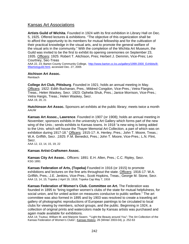# Kansas Art Associations

**Artists Guild of Wichita**. Founded in 1924 with its first exhibition in Library Hall on Dec. 5, 1925. Offered lectures & exhibitions. "The objective of this organization shall be to afford the opportunity to its members for mutual fellowship and for the cultivation of their practical knowledge in the visual arts, and to promote the general welfare of the visual arts in the community." With the completion of the Wichita Art Museum, the Guild was invited to be the first to exhibit its opening ceremonies on September 23, 1935. Officers: 1925: Robert T. Aitchison, Pres; Herbert J. Demmin, Vice-Pres; Leo Courtney, Sec-Treas

AAA 22, 23; Barton County Community College, http://www.barton.cc.ks.us/gallery/1999-2000 Exhibits/8-99artistsguild.html, accessed Dec. 27, 2005

#### **Atchison Art Assoc.**

Reinbach

**College Art Club, Pittsburg**. Founded in 1921; holds an annual meeting in May. Officers: 1922: Edith Buchanan, Pres.; Mildred Congdon, Vice-Pres.; Vetra Flargiss, Treas.; Helen Waskey, Secr. 1923: Ophelia Shuk, Pres.; Janice Morrison, Vice-Pres.; Vetra Hargis, Treas.; Helen Waskey, Secr. AAA 19, 20, 21

**Hutchinson Art Assoc.** Sponsors art exhibits at the public library; meets twice a month AAUW

**Kansas Art Assoc., Lawrence**. Founded in 1907 (or 1908); holds an annual meeting in November; sponsors exhibits in the university's Art Gallery which forms part of the new wing of the Univ.; sends exhibits to Kansas towns. In 1918 "a new wing is being added to the Univ. which will house the Thayer Memorial Art Collection, a part of which was on exhibition during 1917-18." Officers: 1915-17: A. Henley, Pres.; John T. Moore, Treas.; W.A. Griffith, Secr. ;1925: F.M. Benedict, Pres.; John T. Moore, Vice-Pres.; L.N. Flint, Secr.

AAA 12, 13, 14, 15, 19, 22

#### **Kansas Artist-Craftsmen Assoc.**

**Kansas City Art Assoc.**. Officers: 1891: E.H. Allen, Pres.; C.C. Ripley, Secr. KSG 1891

**Kansas Federation of Arts, (Topeka)** Founded in 1916 (or 1915) to promote exhibitions and lectures on the fine arts throughout the state. Officers: 1916-17: W.A. Griffith, Pres.; J.E. Jenkins, Vice-Pres.; Scott Hopkins, Treas.; George M. Stone, Secr. AAA 13, 14, 15; Topeka J April 19, 1916; Topeka Cap May 7, 1916

**Kansas Federation of Women's Club. Committee on Art.** The Federation was founded in 1895 to "bring together women's clubs of the state for mutual helpfulness, for social union, and for united action on measures conducive to public welfare." The art committee was also formed in 1895 and by 1903 was resolved to create a traveling art gallery of photographic reproductions of European paintings to be circulated to local clubs for viewing by members, school groups, and the public. Beginning in 1924, a collection of original prints and watercolors made by Kansas artists was purchased and again made available for exhibitions.

AAA 14; Tsutsui, William M. and Marjorie Swann. ""Light the Beauty around You": The Art Collection of the Kansas Federation of Women's Clubs", Kansas History, 26 (Winter 2003-04), p. 252-63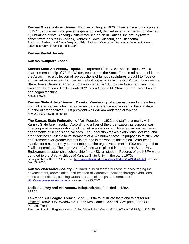**Kansas Grassroots Art Assoc.** Founded in August 1973 in Lawrence and incorporated in 1974 to document and preserve grassroots art, defined as environments constructed by untrained artists. Although initially focused on art in Kansas, the group grew to concentrate on sites in Kansas, Nebraska, Iowa, Missouri, and Oklahoma. Brackman, Barbara, and Cathy Dwiggans, Eds. Backyard Visionaries: Grassroots Art in the Midwest (Lawrence: Univ. of Kansas Press, 1999)

# **Kansas Pastel Society**

### **Kansas Sculptors Assoc.**

**Kansas State Art Assoc., Topeka**. Incorporated in Nov. 8, 1883 in Topeka with a charter membership of 73. Ed Wilder, treasurer of the Santa Fe railroad and president of the Assoc., had a collection of reproductions of famous sculptures brought to Topeka and an art museum was founded in the building which was the Old Public Library on the State House Grounds. An art school was started in 1886 by the Assoc. and teaching was done by George Hopkins until 1891 when George M. Stone returned from France and began teaching. KMCS; Newlin

**Kansas State Artists' Assoc., Topeka.** Membership of supervisors and art teachers from all over Kansas who met for an annual conference and worked to have a state director of art appointed. First president was William Anderson of Wichita. Nov. 28, 1925 newspaper article

**The Kansas State Federation of Art**. Founded in 1932 and staffed primarily with Kansas State Univ. faculty. According to a flyer of the organization, its purpose was: "...a cooperative organization of clubs, art associations and libraries, as well as the art departments of schools and colleges. The Federation makes exhibitions, lectures, and other services available to its members at a minimum of cost. Its purpose is to stimulate and promote ever greater interest in art, and in the work of this region." After being inactive for a number of years, members of the organization met in 1993 and agreed to finalize operations. The organization's funds were placed in the Kansas State Univ. Endowment to establish a scholarship for a KSU art student. Records of the KSFA were donated to the Univ. Archives of Kansas State Univ. in the early 1970s. Library Archives, Kansas State Univ., http://www.lib.ksu.edu/depts/spec/findaids/ua1984-46.html, accessed Dec. 27, 2005

**Kansas Watercolor Society.** Founded in 1970 for the purpose of encouraging the advancement, appreciation, and creation of watercolor painting through exhibitions, juried competitions, painting workshops, scholarships and memorials. http://www.kansaswatercolor.com/, accessed July 29, 2006

**Ladies Library and Art Assoc., Independence**. Founded in 1882. AAA 23

**Lawrence Art League.** Formed Sept. 8, 1884 to "cultivate taste and talent for art." Officers: 1884: B.W. Woodward, Pres.; Mrs. James Canfield, vice-pres.; Frank O. Marvin, Treas.

Peterson, John M. "Forgotten Kansas Artist, Adam Rohe." *Kansas History* (Winter 1994-95), p. 220-235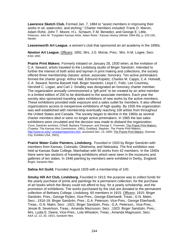**Lawrence Sketch Club.** Formed Jan. 7, 1884 to "assist members in improving their works in oil, watercolor, and etching." Charter members included: Frank O. Marvin, Adam Rohe, John T. Moore, H.L. Schaum, F.M. Benedict, and George E. Little. Peterson, John M. "Forgotten Kansas Artist, Adam Rohe." *Kansas History* (Winter 1994-95), p. 220-235; **Newlin** 

**Leavenworth Art League**, a women's club that sponsored an art academy in the 1890s.

**Newton Art League.** Officers: 1891: Mrs. J.G. Morse, Pres.: Mrs. H.M. Logee, Secr. KSG 1891

**Prairie Print Makers**. Formerly initiated on January 28, 1930 when, at the invitation of C.A. Seward, artists traveled to the Lindsborg studio of Birger Sandzén. Intended to further the interest of both artist and layman in print making and collections, the society offered three membership classes: active; associate; honorary. Ten active printmakers formed the charter group: Arthur Hall, Edmund Kopietz, Charles M. Capps, C.A. Hotvedt, C.A. Seward, Norma Bassett Hall, Birger Sandzén, Lloyd C. Foltz, Leo Courtney, Hershell C. Logan, and Carl J. Smalley was designated an honorary charter member. The organization annually commissioned a "gift print" to be created by an artist member in a limited edition of 200 to be distributed to the associate members. Each year the society also sponsored traveling sales exhibitions of new works by the active members. These exhibitions provided wide exposure and a sales outlet for members. It also offered organizations access to inexpensive exhibitions of high quality. By 1935 the organization was well established with membership eventually reaching 100 artists from throughout the United States and Canada. The society began to decline in the 1960s as several charter members died or were no longer active printmakers. In 1965 the last sales exhibitions were circulated and the decision was made to disband the organization. Cone; Sandzén archives; O'Neill, Barbara Thompson, and George C. Foreman. The Prairie Print Makers. (Topeka: The Kansas Arts Commission, 1981); Goddard, Stephen. *The Prairie Print Makers,*  http://www.ku.edu/~sma/ppm/ppmintro.htm, accessed Dec. 13, 2005; The Prairie Print Makers. (Kansas City; Exhibits USA, 2001).

**Prairie Water Color Painters, Lindsborg.** Founded in 1933 by Birger Sandzén with members from Kansas, Colorado, Oklahoma, and Nebraska. The first exhibition was held at Kansas State College, Manhattan with 50 works from 42 members. In the 1940s there were two sections of traveling exhibitions which were seen in the museums and galleries of ten states. In 1948 painting by members were exhibited in Derby, England. Bright; Sandzén files

**Salina Art Guild.** Founded August 1929 with a membership of 100.

**Smoky Hill Art Club, Lindsborg.** Founded in 1913; the purpose was to collect funds for the yearly purchase of prints and paintings for a permanent collection, for the purchase of art books which the library could not afford to buy, for a yearly scholarship, and the promotion of exhibitions. The works purchased by the club are donated to the permanent collection of Bethany College, Lindsborg. 60 members in 1915. Officers: 1915: Birger Sandzén, Pres.; George Ryden, Vice-Pres.; George Eberhardt, Treas.; G.N. Malm, Secr.; 1916-18: Birger Sandzén, Pres.; G.A. Peterson, Vice-Pres.; George Eberhardt, Treas.; G.N. Malm, Secr. ;1921: Birger Sandzén, Pres.; G.A. Peterson,, Vice-Pres.; Jessie B. Severtson, Treas.; Amanda Maznuson, Secr. ;1923: Birger Sandzén, Pres.; Mrs. Lydia E. Deere, Vice-Pres.; Lola Wheaton, Treas.; Amanda Magnuson, Secr. AAA 12, 13, 20, 19/21; Sandzén files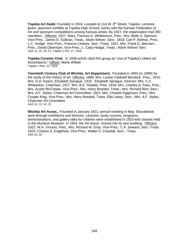**Topeka Art Guild.** Founded in 1916. Located at 114 W. 8<sup>th</sup> Street, Topeka. Lectures given; sponsors exhibits at Topeka High School; works with the Kansas Federation of Art and sponsors competitions among Kansas artists. By 1927, the organization had 300 members. Officers: 1917: Mars. Frances D. Whittemore, Pres.; Mrs. Belle A. Spencer, Vice-Pres.; James D. Sullivan, Treas.; Marie Witiver, Secr. 1918: Carl P. Bolmar, Pres.; L.C. Hodge, Vice-Pres.; Frances Lindsey, Secr.-Treas. 1921: Mrs. Frank D. Merriam, Pres.; David Obermyer, Vice-Pres.; L. Cady Hodge, Treas.; Marie Witmer Secr. AAA 14, 15, 19, 21; Topeka J Oct. 17, 1916

**Topeka Ceramic Club**. In 1928 article cited this group as "one of Topeka's oldest art associations." Officer: Marie Witwer Topeka J Nov. 22, 1928

**Twentieth Century Club of Wichita. Art Department.** Founded in 1900 (or 1899) for the study of the history of art. Officers: 1889: Mrs. Louise Caldwell Murdock, Pres.; 1915: Mrs. O.A. Keach; Elizabeth Sprague; 1916: Elizabeth Sprague, Director; Mrs. C.C. Whittacker, Chairman; 1917: Mrs. B.E. Rowlee, Pres. 1918: Mrs. Charles A. Fees, Pres.; Mrs. Austin McCowan, Vice-Pres.; Mrs. Harry Brasted, Treas.; Mrs. Richard Bird, Secr.; Mrs. A.F. Styles, Chairman Art Committee; 1921: Mrs. Charles Higginson, Pres.; Mrs. Cooper King, Vice-Pres.; Mrs. Harry Brasted, Treas. Ella Lahey, Secr.; Mrs. A.F. Styles, Chairman Art Committee AAA 12, 13, 14, 15

**Wichita Art Assoc..** Founded in January 1921; annual meeting in May. Educational work through exhibitions and lectures. Lectures, study courses, programs, demonstrations, and gallery talks for children were established in 1923 with classes held in the Murdock Museum. In 1934, the Art Assoc. moved into its own building. Officers: 1922: W.A. Vincent, Pres.; Mrs. Richard M. Gray, Vice-Pres.; C.A. Seward, Secr.-Treas. 1923: Charles A. Englehart, Vice-Pres.; Walter b. Crandall, Secr.- Treas. AAA 19, 20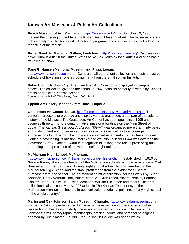# **Kansas Art Museums & Public Art Collections**

**Beach Museum of Art, Manhattan,** https://www.ksu.edu/bma/. October 13, 1996 marked the opening of the Marianna Kistler Beach Museum of Art. The museum offers a rich diversity of exhibitions and educational programs and continues to collect art that is reflective of the region.

**Birger Sandzén Memorial Gallery, Lindsborg,** http://www.sandzen.org/. Displays work of well known artist in the United States as well as works by local artists and often has a traveling art show

# **Dane G. Hansen Memorial Museum and Plaza, Logan**,

http://www.hansenmuseum.org/. Owns a small permanent collection and hosts an active schedule of traveling shows including many from the Smithsonian Institution.

**Baker Univ., Baldwin City.** The Elsie Allen Art Collection is displayed in campus offices. The collection, given to the school in 1942, consists primarily of works by Kansas artists or depicting Kansas scenes. Conversation with Prof. Walt Bailey, Dec. 2005; Newlin

# **Eppink Art Gallery, Kansas State Univ., Emporia.**

**Grassroots Art Center, Lucas**. http://home.comcast.net/~ymirymir/index.htm, The center's purpose is to preserve and display various grassroots art as part of the cultural history of the Midwest. The Grassroots Art Center has been open since 1995 and occupies three turn-of-the century native limestone buildings on the Main Street of Lucas. The Kansas Grassroots Art Assoc. (KGAA) was organized more than thirty years ago to document and to preserve grassroots art sites as well as to encourage appreciation of such work. This organization served as a mentor to the Grassroots Art Center in developing its mission, facilities and exhibits. In 1999 KGAA was awarded the Governor's Arts Advocate Award in recognition of its long-time role in preserving and promoting an appreciation of the work of self-taught artists.

# **McPherson High School, McPherson,**

http://www.mcpherson.com/418/art\_collection/art\_history.html. Established in 1910 by George Pinney, the superintendent of the McPherson schools with the assistance of Carl Smalley and Birger Sandzén. Twenty eight annual art exhibitions were held in the McPherson High School and the small profit made from the exhibit was used to purchase art for the school. The permanent painting collection includes works by Birger Sandzén, Henry Varnum Poor, Albert Bloch, A. Byron Olson, Albert Krehbiel, Edmond Kopietz, John F. Helm, Jr., Oscar Jacobson, William Dickerson and others. The print collection is also extensive. A 1927 article in The Kansas Teacher says, "the McPherson High School has the largest collection of original paintings of any high school in the whole country."

#### **Martin and Osa Johnson Safari Museum, Chanute**, http://www.safarimuseum.com/

Formed in 1961 to preserve the Johnsons' achievements and to encourage further research into their fields of study, the museum started with a core collection of the Johnsons' films, photographs, manuscripts, articles, books, and personal belongings donated by Osa's mother. In 1981, the Selsor Art Gallery was added which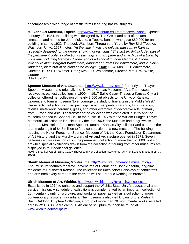encompasses a wide range of artistic forms featuring natural subjects

**Mulvane Art Museum, Topeka,** http://www.washburn.edu/reference/mulvane/. Opened January 13, 1924, the building was designed by Ted Greist and built of Indiana limestone and named for Joab Mulvane, a Topeka banker, who gave \$50,000 for an art building in spring 1922. The book Washburn Through the Years by Roy Bird (Topeka: Washburn Univ., 1997) notes: "*At the time, it was the only art museum in Kansas "specially designed for the proper showing of paintings." The first exhibit included part of the permanent college collection of paintings and sculpture and an exhibit of artwork by Topekans including George I. Stone, son of art school founder George M. Stone, Washburn alum Margaret Whittemore, daughter of Professor Whittemore, and V. Helen*  Anderson, instructor of painting at the college." Staff: 1924: Mrs. L. D. Whittemore, Director; 1925: P.P. Womer, Pres.; Mrs. L.D. Whittemore, Director; Mrs. F.W. Wolfe, **Curator** 

AAA 21; KMCS

**Spencer Museum of Art, Lawrence,** http://www.ku.edu/~sma/. Formerly the Thayer-Spooner Museum and originally the Univ. of Kansas Museum of Art. The museum received its earliest collections in 1900. In 1917 Sallie Casey Thayer, a Kansas City art collector, offered her collection of nearly 7,500 art objects to the Univ. of Kansas, Lawrence to form a museum "to encourage the study of fine arts in the Middle West." Her eclectic collection included paintings, sculpture, prints, drawings, furniture, rugs, textiles, metalwork, ceramics, glass, and other examples of decorative arts, primarily from Europe and Asia. The transfer of the collection was completed in 1925 and the museum opened in Spooner Hall to the public in 1927 with the William Bridges Thayer Memorial Collection as it nucleus. By the late 1960s the Museum had outgrown its quarters. Mrs. Helen Foresman Spencer, another Kansas City collector and patron of the arts, made a gift of \$4.6 million to fund construction of a new museum. The building housing the Helen Foresman Spencer Museum of Art, the Kress Foundation Department of Art History, and the Murphy Library of Art and Architecture opened in 1978. Seven galleries display selections from the permanent collection of more than 25,000 works of art while special exhibitions drawn from the collection or touring from other museums are displayed in four additional galleries.

Newlin; Shankel, Carol. Sallie Casey Thayer and Her Collection. (Lawrence: Univ. of Kansas Museum of Art, 1976).

#### **Stauth Memorial Museum, Montezuma,** http://www.stauthmemorialmuseum.org/

The museum features the travel adventures of Claude and Donald Stauth, long-time residents of Southwest Kansas. The collection includes colorful displays of handicrafts and arts from every corner of the earth as well as Frederic Remington bronzes.

#### **Ulrich Museum of Art, Wichita**, http://webs.wichita.edu/?u=ulrich&p=collection

Established in 1974 to enhance and support the Wichita State Univ.'s educational and service mission. A schedule of exhibitions is complemented by an important collection of 20th-century painting, sculpture, and works on paper as well as a collection of more contemporary, 21st-century artists. The museum is also well known for the Martin H. Bush Outdoor Sculpture Collection, a group of more than 70 monumental works installed across WSU's 330-acre campus. An online sculpture tour can be found at www.wichita.edu/sculpture.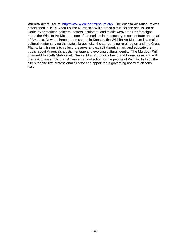**Wichita Art Museum,** http://www.wichitaartmuseum.org/. The Wichita Art Museum was established in 1915 when Louise Murdock's Will created a trust for the acquisition of works by "American painters, potters, sculptors, and textile weavers." Her foresight made the Wichita Art Museum one of the earliest in the country to concentrate on the art of America. Now the largest art museum in Kansas, the Wichita Art Museum is a major cultural center serving the state's largest city, the surrounding rural region and the Great Plains. Its mission is to collect, preserve and exhibit American art, and educate the public about America's artistic heritage and evolving cultural identity. The Murdock Will charged Elizabeth Stubblefield Navas, Mrs. Murdock's friend and former assistant, with the task of assembling an American art collection for the people of Wichita. In 1955 the city hired the first professional director and appointed a governing board of citizens. Ross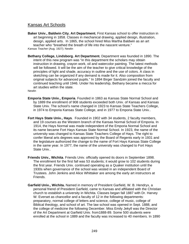# Kansas Art Schools

**Baker Univ., Baldwin City. Art Department.** First Kansas school to offer instruction in art beginning in 1858. Classes in mechanical drawing, applied design, illustration, design, applied arts. In 1865, the school hired Miss Martha Baldwin as an art teacher who "breathed the breath of life into the nascent venture." *Kansas Teacher* (Aug. 1927); Newlin

**Bethany College, Lindsborg. Art Department.** Department was founded in 1890. The intent of this new program was "in this department the scholars may obtain instruction in drawing, crayon work, oil and watercolor painting. The latest methods will be followed. It will be the aim of the teacher to give critical knowledge of the principles of light and shade, accuracy in outline and the use of colors. A class in sketching can be organized if any demand is made for it. Also composition from original subjects for advanced pupils." In 1894 Birger Sandzén joined the faculty and continued teaching until 1946. Under his leadership, Bethany became a mecca for art studies within the state.

**Newlin** 

- **Emporia State Univ., Emporia**. Founded in 1863 as Kansas State Normal School and by 1889 the enrollment of 908 students exceeded both Univ. of Kansas and Kansas State Univ. The school's name changed in 1923 to Kansas State Teachers College, in 1974 to Emporia Kansas State College, and in 1977 to Emporia State Univ..
- **Fort Hays State Univ., Hays**. Founded in 1902 with 34 students, 2 faculty members, and 19 courses as the Western branch of the Kansas Normal School of Emporia. In 1914, the Hays Normal was made independent of the Emporia Normal School and its name became Fort Hays Kansas State Normal School. In 1923, the name of the university was changed to Kansas State Teachers College of Hays. The right to confer liberal arts degrees was approved by the Board of Regents early in 1931 and the legislature authorized the change to the name of Fort Hays Kansas State College in the same year. In 1977, the name of the university was changed to Fort Hays State Univ..
- **Friends Univ., Wichita**. Friends Univ. officially opened its doors in September 1898. The enrollment for the first fall was 53 students; it would grow to 102 students during the first year. Friends Univ. continued operating as a Quaker institution until the 1930s when governance of the school was vested in an independent Board of Trustees. John Jenkins and Alice Whittaker are among the early art instructors at Friends.
- **Garfield Univ., Wichita.** Named in memory of President Garfield, W. B. Hendryx, a personal friend of President Garfield, came to Kansas and affiliated with the Christian church to establish a university in Wichita. Classes began fall 1887 with Dr. Harvey W. Everset as chancellor and a faculty of 12 in the following departments: preparatory, normal college of letters and science, college of music, college of Biblical theology, and school of art. The law school was opened in Sept. 1888, and the college of medicine the following December. Miss Emily Jekyll was the Director of the Art Department at Garfield Univ. from1888-89. Some 500 students were enrolled at the school in 1889 and the faculty was increased to 40 members. In 1890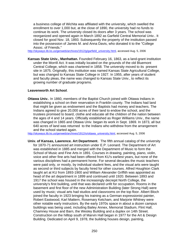a business college of Wichita was affiliated with the university, which swelled the enrollment to over 1,000 but, at the close of 1890, the university had no funds to continue its work. The university closed its doors after 3 years. The school was reorganized and opened again in March 1892 as Garfield Central Memorial Univ.. It closed for good Nov. 18, 1893. Subsequently the property of the institution passed into the possession of James M. and Anna Davis, who donated it to the "College Assoc. of Friends."

http://skyways.lib.ks.us/genweb/archives/1912/g/garfield\_university.html, accessed Aug. 5, 2006

**Kansas State Univ., Manhattan.** Founded February 16, 1863, as a land-grant institution under the Morrill Act. It was initially located on the grounds of the old Bluemont Central College, which was chartered in 1858. The university moved to its present site in 1875. Originally, this institution was named Kansas State Agricultural College, but was changed to Kansas State College in 1927. In 1955, after years of student and faculty pleas, the name was changed to Kansas State Univ., to reflect its growing number of graduate programs.

## **Leavenworth Art School**.

**Ottawa Univ.**. In 1860, members of the Baptist Church joined with Ottawa Indians in establishing a school on their reservation in Franklin county. The Indians had land that might be given as endowment and the Baptists had money and teachers. The Indians agreed to give 20,000 acres of their land to endow the school, and the trustees promised to board, clothe and educate all the children of the nation between the ages of 4 and 14 years. Officially established as Roger Williams Univ., the name was changed in 1865 and Ottawa Univ. began its work in Sept. 1869. In 1873, all but 640 acres of land was returned to the Indians who withdrew from the arrangement and the school started again.

http://skyways.lib.ks.us/genweb/archives/1912/o/ottawa\_university.html, accessed Aug. 5, 2006

**Univ. of Kansas, Lawrence. Art Department**. The fifth annual catalog of the university for 1870-71 announced art instruction under E.P. Leonard. The Department of Art was established in 1885 and merged with the Department of Music to form the School of Music and Fine Arts in 1891. Courses in drawing, painting, piano, violin, voice and other fine arts had been offered from KU's earliest years, but none of the various disciplines had a permanent home. For several decades the music teachers were paid only, or mostly, by individual student fees, and the visual arts were taught as second or third subjects by faculty hired for other courses. Alfred Houghton Clark taught art at KU from 1893-1900 and William Alexander Griffith was appointed as head of the art department in 1899 and continued until 1920. Between 1893 and 1917 the school was housed in the increasingly decrepit North College, the university's first building, until that was declared unfit for occupation. Rooms in the basement and first floor of the new Administration Building (later Strong Hall) were used by music; visual arts had studios and classrooms on the top floor. Albert Bloch joined the faculty in 1923 bringing his training as a German expressionist painter, Robert Eastwood, Karl Mattern, Rosemary Ketcham, and Marjorie Whitney were other notable early instructors. By the early 1970s space in about a dozen campus buildings was being used, including Bailey Annex, Memorial Stadium, Flint Hall, Chamney House and Barn, the Wesley Building and a duplex on 14th Street. Construction on the hilltop south of Marvin Hall began in 1977 for the Art & Design Building. Dedicated on April 9, 1978, the building houses design, painting,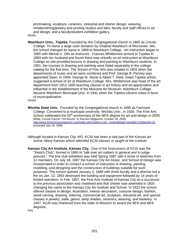printmaking, sculpture, ceramics, industrial and interior design, weaving, metalsmithing/jewelry and printing studios and labs; faculty and staff offices in art and design; and a faculty/student exhibition gallery. Newlin

**Washburn Univ., Topeka.** Founded by the Congregational church in 1865 as Lincoln College. To honor a large cash donation by Ichabod Washburn of Worcester, MA, the school changed its name in 1868 to Washburn College. Art instruction began in 1865 with Minnie V. Otis as instructor. Frances Whittemore arrived in Topeka in 1893 with her husband and found there was virtually no art instruction at Washburn College so she provided lessons in drawing and painting to Washburn students. In 1901, the courses in drawing and painting were listed separately in the college catalog for the first time. The School of Fine Arts was created in 1903 when the departments of music and art were combined and Prof. George B. Penney was appointed Dean. In 1906, George M. Stone & Albert T. Reid, noted Topeka artists, suggested a school of art at Washburn College. Mrs. Whittemore was head of the art department from 1912-1930 teaching classes in art history and art appreciation and influential in the establishment of the Mulvane Art Museum. Washburn College became Washburn Municipal Univ. in 1941 when the Topeka citizens voted in favor of municipalization.

**Newlin** 

- **Wichita State Univ.**. Founded by the Congregational church in 1895 as Fairmont College. Converted to a municipal university, Wichita Univ., in 1926. The Fine Arts School celebrated the  $50<sup>th</sup>$  anniversary of the MFA degree for art and design in 2005. White, Connie Kachel, "Art Moves" in *Shocker Magazine, October 26, 2005,*  http://www.theshockermagazine.com/index.php?option=com\_content&task=view&id=12&Itemid=31, accessed July 18, 2006.
- *Although located in Kansas City, MO, KCAI has been a vital part of the Kansas art scene. Many Kansas artists attended KCAI classes or taught at the institute.*
- **Kansas City Art Institute, Kansas City.** One of the forerunners of KCAI was the "Sketch Club", formed in 1885 to "talk over art matters in general and to judge pictures." The first club exhibition was held Spring 1887 with a show of sketches from 12 members. On July 18, 1887 the Kansas City Art Assoc. and School of Design was incorporated in order to conduct a school of instruction in drawing, painting, modeling, and designing and the construction of buildings suitable for such purposes. The school opened January 2, 1888 with three faculty and a director but a fire on Jan. 12, 1893 destroyed the building and equipment followed by 14 years of limited operation. In Feb, 1907, the Fine Arts Institute of Kansas City as a successor to the previous association was chartered and that charter was amended in 1920 changing the name to the Kansas City Art Institute and School. In 1922 the school offered classes in design, illustration, interior decoration, costume design, fashion, wood carving, drawing, lettering, commercial art, sculpture, industrial art, and special classes in jewelry, batik, gesso, lamp shades, ceramics, weaving, and basketry. In 1947, KCAI was chartered from the state of Missouri to award the BFA and MFA degrees.

Katz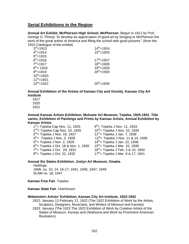# **Serial Exhibitions in the Region**

**Annual Art Exhibit, McPherson High School, McPherson.** Begun in 1911 by Prof. George G. Pinney "to develop an appreciation of good art by bringing to McPherson the work of the great artists of America and filling the school with good pictures." (from the 1915 Catalogue of the exhibit)

| ro ro odidiogue or the exhibit, |                  |
|---------------------------------|------------------|
| $3^{rd}$ =1913                  | $14^{th} = 1924$ |
| $4^{th}$ =1914                  | $15^{th}$ =1925  |
| $5^{th} = 1915$                 |                  |
| $6^{th} = 1916$                 | $17^{th} = 1927$ |
| $7^{th}$ =1917                  | $18^{th} = 1928$ |
| $8^{th}$ = 1918                 | $19^{th}$ =1929  |
| $9^{th}$ =1919                  | $20^{th}$ =1930  |
| $10^{th}$ =1920                 |                  |
| $11^{th}$ =1921                 |                  |
| $12^{th}$ =1922                 | $25^{th} = 1935$ |
|                                 |                  |

**Annual Exhibition of the Artists of Kansas City and Vicinity, Kansas City Art Institute** 

1917

1920

1921

**Annual Kansas Artists Exhibition, Mulvane Art Museum, Topeka, 1925-1941. Title varies, Exhibition of Paintings and Prints by Kansas Artists, Annual Exhibition by Kansas Artists** 

 $1<sup>st</sup>$  Topeka Cap Nov. 11, 1925  $9<sup>th</sup>$  Topeka J Nov. 11, 1933  $2^{nd}$  Topeka Cap Nov. 10, 1926  $10^{th}$  Topeka J Nov. 10, 1934  $3^{rd}$  Topeka J Nov. 19, 1927  $11^{th}$  Topeka J Jan. 7, 1936  $4^{th}$  Topeka J Nov. 3, 1928 12<sup>th</sup> = Topeka J Nov. 11 & 14, 1936  $5<sup>th</sup>$  Topeka J Nov. 2, 1929  $14<sup>th</sup>$  Topeka J Jan. 22, 1938  $6^{th}$  Topeka J Oct. 18 & Nov. 1, 1930 15<sup>th</sup> = Topeka J Mar. 10, 1939  $7<sup>th</sup>$  Topeka J Oct. 24, 1931 16<sup>th</sup> = Topeka J Feb. 2 & 10, 1940  $8<sup>th</sup>$  Topeka J Oct. 22, 1932 17<sup>th</sup> Topeka J Mar. 8 & 17, 1941

# **Annual Six States Exhibition, Joslyn Art Museum, Omaha**

Holdings: JAML no. 10, 14, 16-17; 1941, 1945, 1947, 1949 SLAM no. 16; 1947

**Kansas Free Fair**, Topeka

**Kansas State Fair**, Hutchinson

#### **Midwestern Artists' Exhibition, Kansas City Art Institute, 1922-1942**

 1922: January 12-February 12, 1922 (The 1922 Exhibition of Work by the Artists, Sculptors, Designers, Musicians, and Writers of Missouri and Kansas)

 1923: January (The 1923 The 1922 Exhibition of Work by Creative Artists of the States of Missouri, Kansas and Oklahoma and Work by Prominent American Illustrators)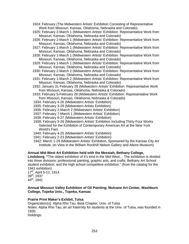- 1924: February (The Midwestern Artists' Exhibition Consisting of Representative Work from Missouri, Kansas, Oklahoma, Nebraska and Colorado)
- 1925: February 2-March 1 (Midwestern Artists' Exhibition: Representative Work from Missouri, Kansas, Oklahoma, Nebraska and Colorado)
- 1926: February 2-March 1 (Midwestern Artists' Exhibition: Representative Work from Missouri, Kansas, Oklahoma, Nebraska and Colorado)
- 1927: February 1-March 1 (Midwestern Artists' Exhibition: Representative Work from Missouri, Kansas, Oklahoma, Nebraska and Colorado)
- 1928: February 1-March 1 (Midwestern Artists' Exhibition: Representative Work from Missouri, Kansas, Oklahoma, Nebraska and Colorado)
- 1929: February 1-March 1 (Midwestern Artists' Exhibition: Representative Work from Missouri, Kansas, Oklahoma, Nebraska and Colorado)
- 1930: February 2-March 2 (Midwestern Artists' Exhibition: Representative Work from Missouri, Kansas, Oklahoma, Nebraska and Colorado)
- 1931: February 1-March 2 (Midwestern Artists' Exhibition: Representative Work from Missouri, Kansas, Oklahoma, Nebraska and Colorado)
- 1932: January 31-February 28 (Midwestern Artists' Exhibition: Representative Work from Missouri, Kansas, Oklahoma, Nebraska & Colorado)
- 1933: February 5-February 28 (Midwestern Artists' Exhibition: Representative Work from Missouri, Kansas, Oklahoma, Nebraska & Colorado)
- 1934: February 4-26 (Midwestern Artists' Exhibition)
- 1935: February 3-28 (Midwestern Artists Exhibition)
- 1936: February 2-March 2 (Midwestern Artists' Exhibition)
- 1937: February 7-March 1 (Midwestern Artists' Exhibition)
- 1938: February 6-27 (Midwestern Artists' Exhibition)
- 1939: February 5-26 (Midwestern Artists' Exhibition Including Thirty-Four Works Selected for the Exhibition of Contemporary American Art at the New York World's Fair)
- 1940: February 4-25 (Midwestern Artists' Exhibition)
- 1941: February 2-23 (Midwestern Artists' Exhibition)
- 1942: March 1-29 (Midwestern Artists' Exhibition, Sponsored by the Kansas City Art Institute, on View in the William Rockhill Nelson Gallery and Atkins Museum)

#### **Annual Mid-West Art Exhibition held with the Messiah, Bethany College,**

**Lindsborg. "**The oldest exhibition of it's kind in the Mid-West… The exhibition is divided into three divisions: professional painting, graphic arts, and crafts; Bethany Art School student exhibition; and the high school competitive exhibition." (from the catalog for the 1941 exhibition)

17th, April 5-12, 1914  $39^{\sf th}$ , 1937 44th, 1941

### **Annual Missouri Valley Exhibition of Oil Painting; Mulvane Art Center, Washburn College, Topeka Univ., Topeka, Kansas**

## **Prairie Print Maker's Exhibit, Tulsa**

Organization(s): Alpha Rho Tau, Beta Chapter; Univ. of Tulsa Notes: Alpha Rho Tau, an art fraternity for students at the Univ. of Tulsa, was founded in 1930. Holdings: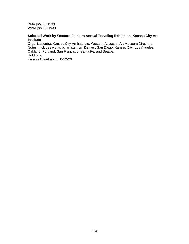PMA [no. 8]; 1939 WAM [no. 8]; 1939

## **Selected Work by Western Painters Annual Traveling Exhibition, Kansas City Art Institute**

Organization(s): Kansas City Art Institute; Western Assoc. of Art Museum Directors Notes: Includes works by artists from Denver, San Diego, Kansas City, Los Angeles, Oakland, Portland, San Francisco, Santa Fe, and Seattle. Holdings: Kansas CityAI no. 1; 1922-23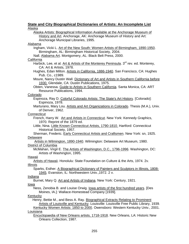# **State and City Biographical Dictionaries of Artists: An Incomplete List**  Alaska

Alaska Artists: Biographical Information Available at the Anchorage Museum of History and Art. Anchorage, AK: Anchorage Museum of History and Art: Anchorage Municipal Libraries, 1995. Alabama Ingham, Vicki L. Art of the New South: Women Artists of Birmingham, 1890-1950.

- Birmingham, AL: Birmingham Historical Society, 2004.
- Nall. Alabama Art. Montgomery, AL: Black Belt Press, 2000.

# **California**

- Harbick, Lee, et al. Art & Artists of the Monterey Peninsula. 3<sup>rd</sup> rev. ed. Monterey, CA: Art & Artists, 1978.
- Hughes, Edan Milton. Artists in California, 1886-1940. San Francisco, CA: Hughes Pub. Co., c1989.
- Moure, Nancy Dustin Wall. Dictionary of Art and Artists in Southern California before 1930. Glendale, CA: Dustin Publications, 1975.
- Obten, Vanessa. Guide to Artists in Southern California. Santa Monica, CA: ART Resource Publications, 1994.

# Colorado

- Espinoza, Ray D. Colorful Colorado Artists: The State's Art History. [Colorado]: Espinoza, 1978.
- Marturano, Mary Lou. Artists and Art Organizations in Colorado. Thesis (M.A.), Univ. of Denver, 1962.

# **Connecticut**

- French, Harry W. Art and Artists in Connecticut. New York: Kennedy Graphics, 1970. Reprint of the 1879 ed.
- Little, Nina. Little Known Connecticut Artists, 1790-1810. Hartford: Connecticut Historical Society, 1957.
- Sherman, Frederic. Early Connecticut Artists and Craftsmen. New York: sn, 1925. Delaware

# Artists in Wilmington, 1890-1940. Wilmington: Delaware Art Museum, 1980. District of Columbia

McMahan, Virgil E. The Artists of Washington, D.C., 1796-1996. Washington, DC: Artists of Washington, 1995.

# Hawaii

Artists of Hawaii. Honolulu: State Foundation on Culture & the Arts, 1974. 2v. Illinois

Sparks, Esther. A Biographical Dictionary of Painters and Sculptors in Illinois, 1808- 1945*.* Evanston, IL: Northwestern Univ.,1972. 2 v.

# Indiana

Burnet, Mary Q. Art and Artists of Indiana. New York: Century, 1921.

# Iowa

Ness, Zenobia B. and Louise Orwig. Iowa artists of the first hundred years. [Des Moines, IA.]: Wallace-Homestead Company [1939].

# Kentucky

 Henry, Bettie M., and Bess A. Ray. Biographical Extracts Relating to Prominent Artists of Louisville and Kentucky. Louisville: Louisville Free Public Library, 1939.

Kentucky Women Artists: 1850 to 2000. Owensboro: Western Kentucky Univ., 2001. Louisiana

Encyclopaedia of New Orleans artists, 1718-1918. New Orleans, LA: Historic New Orleans Collection, 1987.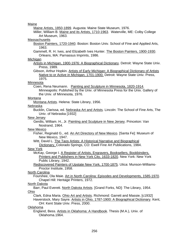Maine

Maine Artists, 1850-1899. Augusta: Maine State Museum, 1976.

 Miller, William B. Maine and its Artists, 1710-1963. Waterville, ME: Colby College Art Museum, 1963.

#### **Massachusetts**

 Boston Painters, 1720-1940. Boston: Boston Univ. School of Fine and Applied Arts, 1963.

Gammell, R. H. Ives, and Elizabeth Ives Hunter. The Boston Painters, 1900-1930. Orleans, MA: Parnassus Imprints, 1986.

#### **Michigan**

Artists in Michigan, 1900-1976: A Biographical Dictionary. Detroit: Wayne State Univ. Press, 1989.

Gibson, Arthur Hopkin. Artists of Early Michigan: A Biographical Dictionary of Artists Native to or Active in Michigan, 1701-1900. Detroit: Wayne State Univ. Press, 1975.

#### Minnesota

Coen, Rena Neumann. Painting and Sculpture in Minnesota, 1820-1914*.*  Minneapolis: Published by the Univ. of Minnesota Press for the Univ. Gallery of the Univ. of Minnesota, 1976.

#### Montana

Montana Artists. Helena: State Library, 1956.

#### Nebraska

Bucklin, Clarissa, ed. Nebraska Art and Artists*.* Lincoln: The School of Fine Arts, The Univ. of Nebraska [1932]

#### New Jersey

 Gerdts, William. H., Jr. Painting and Sculpture in New Jersey. Princeton: Van Nostrand, 1964.

## New Mexico

Fisher, Reginald G., ed. An Art Directory of New Mexico. [Santa Fe]: Museum of New Mexico, 1947.

Witt, David L. The Taos Artists: A Historical Narrative and Biographical Dictionary. Colorado Springs, CO: Ewell Fine Art Publications, 1984.

#### New York

 McKay, George I. A Register of Artists, Engravers, Booksellers, Bookbinders, Printers and Publishers in New York City, 1633-1820. New York: New York Public Library, 1942.

 Rediscovered Painters of Upstate New York, 1700-1875. Utica: Munson-Williams-Proctor Institute, 1958.

#### North Carolina

Fourshee, Ola Maie. Art in North Carolina: Episodes and Developments, 1585-1970. Chapel Hill: Heritage Printers, 1972.

#### North Dakota

Barr, Paul Everett. North Dakota Artists. [Grand Forks, ND]: The Library, 1954. Ohio

Clark, Edna Maria. Ohio Art and Artists. Richmond: Garrett and Massie, [c1932] Haverstock, Mary Sayre. Artists in Ohio, 1787-1900: A Biographical Dictionary. Kent, OH: Kent State Univ. Press, 2000.

#### Oklahoma

England, Bess. Artists in Oklahoma: A Handbook. Thesis (M.A.), Univ. of Oklahoma.1964.